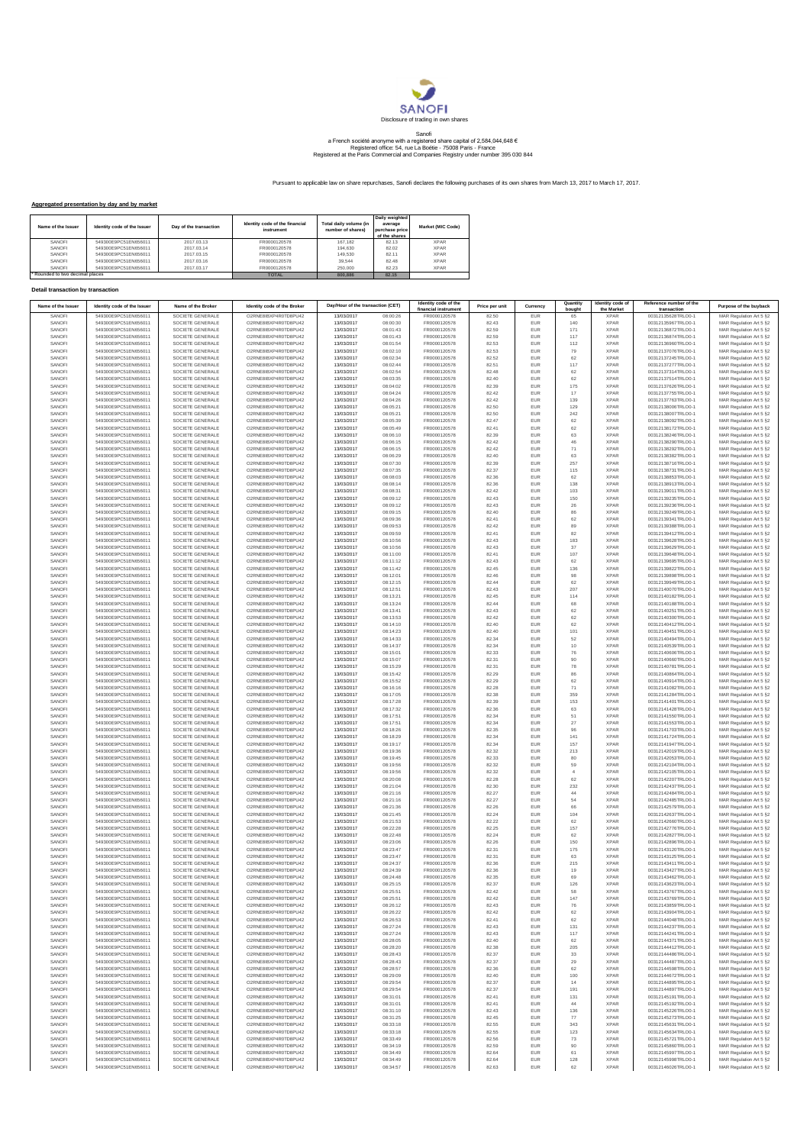

## Sanofi<br>a French société anonyme with a registered share capital of 2,584,044,648 €<br>Registered office: 54, rue La Boétie - 75008 Paris - France<br>Registered at the Paris Commercial and Companies Registry under number 395 030

Pursuant to applicable law on share repurchases, Sanofi declares the following purchases of its own shares from March 13, 2017 to March 17, 2017.

## **Aggregated presentation by day and by market**

| Name of the Issuer            | Identity code of the Issuer | Day of the transaction | Identity code of the financial<br>instrument | Total daily volume (in<br>number of shares) | Daily weighted<br>average<br>purchase price<br>of the shares | Market (MIC Code) |
|-------------------------------|-----------------------------|------------------------|----------------------------------------------|---------------------------------------------|--------------------------------------------------------------|-------------------|
| SANOFI                        | 549300E9PC51EN656011        | 2017 03 13             | FR0000120578                                 | 167.182                                     | 82.13                                                        | <b>XPAR</b>       |
| SANOFI                        | 549300E9PC51EN656011        | 2017.03.14             | FR0000120578                                 | 194,630                                     | 82.02                                                        | <b>XPAR</b>       |
| SANOFI                        | 549300E9PC51EN656011        | 2017.03.15             | FR0000120578                                 | 149,530                                     | 82 11                                                        | <b>XPAR</b>       |
| SANOFI                        | 549300E9PC51EN656011        | 2017.03.16             | FR0000120578                                 | 39.544                                      | 82 48                                                        | <b>XPAR</b>       |
| SANOFI                        | 549300E9PC51EN656011        | 2017.03.17             | FR0000120578                                 | 250,000                                     | 82 23                                                        | <b>XPAR</b>       |
| Rounded to two decimal places |                             |                        | <b>TOTAL</b>                                 | 800,886                                     | 82.15                                                        |                   |

## **Detail transaction by transaction**

| Name of the Issuer | Identity code of the Issuer                  | Name of the Broker                   | Identity code of the Broker                   | Day/Hour of the transaction (CET) |                      | Identity code of the<br>financial instrument | Price per unit | Currency          | Quantity<br>bought | Identity code of<br>the Market | Reference number of the<br>transaction   | Purpose of the buyback                             |
|--------------------|----------------------------------------------|--------------------------------------|-----------------------------------------------|-----------------------------------|----------------------|----------------------------------------------|----------------|-------------------|--------------------|--------------------------------|------------------------------------------|----------------------------------------------------|
| SANOFI             | 549300E9PC51EN656011                         | SOCIETE GENERALE                     | O2RNE8IBXP4R0TD8PU42                          | 13/03/2017                        | 08:00:26             | FR0000120578                                 | 82.50          | EUR               |                    | <b>XPAR</b>                    | 00312135628TRLO0-1                       | MAR Regulation Art 5 §2                            |
| SANOFI             | 549300E9PC51EN656011                         | SOCIETE GENERALE                     | O2RNE8IBXP4R0TD8PU42                          | 13/03/2017                        | 08:00:30             | FR0000120578                                 | 82.43          | EUR               | 140                | <b>XPAR</b>                    | 00312135967TRLO0-1                       | MAR Regulation Art 5 §2                            |
| SANOFI             | 549300E9PC51EN656011<br>549300E9PC51EN656011 | SOCIETE GENERALE                     | O2RNE8IBXP4R0TD8PU42                          | 13/03/2017                        | 08:01:43             | FR0000120578                                 | 82.59          | <b>EUR</b>        | 171                | <b>XPAR</b>                    | 00312136872TRLO0-1                       | MAR Regulation Art 5 §2                            |
| SANOFI<br>SANOFI   | 549300E9PC51EN656011                         | SOCIETE GENERALE<br>SOCIETE GENERALE | O2RNE8IBXP4R0TD8PU42<br>O2RNE8IBXP4R0TD8PU42  | 13/03/2017<br>13/03/2017          | 08:01:43<br>08:01:54 | FR0000120578<br>FR0000120578                 | 82.59<br>82.53 | EUR<br><b>EUR</b> | 117<br>112         | <b>XPAR</b><br><b>XPAR</b>     | 00312136874TRLO0-1<br>00312136960TRLO0-1 | MAR Regulation Art 5 §2<br>MAR Regulation Art 5 §2 |
| SANOFI             | 549300E9PC51EN656011                         | SOCIETE GENERALE                     | O2RNE8IBXP4R0TD8PU42                          | 13/03/2017                        | 08:02:10             | FR0000120578                                 | 82.53          | EUR               | 79                 | <b>XPAR</b>                    | 00312137076TRLO0-1                       | MAR Regulation Art 5 §2                            |
| SANOFI             | 549300E9PC51EN656011                         | SOCIETE GENERALE                     | O2RNE8IBXP4R0TD8PU42                          | 13/03/2017                        | 08:02:34             | FR0000120578                                 | 82.52          | EUR               | 62                 | <b>XPAR</b>                    | 00312137245TRLO0-1                       | MAR Regulation Art 5 §2                            |
| SANOFI             | 549300E9PC51EN656011                         | SOCIETE GENERALE                     | O2RNE8IBXP4R0TD8PU42                          | 13/03/2017                        | 08:02:44             | FR0000120578                                 | 82.51          | EUR               | $117\,$            | <b>XPAR</b>                    | 00312137277TRLO0-1                       | MAR Regulation Art 5 §2                            |
| SANOFI<br>SANOFI   | 549300E9PC51EN656011<br>549300E9PC51EN656011 | SOCIETE GENERALE<br>SOCIETE GENERALE | O2RNE8IBXP4R0TD8PU42<br>O2RNE8IBXP4R0TD8PU42  | 13/03/2017<br>13/03/2017          | 08:02:54<br>08:03:35 | FR0000120578<br>FR0000120578                 | 82.48<br>82.40 | EUR<br>EUR        | 62<br>62           | <b>XPAR</b><br><b>XPAR</b>     | 00312137314TRLO0-1<br>00312137514TRLO0-1 | MAR Regulation Art 5 §2<br>MAR Regulation Art 5 §2 |
| SANOFI             | 549300E9PC51EN656011                         | SOCIETE GENERALE                     | O2RNE8IBXP4R0TD8PU42                          | 13/03/2017                        | 08:04:02             | FR0000120578                                 | 82.39          | EUR               | $175\,$            | <b>XPAR</b>                    | 00312137626TRLO0-1                       | MAR Regulation Art 5 §2                            |
| SANOFI             | 549300E9PC51EN656011                         | SOCIETE GENERALE                     | O2RNE8IBXP4R0TD8PU42                          | 13/03/2017                        | 08:04:24             | FR0000120578                                 | 82.42          | <b>EUR</b>        | 17                 | <b>XPAR</b>                    | 00312137755TRLO0-1                       | MAR Regulation Art 5 §2                            |
| SANOFI             | 549300E9PC51EN656011                         | SOCIETE GENERALE                     | O2RNE8IBXP4R0TD8PU42                          | 13/03/2017                        | 08:04:26             | FR0000120578                                 | 82.42          | EUR               | 139                | <b>XPAR</b>                    | 00312137763TRLO0-1                       | MAR Regulation Art 5 §2                            |
| SANOFI<br>SANOFI   | 549300E9PC51EN656011                         | SOCIETE GENERALE                     | O2RNE8IBXP4R0TD8PU42<br>O2RNE8IBXP4R0TD8PU42  | 13/03/2017<br>13/03/2017          | 08:05:21<br>08:05:21 | FR0000120578<br>FR0000120578                 | 82.50<br>82.50 | <b>EUR</b>        | 129                | <b>XPAR</b><br><b>XPAR</b>     | 00312138006TRLO0-1<br>00312138007TRLO0-1 | MAR Regulation Art 5 §2                            |
| SANOFI             | 549300E9PC51EN656011<br>549300E9PC51EN656011 | SOCIETE GENERALE<br>SOCIETE GENERALE | O2RNE8IBXP4R0TD8PU42                          | 13/03/2017                        | 08:05:39             | FR0000120578                                 | 82.47          | EUR<br>EUR        | 242<br>62          | <b>XPAR</b>                    | 00312138092TRLO0-1                       | MAR Regulation Art 5 §2<br>MAR Regulation Art 5 §2 |
| SANOFI             | 549300E9PC51EN656011                         | SOCIETE GENERALE                     | O2RNE8IBXP4R0TD8PU42                          | 13/03/2017                        | 08:05:49             | FR0000120578                                 | 82.41          | EUR               | 62                 | <b>XPAR</b>                    | 00312138172TRLO0-1                       | MAR Regulation Art 5 §2                            |
| SANOFI             | 549300E9PC51EN656011                         | SOCIETE GENERALE                     | O2RNE8IBXP4R0TD8PU42                          | 13/03/2017                        | 08:06:10             | FR0000120578                                 | 82.39          | EUR               | 63                 | <b>XPAR</b>                    | 00312138246TRLO0-1                       | MAR Regulation Art 5 §2                            |
| SANOFI             | 549300E9PC51EN656011                         | SOCIETE GENERALE                     | O2RNE8IBXP4R0TD8PU42                          | 13/03/2017                        | 08:06:15             | FR0000120578                                 | 82.42          | <b>EUR</b>        | 46                 | <b>XPAR</b>                    | 00312138290TRLO0-1                       | MAR Regulation Art 5 §2                            |
| SANOFI<br>SANOFI   | 549300E9PC51EN656011<br>549300E9PC51EN656011 | SOCIETE GENERALE<br>SOCIETE GENERALE | O2RNE8IBXP4R0TD8PU42<br>O2RNE8IBXP4R0TD8PLI42 | 13/03/2017<br>13/03/2017          | 08:06:15<br>08:06:29 | FR0000120578<br>FR0000120578                 | 82.42<br>82.40 | EUR<br><b>EUR</b> | 71<br>63           | <b>XPAR</b><br><b>XPAR</b>     | 00312138292TRLO0-1<br>00312138382TRLO0-1 | MAR Regulation Art 5 §2                            |
| SANOFI             | 549300E9PC51EN656011                         | SOCIETE GENERALE                     | O2RNE8IBXP4R0TD8PU42                          | 13/03/2017                        | 08:07:30             | FR0000120578                                 | 82.39          | EUR               | 257                | <b>XPAR</b>                    | 00312138716TRLO0-1                       | MAR Regulation Art 5 §2<br>MAR Regulation Art 5 §2 |
| SANOFI             | 549300E9PC51EN656011                         | SOCIETE GENERALE                     | O2RNE8IBXP4R0TD8PU42                          | 13/03/2017                        | 08:07:35             | FR0000120578                                 | 82.37          | <b>EUR</b>        | 115                | <b>XPAR</b>                    | 00312138731TRLO0-1                       | MAR Regulation Art 5 §2                            |
| SANOFI             | 549300E9PC51EN656011                         | SOCIETE GENERALE                     | O2RNE8IBXP4R0TD8PU42                          | 13/03/2017                        | 08:08:03             | FR0000120578                                 | 82.36          | EUR               | 62                 | <b>XPAR</b>                    | 00312138853TRLO0-1                       | MAR Regulation Art 5 §2                            |
| SANOFI             | 549300E9PC51EN656011                         | SOCIETE GENERALE                     | O2RNE8IBXP4R0TD8PU42                          | 13/03/2017                        | 08:08:14             | FR0000120578                                 | 82.36          | EUR               | 138                | <b>XPAR</b>                    | 00312138913TRLO0-1                       | MAR Regulation Art 5 §2                            |
| SANOFI             | 549300E9PC51EN656011                         | SOCIETE GENERALE                     | O2RNE8IBXP4R0TD8PU42                          | 13/03/2017                        | 08:08:31             | FR0000120578                                 | 82.42          | EUR               | 103                | <b>XPAR</b>                    | 00312139011TRLO0-1                       | MAR Regulation Art 5 §2                            |
| SANOFI<br>SANOFI   | 549300E9PC51EN656011<br>549300E9PC51EN656011 | SOCIETE GENERALE<br>SOCIETE GENERALE | O2RNE8IBXP4R0TD8PU42<br>O2RNE8IBXP4R0TD8PU42  | 13/03/2017<br>13/03/2017          | 08:09:12<br>08:09:12 | FR0000120578<br>FR0000120578                 | 82.43<br>82.43 | EUR<br><b>EUR</b> | 150<br>26          | <b>XPAR</b><br><b>XPAR</b>     | 00312139235TRLO0-1<br>00312139236TRLO0-1 | MAR Regulation Art 5 §2<br>MAR Regulation Art 5 §2 |
| SANOFI             | 549300E9PC51EN656011                         | SOCIETE GENERALE                     | O2RNE8IBXP4R0TD8PU42                          | 13/03/2017                        | 08:09:15             | FR0000120578                                 | 82.40          | EUR               | 86                 | <b>XPAR</b>                    | 00312139249TRLO0-1                       | MAR Regulation Art 5 §2                            |
| SANOFI             | 549300E9PC51EN656011                         | SOCIETE GENERALE                     | O2RNE8IBXP4R0TD8PU42                          | 13/03/2017                        | 08:09:36             | FR0000120578                                 | 82.41          | <b>EUR</b>        | 62                 | <b>XPAR</b>                    | 00312139341TRLO0-1                       | MAR Regulation Art 5 §2                            |
| SANOFI             | 549300E9PC51EN656011                         | SOCIETE GENERALE                     | O2RNE8IBXP4R0TD8PU42                          | 13/03/2017                        | 08:09:53             | FR0000120578                                 | 82.42          | EUR               | 89                 | <b>XPAR</b>                    | 00312139388TRLO0-1                       | MAR Regulation Art 5 §2                            |
| SANOFI<br>SANOFI   | 549300E9PC51EN656011<br>549300E9PC51EN656011 | SOCIETE GENERALE<br>SOCIETE GENERALE | O2RNE8IBXP4R0TD8PU42<br>O2RNE8IBXP4R0TD8PU42  | 13/03/2017<br>13/03/2017          | 08:09:59<br>08:10:56 | FR0000120578<br>FR0000120578                 | 82.41<br>82.43 | EUR<br>EUR        | 82                 | <b>XPAR</b><br><b>XPAR</b>     | 00312139412TRLO0-1<br>00312139628TRLO0-1 | MAR Regulation Art 5 §2                            |
| SANOFI             | 549300E9PC51EN656011                         | SOCIETE GENERALE                     | O2RNE8IBXP4R0TD8PU42                          | 13/03/2017                        | 08:10:56             | FR0000120578                                 | 82.43          | EUR               | 183<br>$37\,$      | <b>XPAR</b>                    | 00312139629TRLO0-1                       | MAR Regulation Art 5 §2<br>MAR Regulation Art 5 §2 |
| SANOFI             | 549300E9PC51EN656011                         | SOCIETE GENERALE                     | O2RNE8IBXP4R0TD8PU42                          | 13/03/2017                        | 08:11:00             | FR0000120578                                 | 82.41          | EUR               | $107$              | <b>XPAR</b>                    | 00312139648TRLO0-1                       | MAR Regulation Art 5 §2                            |
| SANOFI             | 549300E9PC51EN656011                         | SOCIETE GENERALE                     | O2RNE8IBXP4R0TD8PU42                          | 13/03/2017                        | 08:11:12             | FR0000120578                                 | 82.43          | EUR               | 62                 | <b>XPAR</b>                    | 00312139695TRLO0-1                       | MAR Regulation Art 5 §2                            |
| SANOFI             | 549300E9PC51EN656011                         | SOCIETE GENERALE                     | O2RNE8IBXP4R0TD8PU42                          | 13/03/2017                        | 08:11:42             | FR0000120578                                 | 82.45          | <b>EUR</b>        | 136                | <b>XPAR</b>                    | 00312139822TRLO0-1                       | MAR Regulation Art 5 §2                            |
| SANOFI             | 549300E9PC51EN656011                         | SOCIETE GENERALE                     | O2RNE8IBXP4R0TD8PU42                          | 13/03/2017                        | 08:12:01             | FR0000120578                                 | 82.46          | EUR               | 98                 | <b>XPAR</b>                    | 00312139898TRLO0-1                       | MAR Regulation Art 5 §2                            |
| SANOFI<br>SANOFI   | 549300E9PC51EN656011<br>549300E9PC51EN656011 | SOCIETE GENERALE<br>SOCIETE GENERALE | O2RNE8IBXP4R0TD8PU42<br>O2RNE8IBXP4R0TD8PU42  | 13/03/2017<br>13/03/2017          | 08:12:15<br>08:12:51 | FR0000120578<br>FR0000120578                 | 82.44<br>82.43 | <b>EUR</b><br>EUR | 62<br>207          | <b>XPAR</b><br><b>XPAR</b>     | 00312139949TRLO0-1<br>00312140070TRLO0-1 | MAR Regulation Art 5 §2<br>MAR Regulation Art 5 §2 |
| SANOFI             | 549300E9PC51EN656011                         | SOCIETE GENERALE                     | O2RNE8IBXP4R0TD8PU42                          | 13/03/2017                        | 08:13:21             | FR0000120578                                 | 82.45          | EUR               | 114                | <b>XPAR</b>                    | 00312140182TRLO0-1                       | MAR Regulation Art 5 §2                            |
| SANOFI             | 549300E9PC51EN656011                         | SOCIETE GENERALE                     | O2RNE8IBXP4R0TD8PU42                          | 13/03/2017                        | 08:13:24             | FR0000120578                                 | 82.44          | EUR               | 68                 | <b>XPAR</b>                    | 00312140188TRLO0-1                       | MAR Regulation Art 5 §2                            |
| SANOFI             | 549300E9PC51EN656011                         | SOCIETE GENERALE                     | O2RNE8IBXP4R0TD8PU42                          | 13/03/2017                        | 08:13:41             | FR0000120578                                 | 82.43          | EUR               | 62                 | <b>XPAR</b>                    | 00312140251TRLO0-1                       | MAR Regulation Art 5 §2                            |
| SANOFI             | 549300E9PC51EN656011                         | SOCIETE GENERALE                     | O2RNE8IBXP4R0TD8PU42                          | 13/03/2017                        | 08:13:53             | FR0000120578                                 | 82.42          | EUR               | 62                 | <b>XPAR</b>                    | 00312140300TRLO0-1                       | MAR Regulation Art 5 §2                            |
| SANOFI<br>SANOFI   | 549300E9PC51EN656011<br>549300E9PC51EN656011 | SOCIETE GENERALE<br>SOCIETE GENERALE | O2RNE8IBXP4R0TD8PU42<br>O2RNE8IBXP4R0TD8PLI42 | 13/03/2017<br>13/03/2017          | 08:14:10<br>08:14:23 | FR0000120578<br>FR0000120578                 | 82.40<br>82.40 | EUR<br><b>EUR</b> | 62<br>101          | <b>XPAR</b><br><b>XPAR</b>     | 00312140412TRLO0-1<br>00312140451TRLO0-1 | MAR Regulation Art 5 §2<br>MAR Regulation Art 5 §2 |
| SANOFI             | 549300E9PC51EN656011                         | SOCIETE GENERALE                     | O2RNE8IBXP4R0TD8PU42                          | 13/03/2017                        | 08:14:33             | FR0000120578                                 | 82.34          | EUR               | 52                 | <b>XPAR</b>                    | 00312140494TRLO0-1                       | MAR Regulation Art 5 §2                            |
| SANOFI             | 549300E9PC51EN656011                         | SOCIETE GENERALE                     | O2RNE8IBXP4R0TD8PU42                          | 13/03/2017                        | 08:14:37             | FR0000120578                                 | 82.34          | <b>EUR</b>        | 10                 | <b>XPAR</b>                    | 00312140539TRLO0-1                       | MAR Regulation Art 5 §2                            |
| SANOFI             | 549300E9PC51EN656011                         | SOCIETE GENERALE                     | O2RNE8IBXP4R0TD8PU42                          | 13/03/2017                        | 08:15:01             | FR0000120578                                 | 82.33          | EUR               | 76                 | <b>XPAR</b>                    | 00312140606TRLO0-1                       | MAR Regulation Art 5 §2                            |
| SANOFI             | 549300E9PC51EN656011                         | SOCIETE GENERALE                     | O2RNE8IBXP4R0TD8PU42                          | 13/03/2017                        | 08:15:07             | FR0000120578                                 | 82.31          | EUR               | 90                 | <b>XPAR</b>                    | 00312140660TRLO0-1                       | MAR Regulation Art 5 §2                            |
| SANOFI             | 549300E9PC51EN656011<br>549300E9PC51EN656011 | SOCIETE GENERALE                     | O2RNE8IBXP4R0TD8PU42<br>O2RNE8IBXP4R0TD8PU42  | 13/03/2017                        | 08:15:29             | FR0000120578                                 | 82.31          | EUR               | 78                 | <b>XPAR</b>                    | 00312140781TRLO0-1                       | MAR Regulation Art 5 §2                            |
| SANOFI<br>SANOFI   | 549300E9PC51EN656011                         | SOCIETE GENERALE<br>SOCIETE GENERALE | O2RNE8IBXP4R0TD8PU42                          | 13/03/2017<br>13/03/2017          | 08:15:42<br>08:15:52 | FR0000120578<br>FR0000120578                 | 82.29<br>82.29 | EUR<br><b>EUR</b> | 86<br>62           | <b>XPAR</b><br><b>XPAR</b>     | 00312140864TRLO0-1<br>00312140914TRLO0-1 | MAR Regulation Art 5 §2<br>MAR Regulation Art 5 §2 |
| SANOFI             | 549300E9PC51EN656011                         | SOCIETE GENERALE                     | O2RNE8IBXP4R0TD8PU42                          | 13/03/2017                        | 08:16:16             | FR0000120578                                 | 82.28          | EUR               | 71                 | <b>XPAR</b>                    | 00312141082TRLO0-1                       | MAR Regulation Art 5 §2                            |
| SANOFI             | 549300E9PC51EN656011                         | SOCIETE GENERALE                     | O2RNE8IBXP4R0TD8PU42                          | 13/03/2017                        | 08:17:05             | FR0000120578                                 | 82.38          | <b>EUR</b>        | 359                | <b>XPAR</b>                    | 00312141284TRLO0-1                       | MAR Regulation Art 5 §2                            |
| SANOFI             | 549300E9PC51EN656011                         | SOCIETE GENERALE                     | O2RNE8IBXP4R0TD8PU42                          | 13/03/2017                        | 08:17:28             | FR0000120578                                 | 82.39          | EUR               | 153                | <b>XPAR</b>                    | 00312141401TRLO0-1                       | MAR Regulation Art 5 §2                            |
| SANOFI             | 549300E9PC51EN656011                         | SOCIETE GENERALE                     | O2RNE8IBXP4R0TD8PU42                          | 13/03/2017                        | 08:17:32             | FR0000120578                                 | 82.36          | <b>EUR</b>        | 63                 | <b>XPAR</b><br><b>XPAR</b>     | 00312141428TRLO0-1                       | MAR Regulation Art 5 §2                            |
| SANOFI<br>SANOFI   | 549300E9PC51EN656011<br>549300E9PC51EN656011 | SOCIETE GENERALE<br>SOCIETE GENERALE | O2RNE8IBXP4R0TD8PU42<br>O2RNE8IBXP4R0TD8PU42  | 13/03/2017<br>13/03/2017          | 08:17:51<br>08:17:51 | FR0000120578<br>FR0000120578                 | 82.34<br>82.34 | EUR<br>EUR        | 51<br>27           | <b>XPAR</b>                    | 00312141550TRLO0-1<br>00312141553TRLO0-1 | MAR Regulation Art 5 §2<br>MAR Regulation Art 5 §2 |
| SANOFI             | 549300E9PC51EN656011                         | SOCIETE GENERALE                     | O2RNE8IBXP4R0TD8PU42                          | 13/03/2017                        | 08:18:26             | FR0000120578                                 | 82.35          | EUR               | $96\,$             | <b>XPAR</b>                    | 00312141703TRLO0-1                       | MAR Regulation Art 5 §2                            |
| SANOFI             | 549300E9PC51EN656011                         | SOCIETE GENERALE                     | O2RNE8IBXP4R0TD8PU42                          | 13/03/2017                        | 08:18:29             | FR0000120578                                 | 82.34          | EUR               | 141                | <b>XPAR</b>                    | 00312141724TRLO0-1                       | MAR Regulation Art 5 §2                            |
| SANOFI             | 549300E9PC51EN656011                         | SOCIETE GENERALE                     | O2RNE8IBXP4R0TD8PU42                          | 13/03/2017                        | 08:19:17             | FR0000120578                                 | 82.34          | <b>EUR</b>        | 157                | <b>XPAR</b>                    | 00312141947TRLO0-1                       | MAR Regulation Art 5 §2                            |
| SANOFI             | 549300E9PC51EN656011                         | SOCIETE GENERALE                     | O2RNE8IBXP4R0TD8PU42                          | 13/03/2017                        | 08:19:36             | FR0000120578                                 | 82.32          | EUR<br><b>EUR</b> | 213                | <b>XPAR</b>                    | 00312142019TRLO0-1                       | MAR Regulation Art 5 §2                            |
| SANOFI<br>SANOFI   | 549300E9PC51EN656011<br>549300E9PC51EN656011 | SOCIETE GENERALE<br>SOCIETE GENERALE | O2RNE8IBXP4R0TD8PU42<br>O2RNE8IBXP4R0TD8PU42  | 13/03/2017<br>13/03/2017          | 08:19:45<br>08:19:56 | FR0000120578<br>FR0000120578                 | 82.33<br>82.32 | EUR               | 80<br>59           | <b>XPAR</b><br><b>XPAR</b>     | 00312142053TRLO0-1<br>00312142104TRLO0-1 | MAR Regulation Art 5 §2<br>MAR Regulation Art 5 §2 |
| SANOFI             | 549300E9PC51EN656011                         | SOCIETE GENERALE                     | O2RNE8IBXP4R0TD8PU42                          | 13/03/2017                        | 08:19:56             | FR0000120578                                 | 82.32          | EUR               | $\overline{4}$     | <b>XPAR</b>                    | 00312142105TRLO0-1                       | MAR Regulation Art 5 §2                            |
| SANOFI             | 549300E9PC51EN656011                         | SOCIETE GENERALE                     | O2RNE8IBXP4R0TD8PU42                          | 13/03/2017                        | 08:20:08             | FR0000120578                                 | 82.28          | EUR               | 62                 | <b>XPAR</b>                    | 00312142207TRLO0-1                       | MAR Regulation Art 5 §2                            |
| SANOFI             | 549300E9PC51EN656011                         | SOCIETE GENERALE                     | O2RNE8IBXP4R0TD8PU42                          | 13/03/2017                        | 08:21:04             | FR0000120578                                 | 82.30          | EUR               | 232                | <b>XPAR</b>                    | 00312142437TRLO0-1                       | MAR Regulation Art 5 §2                            |
| SANOFI             | 549300E9PC51EN656011                         | SOCIETE GENERALE                     | O2RNE8IBXP4R0TD8PU42                          | 13/03/2017                        | 08:21:16             | FR0000120578                                 | 82.27          | EUR               | 44                 | <b>XPAR</b>                    | 00312142484TRLO0-1                       | MAR Regulation Art 5 §2                            |
| SANOFI<br>SANOFI   | 549300E9PC51EN656011<br>549300E9PC51EN656011 | SOCIETE GENERALE<br>SOCIETE GENERALE | O2RNE8IBXP4R0TD8PU42<br>O2RNE8IBXP4R0TD8PU42  | 13/03/2017<br>13/03/2017          | 08:21:16<br>08:21:36 | FR0000120578<br>FR0000120578                 | 82.27<br>82.26 | EUR<br><b>EUR</b> | 54<br>66           | <b>XPAR</b><br><b>XPAR</b>     | 00312142485TRLO0-1<br>00312142579TRLO0-1 | MAR Regulation Art 5 §2<br>MAR Regulation Art 5 §2 |
| SANOFI             | 549300E9PC51EN656011                         | SOCIETE GENERALE                     | O2RNE8IBXP4R0TD8PU42                          | 13/03/2017                        | 08:21:45             | FR0000120578                                 | 82.24          | EUR               | 104                | <b>XPAR</b>                    | 00312142637TRLO0-1                       | MAR Regulation Art 5 §2                            |
| SANOFI             | 549300E9PC51EN656011                         | SOCIETE GENERALE                     | O2RNE8IBXP4R0TD8PU42                          | 13/03/2017                        | 08:21:53             | FR0000120578                                 | 82.22          | <b>EUR</b>        | 62                 | <b>XPAR</b>                    | 00312142660TRLO0-1                       | MAR Regulation Art 5 §2                            |
| SANOFI             | 549300E9PC51EN656011                         | SOCIETE GENERALE                     | O2RNE8IBXP4R0TD8PU42                          | 13/03/2017                        | 08:22:28             | FR0000120578                                 | 82.25          | EUR               | 157                | <b>XPAR</b>                    | 00312142776TRLO0-1                       | MAR Regulation Art 5 §2                            |
| SANOFI<br>SANOFI   | 549300E9PC51EN656011<br>549300E9PC51EN656011 | SOCIETE GENERALE<br>SOCIETE GENERALE | O2RNE8IBXP4R0TD8PU42<br>O2RNE8IBXP4R0TD8PU42  | 13/03/2017<br>13/03/2017          | 08:22:48<br>08:23:06 | FR0000120578<br>FR0000120578                 | 82.24<br>82.26 | EUR<br>EUR        | 62                 | <b>XPAR</b><br><b>XPAR</b>     | 00312142827TRLO0-1<br>00312142896TRLO0-1 | MAR Regulation Art 5 §2<br>MAR Regulation Art 5 §2 |
| SANOFI             | 549300E9PC51EN656011                         | SOCIETE GENERALE                     | O2RNE8IBXP4R0TD8PU42                          | 13/03/2017                        | 08:23:47             | FR0000120578                                 | 82.31          | EUR               | 150<br>175         | <b>XPAR</b>                    | 00312143120TRLO0-1                       | MAR Regulation Art 5 §2                            |
| SANOFI             | 549300E9PC51EN656011                         | SOCIETE GENERALE                     | O2RNE8IBXP4R0TD8PU42                          | 13/03/2017                        | 08:23:47             | FR0000120578                                 | 82.31          | EUR               | 63                 | <b>XPAR</b>                    | 00312143125TRLO0-1                       | MAR Regulation Art 5 §2                            |
| SANOFI             | 549300E9PC51EN656011                         | SOCIETE GENERALE                     | O2RNE8IBXP4R0TD8PU42                          | 13/03/2017                        | 08:24:37             | FR0000120578                                 | 82.36          | EUR               | 215                | <b>XPAR</b>                    | 00312143411TRLO0-1                       | MAR Regulation Art 5 §2                            |
| SANOFI             | 549300E9PC51EN656011                         | SOCIETE GENERALE                     | O2RNE8IBXP4R0TD8PU42                          | 13/03/2017                        | 08:24:39             | FR0000120578                                 | 82.36          | <b>EUR</b>        | 19                 | <b>XPAR</b>                    | 00312143427TRLO0-1                       | MAR Regulation Art 5 §2                            |
| SANOFI<br>SANOFI   | 549300E9PC51EN656011<br>549300E9PC51EN656011 | SOCIETE GENERALE<br>SOCIETE GENERALE | O2RNE8IBXP4R0TD8PU42<br>O2RNE8IBXP4R0TD8PU42  | 13/03/2017<br>13/03/2017          | 08:24:48<br>08:25:15 | FR0000120578<br>FR0000120578                 | 82.35<br>82.37 | EUR<br><b>EUR</b> | 69                 | <b>XPAR</b><br><b>XPAR</b>     | 00312143462TRLO0-1<br>00312143623TRLO0-1 | MAR Regulation Art 5 §2                            |
| SANOFI             | 549300E9PC51EN656011                         | SOCIETE GENERALE                     | O2RNE8IBXP4R0TD8PU42                          | 13/03/2017                        | 08:25:51             | FR0000120578                                 | 82.42          | EUR               | 126<br>58          | <b>XPAR</b>                    | 00312143767TRLO0-1                       | MAR Regulation Art 5 §2<br>MAR Regulation Art 5 §2 |
| SANOFI             | 549300E9PC51EN656011                         | SOCIETE GENERALE                     | O2RNE8IBXP4R0TD8PU42                          | 13/03/2017                        | 08:25:51             | FR0000120578                                 | 82.42          | EUR               | 147                | <b>XPAR</b>                    | 00312143769TRLO0-1                       | MAR Regulation Art 5 §2                            |
| SANOFI             | 549300E9PC51EN656011                         | SOCIETE GENERALE                     | O2RNE8IBXP4R0TD8PU42                          | 13/03/2017                        | 08:26:12             | FR0000120578                                 | 82.43          | EUR               | 76                 | <b>XPAR</b>                    | 00312143859TRLO0-1                       | MAR Regulation Art 5 §2                            |
| SANOF              | 549300E9PC51EN656011                         | SOCIETE GENERALE                     | O2RNE8IBXP4R0TD8PU42                          | 13/03/2017                        | 08:26:22             | FR0000120578                                 | 82.42          | EUR               | 62                 |                                | 00312143904TRLO0-1                       | MAR Regulation Art 5 §2                            |
| SANOFI<br>SANOFI   | 549300E9PC51EN656011<br>549300E9PC51EN656011 | SOCIETE GENERALE<br>SOCIETE GENERALE | O2RNE8IBXP4R0TD8PU42<br>O2RNE8IBXP4R0TD8PU42  | 13/03/2017<br>13/03/2017          | 08:26:53<br>08:27:24 | FR0000120578<br>FR0000120578                 | 82.41<br>82.43 | <b>EUR</b><br>EUR | 62<br>131          | <b>XPAR</b><br><b>XPAR</b>     | 00312144048TRLO0-1<br>00312144237TRLO0-1 | MAR Regulation Art 5 §2                            |
| SANOFI             | 549300E9PC51EN656011                         | SOCIETE GENERALE                     | O2RNE8IBXP4R0TD8PU42                          | 13/03/2017                        | 08:27:24             | FR0000120578                                 | 82.43          | <b>EUR</b>        | 117                | <b>XPAR</b>                    | 00312144241TRLO0-1                       | MAR Regulation Art 5 §2<br>MAR Regulation Art 5 §2 |
| SANOFI             | 549300E9PC51EN656011                         | SOCIETE GENERALE                     | O2RNE8IBXP4R0TD8PU42                          | 13/03/2017                        | 08:28:05             | FR0000120578                                 | 82.40          | EUR               | 62                 | <b>XPAR</b>                    | 00312144371TRLO0-1                       | MAR Regulation Art 5 §2                            |
| SANOFI             | 549300E9PC51EN656011                         | SOCIETE GENERALE                     | O2RNE8IBXP4R0TD8PU42                          | 13/03/2017                        | 08:28:20             | FR0000120578                                 | 82.38          | <b>EUR</b>        | 205                | <b>XPAR</b>                    | 00312144412TRLO0-1                       | MAR Regulation Art 5 §2                            |
| SANOFI             | 549300E9PC51EN656011                         | SOCIETE GENERALE                     | O2RNE8IBXP4R0TD8PU42                          | 13/03/2017                        | 08:28:43             | FR0000120578                                 | 82.37          | EUR               | $33\,$             | <b>XPAR</b>                    | 00312144486TRLO0-1                       | MAR Regulation Art 5 §2                            |
| SANOFI             | 549300E9PC51EN656011                         | SOCIETE GENERALE<br>SOCIETE GENERALE | O2RNE8IBXP4R0TD8PU42                          | 13/03/2017                        | 08:28:43             | FR0000120578                                 | 82.37          | EUR               | 29                 | <b>XPAR</b>                    | 00312144487TRLO0-1                       | MAR Regulation Art 5 §2                            |
| SANOFI<br>SANOFI   | 549300E9PC51EN656011<br>549300E9PC51EN656011 | SOCIETE GENERALE                     | O2RNE8IBXP4R0TD8PU42<br>O2RNE8IBXP4R0TD8PU42  | 13/03/2017<br>13/03/2017          | 08:28:57<br>08:29:09 | FR0000120578<br>FR0000120578                 | 82.36<br>82.40 | EUR<br>EUR        | 62<br>100          | <b>XPAR</b><br><b>XPAR</b>     | 00312144598TRLO0-1<br>00312144672TRLO0-1 | MAR Regulation Art 5 §2<br>MAR Regulation Art 5 §2 |
| SANOFI             | 549300E9PC51EN656011                         | SOCIETE GENERALE                     | O2RNE8IBXP4R0TD8PU42                          | 13/03/2017                        | 08:29:54             | FR0000120578                                 | 82.37          | <b>EUR</b>        | 14                 | <b>XPAR</b>                    | 00312144895TRLO0-1                       | MAR Regulation Art 5 §2                            |
| SANOFI             | 549300E9PC51EN656011                         | SOCIETE GENERALE                     | O2RNE8IBXP4R0TD8PU42                          | 13/03/2017                        | 08:29:54             | FR0000120578                                 | 82.37          | EUR               | 191                | <b>XPAR</b>                    | 00312144897TRLO0-1                       | MAR Regulation Art 5 §2                            |
| SANOFI             | 549300E9PC51EN656011                         | SOCIETE GENERALE                     | O2RNE8IBXP4R0TD8PU42                          | 13/03/2017                        | 08:31:01             | FR0000120578                                 | 82.41          | <b>EUR</b>        | 131                | <b>XPAR</b>                    | 00312145191TRLO0-1                       | MAR Regulation Art 5 §2                            |
| SANOFI             | 549300E9PC51EN656011                         | SOCIETE GENERALE                     | O2RNE8IBXP4R0TD8PU42                          | 13/03/2017                        | 08:31:01             | FR0000120578                                 | 82.41          | EUR               | 44                 | <b>XPAR</b>                    | 00312145192TRLO0-1                       | MAR Regulation Art 5 §2                            |
| SANOFI<br>SANOFI   | 549300E9PC51EN656011<br>549300E9PC51EN656011 | SOCIETE GENERALE<br>SOCIETE GENERALE | O2RNE8IBXP4R0TD8PU42<br>O2RNE8IBXP4R0TD8PU42  | 13/03/2017<br>13/03/2017          | 08:31:10<br>08:31:25 | FR0000120578<br>FR0000120578                 | 82.43<br>82.45 | EUR<br>EUR        | 136<br>77          | <b>XPAR</b><br><b>XPAR</b>     | 00312145226TRLO0-1<br>00312145273TRLO0-1 | MAR Regulation Art 5 §2<br>MAR Regulation Art 5 §2 |
| SANOFI             | 549300E9PC51EN656011                         | SOCIETE GENERALE                     | O2RNE8IBXP4R0TD8PU42                          | 13/03/2017                        | 08:33:18             | FR0000120578                                 | 82.55          | EUR               | 343                | <b>XPAR</b>                    | 00312145631TRLO0-1                       | MAR Regulation Art 5 §2                            |
| SANOFI             | 549300E9PC51EN656011                         | SOCIETE GENERALE                     | O2RNE8IBXP4R0TD8PU42                          | 13/03/2017                        | 08:33:18             | FR0000120578                                 | 82.55          | EUR               | 123                | <b>XPAR</b>                    | 00312145634TRLO0-1                       | MAR Regulation Art 5 §2                            |
| SANOFI             | 549300E9PC51EN656011                         | SOCIETE GENERALE                     | O2RNE8IBXP4R0TD8PU42                          | 13/03/2017                        | 08:33:49             | FR0000120578                                 | 82.56          | EUR               | 73                 | <b>XPAR</b>                    | 00312145721TRLO0-1                       | MAR Regulation Art 5 §2                            |
| SANOFI             | 549300E9PC51EN656011                         | SOCIETE GENERALE                     | O2RNE8IBXP4R0TD8PU42                          | 13/03/2017                        | 08:34:19             | FR0000120578                                 | 82.59          | <b>EUR</b>        | 90                 | <b>XPAR</b>                    | 00312145860TRLO0-1                       | MAR Regulation Art 5 §2                            |
| SANOFI<br>SANOFI   | 549300E9PC51EN656011<br>549300E9PC51EN656011 | SOCIETE GENERALE<br>SOCIETE GENERALE | O2RNE8IBXP4R0TD8PU42<br>O2RNE8IBXP4R0TD8PU42  | 13/03/2017<br>13/03/2017          | 08:34:49<br>08:34:49 | FR0000120578<br>FR0000120578                 | 82.64<br>82.64 | EUR<br><b>EUR</b> | 61<br>128          | <b>XPAR</b><br><b>XPAR</b>     | 00312145997TRLO0-1<br>00312145998TRLO0-1 | MAR Regulation Art 5 §2<br>MAR Regulation Art 5 §2 |
| SANOFI             | 549300E9PC51EN656011                         | SOCIETE GENERALE                     | O2RNE8IBXP4R0TD8PU42                          | 13/03/2017                        | 08:34:57             | FR0000120578                                 | 82.63          | EUR               | 62                 | <b>XPAR</b>                    | 00312146026TRLO0-1                       | MAR Regulation Art 5 §2                            |
|                    |                                              |                                      |                                               |                                   |                      |                                              |                |                   |                    |                                |                                          |                                                    |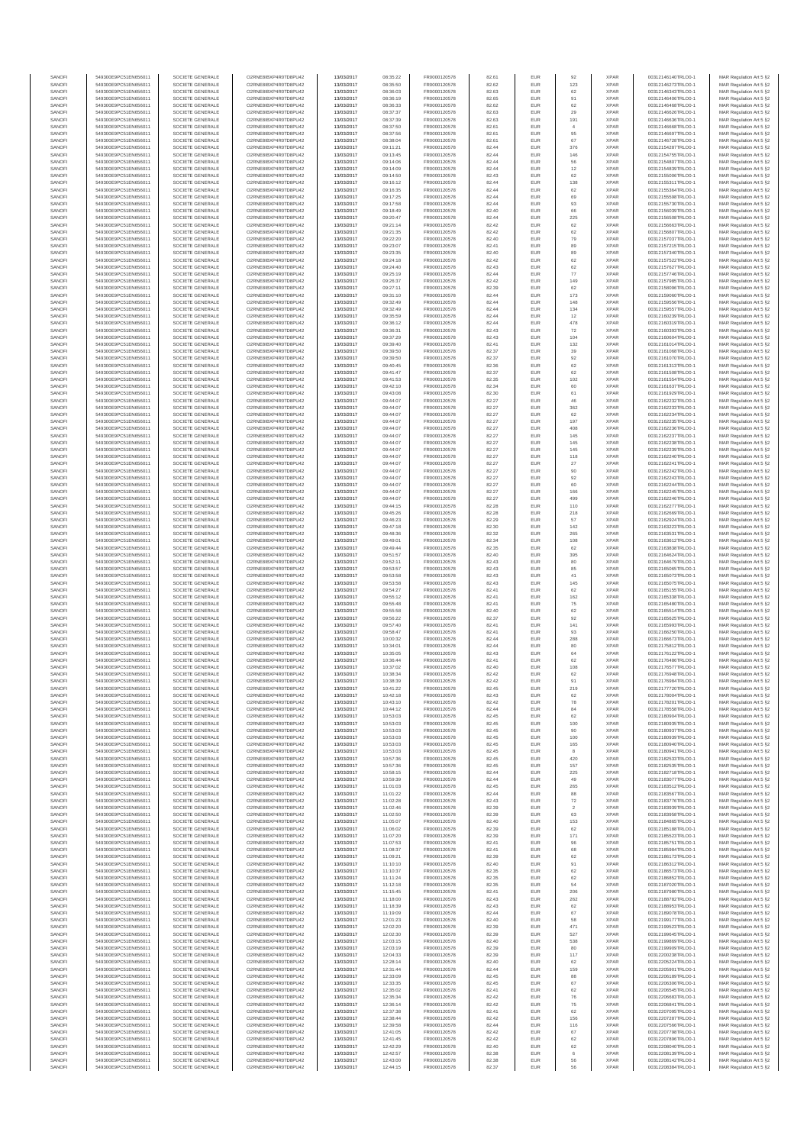| SANOF            | 549300E9PC51EN656011                         | SOCIETE GENERALE                     | O2RNE8IBXP4R0TD8PU42                          | 13/03/2017               | 08:35:22             | FR0000120578                 | 82.61          | EUR               | 92                            | <b>XPAF</b>                | 00312146140TRLO0-1                       | MAR Regulation Art 5 §2                             |
|------------------|----------------------------------------------|--------------------------------------|-----------------------------------------------|--------------------------|----------------------|------------------------------|----------------|-------------------|-------------------------------|----------------------------|------------------------------------------|-----------------------------------------------------|
| SANOFI           | 549300E9PC51EN656011                         | SOCIETE GENERALE                     | O2RNE8IBXP4R0TD8PU42                          | 13/03/2017               | 08:35:50             | FR0000120578                 | 82.62          | EUR               | 123                           | <b>XPAR</b>                | 00312146273TRLO0-1                       | MAR Regulation Art 5 §2                             |
| SANOFI<br>SANOFI | 549300E9PC51EN656011<br>549300E9PC51EN656011 | SOCIETE GENERALE<br>SOCIETE GENERALE | O2RNE8IBXP4R0TD8PU42<br>O2RNE8IBXP4R0TD8PU42  | 13/03/2017<br>13/03/2017 | 08:36:03<br>08:36:19 | FR0000120578<br>FR0000120578 | 82.63<br>82.65 | EUR<br>EUR        | 62<br>91                      | <b>XPAR</b><br><b>XPAR</b> | 00312146343TRLO0-1<br>00312146406TRLO0-1 | MAR Regulation Art 5 §2<br>MAR Regulation Art 5 §2  |
| SANOFI           | 549300E9PC51EN656011                         | SOCIETE GENERALE                     | O2RNE8IBXP4R0TD8PU42                          | 13/03/2017               | 08:36:33             | FR0000120578                 | 82.62          | EUR               | 62                            | <b>XPAR</b>                | 00312146468TRLO0-1                       | MAR Regulation Art 5 §2                             |
| SANOFI           | 549300E9PC51EN656011                         | SOCIETE GENERALE                     | O2RNE8IBXP4R0TD8PU42                          | 13/03/2017               | 08:37:37             | FR0000120578                 | 82.63          | EUR               | 29                            | <b>XPAF</b>                | 00312146626TRLO0-1                       | MAR Regulation Art 5 §2                             |
| SANOFI           | 549300E9PC51EN656011                         | SOCIETE GENERALE                     | O2RNE8IBXP4R0TD8PLI42                         | 13/03/2017               | 08:37:39             | FR0000120578                 | 82.63          | EUR               | 191                           | <b>XPAR</b>                | 00312146636TRLO0-1                       | MAR Regulation Art 5 §2                             |
| SANOFI<br>SANOFI | 549300E9PC51EN656011<br>549300E9PC51EN656011 | SOCIETE GENERALE<br>SOCIETE GENERALE | O2RNE8IBXP4R0TD8PU42<br>O2RNE8IBXP4R0TD8PU42  | 13/03/2017<br>13/03/2017 | 08:37:50<br>08:37:56 | FR0000120578<br>FR0000120578 | 82.61<br>82.61 | EUR<br>EUR        | $\overline{4}$<br>95          | <b>XPAR</b><br><b>XPAR</b> | 00312146668TRLO0-1<br>00312146697TRLO0-1 | MAR Regulation Art 5 §2<br>MAR Regulation Art 5 §2  |
| SANOFI           | 549300E9PC51EN656011                         | SOCIETE GENERALE                     | O2RNE8IBXP4R0TD8PU42                          | 13/03/2017               | 08:38:04             | FR0000120578                 | 82.61          | EUR               | 67                            | <b>XPAR</b>                | 00312146728TRLO0-1                       | MAR Regulation Art 5 §2                             |
| SANOFI           | 549300E9PC51EN656011                         | SOCIETE GENERALE                     | O2RNE8IBXP4R0TD8PU42                          | 13/03/2017               | 09:11:21             | FR0000120578                 | 82.44          | EUR               | 376                           | <b>XPAR</b>                | 00312154287TRLO0-1                       | MAR Regulation Art 5 §2                             |
| SANOFI<br>SANOFI | 549300E9PC51EN656011<br>549300E9PC51EN656011 | SOCIETE GENERALE<br>SOCIETE GENERALE | O2RNE8IBXP4R0TD8PU42<br>O2RNE8IBXP4R0TD8PU42  | 13/03/2017<br>13/03/2017 | 09:13:45<br>09:14:06 | FR0000120578<br>FR0000120578 | 82.44<br>82.44 | EUR<br>EUR        | 146<br>56                     | <b>XPAR</b><br><b>XPAR</b> | 00312154755TRLO0-1<br>00312154807TRLO0-1 | MAR Regulation Art 5 §2<br>MAR Regulation Art 5 §2  |
| SANOFI           | 549300E9PC51EN656011                         | SOCIETE GENERALE                     | O2RNE8IBXP4R0TD8PU42                          | 13/03/2017               | 09:14:09             | FR0000120578                 | 82.44          | EUR               | 12                            | <b>XPAR</b>                | 00312154839TRLO0-1                       | MAR Regulation Art 5 §2                             |
| SANOFI           | 549300E9PC51EN656011                         | SOCIETE GENERALE                     | O2RNE8IBXP4R0TD8PU42                          | 13/03/2017               | 09:14:50             | FR0000120578                 | 82.43          | EUR               | 62                            | <b>XPAR</b>                | 00312155006TRLO0-1                       | MAR Regulation Art 5 §2                             |
| SANOFI           | 549300E9PC51EN656011                         | SOCIETE GENERALE                     | O2RNE8IBXP4R0TD8PU42                          | 13/03/2017               | 09:16:12             | FR0000120578                 | 82.44          | EUR               | 138                           | <b>XPAR</b>                | 00312155311TRLO0-1                       | MAR Regulation Art 5 §2                             |
| SANOFI<br>SANOFI | 549300E9PC51EN656011<br>549300E9PC51EN656011 | SOCIETE GENERALE<br>SOCIETE GENERALE | O2RNE8IBXP4R0TD8PU42<br>O2RNE8IBXP4R0TD8PU42  | 13/03/2017<br>13/03/2017 | 09:16:35<br>09:17:25 | FR0000120578<br>FR0000120578 | 82.44<br>82.44 | EUR<br>EUR        | 62<br>69                      | <b>XPAR</b><br><b>XPAR</b> | 00312155364TRLO0-1<br>00312155598TRLO0-1 | MAR Regulation Art 5 §2<br>MAR Regulation Art 5 §2  |
| SANOFI           | 549300E9PC51EN656011                         | SOCIETE GENERALE                     | O2RNE8IBXP4R0TD8PU42                          | 13/03/2017               | 09:17:58             | FR0000120578                 | 82.44          | EUR               | 93                            | <b>XPAR</b>                | 00312155730TRLO0-1                       | MAR Regulation Art 5 §2                             |
| SANOFI           | 549300E9PC51EN656011                         | SOCIETE GENERALE                     | O2RNE8IBXP4R0TD8PU42                          | 13/03/2017               | 09:18:49             | FR0000120578                 | 82.40          | EUR               | 66                            | <b>XPAR</b>                | 00312156039TRLO0-1                       | MAR Regulation Art 5 §2                             |
| SANOFI           | 549300E9PC51EN656011                         | SOCIETE GENERALE                     | O2RNE8IBXP4R0TD8PU42                          | 13/03/2017               | 09:20:47             | FR0000120578                 | 82.44          | EUR               | 225                           | <b>XPAR</b>                | 00312156508TRLO0-1                       | MAR Regulation Art 5 §2                             |
| SANOFI<br>SANOFI | 549300E9PC51EN656011<br>549300E9PC51EN656011 | SOCIETE GENERALE<br>SOCIETE GENERALE | O2RNE8IBXP4R0TD8PU42<br>O2RNE8IBXP4R0TD8PU42  | 13/03/2017<br>13/03/2017 | 09:21:14<br>09:21:35 | FR0000120578<br>FR0000120578 | 82.42<br>82.42 | EUR<br>EUR        | 62<br>62                      | <b>XPAR</b><br><b>XPAR</b> | 00312156663TRLO0-1<br>00312156807TRLO0-1 | MAR Regulation Art 5 §2<br>MAR Regulation Art 5 §2  |
| SANOFI           | 549300E9PC51EN656011                         | SOCIETE GENERALE                     | O2RNE8IBXP4R0TD8PU42                          | 13/03/2017               | 09:22:20             | FR0000120578                 | 82.40          | EUR               | 79                            | <b>XPAR</b>                | 00312157037TRLO0-1                       | MAR Regulation Art 5 §2                             |
| SANOFI           | 549300E9PC51EN656011                         | SOCIETE GENERALE                     | O2RNE8IBXP4R0TD8PU42                          | 13/03/2017               | 09:23:07             | FR0000120578                 | 82.41          | EUR               | 89                            | <b>XPAR</b>                | 00312157215TRLO0-1                       | MAR Regulation Art 5 §2                             |
| SANOFI           | 549300E9PC51EN656011                         | SOCIETE GENERALE                     | O2RNE8IBXP4R0TD8PU42                          | 13/03/2017               | 09:23:35             | FR0000120578                 | 82.40          | EUR               | 89                            | <b>XPAF</b>                | 00312157340TRLO0-1                       | MAR Regulation Art 5 §2                             |
| SANOFI<br>SANOFI | 549300E9PC51EN656011<br>549300E9PC51EN656011 | SOCIETE GENERALE<br>SOCIETE GENERALE | O2RNE8IBXP4R0TD8PU42<br>O2RNE8IBXP4R0TD8PU42  | 13/03/2017<br>13/03/2017 | 09:24:18<br>09:24:40 | FR0000120578<br>FR0000120578 | 82.42<br>82.43 | EUR<br>EUR        | 62<br>62                      | <b>XPAR</b><br><b>XPAR</b> | 00312157522TRLO0-1<br>00312157627TRLO0-1 | MAR Regulation Art 5 \$2<br>MAR Regulation Art 5 §2 |
| SANOFI           | 549300E9PC51EN656011                         | SOCIETE GENERALE                     | O2RNE8IBXP4R0TD8PU42                          | 13/03/2017               | 09:25:19             | FR0000120578                 | 82.44          | EUR               | $77\,$                        | <b>XPAR</b>                | 00312157746TRLO0-1                       | MAR Regulation Art 5 §2                             |
| SANOFI           | 549300E9PC51EN656011                         | SOCIETE GENERALE                     | O2RNE8IBXP4R0TD8PU42                          | 13/03/2017               | 09:26:37             | FR0000120578                 | 82.42          | EUR               | 149                           | <b>XPAR</b>                | 00312157985TRLO0-1                       | MAR Regulation Art 5 §2                             |
| SANOFI           | 549300E9PC51EN656011                         | SOCIETE GENERALE                     | O2RNE8IBXP4R0TD8PU42                          | 13/03/2017               | 09:27:11             | FR0000120578                 | 82.39          | EUR               | 62                            | <b>XPAR</b>                | 00312158096TRLO0-1                       | MAR Regulation Art 5 §2                             |
| SANOFI<br>SANOFI | 549300E9PC51EN656011<br>549300E9PC51EN656011 | SOCIETE GENERALE<br>SOCIETE GENERALE | O2RNE8IBXP4R0TD8PU42<br>O2RNE8IBXP4R0TD8PU42  | 13/03/2017<br>13/03/2017 | 09:31:10<br>09:32:49 | FR0000120578<br>FR0000120578 | 82.44<br>82.44 | EUR<br>EUR        | 173<br>148                    | <b>XPAR</b><br><b>XPAR</b> | 00312159060TRLO0-1<br>00312159556TRLO0-1 | MAR Regulation Art 5 §2<br>MAR Regulation Art 5 §2  |
| SANOFI           | 549300E9PC51EN656011                         | SOCIETE GENERALE                     | O2RNE8IBXP4R0TD8PU42                          | 13/03/2017               | 09:32:49             | FR0000120578                 | 82.44          | EUR               | 134                           | <b>XPAR</b>                | 00312159557TRLO0-1                       | MAR Regulation Art 5 §2                             |
| SANOFI           | 549300E9PC51EN656011                         | SOCIETE GENERALE                     | O2RNE8IBXP4R0TD8PU42                          | 13/03/2017               | 09:35:59             | FR0000120578                 | 82.44          | EUR               | 12                            | <b>XPAF</b>                | 00312160239TRLO0-1                       | MAR Regulation Art 5 §2                             |
| SANOFI<br>SANOFI | 549300E9PC51EN656011<br>549300E9PC51EN656011 | SOCIETE GENERALE<br>SOCIETE GENERALE | O2RNE8IBXP4R0TD8PU42<br>O2RNE8IBXP4R0TD8PU42  | 13/03/2017<br>13/03/2017 | 09:36:12<br>09:36:31 | FR0000120578<br>FR0000120578 | 82.44<br>82.43 | EUR<br>EUR        | 478<br>72                     | <b>XPAR</b><br><b>XPAR</b> | 00312160319TRLO0-1<br>00312160393TRLO0-1 | MAR Regulation Art 5 §2                             |
| SANOFI           | 549300E9PC51EN656011                         | SOCIETE GENERALE                     | O2RNE8IBXP4R0TD8PU42                          | 13/03/2017               | 09:37:29             | FR0000120578                 | 82.43          | EUR               | 104                           | <b>XPAR</b>                | 00312160604TRLO0-1                       | MAR Regulation Art 5 §2<br>MAR Regulation Art 5 §2  |
| SANOFI           | 549300E9PC51EN656011                         | SOCIETE GENERALE                     | O2RNE8IBXP4R0TD8PU42                          | 13/03/2017               | 09:39:40             | FR0000120578                 | 82.41          | EUR               | 132                           | <b>XPAR</b>                | 00312161014TRLO0-1                       | MAR Regulation Art 5 §2                             |
| SANOFI           | 549300E9PC51EN656011                         | SOCIETE GENERALE                     | O2RNE8IBXP4R0TD8PU42                          | 13/03/2017               | 09:39:50             | FR0000120578                 | 82.37          | EUR               | 39                            | <b>XPAF</b>                | 00312161068TRLO0-1                       | MAR Regulation Art 5 §2                             |
| SANOFI<br>SANOFI | 549300E9PC51EN656011<br>549300E9PC51EN656011 | SOCIETE GENERALE<br>SOCIETE GENERALE | O2RNE8IBXP4R0TD8PLI42<br>O2RNE8IBXP4R0TD8PU42 | 13/03/2017<br>13/03/2017 | 09:39:50<br>09:40:45 | FR0000120578<br>FR0000120578 | 82.37<br>82.36 | EUR<br>EUR        | 92<br>62                      | <b>XPAR</b><br><b>XPAF</b> | 00312161070TRLO0-1<br>00312161313TRLO0-1 | MAR Regulation Art 5 \$2<br>MAR Regulation Art 5 §2 |
| SANOFI           | 549300E9PC51EN656011                         | SOCIETE GENERALE                     | O2RNE8IBXP4R0TD8PU42                          | 13/03/2017               | 09:41:47             | FR0000120578                 | 82.37          | EUR               | 62                            | <b>XPAR</b>                | 00312161508TRLO0-1                       | MAR Regulation Art 5 §2                             |
| SANOFI           | 549300E9PC51EN656011                         | SOCIETE GENERALE                     | O2RNE8IBXP4R0TD8PU42                          | 13/03/2017               | 09:41:53             | FR0000120578                 | 82.35          | EUR               | 102                           | <b>XPAR</b>                | 00312161554TRLO0-1                       | MAR Regulation Art 5 §2                             |
| SANOFI           | 549300E9PC51EN656011                         | SOCIETE GENERALE                     | O2RNE8IBXP4R0TD8PU42                          | 13/03/2017               | 09:42:10             | FR0000120578                 | 82.34          | EUR               | 60                            | <b>XPAR</b>                | 00312161637TRLO0-1                       | MAR Regulation Art 5 §2                             |
| SANOFI<br>SANOFI | 549300E9PC51EN656011<br>549300E9PC51EN656011 | SOCIETE GENERALE<br>SOCIETE GENERALE | O2RNE8IBXP4R0TD8PU42<br>O2RNE8IBXP4R0TD8PU42  | 13/03/2017<br>13/03/2017 | 09:43:08<br>09:44:07 | FR0000120578<br>FR0000120578 | 82.30<br>82.27 | EUR<br>EUR        | 61<br>46                      | <b>XPAR</b><br><b>XPAR</b> | 00312161929TRLO0-1<br>00312162232TRLO0-1 | MAR Regulation Art 5 §2<br>MAR Regulation Art 5 §2  |
| SANOFI           | 549300E9PC51EN656011                         | SOCIETE GENERALE                     | O2RNE8IBXP4R0TD8PU42                          | 13/03/2017               | 09:44:07             | FR0000120578                 | 82.27          | EUR               | 362                           | <b>XPAR</b>                | 00312162233TRLO0-1                       | MAR Regulation Art 5 §2                             |
| SANOFI           | 549300E9PC51EN656011                         | SOCIETE GENERALE                     | O2RNE8IBXP4R0TD8PU42                          | 13/03/2017               | 09:44:07             | FR0000120578                 | 82.27          | EUR               | 62                            | <b>XPAF</b>                | 00312162234TRLO0-1                       | MAR Regulation Art 5 §2                             |
| SANOFI           | 549300E9PC51EN656011                         | SOCIETE GENERALE                     | O2RNE8IBXP4R0TD8PU42                          | 13/03/2017               | 09:44:07             | FR0000120578                 | 82.27          | EUR               | 197                           | <b>XPAR</b>                | 00312162235TRLO0-1                       | MAR Regulation Art 5 §2                             |
| SANOFI<br>SANOFI | 549300E9PC51EN656011<br>549300E9PC51EN656011 | SOCIETE GENERALE<br>SOCIETE GENERALE | O2RNE8IBXP4R0TD8PU42<br>O2RNE8IBXP4R0TD8PU42  | 13/03/2017<br>13/03/2017 | 09:44:07<br>09:44:07 | FR0000120578<br>FR0000120578 | 82.27<br>82.27 | EUR<br>EUR        | 408<br>145                    | <b>XPAR</b><br><b>XPAR</b> | 00312162236TRLO0-1<br>00312162237TRLO0-1 | MAR Regulation Art 5 §2<br>MAR Regulation Art 5 §2  |
| SANOFI           | 549300E9PC51EN656011                         | SOCIETE GENERALE                     | O2RNE8IBXP4R0TD8PU42                          | 13/03/2017               | 09:44:07             | FR0000120578                 | 82.27          | EUR               | 145                           | <b>XPAR</b>                | 00312162238TRLO0-1                       | MAR Regulation Art 5 §2                             |
| SANOFI           | 549300E9PC51EN656011                         | SOCIETE GENERALE                     | O2RNE8IBXP4R0TD8PU42                          | 13/03/2017               | 09:44:07             | FR0000120578                 | 82.27          | EUR               | 145                           | <b>XPAR</b>                | 00312162239TRLO0-1                       | MAR Regulation Art 5 §2                             |
| SANOFI           | 549300E9PC51EN656011                         | SOCIETE GENERALE                     | O2RNE8IBXP4R0TD8PLI42                         | 13/03/2017               | 09:44:07             | FR0000120578                 | 82.27          | EUR               | 118                           | <b>XPAR</b>                | 00312162240TRLO0-1                       | MAR Regulation Art 5 §2                             |
| SANOFI<br>SANOFI | 549300E9PC51EN656011<br>549300E9PC51EN656011 | SOCIETE GENERALE<br>SOCIETE GENERALE | O2RNE8IBXP4R0TD8PU42<br>O2RNE8IBXP4R0TD8PU42  | 13/03/2017<br>13/03/2017 | 09:44:07<br>09:44:07 | FR0000120578<br>FR0000120578 | 82.27<br>82.27 | EUR<br>EUR        | 27<br>90                      | <b>XPAR</b><br><b>XPAR</b> | 00312162241TRLO0-1<br>00312162242TRLO0-1 | MAR Regulation Art 5 §2<br>MAR Regulation Art 5 §2  |
| SANOFI           | 549300E9PC51EN656011                         | SOCIETE GENERALE                     | O2RNE8IBXP4R0TD8PU42                          | 13/03/2017               | 09:44:07             | FR0000120578                 | 82.27          | EUR               | 92                            | <b>XPAR</b>                | 00312162243TRLO0-1                       | MAR Regulation Art 5 §2                             |
| SANOFI           | 549300E9PC51EN656011                         | SOCIETE GENERALE                     | O2RNE8IBXP4R0TD8PU42                          | 13/03/2017               | 09:44:07             | FR0000120578                 | 82.27          | EUR               | 60                            | <b>XPAR</b>                | 00312162244TRLO0-1                       | MAR Regulation Art 5 §2                             |
| SANOFI           | 549300E9PC51EN656011                         | SOCIETE GENERALE                     | O2RNE8IBXP4R0TD8PU42                          | 13/03/2017               | 09:44:07             | FR0000120578                 | 82.27          | EUR               | 166                           | <b>XPAR</b>                | 00312162245TRLO0-1                       | MAR Regulation Art 5 §2                             |
| SANOFI<br>SANOFI | 549300E9PC51EN656011<br>549300E9PC51EN656011 | SOCIETE GENERALE<br>SOCIETE GENERALE | O2RNE8IBXP4R0TD8PU42<br>O2RNE8IBXP4R0TD8PU42  | 13/03/2017<br>13/03/2017 | 09:44:07<br>09:44:15 | FR0000120578<br>FR0000120578 | 82.27<br>82.28 | EUR<br>EUR        | 499<br>110                    | <b>XPAR</b><br><b>XPAR</b> | 00312162246TRLO0-1<br>00312162277TRLO0-1 | MAR Regulation Art 5 §2<br>MAR Regulation Art 5 §2  |
| SANOFI           | 549300E9PC51EN656011                         | SOCIETE GENERALE                     | O2RNE8IBXP4R0TD8PU42                          | 13/03/2017               | 09:45:26             | FR0000120578                 | 82.28          | EUR               | 218                           | <b>XPAR</b>                | 00312162669TRLO0-1                       | MAR Regulation Art 5 §2                             |
| SANOFI           | 549300E9PC51EN656011                         | SOCIETE GENERALE                     | O2RNE8IBXP4R0TD8PU42                          | 13/03/2017               | 09:46:23             | FR0000120578                 | 82.29          | EUR               | 57                            | <b>XPAR</b>                | 00312162924TRLO0-1                       | MAR Regulation Art 5 §2                             |
| SANOFI           | 549300E9PC51EN656011                         | SOCIETE GENERALE                     | O2RNE8IBXP4R0TD8PU42                          | 13/03/2017               | 09:47:18             | FR0000120578                 | 82.30          | EUR               | 142                           | <b>XPAR</b>                | 00312163223TRLO0-1                       | MAR Regulation Art 5 §2                             |
| SANOFI<br>SANOFI | 549300E9PC51EN656011<br>549300E9PC51EN656011 | SOCIETE GENERALE<br>SOCIETE GENERALE | O2RNE8IBXP4R0TD8PU42<br>O2RNE8IBXP4R0TD8PU42  | 13/03/2017<br>13/03/2017 | 09:48:36<br>09:49:01 | FR0000120578<br>FR0000120578 | 82.32<br>82.34 | EUR<br>EUR        | 265<br>108                    | <b>XPAR</b><br><b>XPAR</b> | 00312163531TRLO0-1<br>00312163612TRLO0-1 | MAR Regulation Art 5 §2<br>MAR Regulation Art 5 §2  |
| SANOFI           | 549300E9PC51EN656011                         | SOCIETE GENERALE                     | O2RNE8IBXP4R0TD8PU42                          | 13/03/2017               | 09:49:44             | FR0000120578                 | 82.35          | EUR               | 62                            | <b>XPAR</b>                | 00312163838TRLO0-1                       | MAR Regulation Art 5 §2                             |
| SANOFI           | 549300E9PC51EN656011                         | SOCIETE GENERALE                     | O2RNE8IBXP4R0TD8PU42                          | 13/03/2017               | 09:51:57             | FR0000120578                 | 82.40          | EUR               | 395                           | <b>XPAF</b>                | 00312164624TRLO0-1                       | MAR Regulation Art 5 §2                             |
| SANOFI<br>SANOFI | 549300E9PC51EN656011                         | SOCIETE GENERALE                     | O2RNE8IBXP4R0TD8PU42                          | 13/03/2017               | 09:52:11             | FR0000120578                 | 82.43<br>82.43 | EUR<br>EUR        | 80                            | <b>XPAR</b><br><b>XPAR</b> | 00312164679TRLO0-1                       | MAR Regulation Art 5 §2                             |
| SANOFI           | 549300E9PC51EN656011<br>549300E9PC51EN656011 | SOCIETE GENERALE<br>SOCIETE GENERALE | O2RNE8IBXP4R0TD8PU42<br>O2RNE8IBXP4R0TD8PU42  | 13/03/2017<br>13/03/2017 | 09:53:57<br>09:53:58 | FR0000120578<br>FR0000120578 | 82.43          | EUR               | 85<br>$41\,$                  | <b>XPAR</b>                | 00312165065TRLO0-1<br>00312165073TRLO0-1 | MAR Regulation Art 5 §2<br>MAR Regulation Art 5 §2  |
| SANOFI           | 549300E9PC51EN656011                         | SOCIETE GENERALE                     | O2RNE8IBXP4R0TD8PU42                          | 13/03/2017               | 09:53:58             | FR0000120578                 | 82.43          | EUR               | 145                           | <b>XPAR</b>                | 00312165075TRLO0-1                       | MAR Regulation Art 5 §2                             |
| SANOFI           | 549300E9PC51EN656011                         | SOCIETE GENERALE                     | O2RNE8IBXP4R0TD8PU42                          | 13/03/2017               | 09:54:27             | FR0000120578                 | 82.41          | EUR               | 62                            | <b>XPAR</b>                | 00312165155TRLO0-1                       | MAR Regulation Art 5 §2                             |
| SANOFI           | 549300E9PC51EN656011                         | SOCIETE GENERALE                     | O2RNE8IBXP4R0TD8PU42                          | 13/03/2017               | 09:55:12             | FR0000120578                 | 82.41          | EUR               | 162                           | <b>XPAR</b>                | 00312165338TRLO0-1                       | MAR Regulation Art 5 §2                             |
| SANOFI<br>SANOFI | 549300E9PC51EN656011<br>549300E9PC51EN656011 | SOCIETE GENERALE<br>SOCIETE GENERALE | O2RNE8IBXP4R0TD8PU42<br>O2RNE8IBXP4R0TD8PLI42 | 13/03/2017<br>13/03/2017 | 09:55:48<br>09:55:58 | FR0000120578<br>FR0000120578 | 82.41<br>82.40 | EUR<br>EUR        | 75<br>62                      | <b>XPAR</b><br><b>XPAR</b> | 00312165480TRLO0-1<br>00312165514TRLO0-1 | MAR Regulation Art 5 §2<br>MAR Regulation Art 5 §2  |
| SANOFI           | 549300E9PC51EN656011                         | SOCIETE GENERALE                     | O2RNE8IBXP4R0TD8PU42                          | 13/03/2017               | 09:56:22             | FR0000120578                 | 82.37          | EUR               | 92                            | <b>XPAF</b>                | 00312165625TRLO0-1                       | MAR Regulation Art 5 §2                             |
| SANOFI           | 549300E9PC51EN656011                         | SOCIETE GENERALE                     | O2RNE8IBXP4R0TD8PU42                          | 13/03/2017               | 09:57:40             | FR0000120578                 | 82.41          | EUR               | 141                           | <b>XPAR</b>                | 00312165993TRLO0-1                       | MAR Regulation Art 5 §2                             |
| SANOFI           | 549300E9PC51EN656011                         | SOCIETE GENERALE                     | O2RNE8IBXP4R0TD8PU42                          | 13/03/2017               | 09:58:47             | FR0000120578                 | 82.41          | EUR               | 93                            | <b>XPAR</b>                | 00312166250TRLO0-1                       | MAR Regulation Art 5 §2                             |
| SANOFI<br>SANOFI | 549300E9PC51EN656011<br>549300E9PC51EN656011 | SOCIETE GENERALE<br>SOCIETE GENERALE | O2RNE8IBXP4R0TD8PU42<br>O2RNE8IBXP4R0TD8PU42  | 13/03/2017<br>13/03/2017 | 10:00:32<br>10:34:01 | FR0000120578<br>FR0000120578 | 82.44<br>82.44 | EUR<br>EUR        | 288<br>80                     | <b>XPAR</b><br><b>XPAR</b> | 00312166673TRLO0-1<br>00312175812TRLO0-1 | MAR Regulation Art 5 §2<br>MAR Regulation Art 5 §2  |
| SANOFI           | 549300E9PC51EN656011                         | SOCIETE GENERALE                     | O2RNE8IBXP4R0TD8PU42                          | 13/03/2017               | 10:35:05             | FR0000120578                 | 82.43          | EUR               | 64                            | <b>XPAF</b>                | 00312176122TRLO0-1                       | MAR Regulation Art 5 §2                             |
| SANOFI           | 549300E9PC51EN656011                         | SOCIETE GENERALE                     | O2RNE8IBXP4R0TD8PU42                          | 13/03/2017               | 10:36:44             | FR0000120578                 | 82.41          | EUR               | 62                            | <b>XPAR</b>                | 00312176486TRLO0-1                       | MAR Regulation Art 5 §2                             |
| SANOFI           | 549300E9PC51EN656011<br>549300E9PC51EN656011 | SOCIETE GENERALE                     | O2RNE8IBXP4R0TD8PU42<br>O2RNE8IBXP4R0TD8PU42  | 13/03/2017               | 10:37:02             | FR0000120578                 | 82.40          | EUR<br>EUR        | 108<br>62                     | <b>XPAF</b><br><b>XPAR</b> | 00312176577TRLO0-1                       | MAR Regulation Art 5 §2                             |
| SANOFI<br>SANOFI | 549300E9PC51EN656011                         | SOCIETE GENERALE<br>SOCIETE GENERALE | O2RNE8IBXP4R0TD8PU42                          | 13/03/2017<br>13/03/2017 | 10:38:34<br>10:38:39 | FR0000120578<br>FR0000120578 | 82.42<br>82.42 | EUR               | 91                            | <b>XPAR</b>                | 00312176948TRLO0-1<br>00312176984TRLO0-1 | MAR Regulation Art 5 §2<br>MAR Regulation Art 5 §2  |
| SANOFI           | 549300E9PC51EN656011                         | SOCIETE GENERALE                     | O2RNE8IBXP4R0TD8PLI42                         | 13/03/2017               | 10:41:22             | FR0000120578                 | 82.45          | EUR               | 219                           | <b>XPAR</b>                | 00312177720TRLO0-1                       | MAR Regulation Art 5 §2                             |
| SANOFI           | 549300E9PC51EN656011                         | SOCIETE GENERALE                     | O2RNE8IBXP4R0TD8PU42                          | 13/03/2017               | 10:42:18             | FR0000120578                 | 82.43          | EUR               | 62                            | <b>XPAR</b>                | 00312178004TRLO0-1                       | MAR Regulation Art 5 §2                             |
| SANOFI<br>SANOFI | 549300E9PC51EN656011<br>549300E9PC51EN656011 | SOCIETE GENERALE<br>SOCIETE GENERALE | O2RNE8IBXP4R0TD8PLI42<br>O2RNE8IBXP4R0TD8PU42 | 13/03/2017<br>13/03/2017 | 10:43:10<br>10:44:12 | FR0000120578<br>FR0000120578 | 82.42<br>82.44 | EUR<br>EUR        | 78<br>84                      | <b>XPAR</b><br><b>XPAR</b> | 00312178201TRLO0-1<br>00312178558TRLO0-1 | MAR Regulation Art 5 §2                             |
| SANOFI           | 549300E9PC51EN656011                         | SOCIETE GENERALE                     | O2RNE8IBXP4R0TD8PU42                          | 13/03/2017               | 10:53:03             | FR0000120578                 | 82.45          | EUR               | 62                            | <b>XPAR</b>                | 00312180904TRLO0-1                       | MAR Regulation Art 5 §2<br>MAR Regulation Art 5 §2  |
| SANOFI           | 549300E9PC51EN656011                         | SOCIETE GENERALE                     | O2RNE8IBXP4R0TD8PU42                          | 13/03/2017               | 10:53:03             | FR0000120578                 | 82.45          | EUR               | 100                           | <b>XPAR</b>                | 00312180935TRLO0-1                       | MAR Regulation Art 5 §2                             |
| SANOFI           | 549300E9PC51EN656011                         | SOCIETE GENERALE                     | O2RNE8IBXP4R0TD8PU42                          | 13/03/2017               | 10:53:03             | FR0000120578                 | 82.45          | EUR               | 90                            | <b>XPAR</b>                | 00312180937TRLO0-1                       | MAR Regulation Art 5 §2                             |
| SANOFI<br>SANOFI | 549300E9PC51EN656011<br>549300E9PC51EN656011 | SOCIETE GENERALE<br>SOCIETE GENERALE | O2RNE8IBXP4R0TD8PU42<br>O2RNE8IBXP4R0TD8PU42  | 13/03/2017<br>13/03/2017 | 10:53:03<br>10:53:03 | FR0000120578<br>FR0000120578 | 82.45<br>82.45 | <b>EUR</b><br>EUR | 100<br>165                    | <b>XPAR</b><br><b>XPAR</b> | 00312180939TRLO0-1<br>00312180940TRLO0-1 | MAR Regulation Art 5 §2<br>MAR Regulation Art 5 §2  |
| SANOFI           | 549300E9PC51EN656011                         | SOCIETE GENERALE                     | O2RNE8IBXP4R0TD8PU42                          | 13/03/2017               | 10:53:03             | FR0000120578                 | 82.45          | EUR               | 8                             | <b>XPAR</b>                | 00312180941TRLO0-1                       | MAR Regulation Art 5 §2                             |
| SANOFI           | 549300E9PC51EN656011                         | SOCIETE GENERALE                     | O2RNE8IBXP4R0TD8PU42                          | 13/03/2017               | 10:57:36             | FR0000120578                 | 82.45          | EUR               | 420                           | <b>XPAR</b>                | 00312182533TRLO0-1                       | MAR Regulation Art 5 §2                             |
| SANOFI<br>SANOFI | 549300E9PC51EN656011<br>549300E9PC51EN656011 | SOCIETE GENERALE<br>SOCIETE GENERALE | O2RNE8IBXP4R0TD8PU42<br>O2RNE8IBXP4R0TD8PU42  | 13/03/2017<br>13/03/2017 | 10:57:36<br>10:58:15 | FR0000120578<br>FR0000120578 | 82.45<br>82.44 | EUR<br><b>EUR</b> | 157<br>225                    | <b>XPAR</b><br><b>XPAR</b> | 00312182535TRLO0-1<br>00312182718TRLO0-1 | MAR Regulation Art 5 §2                             |
| SANOFI           | 549300E9PC51EN656011                         | SOCIETE GENERALE                     | O2RNE8IBXP4R0TD8PU42                          | 13/03/2017               | 10:59:39             | FR0000120578                 | 82.44          | EUR               | 49                            | <b>XPAR</b>                | 00312183077TRLO0-1                       | MAR Regulation Art 5 §2<br>MAR Regulation Art 5 §2  |
| SANOFI           | 549300E9PC51EN656011                         | SOCIETE GENERALE                     | O2RNE8IBXP4R0TD8PU42                          | 13/03/2017               | 11:01:03             | FR0000120578                 | 82.45          | <b>EUR</b>        | 265                           | <b>XPAR</b>                | 00312183512TRLO0-1                       | MAR Regulation Art 5 §2                             |
| SANOFI           | 549300E9PC51EN656011                         | SOCIETE GENERALE                     | O2RNE8IBXP4R0TD8PU42                          | 13/03/2017               | 11:01:22             | FR0000120578                 | 82.44          | EUR               | 88                            | <b>XPAR</b>                | 00312183567TRLO0-1                       | MAR Regulation Art 5 §2                             |
| SANOFI<br>SANOFI | 549300E9PC51EN656011<br>549300E9PC51EN656011 | SOCIETE GENERALE<br>SOCIETE GENERALE | O2RNE8IBXP4R0TD8PU42<br>O2RNE8IBXP4R0TD8PU42  | 13/03/2017<br>13/03/2017 | 11:02:28<br>11:02:46 | FR0000120578<br>FR0000120578 | 82.43<br>82.39 | EUR<br>EUR        | 72<br>$\overline{\mathbf{2}}$ | <b>XPAR</b><br><b>XPAR</b> | 00312183776TRLO0-1<br>00312183939TRLO0-1 | MAR Regulation Art 5 §2<br>MAR Regulation Art 5 §2  |
| SANOFI           | 549300E9PC51EN656011                         | SOCIETE GENERALE                     | O2RNESIBXP4R0TD8PLI42                         | 13/03/2017               | 11:02:50             | FR0000120578                 | 82.39          | EUR               | 63                            | <b>XPAR</b>                | 00312183958TRLO0-1                       | MAR Regulation Art 5 §2                             |
| SANOFI           | 549300E9PC51EN656011                         | SOCIETE GENERALE                     | O2RNESIBXP4R0TD8PLI42                         | 13/03/2017               | 11:05:07             | FR0000120578                 | 82.40          | EUR               | 153                           | <b>XPAR</b>                | 00312184865TRLO0-1                       | MAR Regulation Art 5 §2                             |
| SANOFI           | 549300E9PC51EN656011                         | SOCIETE GENERALE                     | O2RNE8IBXP4R0TD8PU42                          | 13/03/2017               | 11:06:02             | FR0000120578<br>FR0000120578 | 82.39          | EUR               | 62                            | <b>XPAR</b>                | 00312185188TRLO0-1                       | MAR Regulation Art 5 §2                             |
| SANOFI<br>SANOFI | 549300E9PC51EN656011<br>549300E9PC51EN656011 | SOCIETE GENERALE<br>SOCIETE GENERALE | O2RNE8IBXP4R0TD8PU42<br>O2RNE8IBXP4R0TD8PU42  | 13/03/2017<br>13/03/2017 | 11:07:20<br>11:07:53 | FR0000120578                 | 82.39<br>82.41 | <b>EUR</b><br>EUR | 171<br>96                     | <b>XPAR</b><br><b>XPAR</b> | 00312185523TRLO0-1<br>00312185751TRLO0-1 | MAR Regulation Art 5 §2<br>MAR Regulation Art 5 §2  |
| SANOFI           | 549300E9PC51EN656011                         | SOCIETE GENERALE                     | O2RNE8IBXP4R0TD8PLI42                         | 13/03/2017               | 11:08:37             | FR0000120578                 | 82.41          | <b>EUR</b>        | 68                            | <b>XPAR</b>                | 00312185984TRLO0-1                       | MAR Regulation Art 5 §2                             |
| SANOFI           | 549300E9PC51EN656011                         | SOCIETE GENERALE                     | O2RNE8IBXP4R0TD8PU42                          | 13/03/2017               | 11:09:21             | FR0000120578                 | 82.39          | EUR               | 62                            | <b>XPAR</b>                | 00312186173TRLO0-1                       | MAR Regulation Art 5 §2                             |
| SANOFI           | 549300E9PC51EN656011                         | SOCIETE GENERALE                     | O2RNE8IBXP4R0TD8PU42                          | 13/03/2017               | 11:10:10             | FR0000120578                 | 82.40          | EUR               | 91                            | <b>XPAR</b>                | 00312186312TRLO0-1                       | MAR Regulation Art 5 §2                             |
| SANOFI<br>SANOFI | 549300E9PC51EN656011<br>549300E9PC51EN656011 | SOCIETE GENERALE<br>SOCIETE GENERALE | O2RNE8IBXP4R0TD8PU42<br>O2RNE8IBXP4R0TD8PU42  | 13/03/2017<br>13/03/2017 | 11:10:37<br>11:11:24 | FR0000120578<br>FR0000120578 | 82.35<br>82.35 | EUR<br>EUR        | 62<br>62                      | <b>XPAR</b><br><b>XPAR</b> | 00312186573TRLO0-1<br>00312186852TRLO0-1 | MAR Regulation Art 5 §2<br>MAR Regulation Art 5 §2  |
| SANOFI           | 549300E9PC51EN656011                         | SOCIETE GENERALE                     | O2RNE8IBXP4R0TD8PU42                          | 13/03/2017               | 11:12:18             | FR0000120578                 | 82.35          | EUR               | 54                            | <b>XPAR</b>                | 00312187020TRLO0-1                       | MAR Regulation Art 5 §2                             |
| SANOFI           | 549300E9PC51EN656011                         | SOCIETE GENERALE                     | O2RNE8IBXP4R0TD8PU42                          | 13/03/2017               | 11:15:45             | FR0000120578                 | 82.41          | EUR               | 206                           | <b>XPAR</b>                | 00312187980TRLO0-1                       | MAR Regulation Art 5 §2                             |
| SANOFI           | 549300E9PC51EN656011                         | SOCIETE GENERALE                     | O2RNE8IBXP4R0TD8PU42                          | 13/03/2017               | 11:18:00             | FR0000120578                 | 82.43          | <b>EUR</b>        | 262                           | <b>XPAR</b>                | 00312188782TRLO0-1                       | MAR Regulation Art 5 §2                             |
| SANOFI<br>SANOFI | 549300E9PC51EN656011<br>549300E9PC51EN656011 | SOCIETE GENERALE<br>SOCIETE GENERALE | O2RNE8IBXP4R0TD8PU42<br>O2RNE8IBXP4R0TD8PU42  | 13/03/2017<br>13/03/2017 | 11:18:39<br>11:19:09 | FR0000120578<br>FR0000120578 | 82.43<br>82.44 | EUR<br><b>EUR</b> | 62<br>67                      | <b>XPAR</b><br><b>XPAR</b> | 00312188953TRLO0-1<br>00312189078TRLO0-1 | MAR Regulation Art 5 §2<br>MAR Regulation Art 5 §2  |
| SANOFI           | 549300E9PC51EN656011                         | SOCIETE GENERALE                     | O2RNE8IBXP4R0TD8PU42                          | 13/03/2017               | 12:01:23             | FR0000120578                 | 82.40          | EUR               | 58                            | <b>XPAR</b>                | 00312199177TRLO0-1                       | MAR Regulation Art 5 §2                             |
| SANOFI           | 549300E9PC51EN656011                         | SOCIETE GENERALE                     | O2RNE8IBXP4R0TD8PU42                          | 13/03/2017               | 12:02:20             | FR0000120578                 | 82.39          | EUR               | 471                           | <b>XPAR</b>                | 00312199523TRLO0-1                       | MAR Regulation Art 5 §2                             |
| SANOFI           | 549300E9PC51EN656011                         | SOCIETE GENERALE                     | O2RNE8IBXP4R0TD8PU42                          | 13/03/2017               | 12:02:30             | FR0000120578                 | 82.39          | EUR               | 527                           | <b>XPAR</b>                | 00312199645TRLO0-1                       | MAR Regulation Art 5 §2                             |
| SANOFI<br>SANOFI | 549300E9PC51EN656011<br>549300E9PC51EN656011 | SOCIETE GENERALE<br>SOCIETE GENERALE | O2RNE8IBXP4R0TD8PU42<br>O2RNE8IBXP4R0TD8PU42  | 13/03/2017<br>13/03/2017 | 12:03:15<br>12:03:19 | FR0000120578<br>FR0000120578 | 82.40<br>82.39 | EUR<br>EUR        | 538<br>80                     | <b>XPAR</b><br><b>XPAR</b> | 00312199869TRLO0-1<br>00312199909TRLO0-1 | MAR Regulation Art 5 §2<br>MAR Regulation Art 5 §2  |
| SANOFI           | 549300E9PC51EN656011                         | SOCIETE GENERALE                     | O2RNE8IBXP4R0TD8PU42                          | 13/03/2017               | 12:04:33             | FR0000120578                 | 82.39          | EUR               | 117                           | <b>XPAR</b>                | 00312200238TRLO0-1                       | MAR Regulation Art 5 §2                             |
| SANOFI           | 549300E9PC51EN656011                         | SOCIETE GENERALE                     | O2RNE8IBXP4R0TD8PU42                          | 13/03/2017               | 12:28:14             | FR0000120578                 | 82.40          | <b>EUR</b>        | 62                            | <b>XPAR</b>                | 00312205224TRLO0-1                       | MAR Regulation Art 5 §2                             |
| SANOFI           | 549300E9PC51EN656011                         | SOCIETE GENERALE                     | O2RNE8IBXP4R0TD8PU42                          | 13/03/2017               | 12:31:44             | FR0000120578                 | 82.44          | EUR               | 159                           | <b>XPAR</b>                | 00312205901TRLO0-1                       | MAR Regulation Art 5 §2                             |
| SANOFI<br>SANOFI | 549300E9PC51EN656011<br>549300E9PC51EN656011 | SOCIETE GENERALE<br>SOCIETE GENERALE | O2RNE8IBXP4R0TD8PU42<br>O2RNE8IBXP4R0TD8PU42  | 13/03/2017<br>13/03/2017 | 12:33:09<br>12:33:35 | FR0000120578<br>FR0000120578 | 82.45<br>82.45 | <b>EUR</b><br>EUR | 88<br>67                      | <b>XPAR</b><br><b>XPAR</b> | 00312206189TRLO0-1<br>00312206306TRLO0-1 | MAR Regulation Art 5 §2<br>MAR Regulation Art 5 §2  |
| SANOFI           | 549300E9PC51EN656011                         | SOCIETE GENERALE                     | O2RNE8IBXP4R0TD8PU42                          | 13/03/2017               | 12:35:02             | FR0000120578                 | 82.41          | EUR               | 62                            | <b>XPAR</b>                | 00312206545TRLO0-1                       | MAR Regulation Art 5 §2                             |
| SANOFI           | 549300E9PC51EN656011                         | SOCIETE GENERALE                     | O2RNE8IBXP4R0TD8PU42                          | 13/03/2017               | 12:35:34             | FR0000120578                 | 82.42          | EUR               | 76                            | <b>XPAR</b>                | 00312206683TRLO0-1                       | MAR Regulation Art 5 §2                             |
| SANOFI           | 549300E9PC51EN656011                         | SOCIETE GENERALE                     | O2RNE8IBXP4R0TD8PU42                          | 13/03/2017               | 12:36:14             | FR0000120578                 | 82.42          | EUR               | 75                            | <b>XPAR</b>                | 00312206841TRLO0-1                       | MAR Regulation Art 5 §2                             |
| SANOFI<br>SANOFI | 549300E9PC51EN656011<br>549300E9PC51EN656011 | SOCIETE GENERALE<br>SOCIETE GENERALE | O2RNE8IBXP4R0TD8PU42<br>O2RNE8IBXP4R0TD8PU42  | 13/03/2017<br>13/03/2017 | 12:37:38<br>12:38:44 | FR0000120578<br>FR0000120578 | 82.41<br>82.42 | <b>EUR</b><br>EUR | 62<br>156                     | <b>XPAR</b><br><b>XPAR</b> | 00312207095TRLO0-1<br>00312207287TRLO0-1 | MAR Regulation Art 5 §2<br>MAR Regulation Art 5 §2  |
| SANOFI           | 549300E9PC51EN656011                         | SOCIETE GENERALE                     | O2RNE8IBXP4R0TD8PU42                          | 13/03/2017               | 12:39:58             | FR0000120578                 | 82.44          | EUR               | 116                           | <b>XPAR</b>                | 00312207566TRLO0-1                       | MAR Regulation Art 5 §2                             |
| SANOFI           | 549300E9PC51EN656011                         | SOCIETE GENERALE                     | O2RNE8IBXP4R0TD8PU42                          | 13/03/2017               | 12:41:05             | FR0000120578                 | 82.42          | EUR               | 67                            | <b>XPAR</b>                | 00312207798TRLO0-1                       | MAR Regulation Art 5 §2                             |
| SANOFI           | 549300E9PC51EN656011                         | SOCIETE GENERALE                     | O2RNE8IBXP4R0TD8PU42                          | 13/03/2017               | 12:41:45             | FR0000120578                 | 82.42          | EUR               | 62                            | <b>XPAR</b>                | 00312207896TRLO0-1                       | MAR Regulation Art 5 §2                             |
|                  |                                              |                                      |                                               |                          |                      |                              |                |                   |                               |                            |                                          |                                                     |
| SANOFI<br>SANOFI | 549300E9PC51EN656011<br>549300E9PC51EN656011 | SOCIETE GENERALE<br>SOCIETE GENERALE | O2RNE8IBXP4R0TD8PU42<br>O2RNE8IBXP4R0TD8PU42  | 13/03/2017<br>13/03/2017 | 12:42:29<br>12:42:57 | FR0000120578<br>FR0000120578 | 82.40<br>82.38 | EUR<br>EUR        | 62<br>$_{\rm 6}$              | <b>XPAR</b><br><b>XPAR</b> | 00312208040TRLO0-1<br>00312208139TRLO0-1 | MAR Regulation Art 5 §2<br>MAR Regulation Art 5 §2  |
| SANOFI<br>SANOFI | 549300E9PC51EN656011<br>549300E9PC51EN656011 | SOCIETE GENERALE<br>SOCIETE GENERALE | O2RNE8IBXP4R0TD8PU42<br>O2RNE8IBXP4R0TD8PU42  | 13/03/2017<br>13/03/2017 | 12:43:00<br>12:44:15 | FR0000120578<br>FR0000120578 | 82.38<br>82.37 | EUR<br>EUR        | 56<br>56                      | <b>XPAR</b><br><b>XPAR</b> | 00312208142TRLO0-1<br>00312208384TRLO0-1 | MAR Regulation Art 5 §2<br>MAR Regulation Art 5 §2  |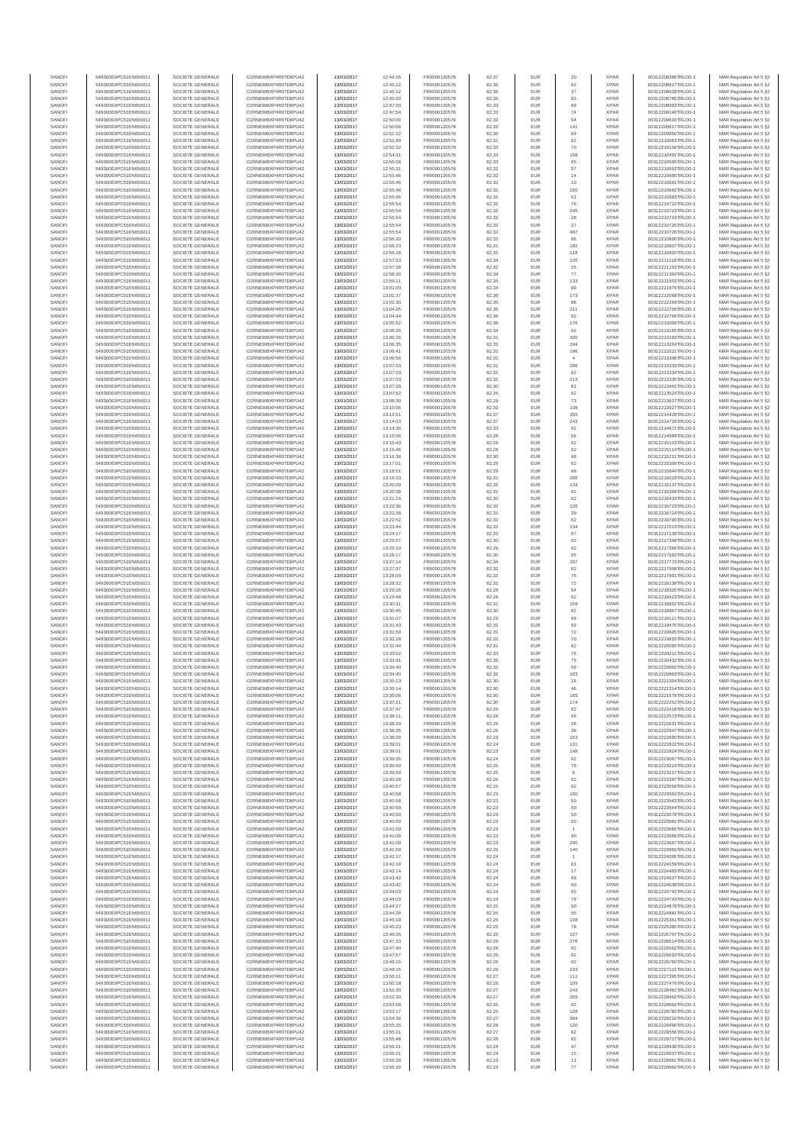| SANOFI           | 549300E9PC51EN656011                         | SOCIETE GENERALE                     | O2RNE8IBXP4R0TD8PU42                         | 13/03/2017               | 12:44:15             | FR0000120578                 | 82.37          | EUR        | 20             | <b>XPAR</b>                | 00312208385TRLO0-1                       | MAR Regulation Art 5 §2                            |
|------------------|----------------------------------------------|--------------------------------------|----------------------------------------------|--------------------------|----------------------|------------------------------|----------------|------------|----------------|----------------------------|------------------------------------------|----------------------------------------------------|
| SANOFI<br>SANOFI | 549300E9PC51EN656011<br>549300E9PC51EN656011 | SOCIETE GENERALE<br>SOCIETE GENERALE | O2RNE8IBXP4R0TD8PU42<br>O2RNE8IBXP4R0TD8PU42 | 13/03/2017<br>13/03/2017 | 12:45:12<br>12:45:12 | FR0000120578<br>FR0000120578 | 82.36          | EUR<br>EUR | 62<br>37       | <b>XPAR</b><br><b>XPAR</b> | 00312208627TRLO0-1<br>00312208628TRLO0-1 | MAR Regulation Art 5 §2                            |
| SANOFI           | 549300E9PC51EN656011                         | SOCIETE GENERALE                     | O2RNE8IBXP4R0TD8PU42                         | 13/03/2017               | 12:45:50             | FR0000120578                 | 82.36<br>82.35 | EUR        | 83             | <b>XPAR</b>                | 00312208785TRLO0-1                       | MAR Regulation Art 5 §2<br>MAR Regulation Art 5 §2 |
| SANOFI           | 549300E9PC51EN656011                         | SOCIETE GENERALE                     | O2RNE8IBXP4R0TD8PU42                         | 13/03/2017               | 12:47:00             | FR0000120578                 | 82.33          | EUR        | $98\,$         | <b>XPAR</b>                | 00312208993TRLO0-1                       | MAR Regulation Art 5 §2                            |
| SANOFI           | 549300E9PC51EN656011                         | SOCIETE GENERALE                     | O2RNE8IBXP4R0TD8PU42                         | 13/03/2017               | 12:47:54             | FR0000120578                 | 82.33          | EUR        | 74             | <b>XPAR</b>                | 00312209140TRLO0-1                       | MAR Regulation Art 5 §2                            |
| SANOFI<br>SANOFI | 549300E9PC51EN656011<br>549300E9PC51EN656011 | SOCIETE GENERALE<br>SOCIETE GENERALE | O2RNE8IBXP4R0TD8PU42<br>O2RNE8IBXP4R0TD8PU42 | 13/03/2017<br>13/03/2017 | 12:50:06<br>12:50:06 | FR0000120578<br>FR0000120578 | 82.32<br>82.32 | EUR<br>EUR | 54<br>141      | <b>XPAR</b><br><b>XPAR</b> | 00312209616TRLO0-1<br>00312209617TRLO0-1 | MAR Regulation Art 5 §2<br>MAR Regulation Art 5 §2 |
| SANOFI           | 549300E9PC51EN656011                         | SOCIETE GENERALE                     | O2RNE8IBXP4R0TD8PU42                         | 13/03/2017               | 12:51:22             | FR0000120578                 | 82.35          | EUR        | 83             | <b>XPAR</b>                | 00312209850TRLO0-1                       | MAR Regulation Art 5 §2                            |
| SANOFI           | 549300E9PC51EN656011                         | SOCIETE GENERALE                     | O2RNE8IBXP4R0TD8PU42                         | 13/03/2017               | 12:51:49             | FR0000120578                 | 82.31          | EUR        | 62             | <b>XPAR</b>                | 00312210063TRLO0-1                       | MAR Regulation Art 5 §2                            |
| SANOFI<br>SANOFI | 549300E9PC51EN656011<br>549300E9PC51EN656011 | SOCIETE GENERALE<br>SOCIETE GENERALE | O2RNE8IBXP4R0TD8PU42<br>O2RNE8IBXP4R0TD8PU42 | 13/03/2017<br>13/03/2017 | 12:52:32<br>12:54:31 | FR0000120578<br>FR0000120578 | 82.33<br>82.33 | EUR<br>EUR | 70<br>158      | <b>XPAR</b><br><b>XPAR</b> | 00312210158TRLO0-1<br>00312210491TRLO0-1 | MAR Regulation Art 5 §2<br>MAR Regulation Art 5 §2 |
| SANOFI           | 549300E9PC51EN656011                         | SOCIETE GENERALE                     | O2RNE8IBXP4R0TD8PU42                         | 13/03/2017               | 12:55:08             | FR0000120578                 | 82.33          | EUR        | 65             | <b>XPAR</b>                | 00312210595TRLO0-1                       | MAR Regulation Art 5 §2                            |
| SANOFI           | 549300E9PC51EN656011                         | SOCIETE GENERALE                     | O2RNE8IBXP4R0TD8PU42                         | 13/03/2017               | 12:55:31             | FR0000120578                 | 82.32          | EUR        | 57             | <b>XPAR</b>                | 00312210653TRLO0-1                       | MAR Regulation Art 5 §2                            |
| SANOFI           | 549300E9PC51EN656011                         | SOCIETE GENERALE                     | O2RNE8IBXP4R0TD8PU42                         | 13/03/2017               | 12:55:46             | FR0000120578                 | 82.32          | EUR        | 14             | <b>XPAR</b>                | 00312210680TRLO0-1                       | MAR Regulation Art 5 §2                            |
| SANOFI<br>SANOFI | 549300E9PC51EN656011<br>549300E9PC51EN656011 | SOCIETE GENERALE<br>SOCIETE GENERALE | O2RNE8IBXP4R0TD8PU42<br>O2RNE8IBXP4R0TD8PU42 | 13/03/2017<br>13/03/2017 | 12:55:46<br>12:55:46 | FR0000120578<br>FR0000120578 | 82.32<br>82.32 | EUR<br>EUR | 10<br>150      | <b>XPAR</b><br><b>XPAR</b> | 00312210681TRLO0-1<br>00312210682TRLO0-1 | MAR Regulation Art 5 §2<br>MAR Regulation Art 5 §2 |
| SANOFI           | 549300E9PC51EN656011                         | SOCIETE GENERALE                     | O2RNE8IBXP4R0TD8PU42                         | 13/03/2017               | 12:55:46             | FR0000120578                 | 82.32          | EUR        | 51             | <b>XPAR</b>                | 00312210683TRLO0-1                       | MAR Regulation Art 5 §2                            |
| SANOFI           | 549300E9PC51EN656011                         | SOCIETE GENERALE                     | O2RNE8IBXP4R0TD8PU42                         | 13/03/2017               | 12:55:54             | FR0000120578                 | 82.32          | EUR        | 75             | <b>XPAR</b>                | 00312210722TRLO0-1                       | MAR Regulation Art 5 §2                            |
| SANOFI           | 549300E9PC51EN656011                         | SOCIETE GENERALE                     | O2RNE8IBXP4R0TD8PU42                         | 13/03/2017               | 12:55:54             | FR0000120578                 | 82.32          | EUR        | 245            | <b>XPAR</b>                | 00312210723TRLO0-1                       | MAR Regulation Art 5 §2                            |
| SANOFI<br>SANOFI | 549300E9PC51EN656011<br>549300E9PC51EN656011 | SOCIETE GENERALE<br>SOCIETE GENERALE | O2RNE8IBXP4R0TD8PU42<br>O2RNE8IBXP4R0TD8PU42 | 13/03/2017<br>13/03/2017 | 12:55:54<br>12:55:54 | FR0000120578<br>FR0000120578 | 82.32<br>82.32 | EUR<br>EUR | 28<br>$27\,$   | <b>XPAR</b><br><b>XPAR</b> | 00312210724TRLO0-1<br>00312210725TRLO0-1 | MAR Regulation Art 5 §2<br>MAR Regulation Art 5 §2 |
| SANOFI           | 549300E9PC51EN656011                         | SOCIETE GENERALE                     | O2RNE8IBXP4R0TD8PU42                         | 13/03/2017               | 12:55:54             | FR0000120578                 | 82.32          | EUR        | 487            | <b>XPAR</b>                | 00312210726TRLO0-1                       | MAR Regulation Art 5 §2                            |
| SANOFI           | 549300E9PC51EN656011                         | SOCIETE GENERALE                     | O2RNE8IBXP4R0TD8PU42                         | 13/03/2017               | 12:56:20             | FR0000120578                 | 82.32          | EUR        | 66             | <b>XPAR</b>                | 00312210800TRLO0-1                       | MAR Regulation Art 5 §2                            |
| SANOFI           | 549300E9PC51EN656011                         | SOCIETE GENERALE                     | O2RNE8IBXP4R0TD8PU42<br>O2RNE8IBXP4R0TD8PU42 | 13/03/2017               | 12:56:23             | FR0000120578<br>FR0000120578 | 82.31          | EUR        | 182            | <b>XPAR</b>                | 00312210807TRLO0-1                       | MAR Regulation Art 5 §2                            |
| SANOFI<br>SANOFI | 549300E9PC51EN656011<br>549300E9PC51EN656011 | SOCIETE GENERALE<br>SOCIETE GENERALE | O2RNE8IBXP4R0TD8PU42                         | 13/03/2017<br>13/03/2017 | 12:56:28<br>12:57:03 | FR0000120578                 | 82.31<br>82.34 | EUR<br>EUR | 118<br>105     | <b>XPAR</b><br><b>XPAR</b> | 00312210820TRLO0-1<br>00312211019TRLO0-1 | MAR Regulation Art 5 §2<br>MAR Regulation Art 5 62 |
| SANOFI           | 549300E9PC51EN656011                         | SOCIETE GENERALE                     | O2RNE8IBXP4R0TD8PU42                         | 13/03/2017               | 12:57:39             | FR0000120578                 | 82.32          | EUR        | 25             | <b>XPAR</b>                | 00312211153TRLO0-1                       | MAR Regulation Art 5 §2                            |
| SANOFI           | 549300E9PC51EN656011                         | SOCIETE GENERALE                     | O2RNE8IBXP4R0TD8PU42                         | 13/03/2017               | 12:58:20             | FR0000120578                 | 82.34          | EUR        | $77\,$         | <b>XPAR</b>                | 00312211304TRLO0-1                       | MAR Regulation Art 5 §2                            |
| SANOFI<br>SANOFI | 549300E9PC51EN656011<br>549300E9PC51EN656011 | SOCIETE GENERALE<br>SOCIETE GENERALE | O2RNE8IBXP4R0TD8PU42<br>O2RNE8IBXP4R0TD8PU42 | 13/03/2017<br>13/03/2017 | 12:59:11<br>13:01:00 | FR0000120578<br>FR0000120578 | 82.35<br>82.34 | EUR<br>EUR | 133<br>99      | <b>XPAR</b><br><b>XPAR</b> | 00312211503TRLO0-1<br>00312211879TRLO0-1 | MAR Regulation Art 5 §2<br>MAR Regulation Art 5 §2 |
| SANOFI           | 549300E9PC51EN656011                         | SOCIETE GENERALE                     | O2RNE8IBXP4R0TD8PU42                         | 13/03/2017               | 13:01:37             | FR0000120578                 | 82.36          | EUR        | 173            | <b>XPAR</b>                | 00312212068TRLO0-1                       | MAR Regulation Art 5 §2                            |
| SANOFI           | 549300E9PC51EN656011                         | SOCIETE GENERALE                     | O2RNE8IBXP4R0TD8PU42                         | 13/03/2017               | 13:02:30             | FR0000120578                 | 82.35          | EUR        | 86             | <b>XPAR</b>                | 00312212269TRLO0-1                       | MAR Regulation Art 5 §2                            |
| SANOFI           | 549300E9PC51EN656011                         | SOCIETE GENERALE                     | O2RNE8IBXP4R0TD8PU42                         | 13/03/2017               | 13:04:25             | FR0000120578                 | 82.36          | EUR        | 211            | <b>XPAR</b>                | 00312212705TRLO0-1                       | MAR Regulation Art 5 \$2                           |
| SANOFI<br>SANOFI | 549300E9PC51EN656011<br>549300E9PC51EN656011 | SOCIETE GENERALE<br>SOCIETE GENERALE | O2RNE8IBXP4R0TD8PU42<br>O2RNE8IBXP4R0TD8PU42 | 13/03/2017<br>13/03/2017 | 13:04:44<br>13:05:52 | FR0000120578<br>FR0000120578 | 82.36<br>82.38 | EUR<br>EUR | 62<br>176      | <b>XPAR</b><br><b>XPAR</b> | 00312212769TRLO0-1<br>00312213009TRLO0-1 | MAR Regulation Art 5 §2<br>MAR Regulation Art 5 §2 |
| SANOFI           | 549300E9PC51EN656011                         | SOCIETE GENERALE                     | O2RNE8IBXP4R0TD8PU42                         | 13/03/2017               | 13:06:20             | FR0000120578                 | 82.34          | EUR        | 62             | <b>XPAR</b>                | 00312213165TRLO0-1                       | MAR Regulation Art 5 §2                            |
| SANOFI           | 549300E9PC51EN656011                         | SOCIETE GENERALE                     | O2RNE8IBXP4R0TD8PU42                         | 13/03/2017               | 13:06:26             | FR0000120578                 | 82.31          | EUR        | 300            | <b>XPAR</b>                | 00312213183TRLO0-1                       | MAR Regulation Art 5 §2                            |
| SANOFI<br>SANOFI | 549300E9PC51EN656011<br>549300E9PC51EN656011 | SOCIETE GENERALE<br>SOCIETE GENERALE | O2RNE8IBXP4R0TD8PU42<br>O2RNE8IBXP4R0TD8PU42 | 13/03/2017<br>13/03/2017 | 13:06:35<br>13:06:41 | FR0000120578<br>FR0000120578 | 82.31<br>82.31 | EUR<br>EUR | 104<br>196     | <b>XPAR</b><br><b>XPAR</b> | 00312213204TRLO0-1<br>00312213221TRLO0-1 | MAR Regulation Art 5 §2<br>MAR Regulation Art 5 §2 |
| SANOFI           | 549300E9PC51EN656011                         | SOCIETE GENERALE                     | O2RNE8IBXP4R0TD8PU42                         | 13/03/2017               | 13:06:56             | FR0000120578                 | 82.31          | EUR        | $\overline{4}$ | <b>XPAR</b>                | 00312213306TRLO0-1                       | MAR Regulation Art 5 §2                            |
| SANOFI           | 549300E9PC51EN656011                         | SOCIETE GENERALE                     | O2RNE8IBXP4R0TD8PU42                         | 13/03/2017               | 13:07:03             | FR0000120578                 | 82.31          | EUR        | 296            | <b>XPAR</b>                | 00312213333TRLO0-1                       | MAR Regulation Art 5 §2                            |
| SANOFI           | 549300E9PC51EN656011                         | SOCIETE GENERALE                     | O2RNE8IBXP4R0TD8PU42                         | 13/03/2017               | 13:07:03             | FR0000120578                 | 82.31          | EUR        | 62             | <b>XPAR</b>                | 00312213334TRLO0-1                       | MAR Regulation Art 5 §2                            |
| SANOFI<br>SANOFI | 549300E9PC51EN656011<br>549300E9PC51EN656011 | SOCIETE GENERALE<br>SOCIETE GENERALE | O2RNE8IBXP4R0TD8PU42<br>O2RNE8IBXP4R0TD8PU42 | 13/03/2017<br>13/03/2017 | 13:07:03<br>13:07:28 | FR0000120578<br>FR0000120578 | 82.31<br>82.30 | EUR<br>EUR | 213<br>81      | <b>XPAR</b><br><b>XPAR</b> | 00312213335TRLO0-1<br>00312213441TRLO0-1 | MAR Regulation Art 5 §2<br>MAR Regulation Art 5 §2 |
| SANOFI           | 549300E9PC51EN656011                         | SOCIETE GENERALE                     | O2RNE8IBXP4R0TD8PU42                         | 13/03/2017               | 13:07:52             | FR0000120578                 | 82.26          | EUR        | 62             | <b>XPAR</b>                | 00312213524TRLO0-1                       | MAR Regulation Art 5 §2                            |
| SANOFI           | 549300E9PC51EN656011                         | SOCIETE GENERALE                     | O2RNE8IBXP4R0TD8PU42                         | 13/03/2017               | 13:08:30             | FR0000120578                 | 82.29          | EUR        | 73             | <b>XPAR</b>                | 00312213627TRLO0-1                       | MAR Regulation Art 5 §2                            |
| SANOFI           | 549300E9PC51EN656011                         | SOCIETE GENERALE                     | O2RNE8IBXP4R0TD8PU42<br>O2RNE8IBXP4R0TD8PU42 | 13/03/2017               | 13:10:06             | FR0000120578<br>FR0000120578 | 82.32          | EUR        | 108            | <b>XPAR</b>                | 00312213927TRLO0-1<br>00312214428TRLO0-1 | MAR Regulation Art 5 §2                            |
| SANOFI<br>SANOFI | 549300E9PC51EN656011<br>549300E9PC51EN656011 | SOCIETE GENERALE<br>SOCIETE GENERALE | O2RNE8IBXP4R0TD8PU42                         | 13/03/2017<br>13/03/2017 | 13:12:51<br>13:14:03 | FR0000120578                 | 82.37<br>82.37 | EUR<br>EUR | 355<br>242     | <b>XPAR</b><br><b>XPAR</b> | 00312214729TRLO0-1                       | MAR Regulation Art 5 §2<br>MAR Regulation Art 5 §2 |
| SANOFI           | 549300E9PC51EN656011                         | SOCIETE GENERALE                     | O2RNE8IBXP4R0TD8PU42                         | 13/03/2017               | 13:14:36             | FR0000120578                 | 82.33          | EUR        | 62             | <b>XPAR</b>                | 00312214871TRLO0-1                       | MAR Regulation Art 5 §2                            |
| SANOFI           | 549300E9PC51EN656011                         | SOCIETE GENERALE                     | O2RNE8IBXP4R0TD8PU42                         | 13/03/2017               | 13:15:06             | FR0000120578                 | 82.28          | EUR        | 56             | <b>XPAR</b>                | 00312214989TRLO0-1                       | MAR Regulation Art 5 §2                            |
| SANOFI           | 549300E9PC51EN656011                         | SOCIETE GENERALE                     | O2RNE8IBXP4R0TD8PU42                         | 13/03/2017               | 13:15:43             | FR0000120578                 | 82.29          | EUR        | 62             | <b>XPAR</b>                | 00312215103TRLO0-1                       | MAR Regulation Art 5 §2<br>MAR Regulation Art 5 §2 |
| SANOFI<br>SANOFI | 549300E9PC51EN656011<br>549300E9PC51EN656011 | SOCIETE GENERALE<br>SOCIETE GENERALE | O2RNE8IBXP4R0TD8PU42<br>O2RNE8IBXP4R0TD8PU42 | 13/03/2017<br>13/03/2017 | 13:15:46<br>13:16:36 | FR0000120578<br>FR0000120578 | 82.28<br>82.30 | EUR<br>EUR | 62<br>$98\,$   | <b>XPAR</b><br><b>XPAR</b> | 00312215114TRLO0-1<br>00312215211TRLO0-1 | MAR Regulation Art 5 §2                            |
| SANOFI           | 549300E9PC51EN656011                         | SOCIETE GENERALE                     | O2RNE8IBXP4R0TD8PU42                         | 13/03/2017               | 13:17:01             | FR0000120578                 | 82.29          | EUR        | 62             | <b>XPAR</b>                | 00312215309TRLO0-1                       | MAR Regulation Art 5 §2                            |
| SANOFI           | 549300E9PC51EN656011                         | SOCIETE GENERALE                     | O2RNE8IBXP4R0TD8PU42                         | 13/03/2017               | 13:18:51             | FR0000120578                 | 82.29          | EUR        | 69             | <b>XPAR</b>                | 00312215844TRLO0-1                       | MAR Regulation Art 5 §2                            |
| SANOFI           | 549300E9PC51EN656011                         | SOCIETE GENERALE                     | O2RNE8IBXP4R0TD8PU42                         | 13/03/2017               | 13:19:33             | FR0000120578                 | 82.31          | EUR        | 286            | <b>XPAR</b>                | 00312216019TRLO0-1                       | MAR Regulation Art 5 §2<br>MAR Regulation Art 5 §2 |
| SANOFI<br>SANOFI | 549300E9PC51EN656011<br>549300E9PC51EN656011 | SOCIETE GENERALE<br>SOCIETE GENERALE | O2RNE8IBXP4R0TD8PU42<br>O2RNE8IBXP4R0TD8PU42 | 13/03/2017<br>13/03/2017 | 13:20:09<br>13:20:38 | FR0000120578<br>FR0000120578 | 82.32<br>82.31 | EUR<br>EUR | 134<br>62      | <b>XPAR</b><br><b>XPAR</b> | 00312216137TRLO0-1<br>00312216308TRLO0-1 | MAR Regulation Art 5 §2                            |
| SANOFI           | 549300E9PC51EN656011                         | SOCIETE GENERALE                     | O2RNE8IBXP4R0TD8PU42                         | 13/03/2017               | 13:21:14             | FR0000120578                 | 82.30          | EUR        | 62             | <b>XPAR</b>                | 00312216433TRLO0-1                       | MAR Regulation Art 5 §2                            |
| SANOFI           | 549300E9PC51EN656011                         | SOCIETE GENERALE                     | O2RNE8IBXP4R0TD8PU42                         | 13/03/2017               | 13:22:36             | FR0000120578                 | 82.32          | EUR        | 126            | <b>XPAR</b>                | 00312216723TRLO0-1                       | MAR Regulation Art 5 §2                            |
| SANOFI<br>SANOFI | 549300E9PC51EN656011<br>549300E9PC51EN656011 | SOCIETE GENERALE<br>SOCIETE GENERALE | O2RNE8IBXP4R0TD8PU42<br>O2RNE8IBXP4R0TD8PU42 | 13/03/2017<br>13/03/2017 | 13:22:36<br>13:22:52 | FR0000120578<br>FR0000120578 | 82.32<br>82.31 | EUR<br>EUR | 29<br>62       | <b>XPAR</b><br><b>XPAR</b> | 00312216724TRLO0-1<br>00312216790TRLO0-1 | MAR Regulation Art 5 §2<br>MAR Regulation Art 5 §2 |
| SANOFI           | 549300E9PC51EN656011                         | SOCIETE GENERALE                     | O2RNE8IBXP4R0TD8PU42                         | 13/03/2017               | 13:23:44             | FR0000120578                 | 82.32          | EUR        | 134            | <b>XPAR</b>                | 00312217013TRLO0-1                       | MAR Regulation Art 5 §2                            |
| SANOFI           | 549300E9PC51EN656011                         | SOCIETE GENERALE                     | O2RNE8IBXP4R0TD8PU42                         | 13/03/2017               | 13:24:17             | FR0000120578                 | 82.33          | EUR        | 67             | <b>XPAR</b>                | 00312217139TRLO0-1                       | MAR Regulation Art 5 §2                            |
| SANOFI           | 549300E9PC51EN656011                         | SOCIETE GENERALE                     | O2RNE8IBXP4R0TD8PU42                         | 13/03/2017               | 13:25:07             | FR0000120578                 | 82.30          | EUR        | 62             | <b>XPAR</b>                | 00312217348TRLO0-1                       | MAR Regulation Art 5 §2                            |
| SANOFI<br>SANOFI | 549300E9PC51EN656011<br>549300E9PC51EN656011 | SOCIETE GENERALE<br>SOCIETE GENERALE | O2RNE8IBXP4R0TD8PU42<br>O2RNE8IBXP4R0TD8PU42 | 13/03/2017<br>13/03/2017 | 13:25:10<br>13:26:17 | FR0000120578<br>FR0000120578 | 82.29<br>82.30 | EUR<br>EUR | 62<br>65       | <b>XPAR</b><br><b>XPAR</b> | 00312217366TRLO0-1<br>00312217562TRLO0-1 | MAR Regulation Art 5 §2<br>MAR Regulation Art 5 §2 |
| SANOFI           | 549300E9PC51EN656011                         | SOCIETE GENERALE                     | O2RNE8IBXP4R0TD8PU42                         | 13/03/2017               | 13:27:14             | FR0000120578                 | 82.34          | EUR        | 207            | <b>XPAR</b>                | 00312217773TRLO0-1                       | MAR Regulation Art 5 §2                            |
| SANOFI           | 549300E9PC51EN656011                         | SOCIETE GENERALE                     | O2RNE8IBXP4R0TD8PU42                         | 13/03/2017               | 13:27:37             | FR0000120578                 | 82.32          | EUR        | 62             | <b>XPAR</b>                | 00312217908TRLO0-1                       | MAR Regulation Art 5 §2                            |
| SANOFI           | 549300E9PC51EN656011                         | SOCIETE GENERALE                     | O2RNE8IBXP4R0TD8PU42                         | 13/03/2017               | 13:28:00             | FR0000120578                 | 82.32          | EUR        | 76             | <b>XPAR</b>                | 00312217991TRLO0-1                       | MAR Regulation Art 5 §2                            |
| SANOFI<br>SANOFI | 549300E9PC51EN656011<br>549300E9PC51EN656011 | SOCIETE GENERALE<br>SOCIETE GENERALE | O2RNE8IBXP4R0TD8PU42<br>O2RNE8IBXP4R0TD8PU42 | 13/03/2017<br>13/03/2017 | 13:28:32<br>13:29:26 | FR0000120578<br>FR0000120578 | 82.31<br>82.28 | EUR<br>EUR | 72<br>54       | <b>XPAR</b><br><b>XPAR</b> | 00312218138TRLO0-1<br>00312218325TRLO0-1 | MAR Regulation Art 5 §2<br>MAR Regulation Art 5 §2 |
| SANOFI           | 549300E9PC51EN656011                         | SOCIETE GENERALE                     | O2RNE8IBXP4R0TD8PU42                         | 13/03/2017               | 13:29:48             | FR0000120578                 | 82.28          | EUR        | 62             | <b>XPAR</b>                | 00312218423TRLO0-1                       | MAR Regulation Art 5 §2                            |
| SANOFI           | 549300E9PC51EN656011                         | SOCIETE GENERALE                     | O2RNE8IBXP4R0TD8PU42                         | 13/03/2017               | 13:30:31             | FR0000120578                 | 82.31          | EUR        | 159            | <b>XPAR</b>                | 00312218852TRLO0-1                       | MAR Regulation Art 5 §2                            |
| SANOFI<br>SANOFI | 549300E9PC51EN656011<br>549300E9PC51EN656011 | SOCIETE GENERALE<br>SOCIETE GENERALE | O2RNE8IBXP4R0TD8PU42<br>O2RNE8IBXP4R0TD8PU42 | 13/03/2017<br>13/03/2017 | 13:30:45<br>13:31:07 | FR0000120578<br>FR0000120578 | 82.30<br>82.29 | EUR<br>EUR | 62<br>69       | <b>XPAR</b><br><b>XPAR</b> | 00312218957TRLO0-1<br>00312219111TRLO0-1 | MAR Regulation Art 5 §2<br>MAR Regulation Art 5 §2 |
| SANOFI           | 549300E9PC51EN656011                         | SOCIETE GENERALE                     | O2RNE8IBXP4R0TD8PU42                         | 13/03/2017               | 13:31:43             | FR0000120578                 | 82.31          | EUR        | 93             | <b>XPAR</b>                | 00312219475TRLO0-1                       | MAR Regulation Art 5 §2                            |
| SANOFI           | 549300E9PC51EN656011                         | SOCIETE GENERALE                     | O2RNE8IBXP4R0TD8PU42                         | 13/03/2017               | 13:31:59             | FR0000120578                 | 82.31          | EUR        | 72             | <b>XPAR</b>                | 00312219605TRLO0-1                       | MAR Regulation Art 5 §2                            |
| SANOFI           | 549300E9PC51EN656011                         | SOCIETE GENERALE                     | O2RNE8IBXP4R0TD8PU42                         | 13/03/2017               | 13:32:18             | FR0000120578                 | 82.31          | EUR        | 70             | <b>XPAR</b>                | 00312219815TRLO0-1                       | MAR Regulation Art 5 §2                            |
| SANOFI<br>SANOFI | 549300E9PC51EN656011<br>549300E9PC51EN656011 | SOCIETE GENERALE<br>SOCIETE GENERALE | O2RNE8IBXP4R0TD8PU42<br>O2RNE8IBXP4R0TD8PU42 | 13/03/2017<br>13/03/2017 | 13:32:44<br>13:33:02 | FR0000120578<br>FR0000120578 | 82.31<br>82.33 | EUR<br>EUR | 62<br>76       | <b>XPAR</b><br><b>XPAR</b> | 00312220085TRLO0-1<br>00312220211TRLO0-1 | MAR Regulation Art 5 §2<br>MAR Regulation Art 5 §2 |
| SANOFI           | 549300E9PC51EN656011                         | SOCIETE GENERALE                     | O2RNE8IBXP4R0TD8PU42                         | 13/03/2017               | 13:33:41             | FR0000120578                 | 82.35          | EUR        | 75             | <b>XPAR</b>                | 00312220432TRLO0-1                       | MAR Regulation Art 5 \$2                           |
| SANOFI           | 549300E9PC51EN656011                         | SOCIETE GENERALE                     | O2RNE8IBXP4R0TD8PU42                         | 13/03/2017               | 13:34:40             | FR0000120578                 | 82.32          | EUR        | 59             | <b>XPAR</b>                | 00312220862TRLO0-1                       | MAR Regulation Art 5 §2                            |
| SANOFI           | 549300E9PC51EN656011                         | SOCIETE GENERALE                     | O2RNE8IBXP4R0TD8PU42                         | 13/03/2017               | 13:34:40             | FR0000120578                 | 82.32          | <b>EUR</b> | 103            | <b>XPAR</b>                | 00312220863TRLO0-1                       | MAR Regulation Art 5 §2                            |
| SANOFI<br>SANOFI | 549300E9PC51EN656011<br>549300E9PC51EN656011 | SOCIETE GENERALE<br>SOCIETE GENERALE | O2RNE8IBXP4R0TD8PU42<br>O2RNE8IBXP4R0TD8PU42 | 13/03/2017<br>13/03/2017 | 13:35:13<br>13:35:14 | FR0000120578<br>FR0000120578 | 82.30<br>82.30 | EUR<br>EUR | 16<br>46       | <b>XPAR</b><br><b>XPAR</b> | 00312221304TRLO0-1<br>00312221314TRLO0-1 | MAR Regulation Art 5 §2<br>MAR Regulation Art 5 §2 |
| SANOFI           | 549300E9PC51EN656011                         | SOCIETE GENERALE                     | O2RNE8IBXP4R0TD8PU42                         | 13/03/2017               | 13:36:06             | FR0000120578                 | 82.30          | EUR        | 165            | <b>XPAR</b>                | 00312221678TRLO0-1                       | MAR Regulation Art 5 §2                            |
| SANOFI           | 549300E9PC51EN656011                         | SOCIETE GENERALE                     | O2RNE8IBXP4R0TD8PU42                         | 13/03/2017               | 13:37:21             | FR0000120578                 | 82.30          | EUR        | 174            | <b>XPAR</b>                | 00312222252TRLO0-1                       | MAR Regulation Art 5 §2                            |
| SANOFI           | 549300E9PC51EN656011                         | SOCIETE GENERALE                     | O2RNE8IBXP4R0TD8PU42<br>O2RNE8IBXP4R0TD8PU42 | 13/03/2017               | 13:37:47             | FR0000120578                 | 82.29          | EUR        | 62             | <b>XPAR</b>                | 00312222418TRLO0-1                       | MAR Regulation Art 5 §2                            |
| SANOFI<br>SANOFI | 549300E9PC51EN656011<br>549300E9PC51EN656011 | SOCIETE GENERALE<br>SOCIETE GENERALE | O2RNE8IBXP4R0TD8PU42                         | 13/03/2017<br>13/03/2017 | 13:38:11<br>13:38:20 | FR0000120578<br>FR0000120578 | 82.28<br>82.26 | EUR<br>EUR | 56<br>26       | <b>XPAR</b><br><b>XPAR</b> | 00312222573TRLO0-1<br>00312222631TRLO0-1 | MAR Regulation Art 5 §2<br>MAR Regulation Art 5 §2 |
| SANOFI           | 549300E9PC51EN656011                         | SOCIETE GENERALE                     | O2RNE8IBXP4R0TD8PU42                         | 13/03/2017               | 13:38:25             | FR0000120578                 | 82.26          | EUR        | 36             | <b>XPAR</b>                | 00312222647TRLO0-1                       | MAR Regulation Art 5 §2                            |
| SANOFI           | 549300E9PC51EN656011                         | SOCIETE GENERALE                     | O2RNE8IBXP4R0TD8PU42                         | 13/03/2017               | 13:38:29             | FR0000120578                 | 82.23          | EUR        | 153            | <b>XPAR</b>                | 00312222690TRLO0-1                       | MAR Regulation Art 5 \$2                           |
| SANOFI<br>SANOFI | 549300E9PC51EN656011<br>549300E9PC51EN656011 | SOCIETE GENERALE<br>SOCIETE GENERALE | O2RNE8IBXP4R0TD8PU42<br>O2RNE8IBXP4R0TD8PU42 | 13/03/2017<br>13/03/2017 | 13:39:01             | FR0000120578<br>FR0000120578 | 82.24<br>82.23 | EUR<br>EUR | 131<br>148     | <b>XPAR</b><br><b>XPAR</b> | 00312222822TRLO0-1<br>00312222824TRLO0-1 | MAR Regulation Art 5 §2<br>MAR Regulation Art 5 §2 |
| SANOFI           | 549300E9PC51EN656011                         | SOCIETE GENERALE                     | O2RNE8IBXP4R0TD8PU42                         | 13/03/2017               | 13:39:01<br>13:39:35 | FR0000120578                 | 82.24          | EUR        | 62             | <b>XPAR</b>                | 00312223067TRLO0-1                       | MAR Regulation Art 5 §2                            |
| SANOFI           | 549300E9PC51EN656011                         | SOCIETE GENERALE                     | O2RNE8IBXP4R0TD8PU42                         | 13/03/2017               | 13:39:59             | FR0000120578                 | 82.25          | EUR        | 79             | <b>XPAR</b>                | 00312223214TRLO0-1                       | MAR Regulation Art 5 §2                            |
| SANOFI<br>SANOFI | 549300E9PC51EN656011<br>549300E9PC51EN656011 | SOCIETE GENERALE<br>SOCIETE GENERALE | O2RNE8IBXP4R0TD8PU42<br>O2RNE8IBXP4R0TD8PU42 | 13/03/2017<br>13/03/2017 | 13:39:59<br>13:40:28 | FR0000120578<br>FR0000120578 | 82.25<br>82.26 | EUR<br>EUR | 6<br>62        | <b>XPAR</b><br><b>XPAR</b> | 00312223217TRLO0-1<br>00312223387TRLO0-1 | MAR Regulation Art 5 §2<br>MAR Regulation Art 5 §2 |
| SANOFI           | 549300E9PC51EN656011                         | SOCIETE GENERALE                     | O2RNE8IBXP4R0TD8PU42                         | 13/03/2017               | 13:40:57             | FR0000120578                 | 82.25          | EUR        | 62             | <b>XPAR</b>                | 00312223558TRLO0-1                       | MAR Regulation Art 5 §2                            |
| SANOFI           | 549300E9PC51EN656011                         | SOCIETE GENERALE                     | O2RNE8IBXP4R0TD8PU42                         | 13/03/2017               | 13:40:58             | FR0000120578                 | 82.23          | EUR        | 100            | <b>XPAR</b>                | 00312223562TRLO0-1                       | MAR Regulation Art 5 §2                            |
| SANOFI<br>SANOFI | 549300E9PC51EN656011                         | SOCIETE GENERALE                     | O2RNE8IBXP4R0TD8PU42<br>O2RNE8IBXP4R0TD8PU42 | 13/03/2017               | 13:40:58             | FR0000120578                 | 82.23          | EUR        | 50             | <b>XPAR</b><br><b>XPAR</b> | 00312223563TRLO0-1                       | MAR Regulation Art 5 §2                            |
| SANOFI           | 549300E9PC51EN656011<br>549300E9PC51EN656011 | SOCIETE GENERALE<br>SOCIETE GENERALE | O2RNE8IBXP4R0TD8PU42                         | 13/03/2017<br>13/03/2017 | 13:40:58<br>13:40:59 | FR0000120578<br>FR0000120578 | 82.23<br>82.23 | EUR<br>EUR | 50<br>50       | <b>XPAR</b>                | 00312223564TRLO0-1<br>00312223578TRLO0-1 | MAR Regulation Art 5 §2<br>MAR Regulation Art 5 §2 |
| SANOFI           | 549300E9PC51EN656011                         | SOCIETE GENERALE                     | O2RNE8IBXP4R0TD8PU42                         | 13/03/2017               | 13:40:59             | FR0000120578                 | 82.23          | EUR        | 50             | <b>XPAR</b>                | 00312223581TRLO0-1                       | MAR Regulation Art 5 §2                            |
| SANOFI           | 549300E9PC51EN656011                         | SOCIETE GENERALE                     | O2RNE8IBXP4R0TD8PU42                         | 13/03/2017               | 13:41:09             | FR0000120578                 | 82.23          | EUR        | $\overline{1}$ | <b>XPAR</b>                | 00312223665TRLO0-1                       | MAR Regulation Art 5 §2                            |
| SANOFI           | 549300E9PC51EN656011                         | SOCIETE GENERALE                     | O2RNE8IBXP4R0TD8PU42                         | 13/03/2017               | 13:41:09             | FR0000120578                 | 82.23          | EUR        | 90             | <b>XPAR</b>                | 00312223666TRLO0-1                       | MAR Regulation Art 5 §2                            |
| SANOFI<br>SANOFI | 549300E9PC51EN656011<br>549300E9PC51EN656011 | SOCIETE GENERALE<br>SOCIETE GENERALE | O2RNE8IBXP4R0TD8PU42<br>O2RNE8IBXP4R0TD8PU42 | 13/03/2017<br>13/03/2017 | 13:41:09<br>13:41:59 | FR0000120578<br>FR0000120578 | 82.23<br>82.25 | EUR<br>EUR | 290<br>140     | <b>XPAR</b><br><b>XPAR</b> | 00312223667TRLO0-1<br>00312223956TRLO0-1 | MAR Regulation Art 5 §2<br>MAR Regulation Art 5 §2 |
| SANOFI           | 549300E9PC51EN656011                         | SOCIETE GENERALE                     | O2RNE8IBXP4R0TD8PU42                         | 13/03/2017               | 13:42:17             | FR0000120578                 | 82.24          | EUR        |                | <b>XPAR</b>                | 00312224095TRLO0-1                       | MAR Regulation Art 5 §2                            |
| SANOFI           | 549300E9PC51EN656011                         | SOCIETE GENERALE                     | O2RNE8IBXP4R0TD8PU42                         | 13/03/2017               | 13:42:19             | FR0000120578                 | 82.24          | EUR        | 61             | <b>XPAR</b>                | 00312224159TRLO0-1                       | MAR Regulation Art 5 §2                            |
| SANOFI<br>SANOFI | 549300E9PC51EN656011<br>549300E9PC51EN656011 | SOCIETE GENERALE<br>SOCIETE GENERALE | O2RNE8IBXP4R0TD8PU42<br>O2RNE8IBXP4R0TD8PU42 | 13/03/2017<br>13/03/2017 | 13:43:14<br>13:43:42 | FR0000120578<br>FR0000120578 | 82.24<br>82.24 | EUR<br>EUR | 17<br>99       | <b>XPAR</b><br><b>XPAR</b> | 00312224493TRLO0-1<br>00312224637TRLO0-1 | MAR Regulation Art 5 §2<br>MAR Regulation Art 5 §2 |
| SANOFI           | 549300E9PC51EN656011                         | SOCIETE GENERALE                     | O2RNE8IBXP4R0TD8PU42                         | 13/03/2017               | 13:43:42             | FR0000120578                 | 82.24          | EUR        | 60             | <b>XPAR</b>                | 00312224638TRLO0-1                       | MAR Regulation Art 5 §2                            |
| SANOFI           | 549300E9PC51EN656011                         | SOCIETE GENERALE                     | O2RNE8IBXP4R0TD8PU42                         | 13/03/2017               | 13:44:03             | FR0000120578                 | 82.24          | EUR        | 60             | <b>XPAR</b>                | 00312224742TRLO0-1                       | MAR Regulation Art 5 §2                            |
| SANOFI           | 549300E9PC51EN656011                         | SOCIETE GENERALE                     | O2RNE8IBXP4R0TD8PU42                         | 13/03/2017               | 13:44:03             | FR0000120578                 | 82.24          | EUR        | 79             | <b>XPAR</b>                | 00312224743TRLO0-1                       | MAR Regulation Art 5 §2                            |
| SANOFI<br>SANOFI | 549300E9PC51EN656011<br>549300E9PC51EN656011 | SOCIETE GENERALE<br>SOCIETE GENERALE | O2RNE8IBXP4R0TD8PU42<br>O2RNE8IBXP4R0TD8PU42 | 13/03/2017<br>13/03/2017 | 13:44:27<br>13:44:28 | FR0000120578<br>FR0000120578 | 82.25<br>82.25 | EUR<br>EUR | 50<br>55       | <b>XPAR</b><br><b>XPAR</b> | 00312224878TRLO0-1<br>00312224881TRLO0-1 | MAR Regulation Art 5 §2<br>MAR Regulation Art 5 §2 |
| SANOFI           | 549300E9PC51EN656011                         | SOCIETE GENERALE                     | O2RNE8IBXP4R0TD8PU42                         | 13/03/2017               | 13:45:19             | FR0000120578                 | 82.26          | EUR        | 108            | <b>XPAR</b>                | 00312225361TRLO0-1                       | MAR Regulation Art 5 §2                            |
| SANOFI           | 549300E9PC51EN656011                         | SOCIETE GENERALE                     | O2RNE8IBXP4R0TD8PU42                         | 13/03/2017               | 13:45:23             | FR0000120578                 | 82.25          | EUR        | 78             | <b>XPAR</b>                | 00312225385TRLO0-1                       | MAR Regulation Art 5 §2                            |
| SANOFI           | 549300E9PC51EN656011                         | SOCIETE GENERALE                     | O2RNE8IBXP4R0TD8PU42                         | 13/03/2017               | 13:46:05             | FR0000120578                 | 82.25          | EUR        | 127            | <b>XPAR</b>                | 00312225797TRLO0-1                       | MAR Regulation Art 5 §2                            |
| SANOFI<br>SANOFI | 549300E9PC51EN656011<br>549300E9PC51EN656011 | SOCIETE GENERALE<br>SOCIETE GENERALE | O2RNE8IBXP4R0TD8PU42<br>O2RNE8IBXP4R0TD8PU42 | 13/03/2017<br>13/03/2017 | 13:47:33<br>13:47:40 | FR0000120578<br>FR0000120578 | 82.29<br>82.28 | EUR<br>EUR | 276<br>92      | <b>XPAR</b><br><b>XPAR</b> | 00312226514TRLO0-1<br>00312226562TRLO0-1 | MAR Regulation Art 5 §2<br>MAR Regulation Art 5 §2 |
| SANOFI           | 549300E9PC51EN656011                         | SOCIETE GENERALE                     | O2RNE8IBXP4R0TD8PU42                         | 13/03/2017               | 13:47:57             | FR0000120578                 | 82.26          | EUR        | 62             | <b>XPAR</b>                | 00312226653TRLO0-1                       | MAR Regulation Art 5 §2                            |
| SANOFI           | 549300E9PC51EN656011                         | SOCIETE GENERALE                     | O2RNE8IBXP4R0TD8PU42                         | 13/03/2017               | 13:48:15             | FR0000120578                 | 82.26          | EUR        | 62             | <b>XPAR</b>                | 00312226760TRLO0-1                       | MAR Regulation Art 5 §2                            |
| SANOFI           | 549300E9PC51EN656011                         | SOCIETE GENERALE                     | O2RNE8IBXP4R0TD8PU42                         | 13/03/2017               | 13:49:15             | FR0000120578                 | 82.26          | EUR        | 233            | <b>XPAR</b>                | 00312227121TRLO0-1                       | MAR Regulation Art 5 §2                            |
| SANOFI<br>SANOFI | 549300E9PC51EN656011<br>549300E9PC51EN656011 | SOCIETE GENERALE<br>SOCIETE GENERALE | O2RNE8IBXP4R0TD8PU42<br>O2RNE8IBXP4R0TD8PU42 | 13/03/2017<br>13/03/2017 | 13:50:11<br>13:50:18 | FR0000120578<br>FR0000120578 | 82.27<br>82.25 | EUR<br>EUR | 111<br>109     | <b>XPAR</b><br><b>XPAR</b> | 00312227395TRLO0-1<br>00312227476TRLO0-1 | MAR Regulation Art 5 §2<br>MAR Regulation Art 5 §2 |
| SANOFI           | 549300E9PC51EN656011                         | SOCIETE GENERALE                     | O2RNE8IBXP4R0TD8PU42                         | 13/03/2017               | 13:52:30             | FR0000120578                 | 82.27          | EUR        | 243            | <b>XPAR</b>                | 00312228461TRLO0-1                       | MAR Regulation Art 5 §2                            |
| SANOFI           | 549300E9PC51EN656011                         | SOCIETE GENERALE                     | O2RNE8IBXP4R0TD8PU42                         | 13/03/2017               | 13:52:30             | FR0000120578                 | 82.27          | EUR        | 255            | <b>XPAR</b>                | 00312228462TRLO0-1                       | MAR Regulation Art 5 §2                            |
| SANOFI<br>SANOFI | 549300E9PC51EN656011<br>549300E9PC51EN656011 | SOCIETE GENERALE<br>SOCIETE GENERALE | O2RNE8IBXP4R0TD8PU42<br>O2RNE8IBXP4R0TD8PU42 | 13/03/2017<br>13/03/2017 | 13:53:08<br>13:53:17 | FR0000120578<br>FR0000120578 | 82.25<br>82.25 | EUR<br>EUR | 62<br>128      | <b>XPAR</b><br><b>XPAR</b> | 00312228662TRLO0-1<br>00312228782TRLO0-1 | MAR Regulation Art 5 §2<br>MAR Regulation Art 5 §2 |
| SANOFI           | 549300E9PC51EN656011                         | SOCIETE GENERALE                     | O2RNE8IBXP4R0TD8PU42                         | 13/03/2017               | 13:54:36             | FR0000120578                 | 82.27          | EUR        | 304            | <b>XPAR</b>                | 00312229216TRLO0-1                       | MAR Regulation Art 5 §2                            |
| SANOFI           | 549300E9PC51EN656011                         | SOCIETE GENERALE                     | O2RNE8IBXP4R0TD8PU42                         | 13/03/2017               | 13:55:15             | FR0000120578                 | 82.28          | EUR        | 120            | <b>XPAR</b>                | 00312229490TRLO0-1                       | MAR Regulation Art 5 §2                            |
| SANOFI           | 549300E9PC51EN656011                         | SOCIETE GENERALE                     | O2RNE8IBXP4R0TD8PU42<br>O2RNE8IBXP4R0TD8PU42 | 13/03/2017               | 13:55:21             | FR0000120578                 | 82.27          | EUR        | 62             | <b>XPAR</b><br><b>XPAR</b> | 00312229556TRLO0-1                       | MAR Regulation Art 5 §2                            |
| SANOFI<br>SANOFI | 549300E9PC51EN656011<br>549300E9PC51EN656011 | SOCIETE GENERALE<br>SOCIETE GENERALE | O2RNE8IBXP4R0TD8PU42                         | 13/03/2017<br>13/03/2017 | 13:55:48<br>13:56:21 | FR0000120578<br>FR0000120578 | 82.26<br>82.24 | EUR<br>EUR | 62<br>47       | <b>XPAR</b>                | 00312229727TRLO0-1<br>00312229936TRLO0-1 | MAR Regulation Art 5 §2<br>MAR Regulation Art 5 §2 |
| SANOFI           | 549300E9PC51EN656011                         | SOCIETE GENERALE                     | O2RNE8IBXP4R0TD8PU42                         | 13/03/2017               | 13:56:21             | FR0000120578                 | 82.24          | EUR        | 15             | <b>XPAR</b>                | 00312229937TRLO0-1                       | MAR Regulation Art 5 §2                            |
| SANOFI           | 549300E9PC51EN656011                         | SOCIETE GENERALE                     | O2RNE8IBXP4R0TD8PU42                         | 13/03/2017               | 13:56:29             | FR0000120578                 | 82.23          | EUR        | 11             | <b>XPAR</b>                | 00312229961TRLO0-1                       | MAR Regulation Art 5 §2                            |
| SANOFI           | 549300E9PC51EN656011                         | SOCIETE GENERALE                     | O2RNE8IBXP4R0TD8PU42                         | 13/03/2017               | 13:56:29             | FR0000120578                 | 82.23          | EUR        | 77             | <b>XPAR</b>                | 00312229962TRLO0-1                       | MAR Regulation Art 5 §2                            |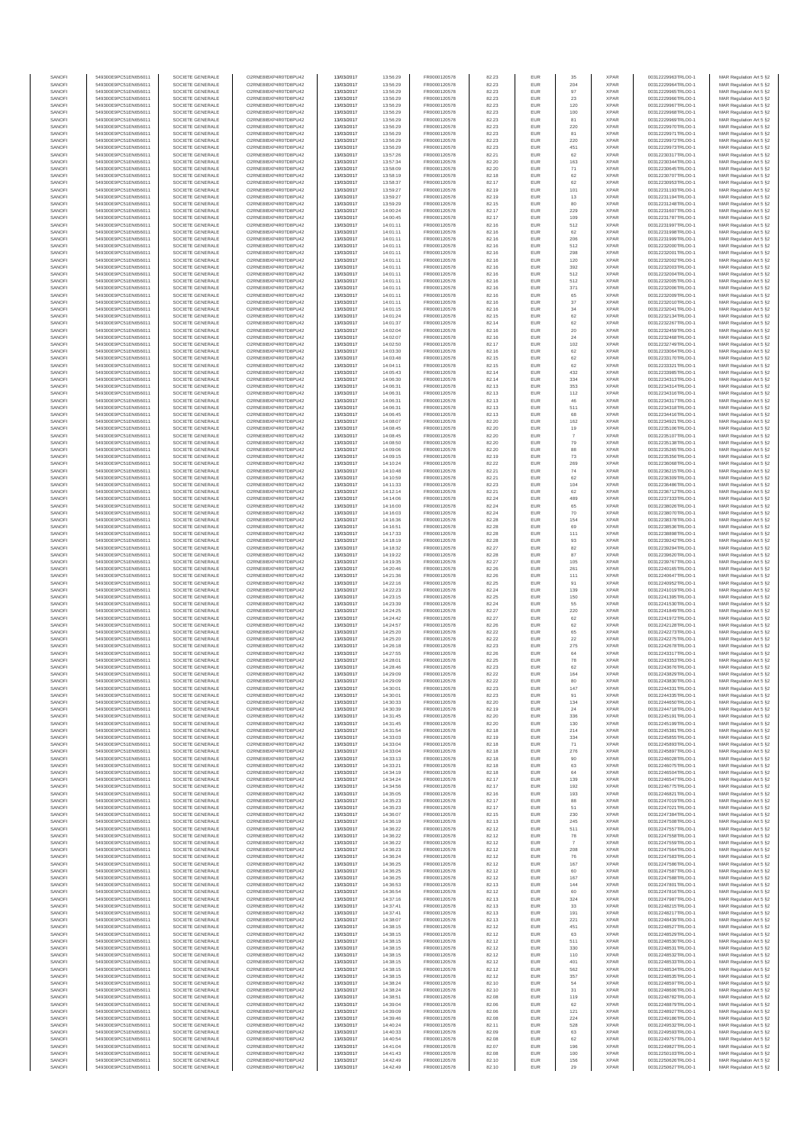| SANOFI           | 549300E9PC51EN656011                         | SOCIETE GENERALE                     | O2RNE8IBXP4R0TD8PU42                         | 13/03/2017               | 13:56:29             | FR0000120578                 | 82.23          | EUR               | 35             | <b>XPAR</b>                | 00312229963TRLO0-1                       | MAR Regulation Art 5 §2                            |
|------------------|----------------------------------------------|--------------------------------------|----------------------------------------------|--------------------------|----------------------|------------------------------|----------------|-------------------|----------------|----------------------------|------------------------------------------|----------------------------------------------------|
| SANOFI<br>SANOFI | 549300E9PC51EN656011<br>549300E9PC51EN656011 | SOCIETE GENERALE<br>SOCIETE GENERALE | O2RNE8IBXP4R0TD8PU42<br>O2RNE8IBXP4R0TD8PU42 | 13/03/2017<br>13/03/2017 | 13:56:29<br>13:56:29 | FR0000120578<br>FR0000120578 | 82.23          | EUR<br>EUR        | 204<br>97      | <b>XPAR</b><br><b>XPAR</b> | 00312229964TRLO0-1<br>00312229965TRLO0-1 | MAR Regulation Art 5 §2                            |
| SANOFI           | 549300E9PC51EN656011                         | SOCIETE GENERALE                     | O2RNE8IBXP4R0TD8PU42                         | 13/03/2017               | 13:56:29             | FR0000120578                 | 82.23<br>82.23 | EUR               | $23\,$         | <b>XPAR</b>                | 00312229966TRLO0-1                       | MAR Regulation Art 5 §2<br>MAR Regulation Art 5 §2 |
| SANOFI           | 549300E9PC51EN656011                         | SOCIETE GENERALE                     | O2RNE8IBXP4R0TD8PU42                         | 13/03/2017               | 13:56:29             | FR0000120578                 | 82.23          | EUR               | 120            | <b>XPAR</b>                | 00312229967TRLO0-1                       | MAR Regulation Art 5 §2                            |
| SANOFI           | 549300E9PC51EN656011                         | SOCIETE GENERALE                     | O2RNE8IBXP4R0TD8PU42                         | 13/03/2017               | 13:56:29             | FR0000120578                 | 82.23          | EUR               | 100            | <b>XPAR</b>                | 00312229968TRLO0-1                       | MAR Regulation Art 5 §2                            |
| SANOFI<br>SANOFI | 549300E9PC51EN656011<br>549300E9PC51EN656011 | SOCIETE GENERALE<br>SOCIETE GENERALE | O2RNE8IBXP4R0TD8PU42<br>O2RNE8IBXP4R0TD8PU42 | 13/03/2017<br>13/03/2017 | 13:56:29<br>13:56:29 | FR0000120578<br>FR0000120578 | 82.23<br>82.23 | EUR<br>EUR        | 81<br>220      | <b>XPAR</b><br><b>XPAR</b> | 00312229969TRLO0-1<br>00312229970TRLO0-1 | MAR Regulation Art 5 §2<br>MAR Regulation Art 5 §2 |
| SANOFI           | 549300E9PC51EN656011                         | SOCIETE GENERALE                     | O2RNE8IBXP4R0TD8PU42                         | 13/03/2017               | 13:56:29             | FR0000120578                 | 82.23          | EUR               | 81             | <b>XPAR</b>                | 00312229971TRLO0-1                       | MAR Regulation Art 5 §2                            |
| SANOFI           | 549300E9PC51EN656011                         | SOCIETE GENERALE                     | O2RNE8IBXP4R0TD8PU42                         | 13/03/2017               | 13:56:29             | FR0000120578                 | 82.23          | EUR               | 220            | <b>XPAR</b>                | 00312229972TRLO0-1                       | MAR Regulation Art 5 §2                            |
| SANOFI<br>SANOFI | 549300E9PC51EN656011<br>549300E9PC51EN656011 | SOCIETE GENERALE<br>SOCIETE GENERALE | O2RNE8IBXP4R0TD8PU42<br>O2RNE8IBXP4R0TD8PU42 | 13/03/2017<br>13/03/2017 | 13:56:29<br>13:57:26 | FR0000120578<br>FR0000120578 | 82.23<br>82.21 | EUR<br>EUR        | 451<br>62      | <b>XPAR</b><br><b>XPAR</b> | 00312229973TRLO0-1<br>00312230317TRLO0-1 | MAR Regulation Art 5 §2<br>MAR Regulation Art 5 §2 |
| SANOFI           | 549300E9PC51EN656011                         | SOCIETE GENERALE                     | O2RNE8IBXP4R0TD8PU42                         | 13/03/2017               | 13:57:34             | FR0000120578                 | 82.20          | EUR               | 163            | <b>XPAR</b>                | 00312230344TRLO0-1                       | MAR Regulation Art 5 §2                            |
| SANOFI           | 549300E9PC51EN656011                         | SOCIETE GENERALE                     | O2RNE8IBXP4R0TD8PU42                         | 13/03/2017               | 13:58:09             | FR0000120578                 | 82.20          | EUR               | $71\,$         | <b>XPAR</b>                | 00312230645TRLO0-1                       | MAR Regulation Art 5 §2                            |
| SANOFI           | 549300E9PC51EN656011                         | SOCIETE GENERALE                     | O2RNE8IBXP4R0TD8PU42                         | 13/03/2017               | 13:58:19             | FR0000120578                 | 82.18          | EUR               | 62             | <b>XPAR</b>                | 00312230707TRLO0-1                       | MAR Regulation Art 5 §2                            |
| SANOFI<br>SANOFI | 549300E9PC51EN656011<br>549300E9PC51EN656011 | SOCIETE GENERALE<br>SOCIETE GENERALE | O2RNE8IBXP4R0TD8PU42<br>O2RNE8IBXP4R0TD8PU42 | 13/03/2017<br>13/03/2017 | 13:58:37<br>13:59:27 | FR0000120578<br>FR0000120578 | 82.17<br>82.19 | EUR<br>EUR        | 62<br>101      | <b>XPAR</b><br><b>XPAR</b> | 00312230953TRLO0-1<br>00312231193TRLO0-1 | MAR Regulation Art 5 §2<br>MAR Regulation Art 5 §2 |
| SANOFI           | 549300E9PC51EN656011                         | SOCIETE GENERALE                     | O2RNE8IBXP4R0TD8PU42                         | 13/03/2017               | 13:59:27             | FR0000120578                 | 82.19          | EUR               | 13             | <b>XPAR</b>                | 00312231194TRLO0-1                       | MAR Regulation Art 5 §2                            |
| SANOFI           | 549300E9PC51EN656011                         | SOCIETE GENERALE                     | O2RNE8IBXP4R0TD8PU42                         | 13/03/2017               | 13:59:29             | FR0000120578                 | 82.15          | EUR               | 80             | <b>XPAR</b>                | 00312231248TRLO0-1                       | MAR Regulation Art 5 §2                            |
| SANOFI           | 549300E9PC51EN656011                         | SOCIETE GENERALE                     | O2RNE8IBXP4R0TD8PU42                         | 13/03/2017               | 14:00:24             | FR0000120578                 | 82.17          | EUR               | 229            | <b>XPAR</b>                | 00312231607TRLO0-1                       | MAR Regulation Art 5 §2                            |
| SANOFI<br>SANOFI | 549300E9PC51EN656011<br>549300E9PC51EN656011 | SOCIETE GENERALE<br>SOCIETE GENERALE | O2RNE8IBXP4R0TD8PU42<br>O2RNE8IBXP4R0TD8PU42 | 13/03/2017<br>13/03/2017 | 14:00:45<br>14:01:11 | FR0000120578<br>FR0000120578 | 82.17<br>82.16 | EUR<br>EUR        | 109<br>512     | <b>XPAR</b><br><b>XPAR</b> | 00312231787TRLO0-1<br>00312231997TRLO0-1 | MAR Regulation Art 5 §2<br>MAR Regulation Art 5 §2 |
| SANOFI           | 549300E9PC51EN656011                         | SOCIETE GENERALE                     | O2RNE8IBXP4R0TD8PU42                         | 13/03/2017               | 14:01:11             | FR0000120578                 | 82.16          | EUR               | 62             | <b>XPAR</b>                | 00312231998TRLO0-1                       | MAR Regulation Art 5 §2                            |
| SANOFI           | 549300E9PC51EN656011                         | SOCIETE GENERALE                     | O2RNE8IBXP4R0TD8PU42                         | 13/03/2017               | 14:01:11             | FR0000120578                 | 82.16          | EUR               | 206            | <b>XPAR</b>                | 00312231999TRLO0-1                       | MAR Regulation Art 5 §2                            |
| SANOFI<br>SANOFI | 549300E9PC51EN656011<br>549300E9PC51EN656011 | SOCIETE GENERALE<br>SOCIETE GENERALE | O2RNE8IBXP4R0TD8PU42<br>O2RNE8IBXP4R0TD8PU42 | 13/03/2017<br>13/03/2017 | 14:01:11<br>14:01:11 | FR0000120578<br>FR0000120578 | 82.16<br>82.16 | EUR<br>EUR        | 512<br>298     | <b>XPAR</b><br><b>XPAR</b> | 00312232000TRLO0-1<br>00312232001TRLO0-1 | MAR Regulation Art 5 §2<br>MAR Regulation Art 5 §2 |
| SANOFI           | 549300E9PC51EN656011                         | SOCIETE GENERALE                     | O2RNE8IBXP4R0TD8PU42                         | 13/03/2017               | 14:01:11             | FR0000120578                 | 82.16          | EUR               | 120            | <b>XPAR</b>                | 00312232002TRLO0-1                       | MAR Regulation Art 5 62                            |
| SANOFI           | 549300E9PC51EN656011                         | SOCIETE GENERALE                     | O2RNE8IBXP4R0TD8PU42                         | 13/03/2017               | 14:01:11             | FR0000120578                 | 82.16          | EUR               | 392            | <b>XPAR</b>                | 00312232003TRLO0-1                       | MAR Regulation Art 5 §2                            |
| SANOFI           | 549300E9PC51EN656011                         | SOCIETE GENERALE                     | O2RNE8IBXP4R0TD8PU42                         | 13/03/2017               | 14:01:11             | FR0000120578                 | 82.16          | EUR               | 512            | <b>XPAR</b>                | 00312232004TRLO0-1                       | MAR Regulation Art 5 §2                            |
| SANOFI<br>SANOFI | 549300E9PC51EN656011<br>549300E9PC51EN656011 | SOCIETE GENERALE<br>SOCIETE GENERALE | O2RNE8IBXP4R0TD8PU42<br>O2RNE8IBXP4R0TD8PU42 | 13/03/2017<br>13/03/2017 | 14:01:11<br>14:01:11 | FR0000120578<br>FR0000120578 | 82.16<br>82.16 | EUR<br>EUR        | 512<br>371     | <b>XPAR</b><br><b>XPAR</b> | 00312232005TRLO0-1<br>00312232006TRLO0-1 | MAR Regulation Art 5 §2<br>MAR Regulation Art 5 §2 |
| SANOFI           | 549300E9PC51EN656011                         | SOCIETE GENERALE                     | O2RNE8IBXP4R0TD8PU42                         | 13/03/2017               | 14:01:11             | FR0000120578                 | 82.16          | EUR               | 65             | <b>XPAR</b>                | 00312232009TRLO0-1                       | MAR Regulation Art 5 §2                            |
| SANOFI           | 549300E9PC51EN656011                         | SOCIETE GENERALE                     | O2RNE8IBXP4R0TD8PU42                         | 13/03/2017               | 14:01:11             | FR0000120578                 | 82.16          | EUR               | $37\,$         | <b>XPAR</b>                | 00312232010TRLO0-1                       | MAR Regulation Art 5 §2                            |
| SANOFI<br>SANOFI | 549300E9PC51EN656011<br>549300E9PC51EN656011 | SOCIETE GENERALE<br>SOCIETE GENERALE | O2RNE8IBXP4R0TD8PU42<br>O2RNE8IBXP4R0TD8PU42 | 13/03/2017<br>13/03/2017 | 14:01:15<br>14:01:24 | FR0000120578<br>FR0000120578 | 82.16<br>82.15 | EUR<br>EUR        | 34<br>62       | <b>XPAR</b><br><b>XPAR</b> | 00312232041TRLO0-1<br>00312232134TRLO0-1 | MAR Regulation Art 5 \$2                           |
| SANOFI           | 549300E9PC51EN656011                         | SOCIETE GENERALE                     | O2RNE8IBXP4R0TD8PU42                         | 13/03/2017               | 14:01:37             | FR0000120578                 | 82.14          | EUR               | 62             | <b>XPAR</b>                | 00312232267TRLO0-1                       | MAR Regulation Art 5 §2<br>MAR Regulation Art 5 §2 |
| SANOFI           | 549300E9PC51EN656011                         | SOCIETE GENERALE                     | O2RNE8IBXP4R0TD8PU42                         | 13/03/2017               | 14:02:04             | FR0000120578                 | 82.16          | EUR               | $20\,$         | <b>XPAR</b>                | 00312232459TRLO0-1                       | MAR Regulation Art 5 §2                            |
| SANOFI           | 549300E9PC51EN656011                         | SOCIETE GENERALE                     | O2RNE8IBXP4R0TD8PU42                         | 13/03/2017               | 14:02:07             | FR0000120578                 | 82.16          | EUR               | 24             | <b>XPAR</b>                | 00312232468TRLO0-1                       | MAR Regulation Art 5 §2                            |
| SANOFI<br>SANOFI | 549300E9PC51EN656011<br>549300E9PC51EN656011 | SOCIETE GENERALE<br>SOCIETE GENERALE | O2RNE8IBXP4R0TD8PU42<br>O2RNE8IBXP4R0TD8PU42 | 13/03/2017<br>13/03/2017 | 14:02:50<br>14:03:30 | FR0000120578<br>FR0000120578 | 82.17<br>82.16 | EUR<br>EUR        | 102<br>62      | <b>XPAR</b><br><b>XPAR</b> | 00312232749TRLO0-1<br>00312233064TRLO0-1 | MAR Regulation Art 5 §2<br>MAR Regulation Art 5 §2 |
| SANOFI           | 549300E9PC51EN656011                         | SOCIETE GENERALE                     | O2RNE8IBXP4R0TD8PU42                         | 13/03/2017               | 14:03:48             | FR0000120578                 | 82.15          | EUR               | 62             | <b>XPAR</b>                | 00312233170TRLO0-1                       | MAR Regulation Art 5 §2                            |
| SANOFI           | 549300E9PC51EN656011                         | SOCIETE GENERALE                     | O2RNE8IBXP4R0TD8PU42                         | 13/03/2017               | 14:04:11             | FR0000120578                 | 82.15          | EUR               | 62             | <b>XPAR</b>                | 00312233321TRLO0-1                       | MAR Regulation Art 5 §2                            |
| SANOFI           | 549300E9PC51EN656011                         | SOCIETE GENERALE<br>SOCIETE GENERALE | O2RNE8IBXP4R0TD8PU42                         | 13/03/2017               | 14:05:43             | FR0000120578<br>FR0000120578 | 82.14          | EUR               | 432            | <b>XPAR</b>                | 00312233985TRLO0-1                       | MAR Regulation Art 5 §2                            |
| SANOFI<br>SANOFI | 549300E9PC51EN656011<br>549300E9PC51EN656011 | SOCIETE GENERALE                     | O2RNE8IBXP4R0TD8PU42<br>O2RNE8IBXP4R0TD8PU42 | 13/03/2017<br>13/03/2017 | 14:06:30<br>14:06:31 | FR0000120578                 | 82.14<br>82.13 | EUR<br>EUR        | 334<br>353     | <b>XPAR</b><br><b>XPAR</b> | 00312234313TRLO0-1<br>00312234314TRLO0-1 | MAR Regulation Art 5 §2<br>MAR Regulation Art 5 §2 |
| SANOFI           | 549300E9PC51EN656011                         | SOCIETE GENERALE                     | O2RNE8IBXP4R0TD8PU42                         | 13/03/2017               | 14:06:31             | FR0000120578                 | 82.13          | EUR               | 112            | <b>XPAR</b>                | 00312234316TRLO0-1                       | MAR Regulation Art 5 §2                            |
| SANOFI           | 549300E9PC51EN656011                         | SOCIETE GENERALE                     | O2RNE8IBXP4R0TD8PU42                         | 13/03/2017               | 14:06:31             | FR0000120578                 | 82.13          | EUR               | 46             | <b>XPAR</b>                | 00312234317TRLO0-1                       | MAR Regulation Art 5 §2                            |
| SANOFI           | 549300E9PC51EN656011                         | SOCIETE GENERALE                     | O2RNE8IBXP4R0TD8PU42<br>O2RNE8IBXP4R0TD8PU42 | 13/03/2017               | 14:06:31             | FR0000120578<br>FR0000120578 | 82.13          | EUR               | 511            | <b>XPAR</b>                | 00312234318TRLO0-1<br>00312234416TRLO0-1 | MAR Regulation Art 5 §2                            |
| SANOFI<br>SANOFI | 549300E9PC51EN656011<br>549300E9PC51EN656011 | SOCIETE GENERALE<br>SOCIETE GENERALE | O2RNE8IBXP4R0TD8PU42                         | 13/03/2017<br>13/03/2017 | 14:06:45<br>14:08:07 | FR0000120578                 | 82.13<br>82.20 | EUR<br>EUR        | 68<br>162      | <b>XPAR</b><br><b>XPAR</b> | 00312234921TRLO0-1                       | MAR Regulation Art 5 §2<br>MAR Regulation Art 5 §2 |
| SANOFI           | 549300E9PC51EN656011                         | SOCIETE GENERALE                     | O2RNE8IBXP4R0TD8PU42                         | 13/03/2017               | 14:08:45             | FR0000120578                 | 82.20          | EUR               | 19             | <b>XPAR</b>                | 00312235106TRLO0-1                       | MAR Regulation Art 5 §2                            |
| SANOFI           | 549300E9PC51EN656011                         | SOCIETE GENERALE                     | O2RNE8IBXP4R0TD8PU42                         | 13/03/2017               | 14:08:45             | FR0000120578                 | 82.20          | EUR               | $\overline{7}$ | <b>XPAR</b>                | 00312235107TRLO0-1                       | MAR Regulation Art 5 §2                            |
| SANOFI<br>SANOFI | 549300E9PC51EN656011<br>549300E9PC51EN656011 | SOCIETE GENERALE<br>SOCIETE GENERALE | O2RNE8IBXP4R0TD8PU42<br>O2RNE8IBXP4R0TD8PU42 | 13/03/2017               | 14:08:50             | FR0000120578<br>FR0000120578 | 82.20<br>82.20 | EUR<br>EUR        | 79<br>88       | <b>XPAR</b><br><b>XPAR</b> | 00312235138TRLO0-1                       | MAR Regulation Art 5 §2<br>MAR Regulation Art 5 §2 |
| SANOFI           | 549300E9PC51EN656011                         | SOCIETE GENERALE                     | O2RNE8IBXP4R0TD8PU42                         | 13/03/2017<br>13/03/2017 | 14:09:06<br>14:09:15 | FR0000120578                 | 82.19          | EUR               | 73             | <b>XPAR</b>                | 00312235265TRLO0-1<br>00312235356TRLO0-1 | MAR Regulation Art 5 §2                            |
| SANOFI           | 549300E9PC51EN656011                         | SOCIETE GENERALE                     | O2RNE8IBXP4R0TD8PU42                         | 13/03/2017               | 14:10:24             | FR0000120578                 | 82.22          | EUR               | 269            | <b>XPAR</b>                | 00312236068TRLO0-1                       | MAR Regulation Art 5 §2                            |
| SANOFI           | 549300E9PC51EN656011                         | SOCIETE GENERALE                     | O2RNE8IBXP4R0TD8PU42                         | 13/03/2017               | 14:10:48             | FR0000120578                 | 82.21          | EUR               | 74             | <b>XPAR</b>                | 00312236215TRLO0-1                       | MAR Regulation Art 5 §2                            |
| SANOFI<br>SANOFI | 549300E9PC51EN656011<br>549300E9PC51EN656011 | SOCIETE GENERALE<br>SOCIETE GENERALE | O2RNE8IBXP4R0TD8PU42<br>O2RNE8IBXP4R0TD8PU42 | 13/03/2017<br>13/03/2017 | 14:10:59<br>14:11:33 | FR0000120578<br>FR0000120578 | 82.21<br>82.23 | EUR<br>EUR        | 62<br>104      | <b>XPAR</b><br><b>XPAR</b> | 00312236309TRLO0-1<br>00312236486TRLO0-1 | MAR Regulation Art 5 §2<br>MAR Regulation Art 5 §2 |
| SANOFI           | 549300E9PC51EN656011                         | SOCIETE GENERALE                     | O2RNE8IBXP4R0TD8PU42                         | 13/03/2017               | 14:12:14             | FR0000120578                 | 82.21          | EUR               | 62             | <b>XPAR</b>                | 00312236712TRLO0-1                       | MAR Regulation Art 5 §2                            |
| SANOFI           | 549300E9PC51EN656011                         | SOCIETE GENERALE                     | O2RNE8IBXP4R0TD8PU42                         | 13/03/2017               | 14:14:06             | FR0000120578                 | 82.24          | EUR               | 489            | <b>XPAR</b>                | 00312237333TRLO0-1                       | MAR Regulation Art 5 §2                            |
| SANOFI           | 549300E9PC51EN656011                         | SOCIETE GENERALE                     | O2RNE8IBXP4R0TD8PU42                         | 13/03/2017               | 14:16:00             | FR0000120578                 | 82.24          | EUR               | 65             | <b>XPAR</b>                | 00312238026TRLO0-1                       | MAR Regulation Art 5 §2                            |
| SANOFI<br>SANOFI | 549300E9PC51EN656011<br>549300E9PC51EN656011 | SOCIETE GENERALE<br>SOCIETE GENERALE | O2RNE8IBXP4R0TD8PU42<br>O2RNE8IBXP4R0TD8PU42 | 13/03/2017<br>13/03/2017 | 14:16:03<br>14:16:36 | FR0000120578<br>FR0000120578 | 82.24<br>82.28 | EUR<br>EUR        | 70<br>154      | <b>XPAR</b><br><b>XPAR</b> | 00312238070TRLO0-1<br>00312238378TRLO0-1 | MAR Regulation Art 5 §2<br>MAR Regulation Art 5 §2 |
| SANOFI           | 549300E9PC51EN656011                         | SOCIETE GENERALE                     | O2RNE8IBXP4R0TD8PU42                         | 13/03/2017               | 14:16:51             | FR0000120578                 | 82.28          | EUR               | 69             | <b>XPAR</b>                | 00312238536TRLO0-1                       | MAR Regulation Art 5 §2                            |
| SANOFI           | 549300E9PC51EN656011                         | SOCIETE GENERALE                     | O2RNE8IBXP4R0TD8PU42                         | 13/03/2017               | 14:17:33             | FR0000120578                 | 82.28          | EUR               | 111            | <b>XPAR</b>                | 00312238898TRLO0-1                       | MAR Regulation Art 5 §2                            |
| SANOFI           | 549300E9PC51EN656011                         | SOCIETE GENERALE                     | O2RNE8IBXP4R0TD8PU42                         | 13/03/2017               | 14:18:19             | FR0000120578                 | 82.28          | EUR<br>EUR        | 93<br>82       | <b>XPAR</b>                | 00312239242TRLO0-1                       | MAR Regulation Art 5 §2                            |
| SANOFI<br>SANOFI | 549300E9PC51EN656011<br>549300E9PC51EN656011 | SOCIETE GENERALE<br>SOCIETE GENERALE | O2RNE8IBXP4R0TD8PU42<br>O2RNE8IBXP4R0TD8PU42 | 13/03/2017<br>13/03/2017 | 14:18:32<br>14:19:22 | FR0000120578<br>FR0000120578 | 82.27<br>82.28 | EUR               | 87             | <b>XPAR</b><br><b>XPAR</b> | 00312239294TRLO0-1<br>00312239620TRLO0-1 | MAR Regulation Art 5 §2<br>MAR Regulation Art 5 §2 |
| SANOFI           | 549300E9PC51EN656011                         | SOCIETE GENERALE                     | O2RNE8IBXP4R0TD8PU42                         | 13/03/2017               | 14:19:35             | FR0000120578                 | 82.27          | EUR               | 105            | <b>XPAR</b>                | 00312239767TRLO0-1                       | MAR Regulation Art 5 §2                            |
| SANOFI           | 549300E9PC51EN656011                         | SOCIETE GENERALE                     | O2RNE8IBXP4R0TD8PU42                         | 13/03/2017               | 14:20:46             | FR0000120578                 | 82.26          | EUR               | 261            | <b>XPAR</b>                | 00312240165TRLO0-1                       | MAR Regulation Art 5 §2                            |
| SANOFI<br>SANOFI | 549300E9PC51EN656011<br>549300E9PC51EN656011 | SOCIETE GENERALE<br>SOCIETE GENERALE | O2RNE8IBXP4R0TD8PU42<br>O2RNE8IBXP4R0TD8PU42 | 13/03/2017<br>13/03/2017 | 14:21:36<br>14:22:16 | FR0000120578<br>FR0000120578 | 82.26<br>82.25 | EUR<br>EUR        | 111<br>91      | <b>XPAR</b><br><b>XPAR</b> | 00312240647TRLO0-1<br>00312240952TRLO0-1 | MAR Regulation Art 5 §2<br>MAR Regulation Art 5 §2 |
| SANOFI           | 549300E9PC51EN656011                         | SOCIETE GENERALE                     | O2RNE8IBXP4R0TD8PU42                         | 13/03/2017               | 14:22:23             | FR0000120578                 | 82.24          | EUR               | 139            | <b>XPAR</b>                | 00312241019TRLO0-1                       | MAR Regulation Art 5 §2                            |
| SANOFI           | 549300E9PC51EN656011                         | SOCIETE GENERALE                     | O2RNE8IBXP4R0TD8PU42                         | 13/03/2017               | 14:23:15             | FR0000120578                 | 82.25          | EUR               | 150            | <b>XPAR</b>                | 00312241395TRLO0-1                       | MAR Regulation Art 5 §2                            |
| SANOFI           | 549300E9PC51EN656011                         | SOCIETE GENERALE                     | O2RNE8IBXP4R0TD8PU42                         | 13/03/2017               | 14:23:39             | FR0000120578                 | 82.24          | EUR               | 55             | <b>XPAR</b>                | 00312241530TRLO0-1                       | MAR Regulation Art 5 §2                            |
| SANOFI<br>SANOFI | 549300E9PC51EN656011<br>549300E9PC51EN656011 | SOCIETE GENERALE<br>SOCIETE GENERALE | O2RNE8IBXP4R0TD8PU42<br>O2RNE8IBXP4R0TD8PU42 | 13/03/2017<br>13/03/2017 | 14:24:25<br>14:24:42 | FR0000120578<br>FR0000120578 | 82.27<br>82.27 | EUR<br>EUR        | 220<br>62      | <b>XPAR</b><br><b>XPAR</b> | 00312241849TRLO0-1<br>00312241972TRLO0-1 | MAR Regulation Art 5 §2<br>MAR Regulation Art 5 §2 |
| SANOFI           | 549300E9PC51EN656011                         | SOCIETE GENERALE                     | O2RNE8IBXP4R0TD8PU42                         | 13/03/2017               | 14:24:57             | FR0000120578                 | 82.26          | EUR               | 62             | <b>XPAR</b>                | 00312242128TRLO0-1                       | MAR Regulation Art 5 §2                            |
| SANOFI           | 549300E9PC51EN656011                         | SOCIETE GENERALE                     | O2RNE8IBXP4R0TD8PU42                         | 13/03/2017               | 14:25:20             | FR0000120578                 | 82.22          | EUR               | 65             | <b>XPAR</b>                | 00312242273TRLO0-1                       | MAR Regulation Art 5 §2                            |
| SANOFI           | 549300E9PC51EN656011                         | SOCIETE GENERALE                     | O2RNE8IBXP4R0TD8PU42                         | 13/03/2017               | 14:25:20             | FR0000120578                 | 82.22          | EUR               | 22             | <b>XPAR</b>                | 00312242275TRLO0-1                       | MAR Regulation Art 5 §2                            |
| SANOFI<br>SANOFI | 549300E9PC51EN656011<br>549300E9PC51EN656011 | SOCIETE GENERALE<br>SOCIETE GENERALE | O2RNE8IBXP4R0TD8PU42<br>O2RNE8IBXP4R0TD8PU42 | 13/03/2017<br>13/03/2017 | 14:26:18<br>14:27:55 | FR0000120578<br>FR0000120578 | 82.23<br>82.26 | EUR<br>EUR        | 275<br>64      | <b>XPAR</b><br><b>XPAR</b> | 00312242678TRLO0-1<br>00312243317TRLO0-1 | MAR Regulation Art 5 §2<br>MAR Regulation Art 5 §2 |
| SANOFI           | 549300E9PC51EN656011                         | SOCIETE GENERALE                     | O2RNE8IBXP4R0TD8PU42                         | 13/03/2017               | 14:28:01             | FR0000120578                 | 82.25          | EUR               | 78             | <b>XPAR</b>                | 00312243353TRLO0-1                       | MAR Regulation Art 5 \$2                           |
| SANOFI           | 549300E9PC51EN656011                         | SOCIETE GENERALE                     | O2RNE8IBXP4R0TD8PU42                         | 13/03/2017               | 14:28:46             | FR0000120578                 | 82.23          | EUR               | 62             | <b>XPAR</b>                | 00312243676TRLO0-1                       | MAR Regulation Art 5 §2                            |
| SANOFI<br>SANOFI | 549300E9PC51EN656011<br>549300E9PC51EN656011 | SOCIETE GENERALE<br>SOCIETE GENERALE | O2RNE8IBXP4R0TD8PU42<br>O2RNE8IBXP4R0TD8PU42 | 13/03/2017<br>13/03/2017 | 14:29:09<br>14:29:09 | FR0000120578<br>FR0000120578 | 82.22<br>82.22 | <b>EUR</b><br>EUR | 164<br>80      | <b>XPAR</b><br><b>XPAR</b> | 00312243829TRLO0-1<br>00312243830TRLO0-1 | MAR Regulation Art 5 §2<br>MAR Regulation Art 5 §2 |
| SANOFI           | 549300E9PC51EN656011                         | SOCIETE GENERALE                     | O2RNE8IBXP4R0TD8PU42                         | 13/03/2017               | 14:30:01             | FR0000120578                 | 82.23          | EUR               | 147            | <b>XPAR</b>                | 00312244331TRLO0-1                       | MAR Regulation Art 5 §2                            |
| SANOFI           | 549300E9PC51EN656011                         | SOCIETE GENERALE                     | O2RNE8IBXP4R0TD8PU42                         | 13/03/2017               | 14:30:01             | FR0000120578                 | 82.23          | EUR               | 91             | <b>XPAR</b>                | 00312244335TRLO0-1                       | MAR Regulation Art 5 §2                            |
| SANOFI           | 549300E9PC51EN656011                         | SOCIETE GENERALE                     | O2RNE8IBXP4R0TD8PU42                         | 13/03/2017               | 14:30:33             | FR0000120578                 | 82.20          | EUR               | 134            | <b>XPAR</b>                | 00312244650TRLO0-1                       | MAR Regulation Art 5 §2                            |
| SANOFI<br>SANOFI | 549300E9PC51EN656011<br>549300E9PC51EN656011 | SOCIETE GENERALE<br>SOCIETE GENERALE | O2RNE8IBXP4R0TD8PU42<br>O2RNE8IBXP4R0TD8PU42 | 13/03/2017<br>13/03/2017 | 14:30:39<br>14:31:45 | FR0000120578<br>FR0000120578 | 82.19<br>82.20 | EUR<br>EUR        | 24<br>336      | <b>XPAR</b><br><b>XPAR</b> | 00312244718TRLO0-1<br>00312245191TRLO0-1 | MAR Regulation Art 5 §2<br>MAR Regulation Art 5 §2 |
| SANOFI           | 549300E9PC51EN656011                         | SOCIETE GENERALE                     | O2RNE8IBXP4R0TD8PU42                         | 13/03/2017               | 14:31:45             | FR0000120578                 | 82.20          | EUR               | 130            | <b>XPAR</b>                | 00312245199TRLO0-1                       | MAR Regulation Art 5 §2                            |
| SANOFI           | 549300E9PC51EN656011                         | SOCIETE GENERALE                     | O2RNE8IBXP4R0TD8PU42                         | 13/03/2017               | 14:31:54             | FR0000120578                 | 82.18          | EUR               | 214            | <b>XPAR</b>                | 00312245381TRLO0-1                       | MAR Regulation Art 5 §2                            |
| SANOFI<br>SANOFI | 549300E9PC51EN656011                         | SOCIETE GENERALE                     | O2RNE8IBXP4R0TD8PU42                         | 13/03/2017               | 14:33:03             | FR0000120578                 | 82.19          | EUR               | 334            | <b>XPAR</b><br><b>XPAR</b> | 00312245855TRLO0-1                       | MAR Regulation Art 5 \$2                           |
| SANOFI           | 549300E9PC51EN656011<br>549300E9PC51EN656011 | SOCIETE GENERALE<br>SOCIETE GENERALE | O2RNE8IBXP4R0TD8PU42<br>O2RNE8IBXP4R0TD8PU42 | 13/03/2017<br>13/03/2017 | 14:33:04<br>14:33:04 | FR0000120578<br>FR0000120578 | 82.18<br>82.18 | EUR<br>EUR        | 71<br>276      | <b>XPAR</b>                | 00312245893TRLO0-1<br>00312245897TRLO0-1 | MAR Regulation Art 5 §2<br>MAR Regulation Art 5 §2 |
| SANOFI           | 549300E9PC51EN656011                         | SOCIETE GENERALE                     | O2RNE8IBXP4R0TD8PU42                         | 13/03/2017               | 14:33:13             | FR0000120578                 | 82.18          | EUR               | 90             | <b>XPAR</b>                | 00312246028TRLO0-1                       | MAR Regulation Art 5 §2                            |
| SANOFI           | 549300E9PC51EN656011                         | SOCIETE GENERALE                     | O2RNE8IBXP4R0TD8PU42                         | 13/03/2017               | 14:33:21             | FR0000120578                 | 82.18          | EUR               | 63             | <b>XPAR</b>                | 00312246075TRLO0-1                       | MAR Regulation Art 5 §2                            |
| SANOFI<br>SANOFI | 549300E9PC51EN656011<br>549300E9PC51EN656011 | SOCIETE GENERALE<br>SOCIETE GENERALE | O2RNE8IBXP4R0TD8PU42<br>O2RNE8IBXP4R0TD8PU42 | 13/03/2017<br>13/03/2017 | 14:34:19<br>14:34:24 | FR0000120578<br>FR0000120578 | 82.18<br>82.17 | EUR<br>EUR        | 64<br>139      | <b>XPAR</b><br><b>XPAR</b> | 00312246504TRLO0-1<br>00312246547TRLO0-1 | MAR Regulation Art 5 §2<br>MAR Regulation Art 5 §2 |
| SANOFI           | 549300E9PC51EN656011                         | SOCIETE GENERALE                     | O2RNE8IBXP4R0TD8PU42                         | 13/03/2017               | 14:34:56             | FR0000120578                 | 82.17          | EUR               | 192            | <b>XPAR</b>                | 00312246775TRLO0-1                       | MAR Regulation Art 5 §2                            |
| SANOFI           | 549300E9PC51EN656011                         | SOCIETE GENERALE                     | O2RNE8IBXP4R0TD8PU42                         | 13/03/2017               | 14:35:05             | FR0000120578                 | 82.16          | EUR               | 193            | <b>XPAR</b>                | 00312246821TRLO0-1                       | MAR Regulation Art 5 §2                            |
| SANOFI<br>SANOFI | 549300E9PC51EN656011<br>549300E9PC51EN656011 | SOCIETE GENERALE<br>SOCIETE GENERALE | O2RNE8IBXP4R0TD8PU42<br>O2RNE8IBXP4R0TD8PU42 | 13/03/2017<br>13/03/2017 | 14:35:23<br>14:35:23 | FR0000120578<br>FR0000120578 | 82.17<br>82.17 | EUR<br>EUR        | 88<br>51       | <b>XPAR</b><br><b>XPAR</b> | 00312247019TRLO0-1<br>00312247021TRLO0-1 | MAR Regulation Art 5 §2<br>MAR Regulation Art 5 §2 |
| SANOFI           | 549300E9PC51EN656011                         | SOCIETE GENERALE                     | O2RNE8IBXP4R0TD8PU42                         | 13/03/2017               | 14:36:07             | FR0000120578                 | 82.15          | EUR               | 230            | <b>XPAR</b>                | 00312247384TRLO0-1                       | MAR Regulation Art 5 §2                            |
| SANOFI           | 549300E9PC51EN656011                         | SOCIETE GENERALE                     | O2RNESIBXP4R0TD8PLI42                        | 13/03/2017               | 14:36:19             | FR0000120578                 | 82.13          | EUR               | 245            | <b>XPAR</b>                | 00312247508TRLO0-1                       | MAR Regulation Art 5 §2                            |
| SANOFI<br>SANOFI | 549300E9PC51EN656011<br>549300E9PC51EN656011 | SOCIETE GENERALE<br>SOCIETE GENERALE | O2RNE8IBXP4R0TD8PU42<br>O2RNE8IBXP4R0TD8PU42 | 13/03/2017<br>13/03/2017 | 14:36:22<br>14:36:22 | FR0000120578<br>FR0000120578 | 82.12<br>82.12 | EUR<br>EUR        | 511<br>78      | <b>XPAR</b><br><b>XPAR</b> | 00312247557TRLO0-1<br>00312247558TRLO0-1 | MAR Regulation Art 5 §2<br>MAR Regulation Art 5 §2 |
| SANOFI           | 549300E9PC51EN656011                         | SOCIETE GENERALE                     | O2RNE8IBXP4R0TD8PU42                         | 13/03/2017               | 14:36:22             | FR0000120578                 | 82.12          | EUR               |                | <b>XPAR</b>                | 00312247559TRLO0-1                       | MAR Regulation Art 5 §2                            |
| SANOFI           | 549300E9PC51EN656011                         | SOCIETE GENERALE                     | O2RNE8IBXP4R0TD8PU42                         | 13/03/2017               | 14:36:23             | FR0000120578                 | 82.12          | EUR               | 208            | <b>XPAR</b>                | 00312247564TRLO0-1                       | MAR Regulation Art 5 §2                            |
| SANOFI           | 549300E9PC51EN656011                         | SOCIETE GENERALE                     | O2RNE8IBXP4R0TD8PU42                         | 13/03/2017               | 14:36:24             | FR0000120578                 | 82.12          | EUR               | 76             | <b>XPAR</b>                | 00312247583TRLO0-1                       | MAR Regulation Art 5 §2                            |
| SANOFI<br>SANOFI | 549300E9PC51EN656011<br>549300E9PC51EN656011 | SOCIETE GENERALE<br>SOCIETE GENERALE | O2RNE8IBXP4R0TD8PU42<br>O2RNE8IBXP4R0TD8PU42 | 13/03/2017<br>13/03/2017 | 14:36:25<br>14:36:25 | FR0000120578<br>FR0000120578 | 82.12<br>82.12 | EUR<br>EUR        | 167<br>60      | <b>XPAR</b><br><b>XPAR</b> | 00312247586TRLO0-1<br>00312247587TRLO0-1 | MAR Regulation Art 5 §2<br>MAR Regulation Art 5 §2 |
| SANOFI           | 549300E9PC51EN656011                         | SOCIETE GENERALE                     | O2RNE8IBXP4R0TD8PU42                         | 13/03/2017               | 14:36:25             | FR0000120578                 | 82.12          | EUR               | 167            | <b>XPAR</b>                | 00312247588TRLO0-1                       | MAR Regulation Art 5 §2                            |
| SANOFI           | 549300E9PC51EN656011                         | SOCIETE GENERALE                     | O2RNE8IBXP4R0TD8PU42                         | 13/03/2017               | 14:36:53             | FR0000120578                 | 82.13          | EUR               | 144            | <b>XPAR</b>                | 00312247801TRLO0-1                       | MAR Regulation Art 5 §2                            |
| SANOFI<br>SANOFI | 549300E9PC51EN656011<br>549300E9PC51EN656011 | SOCIETE GENERALE<br>SOCIETE GENERALE | O2RNE8IBXP4R0TD8PU42<br>O2RNE8IBXP4R0TD8PU42 | 13/03/2017<br>13/03/2017 | 14:36:54<br>14:37:16 | FR0000120578<br>FR0000120578 | 82.12<br>82.13 | EUR<br>EUR        | 60<br>324      | <b>XPAR</b><br><b>XPAR</b> | 00312247816TRLO0-1<br>00312247987TRLO0-1 | MAR Regulation Art 5 §2                            |
| SANOFI           | 549300E9PC51EN656011                         | SOCIETE GENERALE                     | O2RNE8IBXP4R0TD8PU42                         | 13/03/2017               | 14:37:41             | FR0000120578                 | 82.13          | EUR               | 33             | <b>XPAR</b>                | 00312248215TRLO0-1                       | MAR Regulation Art 5 §2<br>MAR Regulation Art 5 §2 |
| SANOFI           | 549300E9PC51EN656011                         | SOCIETE GENERALE                     | O2RNE8IBXP4R0TD8PU42                         | 13/03/2017               | 14:37:41             | FR0000120578                 | 82.13          | EUR               | 191            | <b>XPAR</b>                | 00312248217TRLO0-1                       | MAR Regulation Art 5 §2                            |
| SANOFI           | 549300E9PC51EN656011                         | SOCIETE GENERALE                     | O2RNE8IBXP4R0TD8PU42                         | 13/03/2017               | 14:38:07             | FR0000120578                 | 82.13          | EUR               | 221            | <b>XPAR</b>                | 00312248439TRLO0-1                       | MAR Regulation Art 5 §2                            |
| SANOFI<br>SANOFI | 549300E9PC51EN656011<br>549300E9PC51EN656011 | SOCIETE GENERALE<br>SOCIETE GENERALE | O2RNE8IBXP4R0TD8PU42<br>O2RNE8IBXP4R0TD8PU42 | 13/03/2017<br>13/03/2017 | 14:38:15<br>14:38:15 | FR0000120578<br>FR0000120578 | 82.12<br>82.12 | EUR<br>EUR        | 451<br>63      | <b>XPAR</b><br><b>XPAR</b> | 00312248527TRLO0-1<br>00312248529TRLO0-1 | MAR Regulation Art 5 §2<br>MAR Regulation Art 5 §2 |
| SANOFI           | 549300E9PC51EN656011                         | SOCIETE GENERALE                     | O2RNE8IBXP4R0TD8PU42                         | 13/03/2017               | 14:38:15             | FR0000120578                 | 82.12          | EUR               | 511            | <b>XPAR</b>                | 00312248530TRLO0-1                       | MAR Regulation Art 5 §2                            |
| SANOFI           | 549300E9PC51EN656011                         | SOCIETE GENERALE                     | O2RNE8IBXP4R0TD8PU42                         | 13/03/2017               | 14:38:15             | FR0000120578                 | 82.12          | EUR               | 330            | <b>XPAR</b>                | 00312248531TRLO0-1                       | MAR Regulation Art 5 §2                            |
| SANOFI           | 549300E9PC51EN656011                         | SOCIETE GENERALE                     | O2RNE8IBXP4R0TD8PU42                         | 13/03/2017               | 14:38:15             | FR0000120578                 | 82.12          | EUR               | 110            | <b>XPAR</b>                | 00312248532TRLO0-1                       | MAR Regulation Art 5 §2                            |
| SANOFI<br>SANOFI | 549300E9PC51EN656011<br>549300E9PC51EN656011 | SOCIETE GENERALE<br>SOCIETE GENERALE | O2RNE8IBXP4R0TD8PU42<br>O2RNE8IBXP4R0TD8PU42 | 13/03/2017<br>13/03/2017 | 14:38:15<br>14:38:15 | FR0000120578<br>FR0000120578 | 82.12<br>82.12 | EUR<br>EUR        | 401<br>562     | <b>XPAR</b><br><b>XPAR</b> | 00312248533TRLO0-1<br>00312248534TRLO0-1 | MAR Regulation Art 5 §2<br>MAR Regulation Art 5 §2 |
| SANOFI           | 549300E9PC51EN656011                         | SOCIETE GENERALE                     | O2RNE8IBXP4R0TD8PU42                         | 13/03/2017               | 14:38:15             | FR0000120578                 | 82.12          | EUR               | 357            | <b>XPAR</b>                | 00312248535TRLO0-1                       | MAR Regulation Art 5 §2                            |
| SANOFI           | 549300E9PC51EN656011                         | SOCIETE GENERALE                     | O2RNE8IBXP4R0TD8PU42                         | 13/03/2017               | 14:38:24             | FR0000120578                 | 82.10          | EUR               | 54             | <b>XPAR</b>                | 00312248597TRLO0-1                       | MAR Regulation Art 5 §2                            |
| SANOFI<br>SANOFI | 549300E9PC51EN656011<br>549300E9PC51EN656011 | SOCIETE GENERALE<br>SOCIETE GENERALE | O2RNE8IBXP4R0TD8PU42<br>O2RNE8IBXP4R0TD8PU42 | 13/03/2017<br>13/03/2017 | 14:38:24<br>14:38:51 | FR0000120578<br>FR0000120578 | 82.10<br>82.08 | EUR<br>EUR        | 31<br>119      | <b>XPAR</b><br><b>XPAR</b> | 00312248606TRLO0-1<br>00312248782TRLO0-1 | MAR Regulation Art 5 §2                            |
| SANOFI           | 549300E9PC51EN656011                         | SOCIETE GENERALE                     | O2RNE8IBXP4R0TD8PU42                         | 13/03/2017               | 14:39:04             | FR0000120578                 | 82.06          | EUR               | 62             | <b>XPAR</b>                | 00312248879TRLO0-1                       | MAR Regulation Art 5 §2<br>MAR Regulation Art 5 §2 |
| SANOFI           | 549300E9PC51EN656011                         | SOCIETE GENERALE                     | O2RNE8IBXP4R0TD8PU42                         | 13/03/2017               | 14:39:09             | FR0000120578                 | 82.06          | EUR               | 121            | <b>XPAR</b>                | 00312248927TRLO0-1                       | MAR Regulation Art 5 §2                            |
| SANOFI           | 549300E9PC51EN656011                         | SOCIETE GENERALE                     | O2RNE8IBXP4R0TD8PU42                         | 13/03/2017               | 14:39:46             | FR0000120578                 | 82.08          | EUR               | 224            | <b>XPAR</b>                | 00312249186TRLO0-1                       | MAR Regulation Art 5 §2                            |
| SANOFI<br>SANOFI | 549300E9PC51EN656011<br>549300E9PC51EN656011 | SOCIETE GENERALE<br>SOCIETE GENERALE | O2RNE8IBXP4R0TD8PU42<br>O2RNE8IBXP4R0TD8PU42 | 13/03/2017<br>13/03/2017 | 14:40:24<br>14:40:33 | FR0000120578<br>FR0000120578 | 82.11<br>82.09 | EUR<br>EUR        | 528<br>63      | <b>XPAR</b><br><b>XPAR</b> | 00312249532TRLO0-1<br>00312249593TRLO0-1 | MAR Regulation Art 5 §2<br>MAR Regulation Art 5 §2 |
| SANOFI           | 549300E9PC51EN656011                         | SOCIETE GENERALE                     | O2RNE8IBXP4R0TD8PU42                         | 13/03/2017               | 14:40:54             | FR0000120578                 | 82.08          | EUR               | 62             | <b>XPAR</b>                | 00312249757TRLO0-1                       | MAR Regulation Art 5 §2                            |
| SANOFI           | 549300E9PC51EN656011                         | SOCIETE GENERALE                     | O2RNE8IBXP4R0TD8PU42                         | 13/03/2017               | 14:41:04             | FR0000120578                 | 82.07          | EUR               | 196            | <b>XPAR</b>                | 00312249827TRLO0-1                       | MAR Regulation Art 5 §2                            |
| SANOFI           | 549300E9PC51EN656011                         | SOCIETE GENERALE                     | O2RNE8IBXP4R0TD8PU42                         | 13/03/2017               | 14:41:43             | FR0000120578                 | 82.08          | EUR               | 100            | <b>XPAR</b>                | 00312250103TRLO0-1                       | MAR Regulation Art 5 §2                            |
| SANOFI<br>SANOFI | 549300E9PC51EN656011<br>549300E9PC51EN656011 | SOCIETE GENERALE<br>SOCIETE GENERALE | O2RNE8IBXP4R0TD8PU42<br>O2RNE8IBXP4R0TD8PU42 | 13/03/2017<br>13/03/2017 | 14:42:49<br>14:42:49 | FR0000120578<br>FR0000120578 | 82.10<br>82.10 | EUR<br>EUR        | 156<br>29      | <b>XPAR</b><br><b>XPAR</b> | 00312250626TRLO0-1<br>00312250627TRLO0-1 | MAR Regulation Art 5 §2<br>MAR Regulation Art 5 §2 |
|                  |                                              |                                      |                                              |                          |                      |                              |                |                   |                |                            |                                          |                                                    |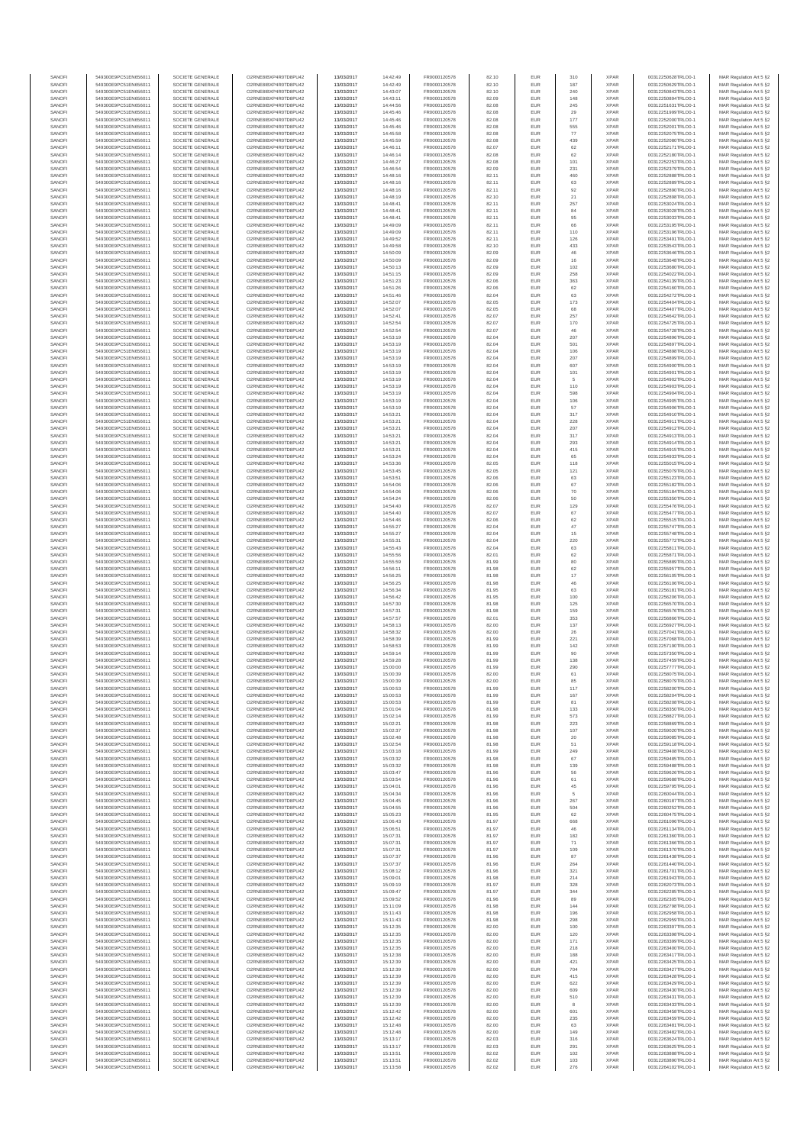| SANOFI           | 549300E9PC51EN656011                         | SOCIETE GENERALE                     | O2RNE8IBXP4R0TD8PU42                         | 13/03/2017               | 14:42:49             | FR0000120578                 | 82.10          | EUR               | 310        | <b>XPAR</b>                | 00312250628TRLO0-1                       | MAR Regulation Art 5 §2                             |
|------------------|----------------------------------------------|--------------------------------------|----------------------------------------------|--------------------------|----------------------|------------------------------|----------------|-------------------|------------|----------------------------|------------------------------------------|-----------------------------------------------------|
| SANOFI<br>SANOFI | 549300E9PC51EN656011<br>549300E9PC51EN656011 | SOCIETE GENERALE<br>SOCIETE GENERALE | O2RNE8IBXP4R0TD8PU42<br>O2RNE8IBXP4R0TD8PU42 | 13/03/2017<br>13/03/2017 | 14:42:49<br>14:43:07 | FR0000120578<br>FR0000120578 | 82.10          | EUR<br>EUR        | 187<br>240 | <b>XPAR</b><br><b>XPAR</b> | 00312250629TRLO0-1<br>00312250843TRLO0-1 | MAR Regulation Art 5 §2                             |
| SANOFI           | 549300E9PC51EN656011                         | SOCIETE GENERALE                     | O2RNE8IBXP4R0TD8PU42                         | 13/03/2017               | 14:43:11             | FR0000120578                 | 82.10<br>82.09 | EUR               | 148        | <b>XPAR</b>                | 00312250894TRLO0-1                       | MAR Regulation Art 5 §2<br>MAR Regulation Art 5 §2  |
| SANOFI           | 549300E9PC51EN656011                         | SOCIETE GENERALE                     | O2RNE8IBXP4R0TD8PU42                         | 13/03/2017               | 14:44:56             | FR0000120578                 | 82.08          | EUR               | 245        | <b>XPAR</b>                | 00312251631TRLO0-1                       | MAR Regulation Art 5 §2                             |
| SANOFI           | 549300E9PC51EN656011                         | SOCIETE GENERALE                     | O2RNE8IBXP4R0TD8PU42                         | 13/03/2017               | 14:45:46             | FR0000120578                 | 82.08          | EUR               | 29         | <b>XPAR</b>                | 00312251999TRLO0-1                       | MAR Regulation Art 5 §2                             |
| SANOFI<br>SANOFI | 549300E9PC51EN656011<br>549300E9PC51EN656011 | SOCIETE GENERALE<br>SOCIETE GENERALE | O2RNE8IBXP4R0TD8PU42<br>O2RNE8IBXP4R0TD8PU42 | 13/03/2017<br>13/03/2017 | 14:45:46<br>14:45:46 | FR0000120578<br>FR0000120578 | 82.08<br>82.08 | EUR<br>EUR        | 177<br>555 | <b>XPAR</b><br><b>XPAR</b> | 00312252000TRLO0-1<br>00312252001TRLO0-1 | MAR Regulation Art 5 §2<br>MAR Regulation Art 5 §2  |
| SANOFI           | 549300E9PC51EN656011                         | SOCIETE GENERALE                     | O2RNE8IBXP4R0TD8PU42                         | 13/03/2017               | 14:45:58             | FR0000120578                 | 82.08          | EUR               | 77         | <b>XPAR</b>                | 00312252075TRLO0-1                       | MAR Regulation Art 5 §2                             |
| SANOFI           | 549300E9PC51EN656011                         | SOCIETE GENERALE                     | O2RNE8IBXP4R0TD8PU42                         | 13/03/2017               | 14:45:59             | FR0000120578                 | 82.08          | EUR               | 439        | <b>XPAR</b>                | 00312252080TRLO0-1                       | MAR Regulation Art 5 §2                             |
| SANOFI<br>SANOFI | 549300E9PC51EN656011<br>549300E9PC51EN656011 | SOCIETE GENERALE<br>SOCIETE GENERALE | O2RNE8IBXP4R0TD8PU42<br>O2RNE8IBXP4R0TD8PU42 | 13/03/2017<br>13/03/2017 | 14:46:11<br>14:46:14 | FR0000120578<br>FR0000120578 | 82.07<br>82.08 | EUR<br>EUR        | 62<br>62   | <b>XPAR</b><br><b>XPAR</b> | 00312252171TRLO0-1<br>00312252180TRLO0-1 | MAR Regulation Art 5 §2<br>MAR Regulation Art 5 §2  |
| SANOFI           | 549300E9PC51EN656011                         | SOCIETE GENERALE                     | O2RNE8IBXP4R0TD8PU42                         | 13/03/2017               | 14:46:27             | FR0000120578                 | 82.08          | EUR               | 101        | <b>XPAR</b>                | 00312252253TRLO0-1                       | MAR Regulation Art 5 §2                             |
| SANOFI           | 549300E9PC51EN656011                         | SOCIETE GENERALE                     | O2RNE8IBXP4R0TD8PU42                         | 13/03/2017               | 14:46:54             | FR0000120578                 | 82.09          | EUR               | 231        | <b>XPAR</b>                | 00312252379TRLO0-1                       | MAR Regulation Art 5 §2                             |
| SANOFI           | 549300E9PC51EN656011                         | SOCIETE GENERALE                     | O2RNE8IBXP4R0TD8PU42                         | 13/03/2017               | 14:48:16             | FR0000120578                 | 82.11          | EUR               | 460        | <b>XPAR</b>                | 00312252888TRLO0-1                       | MAR Regulation Art 5 §2                             |
| SANOFI<br>SANOFI | 549300E9PC51EN656011<br>549300E9PC51EN656011 | SOCIETE GENERALE<br>SOCIETE GENERALE | O2RNE8IBXP4R0TD8PU42<br>O2RNE8IBXP4R0TD8PU42 | 13/03/2017<br>13/03/2017 | 14:48:16<br>14:48:16 | FR0000120578<br>FR0000120578 | 82.11<br>82.11 | EUR<br>EUR        | 63<br>92   | <b>XPAR</b><br><b>XPAR</b> | 00312252889TRLO0-1<br>00312252890TRLO0-1 | MAR Regulation Art 5 §2<br>MAR Regulation Art 5 §2  |
| SANOFI           | 549300E9PC51EN656011                         | SOCIETE GENERALE                     | O2RNE8IBXP4R0TD8PU42                         | 13/03/2017               | 14:48:19             | FR0000120578                 | 82.10          | EUR               | 21         | <b>XPAR</b>                | 00312252898TRLO0-1                       | MAR Regulation Art 5 §2                             |
| SANOFI           | 549300E9PC51EN656011                         | SOCIETE GENERALE                     | O2RNE8IBXP4R0TD8PU42                         | 13/03/2017               | 14:48:41             | FR0000120578                 | 82.11          | EUR               | 257        | <b>XPAR</b>                | 00312253024TRLO0-1                       | MAR Regulation Art 5 §2                             |
| SANOFI           | 549300E9PC51EN656011                         | SOCIETE GENERALE                     | O2RNE8IBXP4R0TD8PU42                         | 13/03/2017               | 14:48:41             | FR0000120578                 | 82.11          | EUR               | 84         | <b>XPAR</b>                | 00312253028TRLO0-1                       | MAR Regulation Art 5 §2                             |
| SANOFI<br>SANOFI | 549300E9PC51EN656011<br>549300E9PC51EN656011 | SOCIETE GENERALE<br>SOCIETE GENERALE | O2RNE8IBXP4R0TD8PU42<br>O2RNE8IBXP4R0TD8PU42 | 13/03/2017<br>13/03/2017 | 14:48:41<br>14:49:09 | FR0000120578<br>FR0000120578 | 82.11<br>82.11 | EUR<br>EUR        | 95<br>66   | <b>XPAR</b><br><b>XPAR</b> | 00312253033TRLO0-1<br>00312253195TRLO0-1 | MAR Regulation Art 5 §2<br>MAR Regulation Art 5 §2  |
| SANOFI           | 549300E9PC51EN656011                         | SOCIETE GENERALE                     | O2RNE8IBXP4R0TD8PU42                         | 13/03/2017               | 14:49:09             | FR0000120578                 | 82.11          | EUR               | 110        | <b>XPAR</b>                | 00312253196TRLO0-1                       | MAR Regulation Art 5 §2                             |
| SANOFI           | 549300E9PC51EN656011                         | SOCIETE GENERALE                     | O2RNE8IBXP4R0TD8PU42                         | 13/03/2017               | 14:49:52             | FR0000120578                 | 82.11          | EUR               | 126        | <b>XPAR</b>                | 00312253491TRLO0-1                       | MAR Regulation Art 5 §2                             |
| SANOFI<br>SANOFI | 549300E9PC51EN656011<br>549300E9PC51EN656011 | SOCIETE GENERALE<br>SOCIETE GENERALE | O2RNE8IBXP4R0TD8PU42<br>O2RNE8IBXP4R0TD8PU42 | 13/03/2017<br>13/03/2017 | 14:49:58<br>14:50:09 | FR0000120578<br>FR0000120578 | 82.10<br>82.09 | EUR<br>EUR        | 433<br>46  | <b>XPAR</b><br><b>XPAR</b> | 00312253543TRLO0-1<br>00312253646TRLO0-1 | MAR Regulation Art 5 §2<br>MAR Regulation Art 5 §2  |
| SANOFI           | 549300E9PC51EN656011                         | SOCIETE GENERALE                     | O2RNE8IBXP4R0TD8PU42                         | 13/03/2017               | 14:50:09             | FR0000120578                 | 82.09          | EUR               | 16         | <b>XPAR</b>                | 00312253648TRLO0-1                       | MAR Regulation Art 5 62                             |
| SANOFI           | 549300E9PC51EN656011                         | SOCIETE GENERALE                     | O2RNE8IBXP4R0TD8PU42                         | 13/03/2017               | 14:50:13             | FR0000120578                 | 82.09          | EUR               | 102        | <b>XPAR</b>                | 00312253680TRLO0-1                       | MAR Regulation Art 5 §2                             |
| SANOFI           | 549300E9PC51EN656011                         | SOCIETE GENERALE                     | O2RNE8IBXP4R0TD8PU42                         | 13/03/2017               | 14:51:15             | FR0000120578                 | 82.09          | EUR               | 258        | <b>XPAR</b>                | 00312254022TRLO0-1                       | MAR Regulation Art 5 §2                             |
| SANOFI<br>SANOFI | 549300E9PC51EN656011<br>549300E9PC51EN656011 | SOCIETE GENERALE<br>SOCIETE GENERALE | O2RNE8IBXP4R0TD8PU42<br>O2RNE8IBXP4R0TD8PU42 | 13/03/2017<br>13/03/2017 | 14:51:23<br>14:51:26 | FR0000120578<br>FR0000120578 | 82.06<br>82.06 | EUR<br>EUR        | 363<br>62  | <b>XPAR</b><br><b>XPAR</b> | 00312254139TRLO0-1<br>00312254160TRLO0-1 | MAR Regulation Art 5 §2<br>MAR Regulation Art 5 §2  |
| SANOFI           | 549300E9PC51EN656011                         | SOCIETE GENERALE                     | O2RNE8IBXP4R0TD8PU42                         | 13/03/2017               | 14:51:46             | FR0000120578                 | 82.04          | EUR               | 63         | <b>XPAR</b>                | 00312254272TRLO0-1                       | MAR Regulation Art 5 §2                             |
| SANOFI           | 549300E9PC51EN656011                         | SOCIETE GENERALE                     | O2RNE8IBXP4R0TD8PU42                         | 13/03/2017               | 14:52:07             | FR0000120578                 | 82.05          | EUR               | 173        | <b>XPAR</b>                | 00312254404TRLO0-1                       | MAR Regulation Art 5 §2                             |
| SANOFI<br>SANOFI | 549300E9PC51EN656011<br>549300E9PC51EN656011 | SOCIETE GENERALE<br>SOCIETE GENERALE | O2RNE8IBXP4R0TD8PU42<br>O2RNE8IBXP4R0TD8PU42 | 13/03/2017<br>13/03/2017 | 14:52:07<br>14:52:41 | FR0000120578<br>FR0000120578 | 82.05<br>82.07 | EUR<br>EUR        | 68<br>257  | <b>XPAR</b><br><b>XPAR</b> | 00312254407TRLO0-1<br>00312254642TRLO0-1 | MAR Regulation Art 5 \$2                            |
| SANOFI           | 549300E9PC51EN656011                         | SOCIETE GENERALE                     | O2RNE8IBXP4R0TD8PU42                         | 13/03/2017               | 14:52:54             | FR0000120578                 | 82.07          | EUR               | 170        | <b>XPAR</b>                | 00312254725TRLO0-1                       | MAR Regulation Art 5 §2<br>MAR Regulation Art 5 §2  |
| SANOFI           | 549300E9PC51EN656011                         | SOCIETE GENERALE                     | O2RNE8IBXP4R0TD8PU42                         | 13/03/2017               | 14:52:54             | FR0000120578                 | 82.07          | EUR               | 46         | <b>XPAR</b>                | 00312254728TRLO0-1                       | MAR Regulation Art 5 §2                             |
| SANOFI           | 549300E9PC51EN656011                         | SOCIETE GENERALE                     | O2RNE8IBXP4R0TD8PU42                         | 13/03/2017               | 14:53:19             | FR0000120578                 | 82.04          | EUR               | 207        | <b>XPAR</b>                | 00312254896TRLO0-1                       | MAR Regulation Art 5 §2                             |
| SANOFI<br>SANOFI | 549300E9PC51EN656011<br>549300E9PC51EN656011 | SOCIETE GENERALE<br>SOCIETE GENERALE | O2RNE8IBXP4R0TD8PU42<br>O2RNE8IBXP4R0TD8PU42 | 13/03/2017<br>13/03/2017 | 14:53:19<br>14:53:19 | FR0000120578<br>FR0000120578 | 82.04<br>82.04 | EUR<br>EUR        | 501<br>106 | <b>XPAR</b><br><b>XPAR</b> | 00312254897TRLO0-1<br>00312254898TRLO0-1 | MAR Regulation Art 5 §2<br>MAR Regulation Art 5 §2  |
| SANOFI           | 549300E9PC51EN656011                         | SOCIETE GENERALE                     | O2RNE8IBXP4R0TD8PU42                         | 13/03/2017               | 14:53:19             | FR0000120578                 | 82.04          | EUR               | 207        | <b>XPAR</b>                | 00312254899TRLO0-1                       | MAR Regulation Art 5 §2                             |
| SANOFI           | 549300E9PC51EN656011                         | SOCIETE GENERALE                     | O2RNE8IBXP4R0TD8PU42                         | 13/03/2017               | 14:53:19             | FR0000120578                 | 82.04          | EUR               | 607        | <b>XPAR</b>                | 00312254900TRLO0-1                       | MAR Regulation Art 5 §2                             |
| SANOFI           | 549300E9PC51EN656011                         | SOCIETE GENERALE<br>SOCIETE GENERALE | O2RNE8IBXP4R0TD8PU42                         | 13/03/2017               | 14:53:19             | FR0000120578<br>FR0000120578 | 82.04          | EUR               | 101        | <b>XPAR</b>                | 00312254901TRLO0-1                       | MAR Regulation Art 5 §2                             |
| SANOFI<br>SANOFI | 549300E9PC51EN656011<br>549300E9PC51EN656011 | SOCIETE GENERALE                     | O2RNE8IBXP4R0TD8PU42<br>O2RNE8IBXP4R0TD8PU42 | 13/03/2017<br>13/03/2017 | 14:53:19<br>14:53:19 | FR0000120578                 | 82.04<br>82.04 | EUR<br>EUR        | 5<br>110   | <b>XPAR</b><br><b>XPAR</b> | 00312254902TRLO0-1<br>00312254903TRLO0-1 | MAR Regulation Art 5 §2<br>MAR Regulation Art 5 §2  |
| SANOFI           | 549300E9PC51EN656011                         | SOCIETE GENERALE                     | O2RNE8IBXP4R0TD8PU42                         | 13/03/2017               | 14:53:19             | FR0000120578                 | 82.04          | EUR               | 598        | <b>XPAR</b>                | 00312254904TRLO0-1                       | MAR Regulation Art 5 §2                             |
| SANOFI           | 549300E9PC51EN656011                         | SOCIETE GENERALE                     | O2RNE8IBXP4R0TD8PU42                         | 13/03/2017               | 14:53:19             | FR0000120578                 | 82.04          | EUR               | 106        | <b>XPAR</b>                | 00312254905TRLO0-1                       | MAR Regulation Art 5 §2                             |
| SANOFI<br>SANOFI | 549300E9PC51EN656011<br>549300E9PC51EN656011 | SOCIETE GENERALE<br>SOCIETE GENERALE | O2RNE8IBXP4R0TD8PU42<br>O2RNE8IBXP4R0TD8PU42 | 13/03/2017<br>13/03/2017 | 14:53:19<br>14:53:21 | FR0000120578<br>FR0000120578 | 82.04<br>82.04 | EUR<br>EUR        | 57<br>317  | <b>XPAR</b><br><b>XPAR</b> | 00312254906TRLO0-1<br>00312254910TRLO0-1 | MAR Regulation Art 5 §2                             |
| SANOFI           | 549300E9PC51EN656011                         | SOCIETE GENERALE                     | O2RNE8IBXP4R0TD8PLI42                        | 13/03/2017               | 14:53:21             | FR0000120578                 | 82.04          | EUR               | 228        | <b>XPAR</b>                | 00312254911TRLO0-1                       | MAR Regulation Art 5 §2<br>MAR Regulation Art 5 §2  |
| SANOFI           | 549300E9PC51EN656011                         | SOCIETE GENERALE                     | O2RNE8IBXP4R0TD8PU42                         | 13/03/2017               | 14:53:21             | FR0000120578                 | 82.04          | EUR               | 207        | <b>XPAR</b>                | 00312254912TRLO0-1                       | MAR Regulation Art 5 §2                             |
| SANOFI           | 549300E9PC51EN656011                         | SOCIETE GENERALE                     | O2RNE8IBXP4R0TD8PU42                         | 13/03/2017               | 14:53:21             | FR0000120578                 | 82.04          | EUR               | 317        | <b>XPAR</b>                | 00312254913TRLO0-1                       | MAR Regulation Art 5 §2                             |
| SANOFI<br>SANOFI | 549300E9PC51EN656011<br>549300E9PC51EN656011 | SOCIETE GENERALE<br>SOCIETE GENERALE | O2RNE8IBXP4R0TD8PU42<br>O2RNE8IBXP4R0TD8PU42 | 13/03/2017               | 14:53:21             | FR0000120578<br>FR0000120578 | 82.04<br>82.04 | EUR<br>EUR        | 293<br>415 | <b>XPAR</b><br><b>XPAR</b> | 00312254914TRLO0-1<br>00312254915TRLO0-1 | MAR Regulation Art 5 §2<br>MAR Regulation Art 5 §2  |
| SANOFI           | 549300E9PC51EN656011                         | SOCIETE GENERALE                     | O2RNE8IBXP4R0TD8PU42                         | 13/03/2017<br>13/03/2017 | 14:53:21<br>14:53:24 | FR0000120578                 | 82.04          | EUR               | 65         | <b>XPAR</b>                | 00312254933TRLO0-1                       | MAR Regulation Art 5 §2                             |
| SANOFI           | 549300E9PC51EN656011                         | SOCIETE GENERALE                     | O2RNE8IBXP4R0TD8PU42                         | 13/03/2017               | 14:53:36             | FR0000120578                 | 82.05          | EUR               | 118        | <b>XPAR</b>                | 00312255015TRLO0-1                       | MAR Regulation Art 5 §2                             |
| SANOFI           | 549300E9PC51EN656011                         | SOCIETE GENERALE                     | O2RNE8IBXP4R0TD8PU42                         | 13/03/2017               | 14:53:45             | FR0000120578                 | 82.05          | EUR               | 121        | <b>XPAR</b>                | 00312255079TRLO0-1                       | MAR Regulation Art 5 §2                             |
| SANOFI<br>SANOFI | 549300E9PC51EN656011<br>549300E9PC51EN656011 | SOCIETE GENERALE<br>SOCIETE GENERALE | O2RNE8IBXP4R0TD8PU42<br>O2RNE8IBXP4R0TD8PU42 | 13/03/2017<br>13/03/2017 | 14:53:51<br>14:54:06 | FR0000120578<br>FR0000120578 | 82.06<br>82.06 | EUR<br>EUR        | 63<br>67   | <b>XPAR</b><br><b>XPAR</b> | 00312255123TRLO0-1<br>00312255182TRLO0-1 | MAR Regulation Art 5 §2<br>MAR Regulation Art 5 §2  |
| SANOFI           | 549300E9PC51EN656011                         | SOCIETE GENERALE                     | O2RNE8IBXP4R0TD8PU42                         | 13/03/2017               | 14:54:06             | FR0000120578                 | 82.06          | EUR               | 70         | <b>XPAR</b>                | 00312255184TRLO0-1                       | MAR Regulation Art 5 §2                             |
| SANOFI           | 549300E9PC51EN656011                         | SOCIETE GENERALE                     | O2RNE8IBXP4R0TD8PU42                         | 13/03/2017               | 14:54:24             | FR0000120578                 | 82.06          | EUR               | 50         | <b>XPAR</b>                | 00312255350TRLO0-1                       | MAR Regulation Art 5 §2                             |
| SANOFI           | 549300E9PC51EN656011                         | SOCIETE GENERALE                     | O2RNE8IBXP4R0TD8PU42                         | 13/03/2017               | 14:54:40             | FR0000120578                 | 82.07          | EUR               | 129        | <b>XPAR</b>                | 00312255476TRLO0-1                       | MAR Regulation Art 5 §2                             |
| SANOFI<br>SANOFI | 549300E9PC51EN656011<br>549300E9PC51EN656011 | SOCIETE GENERALE<br>SOCIETE GENERALE | O2RNE8IBXP4R0TD8PU42<br>O2RNE8IBXP4R0TD8PU42 | 13/03/2017<br>13/03/2017 | 14:54:40<br>14:54:46 | FR0000120578<br>FR0000120578 | 82.07<br>82.06 | EUR<br>EUR        | 67<br>62   | <b>XPAR</b><br><b>XPAR</b> | 00312255477TRLO0-1<br>00312255515TRLO0-1 | MAR Regulation Art 5 §2<br>MAR Regulation Art 5 §2  |
| SANOFI           | 549300E9PC51EN656011                         | SOCIETE GENERALE                     | O2RNE8IBXP4R0TD8PU42                         | 13/03/2017               | 14:55:27             | FR0000120578                 | 82.04          | EUR               | $47\,$     | <b>XPAR</b>                | 00312255747TRLO0-1                       | MAR Regulation Art 5 §2                             |
| SANOFI           | 549300E9PC51EN656011                         | SOCIETE GENERALE                     | O2RNE8IBXP4R0TD8PU42                         | 13/03/2017               | 14:55:27             | FR0000120578                 | 82.04          | EUR               | 15         | <b>XPAR</b>                | 00312255748TRLO0-1                       | MAR Regulation Art 5 §2                             |
| SANOFI           | 549300E9PC51EN656011                         | SOCIETE GENERALE                     | O2RNE8IBXP4R0TD8PU42                         | 13/03/2017               | 14:55:31             | FR0000120578                 | 82.04          | EUR<br>EUR        | 220        | <b>XPAR</b>                | 00312255772TRLO0-1                       | MAR Regulation Art 5 §2                             |
| SANOFI<br>SANOFI | 549300E9PC51EN656011<br>549300E9PC51EN656011 | SOCIETE GENERALE<br>SOCIETE GENERALE | O2RNE8IBXP4R0TD8PU42<br>O2RNE8IBXP4R0TD8PU42 | 13/03/2017<br>13/03/2017 | 14:55:43<br>14:55:56 | FR0000120578<br>FR0000120578 | 82.04<br>82.01 | EUR               | 63<br>62   | <b>XPAR</b><br><b>XPAR</b> | 00312255811TRLO0-1<br>00312255871TRLO0-1 | MAR Regulation Art 5 §2<br>MAR Regulation Art 5 §2  |
| SANOFI           | 549300E9PC51EN656011                         | SOCIETE GENERALE                     | O2RNE8IBXP4R0TD8PU42                         | 13/03/2017               | 14:55:59             | FR0000120578                 | 81.99          | EUR               | 80         | <b>XPAR</b>                | 00312255889TRLO0-1                       | MAR Regulation Art 5 §2                             |
| SANOFI           | 549300E9PC51EN656011                         | SOCIETE GENERALE                     | O2RNE8IBXP4R0TD8PU42                         | 13/03/2017               | 14:56:11             | FR0000120578                 | 81.98          | EUR               | 62         | <b>XPAR</b>                | 00312255957TRLO0-1                       | MAR Regulation Art 5 §2                             |
| SANOFI<br>SANOFI | 549300E9PC51EN656011<br>549300E9PC51EN656011 | SOCIETE GENERALE<br>SOCIETE GENERALE | O2RNE8IBXP4R0TD8PU42<br>O2RNE8IBXP4R0TD8PU42 | 13/03/2017<br>13/03/2017 | 14:56:25<br>14:56:25 | FR0000120578<br>FR0000120578 | 81.98<br>81.98 | EUR<br>EUR        | $17$<br>46 | <b>XPAR</b><br><b>XPAR</b> | 00312256105TRLO0-1<br>00312256106TRLO0-1 | MAR Regulation Art 5 §2<br>MAR Regulation Art 5 §2  |
| SANOFI           | 549300E9PC51EN656011                         | SOCIETE GENERALE                     | O2RNE8IBXP4R0TD8PU42                         | 13/03/2017               | 14:56:34             | FR0000120578                 | 81.95          | EUR               | 63         | <b>XPAR</b>                | 00312256181TRLO0-1                       | MAR Regulation Art 5 §2                             |
| SANOFI           | 549300E9PC51EN656011                         | SOCIETE GENERALE                     | O2RNE8IBXP4R0TD8PU42                         | 13/03/2017               | 14:56:42             | FR0000120578                 | 81.95          | EUR               | 100        | <b>XPAR</b>                | 00312256206TRLO0-1                       | MAR Regulation Art 5 §2                             |
| SANOFI           | 549300E9PC51EN656011                         | SOCIETE GENERALE                     | O2RNE8IBXP4R0TD8PU42                         | 13/03/2017               | 14:57:30             | FR0000120578                 | 81.98          | EUR               | 125        | <b>XPAR</b>                | 00312256570TRLO0-1                       | MAR Regulation Art 5 §2                             |
| SANOFI<br>SANOFI | 549300E9PC51EN656011<br>549300E9PC51EN656011 | SOCIETE GENERALE<br>SOCIETE GENERALE | O2RNE8IBXP4R0TD8PU42<br>O2RNE8IBXP4R0TD8PU42 | 13/03/2017<br>13/03/2017 | 14:57:31<br>14:57:57 | FR0000120578<br>FR0000120578 | 81.98<br>82.01 | EUR<br>EUR        | 159<br>353 | <b>XPAR</b><br><b>XPAR</b> | 00312256576TRLO0-1<br>00312256866TRLO0-1 | MAR Regulation Art 5 §2<br>MAR Regulation Art 5 §2  |
| SANOFI           | 549300E9PC51EN656011                         | SOCIETE GENERALE                     | O2RNE8IBXP4R0TD8PU42                         | 13/03/2017               | 14:58:13             | FR0000120578                 | 82.00          | EUR               | 137        | <b>XPAR</b>                | 00312256927TRLO0-1                       | MAR Regulation Art 5 §2                             |
| SANOFI           | 549300E9PC51EN656011                         | SOCIETE GENERALE                     | O2RNE8IBXP4R0TD8PU42                         | 13/03/2017               | 14:58:32             | FR0000120578                 | 82.00          | EUR               | 26         | <b>XPAR</b>                | 00312257041TRLO0-1                       | MAR Regulation Art 5 §2                             |
| SANOFI           | 549300E9PC51EN656011                         | SOCIETE GENERALE                     | O2RNE8IBXP4R0TD8PU42                         | 13/03/2017               | 14:58:39             | FR0000120578                 | 81.99          | EUR               | 221        | <b>XPAR</b>                | 00312257068TRLO0-1                       | MAR Regulation Art 5 §2                             |
| SANOFI<br>SANOFI | 549300E9PC51EN656011<br>549300E9PC51EN656011 | SOCIETE GENERALE<br>SOCIETE GENERALE | O2RNE8IBXP4R0TD8PU42<br>O2RNE8IBXP4R0TD8PU42 | 13/03/2017<br>13/03/2017 | 14:58:53<br>14:59:14 | FR0000120578<br>FR0000120578 | 81.99<br>81.99 | EUR<br>EUR        | 142<br>90  | <b>XPAR</b><br><b>XPAR</b> | 00312257190TRLO0-1<br>00312257350TRLO0-1 | MAR Regulation Art 5 §2<br>MAR Regulation Art 5 §2  |
| SANOFI           | 549300E9PC51EN656011                         | SOCIETE GENERALE                     | O2RNE8IBXP4R0TD8PU42                         | 13/03/2017               | 14:59:28             | FR0000120578                 | 81.99          | EUR               | 138        | <b>XPAR</b>                | 00312257459TRLO0-1                       | MAR Regulation Art 5 \$2                            |
| SANOFI           | 549300E9PC51EN656011                         | SOCIETE GENERALE                     | O2RNE8IBXP4R0TD8PU42                         | 13/03/2017               | 15:00:00             | FR0000120578                 | 81.99          | EUR               | 290        | <b>XPAR</b>                | 00312257777TRLO0-1                       | MAR Regulation Art 5 §2                             |
| SANOFI<br>SANOFI | 549300E9PC51EN656011<br>549300E9PC51EN656011 | SOCIETE GENERALE<br>SOCIETE GENERALE | O2RNE8IBXP4R0TD8PU42<br>O2RNE8IBXP4R0TD8PU42 | 13/03/2017<br>13/03/2017 | 15:00:39<br>15:00:39 | FR0000120578<br>FR0000120578 | 82.00<br>82.00 | <b>EUR</b><br>EUR | 61<br>85   | <b>XPAR</b><br><b>XPAR</b> | 00312258075TRLO0-1<br>00312258079TRLO0-1 | MAR Regulation Art 5 §2<br>MAR Regulation Art 5 §2  |
| SANOFI           | 549300E9PC51EN656011                         | SOCIETE GENERALE                     | O2RNE8IBXP4R0TD8PU42                         | 13/03/2017               | 15:00:53             | FR0000120578                 | 81.99          | EUR               | 117        | <b>XPAR</b>                | 00312258200TRLO0-1                       | MAR Regulation Art 5 §2                             |
| SANOFI           | 549300E9PC51EN656011                         | SOCIETE GENERALE                     | O2RNE8IBXP4R0TD8PU42                         | 13/03/2017               | 15:00:53             | FR0000120578                 | 81.99          | EUR               | 167        | <b>XPAR</b>                | 00312258204TRLO0-1                       | MAR Regulation Art 5 §2                             |
| SANOFI           | 549300E9PC51EN656011                         | SOCIETE GENERALE                     | O2RNE8IBXP4R0TD8PU42                         | 13/03/2017               | 15:00:53             | FR0000120578                 | 81.99          | EUR               | 81         | <b>XPAR</b>                | 00312258208TRLO0-1                       | MAR Regulation Art 5 §2                             |
| SANOFI<br>SANOFI | 549300E9PC51EN656011<br>549300E9PC51EN656011 | SOCIETE GENERALE<br>SOCIETE GENERALE | O2RNE8IBXP4R0TD8PU42<br>O2RNE8IBXP4R0TD8PU42 | 13/03/2017<br>13/03/2017 | 15:01:04<br>15:02:14 | FR0000120578<br>FR0000120578 | 81.98<br>81.99 | EUR<br>EUR        | 133<br>573 | <b>XPAR</b><br><b>XPAR</b> | 00312258350TRLO0-1<br>00312258827TRLO0-1 | MAR Regulation Art 5 §2<br>MAR Regulation Art 5 §2  |
| SANOFI           | 549300E9PC51EN656011                         | SOCIETE GENERALE                     | O2RNE8IBXP4R0TD8PU42                         | 13/03/2017               | 15:02:21             | FR0000120578                 | 81.98          | EUR               | 223        | <b>XPAR</b>                | 00312258869TRLO0-1                       | MAR Regulation Art 5 §2                             |
| SANOFI           | 549300E9PC51EN656011                         | SOCIETE GENERALE                     | O2RNE8IBXP4R0TD8PU42                         | 13/03/2017               | 15:02:37             | FR0000120578                 | 81.98          | EUR               | 107        | <b>XPAR</b>                | 00312259020TRLO0-1                       | MAR Regulation Art 5 §2                             |
| SANOFI<br>SANOFI | 549300E9PC51EN656011<br>549300E9PC51EN656011 | SOCIETE GENERALE<br>SOCIETE GENERALE | O2RNE8IBXP4R0TD8PU42<br>O2RNE8IBXP4R0TD8PU42 | 13/03/2017               | 15:02:48<br>15:02:54 | FR0000120578                 | 81.98<br>81.98 | EUR<br>EUR        | 20<br>51   | <b>XPAR</b><br><b>XPAR</b> | 00312259085TRLO0-1<br>00312259118TRLO0-1 | MAR Regulation Art 5 \$2<br>MAR Regulation Art 5 §2 |
| SANOFI           | 549300E9PC51EN656011                         | SOCIETE GENERALE                     | O2RNE8IBXP4R0TD8PU42                         | 13/03/2017<br>13/03/2017 | 15:03:18             | FR0000120578<br>FR0000120578 | 81.99          | EUR               | 249        | <b>XPAR</b>                | 00312259408TRLO0-1                       | MAR Regulation Art 5 §2                             |
| SANOFI           | 549300E9PC51EN656011                         | SOCIETE GENERALE                     | O2RNE8IBXP4R0TD8PU42                         | 13/03/2017               | 15:03:32             | FR0000120578                 | 81.98          | EUR               | 67         | <b>XPAR</b>                | 00312259485TRLO0-1                       | MAR Regulation Art 5 §2                             |
| SANOFI           | 549300E9PC51EN656011                         | SOCIETE GENERALE                     | O2RNE8IBXP4R0TD8PU42                         | 13/03/2017               | 15:03:32             | FR0000120578                 | 81.98          | EUR               | 139        | <b>XPAR</b>                | 00312259488TRLO0-1                       | MAR Regulation Art 5 §2                             |
| SANOFI<br>SANOFI | 549300E9PC51EN656011<br>549300E9PC51EN656011 | SOCIETE GENERALE<br>SOCIETE GENERALE | O2RNE8IBXP4R0TD8PU42<br>O2RNE8IBXP4R0TD8PU42 | 13/03/2017<br>13/03/2017 | 15:03:47<br>15:03:54 | FR0000120578<br>FR0000120578 | 81.96<br>81.96 | EUR<br>EUR        | 56<br>61   | <b>XPAR</b><br><b>XPAR</b> | 00312259626TRLO0-1<br>00312259688TRLO0-1 | MAR Regulation Art 5 §2<br>MAR Regulation Art 5 §2  |
| SANOFI           | 549300E9PC51EN656011                         | SOCIETE GENERALE                     | O2RNE8IBXP4R0TD8PU42                         | 13/03/2017               | 15:04:01             | FR0000120578                 | 81.96          | EUR               | 45         | <b>XPAR</b>                | 00312259795TRLO0-1                       | MAR Regulation Art 5 §2                             |
| SANOFI           | 549300E9PC51EN656011                         | SOCIETE GENERALE                     | O2RNE8IBXP4R0TD8PU42                         | 13/03/2017               | 15:04:34             | FR0000120578                 | 81.96          | EUR               |            | <b>XPAR</b>                | 00312260044TRLO0-1                       | MAR Regulation Art 5 §2                             |
| SANOFI<br>SANOFI | 549300E9PC51EN656011<br>549300E9PC51EN656011 | SOCIETE GENERALE<br>SOCIETE GENERALE | O2RNE8IBXP4R0TD8PU42<br>O2RNE8IBXP4R0TD8PU42 | 13/03/2017<br>13/03/2017 | 15:04:45<br>15:04:55 | FR0000120578<br>FR0000120578 | 81.96<br>81.96 | EUR<br>EUR        | 267<br>504 | <b>XPAR</b><br><b>XPAR</b> | 00312260187TRLO0-1<br>00312260252TRLO0-1 | MAR Regulation Art 5 §2<br>MAR Regulation Art 5 §2  |
| SANOFI           | 549300E9PC51EN656011                         | SOCIETE GENERALE                     | O2RNE8IBXP4R0TD8PU42                         | 13/03/2017               | 15:05:23             | FR0000120578                 | 81.95          | EUR               | 62         | <b>XPAR</b>                | 00312260475TRLO0-1                       | MAR Regulation Art 5 §2                             |
| SANOFI           | 549300E9PC51EN656011                         | SOCIETE GENERALE                     | O2RNE8IBXP4R0TD8PU42                         | 13/03/2017               | 15:06:43             | FR0000120578                 | 81.97          | EUR               | 668        | <b>XPAR</b>                | 00312261096TRLO0-1                       | MAR Regulation Art 5 §2                             |
| SANOFI<br>SANOFI | 549300E9PC51EN656011<br>549300E9PC51EN656011 | SOCIETE GENERALE<br>SOCIETE GENERALE | O2RNE8IBXP4R0TD8PU42<br>O2RNE8IBXP4R0TD8PU42 | 13/03/2017<br>13/03/2017 | 15:06:51<br>15:07:31 | FR0000120578<br>FR0000120578 | 81.97<br>81.97 | EUR<br>EUR        | 46<br>182  | <b>XPAR</b><br><b>XPAR</b> | 00312261134TRLO0-1<br>00312261360TRLO0-1 | MAR Regulation Art 5 §2<br>MAR Regulation Art 5 §2  |
| SANOFI           | 549300E9PC51EN656011                         | SOCIETE GENERALE                     | O2RNE8IBXP4R0TD8PU42                         | 13/03/2017               | 15:07:31             | FR0000120578                 | 81.97          | EUR               | 71         | <b>XPAR</b>                | 00312261366TRLO0-1                       | MAR Regulation Art 5 §2                             |
| SANOFI           | 549300E9PC51EN656011                         | SOCIETE GENERALE                     | O2RNE8IBXP4R0TD8PU42                         | 13/03/2017               | 15:07:31             | FR0000120578                 | 81.97          | EUR               | 109        | <b>XPAR</b>                | 00312261370TRLO0-1                       | MAR Regulation Art 5 §2                             |
| SANOFI           | 549300E9PC51EN656011                         | SOCIETE GENERALE                     | O2RNE8IBXP4R0TD8PU42                         | 13/03/2017               | 15:07:37             | FR0000120578                 | 81.96          | EUR               | 87         | <b>XPAR</b>                | 00312261438TRLO0-1                       | MAR Regulation Art 5 §2                             |
| SANOFI<br>SANOFI | 549300E9PC51EN656011<br>549300E9PC51EN656011 | SOCIETE GENERALE<br>SOCIETE GENERALE | O2RNE8IBXP4R0TD8PU42<br>O2RNE8IBXP4R0TD8PU42 | 13/03/2017<br>13/03/2017 | 15:07:37<br>15:08:12 | FR0000120578<br>FR0000120578 | 81.96<br>81.96 | EUR<br>EUR        | 264<br>321 | <b>XPAR</b><br><b>XPAR</b> | 00312261440TRLO0-1<br>00312261701TRLO0-1 | MAR Regulation Art 5 §2<br>MAR Regulation Art 5 §2  |
| SANOFI           | 549300E9PC51EN656011                         | SOCIETE GENERALE                     | O2RNE8IBXP4R0TD8PU42                         | 13/03/2017               | 15:09:01             | FR0000120578                 | 81.98          | EUR               | 214        | <b>XPAR</b>                | 00312261943TRLO0-1                       | MAR Regulation Art 5 §2                             |
| SANOFI           | 549300E9PC51EN656011                         | SOCIETE GENERALE                     | O2RNE8IBXP4R0TD8PU42                         | 13/03/2017               | 15:09:19             | FR0000120578                 | 81.97          | EUR               | 328        | <b>XPAR</b>                | 00312262073TRLO0-1                       | MAR Regulation Art 5 §2                             |
| SANOFI<br>SANOFI | 549300E9PC51EN656011<br>549300E9PC51EN656011 | SOCIETE GENERALE<br>SOCIETE GENERALE | O2RNE8IBXP4R0TD8PU42<br>O2RNE8IBXP4R0TD8PU42 | 13/03/2017<br>13/03/2017 | 15:09:47<br>15:09:52 | FR0000120578<br>FR0000120578 | 81.97<br>81.96 | EUR<br>EUR        | 344<br>89  | <b>XPAR</b><br><b>XPAR</b> | 00312262285TRLO0-1<br>00312262305TRLO0-1 | MAR Regulation Art 5 §2<br>MAR Regulation Art 5 §2  |
| SANOFI           | 549300E9PC51EN656011                         | SOCIETE GENERALE                     | O2RNE8IBXP4R0TD8PU42                         | 13/03/2017               | 15:11:09             | FR0000120578                 | 81.98          | EUR               | 144        | <b>XPAR</b>                | 00312262798TRLO0-1                       | MAR Regulation Art 5 §2                             |
| SANOFI           | 549300E9PC51EN656011                         | SOCIETE GENERALE                     | O2RNE8IBXP4R0TD8PU42                         | 13/03/2017               | 15:11:43             | FR0000120578                 | 81.98          | EUR               | 196        | <b>XPAR</b>                | 00312262958TRLO0-1                       | MAR Regulation Art 5 §2                             |
| SANOFI           | 549300E9PC51EN656011                         | SOCIETE GENERALE                     | O2RNE8IBXP4R0TD8PU42                         | 13/03/2017               | 15:11:43             | FR0000120578                 | 81.98          | EUR               | 298        | <b>XPAR</b>                | 00312262959TRLO0-1                       | MAR Regulation Art 5 §2                             |
| SANOFI<br>SANOFI | 549300E9PC51EN656011<br>549300E9PC51EN656011 | SOCIETE GENERALE<br>SOCIETE GENERALE | O2RNE8IBXP4R0TD8PU42<br>O2RNE8IBXP4R0TD8PU42 | 13/03/2017<br>13/03/2017 | 15:12:35<br>15:12:35 | FR0000120578<br>FR0000120578 | 82.00<br>82.00 | EUR<br>EUR        | 100<br>120 | <b>XPAR</b><br><b>XPAR</b> | 00312263397TRLO0-1<br>00312263398TRLO0-1 | MAR Regulation Art 5 §2<br>MAR Regulation Art 5 §2  |
| SANOFI           | 549300E9PC51EN656011                         | SOCIETE GENERALE                     | O2RNE8IBXP4R0TD8PU42                         | 13/03/2017               | 15:12:35             | FR0000120578                 | 82.00          | EUR               | 171        | <b>XPAR</b>                | 00312263399TRLO0-1                       | MAR Regulation Art 5 §2                             |
| SANOFI           | 549300E9PC51EN656011                         | SOCIETE GENERALE                     | O2RNE8IBXP4R0TD8PU42                         | 13/03/2017               | 15:12:35             | FR0000120578                 | 82.00          | EUR               | 218        | <b>XPAR</b>                | 00312263400TRLO0-1                       | MAR Regulation Art 5 §2                             |
| SANOFI           | 549300E9PC51EN656011                         | SOCIETE GENERALE                     | O2RNE8IBXP4R0TD8PU42                         | 13/03/2017               | 15:12:38             | FR0000120578                 | 82.00          | EUR               | 188        | <b>XPAR</b>                | 00312263417TRLO0-1                       | MAR Regulation Art 5 §2                             |
| SANOFI<br>SANOFI | 549300E9PC51EN656011<br>549300E9PC51EN656011 | SOCIETE GENERALE<br>SOCIETE GENERALE | O2RNE8IBXP4R0TD8PU42<br>O2RNE8IBXP4R0TD8PU42 | 13/03/2017<br>13/03/2017 | 15:12:39<br>15:12:39 | FR0000120578<br>FR0000120578 | 82.00<br>82.00 | EUR<br>EUR        | 421<br>704 | <b>XPAR</b><br><b>XPAR</b> | 00312263425TRLO0-1<br>00312263427TRLO0-1 | MAR Regulation Art 5 §2<br>MAR Regulation Art 5 §2  |
| SANOFI           | 549300E9PC51EN656011                         | SOCIETE GENERALE                     | O2RNE8IBXP4R0TD8PU42                         | 13/03/2017               | 15:12:39             | FR0000120578                 | 82.00          | EUR               | 415        | <b>XPAR</b>                | 00312263428TRLO0-1                       | MAR Regulation Art 5 §2                             |
| SANOFI           | 549300E9PC51EN656011                         | SOCIETE GENERALE                     | O2RNE8IBXP4R0TD8PU42                         | 13/03/2017               | 15:12:39             | FR0000120578                 | 82.00          | EUR               | 622        | <b>XPAR</b>                | 00312263429TRLO0-1                       | MAR Regulation Art 5 §2                             |
| SANOFI<br>SANOFI | 549300E9PC51EN656011<br>549300E9PC51EN656011 | SOCIETE GENERALE<br>SOCIETE GENERALE | O2RNE8IBXP4R0TD8PU42<br>O2RNE8IBXP4R0TD8PU42 | 13/03/2017<br>13/03/2017 | 15:12:39<br>15:12:39 | FR0000120578<br>FR0000120578 | 82.00<br>82.00 | EUR<br>EUR        | 609<br>510 | <b>XPAR</b><br><b>XPAR</b> | 00312263430TRLO0-1<br>00312263431TRLO0-1 | MAR Regulation Art 5 §2                             |
| SANOFI           | 549300E9PC51EN656011                         | SOCIETE GENERALE                     | O2RNE8IBXP4R0TD8PU42                         | 13/03/2017               | 15:12:39             | FR0000120578                 | 82.00          | EUR               | 8          | <b>XPAR</b>                | 00312263433TRLO0-1                       | MAR Regulation Art 5 §2<br>MAR Regulation Art 5 §2  |
| SANOFI           | 549300E9PC51EN656011                         | SOCIETE GENERALE                     | O2RNE8IBXP4R0TD8PU42                         | 13/03/2017               | 15:12:42             | FR0000120578                 | 82.00          | EUR               | 601        | <b>XPAR</b>                | 00312263458TRLO0-1                       | MAR Regulation Art 5 §2                             |
| SANOFI           | 549300E9PC51EN656011                         | SOCIETE GENERALE                     | O2RNE8IBXP4R0TD8PU42                         | 13/03/2017               | 15:12:42             | FR0000120578                 | 82.00          | EUR               | 235        | <b>XPAR</b>                | 00312263459TRLO0-1                       | MAR Regulation Art 5 §2                             |
| SANOFI<br>SANOFI | 549300E9PC51EN656011<br>549300E9PC51EN656011 | SOCIETE GENERALE<br>SOCIETE GENERALE | O2RNE8IBXP4R0TD8PU42<br>O2RNE8IBXP4R0TD8PU42 | 13/03/2017<br>13/03/2017 | 15:12:48<br>15:12:48 | FR0000120578<br>FR0000120578 | 82.00<br>82.00 | EUR<br>EUR        | 63<br>149  | <b>XPAR</b><br><b>XPAR</b> | 00312263481TRLO0-1<br>00312263482TRLO0-1 | MAR Regulation Art 5 §2<br>MAR Regulation Art 5 §2  |
| SANOFI           | 549300E9PC51EN656011                         | SOCIETE GENERALE                     | O2RNE8IBXP4R0TD8PU42                         | 13/03/2017               | 15:13:17             | FR0000120578                 | 82.03          | EUR               | 316        | <b>XPAR</b>                | 00312263624TRLO0-1                       | MAR Regulation Art 5 §2                             |
| SANOFI           | 549300E9PC51EN656011                         | SOCIETE GENERALE                     | O2RNE8IBXP4R0TD8PU42                         | 13/03/2017               | 15:13:17             | FR0000120578                 | 82.03          | EUR               | 291        | <b>XPAR</b>                | 00312263625TRLO0-1                       | MAR Regulation Art 5 §2                             |
| SANOFI           | 549300E9PC51EN656011                         | SOCIETE GENERALE                     | O2RNE8IBXP4R0TD8PU42                         | 13/03/2017               | 15:13:51             | FR0000120578                 | 82.02          | EUR               | 102        | <b>XPAR</b>                | 00312263888TRLO0-1                       | MAR Regulation Art 5 §2                             |
| SANOFI<br>SANOFI | 549300E9PC51EN656011<br>549300E9PC51EN656011 | SOCIETE GENERALE<br>SOCIETE GENERALE | O2RNE8IBXP4R0TD8PU42<br>O2RNE8IBXP4R0TD8PU42 | 13/03/2017<br>13/03/2017 | 15:13:51<br>15:13:58 | FR0000120578<br>FR0000120578 | 82.02<br>82.02 | EUR<br>EUR        | 103<br>276 | <b>XPAR</b><br><b>XPAR</b> | 00312263890TRLO0-1<br>00312264102TRLO0-1 | MAR Regulation Art 5 §2<br>MAR Regulation Art 5 §2  |
|                  |                                              |                                      |                                              |                          |                      |                              |                |                   |            |                            |                                          |                                                     |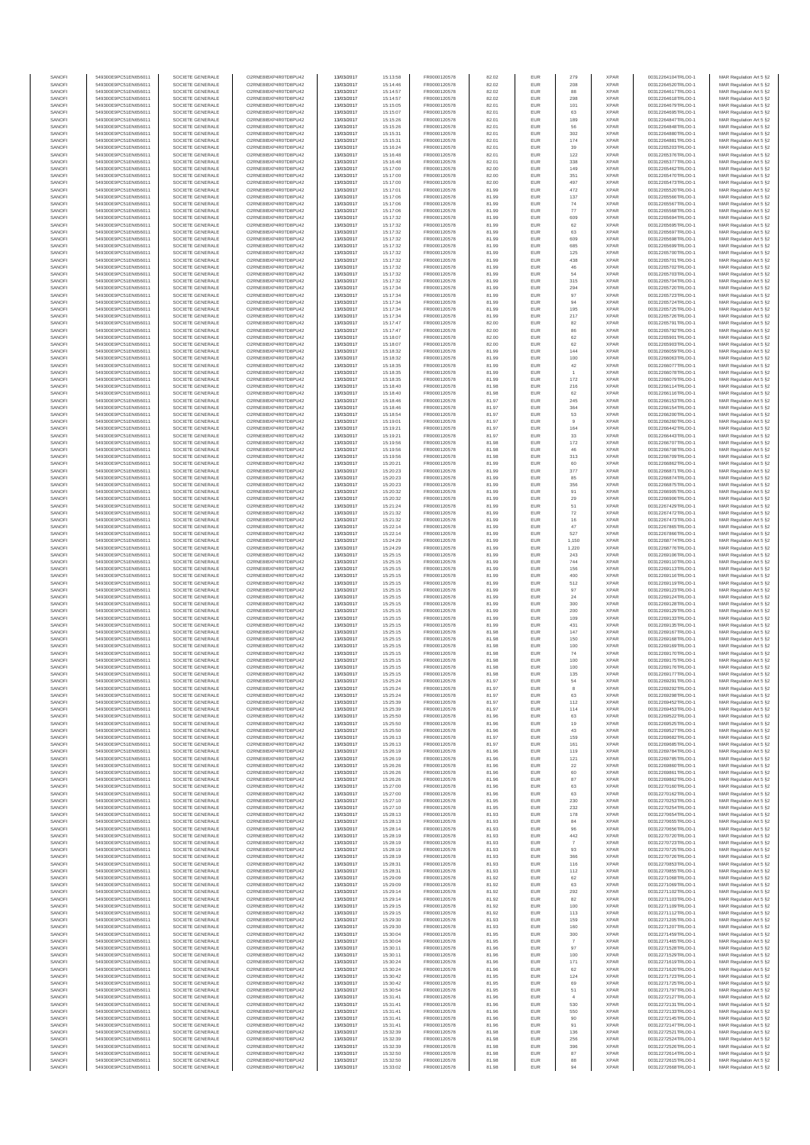| SANOFI           | 549300E9PC51EN656011                         | SOCIETE GENERALE                     | O2RNE8IBXP4R0TD8PU42                         | 13/03/2017               | 15:13:58             | FR0000120578                 | 82.02          | EUR               | 279                   | <b>XPAR</b>                | 00312264104TRLO0-1                       | MAR Regulation Art 5 §2                             |
|------------------|----------------------------------------------|--------------------------------------|----------------------------------------------|--------------------------|----------------------|------------------------------|----------------|-------------------|-----------------------|----------------------------|------------------------------------------|-----------------------------------------------------|
| SANOFI<br>SANOFI | 549300E9PC51EN656011<br>549300E9PC51EN656011 | SOCIETE GENERALE<br>SOCIETE GENERALE | O2RNE8IBXP4R0TD8PU42<br>O2RNE8IBXP4R0TD8PU42 | 13/03/2017<br>13/03/2017 | 15:14:46<br>15:14:57 | FR0000120578<br>FR0000120578 | 82.02<br>82.02 | EUR<br>EUR        | 208<br>88             | <b>XPAR</b><br><b>XPAR</b> | 00312264520TRLO0-1<br>00312264617TRLO0-1 | MAR Regulation Art 5 §2                             |
| SANOFI           | 549300E9PC51EN656011                         | SOCIETE GENERALE                     | O2RNE8IBXP4R0TD8PU42                         | 13/03/2017               | 15:14:57             | FR0000120578                 | 82.02          | EUR               | 298                   | <b>XPAR</b>                | 00312264618TRLO0-1                       | MAR Regulation Art 5 §2<br>MAR Regulation Art 5 §2  |
| SANOFI           | 549300E9PC51EN656011                         | SOCIETE GENERALE                     | O2RNE8IBXP4R0TD8PU42                         | 13/03/2017               | 15:15:05             | FR0000120578                 | 82.01          | EUR               | 101                   | <b>XPAR</b>                | 00312264679TRLO0-1                       | MAR Regulation Art 5 §2                             |
| SANOFI           | 549300E9PC51EN656011                         | SOCIETE GENERALE                     | O2RNE8IBXP4R0TD8PU42                         | 13/03/2017               | 15:15:07             | FR0000120578                 | 82.01          | EUR               | 63                    | <b>XPAR</b>                | 00312264695TRLO0-1                       | MAR Regulation Art 5 §2                             |
| SANOFI<br>SANOFI | 549300E9PC51EN656011<br>549300E9PC51EN656011 | SOCIETE GENERALE<br>SOCIETE GENERALE | O2RNE8IBXP4R0TD8PU42<br>O2RNE8IBXP4R0TD8PU42 | 13/03/2017<br>13/03/2017 | 15:15:26<br>15:15:26 | FR0000120578<br>FR0000120578 | 82.01<br>82.01 | EUR<br>EUR        | 189<br>56             | <b>XPAR</b><br><b>XPAR</b> | 00312264847TRLO0-1<br>00312264848TRLO0-1 | MAR Regulation Art 5 §2<br>MAR Regulation Art 5 §2  |
| SANOFI           | 549300E9PC51EN656011                         | SOCIETE GENERALE                     | O2RNE8IBXP4R0TD8PU42                         | 13/03/2017               | 15:15:31             | FR0000120578                 | 82.01          | EUR               | 302                   | <b>XPAR</b>                | 00312264880TRLO0-1                       | MAR Regulation Art 5 §2                             |
| SANOFI           | 549300E9PC51EN656011                         | SOCIETE GENERALE                     | O2RNE8IBXP4R0TD8PU42                         | 13/03/2017               | 15:15:31             | FR0000120578                 | 82.01          | EUR               | 174                   | <b>XPAR</b>                | 00312264881TRLO0-1                       | MAR Regulation Art 5 §2                             |
| SANOFI<br>SANOFI | 549300E9PC51EN656011<br>549300E9PC51EN656011 | SOCIETE GENERALE<br>SOCIETE GENERALE | O2RNE8IBXP4R0TD8PU42<br>O2RNE8IBXP4R0TD8PU42 | 13/03/2017<br>13/03/2017 | 15:16:24<br>15:16:48 | FR0000120578<br>FR0000120578 | 82.01<br>82.01 | EUR<br>EUR        | 39<br>122             | <b>XPAR</b><br><b>XPAR</b> | 00312265203TRLO0-1<br>00312265376TRLO0-1 | MAR Regulation Art 5 §2<br>MAR Regulation Art 5 §2  |
| SANOFI           | 549300E9PC51EN656011                         | SOCIETE GENERALE                     | O2RNE8IBXP4R0TD8PU42                         | 13/03/2017               | 15:16:48             | FR0000120578                 | 82.01          | EUR               | 338                   | <b>XPAR</b>                | 00312265377TRLO0-1                       | MAR Regulation Art 5 §2                             |
| SANOFI           | 549300E9PC51EN656011                         | SOCIETE GENERALE                     | O2RNE8IBXP4R0TD8PU42                         | 13/03/2017               | 15:17:00             | FR0000120578                 | 82.00          | EUR               | 149                   | <b>XPAR</b>                | 00312265462TRLO0-1                       | MAR Regulation Art 5 §2                             |
| SANOFI           | 549300E9PC51EN656011                         | SOCIETE GENERALE                     | O2RNE8IBXP4R0TD8PU42                         | 13/03/2017               | 15:17:00             | FR0000120578                 | 82.00          | EUR               | 351                   | <b>XPAR</b>                | 00312265470TRLO0-1                       | MAR Regulation Art 5 §2                             |
| SANOFI<br>SANOFI | 549300E9PC51EN656011<br>549300E9PC51EN656011 | SOCIETE GENERALE<br>SOCIETE GENERALE | O2RNE8IBXP4R0TD8PU42<br>O2RNE8IBXP4R0TD8PU42 | 13/03/2017<br>13/03/2017 | 15:17:00<br>15:17:01 | FR0000120578<br>FR0000120578 | 82.00<br>81.99 | EUR<br>EUR        | 497<br>472            | <b>XPAR</b><br><b>XPAR</b> | 00312265473TRLO0-1<br>00312265520TRLO0-1 | MAR Regulation Art 5 §2<br>MAR Regulation Art 5 §2  |
| SANOFI           | 549300E9PC51EN656011                         | SOCIETE GENERALE                     | O2RNE8IBXP4R0TD8PU42                         | 13/03/2017               | 15:17:06             | FR0000120578                 | 81.99          | EUR               | 137                   | <b>XPAR</b>                | 00312265566TRLO0-1                       | MAR Regulation Art 5 §2                             |
| SANOFI           | 549300E9PC51EN656011                         | SOCIETE GENERALE                     | O2RNE8IBXP4R0TD8PU42                         | 13/03/2017               | 15:17:06             | FR0000120578                 | 81.99          | EUR               | 74                    | <b>XPAR</b>                | 00312265567TRLO0-1                       | MAR Regulation Art 5 §2                             |
| SANOFI           | 549300E9PC51EN656011                         | SOCIETE GENERALE                     | O2RNE8IBXP4R0TD8PU42                         | 13/03/2017               | 15:17:06             | FR0000120578                 | 81.99          | EUR               | 77                    | <b>XPAR</b>                | 00312265568TRLO0-1                       | MAR Regulation Art 5 §2                             |
| SANOFI<br>SANOFI | 549300E9PC51EN656011<br>549300E9PC51EN656011 | SOCIETE GENERALE<br>SOCIETE GENERALE | O2RNE8IBXP4R0TD8PU42<br>O2RNE8IBXP4R0TD8PU42 | 13/03/2017<br>13/03/2017 | 15:17:32<br>15:17:32 | FR0000120578<br>FR0000120578 | 81.99<br>81.99 | EUR<br>EUR        | 609<br>62             | <b>XPAR</b><br><b>XPAR</b> | 00312265694TRLO0-1<br>00312265695TRLO0-1 | MAR Regulation Art 5 §2<br>MAR Regulation Art 5 §2  |
| SANOFI           | 549300E9PC51EN656011                         | SOCIETE GENERALE                     | O2RNE8IBXP4R0TD8PU42                         | 13/03/2017               | 15:17:32             | FR0000120578                 | 81.99          | EUR               | 63                    | <b>XPAR</b>                | 00312265697TRLO0-1                       | MAR Regulation Art 5 §2                             |
| SANOFI           | 549300E9PC51EN656011                         | SOCIETE GENERALE                     | O2RNE8IBXP4R0TD8PU42                         | 13/03/2017               | 15:17:32             | FR0000120578                 | 81.99          | EUR               | 609                   | <b>XPAR</b>                | 00312265698TRLO0-1                       | MAR Regulation Art 5 §2                             |
| SANOFI<br>SANOFI | 549300E9PC51EN656011<br>549300E9PC51EN656011 | SOCIETE GENERALE<br>SOCIETE GENERALE | O2RNE8IBXP4R0TD8PU42<br>O2RNE8IBXP4R0TD8PU42 | 13/03/2017<br>13/03/2017 | 15:17:32<br>15:17:32 | FR0000120578<br>FR0000120578 | 81.99<br>81.99 | EUR<br>EUR        | 685<br>125            | <b>XPAR</b><br><b>XPAR</b> | 00312265699TRLO0-1<br>00312265700TRLO0-1 | MAR Regulation Art 5 §2<br>MAR Regulation Art 5 §2  |
| SANOFI           | 549300E9PC51EN656011                         | SOCIETE GENERALE                     | O2RNE8IBXP4R0TD8PU42                         | 13/03/2017               | 15:17:32             | FR0000120578                 | 81.99          | EUR               | 438                   | <b>XPAR</b>                | 00312265701TRLO0-1                       | MAR Regulation Art 5 62                             |
| SANOFI           | 549300E9PC51EN656011                         | SOCIETE GENERALE                     | O2RNE8IBXP4R0TD8PU42                         | 13/03/2017               | 15:17:32             | FR0000120578                 | 81.99          | EUR               | 46                    | <b>XPAR</b>                | 00312265702TRLO0-1                       | MAR Regulation Art 5 §2                             |
| SANOFI           | 549300E9PC51EN656011                         | SOCIETE GENERALE                     | O2RNE8IBXP4R0TD8PU42                         | 13/03/2017               | 15:17:32             | FR0000120578                 | 81.99          | EUR               | 54                    | <b>XPAR</b>                | 00312265703TRLO0-1                       | MAR Regulation Art 5 §2                             |
| SANOFI<br>SANOFI | 549300E9PC51EN656011<br>549300E9PC51EN656011 | SOCIETE GENERALE<br>SOCIETE GENERALE | O2RNE8IBXP4R0TD8PU42<br>O2RNE8IBXP4R0TD8PU42 | 13/03/2017<br>13/03/2017 | 15:17:32<br>15:17:34 | FR0000120578<br>FR0000120578 | 81.99<br>81.99 | EUR<br>EUR        | 315<br>294            | <b>XPAR</b><br><b>XPAR</b> | 00312265704TRLO0-1<br>00312265720TRLO0-1 | MAR Regulation Art 5 §2<br>MAR Regulation Art 5 §2  |
| SANOFI           | 549300E9PC51EN656011                         | SOCIETE GENERALE                     | O2RNE8IBXP4R0TD8PU42                         | 13/03/2017               | 15:17:34             | FR0000120578                 | 81.99          | EUR               | 97                    | <b>XPAR</b>                | 00312265723TRLO0-1                       | MAR Regulation Art 5 §2                             |
| SANOFI           | 549300E9PC51EN656011                         | SOCIETE GENERALE                     | O2RNE8IBXP4R0TD8PU42                         | 13/03/2017               | 15:17:34             | FR0000120578                 | 81.99          | EUR               | 94                    | <b>XPAR</b>                | 00312265724TRLO0-1                       | MAR Regulation Art 5 §2                             |
| SANOFI<br>SANOFI | 549300E9PC51EN656011<br>549300E9PC51EN656011 | SOCIETE GENERALE<br>SOCIETE GENERALE | O2RNE8IBXP4R0TD8PU42<br>O2RNE8IBXP4R0TD8PU42 | 13/03/2017<br>13/03/2017 | 15:17:34<br>15:17:34 | FR0000120578<br>FR0000120578 | 81.99<br>81.99 | EUR<br>EUR        | 195<br>217            | <b>XPAR</b><br><b>XPAR</b> | 00312265725TRLO0-1<br>00312265726TRLO0-1 | MAR Regulation Art 5 \$2                            |
| SANOFI           | 549300E9PC51EN656011                         | SOCIETE GENERALE                     | O2RNE8IBXP4R0TD8PU42                         | 13/03/2017               | 15:17:47             | FR0000120578                 | 82.00          | EUR               | 82                    | <b>XPAR</b>                | 00312265791TRLO0-1                       | MAR Regulation Art 5 §2<br>MAR Regulation Art 5 §2  |
| SANOFI           | 549300E9PC51EN656011                         | SOCIETE GENERALE                     | O2RNE8IBXP4R0TD8PU42                         | 13/03/2017               | 15:17:47             | FR0000120578                 | 82.00          | EUR               | 86                    | <b>XPAR</b>                | 00312265792TRLO0-1                       | MAR Regulation Art 5 §2                             |
| SANOFI           | 549300E9PC51EN656011                         | SOCIETE GENERALE                     | O2RNE8IBXP4R0TD8PU42                         | 13/03/2017               | 15:18:07             | FR0000120578                 | 82.00          | EUR               | 62                    | <b>XPAR</b>                | 00312265901TRLO0-1                       | MAR Regulation Art 5 §2                             |
| SANOFI<br>SANOFI | 549300E9PC51EN656011<br>549300E9PC51EN656011 | SOCIETE GENERALE<br>SOCIETE GENERALE | O2RNE8IBXP4R0TD8PU42<br>O2RNE8IBXP4R0TD8PU42 | 13/03/2017<br>13/03/2017 | 15:18:07<br>15:18:32 | FR0000120578<br>FR0000120578 | 82.00<br>81.99 | EUR<br>EUR        | 62<br>144             | <b>XPAR</b><br><b>XPAR</b> | 00312265903TRLO0-1<br>00312266059TRLO0-1 | MAR Regulation Art 5 §2<br>MAR Regulation Art 5 §2  |
| SANOFI           | 549300E9PC51EN656011                         | SOCIETE GENERALE                     | O2RNE8IBXP4R0TD8PU42                         | 13/03/2017               | 15:18:32             | FR0000120578                 | 81.99          | EUR               | 100                   | <b>XPAR</b>                | 00312266063TRLO0-1                       | MAR Regulation Art 5 §2                             |
| SANOFI           | 549300E9PC51EN656011                         | SOCIETE GENERALE                     | O2RNE8IBXP4R0TD8PU42                         | 13/03/2017               | 15:18:35             | FR0000120578                 | 81.99          | EUR               | 42                    | <b>XPAR</b>                | 00312266077TRLO0-1                       | MAR Regulation Art 5 §2                             |
| SANOFI           | 549300E9PC51EN656011                         | SOCIETE GENERALE<br>SOCIETE GENERALE | O2RNE8IBXP4R0TD8PU42                         | 13/03/2017               | 15:18:35             | FR0000120578<br>FR0000120578 | 81.99          | EUR               | $\overline{1}$        | <b>XPAR</b>                | 00312266078TRLO0-1                       | MAR Regulation Art 5 §2                             |
| SANOFI<br>SANOFI | 549300E9PC51EN656011<br>549300E9PC51EN656011 | SOCIETE GENERALE                     | O2RNE8IBXP4R0TD8PU42<br>O2RNE8IBXP4R0TD8PU42 | 13/03/2017<br>13/03/2017 | 15:18:35<br>15:18:40 | FR0000120578                 | 81.99<br>81.98 | EUR<br>EUR        | 172<br>216            | <b>XPAR</b><br><b>XPAR</b> | 00312266079TRLO0-1<br>00312266114TRLO0-1 | MAR Regulation Art 5 §2<br>MAR Regulation Art 5 §2  |
| SANOFI           | 549300E9PC51EN656011                         | SOCIETE GENERALE                     | O2RNE8IBXP4R0TD8PU42                         | 13/03/2017               | 15:18:40             | FR0000120578                 | 81.98          | EUR               | 62                    | <b>XPAR</b>                | 00312266116TRLO0-1                       | MAR Regulation Art 5 §2                             |
| SANOFI           | 549300E9PC51EN656011                         | SOCIETE GENERALE                     | O2RNE8IBXP4R0TD8PU42                         | 13/03/2017               | 15:18:46             | FR0000120578                 | 81.97          | EUR               | 245                   | <b>XPAR</b>                | 00312266153TRLO0-1                       | MAR Regulation Art 5 §2                             |
| SANOFI<br>SANOFI | 549300E9PC51EN656011<br>549300E9PC51EN656011 | SOCIETE GENERALE<br>SOCIETE GENERALE | O2RNE8IBXP4R0TD8PU42<br>O2RNE8IBXP4R0TD8PU42 | 13/03/2017<br>13/03/2017 | 15:18:46<br>15:18:54 | FR0000120578<br>FR0000120578 | 81.97<br>81.97 | EUR<br>EUR        | 364<br>53             | <b>XPAR</b><br><b>XPAR</b> | 00312266154TRLO0-1<br>00312266200TRLO0-1 | MAR Regulation Art 5 §2                             |
| SANOFI           | 549300E9PC51EN656011                         | SOCIETE GENERALE                     | O2RNE8IBXP4R0TD8PLI42                        | 13/03/2017               | 15:19:01             | FR0000120578                 | 81.97          | EUR               | 9                     | <b>XPAR</b>                | 00312266260TRLO0-1                       | MAR Regulation Art 5 §2<br>MAR Regulation Art 5 §2  |
| SANOFI           | 549300E9PC51EN656011                         | SOCIETE GENERALE                     | O2RNE8IBXP4R0TD8PU42                         | 13/03/2017               | 15:19:21             | FR0000120578                 | 81.97          | EUR               | 164                   | <b>XPAR</b>                | 00312266442TRLO0-1                       | MAR Regulation Art 5 §2                             |
| SANOFI           | 549300E9PC51EN656011                         | SOCIETE GENERALE                     | O2RNE8IBXP4R0TD8PU42                         | 13/03/2017               | 15:19:21             | FR0000120578                 | 81.97          | EUR               | 33                    | <b>XPAR</b>                | 00312266443TRLO0-1                       | MAR Regulation Art 5 \$2                            |
| SANOFI<br>SANOFI | 549300E9PC51EN656011<br>549300E9PC51EN656011 | SOCIETE GENERALE<br>SOCIETE GENERALE | O2RNE8IBXP4R0TD8PU42<br>O2RNE8IBXP4R0TD8PU42 | 13/03/2017               | 15:19:56             | FR0000120578<br>FR0000120578 | 81.98<br>81.98 | EUR<br>EUR        | 172<br>46             | <b>XPAR</b><br><b>XPAR</b> | 00312266707TRLO0-1<br>00312266708TRLO0-1 | MAR Regulation Art 5 §2<br>MAR Regulation Art 5 §2  |
| SANOFI           | 549300E9PC51EN656011                         | SOCIETE GENERALE                     | O2RNE8IBXP4R0TD8PU42                         | 13/03/2017<br>13/03/2017 | 15:19:56<br>15:19:56 | FR0000120578                 | 81.98          | EUR               | 313                   | <b>XPAR</b>                | 00312266709TRLO0-1                       | MAR Regulation Art 5 §2                             |
| SANOFI           | 549300E9PC51EN656011                         | SOCIETE GENERALE                     | O2RNE8IBXP4R0TD8PU42                         | 13/03/2017               | 15:20:21             | FR0000120578                 | 81.99          | EUR               | 60                    | <b>XPAR</b>                | 00312266862TRLO0-1                       | MAR Regulation Art 5 §2                             |
| SANOFI           | 549300E9PC51EN656011                         | SOCIETE GENERALE                     | O2RNE8IBXP4R0TD8PU42                         | 13/03/2017               | 15:20:23             | FR0000120578                 | 81.99          | EUR               | 377                   | <b>XPAR</b>                | 00312266871TRLO0-1                       | MAR Regulation Art 5 §2                             |
| SANOFI<br>SANOFI | 549300E9PC51EN656011<br>549300E9PC51EN656011 | SOCIETE GENERALE<br>SOCIETE GENERALE | O2RNE8IBXP4R0TD8PU42<br>O2RNE8IBXP4R0TD8PU42 | 13/03/2017<br>13/03/2017 | 15:20:23<br>15:20:23 | FR0000120578<br>FR0000120578 | 81.99<br>81.99 | EUR<br>EUR        | 85<br>356             | <b>XPAR</b><br><b>XPAR</b> | 00312266874TRLO0-1<br>00312266875TRLO0-1 | MAR Regulation Art 5 §2<br>MAR Regulation Art 5 §2  |
| SANOFI           | 549300E9PC51EN656011                         | SOCIETE GENERALE                     | O2RNE8IBXP4R0TD8PU42                         | 13/03/2017               | 15:20:32             | FR0000120578                 | 81.99          | EUR               | 91                    | <b>XPAR</b>                | 00312266905TRLO0-1                       | MAR Regulation Art 5 §2                             |
| SANOFI           | 549300E9PC51EN656011                         | SOCIETE GENERALE                     | O2RNE8IBXP4R0TD8PU42                         | 13/03/2017               | 15:20:32             | FR0000120578                 | 81.99          | EUR               | 29                    | <b>XPAR</b>                | 00312266906TRLO0-1                       | MAR Regulation Art 5 §2                             |
| SANOFI           | 549300E9PC51EN656011                         | SOCIETE GENERALE                     | O2RNE8IBXP4R0TD8PU42                         | 13/03/2017               | 15:21:24             | FR0000120578                 | 81.99          | EUR               | 51                    | <b>XPAR</b>                | 00312267429TRLO0-1                       | MAR Regulation Art 5 §2                             |
| SANOFI<br>SANOFI | 549300E9PC51EN656011<br>549300E9PC51EN656011 | SOCIETE GENERALE<br>SOCIETE GENERALE | O2RNE8IBXP4R0TD8PU42<br>O2RNE8IBXP4R0TD8PU42 | 13/03/2017<br>13/03/2017 | 15:21:32<br>15:21:32 | FR0000120578<br>FR0000120578 | 81.99<br>81.99 | EUR<br>EUR        | ${\bf 72}$<br>16      | <b>XPAR</b><br><b>XPAR</b> | 00312267472TRLO0-1<br>00312267473TRLO0-1 | MAR Regulation Art 5 §2<br>MAR Regulation Art 5 §2  |
| SANOFI           | 549300E9PC51EN656011                         | SOCIETE GENERALE                     | O2RNE8IBXP4R0TD8PU42                         | 13/03/2017               | 15:22:14             | FR0000120578                 | 81.99          | EUR               | 47                    | <b>XPAR</b>                | 00312267865TRLO0-1                       | MAR Regulation Art 5 §2                             |
| SANOFI           | 549300E9PC51EN656011                         | SOCIETE GENERALE                     | O2RNE8IBXP4R0TD8PU42                         | 13/03/2017               | 15:22:14             | FR0000120578                 | 81.99          | EUR               | 527                   | <b>XPAR</b>                | 00312267866TRLO0-1                       | MAR Regulation Art 5 §2                             |
| SANOFI           | 549300E9PC51EN656011                         | SOCIETE GENERALE                     | O2RNE8IBXP4R0TD8PU42                         | 13/03/2017               | 15:24:29             | FR0000120578                 | 81.99          | EUR<br>EUR        | 1,150                 | <b>XPAR</b>                | 00312268774TRLO0-1                       | MAR Regulation Art 5 §2                             |
| SANOFI<br>SANOFI | 549300E9PC51EN656011<br>549300E9PC51EN656011 | SOCIETE GENERALE<br>SOCIETE GENERALE | O2RNE8IBXP4R0TD8PU42<br>O2RNE8IBXP4R0TD8PU42 | 13/03/2017<br>13/03/2017 | 15:24:29<br>15:25:15 | FR0000120578<br>FR0000120578 | 81.99<br>81.99 | EUR               | 1.220<br>243          | <b>XPAR</b><br><b>XPAR</b> | 00312268776TRLO0-1<br>00312269106TRLO0-1 | MAR Regulation Art 5 §2<br>MAR Regulation Art 5 §2  |
| SANOFI           | 549300E9PC51EN656011                         | SOCIETE GENERALE                     | O2RNE8IBXP4R0TD8PU42                         | 13/03/2017               | 15:25:15             | FR0000120578                 | 81.99          | EUR               | 744                   | <b>XPAR</b>                | 00312269110TRLO0-1                       | MAR Regulation Art 5 §2                             |
| SANOFI           | 549300E9PC51EN656011                         | SOCIETE GENERALE                     | O2RNE8IBXP4R0TD8PU42                         | 13/03/2017               | 15:25:15             | FR0000120578                 | 81.99          | EUR               | 156                   | <b>XPAR</b>                | 00312269113TRLO0-1                       | MAR Regulation Art 5 §2                             |
| SANOFI<br>SANOFI | 549300E9PC51EN656011<br>549300E9PC51EN656011 | SOCIETE GENERALE<br>SOCIETE GENERALE | O2RNE8IBXP4R0TD8PU42<br>O2RNE8IBXP4R0TD8PU42 | 13/03/2017<br>13/03/2017 | 15:25:15<br>15:25:15 | FR0000120578<br>FR0000120578 | 81.99<br>81.99 | EUR<br>EUR        | 400<br>512            | <b>XPAR</b><br><b>XPAR</b> | 00312269116TRLO0-1<br>00312269119TRLO0-1 | MAR Regulation Art 5 §2<br>MAR Regulation Art 5 §2  |
| SANOFI           | 549300E9PC51EN656011                         | SOCIETE GENERALE                     | O2RNE8IBXP4R0TD8PU42                         | 13/03/2017               | 15:25:15             | FR0000120578                 | 81.99          | EUR               | 97                    | <b>XPAR</b>                | 00312269123TRLO0-1                       | MAR Regulation Art 5 §2                             |
| SANOFI           | 549300E9PC51EN656011                         | SOCIETE GENERALE                     | O2RNE8IBXP4R0TD8PU42                         | 13/03/2017               | 15:25:15             | FR0000120578                 | 81.99          | EUR               | 24                    | <b>XPAR</b>                | 00312269124TRLO0-1                       | MAR Regulation Art 5 §2                             |
| SANOFI           | 549300E9PC51EN656011                         | SOCIETE GENERALE                     | O2RNE8IBXP4R0TD8PU42                         | 13/03/2017               | 15:25:15             | FR0000120578                 | 81.99          | EUR               | 300                   | <b>XPAR</b>                | 00312269128TRLO0-1                       | MAR Regulation Art 5 §2                             |
| SANOFI<br>SANOFI | 549300E9PC51EN656011<br>549300E9PC51EN656011 | SOCIETE GENERALE<br>SOCIETE GENERALE | O2RNE8IBXP4R0TD8PU42<br>O2RNE8IBXP4R0TD8PU42 | 13/03/2017<br>13/03/2017 | 15:25:15<br>15:25:15 | FR0000120578<br>FR0000120578 | 81.99<br>81.99 | EUR<br>EUR        | 200<br>109            | <b>XPAR</b><br><b>XPAR</b> | 00312269129TRLO0-1<br>00312269133TRLO0-1 | MAR Regulation Art 5 §2<br>MAR Regulation Art 5 §2  |
| SANOFI           | 549300E9PC51EN656011                         | SOCIETE GENERALE                     | O2RNE8IBXP4R0TD8PU42                         | 13/03/2017               | 15:25:15             | FR0000120578                 | 81.99          | EUR               | 431                   | <b>XPAR</b>                | 00312269135TRLO0-1                       | MAR Regulation Art 5 §2                             |
| SANOFI           | 549300E9PC51EN656011                         | SOCIETE GENERALE                     | O2RNE8IBXP4R0TD8PU42                         | 13/03/2017               | 15:25:15             | FR0000120578                 | 81.98          | EUR               | 147                   | <b>XPAR</b>                | 00312269167TRLO0-1                       | MAR Regulation Art 5 §2                             |
| SANOFI           | 549300E9PC51EN656011                         | SOCIETE GENERALE                     | O2RNE8IBXP4R0TD8PU42                         | 13/03/2017               | 15:25:15             | FR0000120578                 | 81.98          | EUR               | 150                   | <b>XPAR</b>                | 00312269168TRLO0-1                       | MAR Regulation Art 5 §2                             |
| SANOFI<br>SANOFI | 549300E9PC51EN656011<br>549300E9PC51EN656011 | SOCIETE GENERALE<br>SOCIETE GENERALE | O2RNE8IBXP4R0TD8PU42<br>O2RNE8IBXP4R0TD8PU42 | 13/03/2017<br>13/03/2017 | 15:25:15<br>15:25:15 | FR0000120578<br>FR0000120578 | 81.98<br>81.98 | EUR<br>EUR        | 100<br>74             | <b>XPAR</b><br><b>XPAR</b> | 00312269169TRLO0-1<br>00312269170TRLO0-1 | MAR Regulation Art 5 §2<br>MAR Regulation Art 5 §2  |
| SANOFI           | 549300E9PC51EN656011                         | SOCIETE GENERALE                     | O2RNE8IBXP4R0TD8PU42                         | 13/03/2017               | 15:25:15             | FR0000120578                 | 81.98          | EUR               | 100                   | <b>XPAR</b>                | 00312269175TRLO0-1                       | MAR Regulation Art 5 \$2                            |
| SANOFI           | 549300E9PC51EN656011                         | SOCIETE GENERALE                     | O2RNE8IBXP4R0TD8PU42                         | 13/03/2017               | 15:25:15             | FR0000120578                 | 81.98          | EUR               | 100                   | <b>XPAR</b>                | 00312269176TRLO0-1                       | MAR Regulation Art 5 §2                             |
| SANOFI<br>SANOFI | 549300E9PC51EN656011<br>549300E9PC51EN656011 | SOCIETE GENERALE<br>SOCIETE GENERALE | O2RNE8IBXP4R0TD8PU42<br>O2RNE8IBXP4R0TD8PU42 | 13/03/2017<br>13/03/2017 | 15:25:15<br>15:25:24 | FR0000120578<br>FR0000120578 | 81.98<br>81.97 | <b>EUR</b><br>EUR | 135<br>54             | <b>XPAR</b><br><b>XPAR</b> | 00312269177TRLO0-1                       | MAR Regulation Art 5 §2                             |
| SANOFI           | 549300E9PC51EN656011                         | SOCIETE GENERALE                     | O2RNE8IBXP4R0TD8PU42                         | 13/03/2017               | 15:25:24             | FR0000120578                 | 81.97          | EUR               | 8                     | <b>XPAR</b>                | 00312269291TRLO0-1<br>00312269292TRLO0-1 | MAR Regulation Art 5 §2<br>MAR Regulation Art 5 §2  |
| SANOFI           | 549300E9PC51EN656011                         | SOCIETE GENERALE                     | O2RNE8IBXP4R0TD8PU42                         | 13/03/2017               | 15:25:24             | FR0000120578                 | 81.97          | EUR               | 63                    | <b>XPAR</b>                | 00312269298TRLO0-1                       | MAR Regulation Art 5 §2                             |
| SANOFI           | 549300E9PC51EN656011                         | SOCIETE GENERALE                     | O2RNE8IBXP4R0TD8PU42                         | 13/03/2017               | 15:25:39             | FR0000120578                 | 81.97          | EUR               | 112                   | <b>XPAR</b>                | 00312269452TRLO0-1                       | MAR Regulation Art 5 §2                             |
| SANOFI<br>SANOFI | 549300E9PC51EN656011<br>549300E9PC51EN656011 | SOCIETE GENERALE<br>SOCIETE GENERALE | O2RNE8IBXP4R0TD8PU42<br>O2RNE8IBXP4R0TD8PU42 | 13/03/2017<br>13/03/2017 | 15:25:39<br>15:25:50 | FR0000120578<br>FR0000120578 | 81.97<br>81.96 | EUR<br>EUR        | 114<br>63             | <b>XPAR</b><br><b>XPAR</b> | 00312269453TRLO0-1<br>00312269522TRLO0-1 | MAR Regulation Art 5 §2<br>MAR Regulation Art 5 §2  |
| SANOFI           | 549300E9PC51EN656011                         | SOCIETE GENERALE                     | O2RNE8IBXP4R0TD8PU42                         | 13/03/2017               | 15:25:50             | FR0000120578                 | 81.96          | EUR               | 19                    | <b>XPAR</b>                | 00312269525TRLO0-1                       | MAR Regulation Art 5 §2                             |
| SANOFI           | 549300E9PC51EN656011                         | SOCIETE GENERALE                     | O2RNE8IBXP4R0TD8PU42                         | 13/03/2017               | 15:25:50             | FR0000120578                 | 81.96          | EUR               | 43                    | <b>XPAR</b>                | 00312269527TRLO0-1                       | MAR Regulation Art 5 §2                             |
| SANOFI<br>SANOFI | 549300E9PC51EN656011<br>549300E9PC51EN656011 | SOCIETE GENERALE<br>SOCIETE GENERALE | O2RNE8IBXP4R0TD8PU42<br>O2RNE8IBXP4R0TD8PU42 | 13/03/2017               | 15:26:13<br>15:26:13 | FR0000120578                 | 81.97<br>81.97 | EUR<br>EUR        | 159<br>161            | <b>XPAR</b><br><b>XPAR</b> | 00312269682TRLO0-1                       | MAR Regulation Art 5 \$2<br>MAR Regulation Art 5 §2 |
| SANOFI           | 549300E9PC51EN656011                         | SOCIETE GENERALE                     | O2RNE8IBXP4R0TD8PU42                         | 13/03/2017<br>13/03/2017 | 15:26:19             | FR0000120578<br>FR0000120578 | 81.96          | EUR               | 119                   | <b>XPAR</b>                | 00312269685TRLO0-1<br>00312269784TRLO0-1 | MAR Regulation Art 5 §2                             |
| SANOFI           | 549300E9PC51EN656011                         | SOCIETE GENERALE                     | O2RNE8IBXP4R0TD8PU42                         | 13/03/2017               | 15:26:19             | FR0000120578                 | 81.96          | EUR               | 121                   | <b>XPAR</b>                | 00312269785TRLO0-1                       | MAR Regulation Art 5 §2                             |
| SANOFI           | 549300E9PC51EN656011                         | SOCIETE GENERALE                     | O2RNE8IBXP4R0TD8PU42                         | 13/03/2017               | 15:26:26             | FR0000120578                 | 81.96          | EUR               | 22                    | <b>XPAR</b>                | 00312269860TRLO0-1                       | MAR Regulation Art 5 §2                             |
| SANOFI<br>SANOFI | 549300E9PC51EN656011<br>549300E9PC51EN656011 | SOCIETE GENERALE<br>SOCIETE GENERALE | O2RNE8IBXP4R0TD8PU42<br>O2RNE8IBXP4R0TD8PU42 | 13/03/2017<br>13/03/2017 | 15:26:26<br>15:26:26 | FR0000120578<br>FR0000120578 | 81.96<br>81.96 | EUR<br>EUR        | 60<br>87              | <b>XPAR</b><br><b>XPAR</b> | 00312269861TRLO0-1<br>00312269862TRLO0-1 | MAR Regulation Art 5 §2<br>MAR Regulation Art 5 §2  |
| SANOFI           | 549300E9PC51EN656011                         | SOCIETE GENERALE                     | O2RNE8IBXP4R0TD8PU42                         | 13/03/2017               | 15:27:00             | FR0000120578                 | 81.96          | EUR               | 63                    | <b>XPAR</b>                | 00312270160TRLO0-1                       | MAR Regulation Art 5 §2                             |
| SANOFI           | 549300E9PC51EN656011                         | SOCIETE GENERALE                     | O2RNE8IBXP4R0TD8PU42                         | 13/03/2017               | 15:27:00             | FR0000120578                 | 81.96          | EUR               | 63                    | <b>XPAR</b>                | 00312270162TRLO0-1                       | MAR Regulation Art 5 §2                             |
| SANOFI<br>SANOFI | 549300E9PC51EN656011<br>549300E9PC51EN656011 | SOCIETE GENERALE<br>SOCIETE GENERALE | O2RNE8IBXP4R0TD8PU42<br>O2RNE8IBXP4R0TD8PU42 | 13/03/2017<br>13/03/2017 | 15:27:10<br>15:27:10 | FR0000120578<br>FR0000120578 | 81.95<br>81.95 | EUR<br>EUR        | 230<br>232            | <b>XPAR</b><br><b>XPAR</b> | 00312270253TRLO0-1<br>00312270254TRLO0-1 | MAR Regulation Art 5 §2<br>MAR Regulation Art 5 §2  |
| SANOFI           | 549300E9PC51EN656011                         | SOCIETE GENERALE                     | O2RNE8IBXP4R0TD8PU42                         | 13/03/2017               | 15:28:13             | FR0000120578                 | 81.93          | EUR               | 178                   | <b>XPAR</b>                | 00312270654TRLO0-1                       | MAR Regulation Art 5 §2                             |
| SANOFI           | 549300E9PC51EN656011                         | SOCIETE GENERALE                     | O2RNESIBXP4R0TD8PLI42                        | 13/03/2017               | 15:28:13             | FR0000120578                 | 81.93          | EUR               | 84                    | <b>XPAR</b>                | 00312270655TRLO0-1                       | MAR Regulation Art 5 §2                             |
| SANOFI<br>SANOFI | 549300E9PC51EN656011<br>549300E9PC51EN656011 | SOCIETE GENERALE<br>SOCIETE GENERALE | O2RNE8IBXP4R0TD8PU42<br>O2RNE8IBXP4R0TD8PU42 | 13/03/2017<br>13/03/2017 | 15:28:14<br>15:28:19 | FR0000120578<br>FR0000120578 | 81.93<br>81.93 | EUR<br>EUR        | 96<br>442             | <b>XPAR</b><br><b>XPAR</b> | 00312270656TRLO0-1<br>00312270720TRLO0-1 | MAR Regulation Art 5 §2<br>MAR Regulation Art 5 §2  |
| SANOFI           | 549300E9PC51EN656011                         | SOCIETE GENERALE                     | O2RNE8IBXP4R0TD8PU42                         | 13/03/2017               | 15:28:19             | FR0000120578                 | 81.93          | EUR               | $\boldsymbol{7}$      | <b>XPAR</b>                | 00312270723TRLO0-1                       | MAR Regulation Art 5 §2                             |
| SANOFI           | 549300E9PC51EN656011                         | SOCIETE GENERALE                     | O2RNE8IBXP4R0TD8PU42                         | 13/03/2017               | 15:28:19             | FR0000120578                 | 81.93          | EUR               | 93                    | <b>XPAR</b>                | 00312270725TRLO0-1                       | MAR Regulation Art 5 §2                             |
| SANOFI<br>SANOFI | 549300E9PC51EN656011<br>549300E9PC51EN656011 | SOCIETE GENERALE                     | O2RNE8IBXP4R0TD8PU42<br>O2RNE8IBXP4R0TD8PU42 | 13/03/2017               | 15:28:19             | FR0000120578                 | 81.93<br>81.93 | EUR               | 366<br>116            | <b>XPAR</b><br><b>XPAR</b> | 00312270726TRLO0-1                       | MAR Regulation Art 5 §2<br>MAR Regulation Art 5 §2  |
| SANOFI           | 549300E9PC51EN656011                         | SOCIETE GENERALE<br>SOCIETE GENERALE | O2RNE8IBXP4R0TD8PU42                         | 13/03/2017<br>13/03/2017 | 15:28:31<br>15:28:31 | FR0000120578<br>FR0000120578 | 81.93          | EUR<br>EUR        | 112                   | <b>XPAR</b>                | 00312270853TRLO0-1<br>00312270855TRLO0-1 | MAR Regulation Art 5 §2                             |
| SANOFI           | 549300E9PC51EN656011                         | SOCIETE GENERALE                     | O2RNE8IBXP4R0TD8PU42                         | 13/03/2017               | 15:29:09             | FR0000120578                 | 81.92          | EUR               | 62                    | <b>XPAR</b>                | 00312271068TRLO0-1                       | MAR Regulation Art 5 §2                             |
| SANOFI           | 549300E9PC51EN656011                         | SOCIETE GENERALE                     | O2RNE8IBXP4R0TD8PU42                         | 13/03/2017               | 15:29:09             | FR0000120578                 | 81.92          | EUR               | 63                    | <b>XPAR</b>                | 00312271069TRLO0-1                       | MAR Regulation Art 5 §2                             |
| SANOFI<br>SANOFI | 549300E9PC51EN656011<br>549300E9PC51EN656011 | SOCIETE GENERALE<br>SOCIETE GENERALE | O2RNE8IBXP4R0TD8PU42<br>O2RNE8IBXP4R0TD8PU42 | 13/03/2017<br>13/03/2017 | 15:29:14<br>15:29:14 | FR0000120578<br>FR0000120578 | 81.92<br>81.92 | EUR<br>EUR        | 292<br>82             | <b>XPAR</b><br><b>XPAR</b> | 00312271102TRLO0-1<br>00312271103TRLO0-1 | MAR Regulation Art 5 §2                             |
| SANOFI           | 549300E9PC51EN656011                         | SOCIETE GENERALE                     | O2RNE8IBXP4R0TD8PU42                         | 13/03/2017               | 15:29:15             | FR0000120578                 | 81.92          | EUR               | 100                   | <b>XPAR</b>                | 00312271109TRLO0-1                       | MAR Regulation Art 5 §2<br>MAR Regulation Art 5 §2  |
| SANOFI           | 549300E9PC51EN656011                         | SOCIETE GENERALE                     | O2RNE8IBXP4R0TD8PU42                         | 13/03/2017               | 15:29:15             | FR0000120578                 | 81.92          | EUR               | 113                   | <b>XPAR</b>                | 00312271112TRLO0-1                       | MAR Regulation Art 5 §2                             |
| SANOFI           | 549300E9PC51EN656011                         | SOCIETE GENERALE                     | O2RNE8IBXP4R0TD8PU42                         | 13/03/2017               | 15:29:30             | FR0000120578                 | 81.93          | EUR               | 159                   | <b>XPAR</b>                | 00312271205TRLO0-1                       | MAR Regulation Art 5 §2                             |
| SANOFI<br>SANOFI | 549300E9PC51EN656011<br>549300E9PC51EN656011 | SOCIETE GENERALE<br>SOCIETE GENERALE | O2RNE8IBXP4R0TD8PU42<br>O2RNE8IBXP4R0TD8PU42 | 13/03/2017<br>13/03/2017 | 15:29:30<br>15:30:04 | FR0000120578<br>FR0000120578 | 81.93<br>81.95 | EUR<br>EUR        | 160<br>300            | <b>XPAR</b><br><b>XPAR</b> | 00312271207TRLO0-1<br>00312271459TRLO0-1 | MAR Regulation Art 5 §2<br>MAR Regulation Art 5 §2  |
| SANOFI           | 549300E9PC51EN656011                         | SOCIETE GENERALE                     | O2RNE8IBXP4R0TD8PU42                         | 13/03/2017               | 15:30:04             | FR0000120578                 | 81.95          | EUR               | $\overline{7}$        | <b>XPAR</b>                | 00312271465TRLO0-1                       | MAR Regulation Art 5 §2                             |
| SANOFI           | 549300E9PC51EN656011                         | SOCIETE GENERALE                     | O2RNE8IBXP4R0TD8PU42                         | 13/03/2017               | 15:30:11             | FR0000120578                 | 81.96          | EUR               | 97                    | <b>XPAR</b>                | 00312271528TRLO0-1                       | MAR Regulation Art 5 §2                             |
| SANOFI           | 549300E9PC51EN656011                         | SOCIETE GENERALE                     | O2RNE8IBXP4R0TD8PU42                         | 13/03/2017               | 15:30:11             | FR0000120578                 | 81.96          | EUR               | 100                   | <b>XPAR</b>                | 00312271529TRLO0-1                       | MAR Regulation Art 5 §2                             |
| SANOFI<br>SANOFI | 549300E9PC51EN656011<br>549300E9PC51EN656011 | SOCIETE GENERALE<br>SOCIETE GENERALE | O2RNE8IBXP4R0TD8PU42<br>O2RNE8IBXP4R0TD8PU42 | 13/03/2017<br>13/03/2017 | 15:30:24<br>15:30:24 | FR0000120578<br>FR0000120578 | 81.96<br>81.96 | EUR<br>EUR        | 171<br>62             | <b>XPAR</b><br><b>XPAR</b> | 00312271619TRLO0-1<br>00312271620TRLO0-1 | MAR Regulation Art 5 §2<br>MAR Regulation Art 5 §2  |
| SANOFI           | 549300E9PC51EN656011                         | SOCIETE GENERALE                     | O2RNE8IBXP4R0TD8PU42                         | 13/03/2017               | 15:30:42             | FR0000120578                 | 81.95          | EUR               | 124                   | <b>XPAR</b>                | 00312271723TRLO0-1                       | MAR Regulation Art 5 §2                             |
| SANOFI           | 549300E9PC51EN656011                         | SOCIETE GENERALE                     | O2RNE8IBXP4R0TD8PU42                         | 13/03/2017               | 15:30:42             | FR0000120578                 | 81.95          | EUR               | 69                    | <b>XPAR</b>                | 00312271725TRLO0-1                       | MAR Regulation Art 5 §2                             |
| SANOFI<br>SANOFI | 549300E9PC51EN656011                         | SOCIETE GENERALE                     | O2RNE8IBXP4R0TD8PU42                         | 13/03/2017               | 15:30:54             | FR0000120578                 | 81.95          | EUR               | 51                    | <b>XPAR</b><br><b>XPAR</b> | 00312271797TRLO0-1                       | MAR Regulation Art 5 §2                             |
| SANOFI           | 549300E9PC51EN656011<br>549300E9PC51EN656011 | SOCIETE GENERALE<br>SOCIETE GENERALE | O2RNE8IBXP4R0TD8PU42<br>O2RNE8IBXP4R0TD8PU42 | 13/03/2017<br>13/03/2017 | 15:31:41<br>15:31:41 | FR0000120578<br>FR0000120578 | 81.96<br>81.96 | EUR<br>EUR        | $\overline{4}$<br>530 | <b>XPAR</b>                | 00312272127TRLO0-1<br>00312272131TRLO0-1 | MAR Regulation Art 5 §2<br>MAR Regulation Art 5 §2  |
| SANOFI           | 549300E9PC51EN656011                         | SOCIETE GENERALE                     | O2RNE8IBXP4R0TD8PU42                         | 13/03/2017               | 15:31:41             | FR0000120578                 | 81.96          | EUR               | 550                   | <b>XPAR</b>                | 00312272133TRLO0-1                       | MAR Regulation Art 5 §2                             |
| SANOFI           | 549300E9PC51EN656011                         | SOCIETE GENERALE                     | O2RNE8IBXP4R0TD8PU42                         | 13/03/2017               | 15:31:41             | FR0000120578                 | 81.96          | EUR               | 90                    | <b>XPAR</b>                | 00312272145TRLO0-1                       | MAR Regulation Art 5 §2                             |
| SANOFI<br>SANOFI | 549300E9PC51EN656011<br>549300E9PC51EN656011 | SOCIETE GENERALE<br>SOCIETE GENERALE | O2RNE8IBXP4R0TD8PU42<br>O2RNE8IBXP4R0TD8PU42 | 13/03/2017<br>13/03/2017 | 15:31:41<br>15:32:39 | FR0000120578<br>FR0000120578 | 81.96<br>81.98 | EUR<br>EUR        | 91<br>136             | <b>XPAR</b><br><b>XPAR</b> | 00312272147TRLO0-1<br>00312272521TRLO0-1 | MAR Regulation Art 5 §2<br>MAR Regulation Art 5 §2  |
| SANOFI           | 549300E9PC51EN656011                         | SOCIETE GENERALE                     | O2RNE8IBXP4R0TD8PU42                         | 13/03/2017               | 15:32:39             | FR0000120578                 | 81.98          | EUR               | 256                   | <b>XPAR</b>                | 00312272524TRLO0-1                       | MAR Regulation Art 5 §2                             |
| SANOFI           | 549300E9PC51EN656011                         | SOCIETE GENERALE                     | O2RNE8IBXP4R0TD8PU42                         | 13/03/2017               | 15:32:39             | FR0000120578                 | 81.98          | EUR               | 396                   | <b>XPAR</b>                | 00312272526TRLO0-1                       | MAR Regulation Art 5 §2                             |
| SANOFI           | 549300E9PC51EN656011                         | SOCIETE GENERALE                     | O2RNE8IBXP4R0TD8PU42                         | 13/03/2017               | 15:32:50             | FR0000120578                 | 81.98          | EUR               | 87                    | <b>XPAR</b>                | 00312272614TRLO0-1                       | MAR Regulation Art 5 §2                             |
| SANOFI<br>SANOFI | 549300E9PC51EN656011<br>549300E9PC51EN656011 | SOCIETE GENERALE<br>SOCIETE GENERALE | O2RNE8IBXP4R0TD8PU42<br>O2RNE8IBXP4R0TD8PU42 | 13/03/2017<br>13/03/2017 | 15:32:50<br>15:33:02 | FR0000120578<br>FR0000120578 | 81.98<br>81.98 | EUR<br>EUR        | 88<br>94              | <b>XPAR</b><br><b>XPAR</b> | 00312272615TRLO0-1<br>00312272668TRLO0-1 | MAR Regulation Art 5 §2<br>MAR Regulation Art 5 §2  |
|                  |                                              |                                      |                                              |                          |                      |                              |                |                   |                       |                            |                                          |                                                     |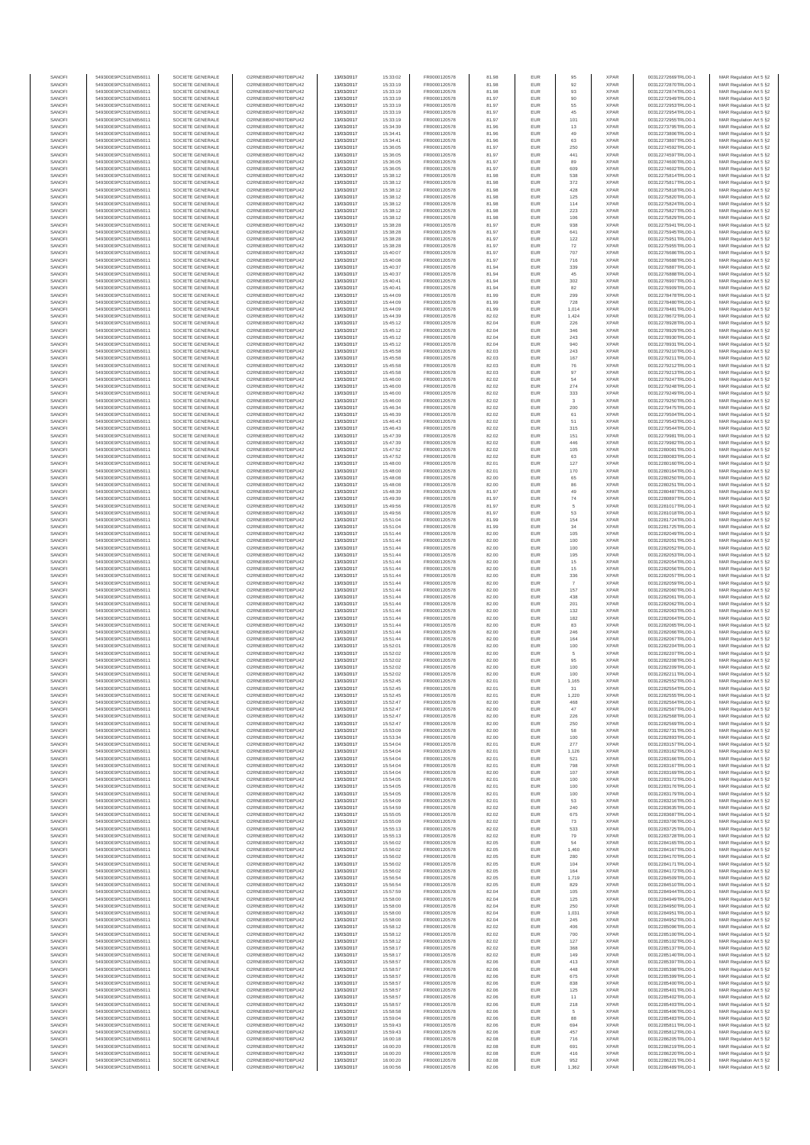| SANOF            | 549300E9PC51EN656011                         | SOCIETE GENERALE                     | O2RNE8IBXP4R0TD8PU42                          | 13/03/2017               | 15:33:02             | FR0000120578                 | 81.98          | EUR               | 95                    | <b>XPAR</b>                | 00312272669TRLO0-1                       | MAR Regulation Art 5 §2                            |
|------------------|----------------------------------------------|--------------------------------------|-----------------------------------------------|--------------------------|----------------------|------------------------------|----------------|-------------------|-----------------------|----------------------------|------------------------------------------|----------------------------------------------------|
| SANOFI<br>SANOFI | 549300E9PC51EN656011<br>549300E9PC51EN656011 | SOCIETE GENERALE<br>SOCIETE GENERALE | O2RNE8IBXP4R0TD8PU42                          | 13/03/2017<br>13/03/2017 | 15:33:19             | FR0000120578<br>FR0000120578 | 81.98          | EUR<br>EUR        | 92<br>93              | <b>XPAR</b><br><b>XPAR</b> | 00312272870TRLO0-1                       | MAR Regulation Art 5 §2                            |
| SANOFI           | 549300E9PC51EN656011                         | SOCIETE GENERALE                     | O2RNE8IBXP4R0TD8PU42<br>O2RNE8IBXP4R0TD8PU42  | 13/03/2017               | 15:33:19<br>15:33:19 | FR0000120578                 | 81.98<br>81.97 | EUR               | 90                    | <b>XPAR</b>                | 00312272874TRLO0-1<br>00312272949TRLO0-1 | MAR Regulation Art 5 §2<br>MAR Regulation Art 5 §2 |
| SANOFI           | 549300E9PC51EN656011                         | SOCIETE GENERALE                     | O2RNE8IBXP4R0TD8PU42                          | 13/03/2017               | 15:33:19             | FR0000120578                 | 81.97          | EUR               | 55                    | <b>XPAR</b>                | 00312272953TRLO0-1                       | MAR Regulation Art 5 §2                            |
| SANOFI           | 549300E9PC51EN656011                         | SOCIETE GENERALE                     | O2RNE8IBXP4R0TD8PU42                          | 13/03/2017               | 15:33:19             | FR0000120578                 | 81.97          | EUR               | 45                    | <b>XPAR</b>                | 00312272954TRLO0-1                       | MAR Regulation Art 5 §2                            |
| SANOFI<br>SANOFI | 549300E9PC51EN656011<br>549300E9PC51EN656011 | SOCIETE GENERALE<br>SOCIETE GENERALE | O2RNE8IBXP4R0TD8PLI42<br>O2RNE8IBXP4R0TD8PU42 | 13/03/2017<br>13/03/2017 | 15:33:19<br>15:34:39 | FR0000120578<br>FR0000120578 | 81.97<br>81.96 | EUR<br>EUR        | 101<br>13             | <b>XPAR</b><br><b>XPAR</b> | 00312272955TRLO0-1<br>00312273795TRLO0-1 | MAR Regulation Art 5 §2<br>MAR Regulation Art 5 §2 |
| SANOFI           | 549300E9PC51EN656011                         | SOCIETE GENERALE                     | O2RNE8IBXP4R0TD8PU42                          | 13/03/2017               | 15:34:41             | FR0000120578                 | 81.96          | EUR               | 49                    | <b>XPAR</b>                | 00312273806TRLO0-1                       | MAR Regulation Art 5 §2                            |
| SANOFI           | 549300E9PC51EN656011                         | SOCIETE GENERALE                     | O2RNE8IBXP4R0TD8PU42                          | 13/03/2017               | 15:34:41             | FR0000120578                 | 81.96          | EUR               | 63                    | <b>XPAR</b>                | 00312273807TRLO0-1                       | MAR Regulation Art 5 §2                            |
| SANOFI<br>SANOFI | 549300E9PC51EN656011<br>549300E9PC51EN656011 | SOCIETE GENERALE<br>SOCIETE GENERALE | O2RNE8IBXP4R0TD8PU42<br>O2RNE8IBXP4R0TD8PU42  | 13/03/2017<br>13/03/2017 | 15:36:05<br>15:36:05 | FR0000120578<br>FR0000120578 | 81.97<br>81.97 | EUR<br>EUR        | 250<br>441            | <b>XPAR</b><br><b>XPAR</b> | 00312274592TRLO0-1<br>00312274597TRLO0-1 | MAR Regulation Art 5 §2<br>MAR Regulation Art 5 §2 |
| SANOFI           | 549300E9PC51EN656011                         | SOCIETE GENERALE                     | O2RNE8IBXP4R0TD8PU42                          | 13/03/2017               | 15:36:05             | FR0000120578                 | 81.97          | EUR               | 89                    | <b>XPAR</b>                | 00312274600TRLO0-1                       | MAR Regulation Art 5 §2                            |
| SANOFI           | 549300E9PC51EN656011                         | SOCIETE GENERALE                     | O2RNE8IBXP4R0TD8PU42                          | 13/03/2017               | 15:36:05             | FR0000120578                 | 81.97          | EUR               | 609                   | <b>XPAR</b>                | 00312274602TRLO0-1                       | MAR Regulation Art 5 §2                            |
| SANOFI           | 549300E9PC51EN656011                         | SOCIETE GENERALE                     | O2RNE8IBXP4R0TD8PU42                          | 13/03/2017               | 15:38:12             | FR0000120578                 | 81.98          | EUR               | 538                   | <b>XPAR</b>                | 00312275814TRLO0-1                       | MAR Regulation Art 5 §2                            |
| SANOFI<br>SANOFI | 549300E9PC51EN656011<br>549300E9PC51EN656011 | SOCIETE GENERALE<br>SOCIETE GENERALE | O2RNE8IBXP4R0TD8PU42<br>O2RNE8IBXP4R0TD8PU42  | 13/03/2017<br>13/03/2017 | 15:38:12<br>15:38:12 | FR0000120578<br>FR0000120578 | 81.98<br>81.98 | <b>EUR</b><br>EUR | 372<br>428            | <b>XPAR</b><br><b>XPAR</b> | 00312275817TRLO0-1<br>00312275818TRLO0-1 | MAR Regulation Art 5 §2<br>MAR Regulation Art 5 §2 |
| SANOFI           | 549300E9PC51EN656011                         | SOCIETE GENERALE                     | O2RNE8IBXP4R0TD8PU42                          | 13/03/2017               | 15:38:12             | FR0000120578                 | 81.98          | EUR               | 125                   | <b>XPAR</b>                | 00312275820TRLO0-1                       | MAR Regulation Art 5 §2                            |
| SANOFI           | 549300E9PC51EN656011                         | SOCIETE GENERALE                     | O2RNE8IBXP4R0TD8PU42                          | 13/03/2017               | 15:38:12             | FR0000120578                 | 81.98          | EUR               | 114                   | <b>XPAR</b>                | 00312275824TRLO0-1                       | MAR Regulation Art 5 §2                            |
| SANOFI           | 549300E9PC51EN656011                         | SOCIETE GENERALE                     | O2RNE8IBXP4R0TD8PU42                          | 13/03/2017               | 15:38:12             | FR0000120578                 | 81.98          | EUR               | 223                   | <b>XPAR</b>                | 00312275827TRLO0-1                       | MAR Regulation Art 5 §2                            |
| SANOFI<br>SANOFI | 549300E9PC51EN656011<br>549300E9PC51EN656011 | SOCIETE GENERALE<br>SOCIETE GENERALE | O2RNE8IBXP4R0TD8PU42<br>O2RNE8IBXP4R0TD8PU42  | 13/03/2017<br>13/03/2017 | 15:38:12<br>15:38:28 | FR0000120578<br>FR0000120578 | 81.98<br>81.97 | EUR<br>EUR        | 106<br>938            | <b>XPAR</b><br><b>XPAR</b> | 00312275829TRLO0-1<br>00312275941TRLO0-1 | MAR Regulation Art 5 §2<br>MAR Regulation Art 5 §2 |
| SANOFI           | 549300E9PC51EN656011                         | SOCIETE GENERALE                     | O2RNE8IBXP4R0TD8PU42                          | 13/03/2017               | 15:38:28             | FR0000120578                 | 81.97          | <b>EUR</b>        | 641                   | <b>XPAR</b>                | 00312275945TRLO0-1                       | MAR Regulation Art 5 §2                            |
| SANOFI           | 549300E9PC51EN656011                         | SOCIETE GENERALE                     | O2RNE8IBXP4R0TD8PU42                          | 13/03/2017               | 15:38:28             | FR0000120578                 | 81.97          | EUR               | 122                   | <b>XPAR</b>                | 00312275951TRLO0-1                       | MAR Regulation Art 5 §2                            |
| SANOFI<br>SANOFI | 549300E9PC51EN656011<br>549300E9PC51EN656011 | SOCIETE GENERALE<br>SOCIETE GENERALE | O2RNE8IBXP4R0TD8PU42<br>O2RNE8IBXP4R0TD8PU42  | 13/03/2017<br>13/03/2017 | 15:38:28<br>15:40:07 | FR0000120578<br>FR0000120578 | 81.97<br>81.97 | EUR<br>EUR        | 72<br>707             | <b>XPAR</b><br><b>XPAR</b> | 00312275955TRLO0-1<br>00312276686TRLO0-1 | MAR Regulation Art 5 §2<br>MAR Regulation Art 5 §2 |
| SANOFI           | 549300E9PC51EN656011                         | SOCIETE GENERALE                     | O2RNE8IBXP4R0TD8PU42                          | 13/03/2017               | 15:40:08             | FR0000120578                 | 81.97          | EUR               | 716                   | <b>XPAR</b>                | 00312276688TRLO0-1                       | MAR Regulation Art 5 §2                            |
| SANOFI           | 549300E9PC51EN656011                         | SOCIETE GENERALE                     | O2RNE8IBXP4R0TD8PU42                          | 13/03/2017               | 15:40:37             | FR0000120578                 | 81.94          | EUR               | 339                   | <b>XPAR</b>                | 00312276887TRLO0-1                       | MAR Regulation Art 5 §2                            |
| SANOFI           | 549300E9PC51EN656011                         | SOCIETE GENERALE                     | O2RNE8IBXP4R0TD8PU42                          | 13/03/2017               | 15:40:37             | FR0000120578                 | 81.94          | EUR               | $45\,$                | <b>XPAR</b>                | 00312276888TRLO0-1                       | MAR Regulation Art 5 §2                            |
| SANOFI<br>SANOFI | 549300E9PC51EN656011<br>549300E9PC51EN656011 | SOCIETE GENERALE<br>SOCIETE GENERALE | O2RNE8IBXP4R0TD8PU42<br>O2RNE8IBXP4R0TD8PU42  | 13/03/2017<br>13/03/2017 | 15:40:41<br>15:40:41 | FR0000120578<br>FR0000120578 | 81.94<br>81.94 | EUR<br>EUR        | 302<br>82             | <b>XPAR</b><br><b>XPAR</b> | 00312276907TRLO0-1<br>00312276909TRLO0-1 | MAR Regulation Art 5 §2<br>MAR Regulation Art 5 §2 |
| SANOFI           | 549300E9PC51EN656011                         | SOCIETE GENERALE                     | O2RNE8IBXP4R0TD8PU42                          | 13/03/2017               | 15:44:09             | FR0000120578                 | 81.99          | <b>EUR</b>        | 299                   | <b>XPAR</b>                | 00312278478TRLO0-1                       | MAR Regulation Art 5 §2                            |
| SANOFI           | 549300E9PC51EN656011                         | SOCIETE GENERALE                     | O2RNE8IBXP4R0TD8PU42                          | 13/03/2017               | 15:44:09             | FR0000120578                 | 81.99          | EUR               | 728                   | <b>XPAR</b>                | 00312278480TRLO0-1                       | MAR Regulation Art 5 §2                            |
| SANOFI<br>SANOFI | 549300E9PC51EN656011<br>549300E9PC51EN656011 | SOCIETE GENERALE<br>SOCIETE GENERALE | O2RNE8IBXP4R0TD8PU42<br>O2RNE8IBXP4R0TD8PU42  | 13/03/2017<br>13/03/2017 | 15:44:09<br>15:44:39 | FR0000120578<br>FR0000120578 | 81.99<br>82.02 | EUR<br>EUR        | 1,014<br>1,424        | <b>XPAR</b><br><b>XPAR</b> | 00312278481TRLO0-1<br>00312278672TRLO0-1 | MAR Regulation Art 5 §2                            |
| SANOFI           | 549300E9PC51EN656011                         | SOCIETE GENERALE                     | O2RNE8IBXP4R0TD8PU42                          | 13/03/2017               | 15:45:12             | FR0000120578                 | 82.04          | EUR               | 226                   | <b>XPAR</b>                | 00312278928TRLO0-1                       | MAR Regulation Art 5 §2<br>MAR Regulation Art 5 §2 |
| SANOFI           | 549300E9PC51EN656011                         | SOCIETE GENERALE                     | O2RNE8IBXP4R0TD8PU42                          | 13/03/2017               | 15:45:12             | FR0000120578                 | 82.04          | EUR               | 346                   | <b>XPAR</b>                | 00312278929TRLO0-1                       | MAR Regulation Art 5 §2                            |
| SANOFI           | 549300E9PC51EN656011                         | SOCIETE GENERALE                     | O2RNE8IBXP4R0TD8PU42                          | 13/03/2017               | 15:45:12             | FR0000120578                 | 82.04          | EUR               | 243                   | <b>XPAR</b>                | 00312278930TRLO0-1                       | MAR Regulation Art 5 §2                            |
| SANOFI<br>SANOFI | 549300E9PC51EN656011<br>549300E9PC51EN656011 | SOCIETE GENERALE<br>SOCIETE GENERALE | O2RNE8IBXP4R0TD8PU42<br>O2RNE8IBXP4R0TD8PU42  | 13/03/2017<br>13/03/2017 | 15:45:12<br>15:45:58 | FR0000120578<br>FR0000120578 | 82.04<br>82.03 | EUR<br>EUR        | 940<br>243            | <b>XPAR</b><br><b>XPAR</b> | 00312278931TRLO0-1<br>00312279210TRLO0-1 | MAR Regulation Art 5 §2<br>MAR Regulation Art 5 §2 |
| SANOFI           | 549300E9PC51EN656011                         | SOCIETE GENERALE                     | O2RNE8IBXP4R0TD8PU42                          | 13/03/2017               | 15:45:58             | FR0000120578                 | 82.03          | EUR               | 167                   | <b>XPAR</b>                | 00312279211TRLO0-1                       | MAR Regulation Art 5 §2                            |
| SANOFI           | 549300E9PC51EN656011                         | SOCIETE GENERALE                     | O2RNE8IBXP4R0TD8PU42                          | 13/03/2017               | 15:45:58             | FR0000120578                 | 82.03          | EUR               | 76                    | <b>XPAR</b>                | 00312279212TRLO0-1                       | MAR Regulation Art 5 §2                            |
| SANOFI           | 549300E9PC51EN656011                         | SOCIETE GENERALE<br>SOCIETE GENERALE | O2RNE8IBXP4R0TD8PU42                          | 13/03/2017               | 15:45:58             | FR0000120578                 | 82.03          | EUR               | 97                    | <b>XPAR</b>                | 00312279213TRLO0-1                       | MAR Regulation Art 5 §2                            |
| SANOFI<br>SANOFI | 549300E9PC51EN656011<br>549300E9PC51EN656011 | SOCIETE GENERALE                     | O2RNE8IBXP4R0TD8PU42<br>O2RNE8IBXP4R0TD8PU42  | 13/03/2017<br>13/03/2017 | 15:46:00<br>15:46:00 | FR0000120578<br>FR0000120578 | 82.02<br>82.02 | EUR<br>EUR        | 54<br>274             | <b>XPAR</b><br><b>XPAR</b> | 00312279247TRLO0-1<br>00312279248TRLO0-1 | MAR Regulation Art 5 §2<br>MAR Regulation Art 5 §2 |
| SANOFI           | 549300E9PC51EN656011                         | SOCIETE GENERALE                     | O2RNE8IBXP4R0TD8PU42                          | 13/03/2017               | 15:46:00             | FR0000120578                 | 82.02          | EUR               | 333                   | <b>XPAR</b>                | 00312279249TRLO0-1                       | MAR Regulation Art 5 §2                            |
| SANOFI           | 549300E9PC51EN656011                         | SOCIETE GENERALE                     | O2RNE8IBXP4R0TD8PU42                          | 13/03/2017               | 15:46:00             | FR0000120578                 | 82.02          | EUR               | 3                     | <b>XPAR</b>                | 00312279250TRLO0-1                       | MAR Regulation Art 5 §2                            |
| SANOFI           | 549300E9PC51EN656011                         | SOCIETE GENERALE                     | O2RNE8IBXP4R0TD8PU42<br>O2RNE8IBXP4R0TD8PU42  | 13/03/2017               | 15:46:34             | FR0000120578<br>FR0000120578 | 82.02          | EUR               | 200                   | <b>XPAR</b>                | 00312279475TRLO0-1                       | MAR Regulation Art 5 §2                            |
| SANOFI<br>SANOFI | 549300E9PC51EN656011<br>549300E9PC51EN656011 | SOCIETE GENERALE<br>SOCIETE GENERALE | O2RNE8IBXP4R0TD8PU42                          | 13/03/2017<br>13/03/2017 | 15:46:39<br>15:46:43 | FR0000120578                 | 82.02<br>82.02 | EUR<br>EUR        | 61<br>51              | <b>XPAR</b><br><b>XPAR</b> | 00312279504TRLO0-1<br>00312279543TRLO0-1 | MAR Regulation Art 5 §2<br>MAR Regulation Art 5 §2 |
| SANOFI           | 549300E9PC51EN656011                         | SOCIETE GENERALE                     | O2RNE8IBXP4R0TD8PU42                          | 13/03/2017               | 15:46:43             | FR0000120578                 | 82.02          | EUR               | 315                   | <b>XPAR</b>                | 00312279544TRLO0-1                       | MAR Regulation Art 5 §2                            |
| SANOFI           | 549300E9PC51EN656011                         | SOCIETE GENERALE                     | O2RNE8IBXP4R0TD8PU42                          | 13/03/2017               | 15:47:39             | FR0000120578                 | 82.02          | <b>EUR</b>        | 151                   | <b>XPAR</b>                | 00312279981TRLO0-1                       | MAR Regulation Art 5 §2                            |
| SANOFI<br>SANOFI | 549300E9PC51EN656011                         | SOCIETE GENERALE                     | O2RNE8IBXP4R0TD8PU42<br>O2RNE8IBXP4R0TD8PU42  | 13/03/2017               | 15:47:39             | FR0000120578<br>FR0000120578 | 82.02<br>82.02 | EUR<br>EUR        | 446<br>105            | <b>XPAR</b><br><b>XPAR</b> | 00312279982TRLO0-1                       | MAR Regulation Art 5 §2<br>MAR Regulation Art 5 §2 |
| SANOFI           | 549300E9PC51EN656011<br>549300E9PC51EN656011 | SOCIETE GENERALE<br>SOCIETE GENERALE | O2RNESIBXP4R0TD8PLI42                         | 13/03/2017<br>13/03/2017 | 15:47:52<br>15:47:52 | FR0000120578                 | 82.02          | EUR               | 63                    | <b>XPAR</b>                | 00312280081TRLO0-1<br>00312280083TRLO0-1 | MAR Regulation Art 5 §2                            |
| SANOFI           | 549300E9PC51EN656011                         | SOCIETE GENERALE                     | O2RNE8IBXP4R0TD8PU42                          | 13/03/2017               | 15:48:00             | FR0000120578                 | 82.01          | EUR               | 127                   | <b>XPAR</b>                | 00312280160TRLO0-1                       | MAR Regulation Art 5 §2                            |
| SANOFI           | 549300E9PC51EN656011                         | SOCIETE GENERALE                     | O2RNE8IBXP4R0TD8PU42                          | 13/03/2017               | 15:48:00             | FR0000120578                 | 82.01          | EUR               | 170                   | <b>XPAR</b>                | 00312280164TRLO0-1                       | MAR Regulation Art 5 §2                            |
| SANOFI<br>SANOFI | 549300E9PC51EN656011<br>549300E9PC51EN656011 | SOCIETE GENERALE<br>SOCIETE GENERALE | O2RNE8IBXP4R0TD8PU42<br>O2RNE8IBXP4R0TD8PU42  | 13/03/2017<br>13/03/2017 | 15:48:08<br>15:48:08 | FR0000120578<br>FR0000120578 | 82.00<br>82.00 | EUR<br>EUR        | 65<br>86              | <b>XPAR</b><br><b>XPAR</b> | 00312280250TRLO0-1<br>00312280251TRLO0-1 | MAR Regulation Art 5 §2<br>MAR Regulation Art 5 §2 |
| SANOFI           | 549300E9PC51EN656011                         | SOCIETE GENERALE                     | O2RNE8IBXP4R0TD8PU42                          | 13/03/2017               | 15:48:39             | FR0000120578                 | 81.97          | EUR               | 49                    | <b>XPAR</b>                | 00312280487TRLO0-1                       | MAR Regulation Art 5 §2                            |
| SANOFI           | 549300E9PC51EN656011                         | SOCIETE GENERALE                     | O2RNE8IBXP4R0TD8PU42                          | 13/03/2017               | 15:49:39             | FR0000120578                 | 81.97          | EUR               | 74                    | <b>XPAR</b>                | 00312280897TRLO0-1                       | MAR Regulation Art 5 §2                            |
| SANOFI           | 549300E9PC51EN656011                         | SOCIETE GENERALE                     | O2RNE8IBXP4R0TD8PU42                          | 13/03/2017               | 15:49:56             | FR0000120578                 | 81.97          | EUR               | 5                     | <b>XPAR</b>                | 00312281017TRLO0-1                       | MAR Regulation Art 5 §2                            |
| SANOFI<br>SANOFI | 549300E9PC51EN656011<br>549300E9PC51EN656011 | SOCIETE GENERALE<br>SOCIETE GENERALE | O2RNE8IBXP4R0TD8PU42<br>O2RNE8IBXP4R0TD8PU42  | 13/03/2017<br>13/03/2017 | 15:49:56<br>15:51:04 | FR0000120578<br>FR0000120578 | 81.97<br>81.99 | EUR<br>EUR        | 53<br>154             | <b>XPAR</b><br><b>XPAR</b> | 00312281018TRLO0-1<br>00312281724TRLO0-1 | MAR Regulation Art 5 §2<br>MAR Regulation Art 5 §2 |
| SANOFI           | 549300E9PC51EN656011                         | SOCIETE GENERALE                     | O2RNE8IBXP4R0TD8PU42                          | 13/03/2017               | 15:51:04             | FR0000120578                 | 81.99          | EUR               | 34                    | <b>XPAR</b>                | 00312281725TRLO0-1                       | MAR Regulation Art 5 §2                            |
| SANOFI           | 549300E9PC51EN656011                         | SOCIETE GENERALE                     | O2RNE8IBXP4R0TD8PU42                          | 13/03/2017               | 15:51:44             | FR0000120578                 | 82.00          | <b>EUR</b>        | 105                   | <b>XPAR</b>                | 00312282049TRLO0-1                       | MAR Regulation Art 5 §2                            |
| SANOFI           | 549300E9PC51EN656011                         | SOCIETE GENERALE                     | O2RNE8IBXP4R0TD8PU42                          | 13/03/2017               | 15:51:44             | FR0000120578                 | 82.00          | EUR               | 100                   | <b>XPAR</b>                | 00312282051TRLO0-1                       | MAR Regulation Art 5 §2                            |
| SANOFI<br>SANOFI | 549300E9PC51EN656011<br>549300E9PC51EN656011 | SOCIETE GENERALE<br>SOCIETE GENERALE | O2RNE8IBXP4R0TD8PU42<br>O2RNE8IBXP4R0TD8PU42  | 13/03/2017<br>13/03/2017 | 15:51:44<br>15:51:44 | FR0000120578<br>FR0000120578 | 82.00<br>82.00 | EUR<br>EUR        | 100<br>195            | <b>XPAR</b><br><b>XPAR</b> | 00312282052TRLO0-1<br>00312282053TRLO0-1 | MAR Regulation Art 5 §2<br>MAR Regulation Art 5 §2 |
| SANOFI           | 549300E9PC51EN656011                         | SOCIETE GENERALE                     | O2RNE8IBXP4R0TD8PU42                          | 13/03/2017               | 15:51:44             | FR0000120578                 | 82.00          | EUR               | 15                    | <b>XPAR</b>                | 00312282054TRLO0-1                       | MAR Regulation Art 5 §2                            |
| SANOFI           | 549300E9PC51EN656011                         | SOCIETE GENERALE                     | O2RNE8IBXP4R0TD8PU42                          | 13/03/2017               | 15:51:44             | FR0000120578                 | 82.00          | EUR               | $15\,$                | <b>XPAR</b>                | 00312282056TRLO0-1                       | MAR Regulation Art 5 §2                            |
| SANOFI<br>SANOFI | 549300E9PC51EN656011<br>549300E9PC51EN656011 | SOCIETE GENERALE<br>SOCIETE GENERALE | O2RNE8IBXP4R0TD8PU42<br>O2RNE8IBXP4R0TD8PU42  | 13/03/2017<br>13/03/2017 | 15:51:44<br>15:51:44 | FR0000120578<br>FR0000120578 | 82.00<br>82.00 | EUR<br>EUR        | 336                   | <b>XPAR</b><br><b>XPAR</b> | 00312282057TRLO0-1<br>00312282059TRLO0-1 | MAR Regulation Art 5 §2<br>MAR Regulation Art 5 §2 |
| SANOFI           | 549300E9PC51EN656011                         | SOCIETE GENERALE                     | O2RNE8IBXP4R0TD8PU42                          | 13/03/2017               | 15:51:44             | FR0000120578                 | 82.00          | EUR               | 157                   | <b>XPAR</b>                | 00312282060TRLO0-1                       | MAR Regulation Art 5 §2                            |
| SANOFI           | 549300E9PC51EN656011                         | SOCIETE GENERALE                     | O2RNE8IBXP4R0TD8PU42                          | 13/03/2017               | 15:51:44             | FR0000120578                 | 82.00          | <b>EUR</b>        | 438                   | <b>XPAR</b>                | 00312282061TRLO0-1                       | MAR Regulation Art 5 §2                            |
| SANOFI<br>SANOFI | 549300E9PC51EN656011<br>549300E9PC51EN656011 | SOCIETE GENERALE<br>SOCIETE GENERALE | O2RNE8IBXP4R0TD8PU42<br>O2RNE8IBXP4R0TD8PU42  | 13/03/2017<br>13/03/2017 | 15:51:44<br>15:51:44 | FR0000120578<br>FR0000120578 | 82.00<br>82.00 | EUR<br><b>EUR</b> | 201                   | <b>XPAR</b><br><b>XPAR</b> | 00312282062TRLO0-1<br>00312282063TRLO0-1 | MAR Regulation Art 5 §2                            |
| SANOFI           | 549300E9PC51EN656011                         | SOCIETE GENERALE                     | O2RNE8IBXP4R0TD8PU42                          | 13/03/2017               | 15:51:44             | FR0000120578                 | 82.00          | EUR               | 132<br>182            | <b>XPAR</b>                | 00312282064TRLO0-1                       | MAR Regulation Art 5 §2<br>MAR Regulation Art 5 §2 |
| SANOFI           | 549300E9PC51EN656011                         | SOCIETE GENERALE                     | O2RNE8IBXP4R0TD8PU42                          | 13/03/2017               | 15:51:44             | FR0000120578                 | 82.00          | EUR               | 83                    | <b>XPAR</b>                | 00312282065TRLO0-1                       | MAR Regulation Art 5 §2                            |
| SANOFI           | 549300E9PC51EN656011                         | SOCIETE GENERALE                     | O2RNE8IBXP4R0TD8PU42                          | 13/03/2017               | 15:51:44             | FR0000120578                 | 82.00          | EUR               | 246                   | <b>XPAR</b>                | 00312282066TRLO0-1                       | MAR Regulation Art 5 §2                            |
| SANOFI<br>SANOFI | 549300E9PC51EN656011<br>549300E9PC51EN656011 | SOCIETE GENERALE<br>SOCIETE GENERALE | O2RNE8IBXP4R0TD8PU42<br>O2RNE8IBXP4R0TD8PU42  | 13/03/2017<br>13/03/2017 | 15:51:44<br>15:52:01 | FR0000120578<br>FR0000120578 | 82.00<br>82.00 | EUR<br>EUR        | 164                   | <b>XPAR</b><br><b>XPAR</b> | 00312282067TRLO0-1<br>00312282204TRLO0-1 | MAR Regulation Art 5 §2<br>MAR Regulation Art 5 §2 |
| SANOFI           | 549300E9PC51EN656011                         | SOCIETE GENERALE                     | O2RNE8IBXP4R0TD8PU42                          | 13/03/2017               | 15:52:02             | FR0000120578                 | 82.00          | EUR               | 100<br>$\overline{5}$ | <b>XPAR</b>                | 00312282207TRLO0-1                       | MAR Regulation Art 5 §2                            |
| SANOFI           | 549300E9PC51EN656011                         | SOCIETE GENERALE                     | O2RNE8IBXP4R0TD8PU42                          | 13/03/2017               | 15:52:02             | FR0000120578                 | 82.00          | EUR               | 95                    | <b>XPAR</b>                | 00312282208TRLO0-1                       | MAR Regulation Art 5 §2                            |
| SANOFI           | 549300E9PC51EN656011                         | SOCIETE GENERALE                     | O2RNE8IBXP4R0TD8PU42                          | 13/03/2017               | 15:52:02             | FR0000120578                 | 82.00          | EUR               | 100                   | <b>XPAR</b>                | 00312282209TRLO0-1                       | MAR Regulation Art 5 §2                            |
| SANOFI<br>SANOFI | 549300E9PC51EN656011<br>549300E9PC51EN656011 | SOCIETE GENERALE<br>SOCIETE GENERALE | O2RNE8IBXP4R0TD8PU42<br>O2RNE8IBXP4R0TD8PU42  | 13/03/2017<br>13/03/2017 | 15:52:02<br>15:52:45 | FR0000120578<br>FR0000120578 | 82.00<br>82.01 | EUR<br>EUR        | 100<br>1,165          | <b>XPAR</b><br><b>XPAR</b> | 00312282211TRLO0-1<br>00312282552TRLO0-1 | MAR Regulation Art 5 §2<br>MAR Regulation Art 5 §2 |
| SANOFI           | 549300E9PC51EN656011                         | SOCIETE GENERALE                     | O2RNE8IBXP4R0TD8PU42                          | 13/03/2017               | 15:52:45             | FR0000120578                 | 82.01          | EUR               | 31                    | <b>XPAR</b>                | 00312282554TRLO0-1                       | MAR Regulation Art 5 §2                            |
| SANOFI           | 549300E9PC51EN656011                         | SOCIETE GENERALE                     | O2RNE8IBXP4R0TD8PU42                          | 13/03/2017               | 15:52:45             | FR0000120578                 | 82.01          | EUR               | 1,220                 | <b>XPAR</b>                | 00312282555TRLO0-1                       | MAR Regulation Art 5 §2                            |
| SANOFI<br>SANOFI | 549300E9PC51EN656011<br>549300E9PC51EN656011 | SOCIETE GENERALE<br>SOCIETE GENERALE | O2RNE8IBXP4R0TD8PU42<br>O2RNE8IBXP4R0TD8PU42  | 13/03/2017               | 15:52:47<br>15:52:47 | FR0000120578                 | 82.00          | EUR<br>EUR        | 468<br>47             | <b>XPAR</b><br><b>XPAR</b> | 00312282564TRLO0-1                       | MAR Regulation Art 5 §2                            |
| SANOFI           | 549300E9PC51EN656011                         | SOCIETE GENERALE                     | O2RNE8IBXP4R0TD8PU42                          | 13/03/2017<br>13/03/2017 | 15:52:47             | FR0000120578<br>FR0000120578 | 82.00<br>82.00 | EUR               | 226                   | <b>XPAR</b>                | 00312282567TRLO0-1<br>00312282568TRLO0-1 | MAR Regulation Art 5 §2<br>MAR Regulation Art 5 §2 |
| SANOFI           | 549300E9PC51EN656011                         | SOCIETE GENERALE                     | O2RNE8IBXP4R0TD8PU42                          | 13/03/2017               | 15:52:47             | FR0000120578                 | 82.00          | <b>EUR</b>        | 250                   | <b>XPAR</b>                | 00312282569TRLO0-1                       | MAR Regulation Art 5 §2                            |
| SANOFI           | 549300E9PC51EN656011                         | SOCIETE GENERALE                     | O2RNE8IBXP4R0TD8PU42                          | 13/03/2017               | 15:53:09             | FR0000120578                 | 82.00          | EUR               | 58                    | <b>XPAR</b>                | 00312282731TRLO0-1                       | MAR Regulation Art 5 §2                            |
| SANOFI<br>SANOFI | 549300E9PC51EN656011<br>549300E9PC51EN656011 | SOCIETE GENERALE<br>SOCIETE GENERALE | O2RNE8IBXP4R0TD8PLI42<br>O2RNE8IBXP4R0TD8PU42 | 13/03/2017<br>13/03/2017 | 15:53:34<br>15:54:04 | FR0000120578<br>FR0000120578 | 82.00<br>82.01 | <b>EUR</b><br>EUR | 100<br>277            | <b>XPAR</b><br><b>XPAR</b> | 00312282893TRLO0-1<br>00312283157TRLO0-1 | MAR Regulation Art 5 §2<br>MAR Regulation Art 5 §2 |
| SANOFI           | 549300E9PC51EN656011                         | SOCIETE GENERALE                     | O2RNE8IBXP4R0TD8PU42                          | 13/03/2017               | 15:54:04             | FR0000120578                 | 82.01          | EUR               | 1,126                 | <b>XPAR</b>                | 00312283162TRLO0-1                       | MAR Regulation Art 5 §2                            |
| SANOFI           | 549300E9PC51EN656011                         | SOCIETE GENERALE                     | O2RNE8IBXP4R0TD8PU42                          | 13/03/2017               | 15:54:04             | FR0000120578                 | 82.01          | EUR               | 521                   | <b>XPAR</b>                | 00312283166TRLO0-1                       | MAR Regulation Art 5 §2                            |
| SANOFI<br>SANOFI | 549300E9PC51EN656011<br>549300E9PC51EN656011 | SOCIETE GENERALE<br>SOCIETE GENERALE | O2RNE8IBXP4R0TD8PU42<br>O2RNE8IBXP4R0TD8PU42  | 13/03/2017<br>13/03/2017 | 15:54:04<br>15:54:04 | FR0000120578<br>FR0000120578 | 82.01<br>82.00 | EUR<br><b>EUR</b> | 798<br>107            | <b>XPAR</b><br><b>XPAR</b> | 00312283167TRLO0-1<br>00312283169TRLO0-1 | MAR Regulation Art 5 §2<br>MAR Regulation Art 5 §2 |
| SANOFI           | 549300E9PC51EN656011                         | SOCIETE GENERALE                     | O2RNE8IBXP4R0TD8PU42                          | 13/03/2017               | 15:54:05             | FR0000120578                 | 82.01          | EUR               | 100                   | <b>XPAR</b>                | 00312283172TRLO0-1                       | MAR Regulation Art 5 §2                            |
| SANOFI           | 549300E9PC51EN656011                         | SOCIETE GENERALE                     | O2RNE8IBXP4R0TD8PU42                          | 13/03/2017               | 15:54:05             | FR0000120578                 | 82.01          | <b>EUR</b>        | 100                   | <b>XPAR</b>                | 00312283176TRLO0-1                       | MAR Regulation Art 5 §2                            |
| SANOFI<br>SANOFI | 549300E9PC51EN656011<br>549300E9PC51EN656011 | SOCIETE GENERALE<br>SOCIETE GENERALE | O2RNE8IBXP4R0TD8PU42<br>O2RNE8IBXP4R0TD8PU42  | 13/03/2017<br>13/03/2017 | 15:54:05<br>15:54:09 | FR0000120578<br>FR0000120578 | 82.01<br>82.01 | EUR<br>EUR        | 100<br>53             | <b>XPAR</b><br><b>XPAR</b> | 00312283179TRLO0-1<br>00312283216TRLO0-1 | MAR Regulation Art 5 §2<br>MAR Regulation Art 5 §2 |
| SANOFI           | 549300E9PC51EN656011                         | SOCIETE GENERALE                     | O2RNE8IBXP4R0TD8PU42                          | 13/03/2017               | 15:54:59             | FR0000120578                 | 82.02          | EUR               | 240                   | <b>XPAR</b>                | 00312283635TRLO0-1                       | MAR Regulation Art 5 §2                            |
| SANOFI           | 549300E9PC51EN656011                         | SOCIETE GENERALE                     | O2RNE8IBXP4R0TD8PU42                          | 13/03/2017               | 15:55:05             | FR0000120578                 | 82.02          | EUR               | 675                   | <b>XPAR</b>                | 00312283687TRLO0-1                       | MAR Regulation Art 5 §2                            |
| SANOFI<br>SANOFI | 549300E9PC51EN656011<br>549300E9PC51EN656011 | SOCIETE GENERALE<br>SOCIETE GENERALE | O2RNE8IBXP4R0TD8PU42<br>O2RNE8IBXP4R0TD8PU42  | 13/03/2017<br>13/03/2017 | 15:55:09<br>15:55:13 | FR0000120578<br>FR0000120578 | 82.02<br>82.02 | EUR<br>EUR        | 73<br>533             | <b>XPAR</b><br><b>XPAR</b> | 00312283706TRLO0-1<br>00312283725TRLO0-1 | MAR Regulation Art 5 §2<br>MAR Regulation Art 5 §2 |
| SANOFI           | 549300E9PC51EN656011                         | SOCIETE GENERALE                     | O2RNE8IBXP4R0TD8PU42                          | 13/03/2017               | 15:55:13             | FR0000120578                 | 82.02          | <b>EUR</b>        | 79                    | <b>XPAR</b>                | 00312283728TRLO0-1                       | MAR Regulation Art 5 §2                            |
| SANOFI           | 549300E9PC51EN656011                         | SOCIETE GENERALE                     | O2RNE8IBXP4R0TD8PU42                          | 13/03/2017               | 15:56:02             | FR0000120578                 | 82.05          | EUR               | 54                    | <b>XPAR</b>                | 00312284165TRLO0-1                       | MAR Regulation Art 5 §2                            |
| SANOFI           | 549300E9PC51EN656011                         | SOCIETE GENERALE                     | O2RNE8IBXP4R0TD8PU42                          | 13/03/2017               | 15:56:02             | FR0000120578                 | 82.05          | <b>EUR</b>        | 1.460                 | <b>XPAR</b>                | 00312284167TRLO0-1                       | MAR Regulation Art 5 §2                            |
| SANOFI<br>SANOFI | 549300E9PC51EN656011<br>549300E9PC51EN656011 | SOCIETE GENERALE<br>SOCIETE GENERALE | O2RNE8IBXP4R0TD8PU42<br>O2RNE8IBXP4R0TD8PU42  | 13/03/2017<br>13/03/2017 | 15:56:02<br>15:56:02 | FR0000120578<br>FR0000120578 | 82.05<br>82.05 | EUR<br>EUR        | 280<br>104            | <b>XPAR</b><br><b>XPAR</b> | 00312284170TRLO0-1<br>00312284171TRLO0-1 | MAR Regulation Art 5 §2<br>MAR Regulation Art 5 §2 |
| SANOFI           | 549300E9PC51EN656011                         | SOCIETE GENERALE                     | O2RNE8IBXP4R0TD8PU42                          | 13/03/2017               | 15:56:02             | FR0000120578                 | 82.05          | EUR               | 164                   | <b>XPAR</b>                | 00312284172TRLO0-1                       | MAR Regulation Art 5 §2                            |
| SANOFI           | 549300E9PC51EN656011                         | SOCIETE GENERALE                     | O2RNE8IBXP4R0TD8PU42                          | 13/03/2017               | 15:56:54             | FR0000120578                 | 82.05          | EUR               | 1,719                 | XPAR                       | 00312284509TRLO0-1                       | MAR Regulation Art 5 §2                            |
| SANOFI           | 549300E9PC51EN656011                         | SOCIETE GENERALE                     | O2RNE8IBXP4R0TD8PU42                          | 13/03/2017               | 15:56:54             | FR0000120578                 | 82.05          | EUR               | 829                   | <b>XPAR</b>                | 00312284510TRLO0-1                       | MAR Regulation Art 5 §2                            |
| SANOFI<br>SANOFI | 549300E9PC51EN656011<br>549300E9PC51EN656011 | SOCIETE GENERALE<br>SOCIETE GENERALE | O2RNE8IBXP4R0TD8PU42<br>O2RNE8IBXP4R0TD8PU42  | 13/03/2017<br>13/03/2017 | 15:57:59<br>15:58:00 | FR0000120578<br>FR0000120578 | 82.04<br>82.04 | EUR<br><b>EUR</b> | 105<br>125            | <b>XPAR</b><br><b>XPAR</b> | 00312284944TRLO0-1<br>00312284949TRLO0-1 | MAR Regulation Art 5 §2<br>MAR Regulation Art 5 §2 |
| SANOFI           | 549300E9PC51EN656011                         | SOCIETE GENERALE                     | O2RNE8IBXP4R0TD8PU42                          | 13/03/2017               | 15:58:00             | FR0000120578                 | 82.04          | EUR               | 250                   | <b>XPAR</b>                | 00312284950TRLO0-1                       | MAR Regulation Art 5 §2                            |
| SANOFI           | 549300E9PC51EN656011                         | SOCIETE GENERALE                     | O2RNE8IBXP4R0TD8PU42                          | 13/03/2017               | 15:58:00             | FR0000120578                 | 82.04          | <b>EUR</b>        | 1.031                 | <b>XPAR</b>                | 00312284951TRLO0-1                       | MAR Regulation Art 5 §2                            |
| SANOFI<br>SANOFI | 549300E9PC51EN656011<br>549300E9PC51EN656011 | SOCIETE GENERALE<br>SOCIETE GENERALE | O2RNE8IBXP4R0TD8PU42<br>O2RNE8IBXP4R0TD8PU42  | 13/03/2017<br>13/03/2017 | 15:58:00<br>15:58:12 | FR0000120578<br>FR0000120578 | 82.04<br>82.02 | EUR<br>EUR        | 245<br>406            | <b>XPAR</b><br>XPAR        | 00312284952TRLO0-1<br>00312285096TRLO0-1 | MAR Regulation Art 5 §2                            |
| SANOFI           | 549300E9PC51EN656011                         | SOCIETE GENERALE                     | O2RNE8IBXP4R0TD8PU42                          | 13/03/2017               | 15:58:12             | FR0000120578                 | 82.02          | EUR               | 700                   | <b>XPAR</b>                | 00312285100TRLO0-1                       | MAR Regulation Art 5 §2<br>MAR Regulation Art 5 §2 |
| SANOFI           | 549300E9PC51EN656011                         | SOCIETE GENERALE                     | O2RNE8IBXP4R0TD8PU42                          | 13/03/2017               | 15:58:12             | FR0000120578                 | 82.02          | EUR               | 127                   | <b>XPAR</b>                | 00312285102TRLO0-1                       | MAR Regulation Art 5 §2                            |
| SANOFI           | 549300E9PC51EN656011                         | SOCIETE GENERALE                     | O2RNE8IBXP4R0TD8PU42                          | 13/03/2017               | 15:58:17             | FR0000120578                 | 82.02          | EUR               | 368                   | <b>XPAR</b>                | 00312285137TRLO0-1                       | MAR Regulation Art 5 §2                            |
| SANOFI<br>SANOFI | 549300E9PC51EN656011<br>549300E9PC51EN656011 | SOCIETE GENERALE<br>SOCIETE GENERALE | O2RNE8IBXP4R0TD8PU42<br>O2RNE8IBXP4R0TD8PU42  | 13/03/2017<br>13/03/2017 | 15:58:17<br>15:58:57 | FR0000120578<br>FR0000120578 | 82.02<br>82.06 | EUR<br><b>EUR</b> | 149<br>413            | <b>XPAR</b><br><b>XPAR</b> | 00312285140TRLO0-1<br>00312285397TRLO0-1 | MAR Regulation Art 5 §2<br>MAR Regulation Art 5 §2 |
| SANOFI           | 549300E9PC51EN656011                         | SOCIETE GENERALE                     | O2RNE8IBXP4R0TD8PU42                          | 13/03/2017               | 15:58:57             | FR0000120578                 | 82.06          | EUR               | 448                   | <b>XPAR</b>                | 00312285398TRLO0-1                       | MAR Regulation Art 5 §2                            |
| SANOFI           | 549300E9PC51EN656011                         | SOCIETE GENERALE                     | O2RNE8IBXP4R0TD8PU42                          | 13/03/2017               | 15:58:57             | FR0000120578                 | 82.06          | <b>EUR</b>        | 675                   | <b>XPAR</b>                | 00312285399TRLO0-1                       | MAR Regulation Art 5 §2                            |
| SANOFI           | 549300E9PC51EN656011                         | SOCIETE GENERALE                     | O2RNE8IBXP4R0TD8PU42                          | 13/03/2017               | 15:58:57<br>15:58:57 | FR0000120578                 | 82.06<br>82.06 | EUR<br>EUR        | 838                   | <b>XPAR</b>                | 00312285400TRLO0-1                       | MAR Regulation Art 5 §2                            |
| SANOFI<br>SANOFI | 549300E9PC51EN656011<br>549300E9PC51EN656011 | SOCIETE GENERALE<br>SOCIETE GENERALE | O2RNE8IBXP4R0TD8PU42<br>O2RNE8IBXP4R0TD8PU42  | 13/03/2017<br>13/03/2017 | 15:58:57             | FR0000120578<br>FR0000120578 | 82.06          | EUR               | 125<br>11             | <b>XPAR</b><br><b>XPAR</b> | 00312285401TRLO0-1<br>00312285402TRLO0-1 | MAR Regulation Art 5 §2<br>MAR Regulation Art 5 §2 |
| SANOFI           | 549300E9PC51EN656011                         | SOCIETE GENERALE                     | O2RNE8IBXP4R0TD8PU42                          | 13/03/2017               | 15:58:57             | FR0000120578                 | 82.06          | EUR               | 218                   | <b>XPAR</b>                | 00312285403TRLO0-1                       | MAR Regulation Art 5 §2                            |
| SANOFI           | 549300E9PC51EN656011                         | SOCIETE GENERALE                     | O2RNE8IBXP4R0TD8PU42                          | 13/03/2017               | 15:58:58             | FR0000120578                 | 82.06          | <b>EUR</b>        | -5                    | <b>XPAR</b>                | 00312285406TRLO0-1                       | MAR Regulation Art 5 §2                            |
| SANOFI<br>SANOFI | 549300E9PC51EN656011<br>549300E9PC51EN656011 | SOCIETE GENERALE<br>SOCIETE GENERALE | O2RNE8IBXP4R0TD8PU42<br>O2RNE8IBXP4R0TD8PU42  | 13/03/2017<br>13/03/2017 | 15:59:04<br>15:59:43 | FR0000120578<br>FR0000120578 | 82.06<br>82.06 | EUR<br><b>EUR</b> | 88<br>694             | <b>XPAR</b><br><b>XPAR</b> | 00312285483TRLO0-1<br>00312285811TRLO0-1 | MAR Regulation Art 5 §2                            |
| SANOFI           | 549300E9PC51EN656011                         | SOCIETE GENERALE                     | O2RNE8IBXP4R0TD8PU42                          | 13/03/2017               | 15:59:43             | FR0000120578                 | 82.06          | EUR               | 457                   | <b>XPAR</b>                | 00312285812TRLO0-1                       | MAR Regulation Art 5 §2<br>MAR Regulation Art 5 §2 |
| SANOFI           | 549300E9PC51EN656011                         | SOCIETE GENERALE                     | O2RNE8IBXP4R0TD8PU42                          | 13/03/2017               | 16:00:18             | FR0000120578                 | 82.08          | EUR               | 716                   | <b>XPAR</b>                | 00312286205TRLO0-1                       | MAR Regulation Art 5 §2                            |
| SANOFI<br>SANOFI | 549300E9PC51EN656011                         | SOCIETE GENERALE                     | O2RNE8IBXP4R0TD8PU42<br>O2RNE8IBXP4R0TD8PU42  | 13/03/2017               | 16:00:20             | FR0000120578                 | 82.08          | EUR<br>EUR        | 691                   | <b>XPAR</b><br><b>XPAR</b> | 00312286219TRLO0-1                       | MAR Regulation Art 5 §2                            |
| SANOFI           | 549300E9PC51EN656011<br>549300E9PC51EN656011 | SOCIETE GENERALE<br>SOCIETE GENERALE | O2RNE8IBXP4R0TD8PU42                          | 13/03/2017<br>13/03/2017 | 16:00:20<br>16:00:20 | FR0000120578<br>FR0000120578 | 82.08<br>82.08 | EUR               | 416<br>952            | <b>XPAR</b>                | 00312286220TRLO0-1<br>00312286221TRLO0-1 | MAR Regulation Art 5 §2<br>MAR Regulation Art 5 §2 |
| SANOFI           | 549300E9PC51EN656011                         | SOCIETE GENERALE                     | O2RNE8IBXP4R0TD8PU42                          | 13/03/2017               | 16:00:56             | FR0000120578                 | 82.06          | EUR               | 1,362                 | <b>XPAR</b>                | 00312286489TRLO0-1                       | MAR Regulation Art 5 §2                            |
|                  |                                              |                                      |                                               |                          |                      |                              |                |                   |                       |                            |                                          |                                                    |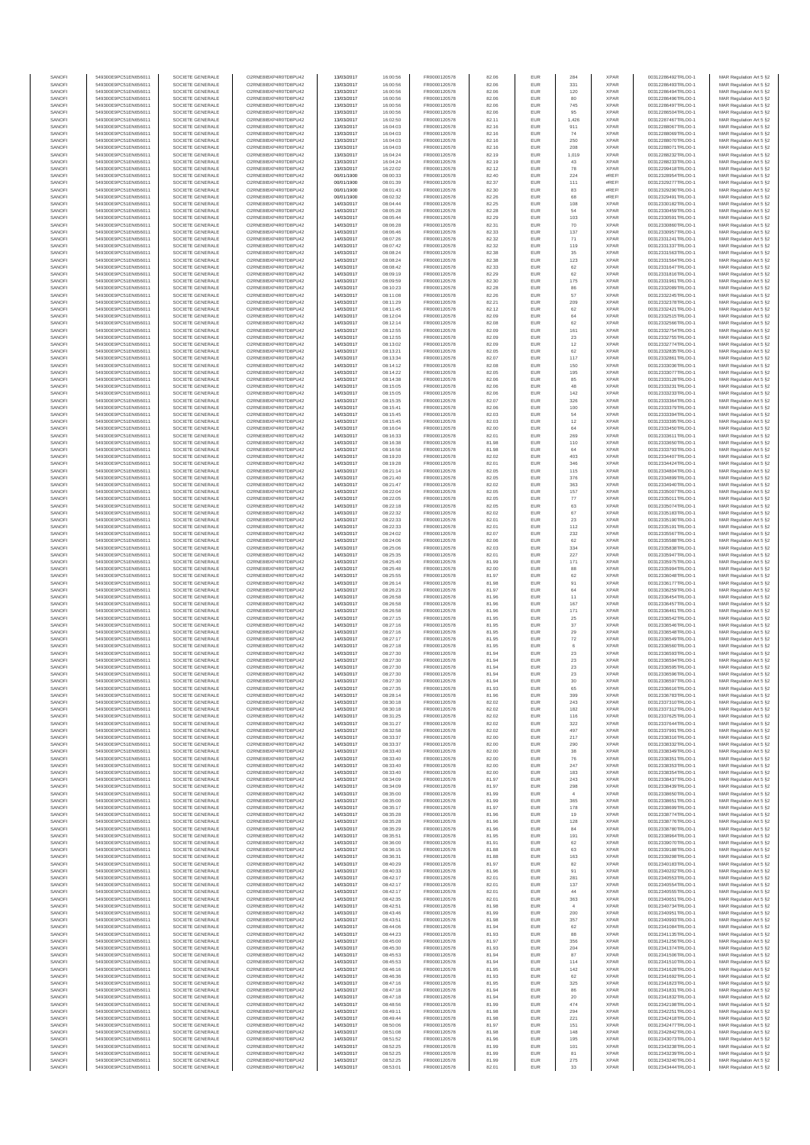| SANOF            | 549300E9PC51EN656011                         | SOCIETE GENERALE                     | O2RNE8IBXP4R0TD8PU42                          | 13/03/2017               | 16:00:56             | FR0000120578                 | 82.06          | EUR               | 284           | <b>XPAR</b>                | 00312286492TRLO0-1                       | MAR Regulation Art 5 §2                            |
|------------------|----------------------------------------------|--------------------------------------|-----------------------------------------------|--------------------------|----------------------|------------------------------|----------------|-------------------|---------------|----------------------------|------------------------------------------|----------------------------------------------------|
| SANOFI<br>SANOFI | 549300E9PC51EN656011<br>549300E9PC51EN656011 | SOCIETE GENERALE<br>SOCIETE GENERALE | O2RNE8IBXP4R0TD8PU42                          | 13/03/2017<br>13/03/2017 | 16:00:56<br>16:00:56 | FR0000120578<br>FR0000120578 | 82.06          | EUR<br>EUR        | 331<br>120    | <b>XPAR</b><br><b>XPAR</b> | 00312286493TRLO0-1                       | MAR Regulation Art 5 §2                            |
| SANOFI           | 549300E9PC51EN656011                         | SOCIETE GENERALE                     | O2RNE8IBXP4R0TD8PU42<br>O2RNE8IBXP4R0TD8PU42  | 13/03/2017               | 16:00:56             | FR0000120578                 | 82.06<br>82.06 | EUR               | 80            | <b>XPAR</b>                | 00312286494TRLO0-1<br>00312286496TRLO0-1 | MAR Regulation Art 5 §2<br>MAR Regulation Art 5 §2 |
| SANOFI           | 549300E9PC51EN656011                         | SOCIETE GENERALE                     | O2RNE8IBXP4R0TD8PU42                          | 13/03/2017               | 16:00:56             | FR0000120578                 | 82.06          | EUR               | 745           | <b>XPAR</b>                | 00312286497TRLO0-1                       | MAR Regulation Art 5 §2                            |
| SANOFI           | 549300E9PC51EN656011                         | SOCIETE GENERALE                     | O2RNE8IBXP4R0TD8PU42                          | 13/03/2017               | 16:00:56             | FR0000120578                 | 82.06          | EUR               | 95            | <b>XPAR</b>                | 00312286504TRLO0-1                       | MAR Regulation Art 5 §2                            |
| SANOFI<br>SANOFI | 549300E9PC51EN656011<br>549300E9PC51EN656011 | SOCIETE GENERALE<br>SOCIETE GENERALE | O2RNE8IBXP4R0TD8PLI42<br>O2RNE8IBXP4R0TD8PU42 | 13/03/2017<br>13/03/2017 | 16:02:50<br>16:04:03 | FR0000120578<br>FR0000120578 | 82.11<br>82.16 | EUR<br>EUR        | 1.426<br>911  | <b>XPAR</b><br><b>XPAR</b> | 00312287467TRLO0-1<br>00312288067TRLO0-1 | MAR Regulation Art 5 §2<br>MAR Regulation Art 5 §2 |
| SANOFI           | 549300E9PC51EN656011                         | SOCIETE GENERALE                     | O2RNE8IBXP4R0TD8PU42                          | 13/03/2017               | 16:04:03             | FR0000120578                 | 82.16          | EUR               | 74            | <b>XPAR</b>                | 00312288069TRLO0-1                       | MAR Regulation Art 5 §2                            |
| SANOFI           | 549300E9PC51EN656011                         | SOCIETE GENERALE                     | O2RNE8IBXP4R0TD8PU42                          | 13/03/2017               | 16:04:03             | FR0000120578                 | 82.16          | EUR               | 250           | <b>XPAR</b>                | 00312288070TRLO0-1                       | MAR Regulation Art 5 §2                            |
| SANOFI<br>SANOFI | 549300E9PC51EN656011<br>549300E9PC51EN656011 | SOCIETE GENERALE<br>SOCIETE GENERALE | O2RNE8IBXP4R0TD8PU42<br>O2RNE8IBXP4R0TD8PU42  | 13/03/2017<br>13/03/2017 | 16:04:03<br>16:04:24 | FR0000120578<br>FR0000120578 | 82.16<br>82.19 | EUR<br>EUR        | 208<br>1,019  | <b>XPAR</b><br><b>XPAR</b> | 00312288071TRLO0-1<br>00312288232TRLO0-1 | MAR Regulation Art 5 §2<br>MAR Regulation Art 5 §2 |
| SANOFI           | 549300E9PC51EN656011                         | SOCIETE GENERALE                     | O2RNE8IBXP4R0TD8PU42                          | 13/03/2017               | 16:04:24             | FR0000120578                 | 82.19          | EUR               | 43            | <b>XPAR</b>                | 00312288233TRLO0-1                       | MAR Regulation Art 5 §2                            |
| SANOFI           | 549300E9PC51EN656011                         | SOCIETE GENERALE                     | O2RNE8IBXP4R0TD8PU42                          | 13/03/2017               | 16:22:02             | FR0000120578                 | 82.12          | EUR               | 78            | <b>XPAR</b>                | 00312299418TRLO0-1                       | MAR Regulation Art 5 §2                            |
| SANOFI           | 549300E9PC51EN656011                         | SOCIETE GENERALE                     | O2RNE8IBXP4R0TD8PU42                          | 00/01/1900               | 08:00:33             | FR0000120578                 | 82.40          | EUR               | 224           | #REF                       | 00312328954TRLO0-1                       | MAR Regulation Art 5 §2                            |
| SANOFI<br>SANOFI | 549300E9PC51EN656011<br>549300E9PC51EN656011 | SOCIETE GENERALE<br>SOCIETE GENERALE | O2RNE8IBXP4R0TD8PU42<br>O2RNE8IBXP4R0TD8PU42  | 00/01/1900<br>00/01/1900 | 08:01:39<br>08:01:43 | FR0000120578<br>FR0000120578 | 82.37<br>82.30 | EUR<br>EUR        | 111<br>83     | #REF!<br>#REF              | 00312329277TRLO0-1<br>00312329290TRLO0-1 | MAR Regulation Art 5 §2<br>MAR Regulation Art 5 §2 |
| SANOFI           | 549300E9PC51EN656011                         | SOCIETE GENERALE                     | O2RNE8IBXP4R0TD8PU42                          | 00/01/1900               | 08:02:32             | FR0000120578                 | 82.26          | EUR               | 68            | #REF                       | 00312329491TRLO0-1                       | MAR Regulation Art 5 §2                            |
| SANOFI           | 549300E9PC51EN656011                         | SOCIETE GENERALE                     | O2RNE8IBXP4R0TD8PU42                          | 14/03/2017               | 08:04:44             | FR0000120578                 | 82.25          | EUR               | 108           | <b>XPAR</b>                | 00312330182TRLO0-1                       | MAR Regulation Art 5 §2                            |
| SANOFI           | 549300E9PC51EN656011                         | SOCIETE GENERALE                     | O2RNE8IBXP4R0TD8PU42                          | 14/03/2017               | 08:05:28             | FR0000120578                 | 82.28          | EUR               | 54            | <b>XPAR</b>                | 00312330459TRLO0-1                       | MAR Regulation Art 5 §2                            |
| SANOFI<br>SANOFI | 549300E9PC51EN656011<br>549300E9PC51EN656011 | SOCIETE GENERALE<br>SOCIETE GENERALE | O2RNE8IBXP4R0TD8PU42<br>O2RNE8IBXP4R0TD8PU42  | 14/03/2017<br>14/03/2017 | 08:05:44<br>08:06:28 | FR0000120578<br>FR0000120578 | 82.29<br>82.31 | EUR<br>EUR        | 103<br>70     | <b>XPAR</b><br><b>XPAR</b> | 00312330591TRLO0-1<br>00312330860TRLO0-1 | MAR Regulation Art 5 §2<br>MAR Regulation Art 5 §2 |
| SANOFI           | 549300E9PC51EN656011                         | SOCIETE GENERALE                     | O2RNE8IBXP4R0TD8PU42                          | 14/03/2017               | 08:06:46             | FR0000120578                 | 82.33          | EUR               | 137           | <b>XPAR</b>                | 00312330957TRLO0-1                       | MAR Regulation Art 5 §2                            |
| SANOFI           | 549300E9PC51EN656011                         | SOCIETE GENERALE                     | O2RNE8IBXP4R0TD8PU42                          | 14/03/2017               | 08:07:26             | FR0000120578                 | 82.32          | EUR               | 71            | <b>XPAR</b>                | 00312331241TRLO0-1                       | MAR Regulation Art 5 §2                            |
| SANOFI<br>SANOFI | 549300E9PC51EN656011<br>549300E9PC51EN656011 | SOCIETE GENERALE<br>SOCIETE GENERALE | O2RNE8IBXP4R0TD8PU42<br>O2RNE8IBXP4R0TD8PU42  | 14/03/2017<br>14/03/2017 | 08:07:42<br>08:08:24 | FR0000120578<br>FR0000120578 | 82.32<br>82.38 | EUR<br>EUR        | 119<br>35     | <b>XPAR</b><br><b>XPAR</b> | 00312331337TRLO0-1<br>00312331563TRLO0-1 | MAR Regulation Art 5 §2<br>MAR Regulation Art 5 §2 |
| SANOFI           | 549300E9PC51EN656011                         | SOCIETE GENERALE                     | O2RNE8IBXP4R0TD8PU42                          | 14/03/2017               | 08:08:24             | FR0000120578                 | 82.38          | EUR               | 123           | <b>XPAR</b>                | 00312331564TRLO0-1                       | MAR Regulation Art 5 §2                            |
| SANOFI           | 549300E9PC51EN656011                         | SOCIETE GENERALE                     | O2RNE8IBXP4R0TD8PU42                          | 14/03/2017               | 08:08:42             | FR0000120578                 | 82.33          | EUR               | 62            | <b>XPAR</b>                | 00312331647TRLO0-1                       | MAR Regulation Art 5 §2                            |
| SANOFI           | 549300E9PC51EN656011                         | SOCIETE GENERALE                     | O2RNE8IBXP4R0TD8PU42                          | 14/03/2017               | 08:09:19             | FR0000120578                 | 82.29          | EUR               | $62\,$        | <b>XPAR</b>                | 00312331816TRLO0-1                       | MAR Regulation Art 5 §2                            |
| SANOFI<br>SANOFI | 549300E9PC51EN656011<br>549300E9PC51EN656011 | SOCIETE GENERALE<br>SOCIETE GENERALE | O2RNE8IBXP4R0TD8PU42<br>O2RNE8IBXP4R0TD8PU42  | 14/03/2017<br>14/03/2017 | 08:09:59<br>08:10:23 | FR0000120578<br>FR0000120578 | 82.30<br>82.28 | EUR<br>EUR        | $175\,$<br>86 | <b>XPAR</b><br><b>XPAR</b> | 00312331961TRLO0-1<br>00312332089TRLO0-1 | MAR Regulation Art 5 §2<br>MAR Regulation Art 5 §2 |
| SANOFI           | 549300E9PC51EN656011                         | SOCIETE GENERALE                     | O2RNE8IBXP4R0TD8PU42                          | 14/03/2017               | 08:11:08             | FR0000120578                 | 82.26          | EUR               | 57            | <b>XPAR</b>                | 00312332245TRLO0-1                       | MAR Regulation Art 5 §2                            |
| SANOFI           | 549300E9PC51EN656011                         | SOCIETE GENERALE                     | O2RNE8IBXP4R0TD8PU42                          | 14/03/2017               | 08:11:29             | FR0000120578                 | 82.21          | EUR               | 209           | <b>XPAR</b>                | 00312332378TRLO0-1                       | MAR Regulation Art 5 §2                            |
| SANOFI<br>SANOFI | 549300E9PC51EN656011<br>549300E9PC51EN656011 | SOCIETE GENERALE<br>SOCIETE GENERALE | O2RNE8IBXP4R0TD8PU42<br>O2RNE8IBXP4R0TD8PU42  | 14/03/2017<br>14/03/2017 | 08:11:45<br>08:12:04 | FR0000120578<br>FR0000120578 | 82.12<br>82.09 | EUR<br>EUR        | 62<br>64      | <b>XPAR</b><br><b>XPAR</b> | 00312332421TRLO0-1<br>00312332515TRLO0-1 | MAR Regulation Art 5 §2<br>MAR Regulation Art 5 §2 |
| SANOFI           | 549300E9PC51EN656011                         | SOCIETE GENERALE                     | O2RNE8IBXP4R0TD8PU42                          | 14/03/2017               | 08:12:14             | FR0000120578                 | 82.08          | EUR               | 62            | <b>XPAR</b>                | 00312332566TRLO0-1                       | MAR Regulation Art 5 §2                            |
| SANOFI           | 549300E9PC51EN656011                         | SOCIETE GENERALE                     | O2RNE8IBXP4R0TD8PU42                          | 14/03/2017               | 08:12:55             | FR0000120578                 | 82.09          | EUR               | 161           | <b>XPAR</b>                | 00312332754TRLO0-1                       | MAR Regulation Art 5 §2                            |
| SANOFI           | 549300E9PC51EN656011                         | SOCIETE GENERALE                     | O2RNE8IBXP4R0TD8PU42                          | 14/03/2017               | 08:12:55             | FR0000120578                 | 82.09          | EUR               | 23            | <b>XPAR</b>                | 00312332755TRLO0-1                       | MAR Regulation Art 5 §2                            |
| SANOFI<br>SANOFI | 549300E9PC51EN656011<br>549300E9PC51EN656011 | SOCIETE GENERALE<br>SOCIETE GENERALE | O2RNE8IBXP4R0TD8PU42<br>O2RNE8IBXP4R0TD8PU42  | 14/03/2017<br>14/03/2017 | 08:13:02<br>08:13:21 | FR0000120578<br>FR0000120578 | 82.09<br>82.05 | EUR<br>EUR        | $12\,$<br>62  | <b>XPAR</b><br><b>XPAR</b> | 00312332774TRLO0-1<br>00312332835TRLO0-1 | MAR Regulation Art 5 §2<br>MAR Regulation Art 5 §2 |
| SANOFI           | 549300E9PC51EN656011                         | SOCIETE GENERALE                     | O2RNE8IBXP4R0TD8PU42                          | 14/03/2017               | 08:13:34             | FR0000120578                 | 82.07          | EUR               | 117           | <b>XPAR</b>                | 00312332861TRLO0-1                       | MAR Regulation Art 5 §2                            |
| SANOFI           | 549300E9PC51EN656011                         | SOCIETE GENERALE                     | O2RNE8IBXP4R0TD8PU42                          | 14/03/2017               | 08:14:12             | FR0000120578                 | 82.08          | EUR               | 150           | <b>XPAR</b>                | 00312333036TRLO0-1                       | MAR Regulation Art 5 §2                            |
| SANOFI           | 549300E9PC51EN656011                         | SOCIETE GENERALE                     | O2RNE8IBXP4R0TD8PU42<br>O2RNE8IBXP4R0TD8PU42  | 14/03/2017               | 08:14:22             | FR0000120578                 | 82.05          | EUR               | 195           | <b>XPAR</b>                | 00312333077TRLO0-1                       | MAR Regulation Art 5 §2                            |
| SANOFI<br>SANOFI | 549300E9PC51EN656011<br>549300E9PC51EN656011 | SOCIETE GENERALE<br>SOCIETE GENERALE | O2RNE8IBXP4R0TD8PU42                          | 14/03/2017<br>14/03/2017 | 08:14:38<br>08:15:05 | FR0000120578<br>FR0000120578 | 82.06<br>82.06 | EUR<br>EUR        | 85<br>48      | <b>XPAR</b><br><b>XPAR</b> | 00312333128TRLO0-1<br>00312333231TRLO0-1 | MAR Regulation Art 5 §2<br>MAR Regulation Art 5 §2 |
| SANOFI           | 549300E9PC51EN656011                         | SOCIETE GENERALE                     | O2RNE8IBXP4R0TD8PU42                          | 14/03/2017               | 08:15:05             | FR0000120578                 | 82.06          | EUR               | 142           | <b>XPAR</b>                | 00312333233TRLO0-1                       | MAR Regulation Art 5 §2                            |
| SANOFI           | 549300E9PC51EN656011                         | SOCIETE GENERALE                     | O2RNE8IBXP4R0TD8PU42                          | 14/03/2017               | 08:15:35             | FR0000120578                 | 82.07          | EUR               | 326           | <b>XPAR</b>                | 00312333364TRLO0-1                       | MAR Regulation Art 5 §2                            |
| SANOFI           | 549300E9PC51EN656011<br>549300E9PC51EN656011 | SOCIETE GENERALE                     | O2RNE8IBXP4R0TD8PU42<br>O2RNE8IBXP4R0TD8PU42  | 14/03/2017               | 08:15:41             | FR0000120578<br>FR0000120578 | 82.06          | EUR               | 100           | <b>XPAR</b>                | 00312333379TRLO0-1<br>00312333394TRLO0-1 | MAR Regulation Art 5 §2                            |
| SANOFI<br>SANOFI | 549300E9PC51EN656011                         | SOCIETE GENERALE<br>SOCIETE GENERALE | O2RNE8IBXP4R0TD8PU42                          | 14/03/2017<br>14/03/2017 | 08:15:45<br>08:15:45 | FR0000120578                 | 82.03<br>82.03 | EUR<br>EUR        | 54<br>$12\,$  | <b>XPAR</b><br><b>XPAR</b> | 00312333395TRLO0-1                       | MAR Regulation Art 5 §2<br>MAR Regulation Art 5 §2 |
| SANOFI           | 549300E9PC51EN656011                         | SOCIETE GENERALE                     | O2RNE8IBXP4R0TD8PU42                          | 14/03/2017               | 08:16:04             | FR0000120578                 | 82.00          | EUR               | 64            | <b>XPAR</b>                | 00312333450TRLO0-1                       | MAR Regulation Art 5 §2                            |
| SANOFI           | 549300E9PC51EN656011                         | SOCIETE GENERALE                     | O2RNE8IBXP4R0TD8PU42                          | 14/03/2017               | 08:16:33             | FR0000120578                 | 82.01          | EUR               | 269           | <b>XPAR</b>                | 00312333611TRLO0-1                       | MAR Regulation Art 5 §2                            |
| SANOFI<br>SANOFI | 549300E9PC51EN656011                         | SOCIETE GENERALE<br>SOCIETE GENERALE | O2RNE8IBXP4R0TD8PU42<br>O2RNE8IBXP4R0TD8PU42  | 14/03/2017               | 08:16:38             | FR0000120578<br>FR0000120578 | 81.98          | EUR<br>EUR        | 110<br>64     | <b>XPAR</b><br><b>XPAR</b> | 00312333650TRLO0-1                       | MAR Regulation Art 5 §2                            |
| SANOFI           | 549300E9PC51EN656011<br>549300E9PC51EN656011 | SOCIETE GENERALE                     | O2RNESIBXP4R0TD8PLI42                         | 14/03/2017<br>14/03/2017 | 08:16:58<br>08:19:20 | FR0000120578                 | 81.98<br>82.02 | EUR               | 403           | <b>XPAR</b>                | 00312333793TRLO0-1<br>00312334407TRLO0-1 | MAR Regulation Art 5 §2<br>MAR Regulation Art 5 §2 |
| SANOFI           | 549300E9PC51EN656011                         | SOCIETE GENERALE                     | O2RNE8IBXP4R0TD8PU42                          | 14/03/2017               | 08:19:28             | FR0000120578                 | 82.01          | EUR               | 346           | <b>XPAR</b>                | 00312334424TRLO0-1                       | MAR Regulation Art 5 §2                            |
| SANOFI           | 549300E9PC51EN656011                         | SOCIETE GENERALE                     | O2RNE8IBXP4R0TD8PU42                          | 14/03/2017               | 08:21:14             | FR0000120578                 | 82.05          | EUR               | 115           | <b>XPAR</b>                | 00312334804TRLO0-1                       | MAR Regulation Art 5 §2                            |
| SANOFI<br>SANOFI | 549300E9PC51EN656011<br>549300E9PC51EN656011 | SOCIETE GENERALE<br>SOCIETE GENERALE | O2RNE8IBXP4R0TD8PU42<br>O2RNE8IBXP4R0TD8PU42  | 14/03/2017<br>14/03/2017 | 08:21:40<br>08:21:47 | FR0000120578<br>FR0000120578 | 82.05<br>82.02 | EUR<br>EUR        | 376<br>363    | <b>XPAR</b><br><b>XPAR</b> | 00312334899TRLO0-1<br>00312334940TRLO0-1 | MAR Regulation Art 5 §2<br>MAR Regulation Art 5 §2 |
| SANOFI           | 549300E9PC51EN656011                         | SOCIETE GENERALE                     | O2RNE8IBXP4R0TD8PU42                          | 14/03/2017               | 08:22:04             | FR0000120578                 | 82.05          | EUR               | 157           | <b>XPAR</b>                | 00312335007TRLO0-1                       | MAR Regulation Art 5 §2                            |
| SANOFI           | 549300E9PC51EN656011                         | SOCIETE GENERALE                     | O2RNE8IBXP4R0TD8PU42                          | 14/03/2017               | 08:22:05             | FR0000120578                 | 82.05          | EUR               | 77            | <b>XPAR</b>                | 00312335011TRLO0-1                       | MAR Regulation Art 5 §2                            |
| SANOFI           | 549300E9PC51EN656011                         | SOCIETE GENERALE                     | O2RNE8IBXP4R0TD8PU42                          | 14/03/2017               | 08:22:18             | FR0000120578                 | 82.05          | EUR               | 63            | <b>XPAR</b>                | 00312335074TRLO0-1                       | MAR Regulation Art 5 §2                            |
| SANOFI<br>SANOFI | 549300E9PC51EN656011<br>549300E9PC51EN656011 | SOCIETE GENERALE<br>SOCIETE GENERALE | O2RNE8IBXP4R0TD8PU42<br>O2RNE8IBXP4R0TD8PU42  | 14/03/2017<br>14/03/2017 | 08:22:32<br>08:22:33 | FR0000120578<br>FR0000120578 | 82.02<br>82.01 | EUR<br>EUR        | 67<br>$23\,$  | <b>XPAR</b><br><b>XPAR</b> | 00312335183TRLO0-1<br>00312335190TRLO0-1 | MAR Regulation Art 5 §2<br>MAR Regulation Art 5 §2 |
| SANOFI           | 549300E9PC51EN656011                         | SOCIETE GENERALE                     | O2RNE8IBXP4R0TD8PU42                          | 14/03/2017               | 08:22:33             | FR0000120578                 | 82.01          | EUR               | 112           | <b>XPAR</b>                | 00312335191TRLO0-1                       | MAR Regulation Art 5 §2                            |
| SANOFI           | 549300E9PC51EN656011                         | SOCIETE GENERALE                     | O2RNE8IBXP4R0TD8PU42                          | 14/03/2017               | 08:24:02             | FR0000120578                 | 82.07          | <b>EUR</b>        | 232           | <b>XPAR</b>                | 00312335567TRLO0-1                       | MAR Regulation Art 5 §2                            |
| SANOFI           | 549300E9PC51EN656011                         | SOCIETE GENERALE                     | O2RNE8IBXP4R0TD8PU42                          | 14/03/2017               | 08:24:06             | FR0000120578                 | 82.06          | EUR               | 62<br>334     | <b>XPAR</b>                | 00312335588TRLO0-1                       | MAR Regulation Art 5 §2                            |
| SANOFI<br>SANOFI | 549300E9PC51EN656011<br>549300E9PC51EN656011 | SOCIETE GENERALE<br>SOCIETE GENERALE | O2RNE8IBXP4R0TD8PU42<br>O2RNE8IBXP4R0TD8PU42  | 14/03/2017<br>14/03/2017 | 08:25:06<br>08:25:35 | FR0000120578<br>FR0000120578 | 82.03<br>82.01 | EUR<br>EUR        | 227           | <b>XPAR</b><br><b>XPAR</b> | 00312335838TRLO0-1<br>00312335947TRLO0-1 | MAR Regulation Art 5 §2<br>MAR Regulation Art 5 §2 |
| SANOFI           | 549300E9PC51EN656011                         | SOCIETE GENERALE                     | O2RNE8IBXP4R0TD8PU42                          | 14/03/2017               | 08:25:40             | FR0000120578                 | 81.99          | EUR               | 171           | <b>XPAR</b>                | 00312335975TRLO0-1                       | MAR Regulation Art 5 §2                            |
| SANOFI           | 549300E9PC51EN656011                         | SOCIETE GENERALE                     | O2RNE8IBXP4R0TD8PU42                          | 14/03/2017               | 08:25:48             | FR0000120578                 | 82.00          | EUR               | 88            | <b>XPAR</b>                | 00312335994TRLO0-1                       | MAR Regulation Art 5 §2                            |
| SANOFI<br>SANOFI | 549300E9PC51EN656011<br>549300E9PC51EN656011 | SOCIETE GENERALE<br>SOCIETE GENERALE | O2RNE8IBXP4R0TD8PU42<br>O2RNE8IBXP4R0TD8PU42  | 14/03/2017<br>14/03/2017 | 08:25:55<br>08:26:14 | FR0000120578<br>FR0000120578 | 81.97<br>81.98 | EUR<br>EUR        | 62<br>91      | <b>XPAR</b><br><b>XPAR</b> | 00312336048TRLO0-1<br>00312336177TRLO0-1 | MAR Regulation Art 5 §2<br>MAR Regulation Art 5 §2 |
| SANOFI           | 549300E9PC51EN656011                         | SOCIETE GENERALE                     | O2RNE8IBXP4R0TD8PU42                          | 14/03/2017               | 08:26:23             | FR0000120578                 | 81.97          | EUR               | 64            | <b>XPAR</b>                | 00312336259TRLO0-1                       | MAR Regulation Art 5 §2                            |
| SANOFI           | 549300E9PC51EN656011                         | SOCIETE GENERALE                     | O2RNE8IBXP4R0TD8PU42                          | 14/03/2017               | 08:26:58             | FR0000120578                 | 81.96          | EUR               | 11            | <b>XPAR</b>                | 00312336454TRLO0-1                       | MAR Regulation Art 5 §2                            |
| SANOFI<br>SANOFI | 549300E9PC51EN656011<br>549300E9PC51EN656011 | SOCIETE GENERALE<br>SOCIETE GENERALE | O2RNE8IBXP4R0TD8PU42<br>O2RNE8IBXP4R0TD8PU42  | 14/03/2017<br>14/03/2017 | 08:26:58<br>08:26:58 | FR0000120578<br>FR0000120578 | 81.96<br>81.96 | EUR<br>EUR        | 167<br>171    | <b>XPAR</b><br><b>XPAR</b> | 00312336457TRLO0-1<br>00312336461TRLO0-1 | MAR Regulation Art 5 §2                            |
| SANOFI           | 549300E9PC51EN656011                         | SOCIETE GENERALE                     | O2RNE8IBXP4R0TD8PU42                          | 14/03/2017               | 08:27:15             | FR0000120578                 | 81.95          | EUR               | 25            | <b>XPAR</b>                | 00312336542TRLO0-1                       | MAR Regulation Art 5 §2<br>MAR Regulation Art 5 §2 |
| SANOFI           | 549300E9PC51EN656011                         | SOCIETE GENERALE                     | O2RNE8IBXP4R0TD8PU42                          | 14/03/2017               | 08:27:16             | FR0000120578                 | 81.95          | EUR               | 37            | <b>XPAR</b>                | 00312336546TRLO0-1                       | MAR Regulation Art 5 §2                            |
| SANOFI           | 549300E9PC51EN656011                         | SOCIETE GENERALE                     | O2RNE8IBXP4R0TD8PU42                          | 14/03/2017               | 08:27:16             | FR0000120578                 | 81.95          | EUR               | 29            | <b>XPAR</b>                | 00312336548TRLO0-1                       | MAR Regulation Art 5 §2                            |
| SANOFI<br>SANOFI | 549300E9PC51EN656011<br>549300E9PC51EN656011 | SOCIETE GENERALE<br>SOCIETE GENERALE | O2RNE8IBXP4R0TD8PU42<br>O2RNE8IBXP4R0TD8PU42  | 14/03/2017<br>14/03/2017 | 08:27:17<br>08:27:18 | FR0000120578<br>FR0000120578 | 81.95<br>81.95 | EUR<br>EUR        | 72<br>6       | <b>XPAR</b><br><b>XPAR</b> | 00312336549TRLO0-1<br>00312336560TRLO0-1 | MAR Regulation Art 5 §2                            |
| SANOFI           | 549300E9PC51EN656011                         | SOCIETE GENERALE                     | O2RNE8IBXP4R0TD8PU42                          | 14/03/2017               | 08:27:30             | FR0000120578                 | 81.94          | EUR               | $23\,$        | <b>XPAR</b>                | 00312336593TRLO0-1                       | MAR Regulation Art 5 §2<br>MAR Regulation Art 5 §2 |
| SANOFI           | 549300E9PC51EN656011                         | SOCIETE GENERALE                     | O2RNE8IBXP4R0TD8PU42                          | 14/03/2017               | 08:27:30             | FR0000120578                 | 81.94          | <b>EUR</b>        | 23            | <b>XPAR</b>                | 00312336594TRLO0-1                       | MAR Regulation Art 5 §2                            |
| SANOFI           | 549300E9PC51EN656011                         | SOCIETE GENERALE                     | O2RNE8IBXP4R0TD8PU42                          | 14/03/2017               | 08:27:30             | FR0000120578                 | 81.94          | EUR               | 23            | <b>XPAR</b>                | 00312336595TRLO0-1                       | MAR Regulation Art 5 §2                            |
| SANOFI<br>SANOFI | 549300E9PC51EN656011<br>549300E9PC51EN656011 | SOCIETE GENERALE<br>SOCIETE GENERALE | O2RNE8IBXP4R0TD8PU42<br>O2RNE8IBXP4R0TD8PU42  | 14/03/2017<br>14/03/2017 | 08:27:30<br>08:27:30 | FR0000120578<br>FR0000120578 | 81.94<br>81.94 | EUR<br>EUR        | 23<br>30      | <b>XPAR</b><br><b>XPAR</b> | 00312336596TRLO0-1<br>00312336597TRLO0-1 | MAR Regulation Art 5 §2<br>MAR Regulation Art 5 §2 |
| SANOFI           | 549300E9PC51EN656011                         | SOCIETE GENERALE                     | O2RNE8IBXP4R0TD8PU42                          | 14/03/2017               | 08:27:35             | FR0000120578                 | 81.93          | EUR               | 65            | <b>XPAR</b>                | 00312336616TRLO0-1                       | MAR Regulation Art 5 §2                            |
| SANOFI           | 549300E9PC51EN656011                         | SOCIETE GENERALE                     | O2RNE8IBXP4R0TD8PU42                          | 14/03/2017               | 08:28:14             | FR0000120578                 | 81.96          | EUR               | 399           | <b>XPAR</b>                | 00312336783TRLO0-1                       | MAR Regulation Art 5 §2                            |
| SANOFI<br>SANOFI | 549300E9PC51EN656011<br>549300E9PC51EN656011 | SOCIETE GENERALE<br>SOCIETE GENERALE | O2RNE8IBXP4R0TD8PU42<br>O2RNE8IBXP4R0TD8PU42  | 14/03/2017               | 08:30:18             | FR0000120578                 | 82.02          | EUR<br>EUR        | 243           | <b>XPAR</b><br><b>XPAR</b> | 00312337310TRLO0-1                       | MAR Regulation Art 5 §2                            |
| SANOFI           | 549300E9PC51EN656011                         | SOCIETE GENERALE                     | O2RNE8IBXP4R0TD8PU42                          | 14/03/2017<br>14/03/2017 | 08:30:18<br>08:31:25 | FR0000120578<br>FR0000120578 | 82.02<br>82.02 | EUR               | 182<br>116    | <b>XPAR</b>                | 00312337312TRLO0-1<br>00312337625TRLO0-1 | MAR Regulation Art 5 §2<br>MAR Regulation Art 5 §2 |
| SANOFI           | 549300E9PC51EN656011                         | SOCIETE GENERALE                     | O2RNE8IBXP4R0TD8PU42                          | 14/03/2017               | 08:31:27             | FR0000120578                 | 82.02          | EUR               | 322           | <b>XPAR</b>                | 00312337644TRLO0-1                       | MAR Regulation Art 5 §2                            |
| SANOFI           | 549300E9PC51EN656011                         | SOCIETE GENERALE                     | O2RNE8IBXP4R0TD8PU42                          | 14/03/2017               | 08:32:58             | FR0000120578                 | 82.02          | EUR               | 497           | <b>XPAR</b>                | 00312337991TRLO0-1                       | MAR Regulation Art 5 §2                            |
| SANOFI<br>SANOFI | 549300E9PC51EN656011<br>549300E9PC51EN656011 | SOCIETE GENERALE<br>SOCIETE GENERALE | O2RNE8IBXP4R0TD8PU42<br>O2RNE8IBXP4R0TD8PU42  | 14/03/2017<br>14/03/2017 | 08:33:37<br>08:33:37 | FR0000120578<br>FR0000120578 | 82.00<br>82.00 | <b>EUR</b><br>EUR | 217<br>290    | <b>XPAR</b><br><b>XPAR</b> | 00312338316TRLO0-1<br>00312338332TRLO0-1 | MAR Regulation Art 5 §2<br>MAR Regulation Art 5 §2 |
| SANOFI           | 549300E9PC51EN656011                         | SOCIETE GENERALE                     | O2RNE8IBXP4R0TD8PU42                          | 14/03/2017               | 08:33:40             | FR0000120578                 | 82.00          | EUR               | $_{\rm 38}$   | <b>XPAR</b>                | 00312338349TRLO0-1                       | MAR Regulation Art 5 §2                            |
| SANOFI           | 549300E9PC51EN656011                         | SOCIETE GENERALE                     | O2RNE8IBXP4R0TD8PU42                          | 14/03/2017               | 08:33:40             | FR0000120578                 | 82.00          | EUR               | 76            | <b>XPAR</b>                | 00312338351TRLO0-1                       | MAR Regulation Art 5 §2                            |
| SANOFI<br>SANOFI | 549300E9PC51EN656011<br>549300E9PC51EN656011 | SOCIETE GENERALE<br>SOCIETE GENERALE | O2RNE8IBXP4R0TD8PU42<br>O2RNE8IBXP4R0TD8PU42  | 14/03/2017<br>14/03/2017 | 08:33:40<br>08:33:40 | FR0000120578<br>FR0000120578 | 82.00<br>82.00 | EUR<br><b>EUR</b> | 247<br>183    | <b>XPAR</b><br><b>XPAR</b> | 00312338353TRLO0-1<br>00312338354TRLO0-1 | MAR Regulation Art 5 §2<br>MAR Regulation Art 5 §2 |
| SANOFI           | 549300E9PC51EN656011                         | SOCIETE GENERALE                     | O2RNE8IBXP4R0TD8PU42                          | 14/03/2017               | 08:34:09             | FR0000120578                 | 81.97          | EUR               | 243           | <b>XPAR</b>                | 00312338437TRLO0-1                       | MAR Regulation Art 5 §2                            |
| SANOFI           | 549300E9PC51EN656011                         | SOCIETE GENERALE                     | O2RNE8IBXP4R0TD8PU42                          | 14/03/2017               | 08:34:09             | FR0000120578                 | 81.97          | <b>EUR</b>        | 298           | <b>XPAR</b>                | 00312338439TRLO0-1                       | MAR Regulation Art 5 §2                            |
| SANOFI<br>SANOFI | 549300E9PC51EN656011<br>549300E9PC51EN656011 | SOCIETE GENERALE<br>SOCIETE GENERALE | O2RNE8IBXP4R0TD8PU42<br>O2RNE8IBXP4R0TD8PU42  | 14/03/2017<br>14/03/2017 | 08:35:00<br>08:35:00 | FR0000120578<br>FR0000120578 | 81.99<br>81.99 | EUR<br>EUR        | 365           | <b>XPAR</b><br><b>XPAR</b> | 00312338650TRLO0-1<br>00312338651TRLO0-1 | MAR Regulation Art 5 §2<br>MAR Regulation Art 5 §2 |
| SANOFI           | 549300E9PC51EN656011                         | SOCIETE GENERALE                     | O2RNE8IBXP4R0TD8PU42                          | 14/03/2017               | 08:35:17             | FR0000120578                 | 81.97          | EUR               | 178           | <b>XPAR</b>                | 00312338699TRLO0-1                       | MAR Regulation Art 5 §2                            |
| SANOFI           | 549300E9PC51EN656011                         | SOCIETE GENERALE                     | O2RNE8IBXP4R0TD8PU42                          | 14/03/2017               | 08:35:28             | FR0000120578                 | 81.96          | EUR               | 19            | <b>XPAR</b>                | 00312338774TRLO0-1                       | MAR Regulation Art 5 §2                            |
| SANOFI<br>SANOFI | 549300E9PC51EN656011<br>549300E9PC51EN656011 | SOCIETE GENERALE<br>SOCIETE GENERALE | O2RNE8IBXP4R0TD8PU42<br>O2RNE8IBXP4R0TD8PU42  | 14/03/2017<br>14/03/2017 | 08:35:28<br>08:35:29 | FR0000120578<br>FR0000120578 | 81.96<br>81.96 | EUR<br>EUR        | 128<br>84     | <b>XPAR</b><br><b>XPAR</b> | 00312338776TRLO0-1<br>00312338780TRLO0-1 | MAR Regulation Art 5 §2                            |
| SANOFI           | 549300E9PC51EN656011                         | SOCIETE GENERALE                     | O2RNE8IBXP4R0TD8PU42                          | 14/03/2017               | 08:35:51             | FR0000120578                 | 81.95          | <b>EUR</b>        | 191           | <b>XPAR</b>                | 00312338964TRLO0-1                       | MAR Regulation Art 5 §2<br>MAR Regulation Art 5 §2 |
| SANOFI           | 549300E9PC51EN656011                         | SOCIETE GENERALE                     | O2RNE8IBXP4R0TD8PU42                          | 14/03/2017               | 08:36:00             | FR0000120578                 | 81.91          | EUR               | 62            | <b>XPAR</b>                | 00312339070TRLO0-1                       | MAR Regulation Art 5 §2                            |
| SANOFI           | 549300E9PC51EN656011                         | SOCIETE GENERALE                     | O2RNE8IBXP4R0TD8PU42                          | 14/03/2017               | 08:36:15             | FR0000120578                 | 81.88          | <b>EUR</b>        | 63            | <b>XPAR</b>                | 00312339188TRLO0-1                       | MAR Regulation Art 5 §2                            |
| SANOFI<br>SANOFI | 549300E9PC51EN656011<br>549300E9PC51EN656011 | SOCIETE GENERALE<br>SOCIETE GENERALE | O2RNE8IBXP4R0TD8PU42<br>O2RNE8IBXP4R0TD8PU42  | 14/03/2017<br>14/03/2017 | 08:36:31<br>08:40:29 | FR0000120578<br>FR0000120578 | 81.88<br>81.97 | EUR<br>EUR        | 163<br>82     | <b>XPAR</b><br><b>XPAR</b> | 00312339298TRLO0-1<br>00312340183TRLO0-1 | MAR Regulation Art 5 §2<br>MAR Regulation Art 5 §2 |
| SANOFI           | 549300E9PC51EN656011                         | SOCIETE GENERALE                     | O2RNE8IBXP4R0TD8PU42                          | 14/03/2017               | 08:40:33             | FR0000120578                 | 81.96          | EUR               | 91            | <b>XPAR</b>                | 00312340202TRLO0-1                       | MAR Regulation Art 5 §2                            |
| SANOFI           | 549300E9PC51EN656011                         | SOCIETE GENERALE                     | O2RNE8IBXP4R0TD8PU42                          | 14/03/2017               | 08:42:17             | FR0000120578                 | 82.01          | EUR               | 281           | XPAR                       | 00312340553TRLO0-1                       | MAR Regulation Art 5 §2                            |
| SANOFI<br>SANOFI | 549300E9PC51EN656011<br>549300E9PC51EN656011 | SOCIETE GENERALE<br>SOCIETE GENERALE | O2RNE8IBXP4R0TD8PU42<br>O2RNE8IBXP4R0TD8PU42  | 14/03/2017<br>14/03/2017 | 08:42:17<br>08:42:17 | FR0000120578<br>FR0000120578 | 82.01<br>82.01 | EUR<br>EUR        | 137<br>44     | <b>XPAR</b><br><b>XPAR</b> | 00312340554TRLO0-1<br>00312340555TRLO0-1 | MAR Regulation Art 5 §2                            |
| SANOFI           | 549300E9PC51EN656011                         | SOCIETE GENERALE                     | O2RNE8IBXP4R0TD8PU42                          | 14/03/2017               | 08:42:35             | FR0000120578                 | 82.01          | <b>EUR</b>        | 363           | <b>XPAR</b>                | 00312340651TRLO0-1                       | MAR Regulation Art 5 §2<br>MAR Regulation Art 5 §2 |
| SANOFI           | 549300E9PC51EN656011                         | SOCIETE GENERALE                     | O2RNE8IBXP4R0TD8PU42                          | 14/03/2017               | 08:42:51             | FR0000120578                 | 81.98          | EUR               |               | <b>XPAR</b>                | 00312340734TRLO0-1                       | MAR Regulation Art 5 §2                            |
| SANOFI           | 549300E9PC51EN656011                         | SOCIETE GENERALE                     | O2RNE8IBXP4R0TD8PU42                          | 14/03/2017               | 08:43:46             | FR0000120578                 | 81.99          | <b>EUR</b>        | 200           | <b>XPAR</b>                | 00312340951TRLO0-1                       | MAR Regulation Art 5 §2                            |
| SANOFI<br>SANOFI | 549300E9PC51EN656011<br>549300E9PC51EN656011 | SOCIETE GENERALE<br>SOCIETE GENERALE | O2RNE8IBXP4R0TD8PU42<br>O2RNE8IBXP4R0TD8PU42  | 14/03/2017<br>14/03/2017 | 08:43:51<br>08:44:06 | FR0000120578<br>FR0000120578 | 81.98<br>81.94 | EUR<br>EUR        | 357<br>$62\,$ | <b>XPAR</b><br><b>XPAR</b> | 00312340993TRLO0-1<br>00312341084TRLO0-1 | MAR Regulation Art 5 §2<br>MAR Regulation Art 5 §2 |
| SANOFI           | 549300E9PC51EN656011                         | SOCIETE GENERALE                     | O2RNE8IBXP4R0TD8PU42                          | 14/03/2017               | 08:44:23             | FR0000120578                 | 81.93          | EUR               | 88            | <b>XPAR</b>                | 00312341135TRLO0-1                       | MAR Regulation Art 5 §2                            |
| SANOFI           | 549300E9PC51EN656011                         | SOCIETE GENERALE                     | O2RNE8IBXP4R0TD8PU42                          | 14/03/2017               | 08:45:00             | FR0000120578                 | 81.97          | EUR               | 356           | <b>XPAR</b>                | 00312341256TRLO0-1                       | MAR Regulation Art 5 §2                            |
| SANOFI           | 549300E9PC51EN656011                         | SOCIETE GENERALE                     | O2RNE8IBXP4R0TD8PU42                          | 14/03/2017               | 08:45:30             | FR0000120578                 | 81.93          | EUR               | 204           | <b>XPAR</b>                | 00312341374TRLO0-1                       | MAR Regulation Art 5 §2                            |
| SANOFI<br>SANOFI | 549300E9PC51EN656011<br>549300E9PC51EN656011 | SOCIETE GENERALE<br>SOCIETE GENERALE | O2RNE8IBXP4R0TD8PU42<br>O2RNE8IBXP4R0TD8PU42  | 14/03/2017<br>14/03/2017 | 08:45:53<br>08:45:53 | FR0000120578<br>FR0000120578 | 81.94<br>81.94 | EUR<br><b>EUR</b> | 87<br>114     | <b>XPAR</b><br><b>XPAR</b> | 00312341506TRLO0-1<br>00312341510TRLO0-1 | MAR Regulation Art 5 §2<br>MAR Regulation Art 5 §2 |
| SANOFI           | 549300E9PC51EN656011                         | SOCIETE GENERALE                     | O2RNE8IBXP4R0TD8PU42                          | 14/03/2017               | 08:46:16             | FR0000120578                 | 81.95          | EUR               | 142           | <b>XPAR</b>                | 00312341628TRLO0-1                       | MAR Regulation Art 5 §2                            |
| SANOFI           | 549300E9PC51EN656011                         | SOCIETE GENERALE                     | O2RNE8IBXP4R0TD8PU42                          | 14/03/2017               | 08:46:36             | FR0000120578                 | 81.93          | <b>EUR</b>        | 62            | <b>XPAR</b>                | 00312341692TRLO0-1                       | MAR Regulation Art 5 §2                            |
| SANOFI<br>SANOFI | 549300E9PC51EN656011<br>549300E9PC51EN656011 | SOCIETE GENERALE<br>SOCIETE GENERALE | O2RNE8IBXP4R0TD8PU42<br>O2RNE8IBXP4R0TD8PU42  | 14/03/2017<br>14/03/2017 | 08:47:16<br>08:47:18 | FR0000120578<br>FR0000120578 | 81.95<br>81.94 | EUR<br>EUR        | 325<br>86     | <b>XPAR</b><br><b>XPAR</b> | 00312341823TRLO0-1<br>00312341831TRLO0-1 | MAR Regulation Art 5 §2<br>MAR Regulation Art 5 §2 |
| SANOFI           | 549300E9PC51EN656011                         | SOCIETE GENERALE                     | O2RNE8IBXP4R0TD8PU42                          | 14/03/2017               | 08:47:18             | FR0000120578                 | 81.94          | EUR               | 20            | <b>XPAR</b>                | 00312341832TRLO0-1                       | MAR Regulation Art 5 §2                            |
| SANOFI           | 549300E9PC51EN656011                         | SOCIETE GENERALE                     | O2RNE8IBXP4R0TD8PU42                          | 14/03/2017               | 08:48:56             | FR0000120578                 | 81.99          | EUR               | 474           | <b>XPAR</b>                | 00312342198TRLO0-1                       | MAR Regulation Art 5 §2                            |
| SANOFI           | 549300E9PC51EN656011                         | SOCIETE GENERALE                     | O2RNE8IBXP4R0TD8PU42                          | 14/03/2017               | 08:49:11             | FR0000120578                 | 81.98          | <b>EUR</b>        | 294           | <b>XPAR</b>                | 00312342251TRLO0-1                       | MAR Regulation Art 5 §2                            |
| SANOFI<br>SANOFI | 549300E9PC51EN656011<br>549300E9PC51EN656011 | SOCIETE GENERALE<br>SOCIETE GENERALE | O2RNE8IBXP4R0TD8PU42<br>O2RNE8IBXP4R0TD8PU42  | 14/03/2017<br>14/03/2017 | 08:49:44<br>08:50:06 | FR0000120578<br>FR0000120578 | 81.98<br>81.97 | EUR<br><b>EUR</b> | 221<br>151    | <b>XPAR</b><br><b>XPAR</b> | 00312342418TRLO0-1<br>00312342477TRLO0-1 | MAR Regulation Art 5 §2                            |
| SANOFI           | 549300E9PC51EN656011                         | SOCIETE GENERALE                     | O2RNE8IBXP4R0TD8PU42                          | 14/03/2017               | 08:51:08             | FR0000120578                 | 81.98          | EUR               | 148           | <b>XPAR</b>                | 00312342842TRLO0-1                       | MAR Regulation Art 5 §2<br>MAR Regulation Art 5 §2 |
| SANOFI           | 549300E9PC51EN656011                         | SOCIETE GENERALE                     | O2RNE8IBXP4R0TD8PU42                          | 14/03/2017               | 08:51:52             | FR0000120578                 | 81.96          | EUR               | 195           | <b>XPAR</b>                | 00312343073TRLO0-1                       | MAR Regulation Art 5 §2                            |
| SANOFI<br>SANOFI | 549300E9PC51EN656011                         | SOCIETE GENERALE                     | O2RNE8IBXP4R0TD8PU42<br>O2RNE8IBXP4R0TD8PU42  | 14/03/2017               | 08:52:25<br>08:52:25 | FR0000120578                 | 81.99          | EUR<br>EUR        | 101           | <b>XPAR</b><br><b>XPAR</b> | 00312343238TRLO0-1                       | MAR Regulation Art 5 §2                            |
| SANOFI           | 549300E9PC51EN656011<br>549300E9PC51EN656011 | SOCIETE GENERALE<br>SOCIETE GENERALE | O2RNE8IBXP4R0TD8PU42                          | 14/03/2017<br>14/03/2017 | 08:52:25             | FR0000120578<br>FR0000120578 | 81.99<br>81.99 | EUR               | 81<br>$275\,$ | <b>XPAR</b>                | 00312343239TRLO0-1<br>00312343240TRLO0-1 | MAR Regulation Art 5 §2<br>MAR Regulation Art 5 §2 |
| SANOFI           | 549300E9PC51EN656011                         | SOCIETE GENERALE                     | O2RNE8IBXP4R0TD8PU42                          | 14/03/2017               | 08:53:01             | FR0000120578                 | 82.01          | EUR               | 33            | <b>XPAR</b>                | 00312343444TRLO0-1                       | MAR Regulation Art 5 §2                            |
|                  |                                              |                                      |                                               |                          |                      |                              |                |                   |               |                            |                                          |                                                    |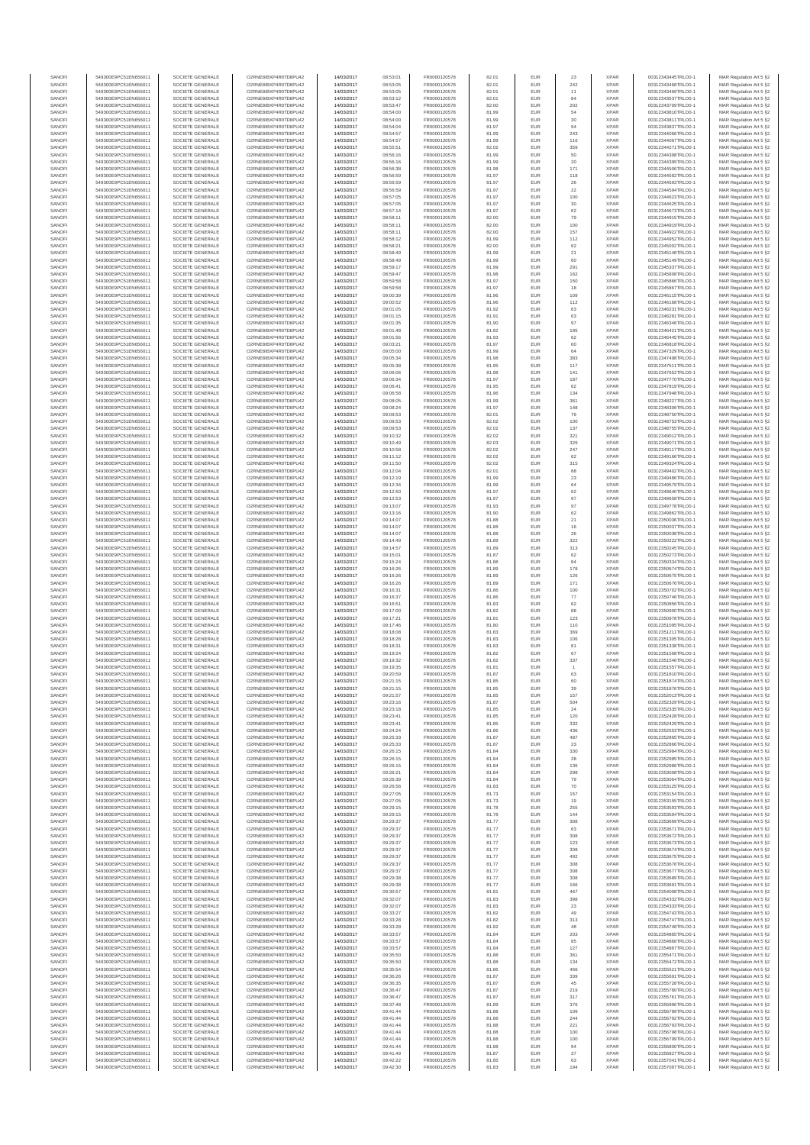| SANOFI<br>SANOFI | 549300E9PC51EN656011<br>549300E9PC51EN656011 | SOCIETE GENERALE<br>SOCIETE GENERALE | O2RNE8IBXP4R0TD8PU42<br>O2RNE8IBXP4R0TD8PU42 | 14/03/2017<br>14/03/2017 | 08:53:01<br>08:53:05 | FR0000120578<br>FR0000120578 | 82.01<br>82.01 | EUR<br>EUR        | 23<br>242            | <b>XPAR</b><br><b>XPAR</b> | 00312343445TRLO0-1<br>00312343468TRLO0-1 | MAR Regulation Art 5 §2<br>MAR Regulation Art 5 §2  |
|------------------|----------------------------------------------|--------------------------------------|----------------------------------------------|--------------------------|----------------------|------------------------------|----------------|-------------------|----------------------|----------------------------|------------------------------------------|-----------------------------------------------------|
| SANOFI           | 549300E9PC51EN656011                         | SOCIETE GENERALE                     | O2RNE8IBXP4R0TD8PU42                         | 14/03/2017               | 08:53:05             | FR0000120578                 | 82.01          | EUR               | 11                   | <b>XPAR</b>                | 00312343469TRLO0-1                       | MAR Regulation Art 5 §2                             |
| SANOFI           | 549300E9PC51EN656011                         | SOCIETE GENERALE                     | O2RNE8IBXP4R0TD8PU42                         | 14/03/2017               | 08:53:12             | FR0000120578                 | 82.01          | EUR               | 84                   | <b>XPAR</b>                | 00312343537TRLO0-1                       | MAR Regulation Art 5 §2                             |
| SANOFI<br>SANOFI | 549300E9PC51EN656011<br>549300E9PC51EN656011 | SOCIETE GENERALE<br>SOCIETE GENERALE | O2RNE8IBXP4R0TD8PU42<br>O2RNE8IBXP4R0TD8PU42 | 14/03/2017<br>14/03/2017 | 08:53:47<br>08:54:00 | FR0000120578<br>FR0000120578 | 82.00<br>81.99 | <b>EUR</b><br>EUR | 202<br>54            | <b>XPAR</b><br><b>XPAR</b> | 00312343709TRLO0-1<br>00312343810TRLO0-1 | MAR Regulation Art 5 §2<br>MAR Regulation Art 5 §2  |
| SANOFI           | 549300E9PC51EN656011                         | SOCIETE GENERALE                     | O2RNE8IBXP4R0TD8PU42                         | 14/03/2017               | 08:54:00             | FR0000120578                 | 81.99          | EUR               | $30\,$               | <b>XPAR</b>                | 00312343811TRLO0-1                       | MAR Regulation Art 5 §2                             |
| SANOFI<br>SANOFI | 549300E9PC51EN656011<br>549300E9PC51EN656011 | SOCIETE GENERALE<br>SOCIETE GENERALE | O2RNE8IBXP4R0TD8PU42<br>O2RNE8IBXP4R0TD8PU42 | 14/03/2017               | 08:54:04<br>08:54:57 | FR0000120578<br>FR0000120578 | 81.97          | EUR<br>EUR        | 94<br>243            | <b>XPAR</b><br><b>XPAR</b> | 00312343837TRLO0-1<br>00312344066TRLO0-1 | MAR Regulation Art 5 §2<br>MAR Regulation Art 5 §2  |
| SANOFI           | 549300E9PC51EN656011                         | SOCIETE GENERALE                     | O2RNE8IBXP4R0TD8PU42                         | 14/03/2017<br>14/03/2017 | 08:54:57             | FR0000120578                 | 81.99<br>81.99 | <b>EUR</b>        | 116                  | <b>XPAR</b>                | 00312344067TRLO0-1                       | MAR Regulation Art 5 §2                             |
| SANOFI           | 549300E9PC51EN656011                         | SOCIETE GENERALE                     | O2RNE8IBXP4R0TD8PU42                         | 14/03/2017               | 08:55:51             | FR0000120578<br>FR0000120578 | 82.02          | EUR               | 359                  | <b>XPAR</b>                | 00312344271TRLO0-1                       | MAR Regulation Art 5 §2                             |
| SANOFI<br>SANOFI | 549300E9PC51EN656011<br>549300E9PC51EN656011 | SOCIETE GENERALE<br>SOCIETE GENERALE | O2RNE8IBXP4R0TD8PU42<br>O2RNE8IBXP4R0TD8PU42 | 14/03/2017<br>14/03/2017 | 08:56:16<br>08:56:16 | FR0000120578                 | 81.99<br>81.99 | <b>EUR</b><br>EUR | 50<br>20             | <b>XPAR</b><br><b>XPAR</b> | 00312344398TRLO0-1<br>00312344399TRLO0-1 | MAR Regulation Art 5 §2<br>MAR Regulation Art 5 §2  |
| SANOFI           | 549300E9PC51EN656011                         | SOCIETE GENERALE                     | O2RNE8IBXP4R0TD8PU42                         | 14/03/2017               | 08:56:38             | FR0000120578                 | 81.98          | EUR               | 171                  | <b>XPAR</b>                | 00312344506TRLO0-1                       | MAR Regulation Art 5 §2                             |
| SANOFI<br>SANOFI | 549300E9PC51EN656011<br>549300E9PC51EN656011 | SOCIETE GENERALE<br>SOCIETE GENERALE | O2RNE8IBXP4R0TD8PU42<br>O2RNE8IBXP4R0TD8PU42 | 14/03/2017<br>14/03/2017 | 08:56:59<br>08:56:59 | FR0000120578<br>FR0000120578 | 81.97<br>81.97 | EUR<br>EUR        | 118<br>26            | <b>XPAR</b><br><b>XPAR</b> | 00312344592TRLO0-1<br>00312344593TRLO0-1 | MAR Regulation Art 5 §2<br>MAR Regulation Art 5 §2  |
| SANOFI           | 549300E9PC51EN656011                         | SOCIETE GENERALE                     | O2RNE8IBXP4R0TD8PU42                         | 14/03/2017               | 08:56:59             | FR0000120578                 | 81.97          | EUR               | 22                   | <b>XPAR</b>                | 00312344594TRLO0-1                       | MAR Regulation Art 5 §2                             |
| SANOFI           | 549300E9PC51EN656011                         | SOCIETE GENERALE                     | O2RNE8IBXP4R0TD8PU42                         | 14/03/2017               | 08:57:05             | FR0000120578                 | 81.97          | EUR               | 100                  | <b>XPAR</b>                | 00312344623TRLO0-1                       | MAR Regulation Art 5 §2                             |
| SANOFI<br>SANOFI | 549300E9PC51EN656011<br>549300E9PC51EN656011 | SOCIETE GENERALE<br>SOCIETE GENERALE | O2RNE8IBXP4R0TD8PU42<br>O2RNE8IBXP4R0TD8PU42 | 14/03/2017<br>14/03/2017 | 08:57:05<br>08:57:14 | FR0000120578<br>FR0000120578 | 81.97<br>81.97 | <b>EUR</b><br>EUR | 30<br>62             | <b>XPAR</b><br><b>XPAR</b> | 00312344625TRLO0-1<br>00312344673TRLO0-1 | MAR Regulation Art 5 §2<br>MAR Regulation Art 5 §2  |
| SANOFI           | 549300E9PC51EN656011                         | SOCIETE GENERALE                     | O2RNE8IBXP4R0TD8PU42                         | 14/03/2017               | 08:58:11             | FR0000120578                 | 82.00          | EUR               | 79                   | <b>XPAR</b>                | 00312344915TRLO0-1                       | MAR Regulation Art 5 §2                             |
| SANOFI<br>SANOFI | 549300E9PC51EN656011<br>549300E9PC51EN656011 | SOCIETE GENERALE<br>SOCIETE GENERALE | O2RNE8IBXP4R0TD8PU42<br>O2RNE8IBXP4R0TD8PU42 | 14/03/2017<br>14/03/2017 | 08:58:11<br>08:58:11 | FR0000120578<br>FR0000120578 | 82.00<br>82.00 | EUR<br>EUR        | 100<br>157           | <b>XPAR</b><br><b>XPAR</b> | 00312344919TRLO0-1<br>00312344922TRLO0-1 | MAR Regulation Art 5 §2<br>MAR Regulation Art 5 §2  |
| SANOFI           | 549300E9PC51EN656011                         | SOCIETE GENERALE                     | O2RNE8IBXP4R0TD8PU42                         | 14/03/2017               | 08:58:12             | FR0000120578                 | 81.99          | EUR               | 112                  | <b>XPAR</b>                | 00312344952TRLO0-1                       | MAR Regulation Art 5 §2                             |
| SANOFI           | 549300E9PC51EN656011                         | SOCIETE GENERALE                     | O2RNE8IBXP4R0TD8PU42                         | 14/03/2017               | 08:58:21             | FR0000120578                 | 82.00          | EUR               | $62\,$               | <b>XPAR</b>                | 00312345002TRLO0-1                       | MAR Regulation Art 5 §2                             |
| SANOFI<br>SANOFI | 549300E9PC51EN656011<br>549300E9PC51EN656011 | SOCIETE GENERALE<br>SOCIETE GENERALE | O2RNE8IBXP4R0TD8PU42<br>O2RNE8IBXP4R0TD8PU42 | 14/03/2017<br>14/03/2017 | 08:58:49<br>08:58:49 | FR0000120578<br>FR0000120578 | 81.99<br>81.99 | EUR<br>EUR        | $21\,$<br>60         | <b>XPAR</b><br><b>XPAR</b> | 00312345148TRLO0-1<br>00312345149TRLO0-1 | MAR Regulation Art 5 §2<br>MAR Regulation Art 5 §2  |
| SANOFI           | 549300E9PC51EN656011                         | SOCIETE GENERALE                     | O2RNE8IBXP4R0TD8PU42                         | 14/03/2017               | 08:59:17             | FR0000120578                 | 81.99          | EUR               | 291                  | <b>XPAR</b>                | 00312345337TRLO0-1                       | MAR Regulation Art 5 §2                             |
| SANOFI<br>SANOFI | 549300E9PC51EN656011<br>549300E9PC51EN656011 | SOCIETE GENERALE<br>SOCIETE GENERALE | O2RNE8IBXP4R0TD8PU42<br>O2RNE8IBXP4R0TD8PU42 | 14/03/2017<br>14/03/2017 | 08:59:47<br>08:59:58 | FR0000120578<br>FR0000120578 | 81.98<br>81.97 | EUR<br>EUR        | 162<br>150           | <b>XPAR</b><br><b>XPAR</b> | 00312345808TRLO0-1<br>00312345866TRLO0-1 | MAR Regulation Art 5 §2<br>MAR Regulation Art 5 §2  |
| SANOFI           | 549300E9PC51EN656011                         | SOCIETE GENERALE                     | O2RNE8IBXP4R0TD8PU42                         | 14/03/2017               | 08:59:58             | FR0000120578                 | 81.97          | EUR               | 18                   | <b>XPAR</b>                | 00312345867TRLO0-1                       | MAR Regulation Art 5 §2                             |
| SANOFI           | 549300E9PC51EN656011                         | SOCIETE GENERALE                     | O2RNE8IBXP4R0TD8PU42                         | 14/03/2017               | 09:00:39             | FR0000120578                 | 81.96          | EUR               | 109                  | <b>XPAR</b>                | 00312346115TRLO0-1                       | MAR Regulation Art 5 §2                             |
| SANOFI<br>SANOFI | 549300E9PC51EN656011<br>549300E9PC51EN656011 | SOCIETE GENERALE<br>SOCIETE GENERALE | O2RNE8IBXP4R0TD8PU42<br>O2RNE8IBXP4R0TD8PU42 | 14/03/2017<br>14/03/2017 | 09:00:52<br>09:01:05 | FR0000120578<br>FR0000120578 | 81.96<br>81.92 | EUR<br>EUR        | 112<br>63            | <b>XPAR</b><br><b>XPAR</b> | 00312346168TRLO0-1<br>00312346231TRLO0-1 | MAR Regulation Art 5 §2<br>MAR Regulation Art 5 §2  |
| SANOFI           | 549300E9PC51EN656011                         | SOCIETE GENERALE                     | O2RNE8IBXP4R0TD8PU42                         | 14/03/2017               | 09:01:15             | FR0000120578                 | 81.91          | EUR               | 63                   | <b>XPAR</b>                | 00312346281TRLO0-1                       | MAR Regulation Art 5 §2                             |
| SANOFI<br>SANOFI | 549300E9PC51EN656011<br>549300E9PC51EN656011 | SOCIETE GENERALE<br>SOCIETE GENERALE | O2RNE8IBXP4R0TD8PU42<br>O2RNE8IBXP4R0TD8PU42 | 14/03/2017<br>14/03/2017 | 09:01:35<br>09:01:48 | FR0000120578<br>FR0000120578 | 81.90<br>81.92 | EUR<br>EUR        | 97<br>185            | <b>XPAR</b><br><b>XPAR</b> | 00312346346TRLO0-1<br>00312346421TRLO0-1 | MAR Regulation Art 5 §2<br>MAR Regulation Art 5 §2  |
| SANOFI           | 549300E9PC51EN656011                         | SOCIETE GENERALE                     | O2RNE8IBXP4R0TD8PU42                         | 14/03/2017               | 09:01:56             | FR0000120578                 | 81.93          | EUR               | 62                   | <b>XPAR</b>                | 00312346445TRLO0-1                       | MAR Regulation Art 5 §2                             |
| SANOFI           | 549300E9PC51EN656011                         | SOCIETE GENERALE                     | O2RNE8IBXP4R0TD8PU42                         | 14/03/2017               | 09:03:21             | FR0000120578                 | 81.97          | EUR               | 60                   | <b>XPAR</b>                | 00312346818TRLO0-1                       | MAR Regulation Art 5 §2                             |
| SANOFI<br>SANOFI | 549300E9PC51EN656011<br>549300E9PC51EN656011 | SOCIETE GENERALE<br>SOCIETE GENERALE | O2RNE8IBXP4R0TD8PU42<br>O2RNE8IBXP4R0TD8PU42 | 14/03/2017<br>14/03/2017 | 09:05:00<br>09:05:34 | FR0000120578<br>FR0000120578 | 81.99<br>81.98 | EUR<br>EUR        | 64<br>383            | <b>XPAR</b><br><b>XPAR</b> | 00312347329TRLO0-1<br>00312347498TRLO0-1 | MAR Regulation Art 5 §2<br>MAR Regulation Art 5 §2  |
| SANOFI           | 549300E9PC51EN656011                         | SOCIETE GENERALE                     | O2RNE8IBXP4R0TD8PU42                         | 14/03/2017               | 09:05:38             | FR0000120578                 | 81.95          | EUR               | 117                  | <b>XPAR</b>                | 00312347511TRLO0-1                       | MAR Regulation Art 5 §2                             |
| SANOFI<br>SANOFI | 549300E9PC51EN656011<br>549300E9PC51EN656011 | SOCIETE GENERALE                     | O2RNE8IBXP4R0TD8PU42<br>O2RNE8IBXP4R0TD8PU42 | 14/03/2017<br>14/03/2017 | 09:06:06<br>09:06:34 | FR0000120578<br>FR0000120578 | 81.98<br>81.97 | EUR<br>EUR        | 141<br>187           | <b>XPAR</b><br><b>XPAR</b> | 00312347652TRLO0-1                       | MAR Regulation Art 5 §2                             |
| SANOFI           | 549300E9PC51EN656011                         | SOCIETE GENERALE<br>SOCIETE GENERALE | O2RNE8IBXP4R0TD8PU42                         | 14/03/2017               | 09:06:41             | FR0000120578                 | 81.95          | EUR               | 62                   | <b>XPAR</b>                | 00312347770TRLO0-1<br>00312347819TRLO0-1 | MAR Regulation Art 5 §2<br>MAR Regulation Art 5 §2  |
| SANOFI           | 549300E9PC51EN656011                         | SOCIETE GENERALE                     | O2RNE8IBXP4R0TD8PU42                         | 14/03/2017               | 09:06:58             | FR0000120578                 | 81.96          | EUR               | 134                  | <b>XPAR</b>                | 00312347948TRLO0-1                       | MAR Regulation Art 5 §2                             |
| SANOFI<br>SANOFI | 549300E9PC51EN656011<br>549300E9PC51EN656011 | SOCIETE GENERALE<br>SOCIETE GENERALE | O2RNE8IBXP4R0TD8PU42<br>O2RNE8IBXP4R0TD8PU42 | 14/03/2017<br>14/03/2017 | 09:08:05<br>09:08:24 | FR0000120578<br>FR0000120578 | 81.99<br>81.97 | EUR<br>EUR        | 361<br>148           | <b>XPAR</b><br><b>XPAR</b> | 00312348227TRLO0-1<br>00312348306TRLO0-1 | MAR Regulation Art 5 §2<br>MAR Regulation Art 5 §2  |
| SANOFI           | 549300E9PC51EN656011                         | SOCIETE GENERALE                     | O2RNE8IBXP4R0TD8PU42                         | 14/03/2017               | 09:09:53             | FR0000120578                 | 82.01          | EUR               | 79                   | <b>XPAR</b>                | 00312348750TRLO0-1                       | MAR Regulation Art 5 §2                             |
| SANOFI           | 549300E9PC51EN656011                         | SOCIETE GENERALE                     | O2RNE8IBXP4R0TD8PU42<br>O2RNE8IBXP4R0TD8PU42 | 14/03/2017               | 09:09:53             | FR0000120578                 | 82.02          | EUR               | 100                  | <b>XPAR</b>                | 00312348753TRLO0-1                       | MAR Regulation Art 5 §2                             |
| SANOFI<br>SANOFI | 549300E9PC51EN656011<br>549300E9PC51EN656011 | SOCIETE GENERALE<br>SOCIETE GENERALE | O2RNE8IBXP4R0TD8PU42                         | 14/03/2017<br>14/03/2017 | 09:09:53<br>09:10:32 | FR0000120578<br>FR0000120578 | 82.02<br>82.02 | EUR<br>EUR        | 137<br>321           | <b>XPAR</b><br><b>XPAR</b> | 00312348755TRLO0-1<br>00312349012TRLO0-1 | MAR Regulation Art 5 §2<br>MAR Regulation Art 5 §2  |
| SANOFI           | 549300E9PC51EN656011                         | SOCIETE GENERALE                     | O2RNE8IBXP4R0TD8PU42                         | 14/03/2017               | 09:10:49             | FR0000120578                 | 82.03          | EUR               | 329                  | <b>XPAR</b>                | 00312349071TRLO0-1                       | MAR Regulation Art 5 §2                             |
| SANOFI<br>SANOFI | 549300E9PC51EN656011<br>549300E9PC51EN656011 | SOCIETE GENERALE<br>SOCIETE GENERALE | O2RNE8IBXP4R0TD8PU42<br>O2RNE8IBXP4R0TD8PU42 | 14/03/2017<br>14/03/2017 | 09:10:58<br>09:11:12 | FR0000120578<br>FR0000120578 | 82.02<br>82.02 | EUR<br>EUR        | 247<br>62            | <b>XPAR</b><br><b>XPAR</b> | 00312349117TRLO0-1<br>00312349166TRLO0-1 | MAR Regulation Art 5 §2<br>MAR Regulation Art 5 §2  |
| SANOFI           | 549300E9PC51EN656011                         | SOCIETE GENERALE                     | O2RNE8IBXP4R0TD8PU42                         | 14/03/2017               | 09:11:50             | FR0000120578                 | 82.02          | EUR               | 315                  | <b>XPAR</b>                | 00312349324TRLO0-1                       | MAR Regulation Art 5 §2                             |
| SANOFI           | 549300E9PC51EN656011                         | SOCIETE GENERALE                     | O2RNE8IBXP4R0TD8PU42                         | 14/03/2017               | 09:12:04             | FR0000120578                 | 82.01          | EUR               | 88                   | <b>XPAR</b>                | 00312349402TRLO0-1                       | MAR Regulation Art 5 §2                             |
| SANOFI<br>SANOFI | 549300E9PC51EN656011<br>549300E9PC51EN656011 | SOCIETE GENERALE<br>SOCIETE GENERALE | O2RNE8IBXP4R0TD8PU42<br>O2RNE8IBXP4R0TD8PU42 | 14/03/2017<br>14/03/2017 | 09:12:19<br>09:12:34 | FR0000120578<br>FR0000120578 | 81.99<br>81.99 | EUR<br>EUR        | $23\,$<br>64         | <b>XPAR</b><br><b>XPAR</b> | 00312349486TRLO0-1<br>00312349579TRLO0-1 | MAR Regulation Art 5 §2<br>MAR Regulation Art 5 §2  |
| SANOFI           | 549300E9PC51EN656011                         | SOCIETE GENERALE                     | O2RNE8IBXP4R0TD8PU42                         | 14/03/2017               | 09:12:50             | FR0000120578                 | 81.97          | EUR               | 62                   | <b>XPAR</b>                | 00312349640TRLO0-1                       | MAR Regulation Art 5 §2                             |
| SANOFI<br>SANOFI | 549300E9PC51EN656011<br>549300E9PC51EN656011 | SOCIETE GENERALE<br>SOCIETE GENERALE | O2RNE8IBXP4R0TD8PU42<br>O2RNE8IBXP4R0TD8PU42 | 14/03/2017<br>14/03/2017 | 09:12:53<br>09:13:07 | FR0000120578<br>FR0000120578 | 81.97<br>81.93 | EUR<br><b>EUR</b> | 97<br>97             | <b>XPAR</b><br><b>XPAR</b> | 00312349658TRLO0-1<br>00312349778TRLO0-1 | MAR Regulation Art 5 §2<br>MAR Regulation Art 5 §2  |
| SANOFI           | 549300E9PC51EN656011                         | SOCIETE GENERALE                     | O2RNE8IBXP4R0TD8PU42                         | 14/03/2017               | 09:13:16             | FR0000120578                 | 81.90          | EUR               | 62                   | <b>XPAR</b>                | 00312349862TRLO0-1                       | MAR Regulation Art 5 §2                             |
| SANOFI           | 549300E9PC51EN656011                         | SOCIETE GENERALE                     | O2RNE8IBXP4R0TD8PU42                         | 14/03/2017               | 09:14:07             | FR0000120578                 | 81.88          | EUR               | 21                   | <b>XPAR</b>                | 00312350036TRLO0-1                       | MAR Regulation Art 5 §2                             |
| SANOFI<br>SANOFI | 549300E9PC51EN656011<br>549300E9PC51EN656011 | SOCIETE GENERALE<br>SOCIETE GENERALE | O2RNE8IBXP4R0TD8PU42<br>O2RNE8IBXP4R0TD8PU42 | 14/03/2017<br>14/03/2017 | 09:14:07<br>09:14:07 | FR0000120578<br>FR0000120578 | 81.88<br>81.88 | EUR<br>EUR        | 16<br>26             | <b>XPAR</b><br><b>XPAR</b> | 00312350037TRLO0-1<br>00312350038TRLO0-1 | MAR Regulation Art 5 §2<br>MAR Regulation Art 5 §2  |
| SANOFI           | 549300E9PC51EN656011                         | SOCIETE GENERALE                     | O2RNE8IBXP4R0TD8PU42                         | 14/03/2017               | 09:14:49             | FR0000120578                 | 81.89          | EUR               | 322                  | <b>XPAR</b>                | 00312350222TRLO0-1                       | MAR Regulation Art 5 §2                             |
| SANOFI<br>SANOFI | 549300E9PC51EN656011<br>549300E9PC51EN656011 | SOCIETE GENERALE<br>SOCIETE GENERALE | O2RNE8IBXP4R0TD8PU42<br>O2RNE8IBXP4R0TD8PU42 | 14/03/2017<br>14/03/2017 | 09:14:57<br>09:15:01 | FR0000120578<br>FR0000120578 | 81.89<br>81.87 | EUR<br>EUR        | 313<br>62            | <b>XPAR</b><br><b>XPAR</b> | 00312350245TRLO0-1<br>00312350273TRLO0-1 | MAR Regulation Art 5 §2<br>MAR Regulation Art 5 §2  |
| SANOFI           | 549300E9PC51EN656011                         | SOCIETE GENERALE                     | O2RNE8IBXP4R0TD8PU42                         | 14/03/2017               | 09:15:24             | FR0000120578                 | 81.88          | EUR               | 84                   | <b>XPAR</b>                | 00312350334TRLO0-1                       | MAR Regulation Art 5 §2                             |
| SANOFI<br>SANOFI | 549300E9PC51EN656011<br>549300E9PC51EN656011 | SOCIETE GENERALE<br>SOCIETE GENERALE | O2RNE8IBXP4R0TD8PU42<br>O2RNE8IBXP4R0TD8PU42 | 14/03/2017<br>14/03/2017 | 09:16:26<br>09:16:26 | FR0000120578<br>FR0000120578 | 81.89<br>81.89 | EUR<br>EUR        | 178<br>126           | <b>XPAR</b><br><b>XPAR</b> | 00312350674TRLO0-1<br>00312350675TRLO0-1 | MAR Regulation Art 5 §2                             |
| SANOFI           | 549300E9PC51EN656011                         | SOCIETE GENERALE                     | O2RNE8IBXP4R0TD8PU42                         | 14/03/2017               | 09:16:26             | FR0000120578                 | 81.89          | EUR               | 171                  | <b>XPAR</b>                | 00312350676TRLO0-1                       | MAR Regulation Art 5 §2<br>MAR Regulation Art 5 §2  |
| SANOFI           | 549300E9PC51EN656011                         | SOCIETE GENERALE                     | O2RNE8IBXP4R0TD8PU42                         | 14/03/2017               | 09:16:31             | FR0000120578                 | 81.86          | EUR               | 100                  | <b>XPAR</b>                | 00312350702TRLO0-1                       | MAR Regulation Art 5 §2                             |
| SANOFI<br>SANOFI | 549300E9PC51EN656011<br>549300E9PC51EN656011 | SOCIETE GENERALE<br>SOCIETE GENERALE | O2RNE8IBXP4R0TD8PU42<br>O2RNE8IBXP4R0TD8PU42 | 14/03/2017<br>14/03/2017 | 09:16:37<br>09:16:51 | FR0000120578<br>FR0000120578 | 81.86<br>81.83 | EUR<br>EUR        | $77\,$<br>62         | <b>XPAR</b><br><b>XPAR</b> | 00312350746TRLO0-1<br>00312350856TRLO0-1 | MAR Regulation Art 5 §2<br>MAR Regulation Art 5 §2  |
| SANOFI           | 549300E9PC51EN656011                         | SOCIETE GENERALE                     | O2RNE8IBXP4R0TD8PU42                         | 14/03/2017               | 09:17:00             | FR0000120578                 | 81.82          | EUR               | 88                   | <b>XPAR</b>                | 00312350900TRLO0-1                       | MAR Regulation Art 5 §2                             |
| SANOFI<br>SANOFI | 549300E9PC51EN656011<br>549300E9PC51EN656011 | SOCIETE GENERALE<br>SOCIETE GENERALE | O2RNE8IBXP4R0TD8PU42<br>O2RNE8IBXP4R0TD8PU42 | 14/03/2017<br>14/03/2017 | 09:17:21<br>09:17:46 | FR0000120578<br>FR0000120578 | 81.81<br>81.80 | EUR<br>EUR        | 123<br>110           | <b>XPAR</b><br><b>XPAR</b> | 00312350978TRLO0-1<br>00312351095TRLO0-1 | MAR Regulation Art 5 §2                             |
| SANOFI           | 549300E9PC51EN656011                         | SOCIETE GENERALE                     | O2RNE8IBXP4R0TD8PU42                         | 14/03/2017               | 09:18:08             | FR0000120578                 | 81.83          | EUR               | 369                  | <b>XPAR</b>                | 00312351211TRLO0-1                       | MAR Regulation Art 5 §2<br>MAR Regulation Art 5 \$2 |
| SANOFI           | 549300E9PC51EN656011                         | SOCIETE GENERALE                     | O2RNE8IBXP4R0TD8PU42                         | 14/03/2017               | 09:18:28             | FR0000120578                 | 81.83          | EUR               | 106                  | <b>XPAR</b>                | 00312351305TRLO0-1                       | MAR Regulation Art 5 §2                             |
| SANOFI<br>SANOFI | 549300E9PC51EN656011<br>549300E9PC51EN656011 | SOCIETE GENERALE<br>SOCIETE GENERALE | O2RNE8IBXP4R0TD8PU42<br>O2RNE8IBXP4R0TD8PU42 | 14/03/2017<br>14/03/2017 | 09:18:31<br>09:19:24 | FR0000120578<br>FR0000120578 | 81.83<br>81.82 | EUR<br>EUR        | 81<br>67             | <b>XPAR</b><br><b>XPAR</b> | 00312351338TRLO0-1<br>00312351508TRLO0-1 | MAR Regulation Art 5 §2<br>MAR Regulation Art 5 §2  |
| SANOFI           | 549300E9PC51EN656011                         | SOCIETE GENERALE                     | O2RNE8IBXP4R0TD8PU42                         | 14/03/2017               | 09:19:32             | FR0000120578                 | 81.82          | EUR               | 337                  | <b>XPAR</b>                | 00312351546TRLO0-1                       | MAR Regulation Art 5 §2                             |
| SANOFI<br>SANOFI | 549300E9PC51EN656011<br>549300E9PC51EN656011 | SOCIETE GENERALE<br>SOCIETE GENERALE | O2RNE8IBXP4R0TD8PU42<br>O2RNE8IBXP4R0TD8PU42 | 14/03/2017<br>14/03/2017 | 09:19:35<br>09:20:59 | FR0000120578<br>FR0000120578 | 81.81<br>81.87 | EUR<br>EUR        | $\overline{1}$<br>63 | <b>XPAR</b><br><b>XPAR</b> | 00312351557TRLO0-1<br>00312351810TRLO0-1 | MAR Regulation Art 5 §2<br>MAR Regulation Art 5 §2  |
| SANOFI           | 549300E9PC51EN656011                         | SOCIETE GENERALE                     | O2RNE8IBXP4R0TD8PU42                         | 14/03/2017               | 09:21:15             | FR0000120578                 | 81.85          | <b>EUR</b>        | 60                   | <b>XPAR</b>                | 00312351874TRLO0-1                       | MAR Regulation Art 5 §2                             |
| SANOF            | 549300E9PC51EN656011                         | SOCIETE GENERALE                     | O2RNE8IBXP4R0TD8PU42                         | 14/03/2017               | 09:21:15             | FR0000120578                 | 81.85          |                   |                      | <b>XPAF</b>                | 00312351876TRLO0-1                       | MAR Regulation Art 5 §2                             |
| SANOFI<br>SANOFI | 549300E9PC51EN656011<br>549300E9PC51EN656011 | SOCIETE GENERALE<br>SOCIETE GENERALE | O2RNE8IBXP4R0TD8PU42<br>O2RNE8IBXP4R0TD8PU42 | 14/03/2017<br>14/03/2017 | 09:21:57<br>09:23:16 | FR0000120578<br>FR0000120578 | 81.85<br>81.87 | <b>EUR</b><br>EUR | 157<br>504           | <b>XPAR</b><br><b>XPAR</b> | 00312352013TRLO0-1<br>00312352329TRLO0-1 | MAR Regulation Art 5 §2<br>MAR Regulation Art 5 §2  |
| SANOFI           | 549300E9PC51EN656011                         | SOCIETE GENERALE                     | O2RNE8IBXP4R0TD8PU42                         | 14/03/2017               | 09:23:18             | FR0000120578                 | 81.85          | <b>EUR</b>        | 24                   | <b>XPAR</b>                | 00312352335TRLO0-1                       | MAR Regulation Art 5 §2                             |
| SANOFI<br>SANOFI | 549300E9PC51EN656011<br>549300E9PC51EN656011 | SOCIETE GENERALE<br>SOCIETE GENERALE | O2RNE8IBXP4R0TD8PU42<br>O2RNE8IBXP4R0TD8PU42 | 14/03/2017<br>14/03/2017 | 09:23:41<br>09:23:41 | FR0000120578<br>FR0000120578 | 81.85<br>81.85 | EUR<br>EUR        | 120<br>332           | <b>XPAR</b><br><b>XPAR</b> | 00312352428TRLO0-1<br>00312352429TRLO0-1 | MAR Regulation Art 5 §2<br>MAR Regulation Art 5 §2  |
| SANOFI           | 549300E9PC51EN656011                         | SOCIETE GENERALE                     | O2RNE8IBXP4R0TD8PU42                         | 14/03/2017               | 09:24:24             | FR0000120578                 | 81.86          | EUR               | 436                  | <b>XPAR</b>                | 00312352553TRLO0-1                       | MAR Regulation Art 5 §2                             |
| SANOFI           | 549300E9PC51EN656011                         | SOCIETE GENERALE                     | O2RNE8IBXP4R0TD8PU42                         | 14/03/2017               | 09:25:33             | FR0000120578                 | 81.87          | EUR               | 487                  | <b>XPAR</b>                | 00312352865TRLO0-1                       | MAR Regulation Art 5 §2                             |
| SANOFI<br>SANOFI | 549300E9PC51EN656011<br>549300E9PC51EN656011 | SOCIETE GENERALE<br>SOCIETE GENERALE | O2RNE8IBXP4R0TD8PU42<br>O2RNE8IBXP4R0TD8PU42 | 14/03/2017<br>14/03/2017 | 09:25:33<br>09:26:15 | FR0000120578<br>FR0000120578 | 81.87<br>81.84 | <b>EUR</b><br>EUR | 23<br>330            | <b>XPAR</b><br><b>XPAR</b> | 00312352866TRLO0-1<br>00312352984TRLO0-1 | MAR Regulation Art 5 §2<br>MAR Regulation Art 5 §2  |
| SANOFI           | 549300E9PC51EN656011                         | SOCIETE GENERALE                     | O2RNE8IBXP4R0TD8PU42                         | 14/03/2017               | 09:26:15             | FR0000120578                 | 81.84          | <b>EUR</b>        | 28                   | <b>XPAR</b>                | 00312352985TRLO0-1                       | MAR Regulation Art 5 §2                             |
| SANOFI<br>SANOFI | 549300E9PC51EN656011<br>549300E9PC51EN656011 | SOCIETE GENERALE<br>SOCIETE GENERALE | O2RNE8IBXP4R0TD8PU42<br>O2RNE8IBXP4R0TD8PU42 | 14/03/2017<br>14/03/2017 | 09:26:15<br>09:26:21 | FR0000120578<br>FR0000120578 | 81.84<br>81.84 | EUR<br>EUR        | 136<br>298           | <b>XPAR</b><br><b>XPAR</b> | 00312352986TRLO0-1<br>00312353008TRLO0-1 | MAR Regulation Art 5 §2<br>MAR Regulation Art 5 §2  |
| SANOFI           | 549300E9PC51EN656011                         | SOCIETE GENERALE                     | O2RNE8IBXP4R0TD8PU42                         | 14/03/2017               | 09:26:39             | FR0000120578                 | 81.84          | EUR               | 79                   | <b>XPAR</b>                | 00312353064TRLO0-1                       | MAR Regulation Art 5 §2                             |
| SANOFI<br>SANOFI | 549300E9PC51EN656011<br>549300E9PC51EN656011 | SOCIETE GENERALE<br>SOCIETE GENERALE | O2RNE8IBXP4R0TD8PU42<br>O2RNE8IBXP4R0TD8PU42 | 14/03/2017<br>14/03/2017 | 09:26:56<br>09:27:05 | FR0000120578<br>FR0000120578 | 81.83<br>81.73 | EUR<br>EUR        | 70<br>157            | <b>XPAR</b><br><b>XPAR</b> | 00312353125TRLO0-1<br>00312353154TRLO0-1 | MAR Regulation Art 5 §2                             |
| SANOFI           | 549300E9PC51EN656011                         | SOCIETE GENERALE                     | O2RNE8IBXP4R0TD8PU42                         | 14/03/2017               | 09:27:05             | FR0000120578                 | 81.73          | EUR               | 19                   | <b>XPAR</b>                | 00312353155TRLO0-1                       | MAR Regulation Art 5 §2<br>MAR Regulation Art 5 §2  |
| SANOFI           | 549300E9PC51EN656011                         | SOCIETE GENERALE                     | O2RNE8IBXP4R0TD8PU42                         | 14/03/2017               | 09:29:15             | FR0000120578                 | 81.78          | <b>EUR</b>        | 255                  | <b>XPAR</b>                | 00312353593TRLO0-1                       | MAR Regulation Art 5 §2                             |
| SANOFI<br>SANOFI | 549300E9PC51EN656011<br>549300E9PC51EN656011 | SOCIETE GENERALE<br>SOCIETE GENERALE | O2RNE8IBXP4R0TD8PU42<br>O2RNE8IBXP4R0TD8PU42 | 14/03/2017<br>14/03/2017 | 09:29:15<br>09:29:37 | FR0000120578<br>FR0000120578 | 81.78<br>81.77 | EUR<br><b>EUR</b> | 144<br>308           | <b>XPAR</b><br><b>XPAR</b> | 00312353594TRLO0-1<br>00312353669TRLO0-1 | MAR Regulation Art 5 §2<br>MAR Regulation Art 5 §2  |
| SANOFI           | 549300E9PC51EN656011                         | SOCIETE GENERALE                     | O2RNE8IBXP4R0TD8PU42                         | 14/03/2017               | 09:29:37             | FR0000120578                 | 81.77          | EUR               | 63                   | <b>XPAR</b>                | 00312353671TRLO0-1                       | MAR Regulation Art 5 §2                             |
| SANOFI<br>SANOFI | 549300E9PC51EN656011<br>549300E9PC51EN656011 | SOCIETE GENERALE<br>SOCIETE GENERALE | O2RNE8IBXP4R0TD8PU42<br>O2RNE8IBXP4R0TD8PU42 | 14/03/2017<br>14/03/2017 | 09:29:37<br>09:29:37 | FR0000120578<br>FR0000120578 | 81.77<br>81.77 | EUR<br>EUR        | 308<br>123           | <b>XPAR</b><br><b>XPAR</b> | 00312353672TRLO0-1<br>00312353673TRLO0-1 | MAR Regulation Art 5 §2<br>MAR Regulation Art 5 §2  |
| SANOFI           | 549300E9PC51EN656011                         | SOCIETE GENERALE                     | O2RNE8IBXP4R0TD8PU42                         | 14/03/2017               | 09:29:37             | FR0000120578                 | 81.77          | EUR               | 308                  | XPAR                       | 00312353674TRLO0-1                       | MAR Regulation Art 5 §2                             |
| SANOFI<br>SANOFI | 549300E9PC51EN656011<br>549300E9PC51EN656011 | SOCIETE GENERALE<br>SOCIETE GENERALE | O2RNE8IBXP4R0TD8PU42<br>O2RNE8IBXP4R0TD8PU42 | 14/03/2017<br>14/03/2017 | 09:29:37<br>09:29:37 | FR0000120578<br>FR0000120578 | 81.77<br>81.77 | EUR<br>EUR        | 492<br>308           | <b>XPAR</b><br><b>XPAR</b> | 00312353675TRLO0-1<br>00312353676TRLO0-1 | MAR Regulation Art 5 §2                             |
| SANOFI           | 549300E9PC51EN656011                         | SOCIETE GENERALE                     | O2RNE8IBXP4R0TD8PU42                         | 14/03/2017               | 09:29:37             | FR0000120578                 | 81.77          | <b>EUR</b>        | 308                  | <b>XPAR</b>                | 00312353677TRLO0-1                       | MAR Regulation Art 5 §2<br>MAR Regulation Art 5 §2  |
| SANOFI           | 549300E9PC51EN656011                         | SOCIETE GENERALE                     | O2RNE8IBXP4R0TD8PU42                         | 14/03/2017               | 09:29:38             | FR0000120578                 | 81.77          | EUR               | 308                  | <b>XPAR</b>                | 00312353689TRLO0-1                       | MAR Regulation Art 5 §2                             |
| SANOFI<br>SANOFI | 549300E9PC51EN656011<br>549300E9PC51EN656011 | SOCIETE GENERALE<br>SOCIETE GENERALE | O2RNE8IBXP4R0TD8PU42<br>O2RNE8IBXP4R0TD8PU42 | 14/03/2017<br>14/03/2017 | 09:29:38<br>09:30:57 | FR0000120578<br>FR0000120578 | 81.77<br>81.81 | <b>EUR</b><br>EUR | 166<br>467           | <b>XPAR</b><br><b>XPAR</b> | 00312353691TRLO0-1<br>00312354008TRLO0-1 | MAR Regulation Art 5 §2<br>MAR Regulation Art 5 §2  |
| SANOFI           | 549300E9PC51EN656011                         | SOCIETE GENERALE                     | O2RNE8IBXP4R0TD8PU42                         | 14/03/2017               | 09:32:07             | FR0000120578                 | 81.83          | EUR               | 398                  | <b>XPAR</b>                | 00312354332TRLO0-1                       | MAR Regulation Art 5 §2                             |
| SANOFI           | 549300E9PC51EN656011                         | SOCIETE GENERALE                     | O2RNE8IBXP4R0TD8PU42                         | 14/03/2017               | 09:32:07             | FR0000120578                 | 81.83          | EUR               | $23\,$               | <b>XPAR</b>                | 00312354333TRLO0-1                       | MAR Regulation Art 5 §2                             |
| SANOFI<br>SANOFI | 549300E9PC51EN656011<br>549300E9PC51EN656011 | SOCIETE GENERALE<br>SOCIETE GENERALE | O2RNE8IBXP4R0TD8PU42<br>O2RNE8IBXP4R0TD8PU42 | 14/03/2017<br>14/03/2017 | 09:33:27<br>09:33:28 | FR0000120578<br>FR0000120578 | 81.82<br>81.82 | EUR<br><b>EUR</b> | 49<br>313            | <b>XPAR</b><br><b>XPAR</b> | 00312354743TRLO0-1<br>00312354747TRLO0-1 | MAR Regulation Art 5 §2<br>MAR Regulation Art 5 §2  |
| SANOFI           | 549300E9PC51EN656011                         | SOCIETE GENERALE                     | O2RNE8IBXP4R0TD8PU42                         | 14/03/2017               | 09:33:28             | FR0000120578                 | 81.82          | EUR               | 48                   | <b>XPAR</b>                | 00312354748TRLO0-1                       | MAR Regulation Art 5 §2                             |
| SANOFI<br>SANOFI | 549300E9PC51EN656011<br>549300E9PC51EN656011 | SOCIETE GENERALE<br>SOCIETE GENERALE | O2RNE8IBXP4R0TD8PU42<br>O2RNE8IBXP4R0TD8PU42 | 14/03/2017<br>14/03/2017 | 09:33:57<br>09:33:57 | FR0000120578<br>FR0000120578 | 81.84<br>81.84 | <b>EUR</b><br>EUR | 203<br>85            | <b>XPAR</b><br><b>XPAR</b> | 00312354865TRLO0-1<br>00312354866TRLO0-1 | MAR Regulation Art 5 §2<br>MAR Regulation Art 5 §2  |
| SANOFI           | 549300E9PC51EN656011                         | SOCIETE GENERALE                     | O2RNE8IBXP4R0TD8PU42                         | 14/03/2017               | 09:33:57             | FR0000120578                 | 81.84          | <b>EUR</b>        | 127                  | <b>XPAR</b>                | 00312354867TRLO0-1                       | MAR Regulation Art 5 §2                             |
| SANOFI           | 549300E9PC51EN656011                         | SOCIETE GENERALE                     | O2RNE8IBXP4R0TD8PU42                         | 14/03/2017               | 09:35:50             | FR0000120578                 | 81.88          | EUR               | 361                  | <b>XPAR</b>                | 00312355471TRLO0-1                       | MAR Regulation Art 5 §2                             |
| SANOFI<br>SANOFI | 549300E9PC51EN656011<br>549300E9PC51EN656011 | SOCIETE GENERALE<br>SOCIETE GENERALE | O2RNE8IBXP4R0TD8PU42<br>O2RNE8IBXP4R0TD8PU42 | 14/03/2017<br>14/03/2017 | 09:35:50<br>09:35:54 | FR0000120578<br>FR0000120578 | 81.88<br>81.86 | EUR<br>EUR        | 134<br>466           | <b>XPAR</b><br><b>XPAR</b> | 00312355472TRLO0-1<br>00312355521TRLO0-1 | MAR Regulation Art 5 §2<br>MAR Regulation Art 5 §2  |
| SANOFI           | 549300E9PC51EN656011                         | SOCIETE GENERALE                     | O2RNE8IBXP4R0TD8PU42                         | 14/03/2017               | 09:36:26             | FR0000120578                 | 81.87          | EUR               | 339                  | XPAR                       | 00312355691TRLO0-1                       | MAR Regulation Art 5 §2                             |
| SANOFI<br>SANOFI | 549300E9PC51EN656011<br>549300E9PC51EN656011 | SOCIETE GENERALE<br>SOCIETE GENERALE | O2RNE8IBXP4R0TD8PU42<br>O2RNE8IBXP4R0TD8PU42 | 14/03/2017<br>14/03/2017 | 09:36:35<br>09:36:47 | FR0000120578<br>FR0000120578 | 81.87<br>81.87 | <b>EUR</b><br>EUR | 45<br>219            | <b>XPAR</b><br><b>XPAR</b> | 00312355728TRLO0-1<br>00312355760TRLO0-1 | MAR Regulation Art 5 §2<br>MAR Regulation Art 5 §2  |
| SANOFI           | 549300E9PC51EN656011                         | SOCIETE GENERALE                     | O2RNE8IBXP4R0TD8PU42                         | 14/03/2017               | 09:36:47             | FR0000120578                 | 81.87          | <b>EUR</b>        | 317                  | <b>XPAR</b>                | 00312355761TRLO0-1                       | MAR Regulation Art 5 §2                             |
| SANOFI           | 549300E9PC51EN656011                         | SOCIETE GENERALE                     | O2RNE8IBXP4R0TD8PU42                         | 14/03/2017               | 09:37:48             | FR0000120578                 | 81.89          | EUR               | 376                  | <b>XPAR</b>                | 00312355996TRLO0-1                       | MAR Regulation Art 5 §2                             |
| SANOFI<br>SANOFI | 549300E9PC51EN656011<br>549300E9PC51EN656011 | SOCIETE GENERALE<br>SOCIETE GENERALE | O2RNE8IBXP4R0TD8PU42<br>O2RNE8IBXP4R0TD8PU42 | 14/03/2017<br>14/03/2017 | 09:41:44<br>09:41:44 | FR0000120578<br>FR0000120578 | 81.88<br>81.88 | EUR<br>EUR        | 109<br>244           | <b>XPAR</b><br><b>XPAR</b> | 00312356789TRLO0-1<br>00312356792TRLO0-1 | MAR Regulation Art 5 §2<br>MAR Regulation Art 5 §2  |
| SANOFI           | 549300E9PC51EN656011                         | SOCIETE GENERALE                     | O2RNE8IBXP4R0TD8PU42                         | 14/03/2017               | 09:41:44             | FR0000120578                 | 81.88          | EUR               | 221                  | XPAR                       | 00312356793TRLO0-1                       | MAR Regulation Art 5 §2                             |
| SANOFI<br>SANOFI | 549300E9PC51EN656011<br>549300E9PC51EN656011 | SOCIETE GENERALE<br>SOCIETE GENERALE | O2RNE8IBXP4R0TD8PU42<br>O2RNE8IBXP4R0TD8PU42 | 14/03/2017<br>14/03/2017 | 09:41:44<br>09:41:44 | FR0000120578<br>FR0000120578 | 81.88<br>81.88 | EUR<br>EUR        | 100<br>100           | <b>XPAR</b><br><b>XPAR</b> | 00312356798TRLO0-1<br>00312356799TRLO0-1 | MAR Regulation Art 5 §2<br>MAR Regulation Art 5 §2  |
| SANOFI           | 549300E9PC51EN656011                         | SOCIETE GENERALE                     | O2RNE8IBXP4R0TD8PU42                         | 14/03/2017               | 09:41:44             | FR0000120578                 | 81.88          | EUR               | 94                   | <b>XPAR</b>                | 00312356800TRLO0-1                       | MAR Regulation Art 5 §2                             |
| SANOFI           | 549300E9PC51EN656011                         | SOCIETE GENERALE                     | O2RNE8IBXP4R0TD8PU42                         | 14/03/2017               | 09:41:49             | FR0000120578                 | 81.87          | EUR               | 37                   | <b>XPAR</b><br><b>XPAR</b> | 00312356827TRLO0-1                       | MAR Regulation Art 5 §2                             |
| SANOFI<br>SANOFI | 549300E9PC51EN656011<br>549300E9PC51EN656011 | SOCIETE GENERALE<br>SOCIETE GENERALE | O2RNE8IBXP4R0TD8PU42<br>O2RNE8IBXP4R0TD8PU42 | 14/03/2017<br>14/03/2017 | 09:42:22<br>09:42:30 | FR0000120578<br>FR0000120578 | 81.85<br>81.83 | <b>EUR</b><br>EUR | 63<br>194            | <b>XPAR</b>                | 00312357041TRLO0-1<br>00312357067TRLO0-1 | MAR Regulation Art 5 §2<br>MAR Regulation Art 5 §2  |
|                  |                                              |                                      |                                              |                          |                      |                              |                |                   |                      |                            |                                          |                                                     |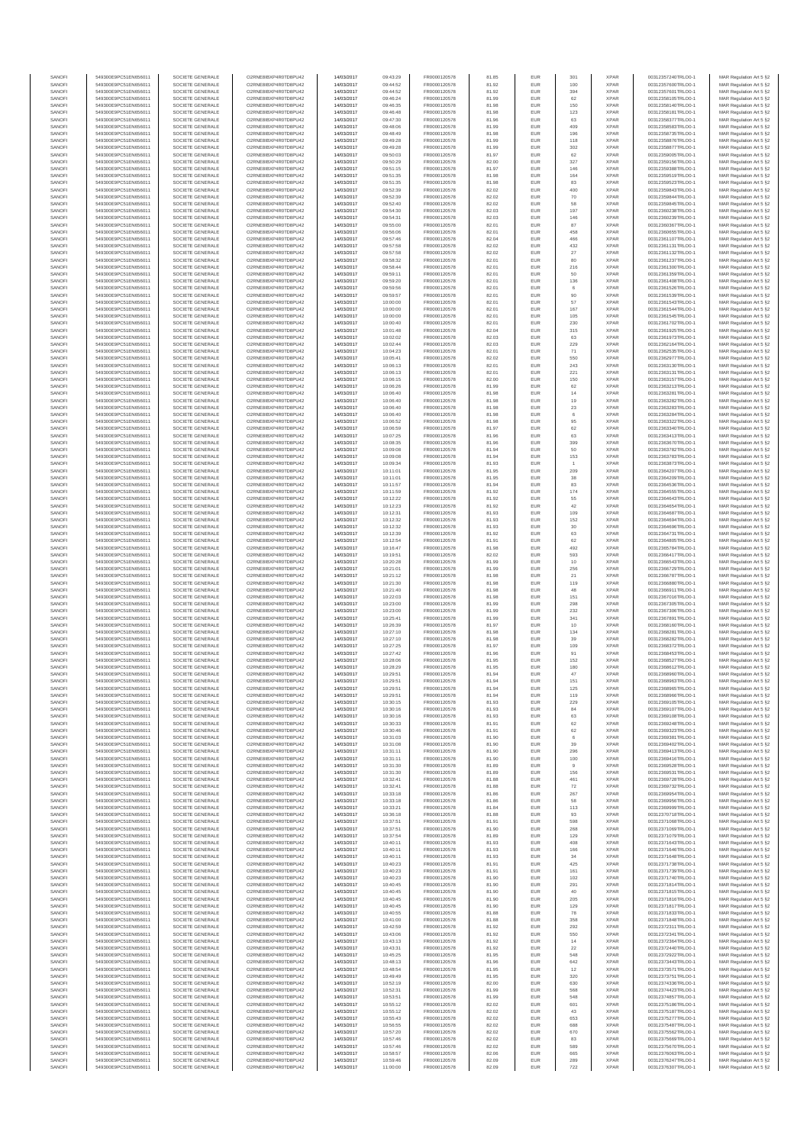| SANOFI           | 549300E9PC51EN656011                         | SOCIETE GENERALE                     | O2RNE8IBXP4R0TD8PU42                         | 14/03/2017               | 09:43:29             | FR0000120578                 | 81.85          | EUR               | 301                   | <b>XPAR</b>                | 00312357240TRLO0-1                       | MAR Regulation Art 5 §2                            |
|------------------|----------------------------------------------|--------------------------------------|----------------------------------------------|--------------------------|----------------------|------------------------------|----------------|-------------------|-----------------------|----------------------------|------------------------------------------|----------------------------------------------------|
| SANOFI<br>SANOFI | 549300E9PC51EN656011<br>549300E9PC51EN656011 | SOCIETE GENERALE<br>SOCIETE GENERALE | O2RNE8IBXP4R0TD8PU42<br>O2RNE8IBXP4R0TD8PU42 | 14/03/2017<br>14/03/2017 | 09:44:52<br>09:44:52 | FR0000120578<br>FR0000120578 | 81.92<br>81.92 | EUR<br>EUR        | 100<br>394            | <b>XPAR</b><br><b>XPAR</b> | 00312357600TRLO0-1<br>00312357601TRLO0-1 | MAR Regulation Art 5 §2                            |
| SANOFI           | 549300E9PC51EN656011                         | SOCIETE GENERALE                     | O2RNE8IBXP4R0TD8PU42                         | 14/03/2017               | 09:46:24             | FR0000120578                 | 81.99          | EUR               | 62                    | <b>XPAR</b>                | 00312358105TRLO0-1                       | MAR Regulation Art 5 §2<br>MAR Regulation Art 5 §2 |
| SANOFI           | 549300E9PC51EN656011                         | SOCIETE GENERALE                     | O2RNE8IBXP4R0TD8PU42                         | 14/03/2017               | 09:46:35             | FR0000120578                 | 81.98          | EUR               | 150                   | <b>XPAR</b>                | 00312358140TRLO0-1                       | MAR Regulation Art 5 §2                            |
| SANOFI           | 549300E9PC51EN656011                         | SOCIETE GENERALE                     | O2RNE8IBXP4R0TD8PU42                         | 14/03/2017               | 09:46:48             | FR0000120578                 | 81.98          | EUR               | 123                   | <b>XPAR</b>                | 00312358181TRLO0-1                       | MAR Regulation Art 5 §2                            |
| SANOFI<br>SANOFI | 549300E9PC51EN656011<br>549300E9PC51EN656011 | SOCIETE GENERALE<br>SOCIETE GENERALE | O2RNE8IBXP4R0TD8PU42<br>O2RNE8IBXP4R0TD8PU42 | 14/03/2017<br>14/03/2017 | 09:47:30<br>09:48:06 | FR0000120578<br>FR0000120578 | 81.96<br>81.99 | EUR<br>EUR        | 63<br>409             | <b>XPAR</b><br><b>XPAR</b> | 00312358377TRLO0-1<br>00312358583TRLO0-1 | MAR Regulation Art 5 §2<br>MAR Regulation Art 5 §2 |
| SANOFI           | 549300E9PC51EN656011                         | SOCIETE GENERALE                     | O2RNE8IBXP4R0TD8PU42                         | 14/03/2017               | 09:48:49             | FR0000120578                 | 81.98          | EUR               | 196                   | <b>XPAR</b>                | 00312358735TRLO0-1                       | MAR Regulation Art 5 §2                            |
| SANOFI           | 549300E9PC51EN656011                         | SOCIETE GENERALE                     | O2RNE8IBXP4R0TD8PU42                         | 14/03/2017               | 09:49:28             | FR0000120578                 | 81.99          | EUR               | 118                   | <b>XPAR</b>                | 00312358876TRLO0-1                       | MAR Regulation Art 5 §2                            |
| SANOFI<br>SANOFI | 549300E9PC51EN656011<br>549300E9PC51EN656011 | SOCIETE GENERALE<br>SOCIETE GENERALE | O2RNE8IBXP4R0TD8PU42<br>O2RNE8IBXP4R0TD8PU42 | 14/03/2017<br>14/03/2017 | 09:49:28<br>09:50:03 | FR0000120578<br>FR0000120578 | 81.99<br>81.97 | EUR<br>EUR        | 302<br>62             | <b>XPAR</b><br><b>XPAR</b> | 00312358877TRLO0-1<br>00312359005TRLO0-1 | MAR Regulation Art 5 §2<br>MAR Regulation Art 5 §2 |
| SANOFI           | 549300E9PC51EN656011                         | SOCIETE GENERALE                     | O2RNE8IBXP4R0TD8PU42                         | 14/03/2017               | 09:50:29             | FR0000120578                 | 82.00          | EUR               | 327                   | <b>XPAR</b>                | 00312359156TRLO0-1                       | MAR Regulation Art 5 §2                            |
| SANOFI           | 549300E9PC51EN656011                         | SOCIETE GENERALE                     | O2RNE8IBXP4R0TD8PU42                         | 14/03/2017               | 09:51:15             | FR0000120578                 | 81.97          | EUR               | 146                   | <b>XPAR</b>                | 00312359388TRLO0-1                       | MAR Regulation Art 5 §2                            |
| SANOFI           | 549300E9PC51EN656011                         | SOCIETE GENERALE                     | O2RNE8IBXP4R0TD8PU42                         | 14/03/2017               | 09:51:35             | FR0000120578                 | 81.98          | EUR               | 164                   | <b>XPAR</b>                | 00312359519TRLO0-1                       | MAR Regulation Art 5 §2                            |
| SANOFI<br>SANOFI | 549300E9PC51EN656011<br>549300E9PC51EN656011 | SOCIETE GENERALE<br>SOCIETE GENERALE | O2RNE8IBXP4R0TD8PU42<br>O2RNE8IBXP4R0TD8PU42 | 14/03/2017<br>14/03/2017 | 09:51:35<br>09:52:39 | FR0000120578<br>FR0000120578 | 81.98<br>82.02 | EUR<br>EUR        | 83<br>400             | <b>XPAR</b><br><b>XPAR</b> | 00312359523TRLO0-1<br>00312359843TRLO0-1 | MAR Regulation Art 5 §2<br>MAR Regulation Art 5 §2 |
| SANOFI           | 549300E9PC51EN656011                         | SOCIETE GENERALE                     | O2RNE8IBXP4R0TD8PU42                         | 14/03/2017               | 09:52:39             | FR0000120578                 | 82.02          | EUR               | 70                    | <b>XPAR</b>                | 00312359844TRLO0-1                       | MAR Regulation Art 5 §2                            |
| SANOFI           | 549300E9PC51EN656011                         | SOCIETE GENERALE                     | O2RNE8IBXP4R0TD8PU42                         | 14/03/2017               | 09:52:40             | FR0000120578                 | 82.02          | EUR               | 58                    | <b>XPAR</b>                | 00312359845TRLO0-1                       | MAR Regulation Art 5 §2                            |
| SANOFI           | 549300E9PC51EN656011                         | SOCIETE GENERALE                     | O2RNE8IBXP4R0TD8PU42                         | 14/03/2017               | 09:54:30             | FR0000120578                 | 82.03          | EUR               | 197                   | <b>XPAR</b>                | 00312360238TRLO0-1                       | MAR Regulation Art 5 §2                            |
| SANOFI<br>SANOFI | 549300E9PC51EN656011<br>549300E9PC51EN656011 | SOCIETE GENERALE<br>SOCIETE GENERALE | O2RNE8IBXP4R0TD8PU42<br>O2RNE8IBXP4R0TD8PU42 | 14/03/2017<br>14/03/2017 | 09:54:31<br>09:55:00 | FR0000120578<br>FR0000120578 | 82.03<br>82.01 | EUR<br>EUR        | 146<br>87             | <b>XPAR</b><br><b>XPAR</b> | 00312360239TRLO0-1<br>00312360367TRLO0-1 | MAR Regulation Art 5 §2<br>MAR Regulation Art 5 §2 |
| SANOFI           | 549300E9PC51EN656011                         | SOCIETE GENERALE                     | O2RNE8IBXP4R0TD8PU42                         | 14/03/2017               | 09:56:06             | FR0000120578                 | 82.01          | EUR               | 458                   | <b>XPAR</b>                | 00312360655TRLO0-1                       | MAR Regulation Art 5 §2                            |
| SANOFI           | 549300E9PC51EN656011                         | SOCIETE GENERALE                     | O2RNE8IBXP4R0TD8PU42                         | 14/03/2017               | 09:57:46             | FR0000120578                 | 82.04          | EUR               | 466                   | <b>XPAR</b>                | 00312361107TRLO0-1                       | MAR Regulation Art 5 §2                            |
| SANOFI<br>SANOFI | 549300E9PC51EN656011<br>549300E9PC51EN656011 | SOCIETE GENERALE<br>SOCIETE GENERALE | O2RNE8IBXP4R0TD8PU42<br>O2RNE8IBXP4R0TD8PU42 | 14/03/2017<br>14/03/2017 | 09:57:58<br>09:57:58 | FR0000120578<br>FR0000120578 | 82.02<br>82.02 | EUR<br>EUR        | 432<br>27             | <b>XPAR</b><br><b>XPAR</b> | 00312361131TRLO0-1<br>00312361132TRLO0-1 | MAR Regulation Art 5 §2<br>MAR Regulation Art 5 §2 |
| SANOFI           | 549300E9PC51EN656011                         | SOCIETE GENERALE                     | O2RNE8IBXP4R0TD8PU42                         | 14/03/2017               | 09:58:32             | FR0000120578                 | 82.01          | EUR               | 80                    | <b>XPAR</b>                | 00312361237TRLO0-1                       | MAR Regulation Art 5 62                            |
| SANOFI           | 549300E9PC51EN656011                         | SOCIETE GENERALE                     | O2RNE8IBXP4R0TD8PU42                         | 14/03/2017               | 09:58:44             | FR0000120578                 | 82.01          | EUR               | 216                   | <b>XPAR</b>                | 00312361300TRLO0-1                       | MAR Regulation Art 5 §2                            |
| SANOFI           | 549300E9PC51EN656011                         | SOCIETE GENERALE                     | O2RNE8IBXP4R0TD8PU42                         | 14/03/2017               | 09:59:11             | FR0000120578                 | 82.01          | EUR               | 50                    | <b>XPAR</b>                | 00312361359TRLO0-1                       | MAR Regulation Art 5 §2                            |
| SANOFI<br>SANOFI | 549300E9PC51EN656011<br>549300E9PC51EN656011 | SOCIETE GENERALE<br>SOCIETE GENERALE | O2RNE8IBXP4R0TD8PU42<br>O2RNE8IBXP4R0TD8PU42 | 14/03/2017<br>14/03/2017 | 09:59:20<br>09:59:56 | FR0000120578<br>FR0000120578 | 82.01<br>82.01 | EUR<br>EUR        | 136<br>6              | <b>XPAR</b><br><b>XPAR</b> | 00312361408TRLO0-1<br>00312361526TRLO0-1 | MAR Regulation Art 5 §2<br>MAR Regulation Art 5 §2 |
| SANOFI           | 549300E9PC51EN656011                         | SOCIETE GENERALE                     | O2RNE8IBXP4R0TD8PU42                         | 14/03/2017               | 09:59:57             | FR0000120578                 | 82.01          | EUR               | 90                    | <b>XPAR</b>                | 00312361539TRLO0-1                       | MAR Regulation Art 5 §2                            |
| SANOFI           | 549300E9PC51EN656011                         | SOCIETE GENERALE                     | O2RNE8IBXP4R0TD8PU42                         | 14/03/2017               | 10:00:00             | FR0000120578                 | 82.01          | EUR               | 57                    | <b>XPAR</b>                | 00312361543TRLO0-1                       | MAR Regulation Art 5 §2                            |
| SANOFI<br>SANOFI | 549300E9PC51EN656011<br>549300E9PC51EN656011 | SOCIETE GENERALE<br>SOCIETE GENERALE | O2RNE8IBXP4R0TD8PU42<br>O2RNE8IBXP4R0TD8PU42 | 14/03/2017<br>14/03/2017 | 10:00:00<br>10:00:00 | FR0000120578<br>FR0000120578 | 82.01<br>82.01 | EUR<br>EUR        | 167<br>105            | <b>XPAR</b><br><b>XPAR</b> | 00312361544TRLO0-1<br>00312361545TRLO0-1 | MAR Regulation Art 5 \$2                           |
| SANOFI           | 549300E9PC51EN656011                         | SOCIETE GENERALE                     | O2RNE8IBXP4R0TD8PU42                         | 14/03/2017               | 10:00:40             | FR0000120578                 | 82.01          | EUR               | 230                   | <b>XPAR</b>                | 00312361702TRLO0-1                       | MAR Regulation Art 5 §2<br>MAR Regulation Art 5 §2 |
| SANOFI           | 549300E9PC51EN656011                         | SOCIETE GENERALE                     | O2RNE8IBXP4R0TD8PU42                         | 14/03/2017               | 10:01:48             | FR0000120578                 | 82.04          | EUR               | 315                   | <b>XPAR</b>                | 00312361925TRLO0-1                       | MAR Regulation Art 5 §2                            |
| SANOFI           | 549300E9PC51EN656011                         | SOCIETE GENERALE                     | O2RNE8IBXP4R0TD8PU42                         | 14/03/2017               | 10:02:02             | FR0000120578                 | 82.03          | EUR               | 63                    | <b>XPAR</b>                | 00312361973TRLO0-1                       | MAR Regulation Art 5 §2                            |
| SANOFI<br>SANOFI | 549300E9PC51EN656011<br>549300E9PC51EN656011 | SOCIETE GENERALE<br>SOCIETE GENERALE | O2RNE8IBXP4R0TD8PU42<br>O2RNE8IBXP4R0TD8PU42 | 14/03/2017<br>14/03/2017 | 10:02:44<br>10:04:23 | FR0000120578<br>FR0000120578 | 82.03<br>82.01 | EUR<br>EUR        | 229<br>71             | <b>XPAR</b><br><b>XPAR</b> | 00312362164TRLO0-1<br>00312362535TRLO0-1 | MAR Regulation Art 5 §2<br>MAR Regulation Art 5 §2 |
| SANOFI           | 549300E9PC51EN656011                         | SOCIETE GENERALE                     | O2RNE8IBXP4R0TD8PU42                         | 14/03/2017               | 10:05:41             | FR0000120578                 | 82.02          | EUR               | 550                   | <b>XPAR</b>                | 00312362977TRLO0-1                       | MAR Regulation Art 5 §2                            |
| SANOFI           | 549300E9PC51EN656011                         | SOCIETE GENERALE                     | O2RNE8IBXP4R0TD8PU42                         | 14/03/2017               | 10:06:13             | FR0000120578                 | 82.01          | EUR               | 243                   | <b>XPAR</b>                | 00312363130TRLO0-1                       | MAR Regulation Art 5 §2                            |
| SANOFI           | 549300E9PC51EN656011                         | SOCIETE GENERALE<br>SOCIETE GENERALE | O2RNE8IBXP4R0TD8PU42                         | 14/03/2017               | 10:06:13             | FR0000120578<br>FR0000120578 | 82.01          | EUR               | 221                   | <b>XPAR</b>                | 00312363131TRLO0-1                       | MAR Regulation Art 5 §2                            |
| SANOFI<br>SANOFI | 549300E9PC51EN656011<br>549300E9PC51EN656011 | SOCIETE GENERALE                     | O2RNE8IBXP4R0TD8PU42<br>O2RNE8IBXP4R0TD8PU42 | 14/03/2017<br>14/03/2017 | 10:06:15<br>10:06:26 | FR0000120578                 | 82.00<br>81.99 | EUR<br>EUR        | 150<br>62             | <b>XPAR</b><br><b>XPAR</b> | 00312363157TRLO0-1<br>00312363213TRLO0-1 | MAR Regulation Art 5 §2<br>MAR Regulation Art 5 §2 |
| SANOFI           | 549300E9PC51EN656011                         | SOCIETE GENERALE                     | O2RNE8IBXP4R0TD8PU42                         | 14/03/2017               | 10:06:40             | FR0000120578                 | 81.98          | EUR               | 14                    | <b>XPAR</b>                | 00312363281TRLO0-1                       | MAR Regulation Art 5 §2                            |
| SANOFI           | 549300E9PC51EN656011                         | SOCIETE GENERALE                     | O2RNE8IBXP4R0TD8PU42                         | 14/03/2017               | 10:06:40             | FR0000120578                 | 81.98          | EUR               | 19                    | <b>XPAR</b>                | 00312363282TRLO0-1                       | MAR Regulation Art 5 §2                            |
| SANOFI           | 549300E9PC51EN656011                         | SOCIETE GENERALE                     | O2RNE8IBXP4R0TD8PU42<br>O2RNE8IBXP4R0TD8PU42 | 14/03/2017               | 10:06:40             | FR0000120578<br>FR0000120578 | 81.98          | EUR               | $23\,$                | <b>XPAR</b>                | 00312363283TRLO0-1<br>00312363284TRLO0-1 | MAR Regulation Art 5 §2                            |
| SANOFI<br>SANOFI | 549300E9PC51EN656011<br>549300E9PC51EN656011 | SOCIETE GENERALE<br>SOCIETE GENERALE | O2RNE8IBXP4R0TD8PLI42                        | 14/03/2017<br>14/03/2017 | 10:06:40<br>10:06:52 | FR0000120578                 | 81.98<br>81.98 | EUR<br>EUR        | 6<br>95               | <b>XPAR</b><br><b>XPAR</b> | 00312363322TRLO0-1                       | MAR Regulation Art 5 §2<br>MAR Regulation Art 5 §2 |
| SANOFI           | 549300E9PC51EN656011                         | SOCIETE GENERALE                     | O2RNE8IBXP4R0TD8PU42                         | 14/03/2017               | 10:06:59             | FR0000120578                 | 81.97          | EUR               | 62                    | <b>XPAR</b>                | 00312363340TRLO0-1                       | MAR Regulation Art 5 §2                            |
| SANOFI           | 549300E9PC51EN656011                         | SOCIETE GENERALE                     | O2RNE8IBXP4R0TD8PU42                         | 14/03/2017               | 10:07:25             | FR0000120578                 | 81.96          | EUR               | 63                    | <b>XPAR</b>                | 00312363413TRLO0-1                       | MAR Regulation Art 5 §2                            |
| SANOFI<br>SANOFI | 549300E9PC51EN656011<br>549300E9PC51EN656011 | SOCIETE GENERALE<br>SOCIETE GENERALE | O2RNE8IBXP4R0TD8PU42<br>O2RNE8IBXP4R0TD8PU42 | 14/03/2017<br>14/03/2017 | 10:08:35             | FR0000120578<br>FR0000120578 | 81.96<br>81.94 | EUR<br>EUR        | 399<br>50             | <b>XPAR</b><br><b>XPAR</b> | 00312363670TRLO0-1<br>00312363782TRLO0-1 | MAR Regulation Art 5 §2<br>MAR Regulation Art 5 §2 |
| SANOFI           | 549300E9PC51EN656011                         | SOCIETE GENERALE                     | O2RNE8IBXP4R0TD8PU42                         | 14/03/2017               | 10:09:08<br>10:09:08 | FR0000120578                 | 81.94          | EUR               | 153                   | <b>XPAR</b>                | 00312363783TRLO0-1                       | MAR Regulation Art 5 §2                            |
| SANOFI           | 549300E9PC51EN656011                         | SOCIETE GENERALE                     | O2RNE8IBXP4R0TD8PU42                         | 14/03/2017               | 10:09:34             | FR0000120578                 | 81.93          | EUR               |                       | <b>XPAR</b>                | 00312363873TRLO0-1                       | MAR Regulation Art 5 §2                            |
| SANOFI           | 549300E9PC51EN656011                         | SOCIETE GENERALE                     | O2RNE8IBXP4R0TD8PU42                         | 14/03/2017               | 10:11:01             | FR0000120578                 | 81.95          | EUR               | 209                   | <b>XPAR</b>                | 00312364207TRLO0-1                       | MAR Regulation Art 5 §2                            |
| SANOFI<br>SANOFI | 549300E9PC51EN656011<br>549300E9PC51EN656011 | SOCIETE GENERALE<br>SOCIETE GENERALE | O2RNE8IBXP4R0TD8PU42<br>O2RNE8IBXP4R0TD8PU42 | 14/03/2017<br>14/03/2017 | 10:11:01<br>10:11:57 | FR0000120578<br>FR0000120578 | 81.95<br>81.94 | EUR<br>EUR        | 38<br>83              | <b>XPAR</b><br><b>XPAR</b> | 00312364209TRLO0-1<br>00312364536TRLO0-1 | MAR Regulation Art 5 §2<br>MAR Regulation Art 5 §2 |
| SANOFI           | 549300E9PC51EN656011                         | SOCIETE GENERALE                     | O2RNE8IBXP4R0TD8PU42                         | 14/03/2017               | 10:11:59             | FR0000120578                 | 81.92          | EUR               | 174                   | <b>XPAR</b>                | 00312364555TRLO0-1                       | MAR Regulation Art 5 §2                            |
| SANOFI           | 549300E9PC51EN656011                         | SOCIETE GENERALE                     | O2RNE8IBXP4R0TD8PU42                         | 14/03/2017               | 10:12:22             | FR0000120578                 | 81.92          | EUR               | 55                    | <b>XPAR</b>                | 00312364643TRLO0-1                       | MAR Regulation Art 5 §2                            |
| SANOFI           | 549300E9PC51EN656011                         | SOCIETE GENERALE                     | O2RNE8IBXP4R0TD8PU42                         | 14/03/2017               | 10:12:23             | FR0000120578                 | 81.92          | EUR               | 42                    | <b>XPAR</b>                | 00312364654TRLO0-1                       | MAR Regulation Art 5 §2                            |
| SANOFI<br>SANOFI | 549300E9PC51EN656011<br>549300E9PC51EN656011 | SOCIETE GENERALE<br>SOCIETE GENERALE | O2RNE8IBXP4R0TD8PU42<br>O2RNE8IBXP4R0TD8PU42 | 14/03/2017<br>14/03/2017 | 10:12:31<br>10:12:32 | FR0000120578<br>FR0000120578 | 81.93<br>81.93 | EUR<br>EUR        | 109<br>152            | <b>XPAR</b><br><b>XPAR</b> | 00312364687TRLO0-1<br>00312364694TRLO0-1 | MAR Regulation Art 5 §2<br>MAR Regulation Art 5 §2 |
| SANOFI           | 549300E9PC51EN656011                         | SOCIETE GENERALE                     | O2RNE8IBXP4R0TD8PU42                         | 14/03/2017               | 10:12:32             | FR0000120578                 | 81.93          | EUR               | $30\,$                | <b>XPAR</b>                | 00312364696TRLO0-1                       | MAR Regulation Art 5 §2                            |
| SANOFI           | 549300E9PC51EN656011                         | SOCIETE GENERALE                     | O2RNE8IBXP4R0TD8PU42                         | 14/03/2017               | 10:12:39             | FR0000120578                 | 81.92          | EUR               | 63                    | <b>XPAR</b>                | 00312364731TRLO0-1                       | MAR Regulation Art 5 §2                            |
| SANOFI           | 549300E9PC51EN656011                         | SOCIETE GENERALE                     | O2RNE8IBXP4R0TD8PU42                         | 14/03/2017               | 10:12:54             | FR0000120578                 | 81.91          | EUR<br>EUR        | 62<br>492             | <b>XPAR</b>                | 00312364805TRLO0-1                       | MAR Regulation Art 5 §2                            |
| SANOFI<br>SANOFI | 549300E9PC51EN656011<br>549300E9PC51EN656011 | SOCIETE GENERALE<br>SOCIETE GENERALE | O2RNE8IBXP4R0TD8PU42<br>O2RNE8IBXP4R0TD8PU42 | 14/03/2017<br>14/03/2017 | 10:16:47<br>10:19:51 | FR0000120578<br>FR0000120578 | 81.98<br>82.02 | EUR               | 593                   | <b>XPAR</b><br><b>XPAR</b> | 00312365784TRLO0-1<br>00312366417TRLO0-1 | MAR Regulation Art 5 §2<br>MAR Regulation Art 5 §2 |
| SANOFI           | 549300E9PC51EN656011                         | SOCIETE GENERALE                     | O2RNE8IBXP4R0TD8PU42                         | 14/03/2017               | 10:20:28             | FR0000120578                 | 81.99          | EUR               | 10                    | <b>XPAR</b>                | 00312366543TRLO0-1                       | MAR Regulation Art 5 §2                            |
| SANOFI           | 549300E9PC51EN656011                         | SOCIETE GENERALE                     | O2RNE8IBXP4R0TD8PU42                         | 14/03/2017               | 10:21:01             | FR0000120578                 | 81.99          | EUR               | 256                   | <b>XPAR</b>                | 00312366729TRLO0-1                       | MAR Regulation Art 5 §2                            |
| SANOFI<br>SANOFI | 549300E9PC51EN656011<br>549300E9PC51EN656011 | SOCIETE GENERALE<br>SOCIETE GENERALE | O2RNE8IBXP4R0TD8PU42<br>O2RNE8IBXP4R0TD8PU42 | 14/03/2017<br>14/03/2017 | 10:21:12<br>10:21:30 | FR0000120578<br>FR0000120578 | 81.98<br>81.98 | EUR<br>EUR        | $21\,$                | <b>XPAR</b><br><b>XPAR</b> | 00312366787TRLO0-1<br>00312366880TRLO0-1 | MAR Regulation Art 5 §2<br>MAR Regulation Art 5 §2 |
| SANOFI           | 549300E9PC51EN656011                         | SOCIETE GENERALE                     | O2RNE8IBXP4R0TD8PU42                         | 14/03/2017               | 10:21:40             | FR0000120578                 | 81.98          | EUR               | 119<br>48             | <b>XPAR</b>                | 00312366911TRLO0-1                       | MAR Regulation Art 5 §2                            |
| SANOFI           | 549300E9PC51EN656011                         | SOCIETE GENERALE                     | O2RNE8IBXP4R0TD8PU42                         | 14/03/2017               | 10:22:03             | FR0000120578                 | 81.98          | EUR               | 151                   | <b>XPAR</b>                | 00312367016TRLO0-1                       | MAR Regulation Art 5 §2                            |
| SANOFI           | 549300E9PC51EN656011                         | SOCIETE GENERALE                     | O2RNE8IBXP4R0TD8PU42                         | 14/03/2017               | 10:23:00             | FR0000120578                 | 81.99          | EUR               | 298                   | <b>XPAR</b>                | 00312367305TRLO0-1                       | MAR Regulation Art 5 §2                            |
| SANOFI<br>SANOFI | 549300E9PC51EN656011<br>549300E9PC51EN656011 | SOCIETE GENERALE<br>SOCIETE GENERALE | O2RNE8IBXP4R0TD8PU42<br>O2RNE8IBXP4R0TD8PU42 | 14/03/2017<br>14/03/2017 | 10:23:00<br>10:25:41 | FR0000120578<br>FR0000120578 | 81.99<br>81.99 | EUR<br>EUR        | 232<br>341            | <b>XPAR</b><br><b>XPAR</b> | 00312367306TRLO0-1<br>00312367891TRLO0-1 | MAR Regulation Art 5 §2<br>MAR Regulation Art 5 §2 |
| SANOFI           | 549300E9PC51EN656011                         | SOCIETE GENERALE                     | O2RNE8IBXP4R0TD8PU42                         | 14/03/2017               | 10:26:39             | FR0000120578                 | 81.97          | EUR               | 10                    | <b>XPAR</b>                | 00312368160TRLO0-1                       | MAR Regulation Art 5 §2                            |
| SANOFI           | 549300E9PC51EN656011                         | SOCIETE GENERALE                     | O2RNE8IBXP4R0TD8PU42                         | 14/03/2017               | 10:27:10             | FR0000120578                 | 81.98          | EUR               | 134                   | <b>XPAR</b>                | 00312368281TRLO0-1                       | MAR Regulation Art 5 §2                            |
| SANOFI           | 549300E9PC51EN656011                         | SOCIETE GENERALE                     | O2RNE8IBXP4R0TD8PU42                         | 14/03/2017               | 10:27:10             | FR0000120578                 | 81.98          | EUR               | 39                    | <b>XPAR</b>                | 00312368282TRLO0-1                       | MAR Regulation Art 5 §2                            |
| SANOFI<br>SANOFI | 549300E9PC51EN656011<br>549300E9PC51EN656011 | SOCIETE GENERALE<br>SOCIETE GENERALE | O2RNE8IBXP4R0TD8PU42<br>O2RNE8IBXP4R0TD8PU42 | 14/03/2017<br>14/03/2017 | 10:27:25<br>10:27:42 | FR0000120578<br>FR0000120578 | 81.97<br>81.96 | EUR<br>EUR        | 109<br>91             | <b>XPAR</b><br><b>XPAR</b> | 00312368372TRLO0-1<br>00312368453TRLO0-1 | MAR Regulation Art 5 §2<br>MAR Regulation Art 5 §2 |
| SANOFI           | 549300E9PC51EN656011                         | SOCIETE GENERALE                     | O2RNE8IBXP4R0TD8PU42                         | 14/03/2017               | 10:28:06             | FR0000120578                 | 81.95          | EUR               | 152                   | <b>XPAR</b>                | 00312368527TRLO0-1                       | MAR Regulation Art 5 \$2                           |
| SANOFI           | 549300E9PC51EN656011                         | SOCIETE GENERALE                     | O2RNE8IBXP4R0TD8PU42                         | 14/03/2017               | 10:28:29             | FR0000120578                 | 81.95          | EUR               | 180                   | <b>XPAR</b>                | 00312368612TRLO0-1                       | MAR Regulation Art 5 §2                            |
| SANOFI<br>SANOFI | 549300E9PC51EN656011<br>549300E9PC51EN656011 | SOCIETE GENERALE<br>SOCIETE GENERALE | O2RNE8IBXP4R0TD8PU42<br>O2RNE8IBXP4R0TD8PU42 | 14/03/2017<br>14/03/2017 | 10:29:51<br>10:29:51 | FR0000120578<br>FR0000120578 | 81.94<br>81.94 | <b>EUR</b><br>EUR | 47<br>151             | <b>XPAR</b><br><b>XPAR</b> | 00312368960TRLO0-1<br>00312368963TRLO0-1 | MAR Regulation Art 5 §2<br>MAR Regulation Art 5 §2 |
| SANOFI           | 549300E9PC51EN656011                         | SOCIETE GENERALE                     | O2RNE8IBXP4R0TD8PU42                         | 14/03/2017               | 10:29:51             | FR0000120578                 | 81.94          | EUR               | 125                   | <b>XPAR</b>                | 00312368965TRLO0-1                       | MAR Regulation Art 5 §2                            |
| SANOFI           | 549300E9PC51EN656011                         | SOCIETE GENERALE                     | O2RNE8IBXP4R0TD8PU42                         | 14/03/2017               | 10:29:51             | FR0000120578                 | 81.94          | EUR               | 119                   | <b>XPAR</b>                | 00312368966TRLO0-1                       | MAR Regulation Art 5 §2                            |
| SANOFI           | 549300E9PC51EN656011                         | SOCIETE GENERALE                     | O2RNE8IBXP4R0TD8PU42                         | 14/03/2017               | 10:30:15             | FR0000120578                 | 81.93          | EUR               | 229                   | <b>XPAR</b>                | 00312369105TRLO0-1                       | MAR Regulation Art 5 §2                            |
| SANOFI<br>SANOFI | 549300E9PC51EN656011<br>549300E9PC51EN656011 | SOCIETE GENERALE<br>SOCIETE GENERALE | O2RNE8IBXP4R0TD8PU42<br>O2RNE8IBXP4R0TD8PU42 | 14/03/2017<br>14/03/2017 | 10:30:16<br>10:30:16 | FR0000120578<br>FR0000120578 | 81.93<br>81.93 | EUR<br>EUR        | 84<br>63              | <b>XPAR</b><br><b>XPAR</b> | 00312369107TRLO0-1<br>00312369108TRLO0-1 | MAR Regulation Art 5 §2<br>MAR Regulation Art 5 §2 |
| SANOFI           | 549300E9PC51EN656011                         | SOCIETE GENERALE                     | O2RNE8IBXP4R0TD8PU42                         | 14/03/2017               | 10:30:33             | FR0000120578                 | 81.91          | EUR               | 62                    | <b>XPAR</b>                | 00312369248TRLO0-1                       | MAR Regulation Art 5 §2                            |
| SANOFI           | 549300E9PC51EN656011                         | SOCIETE GENERALE                     | O2RNE8IBXP4R0TD8PU42                         | 14/03/2017               | 10:30:46             | FR0000120578                 | 81.91          | EUR               | 62                    | <b>XPAR</b>                | 00312369323TRLO0-1                       | MAR Regulation Art 5 §2                            |
| SANOFI<br>SANOFI | 549300E9PC51EN656011<br>549300E9PC51EN656011 | SOCIETE GENERALE                     | O2RNE8IBXP4R0TD8PU42                         | 14/03/2017               | 10:31:03             | FR0000120578                 | 81.90          | EUR               | 6                     | <b>XPAR</b><br><b>XPAR</b> | 00312369381TRLO0-1                       | MAR Regulation Art 5 \$2                           |
| SANOFI           | 549300E9PC51EN656011                         | SOCIETE GENERALE<br>SOCIETE GENERALE | O2RNE8IBXP4R0TD8PU42<br>O2RNE8IBXP4R0TD8PU42 | 14/03/2017<br>14/03/2017 | 10:31:08<br>10:31:11 | FR0000120578<br>FR0000120578 | 81.90<br>81.90 | EUR<br>EUR        | 39<br>296             | <b>XPAR</b>                | 00312369402TRLO0-1<br>00312369413TRLO0-1 | MAR Regulation Art 5 §2<br>MAR Regulation Art 5 §2 |
| SANOFI           | 549300E9PC51EN656011                         | SOCIETE GENERALE                     | O2RNE8IBXP4R0TD8PU42                         | 14/03/2017               | 10:31:11             | FR0000120578                 | 81.90          | EUR               | 100                   | <b>XPAR</b>                | 00312369416TRLO0-1                       | MAR Regulation Art 5 §2                            |
| SANOFI<br>SANOFI | 549300E9PC51EN656011<br>549300E9PC51EN656011 | SOCIETE GENERALE<br>SOCIETE GENERALE | O2RNE8IBXP4R0TD8PU42<br>O2RNE8IBXP4R0TD8PU42 | 14/03/2017<br>14/03/2017 | 10:31:30<br>10:31:30 | FR0000120578<br>FR0000120578 | 81.89<br>81.89 | EUR<br>EUR        | $\overline{9}$<br>156 | <b>XPAR</b><br><b>XPAR</b> | 00312369528TRLO0-1<br>00312369531TRLO0-1 | MAR Regulation Art 5 §2                            |
| SANOFI           | 549300E9PC51EN656011                         | SOCIETE GENERALE                     | O2RNE8IBXP4R0TD8PU42                         | 14/03/2017               | 10:32:41             | FR0000120578                 | 81.88          | EUR               | 461                   | <b>XPAR</b>                | 00312369728TRLO0-1                       | MAR Regulation Art 5 §2<br>MAR Regulation Art 5 §2 |
| SANOFI           | 549300E9PC51EN656011                         | SOCIETE GENERALE                     | O2RNE8IBXP4R0TD8PU42                         | 14/03/2017               | 10:32:41             | FR0000120578                 | 81.88          | EUR               | 72                    | <b>XPAR</b>                | 00312369732TRLO0-1                       | MAR Regulation Art 5 §2                            |
| SANOFI<br>SANOFI | 549300E9PC51EN656011<br>549300E9PC51EN656011 | SOCIETE GENERALE<br>SOCIETE GENERALE | O2RNE8IBXP4R0TD8PU42<br>O2RNE8IBXP4R0TD8PU42 | 14/03/2017               | 10:33:18             | FR0000120578<br>FR0000120578 | 81.86<br>81.86 | EUR<br>EUR        | 267<br>58             | <b>XPAR</b><br><b>XPAR</b> | 00312369954TRLO0-1                       | MAR Regulation Art 5 §2<br>MAR Regulation Art 5 §2 |
| SANOFI           | 549300E9PC51EN656011                         | SOCIETE GENERALE                     | O2RNE8IBXP4R0TD8PU42                         | 14/03/2017<br>14/03/2017 | 10:33:18<br>10:33:21 | FR0000120578                 | 81.84          | EUR               | 113                   | <b>XPAR</b>                | 00312369956TRLO0-1<br>00312369999TRLO0-1 | MAR Regulation Art 5 §2                            |
| SANOFI           | 549300E9PC51EN656011                         | SOCIETE GENERALE                     | O2RNE8IBXP4R0TD8PU42                         | 14/03/2017               | 10:36:18             | FR0000120578                 | 81.88          | EUR               | 93                    | <b>XPAR</b>                | 00312370718TRLO0-1                       | MAR Regulation Art 5 §2                            |
| SANOFI           | 549300E9PC51EN656011                         | SOCIETE GENERALE                     | O2RNE8IBXP4R0TD8PU42                         | 14/03/2017               | 10:37:51             | FR0000120578                 | 81.91          | EUR               | 598                   | <b>XPAR</b>                | 00312371068TRLO0-1                       | MAR Regulation Art 5 §2                            |
| SANOFI<br>SANOFI | 549300E9PC51EN656011<br>549300E9PC51EN656011 | SOCIETE GENERALE<br>SOCIETE GENERALE | O2RNE8IBXP4R0TD8PU42<br>O2RNE8IBXP4R0TD8PU42 | 14/03/2017<br>14/03/2017 | 10:37:51<br>10:37:54 | FR0000120578<br>FR0000120578 | 81.90<br>81.89 | EUR<br>EUR        | 268<br>129            | <b>XPAR</b><br><b>XPAR</b> | 00312371069TRLO0-1<br>00312371079TRLO0-1 | MAR Regulation Art 5 §2<br>MAR Regulation Art 5 §2 |
| SANOFI           | 549300E9PC51EN656011                         | SOCIETE GENERALE                     | O2RNE8IBXP4R0TD8PU42                         | 14/03/2017               | 10:40:11             | FR0000120578                 | 81.93          | EUR               | 408                   | <b>XPAR</b>                | 00312371643TRLO0-1                       | MAR Regulation Art 5 §2                            |
| SANOFI           | 549300E9PC51EN656011                         | SOCIETE GENERALE                     | O2RNE8IBXP4R0TD8PU42                         | 14/03/2017               | 10:40:11             | FR0000120578                 | 81.93          | EUR               | 166                   | <b>XPAR</b>                | 00312371646TRLO0-1                       | MAR Regulation Art 5 §2                            |
| SANOFI<br>SANOFI | 549300E9PC51EN656011<br>549300E9PC51EN656011 | SOCIETE GENERALE<br>SOCIETE GENERALE | O2RNE8IBXP4R0TD8PU42<br>O2RNE8IBXP4R0TD8PU42 | 14/03/2017<br>14/03/2017 | 10:40:11<br>10:40:23 | FR0000120578<br>FR0000120578 | 81.93<br>81.91 | EUR<br>EUR        | 34<br>425             | <b>XPAR</b><br><b>XPAR</b> | 00312371648TRLO0-1<br>00312371738TRLO0-1 | MAR Regulation Art 5 §2<br>MAR Regulation Art 5 §2 |
| SANOFI           | 549300E9PC51EN656011                         | SOCIETE GENERALE                     | O2RNE8IBXP4R0TD8PU42                         | 14/03/2017               | 10:40:23             | FR0000120578                 | 81.91          | EUR               | 161                   | <b>XPAR</b>                | 00312371739TRLO0-1                       | MAR Regulation Art 5 §2                            |
| SANOFI           | 549300E9PC51EN656011                         | SOCIETE GENERALE                     | O2RNE8IBXP4R0TD8PU42                         | 14/03/2017               | 10:40:23             | FR0000120578                 | 81.90          | EUR               | 102                   | <b>XPAR</b>                | 00312371740TRLO0-1                       | MAR Regulation Art 5 §2                            |
| SANOFI           | 549300E9PC51EN656011                         | SOCIETE GENERALE                     | O2RNE8IBXP4R0TD8PU42                         | 14/03/2017               | 10:40:45             | FR0000120578                 | 81.90          | EUR               | 291                   | <b>XPAR</b>                | 00312371814TRLO0-1                       | MAR Regulation Art 5 §2                            |
| SANOFI<br>SANOFI | 549300E9PC51EN656011<br>549300E9PC51EN656011 | SOCIETE GENERALE<br>SOCIETE GENERALE | O2RNE8IBXP4R0TD8PU42<br>O2RNE8IBXP4R0TD8PU42 | 14/03/2017<br>14/03/2017 | 10:40:45<br>10:40:45 | FR0000120578<br>FR0000120578 | 81.90<br>81.90 | EUR<br>EUR        | 40<br>205             | <b>XPAR</b><br><b>XPAR</b> | 00312371815TRLO0-1<br>00312371816TRLO0-1 | MAR Regulation Art 5 §2<br>MAR Regulation Art 5 §2 |
| SANOFI           | 549300E9PC51EN656011                         | SOCIETE GENERALE                     | O2RNE8IBXP4R0TD8PU42                         | 14/03/2017               | 10:40:45             | FR0000120578                 | 81.90          | EUR               | 129                   | <b>XPAR</b>                | 00312371817TRLO0-1                       | MAR Regulation Art 5 §2                            |
| SANOFI           | 549300E9PC51EN656011                         | SOCIETE GENERALE                     | O2RNE8IBXP4R0TD8PU42                         | 14/03/2017               | 10:40:55             | FR0000120578                 | 81.88          | EUR               | 78                    | <b>XPAR</b>                | 00312371833TRLO0-1                       | MAR Regulation Art 5 §2                            |
| SANOFI           | 549300E9PC51EN656011                         | SOCIETE GENERALE                     | O2RNE8IBXP4R0TD8PU42                         | 14/03/2017               | 10:41:00             | FR0000120578                 | 81.88          | EUR               | 358                   | <b>XPAR</b>                | 00312371848TRLO0-1                       | MAR Regulation Art 5 §2                            |
| SANOFI<br>SANOFI | 549300E9PC51EN656011<br>549300E9PC51EN656011 | SOCIETE GENERALE<br>SOCIETE GENERALE | O2RNE8IBXP4R0TD8PU42<br>O2RNE8IBXP4R0TD8PU42 | 14/03/2017<br>14/03/2017 | 10:42:59<br>10:43:06 | FR0000120578<br>FR0000120578 | 81.92<br>81.92 | EUR<br>EUR        | 292<br>550            | <b>XPAR</b><br><b>XPAR</b> | 00312372311TRLO0-1<br>00312372341TRLO0-1 | MAR Regulation Art 5 §2<br>MAR Regulation Art 5 §2 |
| SANOFI           | 549300E9PC51EN656011                         | SOCIETE GENERALE                     | O2RNE8IBXP4R0TD8PU42                         | 14/03/2017               | 10:43:13             | FR0000120578                 | 81.92          | EUR               | 14                    | <b>XPAR</b>                | 00312372364TRLO0-1                       | MAR Regulation Art 5 §2                            |
| SANOFI           | 549300E9PC51EN656011                         | SOCIETE GENERALE                     | O2RNE8IBXP4R0TD8PU42                         | 14/03/2017               | 10:43:31             | FR0000120578                 | 81.92          | EUR               | 22                    | <b>XPAR</b>                | 00312372440TRLO0-1                       | MAR Regulation Art 5 §2                            |
| SANOFI           | 549300E9PC51EN656011                         | SOCIETE GENERALE                     | O2RNE8IBXP4R0TD8PU42                         | 14/03/2017               | 10:45:25             | FR0000120578                 | 81.95          | EUR               | 548                   | <b>XPAR</b>                | 00312372922TRLO0-1                       | MAR Regulation Art 5 §2                            |
| SANOFI<br>SANOFI | 549300E9PC51EN656011<br>549300E9PC51EN656011 | SOCIETE GENERALE<br>SOCIETE GENERALE | O2RNE8IBXP4R0TD8PU42<br>O2RNE8IBXP4R0TD8PU42 | 14/03/2017<br>14/03/2017 | 10:48:13<br>10:48:54 | FR0000120578<br>FR0000120578 | 81.96<br>81.95 | EUR<br>EUR        | 642<br>12             | <b>XPAR</b><br><b>XPAR</b> | 00312373443TRLO0-1<br>00312373571TRLO0-1 | MAR Regulation Art 5 §2<br>MAR Regulation Art 5 §2 |
| SANOFI           | 549300E9PC51EN656011                         | SOCIETE GENERALE                     | O2RNE8IBXP4R0TD8PU42                         | 14/03/2017               | 10:49:49             | FR0000120578                 | 81.95          | EUR               | 320                   | <b>XPAR</b>                | 00312373751TRLO0-1                       | MAR Regulation Art 5 §2                            |
| SANOFI           | 549300E9PC51EN656011                         | SOCIETE GENERALE                     | O2RNE8IBXP4R0TD8PU42                         | 14/03/2017               | 10:52:19             | FR0000120578                 | 82.00          | EUR               | 630                   | <b>XPAR</b>                | 00312374336TRLO0-1                       | MAR Regulation Art 5 §2                            |
| SANOFI<br>SANOFI | 549300E9PC51EN656011<br>549300E9PC51EN656011 | SOCIETE GENERALE<br>SOCIETE GENERALE | O2RNE8IBXP4R0TD8PU42<br>O2RNE8IBXP4R0TD8PU42 | 14/03/2017<br>14/03/2017 | 10:52:31<br>10:53:51 | FR0000120578<br>FR0000120578 | 81.99<br>81.99 | EUR<br>EUR        | 568<br>548            | <b>XPAR</b><br><b>XPAR</b> | 00312374423TRLO0-1<br>00312374857TRLO0-1 | MAR Regulation Art 5 §2                            |
| SANOFI           | 549300E9PC51EN656011                         | SOCIETE GENERALE                     | O2RNE8IBXP4R0TD8PU42                         | 14/03/2017               | 10:55:12             | FR0000120578                 | 82.02          | EUR               | 601                   | <b>XPAR</b>                | 00312375186TRLO0-1                       | MAR Regulation Art 5 §2<br>MAR Regulation Art 5 §2 |
| SANOFI           | 549300E9PC51EN656011                         | SOCIETE GENERALE                     | O2RNE8IBXP4R0TD8PU42                         | 14/03/2017               | 10:55:12             | FR0000120578                 | 82.02          | EUR               | 43                    | <b>XPAR</b>                | 00312375187TRLO0-1                       | MAR Regulation Art 5 §2                            |
| SANOFI           | 549300E9PC51EN656011                         | SOCIETE GENERALE                     | O2RNE8IBXP4R0TD8PU42                         | 14/03/2017               | 10:55:43             | FR0000120578                 | 82.02          | EUR               | 653                   | <b>XPAR</b>                | 00312375277TRLO0-1                       | MAR Regulation Art 5 §2                            |
| SANOFI<br>SANOFI | 549300E9PC51EN656011<br>549300E9PC51EN656011 | SOCIETE GENERALE<br>SOCIETE GENERALE | O2RNE8IBXP4R0TD8PU42<br>O2RNE8IBXP4R0TD8PU42 | 14/03/2017<br>14/03/2017 | 10:56:55<br>10:57:20 | FR0000120578<br>FR0000120578 | 82.02<br>82.02 | EUR<br>EUR        | 688<br>670            | <b>XPAR</b><br><b>XPAR</b> | 00312375487TRLO0-1<br>00312375562TRLO0-1 | MAR Regulation Art 5 §2<br>MAR Regulation Art 5 §2 |
| SANOFI           | 549300E9PC51EN656011                         | SOCIETE GENERALE                     | O2RNE8IBXP4R0TD8PU42                         | 14/03/2017               | 10:57:46             | FR0000120578                 | 82.02          | EUR               | 83                    | <b>XPAR</b>                | 00312375669TRLO0-1                       | MAR Regulation Art 5 §2                            |
| SANOFI           | 549300E9PC51EN656011                         | SOCIETE GENERALE                     | O2RNE8IBXP4R0TD8PU42                         | 14/03/2017               | 10:57:46             | FR0000120578                 | 82.02          | EUR               | 589                   | <b>XPAR</b>                | 00312375670TRLO0-1                       | MAR Regulation Art 5 §2                            |
| SANOFI           | 549300E9PC51EN656011                         | SOCIETE GENERALE                     | O2RNE8IBXP4R0TD8PU42                         | 14/03/2017               | 10:58:57             | FR0000120578                 | 82.06          | EUR               | 665                   | <b>XPAR</b>                | 00312376063TRLO0-1                       | MAR Regulation Art 5 §2                            |
| SANOFI<br>SANOFI | 549300E9PC51EN656011<br>549300E9PC51EN656011 | SOCIETE GENERALE<br>SOCIETE GENERALE | O2RNE8IBXP4R0TD8PU42<br>O2RNE8IBXP4R0TD8PU42 | 14/03/2017<br>14/03/2017 | 10:59:46<br>11:00:00 | FR0000120578<br>FR0000120578 | 82.09<br>82.09 | EUR<br>EUR        | 289<br>722            | <b>XPAR</b><br><b>XPAR</b> | 00312376247TRLO0-1<br>00312376307TRLO0-1 | MAR Regulation Art 5 §2<br>MAR Regulation Art 5 §2 |
|                  |                                              |                                      |                                              |                          |                      |                              |                |                   |                       |                            |                                          |                                                    |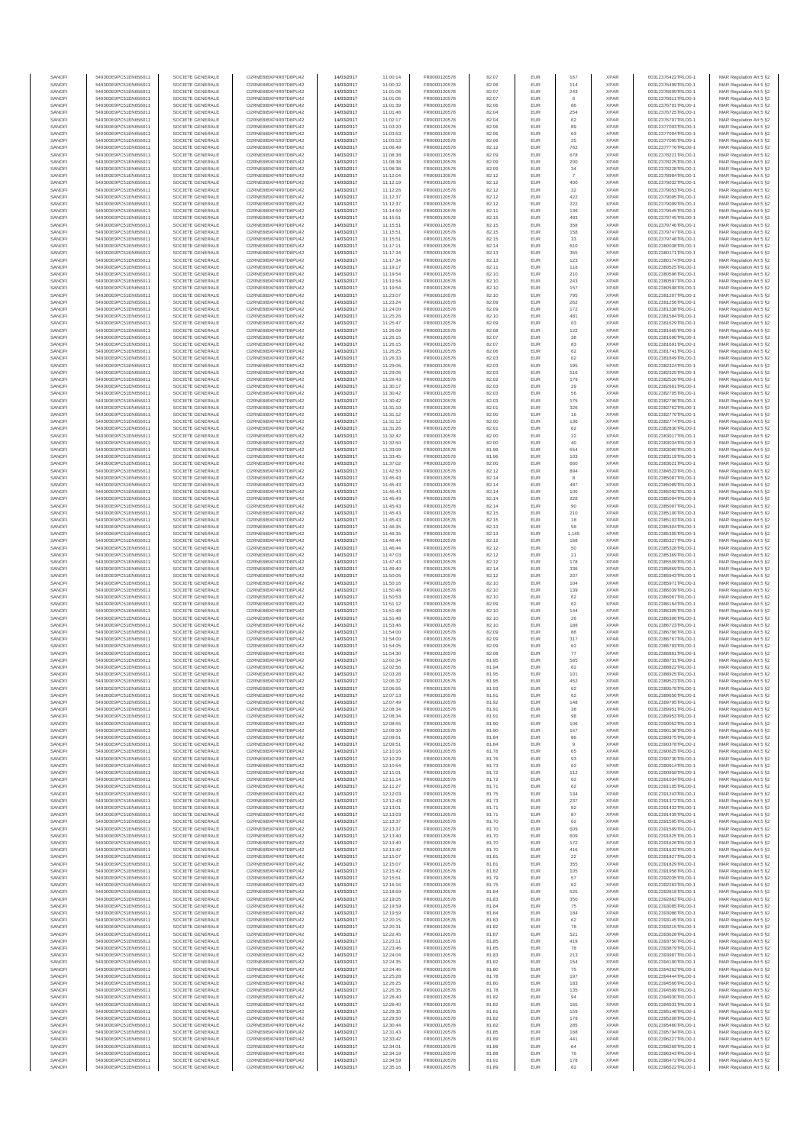| SANOFI           | 549300E9PC51EN656011                         | SOCIETE GENERALE                     | O2RNE8IBXP4R0TD8PU42                         | 14/03/2017               | 11:00:14             | FR0000120578                 | 82.07          | EUR               | 167               | <b>XPAR</b>                | 00312376422TRLO0-1                       | MAR Regulation Art 5 §2                             |
|------------------|----------------------------------------------|--------------------------------------|----------------------------------------------|--------------------------|----------------------|------------------------------|----------------|-------------------|-------------------|----------------------------|------------------------------------------|-----------------------------------------------------|
| SANOFI<br>SANOFI | 549300E9PC51EN656011<br>549300E9PC51EN656011 | SOCIETE GENERALE<br>SOCIETE GENERALE | O2RNE8IBXP4R0TD8PU42<br>O2RNE8IBXP4R0TD8PU42 | 14/03/2017<br>14/03/2017 | 11:00:32             | FR0000120578<br>FR0000120578 | 82.06<br>82.07 | EUR<br>EUR        | 114<br>243        | <b>XPAR</b><br><b>XPAR</b> | 00312376499TRLO0-1<br>00312376609TRLO0-1 | MAR Regulation Art 5 §2                             |
| SANOFI           | 549300E9PC51EN656011                         | SOCIETE GENERALE                     | O2RNE8IBXP4R0TD8PU42                         | 14/03/2017               | 11:01:06<br>11:01:06 | FR0000120578                 | 82.07          | EUR               | $6\phantom{.}6$   | <b>XPAR</b>                | 00312376611TRLO0-1                       | MAR Regulation Art 5 §2<br>MAR Regulation Art 5 §2  |
| SANOFI           | 549300E9PC51EN656011                         | SOCIETE GENERALE                     | O2RNE8IBXP4R0TD8PU42                         | 14/03/2017               | 11:01:39             | FR0000120578                 | 82.06          | EUR               | 86                | <b>XPAR</b>                | 00312376701TRLO0-1                       | MAR Regulation Art 5 §2                             |
| SANOFI           | 549300E9PC51EN656011                         | SOCIETE GENERALE                     | O2RNE8IBXP4R0TD8PU42                         | 14/03/2017               | 11:01:48             | FR0000120578                 | 82.04          | EUR               | 254               | <b>XPAR</b>                | 00312376725TRLO0-1                       | MAR Regulation Art 5 §2                             |
| SANOFI<br>SANOFI | 549300E9PC51EN656011<br>549300E9PC51EN656011 | SOCIETE GENERALE<br>SOCIETE GENERALE | O2RNE8IBXP4R0TD8PU42<br>O2RNE8IBXP4R0TD8PU42 | 14/03/2017<br>14/03/2017 | 11:02:17<br>11:03:20 | FR0000120578<br>FR0000120578 | 82.04<br>82.06 | EUR<br>EUR        | 62<br>89          | <b>XPAR</b><br><b>XPAR</b> | 00312376797TRLO0-1<br>00312377003TRLO0-1 | MAR Regulation Art 5 §2<br>MAR Regulation Art 5 §2  |
| SANOFI           | 549300E9PC51EN656011                         | SOCIETE GENERALE                     | O2RNE8IBXP4R0TD8PU42                         | 14/03/2017               | 11:03:53             | FR0000120578                 | 82.06          | EUR               | 63                | <b>XPAR</b>                | 00312377094TRLO0-1                       | MAR Regulation Art 5 §2                             |
| SANOFI           | 549300E9PC51EN656011                         | SOCIETE GENERALE                     | O2RNE8IBXP4R0TD8PU42                         | 14/03/2017               | 11:03:53             | FR0000120578                 | 82.06          | EUR               | 25                | <b>XPAR</b>                | 00312377095TRLO0-1                       | MAR Regulation Art 5 §2                             |
| SANOFI<br>SANOFI | 549300E9PC51EN656011<br>549300E9PC51EN656011 | SOCIETE GENERALE<br>SOCIETE GENERALE | O2RNE8IBXP4R0TD8PU42<br>O2RNE8IBXP4R0TD8PU42 | 14/03/2017<br>14/03/2017 | 11:06:49<br>11:08:38 | FR0000120578<br>FR0000120578 | 82.12<br>82.09 | EUR<br>EUR        | 762<br>678        | <b>XPAR</b><br><b>XPAR</b> | 00312377776TRLO0-1<br>00312378221TRLO0-1 | MAR Regulation Art 5 §2<br>MAR Regulation Art 5 §2  |
| SANOFI           | 549300E9PC51EN656011                         | SOCIETE GENERALE                     | O2RNE8IBXP4R0TD8PU42                         | 14/03/2017               | 11:08:38             | FR0000120578                 | 82.09          | EUR               | 200               | <b>XPAR</b>                | 00312378225TRLO0-1                       | MAR Regulation Art 5 §2                             |
| SANOFI           | 549300E9PC51EN656011                         | SOCIETE GENERALE                     | O2RNE8IBXP4R0TD8PU42                         | 14/03/2017               | 11:08:38             | FR0000120578                 | 82.09          | EUR               | 34                | <b>XPAR</b>                | 00312378228TRLO0-1                       | MAR Regulation Art 5 §2                             |
| SANOFI           | 549300E9PC51EN656011                         | SOCIETE GENERALE                     | O2RNE8IBXP4R0TD8PU42                         | 14/03/2017               | 11:12:04             | FR0000120578                 | 82.12          | EUR               | $\boldsymbol{7}$  | <b>XPAR</b>                | 00312378984TRLO0-1                       | MAR Regulation Art 5 §2                             |
| SANOFI<br>SANOFI | 549300E9PC51EN656011<br>549300E9PC51EN656011 | SOCIETE GENERALE<br>SOCIETE GENERALE | O2RNE8IBXP4R0TD8PU42<br>O2RNE8IBXP4R0TD8PU42 | 14/03/2017<br>14/03/2017 | 11:12:19<br>11:12:26 | FR0000120578<br>FR0000120578 | 82.12<br>82.12 | EUR<br>EUR        | 400<br>32         | <b>XPAR</b><br><b>XPAR</b> | 00312379032TRLO0-1<br>00312379053TRLO0-1 | MAR Regulation Art 5 §2<br>MAR Regulation Art 5 §2  |
| SANOFI           | 549300E9PC51EN656011                         | SOCIETE GENERALE                     | O2RNE8IBXP4R0TD8PU42                         | 14/03/2017               | 11:12:37             | FR0000120578                 | 82.12          | EUR               | 422               | <b>XPAR</b>                | 00312379095TRLO0-1                       | MAR Regulation Art 5 §2                             |
| SANOFI           | 549300E9PC51EN656011                         | SOCIETE GENERALE                     | O2RNE8IBXP4R0TD8PU42                         | 14/03/2017               | 11:12:37             | FR0000120578                 | 82.12          | EUR               | 222               | <b>XPAR</b>                | 00312379099TRLO0-1                       | MAR Regulation Art 5 §2                             |
| SANOFI           | 549300E9PC51EN656011                         | SOCIETE GENERALE                     | O2RNE8IBXP4R0TD8PU42                         | 14/03/2017               | 11:14:50             | FR0000120578                 | 82.11          | EUR               | 136               | <b>XPAR</b>                | 00312379545TRLO0-1                       | MAR Regulation Art 5 §2                             |
| SANOFI<br>SANOFI | 549300E9PC51EN656011<br>549300E9PC51EN656011 | SOCIETE GENERALE<br>SOCIETE GENERALE | O2RNE8IBXP4R0TD8PU42<br>O2RNE8IBXP4R0TD8PU42 | 14/03/2017<br>14/03/2017 | 11:15:51<br>11:15:51 | FR0000120578<br>FR0000120578 | 82.15<br>82.15 | EUR<br>EUR        | 493<br>358        | <b>XPAR</b><br><b>XPAR</b> | 00312379745TRLO0-1<br>00312379746TRLO0-1 | MAR Regulation Art 5 §2<br>MAR Regulation Art 5 §2  |
| SANOFI           | 549300E9PC51EN656011                         | SOCIETE GENERALE                     | O2RNE8IBXP4R0TD8PU42                         | 14/03/2017               | 11:15:51             | FR0000120578                 | 82.15          | EUR               | 158               | <b>XPAR</b>                | 00312379747TRLO0-1                       | MAR Regulation Art 5 §2                             |
| SANOFI           | 549300E9PC51EN656011                         | SOCIETE GENERALE                     | O2RNE8IBXP4R0TD8PU42                         | 14/03/2017               | 11:15:51             | FR0000120578                 | 82.15          | EUR               | 33                | <b>XPAR</b>                | 00312379748TRLO0-1                       | MAR Regulation Art 5 §2                             |
| SANOFI<br>SANOFI | 549300E9PC51EN656011<br>549300E9PC51EN656011 | SOCIETE GENERALE<br>SOCIETE GENERALE | O2RNE8IBXP4R0TD8PU42<br>O2RNE8IBXP4R0TD8PU42 | 14/03/2017<br>14/03/2017 | 11:17:11<br>11:17:34 | FR0000120578<br>FR0000120578 | 82.14<br>82.13 | EUR<br>EUR        | 610<br>355        | <b>XPAR</b><br><b>XPAR</b> | 00312380038TRLO0-1<br>00312380171TRLO0-1 | MAR Regulation Art 5 §2<br>MAR Regulation Art 5 §2  |
| SANOFI           | 549300E9PC51EN656011                         | SOCIETE GENERALE                     | O2RNE8IBXP4R0TD8PU42                         | 14/03/2017               | 11:17:34             | FR0000120578                 | 82.13          | EUR               | 123               | <b>XPAR</b>                | 00312380174TRLO0-1                       | MAR Regulation Art 5 62                             |
| SANOFI           | 549300E9PC51EN656011                         | SOCIETE GENERALE                     | O2RNE8IBXP4R0TD8PU42                         | 14/03/2017               | 11:19:17             | FR0000120578                 | 82.11          | EUR               | 118               | <b>XPAR</b>                | 00312380525TRLO0-1                       | MAR Regulation Art 5 §2                             |
| SANOFI           | 549300E9PC51EN656011                         | SOCIETE GENERALE                     | O2RNE8IBXP4R0TD8PU42                         | 14/03/2017               | 11:19:54             | FR0000120578                 | 82.10          | EUR               | 210               | <b>XPAR</b>                | 00312380596TRLO0-1                       | MAR Regulation Art 5 §2                             |
| SANOFI<br>SANOFI | 549300E9PC51EN656011<br>549300E9PC51EN656011 | SOCIETE GENERALE<br>SOCIETE GENERALE | O2RNE8IBXP4R0TD8PU42<br>O2RNE8IBXP4R0TD8PU42 | 14/03/2017<br>14/03/2017 | 11:19:54<br>11:19:54 | FR0000120578<br>FR0000120578 | 82.10<br>82.10 | EUR<br>EUR        | 243<br>157        | <b>XPAR</b><br><b>XPAR</b> | 00312380597TRLO0-1<br>00312380598TRLO0-1 | MAR Regulation Art 5 §2<br>MAR Regulation Art 5 §2  |
| SANOFI           | 549300E9PC51EN656011                         | SOCIETE GENERALE                     | O2RNE8IBXP4R0TD8PU42                         | 14/03/2017               | 11:23:07             | FR0000120578                 | 82.10          | EUR               | 795               | <b>XPAR</b>                | 00312381207TRLO0-1                       | MAR Regulation Art 5 §2                             |
| SANOFI           | 549300E9PC51EN656011                         | SOCIETE GENERALE                     | O2RNE8IBXP4R0TD8PU42                         | 14/03/2017               | 11:23:24             | FR0000120578                 | 82.09          | EUR               | 262               | <b>XPAR</b>                | 00312381256TRLO0-1                       | MAR Regulation Art 5 §2                             |
| SANOFI<br>SANOFI | 549300E9PC51EN656011<br>549300E9PC51EN656011 | SOCIETE GENERALE<br>SOCIETE GENERALE | O2RNE8IBXP4R0TD8PU42<br>O2RNE8IBXP4R0TD8PU42 | 14/03/2017<br>14/03/2017 | 11:24:00<br>11:25:26 | FR0000120578<br>FR0000120578 | 82.09<br>82.10 | EUR<br>EUR        | 172<br>481        | <b>XPAR</b><br><b>XPAR</b> | 00312381338TRLO0-1<br>00312381584TRLO0-1 | MAR Regulation Art 5 \$2                            |
| SANOFI           | 549300E9PC51EN656011                         | SOCIETE GENERALE                     | O2RNE8IBXP4R0TD8PU42                         | 14/03/2017               | 11:25:47             | FR0000120578                 | 82.09          | EUR               | 63                | <b>XPAR</b>                | 00312381629TRLO0-1                       | MAR Regulation Art 5 §2<br>MAR Regulation Art 5 §2  |
| SANOFI           | 549300E9PC51EN656011                         | SOCIETE GENERALE                     | O2RNE8IBXP4R0TD8PU42                         | 14/03/2017               | 11:26:09             | FR0000120578                 | 82.08          | EUR               | 122               | <b>XPAR</b>                | 00312381665TRLO0-1                       | MAR Regulation Art 5 §2                             |
| SANOFI           | 549300E9PC51EN656011                         | SOCIETE GENERALE                     | O2RNE8IBXP4R0TD8PU42                         | 14/03/2017               | 11:26:15             | FR0000120578                 | 82.07          | EUR               | 38                | <b>XPAR</b>                | 00312381690TRLO0-1                       | MAR Regulation Art 5 §2                             |
| SANOFI<br>SANOFI | 549300E9PC51EN656011<br>549300E9PC51EN656011 | SOCIETE GENERALE<br>SOCIETE GENERALE | O2RNE8IBXP4R0TD8PU42<br>O2RNE8IBXP4R0TD8PU42 | 14/03/2017<br>14/03/2017 | 11:26:15<br>11:26:25 | FR0000120578<br>FR0000120578 | 82.07<br>82.06 | EUR<br>EUR        | 83<br>62          | <b>XPAR</b><br><b>XPAR</b> | 00312381691TRLO0-1<br>00312381741TRLO0-1 | MAR Regulation Art 5 §2<br>MAR Regulation Art 5 §2  |
| SANOFI           | 549300E9PC51EN656011                         | SOCIETE GENERALE                     | O2RNE8IBXP4R0TD8PU42                         | 14/03/2017               | 11:26:33             | FR0000120578                 | 82.03          | EUR               | 62                | <b>XPAR</b>                | 00312381849TRLO0-1                       | MAR Regulation Art 5 §2                             |
| SANOFI           | 549300E9PC51EN656011                         | SOCIETE GENERALE                     | O2RNE8IBXP4R0TD8PU42                         | 14/03/2017               | 11:29:06             | FR0000120578                 | 82.03          | EUR               | 195               | <b>XPAR</b>                | 00312382324TRLO0-1                       | MAR Regulation Art 5 §2                             |
| SANOFI           | 549300E9PC51EN656011                         | SOCIETE GENERALE<br>SOCIETE GENERALE | O2RNE8IBXP4R0TD8PU42                         | 14/03/2017               | 11:29:06             | FR0000120578<br>FR0000120578 | 82.03          | EUR               | 516               | <b>XPAR</b>                | 00312382325TRLO0-1                       | MAR Regulation Art 5 §2                             |
| SANOFI<br>SANOFI | 549300E9PC51EN656011<br>549300E9PC51EN656011 | SOCIETE GENERALE                     | O2RNE8IBXP4R0TD8PU42<br>O2RNE8IBXP4R0TD8PU42 | 14/03/2017<br>14/03/2017 | 11:29:43<br>11:30:17 | FR0000120578                 | 82.02<br>82.03 | EUR<br>EUR        | 179<br>29         | <b>XPAR</b><br><b>XPAR</b> | 00312382526TRLO0-1<br>00312382661TRLO0-1 | MAR Regulation Art 5 §2<br>MAR Regulation Art 5 §2  |
| SANOFI           | 549300E9PC51EN656011                         | SOCIETE GENERALE                     | O2RNE8IBXP4R0TD8PU42                         | 14/03/2017               | 11:30:42             | FR0000120578                 | 82.03          | EUR               | 56                | <b>XPAR</b>                | 00312382705TRLO0-1                       | MAR Regulation Art 5 §2                             |
| SANOFI           | 549300E9PC51EN656011                         | SOCIETE GENERALE                     | O2RNE8IBXP4R0TD8PU42                         | 14/03/2017               | 11:30:42             | FR0000120578                 | 82.03          | EUR               | 175               | <b>XPAR</b>                | 00312382706TRLO0-1                       | MAR Regulation Art 5 §2                             |
| SANOFI           | 549300E9PC51EN656011                         | SOCIETE GENERALE                     | O2RNE8IBXP4R0TD8PU42<br>O2RNE8IBXP4R0TD8PU42 | 14/03/2017               | 11:31:10             | FR0000120578<br>FR0000120578 | 82.01          | EUR               | 326               | <b>XPAR</b>                | 00312382762TRLO0-1                       | MAR Regulation Art 5 §2                             |
| SANOFI<br>SANOFI | 549300E9PC51EN656011<br>549300E9PC51EN656011 | SOCIETE GENERALE<br>SOCIETE GENERALE | O2RNE8IBXP4R0TD8PLI42                        | 14/03/2017<br>14/03/2017 | 11:31:12<br>11:31:12 | FR0000120578                 | 82.00<br>82.00 | EUR<br>EUR        | 16<br>136         | <b>XPAR</b><br><b>XPAR</b> | 00312382770TRLO0-1<br>00312382774TRLO0-1 | MAR Regulation Art 5 §2<br>MAR Regulation Art 5 §2  |
| SANOFI           | 549300E9PC51EN656011                         | SOCIETE GENERALE                     | O2RNE8IBXP4R0TD8PU42                         | 14/03/2017               | 11:31:26             | FR0000120578                 | 82.01          | EUR               | 62                | <b>XPAR</b>                | 00312382830TRLO0-1                       | MAR Regulation Art 5 §2                             |
| SANOFI           | 549300E9PC51EN656011                         | SOCIETE GENERALE                     | O2RNE8IBXP4R0TD8PU42                         | 14/03/2017               | 11:32:42             | FR0000120578                 | 82.00          | EUR               | 22                | <b>XPAR</b>                | 00312383017TRLO0-1                       | MAR Regulation Art 5 \$2                            |
| SANOFI<br>SANOFI | 549300E9PC51EN656011<br>549300E9PC51EN656011 | SOCIETE GENERALE<br>SOCIETE GENERALE | O2RNE8IBXP4R0TD8PU42<br>O2RNE8IBXP4R0TD8PU42 | 14/03/2017<br>14/03/2017 | 11:32:50             | FR0000120578<br>FR0000120578 | 82.00<br>81.99 | EUR<br>EUR        | 40<br>554         | <b>XPAR</b><br><b>XPAR</b> | 00312383034TRLO0-1                       | MAR Regulation Art 5 §2<br>MAR Regulation Art 5 §2  |
| SANOFI           | 549300E9PC51EN656011                         | SOCIETE GENERALE                     | O2RNE8IBXP4R0TD8PU42                         | 14/03/2017               | 11:33:09<br>11:33:45 | FR0000120578                 | 81.96          | EUR               | 103               | <b>XPAR</b>                | 00312383060TRLO0-1<br>00312383119TRLO0-1 | MAR Regulation Art 5 §2                             |
| SANOFI           | 549300E9PC51EN656011                         | SOCIETE GENERALE                     | O2RNE8IBXP4R0TD8PU42                         | 14/03/2017               | 11:37:02             | FR0000120578                 | 82.00          | EUR               | 660               | <b>XPAR</b>                | 00312383621TRLO0-1                       | MAR Regulation Art 5 §2                             |
| SANOFI           | 549300E9PC51EN656011                         | SOCIETE GENERALE                     | O2RNE8IBXP4R0TD8PU42                         | 14/03/2017               | 11:42:50             | FR0000120578                 | 82.12          | EUR               | 894               | <b>XPAR</b>                | 00312384523TRLO0-1                       | MAR Regulation Art 5 §2                             |
| SANOFI<br>SANOFI | 549300E9PC51EN656011<br>549300E9PC51EN656011 | SOCIETE GENERALE<br>SOCIETE GENERALE | O2RNE8IBXP4R0TD8PU42<br>O2RNE8IBXP4R0TD8PU42 | 14/03/2017<br>14/03/2017 | 11:45:43<br>11:45:43 | FR0000120578<br>FR0000120578 | 82.14<br>82.14 | EUR<br>EUR        | $^{\rm 8}$<br>487 | <b>XPAR</b><br><b>XPAR</b> | 00312385087TRLO0-1<br>00312385089TRLO0-1 | MAR Regulation Art 5 §2<br>MAR Regulation Art 5 §2  |
| SANOFI           | 549300E9PC51EN656011                         | SOCIETE GENERALE                     | O2RNE8IBXP4R0TD8PU42                         | 14/03/2017               | 11:45:43             | FR0000120578                 | 82.14          | EUR               | 100               | <b>XPAR</b>                | 00312385092TRLO0-1                       | MAR Regulation Art 5 §2                             |
| SANOFI           | 549300E9PC51EN656011                         | SOCIETE GENERALE                     | O2RNE8IBXP4R0TD8PU42                         | 14/03/2017               | 11:45:43             | FR0000120578                 | 82.14          | EUR               | 228               | <b>XPAR</b>                | 00312385094TRLO0-1                       | MAR Regulation Art 5 §2                             |
| SANOFI           | 549300E9PC51EN656011                         | SOCIETE GENERALE                     | O2RNE8IBXP4R0TD8PU42                         | 14/03/2017               | 11:45:43             | FR0000120578                 | 82.14          | EUR               | 90                | <b>XPAR</b>                | 00312385097TRLO0-1                       | MAR Regulation Art 5 §2                             |
| SANOFI<br>SANOFI | 549300E9PC51EN656011<br>549300E9PC51EN656011 | SOCIETE GENERALE<br>SOCIETE GENERALE | O2RNE8IBXP4R0TD8PU42<br>O2RNE8IBXP4R0TD8PU42 | 14/03/2017<br>14/03/2017 | 11:45:43<br>11:45:43 | FR0000120578<br>FR0000120578 | 82.15<br>82.15 | EUR<br>EUR        | 210<br>18         | <b>XPAR</b><br><b>XPAR</b> | 00312385100TRLO0-1<br>00312385103TRLO0-1 | MAR Regulation Art 5 §2<br>MAR Regulation Art 5 §2  |
| SANOFI           | 549300E9PC51EN656011                         | SOCIETE GENERALE                     | O2RNE8IBXP4R0TD8PU42                         | 14/03/2017               | 11:46:35             | FR0000120578                 | 82.13          | EUR               | 58                | <b>XPAR</b>                | 00312385304TRLO0-1                       | MAR Regulation Art 5 §2                             |
| SANOFI           | 549300E9PC51EN656011                         | SOCIETE GENERALE                     | O2RNE8IBXP4R0TD8PU42                         | 14/03/2017               | 11:46:35             | FR0000120578                 | 82.13          | EUR               | 1,145             | <b>XPAR</b>                | 00312385305TRLO0-1                       | MAR Regulation Art 5 §2                             |
| SANOFI           | 549300E9PC51EN656011                         | SOCIETE GENERALE                     | O2RNE8IBXP4R0TD8PU42                         | 14/03/2017               | 11:46:44             | FR0000120578                 | 82.12          | EUR<br>EUR        | 168<br>50         | <b>XPAR</b>                | 00312385327TRLO0-1                       | MAR Regulation Art 5 §2                             |
| SANOFI<br>SANOFI | 549300E9PC51EN656011<br>549300E9PC51EN656011 | SOCIETE GENERALE<br>SOCIETE GENERALE | O2RNE8IBXP4R0TD8PU42<br>O2RNE8IBXP4R0TD8PU42 | 14/03/2017<br>14/03/2017 | 11:46:44<br>11:47:03 | FR0000120578<br>FR0000120578 | 82.12<br>82.12 | EUR               | 21                | <b>XPAR</b><br><b>XPAR</b> | 00312385328TRLO0-1<br>00312385369TRLO0-1 | MAR Regulation Art 5 §2<br>MAR Regulation Art 5 §2  |
| SANOFI           | 549300E9PC51EN656011                         | SOCIETE GENERALE                     | O2RNE8IBXP4R0TD8PU42                         | 14/03/2017               | 11:47:43             | FR0000120578                 | 82.12          | EUR               | 178               | <b>XPAR</b>                | 00312385509TRLO0-1                       | MAR Regulation Art 5 §2                             |
| SANOFI           | 549300E9PC51EN656011                         | SOCIETE GENERALE                     | O2RNE8IBXP4R0TD8PU42                         | 14/03/2017               | 11:49:40             | FR0000120578                 | 82.14          | EUR               | 336               | <b>XPAR</b>                | 00312385869TRLO0-1                       | MAR Regulation Art 5 §2                             |
| SANOFI<br>SANOFI | 549300E9PC51EN656011<br>549300E9PC51EN656011 | SOCIETE GENERALE<br>SOCIETE GENERALE | O2RNE8IBXP4R0TD8PU42<br>O2RNE8IBXP4R0TD8PU42 | 14/03/2017<br>14/03/2017 | 11:50:05<br>11:50:16 | FR0000120578<br>FR0000120578 | 82.12<br>82.10 | EUR<br>EUR        | 207<br>104        | <b>XPAR</b><br><b>XPAR</b> | 00312385943TRLO0-1<br>00312385971TRLO0-1 | MAR Regulation Art 5 §2<br>MAR Regulation Art 5 §2  |
| SANOFI           | 549300E9PC51EN656011                         | SOCIETE GENERALE                     | O2RNE8IBXP4R0TD8PU42                         | 14/03/2017               | 11:50:48             | FR0000120578                 | 82.10          | EUR               | 139               | <b>XPAR</b>                | 00312386039TRLO0-1                       | MAR Regulation Art 5 §2                             |
| SANOFI           | 549300E9PC51EN656011                         | SOCIETE GENERALE                     | O2RNE8IBXP4R0TD8PU42                         | 14/03/2017               | 11:50:53             | FR0000120578                 | 82.10          | EUR               | 62                | <b>XPAR</b>                | 00312386067TRLO0-1                       | MAR Regulation Art 5 §2                             |
| SANOFI           | 549300E9PC51EN656011                         | SOCIETE GENERALE                     | O2RNE8IBXP4R0TD8PU42                         | 14/03/2017               | 11:51:12             | FR0000120578                 | 82.09          | EUR               | 62                | <b>XPAR</b>                | 00312386164TRLO0-1                       | MAR Regulation Art 5 §2                             |
| SANOFI<br>SANOFI | 549300E9PC51EN656011<br>549300E9PC51EN656011 | SOCIETE GENERALE<br>SOCIETE GENERALE | O2RNE8IBXP4R0TD8PU42<br>O2RNE8IBXP4R0TD8PU42 | 14/03/2017<br>14/03/2017 | 11:51:48<br>11:51:48 | FR0000120578<br>FR0000120578 | 82.10<br>82.10 | EUR<br>EUR        | 144<br>26         | <b>XPAR</b><br><b>XPAR</b> | 00312386305TRLO0-1<br>00312386306TRLO0-1 | MAR Regulation Art 5 §2<br>MAR Regulation Art 5 §2  |
| SANOFI           | 549300E9PC51EN656011                         | SOCIETE GENERALE                     | O2RNE8IBXP4R0TD8PU42                         | 14/03/2017               | 11:53:46             | FR0000120578                 | 82.10          | EUR               | 188               | <b>XPAR</b>                | 00312386723TRLO0-1                       | MAR Regulation Art 5 §2                             |
| SANOFI           | 549300E9PC51EN656011                         | SOCIETE GENERALE                     | O2RNE8IBXP4R0TD8PU42                         | 14/03/2017               | 11:54:00             | FR0000120578                 | 82.09          | EUR               | 88                | <b>XPAR</b>                | 00312386766TRLO0-1                       | MAR Regulation Art 5 §2                             |
| SANOFI           | 549300E9PC51EN656011                         | SOCIETE GENERALE                     | O2RNE8IBXP4R0TD8PU42                         | 14/03/2017               | 11:54:00             | FR0000120578                 | 82.09          | EUR               | 317               | <b>XPAR</b>                | 00312386767TRLO0-1                       | MAR Regulation Art 5 §2                             |
| SANOFI<br>SANOFI | 549300E9PC51EN656011<br>549300E9PC51EN656011 | SOCIETE GENERALE<br>SOCIETE GENERALE | O2RNE8IBXP4R0TD8PU42<br>O2RNE8IBXP4R0TD8PU42 | 14/03/2017<br>14/03/2017 | 11:54:05<br>11:54:30 | FR0000120578<br>FR0000120578 | 82.09<br>82.08 | EUR<br>EUR        | 62<br>77          | <b>XPAR</b><br><b>XPAR</b> | 00312386793TRLO0-1<br>00312386861TRLO0-1 | MAR Regulation Art 5 §2<br>MAR Regulation Art 5 §2  |
| SANOFI           | 549300E9PC51EN656011                         | SOCIETE GENERALE                     | O2RNE8IBXP4R0TD8PU42                         | 14/03/2017               | 12:02:34             | FR0000120578                 | 81.95          | EUR               | 585               | <b>XPAR</b>                | 00312388731TRLO0-1                       | MAR Regulation Art 5 \$2                            |
| SANOFI           | 549300E9PC51EN656011                         | SOCIETE GENERALE                     | O2RNE8IBXP4R0TD8PU42                         | 14/03/2017               | 12:02:56             | FR0000120578                 | 81.94          | EUR               | 62                | <b>XPAR</b>                | 00312388822TRLO0-1                       | MAR Regulation Art 5 §2                             |
| SANOFI<br>SANOFI | 549300E9PC51EN656011<br>549300E9PC51EN656011 | SOCIETE GENERALE<br>SOCIETE GENERALE | O2RNE8IBXP4R0TD8PU42<br>O2RNE8IBXP4R0TD8PU42 | 14/03/2017<br>14/03/2017 | 12:03:28<br>12:06:32 | FR0000120578<br>FR0000120578 | 81.95<br>81.95 | <b>EUR</b><br>EUR | 101<br>452        | <b>XPAR</b><br><b>XPAR</b> | 00312388925TRLO0-1<br>00312389523TRLO0-1 | MAR Regulation Art 5 §2<br>MAR Regulation Art 5 §2  |
| SANOFI           | 549300E9PC51EN656011                         | SOCIETE GENERALE                     | O2RNE8IBXP4R0TD8PU42                         | 14/03/2017               | 12:06:55             | FR0000120578                 | 81.93          | EUR               | 62                | <b>XPAR</b>                | 00312389578TRLO0-1                       | MAR Regulation Art 5 §2                             |
| SANOFI           | 549300E9PC51EN656011                         | SOCIETE GENERALE                     | O2RNE8IBXP4R0TD8PU42                         | 14/03/2017               | 12:07:13             | FR0000120578                 | 81.91          | EUR               | 62                | <b>XPAR</b>                | 00312389656TRLO0-1                       | MAR Regulation Art 5 §2                             |
| SANOFI           | 549300E9PC51EN656011                         | SOCIETE GENERALE                     | O2RNE8IBXP4R0TD8PU42                         | 14/03/2017               | 12:07:49             | FR0000120578                 | 81.92          | EUR               | 148               | <b>XPAR</b>                | 00312389795TRLO0-1                       | MAR Regulation Art 5 §2                             |
| SANOFI<br>SANOFI | 549300E9PC51EN656011<br>549300E9PC51EN656011 | SOCIETE GENERALE<br>SOCIETE GENERALE | O2RNE8IBXP4R0TD8PU42<br>O2RNE8IBXP4R0TD8PU42 | 14/03/2017<br>14/03/2017 | 12:08:34<br>12:08:34 | FR0000120578<br>FR0000120578 | 81.91<br>81.91 | EUR<br>EUR        | 38<br>98          | <b>XPAR</b><br><b>XPAR</b> | 00312389951TRLO0-1<br>00312389953TRLO0-1 | MAR Regulation Art 5 §2<br>MAR Regulation Art 5 §2  |
| SANOFI           | 549300E9PC51EN656011                         | SOCIETE GENERALE                     | O2RNE8IBXP4R0TD8PU42                         | 14/03/2017               | 12:08:55             | FR0000120578                 | 81.90          | EUR               | 106               | <b>XPAR</b>                | 00312390052TRLO0-1                       | MAR Regulation Art 5 §2                             |
| SANOFI           | 549300E9PC51EN656011                         | SOCIETE GENERALE                     | O2RNE8IBXP4R0TD8PU42                         | 14/03/2017               | 12:09:30             | FR0000120578                 | 81.90          | EUR               | 167               | <b>XPAR</b>                | 00312390136TRLO0-1                       | MAR Regulation Art 5 §2                             |
| SANOFI<br>SANOFI | 549300E9PC51EN656011<br>549300E9PC51EN656011 | SOCIETE GENERALE<br>SOCIETE GENERALE | O2RNE8IBXP4R0TD8PU42<br>O2RNE8IBXP4R0TD8PU42 | 14/03/2017               | 12:09:51<br>12:09:51 | FR0000120578                 | 81.84<br>81.84 | EUR<br>EUR        | 86                | <b>XPAR</b><br><b>XPAR</b> | 00312390375TRLO0-1                       | MAR Regulation Art 5 \$2<br>MAR Regulation Art 5 §2 |
| SANOFI           | 549300E9PC51EN656011                         | SOCIETE GENERALE                     | O2RNE8IBXP4R0TD8PU42                         | 14/03/2017<br>14/03/2017 | 12:10:16             | FR0000120578<br>FR0000120578 | 81.78          | EUR               | 9<br>65           | <b>XPAR</b>                | 00312390378TRLO0-1<br>00312390625TRLO0-1 | MAR Regulation Art 5 §2                             |
| SANOFI           | 549300E9PC51EN656011                         | SOCIETE GENERALE                     | O2RNE8IBXP4R0TD8PU42                         | 14/03/2017               | 12:10:29             | FR0000120578                 | 81.76          | EUR               | 93                | <b>XPAR</b>                | 00312390730TRLO0-1                       | MAR Regulation Art 5 §2                             |
| SANOFI<br>SANOFI | 549300E9PC51EN656011<br>549300E9PC51EN656011 | SOCIETE GENERALE<br>SOCIETE GENERALE | O2RNE8IBXP4R0TD8PU42<br>O2RNE8IBXP4R0TD8PU42 | 14/03/2017<br>14/03/2017 | 12:10:54<br>12:11:01 | FR0000120578<br>FR0000120578 | 81.73<br>81.72 | EUR<br>EUR        | 62<br>112         | <b>XPAR</b><br><b>XPAR</b> | 00312390914TRLO0-1<br>00312390958TRLO0-1 | MAR Regulation Art 5 §2                             |
| SANOFI           | 549300E9PC51EN656011                         | SOCIETE GENERALE                     | O2RNE8IBXP4R0TD8PU42                         | 14/03/2017               | 12:11:14             | FR0000120578                 | 81.72          | EUR               | 62                | <b>XPAR</b>                | 00312391034TRLO0-1                       | MAR Regulation Art 5 §2<br>MAR Regulation Art 5 §2  |
| SANOFI           | 549300E9PC51EN656011                         | SOCIETE GENERALE                     | O2RNE8IBXP4R0TD8PU42                         | 14/03/2017               | 12:11:27             | FR0000120578                 | 81.71          | EUR               | 62                | <b>XPAR</b>                | 00312391105TRLO0-1                       | MAR Regulation Art 5 §2                             |
| SANOFI<br>SANOFI | 549300E9PC51EN656011<br>549300E9PC51EN656011 | SOCIETE GENERALE<br>SOCIETE GENERALE | O2RNE8IBXP4R0TD8PU42<br>O2RNE8IBXP4R0TD8PU42 | 14/03/2017               | 12:12:03             | FR0000120578<br>FR0000120578 | 81.75<br>81.73 | EUR<br>EUR        | 134<br>237        | <b>XPAR</b><br><b>XPAR</b> | 00312391243TRLO0-1                       | MAR Regulation Art 5 §2<br>MAR Regulation Art 5 §2  |
| SANOFI           | 549300E9PC51EN656011                         | SOCIETE GENERALE                     | O2RNE8IBXP4R0TD8PU42                         | 14/03/2017<br>14/03/2017 | 12:12:43<br>12:13:01 | FR0000120578                 | 81.71          | EUR               | 82                | <b>XPAR</b>                | 00312391372TRLO0-1<br>00312391432TRLO0-1 | MAR Regulation Art 5 §2                             |
| SANOFI           | 549300E9PC51EN656011                         | SOCIETE GENERALE                     | O2RNE8IBXP4R0TD8PU42                         | 14/03/2017               | 12:13:03             | FR0000120578                 | 81.71          | EUR               | 87                | <b>XPAR</b>                | 00312391439TRLO0-1                       | MAR Regulation Art 5 §2                             |
| SANOFI           | 549300E9PC51EN656011                         | SOCIETE GENERALE                     | O2RNE8IBXP4R0TD8PU42                         | 14/03/2017               | 12:13:37             | FR0000120578                 | 81.70          | EUR               | 62                | <b>XPAR</b>                | 00312391595TRLO0-1                       | MAR Regulation Art 5 §2                             |
| SANOFI<br>SANOFI | 549300E9PC51EN656011<br>549300E9PC51EN656011 | SOCIETE GENERALE<br>SOCIETE GENERALE | O2RNE8IBXP4R0TD8PU42<br>O2RNE8IBXP4R0TD8PU42 | 14/03/2017<br>14/03/2017 | 12:13:37<br>12:13:40 | FR0000120578<br>FR0000120578 | 81.70<br>81.70 | EUR<br>EUR        | 609<br>609        | <b>XPAR</b><br><b>XPAR</b> | 00312391599TRLO0-1<br>00312391625TRLO0-1 | MAR Regulation Art 5 §2<br>MAR Regulation Art 5 §2  |
| SANOFI           | 549300E9PC51EN656011                         | SOCIETE GENERALE                     | O2RNE8IBXP4R0TD8PU42                         | 14/03/2017               | 12:13:40             | FR0000120578                 | 81.70          | EUR               | 172               | <b>XPAR</b>                | 00312391626TRLO0-1                       | MAR Regulation Art 5 §2                             |
| SANOFI           | 549300E9PC51EN656011                         | SOCIETE GENERALE                     | O2RNE8IBXP4R0TD8PU42                         | 14/03/2017               | 12:13:42             | FR0000120578                 | 81.70          | EUR               | 416               | <b>XPAR</b>                | 00312391632TRLO0-1                       | MAR Regulation Art 5 §2                             |
| SANOFI<br>SANOFI | 549300E9PC51EN656011<br>549300E9PC51EN656011 | SOCIETE GENERALE                     | O2RNE8IBXP4R0TD8PU42<br>O2RNE8IBXP4R0TD8PU42 | 14/03/2017               | 12:15:07             | FR0000120578                 | 81.81          | EUR               | 22                | <b>XPAR</b><br><b>XPAR</b> | 00312391827TRLO0-1                       | MAR Regulation Art 5 §2<br>MAR Regulation Art 5 §2  |
| SANOFI           | 549300E9PC51EN656011                         | SOCIETE GENERALE<br>SOCIETE GENERALE | O2RNE8IBXP4R0TD8PU42                         | 14/03/2017<br>14/03/2017 | 12:15:07<br>12:15:42 | FR0000120578<br>FR0000120578 | 81.81<br>81.82 | EUR<br>EUR        | 355<br>105        | <b>XPAR</b>                | 00312391829TRLO0-1<br>00312391956TRLO0-1 | MAR Regulation Art 5 §2                             |
| SANOFI           | 549300E9PC51EN656011                         | SOCIETE GENERALE                     | O2RNE8IBXP4R0TD8PU42                         | 14/03/2017               | 12:15:51             | FR0000120578                 | 81.79          | EUR               | 57                | <b>XPAR</b>                | 00312392035TRLO0-1                       | MAR Regulation Art 5 §2                             |
| SANOFI           | 549300E9PC51EN656011                         | SOCIETE GENERALE                     | O2RNE8IBXP4R0TD8PU42                         | 14/03/2017               | 12:16:16             | FR0000120578                 | 81.75          | EUR               | 62                | <b>XPAR</b>                | 00312392263TRLO0-1                       | MAR Regulation Art 5 §2                             |
| SANOFI<br>SANOFI | 549300E9PC51EN656011<br>549300E9PC51EN656011 | SOCIETE GENERALE<br>SOCIETE GENERALE | O2RNE8IBXP4R0TD8PU42<br>O2RNE8IBXP4R0TD8PU42 | 14/03/2017<br>14/03/2017 | 12:18:59<br>12:19:05 | FR0000120578<br>FR0000120578 | 81.84<br>81.83 | EUR<br>EUR        | 525<br>350        | <b>XPAR</b><br><b>XPAR</b> | 00312392818TRLO0-1<br>00312392862TRLO0-1 | MAR Regulation Art 5 §2<br>MAR Regulation Art 5 §2  |
| SANOFI           | 549300E9PC51EN656011                         | SOCIETE GENERALE                     | O2RNE8IBXP4R0TD8PU42                         | 14/03/2017               | 12:19:59             | FR0000120578                 | 81.84          | EUR               | 75                | <b>XPAR</b>                | 00312393085TRLO0-1                       | MAR Regulation Art 5 §2                             |
| SANOFI           | 549300E9PC51EN656011                         | SOCIETE GENERALE                     | O2RNE8IBXP4R0TD8PU42                         | 14/03/2017               | 12:19:59             | FR0000120578                 | 81.84          | EUR               | 184               | <b>XPAR</b>                | 00312393086TRLO0-1                       | MAR Regulation Art 5 §2                             |
| SANOFI           | 549300E9PC51EN656011                         | SOCIETE GENERALE                     | O2RNE8IBXP4R0TD8PU42                         | 14/03/2017               | 12:20:15             | FR0000120578                 | 81.83          | EUR               | 62                | <b>XPAR</b>                | 00312393145TRLO0-1                       | MAR Regulation Art 5 §2                             |
| SANOFI<br>SANOFI | 549300E9PC51EN656011<br>549300E9PC51EN656011 | SOCIETE GENERALE<br>SOCIETE GENERALE | O2RNE8IBXP4R0TD8PU42<br>O2RNE8IBXP4R0TD8PU42 | 14/03/2017<br>14/03/2017 | 12:20:31<br>12:22:45 | FR0000120578<br>FR0000120578 | 81.82<br>81.87 | EUR<br>EUR        | 78<br>521         | <b>XPAR</b><br><b>XPAR</b> | 00312393215TRLO0-1<br>00312393628TRLO0-1 | MAR Regulation Art 5 §2<br>MAR Regulation Art 5 §2  |
| SANOFI           | 549300E9PC51EN656011                         | SOCIETE GENERALE                     | O2RNE8IBXP4R0TD8PU42                         | 14/03/2017               | 12:23:11             | FR0000120578                 | 81.85          | EUR               | 419               | <b>XPAR</b>                | 00312393750TRLO0-1                       | MAR Regulation Art 5 §2                             |
| SANOFI           | 549300E9PC51EN656011                         | SOCIETE GENERALE                     | O2RNE8IBXP4R0TD8PU42                         | 14/03/2017               | 12:23:46             | FR0000120578                 | 81.85          | EUR               | 78                | <b>XPAR</b>                | 00312393879TRLO0-1                       | MAR Regulation Art 5 §2                             |
| SANOFI           | 549300E9PC51EN656011                         | SOCIETE GENERALE                     | O2RNE8IBXP4R0TD8PU42                         | 14/03/2017               | 12:24:04             | FR0000120578                 | 81.83          | EUR               | 213               | <b>XPAR</b>                | 00312393987TRLO0-1                       | MAR Regulation Art 5 §2                             |
| SANOFI<br>SANOFI | 549300E9PC51EN656011<br>549300E9PC51EN656011 | SOCIETE GENERALE<br>SOCIETE GENERALE | O2RNE8IBXP4R0TD8PU42<br>O2RNE8IBXP4R0TD8PU42 | 14/03/2017<br>14/03/2017 | 12:24:35<br>12:24:46 | FR0000120578<br>FR0000120578 | 81.82<br>81.80 | EUR<br>EUR        | 154<br>75         | <b>XPAR</b><br><b>XPAR</b> | 00312394190TRLO0-1<br>00312394262TRLO0-1 | MAR Regulation Art 5 §2<br>MAR Regulation Art 5 §2  |
| SANOFI           | 549300E9PC51EN656011                         | SOCIETE GENERALE                     | O2RNE8IBXP4R0TD8PU42                         | 14/03/2017               | 12:25:28             | FR0000120578                 | 81.78          | EUR               | 197               | <b>XPAR</b>                | 00312394444TRLO0-1                       | MAR Regulation Art 5 §2                             |
| SANOFI           | 549300E9PC51EN656011                         | SOCIETE GENERALE                     | O2RNE8IBXP4R0TD8PU42                         | 14/03/2017               | 12:26:25             | FR0000120578                 | 81.80          | EUR               | 183               | <b>XPAR</b>                | 00312394566TRLO0-1                       | MAR Regulation Art 5 §2                             |
| SANOFI           | 549300E9PC51EN656011                         | SOCIETE GENERALE                     | O2RNE8IBXP4R0TD8PU42                         | 14/03/2017               | 12:26:35             | FR0000120578                 | 81.78          | EUR               | 135               | <b>XPAR</b>                | 00312394599TRLO0-1                       | MAR Regulation Art 5 §2                             |
| SANOFI<br>SANOFI | 549300E9PC51EN656011<br>549300E9PC51EN656011 | SOCIETE GENERALE<br>SOCIETE GENERALE | O2RNE8IBXP4R0TD8PU42<br>O2RNE8IBXP4R0TD8PU42 | 14/03/2017<br>14/03/2017 | 12:28:40<br>12:28:40 | FR0000120578<br>FR0000120578 | 81.82<br>81.82 | EUR<br>EUR        | 94<br>165         | <b>XPAR</b><br><b>XPAR</b> | 00312394930TRLO0-1<br>00312394931TRLO0-1 | MAR Regulation Art 5 §2<br>MAR Regulation Art 5 §2  |
| SANOFI           | 549300E9PC51EN656011                         | SOCIETE GENERALE                     | O2RNE8IBXP4R0TD8PU42                         | 14/03/2017               | 12:29:35             | FR0000120578                 | 81.81          | EUR               | 159               | <b>XPAR</b>                | 00312395148TRLO0-1                       | MAR Regulation Art 5 §2                             |
| SANOFI           | 549300E9PC51EN656011                         | SOCIETE GENERALE                     | O2RNE8IBXP4R0TD8PU42                         | 14/03/2017               | 12:29:50             | FR0000120578                 | 81.82          | EUR               | 178               | <b>XPAR</b>                | 00312395208TRLO0-1                       | MAR Regulation Art 5 §2                             |
| SANOFI<br>SANOFI | 549300E9PC51EN656011<br>549300E9PC51EN656011 | SOCIETE GENERALE<br>SOCIETE GENERALE | O2RNE8IBXP4R0TD8PU42<br>O2RNE8IBXP4R0TD8PU42 | 14/03/2017<br>14/03/2017 | 12:30:44<br>12:31:43 | FR0000120578<br>FR0000120578 | 81.82<br>81.85 | EUR<br>EUR        | 285<br>168        | <b>XPAR</b><br><b>XPAR</b> | 00312395460TRLO0-1<br>00312395794TRLO0-1 | MAR Regulation Art 5 §2<br>MAR Regulation Art 5 §2  |
| SANOFI           | 549300E9PC51EN656011                         | SOCIETE GENERALE                     | O2RNE8IBXP4R0TD8PU42                         | 14/03/2017               | 12:33:42             | FR0000120578                 | 81.89          | EUR               | 441               | <b>XPAR</b>                | 00312396227TRLO0-1                       | MAR Regulation Art 5 §2                             |
| SANOFI           | 549300E9PC51EN656011                         | SOCIETE GENERALE                     | O2RNE8IBXP4R0TD8PU42                         | 14/03/2017               | 12:34:01             | FR0000120578                 | 81.89          | EUR               | 64                | <b>XPAR</b>                | 00312396269TRLO0-1                       | MAR Regulation Art 5 §2                             |
| SANOFI           | 549300E9PC51EN656011                         | SOCIETE GENERALE                     | O2RNE8IBXP4R0TD8PU42                         | 14/03/2017               | 12:34:19             | FR0000120578                 | 81.88          | EUR               | 76                | <b>XPAR</b>                | 00312396343TRLO0-1                       | MAR Regulation Art 5 §2                             |
| SANOFI<br>SANOFI | 549300E9PC51EN656011<br>549300E9PC51EN656011 | SOCIETE GENERALE<br>SOCIETE GENERALE | O2RNE8IBXP4R0TD8PU42<br>O2RNE8IBXP4R0TD8PU42 | 14/03/2017<br>14/03/2017 | 12:34:59<br>12:35:16 | FR0000120578<br>FR0000120578 | 81.91<br>81.89 | EUR<br>EUR        | 178<br>62         | <b>XPAR</b><br><b>XPAR</b> | 00312396472TRLO0-1<br>00312396522TRLO0-1 | MAR Regulation Art 5 §2<br>MAR Regulation Art 5 §2  |
|                  |                                              |                                      |                                              |                          |                      |                              |                |                   |                   |                            |                                          |                                                     |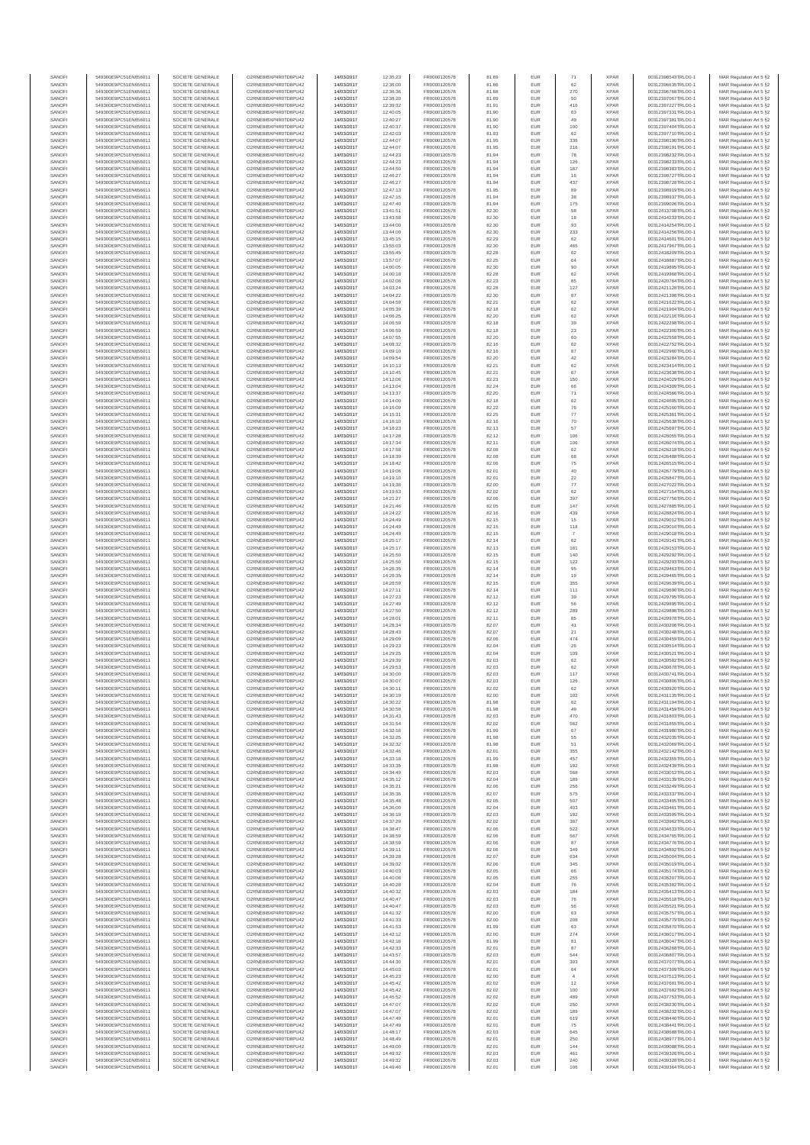| SANOFI           | 549300E9PC51EN656011                         | SOCIETE GENERALE                     | O2RNE8IBXP4R0TD8PU42                         | 14/03/2017               | 12:35:23             | FR0000120578                 | 81.89          | EUR               | 71                   | <b>XPAR</b>                | 00312396543TRLO0-1                       | MAR Regulation Art 5 §2                             |
|------------------|----------------------------------------------|--------------------------------------|----------------------------------------------|--------------------------|----------------------|------------------------------|----------------|-------------------|----------------------|----------------------------|------------------------------------------|-----------------------------------------------------|
| SANOFI<br>SANOFI | 549300E9PC51EN656011<br>549300E9PC51EN656011 | SOCIETE GENERALE<br>SOCIETE GENERALE | O2RNE8IBXP4R0TD8PU42<br>O2RNE8IBXP4R0TD8PU42 | 14/03/2017<br>14/03/2017 | 12:36:00<br>12:36:36 | FR0000120578<br>FR0000120578 | 81.86<br>81.88 | EUR<br>EUR        | 62                   | <b>XPAR</b><br><b>XPAR</b> | 00312396635TRLO0-1<br>00312396768TRLO0-1 | MAR Regulation Art 5 §2                             |
| SANOFI           | 549300E9PC51EN656011                         | SOCIETE GENERALE                     | O2RNE8IBXP4R0TD8PU42                         | 14/03/2017               | 12:38:20             | FR0000120578                 | 81.89          | EUR               | 270<br>50            | <b>XPAR</b>                | 00312397067TRLO0-1                       | MAR Regulation Art 5 §2<br>MAR Regulation Art 5 §2  |
| SANOFI           | 549300E9PC51EN656011                         | SOCIETE GENERALE                     | O2RNE8IBXP4R0TD8PU42                         | 14/03/2017               | 12:39:32             | FR0000120578                 | 81.91          | EUR               | 416                  | <b>XPAR</b>                | 00312397227TRLO0-1                       | MAR Regulation Art 5 §2                             |
| SANOFI           | 549300E9PC51EN656011                         | SOCIETE GENERALE                     | O2RNE8IBXP4R0TD8PU42                         | 14/03/2017               | 12:40:05             | FR0000120578                 | 81.90          | EUR               | 63                   | <b>XPAR</b>                | 00312397331TRLO0-1                       | MAR Regulation Art 5 §2                             |
| SANOFI<br>SANOFI | 549300E9PC51EN656011<br>549300E9PC51EN656011 | SOCIETE GENERALE<br>SOCIETE GENERALE | O2RNE8IBXP4R0TD8PU42<br>O2RNE8IBXP4R0TD8PU42 | 14/03/2017<br>14/03/2017 | 12:40:27<br>12:40:37 | FR0000120578<br>FR0000120578 | 81.90<br>81.90 | EUR<br>EUR        | 49<br>100            | <b>XPAR</b><br><b>XPAR</b> | 00312397381TRLO0-1<br>00312397404TRLO0-1 | MAR Regulation Art 5 §2<br>MAR Regulation Art 5 §2  |
| SANOFI           | 549300E9PC51EN656011                         | SOCIETE GENERALE                     | O2RNE8IBXP4R0TD8PU42                         | 14/03/2017               | 12:42:03             | FR0000120578                 | 81.93          | EUR               | 62                   | <b>XPAR</b>                | 00312397710TRLO0-1                       | MAR Regulation Art 5 §2                             |
| SANOFI           | 549300E9PC51EN656011                         | SOCIETE GENERALE                     | O2RNE8IBXP4R0TD8PU42                         | 14/03/2017               | 12:44:07             | FR0000120578                 | 81.95          | EUR               | 336                  | <b>XPAR</b>                | 00312398190TRLO0-1                       | MAR Regulation Art 5 §2                             |
| SANOFI<br>SANOFI | 549300E9PC51EN656011<br>549300E9PC51EN656011 | SOCIETE GENERALE<br>SOCIETE GENERALE | O2RNE8IBXP4R0TD8PU42<br>O2RNE8IBXP4R0TD8PU42 | 14/03/2017<br>14/03/2017 | 12:44:07<br>12:44:23 | FR0000120578<br>FR0000120578 | 81.95<br>81.94 | EUR<br>EUR        | 216<br>78            | <b>XPAR</b><br><b>XPAR</b> | 00312398191TRLO0-1<br>00312398232TRLO0-1 | MAR Regulation Art 5 §2<br>MAR Regulation Art 5 §2  |
| SANOFI           | 549300E9PC51EN656011                         | SOCIETE GENERALE                     | O2RNE8IBXP4R0TD8PU42                         | 14/03/2017               | 12:44:23             | FR0000120578                 | 81.94          | EUR               | 126                  | <b>XPAR</b>                | 00312398233TRLO0-1                       | MAR Regulation Art 5 §2                             |
| SANOFI           | 549300E9PC51EN656011                         | SOCIETE GENERALE                     | O2RNE8IBXP4R0TD8PU42                         | 14/03/2017               | 12:44:50             | FR0000120578                 | 81.94          | EUR               | 187                  | <b>XPAR</b>                | 00312398383TRLO0-1                       | MAR Regulation Art 5 §2                             |
| SANOFI           | 549300E9PC51EN656011                         | SOCIETE GENERALE                     | O2RNE8IBXP4R0TD8PU42                         | 14/03/2017               | 12:46:27             | FR0000120578                 | 81.94          | EUR               | 16                   | <b>XPAR</b>                | 00312398727TRLO0-1                       | MAR Regulation Art 5 §2                             |
| SANOFI<br>SANOFI | 549300E9PC51EN656011<br>549300E9PC51EN656011 | SOCIETE GENERALE<br>SOCIETE GENERALE | O2RNE8IBXP4R0TD8PU42<br>O2RNE8IBXP4R0TD8PU42 | 14/03/2017<br>14/03/2017 | 12:46:27<br>12:47:13 | FR0000120578<br>FR0000120578 | 81.94<br>81.95 | EUR<br>EUR        | 437<br>89            | <b>XPAR</b><br><b>XPAR</b> | 00312398728TRLO0-1<br>00312398919TRLO0-1 | MAR Regulation Art 5 §2<br>MAR Regulation Art 5 §2  |
| SANOFI           | 549300E9PC51EN656011                         | SOCIETE GENERALE                     | O2RNE8IBXP4R0TD8PU42                         | 14/03/2017               | 12:47:15             | FR0000120578                 | 81.94          | EUR               | 38                   | <b>XPAR</b>                | 00312398937TRLO0-1                       | MAR Regulation Art 5 §2                             |
| SANOFI           | 549300E9PC51EN656011                         | SOCIETE GENERALE                     | O2RNE8IBXP4R0TD8PU42                         | 14/03/2017               | 12:47:40             | FR0000120578                 | 81.94          | EUR               | 175                  | <b>XPAR</b>                | 00312399026TRLO0-1                       | MAR Regulation Art 5 §2                             |
| SANOFI           | 549300E9PC51EN656011                         | SOCIETE GENERALE                     | O2RNE8IBXP4R0TD8PU42                         | 14/03/2017               | 13:41:51             | FR0000120578                 | 82.30          | EUR               | 58                   | <b>XPAR</b>                | 00312413708TRLO0-1                       | MAR Regulation Art 5 §2                             |
| SANOFI<br>SANOFI | 549300E9PC51EN656011<br>549300E9PC51EN656011 | SOCIETE GENERALE<br>SOCIETE GENERALE | O2RNE8IBXP4R0TD8PU42<br>O2RNE8IBXP4R0TD8PU42 | 14/03/2017<br>14/03/2017 | 13:43:58<br>13:44:00 | FR0000120578<br>FR0000120578 | 82.30<br>82.30 | EUR<br>EUR        | 18<br>93             | <b>XPAR</b><br><b>XPAR</b> | 00312414233TRLO0-1<br>00312414254TRLO0-1 | MAR Regulation Art 5 §2<br>MAR Regulation Art 5 §2  |
| SANOFI           | 549300E9PC51EN656011                         | SOCIETE GENERALE                     | O2RNE8IBXP4R0TD8PU42                         | 14/03/2017               | 13:44:00             | FR0000120578                 | 82.30          | EUR               | 233                  | <b>XPAR</b>                | 00312414256TRLO0-1                       | MAR Regulation Art 5 §2                             |
| SANOFI           | 549300E9PC51EN656011                         | SOCIETE GENERALE                     | O2RNE8IBXP4R0TD8PU42                         | 14/03/2017               | 13:45:15             | FR0000120578                 | 82.29          | EUR               | 62                   | <b>XPAR</b>                | 00312414601TRLO0-1                       | MAR Regulation Art 5 §2                             |
| SANOFI<br>SANOFI | 549300E9PC51EN656011<br>549300E9PC51EN656011 | SOCIETE GENERALE<br>SOCIETE GENERALE | O2RNE8IBXP4R0TD8PU42<br>O2RNE8IBXP4R0TD8PU42 | 14/03/2017<br>14/03/2017 | 13:55:03<br>13:55:45 | FR0000120578<br>FR0000120578 | 82.30<br>82.28 | EUR<br>EUR        | 465<br>62            | <b>XPAR</b><br><b>XPAR</b> | 00312417967TRLO0-1<br>00312418209TRLO0-1 | MAR Regulation Art 5 §2<br>MAR Regulation Art 5 §2  |
| SANOFI           | 549300E9PC51EN656011                         | SOCIETE GENERALE                     | O2RNE8IBXP4R0TD8PU42                         | 14/03/2017               | 13:57:07             | FR0000120578                 | 82.25          | EUR               | 64                   | <b>XPAR</b>                | 00312418887TRLO0-1                       | MAR Regulation Art 5 62                             |
| SANOFI           | 549300E9PC51EN656011                         | SOCIETE GENERALE                     | O2RNE8IBXP4R0TD8PU42                         | 14/03/2017               | 14:00:05             | FR0000120578                 | 82.30          | EUR               | 90                   | <b>XPAR</b>                | 00312419895TRLO0-1                       | MAR Regulation Art 5 §2                             |
| SANOFI           | 549300E9PC51EN656011                         | SOCIETE GENERALE                     | O2RNE8IBXP4R0TD8PU42                         | 14/03/2017               | 14:00:18             | FR0000120578                 | 82.28          | EUR               | 62                   | <b>XPAR</b>                | 00312419968TRLO0-1                       | MAR Regulation Art 5 §2                             |
| SANOFI<br>SANOFI | 549300E9PC51EN656011<br>549300E9PC51EN656011 | SOCIETE GENERALE<br>SOCIETE GENERALE | O2RNE8IBXP4R0TD8PU42<br>O2RNE8IBXP4R0TD8PU42 | 14/03/2017<br>14/03/2017 | 14:02:08<br>14:03:24 | FR0000120578<br>FR0000120578 | 82.23<br>82.28 | EUR<br>EUR        | 85<br>127            | <b>XPAR</b><br><b>XPAR</b> | 00312420764TRLO0-1<br>00312421128TRLO0-1 | MAR Regulation Art 5 §2<br>MAR Regulation Art 5 §2  |
| SANOFI           | 549300E9PC51EN656011                         | SOCIETE GENERALE                     | O2RNE8IBXP4R0TD8PU42                         | 14/03/2017               | 14:04:22             | FR0000120578                 | 82.30          | EUR               | 87                   | <b>XPAR</b>                | 00312421398TRLO0-1                       | MAR Regulation Art 5 §2                             |
| SANOFI           | 549300E9PC51EN656011                         | SOCIETE GENERALE                     | O2RNE8IBXP4R0TD8PU42                         | 14/03/2017               | 14:04:59             | FR0000120578                 | 82.21          | EUR               | 62                   | <b>XPAR</b>                | 00312421622TRLO0-1                       | MAR Regulation Art 5 §2                             |
| SANOFI<br>SANOFI | 549300E9PC51EN656011<br>549300E9PC51EN656011 | SOCIETE GENERALE<br>SOCIETE GENERALE | O2RNE8IBXP4R0TD8PU42<br>O2RNE8IBXP4R0TD8PU42 | 14/03/2017<br>14/03/2017 | 14:05:39<br>14:06:25 | FR0000120578<br>FR0000120578 | 82.18<br>82.20 | EUR<br>EUR        | 62<br>62             | <b>XPAR</b><br><b>XPAR</b> | 00312421904TRLO0-1<br>00312422116TRLO0-1 | MAR Regulation Art 5 \$2<br>MAR Regulation Art 5 §2 |
| SANOFI           | 549300E9PC51EN656011                         | SOCIETE GENERALE                     | O2RNE8IBXP4R0TD8PU42                         | 14/03/2017               | 14:06:59             | FR0000120578                 | 82.18          | EUR               | 39                   | <b>XPAR</b>                | 00312422298TRLO0-1                       | MAR Regulation Art 5 §2                             |
| SANOFI           | 549300E9PC51EN656011                         | SOCIETE GENERALE                     | O2RNE8IBXP4R0TD8PU42                         | 14/03/2017               | 14:06:59             | FR0000120578                 | 82.18          | EUR               | $23\,$               | <b>XPAR</b>                | 00312422300TRLO0-1                       | MAR Regulation Art 5 §2                             |
| SANOFI           | 549300E9PC51EN656011                         | SOCIETE GENERALE                     | O2RNE8IBXP4R0TD8PU42                         | 14/03/2017               | 14:07:55             | FR0000120578                 | 82.20          | EUR               | 60                   | <b>XPAR</b>                | 00312422558TRLO0-1<br>00312422752TRLO0-1 | MAR Regulation Art 5 §2                             |
| SANOFI<br>SANOFI | 549300E9PC51EN656011<br>549300E9PC51EN656011 | SOCIETE GENERALE<br>SOCIETE GENERALE | O2RNE8IBXP4R0TD8PU42<br>O2RNE8IBXP4R0TD8PU42 | 14/03/2017<br>14/03/2017 | 14:08:32<br>14:09:10 | FR0000120578<br>FR0000120578 | 82.16<br>82.16 | EUR<br>EUR        | 62<br>87             | <b>XPAR</b><br><b>XPAR</b> | 00312422960TRLO0-1                       | MAR Regulation Art 5 §2<br>MAR Regulation Art 5 §2  |
| SANOFI           | 549300E9PC51EN656011                         | SOCIETE GENERALE                     | O2RNE8IBXP4R0TD8PU42                         | 14/03/2017               | 14:09:54             | FR0000120578                 | 82.20          | EUR               | 42                   | <b>XPAR</b>                | 00312423284TRLO0-1                       | MAR Regulation Art 5 §2                             |
| SANOFI           | 549300E9PC51EN656011                         | SOCIETE GENERALE                     | O2RNE8IBXP4R0TD8PU42                         | 14/03/2017               | 14:10:13             | FR0000120578                 | 82.21          | EUR               | 62                   | <b>XPAR</b>                | 00312423414TRLO0-1                       | MAR Regulation Art 5 §2                             |
| SANOFI<br>SANOFI | 549300E9PC51EN656011<br>549300E9PC51EN656011 | SOCIETE GENERALE<br>SOCIETE GENERALE | O2RNE8IBXP4R0TD8PU42<br>O2RNE8IBXP4R0TD8PU42 | 14/03/2017<br>14/03/2017 | 14:10:45<br>14:12:06 | FR0000120578<br>FR0000120578 | 82.21<br>82.23 | EUR<br>EUR        | 67<br>150            | <b>XPAR</b><br><b>XPAR</b> | 00312423638TRLO0-1<br>00312424029TRLO0-1 | MAR Regulation Art 5 §2<br>MAR Regulation Art 5 §2  |
| SANOFI           | 549300E9PC51EN656011                         | SOCIETE GENERALE                     | O2RNE8IBXP4R0TD8PU42                         | 14/03/2017               | 14:13:04             | FR0000120578                 | 82.24          | EUR               | 66                   | <b>XPAR</b>                | 00312424309TRLO0-1                       | MAR Regulation Art 5 §2                             |
| SANOFI           | 549300E9PC51EN656011                         | SOCIETE GENERALE                     | O2RNE8IBXP4R0TD8PU42                         | 14/03/2017               | 14:13:37             | FR0000120578                 | 82.20          | EUR               | $71\,$               | <b>XPAR</b>                | 00312424566TRLO0-1                       | MAR Regulation Art 5 §2                             |
| SANOFI<br>SANOFI | 549300E9PC51EN656011                         | SOCIETE GENERALE                     | O2RNE8IBXP4R0TD8PU42<br>O2RNE8IBXP4R0TD8PU42 | 14/03/2017               | 14:14:00             | FR0000120578                 | 82.18          | EUR               | 62                   | <b>XPAR</b><br><b>XPAR</b> | 00312424695TRLO0-1<br>00312425160TRLO0-1 | MAR Regulation Art 5 §2                             |
| SANOFI           | 549300E9PC51EN656011<br>549300E9PC51EN656011 | SOCIETE GENERALE<br>SOCIETE GENERALE | O2RNE8IBXP4R0TD8PU42                         | 14/03/2017<br>14/03/2017 | 14:15:09<br>14:15:31 | FR0000120578<br>FR0000120578 | 82.22<br>82.25 | EUR<br>EUR        | ${\bf 76}$<br>77     | <b>XPAR</b>                | 00312425361TRLO0-1                       | MAR Regulation Art 5 §2<br>MAR Regulation Art 5 §2  |
| SANOFI           | 549300E9PC51EN656011                         | SOCIETE GENERALE                     | O2RNE8IBXP4R0TD8PLI42                        | 14/03/2017               | 14:16:10             | FR0000120578                 | 82.16          | EUR               | 70                   | <b>XPAR</b>                | 00312425638TRLO0-1                       | MAR Regulation Art 5 §2                             |
| SANOFI           | 549300E9PC51EN656011                         | SOCIETE GENERALE                     | O2RNE8IBXP4R0TD8PU42                         | 14/03/2017               | 14:16:23             | FR0000120578                 | 82.13          | EUR               | 57                   | <b>XPAR</b>                | 00312425697TRLO0-1                       | MAR Regulation Art 5 §2                             |
| SANOFI<br>SANOFI | 549300E9PC51EN656011<br>549300E9PC51EN656011 | SOCIETE GENERALE<br>SOCIETE GENERALE | O2RNE8IBXP4R0TD8PU42<br>O2RNE8IBXP4R0TD8PU42 | 14/03/2017<br>14/03/2017 | 14:17:28<br>14:17:34 | FR0000120578<br>FR0000120578 | 82.12<br>82.11 | EUR<br>EUR        | 106<br>106           | <b>XPAR</b><br><b>XPAR</b> | 00312426055TRLO0-1<br>00312426074TRLO0-1 | MAR Regulation Art 5 §2<br>MAR Regulation Art 5 §2  |
| SANOFI           | 549300E9PC51EN656011                         | SOCIETE GENERALE                     | O2RNE8IBXP4R0TD8PU42                         | 14/03/2017               | 14:17:58             | FR0000120578                 | 82.08          | EUR               | 62                   | <b>XPAR</b>                | 00312426218TRLO0-1                       | MAR Regulation Art 5 §2                             |
| SANOFI           | 549300E9PC51EN656011                         | SOCIETE GENERALE                     | O2RNE8IBXP4R0TD8PU42                         | 14/03/2017               | 14:18:39             | FR0000120578                 | 82.08          | EUR               | 68                   | <b>XPAR</b>                | 00312426488TRLO0-1                       | MAR Regulation Art 5 §2                             |
| SANOFI           | 549300E9PC51EN656011                         | SOCIETE GENERALE                     | O2RNE8IBXP4R0TD8PU42                         | 14/03/2017               | 14:18:42             | FR0000120578                 | 82.06          | EUR               | 75                   | <b>XPAR</b>                | 00312426515TRLO0-1                       | MAR Regulation Art 5 §2                             |
| SANOFI<br>SANOFI | 549300E9PC51EN656011<br>549300E9PC51EN656011 | SOCIETE GENERALE<br>SOCIETE GENERALE | O2RNE8IBXP4R0TD8PU42<br>O2RNE8IBXP4R0TD8PU42 | 14/03/2017<br>14/03/2017 | 14:19:06<br>14:19:10 | FR0000120578<br>FR0000120578 | 82.01<br>82.01 | EUR<br>EUR        | 40<br>$22\,$         | <b>XPAR</b><br><b>XPAR</b> | 00312426779TRLO0-1<br>00312426847TRLO0-1 | MAR Regulation Art 5 §2<br>MAR Regulation Art 5 §2  |
| SANOFI           | 549300E9PC51EN656011                         | SOCIETE GENERALE                     | O2RNE8IBXP4R0TD8PU42                         | 14/03/2017               | 14:19:36             | FR0000120578                 | 82.00          | EUR               | 77                   | <b>XPAR</b>                | 00312427022TRLO0-1                       | MAR Regulation Art 5 §2                             |
| SANOFI           | 549300E9PC51EN656011                         | SOCIETE GENERALE                     | O2RNE8IBXP4R0TD8PU42                         | 14/03/2017               | 14:19:53             | FR0000120578                 | 82.02          | EUR               | 62                   | <b>XPAR</b>                | 00312427154TRLO0-1                       | MAR Regulation Art 5 §2                             |
| SANOFI           | 549300E9PC51EN656011                         | SOCIETE GENERALE                     | O2RNE8IBXP4R0TD8PU42                         | 14/03/2017               | 14:21:27             | FR0000120578                 | 82.06          | EUR               | 397                  | <b>XPAR</b>                | 00312427756TRLO0-1                       | MAR Regulation Art 5 §2                             |
| SANOFI<br>SANOFI | 549300E9PC51EN656011<br>549300E9PC51EN656011 | SOCIETE GENERALE<br>SOCIETE GENERALE | O2RNE8IBXP4R0TD8PU42<br>O2RNE8IBXP4R0TD8PU42 | 14/03/2017<br>14/03/2017 | 14:21:46<br>14:24:22 | FR0000120578<br>FR0000120578 | 82.05<br>82.16 | EUR<br>EUR        | 147<br>439           | <b>XPAR</b><br><b>XPAR</b> | 00312427885TRLO0-1<br>00312428824TRLO0-1 | MAR Regulation Art 5 §2<br>MAR Regulation Art 5 §2  |
| SANOFI           | 549300E9PC51EN656011                         | SOCIETE GENERALE                     | O2RNE8IBXP4R0TD8PU42                         | 14/03/2017               | 14:24:49             | FR0000120578                 | 82.15          | EUR               | 15                   | <b>XPAR</b>                | 00312429012TRLO0-1                       | MAR Regulation Art 5 §2                             |
| SANOFI           | 549300E9PC51EN656011                         | SOCIETE GENERALE                     | O2RNE8IBXP4R0TD8PU42                         | 14/03/2017               | 14:24:49             | FR0000120578                 | 82.15          | EUR               | 118                  | <b>XPAR</b>                | 00312429016TRLO0-1                       | MAR Regulation Art 5 §2                             |
| SANOFI<br>SANOFI | 549300E9PC51EN656011<br>549300E9PC51EN656011 | SOCIETE GENERALE<br>SOCIETE GENERALE | O2RNE8IBXP4R0TD8PU42<br>O2RNE8IBXP4R0TD8PU42 | 14/03/2017<br>14/03/2017 | 14:24:49<br>14:25:17 | FR0000120578<br>FR0000120578 | 82.15<br>82.14 | EUR<br>EUR        | -7<br>62             | <b>XPAR</b><br><b>XPAR</b> | 00312429018TRLO0-1<br>00312429141TRLO0-1 | MAR Regulation Art 5 §2                             |
| SANOFI           | 549300E9PC51EN656011                         | SOCIETE GENERALE                     | O2RNE8IBXP4R0TD8PU42                         | 14/03/2017               | 14:25:17             | FR0000120578                 | 82.13          | EUR               | 181                  | <b>XPAR</b>                | 00312429153TRLO0-1                       | MAR Regulation Art 5 §2<br>MAR Regulation Art 5 §2  |
| SANOFI           | 549300E9PC51EN656011                         | SOCIETE GENERALE                     | O2RNE8IBXP4R0TD8PU42                         | 14/03/2017               | 14:25:50             | FR0000120578                 | 82.15          | EUR               | 140                  | <b>XPAR</b>                | 00312429292TRLO0-1                       | MAR Regulation Art 5 §2                             |
| SANOFI           | 549300E9PC51EN656011                         | SOCIETE GENERALE                     | O2RNE8IBXP4R0TD8PU42                         | 14/03/2017               | 14:25:50             | FR0000120578                 | 82.15          | EUR               | 122                  | <b>XPAR</b>                | 00312429293TRLO0-1                       | MAR Regulation Art 5 §2                             |
| SANOFI<br>SANOFI | 549300E9PC51EN656011<br>549300E9PC51EN656011 | SOCIETE GENERALE<br>SOCIETE GENERALE | O2RNE8IBXP4R0TD8PU42<br>O2RNE8IBXP4R0TD8PU42 | 14/03/2017<br>14/03/2017 | 14:26:35<br>14:26:35 | FR0000120578<br>FR0000120578 | 82.14<br>82.14 | EUR<br>EUR        | 95<br>19             | <b>XPAR</b><br><b>XPAR</b> | 00312429463TRLO0-1<br>00312429465TRLO0-1 | MAR Regulation Art 5 §2<br>MAR Regulation Art 5 §2  |
| SANOFI           | 549300E9PC51EN656011                         | SOCIETE GENERALE                     | O2RNE8IBXP4R0TD8PU42                         | 14/03/2017               | 14:26:59             | FR0000120578                 | 82.15          | EUR               | 355                  | <b>XPAR</b>                | 00312429639TRLO0-1                       | MAR Regulation Art 5 §2                             |
| SANOFI           | 549300E9PC51EN656011                         | SOCIETE GENERALE                     | O2RNE8IBXP4R0TD8PU42                         | 14/03/2017               | 14:27:11             | FR0000120578                 | 82.14          | EUR               | 111                  | <b>XPAR</b>                | 00312429690TRLO0-1                       | MAR Regulation Art 5 §2                             |
| SANOFI           | 549300E9PC51EN656011                         | SOCIETE GENERALE                     | O2RNE8IBXP4R0TD8PU42                         | 14/03/2017               | 14:27:23             | FR0000120578                 | 82.12          | EUR               | 39                   | <b>XPAR</b>                | 00312429795TRLO0-1                       | MAR Regulation Art 5 §2                             |
| SANOFI<br>SANOFI | 549300E9PC51EN656011<br>549300E9PC51EN656011 | SOCIETE GENERALE<br>SOCIETE GENERALE | O2RNE8IBXP4R0TD8PU42<br>O2RNE8IBXP4R0TD8PU42 | 14/03/2017<br>14/03/2017 | 14:27:49<br>14:27:50 | FR0000120578<br>FR0000120578 | 82.12<br>82.12 | EUR<br>EUR        | 56<br>289            | <b>XPAR</b><br><b>XPAR</b> | 00312429895TRLO0-1<br>00312429898TRLO0-1 | MAR Regulation Art 5 §2<br>MAR Regulation Art 5 §2  |
| SANOFI           | 549300E9PC51EN656011                         | SOCIETE GENERALE                     | O2RNE8IBXP4R0TD8PU42                         | 14/03/2017               | 14:28:01             | FR0000120578                 | 82.11          | EUR               | 85                   | <b>XPAR</b>                | 00312429978TRLO0-1                       | MAR Regulation Art 5 §2                             |
| SANOFI           | 549300E9PC51EN656011                         | SOCIETE GENERALE                     | O2RNE8IBXP4R0TD8PU42                         | 14/03/2017               | 14:28:34             | FR0000120578                 | 82.07          | EUR               | $41\,$               | <b>XPAR</b>                | 00312430206TRLO0-1                       | MAR Regulation Art 5 §2                             |
| SANOFI           | 549300E9PC51EN656011                         | SOCIETE GENERALE                     | O2RNE8IBXP4R0TD8PU42                         | 14/03/2017               | 14:28:43             | FR0000120578                 | 82.07          | EUR               | 21                   | <b>XPAR</b>                | 00312430248TRLO0-1                       | MAR Regulation Art 5 §2                             |
| SANOFI<br>SANOFI | 549300E9PC51EN656011<br>549300E9PC51EN656011 | SOCIETE GENERALE<br>SOCIETE GENERALE | O2RNE8IBXP4R0TD8PU42<br>O2RNE8IBXP4R0TD8PU42 | 14/03/2017<br>14/03/2017 | 14:29:09<br>14:29:23 | FR0000120578<br>FR0000120578 | 82.06<br>82.04 | EUR<br>EUR        | 474<br>26            | <b>XPAR</b><br><b>XPAR</b> | 00312430459TRLO0-1<br>00312430514TRLO0-1 | MAR Regulation Art 5 §2<br>MAR Regulation Art 5 §2  |
| SANOFI           | 549300E9PC51EN656011                         | SOCIETE GENERALE                     | O2RNE8IBXP4R0TD8PU42                         | 14/03/2017               | 14:29:25             | FR0000120578                 | 82.04          | EUR               | 109                  | <b>XPAR</b>                | 00312430521TRLO0-1                       | MAR Regulation Art 5 §2                             |
| SANOFI           | 549300E9PC51EN656011                         | SOCIETE GENERALE                     | O2RNE8IBXP4R0TD8PU42                         | 14/03/2017               | 14:29:39             | FR0000120578                 | 82.03          | EUR               | 62                   | <b>XPAR</b>                | 00312430582TRLO0-1                       | MAR Regulation Art 5 \$2                            |
| SANOFI<br>SANOFI | 549300E9PC51EN656011<br>549300E9PC51EN656011 | SOCIETE GENERALE<br>SOCIETE GENERALE | O2RNE8IBXP4R0TD8PU42<br>O2RNE8IBXP4R0TD8PU42 | 14/03/2017<br>14/03/2017 | 14:29:53<br>14:30:00 | FR0000120578<br>FR0000120578 | 82.03<br>82.03 | EUR<br><b>EUR</b> | 62<br>117            | <b>XPAR</b><br><b>XPAR</b> | 00312430678TRLO0-1<br>00312430741TRLO0-1 | MAR Regulation Art 5 §2<br>MAR Regulation Art 5 §2  |
| SANOFI           | 549300E9PC51EN656011                         | SOCIETE GENERALE                     | O2RNE8IBXP4R0TD8PU42                         | 14/03/2017               | 14:30:07             | FR0000120578                 | 82.03          | EUR               | 126                  | <b>XPAR</b>                | 00312430806TRLO0-1                       | MAR Regulation Art 5 §2                             |
| SANOFI           | 549300E9PC51EN656011                         | SOCIETE GENERALE                     | O2RNE8IBXP4R0TD8PU42                         | 14/03/2017               | 14:30:11             | FR0000120578                 | 82.02          | EUR               | 62                   | <b>XPAR</b>                | 00312430920TRLO0-1                       | MAR Regulation Art 5 §2                             |
| SANOFI           | 549300E9PC51EN656011                         | SOCIETE GENERALE                     | O2RNE8IBXP4R0TD8PU42                         | 14/03/2017               | 14:30:19             | FR0000120578                 | 82.00          | EUR               | 102                  | <b>XPAR</b>                | 00312431135TRLO0-1                       | MAR Regulation Art 5 §2                             |
| SANOFI<br>SANOFI | 549300E9PC51EN656011<br>549300E9PC51EN656011 | SOCIETE GENERALE<br>SOCIETE GENERALE | O2RNE8IBXP4R0TD8PU42<br>O2RNE8IBXP4R0TD8PU42 | 14/03/2017<br>14/03/2017 | 14:30:22<br>14:30:58 | FR0000120578<br>FR0000120578 | 81.98<br>81.98 | EUR<br>EUR        | 62<br>49             | <b>XPAR</b><br><b>XPAR</b> | 00312431194TRLO0-1<br>00312431459TRLO0-1 | MAR Regulation Art 5 §2<br>MAR Regulation Art 5 §2  |
| SANOFI           | 549300E9PC51EN656011                         | SOCIETE GENERALE                     | O2RNE8IBXP4R0TD8PU42                         | 14/03/2017               | 14:31:43             | FR0000120578                 | 82.03          | EUR               | 470                  | <b>XPAR</b>                | 00312431803TRLO0-1                       | MAR Regulation Art 5 §2                             |
| SANOFI           | 549300E9PC51EN656011                         | SOCIETE GENERALE                     | O2RNE8IBXP4R0TD8PU42                         | 14/03/2017               | 14:31:54             | FR0000120578                 | 82.02          | EUR               | 562                  | <b>XPAR</b>                | 00312431855TRLO0-1                       | MAR Regulation Art 5 §2                             |
| SANOFI<br>SANOFI | 549300E9PC51EN656011<br>549300E9PC51EN656011 | SOCIETE GENERALE<br>SOCIETE GENERALE | O2RNE8IBXP4R0TD8PU42<br>O2RNE8IBXP4R0TD8PU42 | 14/03/2017<br>14/03/2017 | 14:32:16<br>14:32:25 | FR0000120578<br>FR0000120578 | 81.99<br>81.98 | EUR<br>EUR        | 67<br>55             | <b>XPAR</b><br><b>XPAR</b> | 00312431980TRLO0-1<br>00312432035TRLO0-1 | MAR Regulation Art 5 §2<br>MAR Regulation Art 5 \$2 |
| SANOFI           | 549300E9PC51EN656011                         | SOCIETE GENERALE                     | O2RNE8IBXP4R0TD8PU42                         | 14/03/2017               | 14:32:32             | FR0000120578                 | 81.98          | EUR               | 51                   | <b>XPAR</b>                | 00312432069TRLO0-1                       | MAR Regulation Art 5 §2                             |
| SANOFI           | 549300E9PC51EN656011                         | SOCIETE GENERALE                     | O2RNE8IBXP4R0TD8PU42                         | 14/03/2017               | 14:32:46             | FR0000120578                 | 82.01          | EUR               | 355                  | <b>XPAR</b>                | 00312432142TRLO0-1                       | MAR Regulation Art 5 §2                             |
| SANOFI<br>SANOFI | 549300E9PC51EN656011<br>549300E9PC51EN656011 | SOCIETE GENERALE<br>SOCIETE GENERALE | O2RNE8IBXP4R0TD8PU42<br>O2RNE8IBXP4R0TD8PU42 | 14/03/2017<br>14/03/2017 | 14:33:18<br>14:33:35 | FR0000120578<br>FR0000120578 | 81.99<br>81.98 | EUR<br>EUR        | 457<br>192           | <b>XPAR</b><br><b>XPAR</b> | 00312432355TRLO0-1<br>00312432439TRLO0-1 | MAR Regulation Art 5 §2<br>MAR Regulation Art 5 §2  |
| SANOFI           | 549300E9PC51EN656011                         | SOCIETE GENERALE                     | O2RNE8IBXP4R0TD8PU42                         | 14/03/2017               | 14:34:49             | FR0000120578                 | 82.03          | EUR               | 568                  | <b>XPAR</b>                | 00312433012TRLO0-1                       | MAR Regulation Art 5 §2                             |
| SANOFI           | 549300E9PC51EN656011                         | SOCIETE GENERALE                     | O2RNE8IBXP4R0TD8PU42                         | 14/03/2017               | 14:35:12             | FR0000120578                 | 82.04          | EUR               | 189                  | <b>XPAR</b>                | 00312433139TRLO0-1                       | MAR Regulation Art 5 §2                             |
| SANOFI<br>SANOFI | 549300E9PC51EN656011<br>549300E9PC51EN656011 | SOCIETE GENERALE<br>SOCIETE GENERALE | O2RNE8IBXP4R0TD8PU42<br>O2RNE8IBXP4R0TD8PU42 | 14/03/2017<br>14/03/2017 | 14:35:21<br>14:35:36 | FR0000120578<br>FR0000120578 | 82.06<br>82.07 | EUR<br>EUR        | 256<br>575           | <b>XPAR</b><br><b>XPAR</b> | 00312433249TRLO0-1<br>00312433337TRLO0-1 | MAR Regulation Art 5 §2<br>MAR Regulation Art 5 §2  |
| SANOFI           | 549300E9PC51EN656011                         | SOCIETE GENERALE                     | O2RNE8IBXP4R0TD8PU42                         | 14/03/2017               | 14:35:48             | FR0000120578                 | 82.05          | EUR               | 507                  | <b>XPAR</b>                | 00312433405TRLO0-1                       | MAR Regulation Art 5 §2                             |
| SANOFI           | 549300E9PC51EN656011                         | SOCIETE GENERALE                     | O2RNE8IBXP4R0TD8PU42                         | 14/03/2017               | 14:36:00             | FR0000120578                 | 82.04          | EUR               | 403                  | <b>XPAR</b>                | 00312433461TRLO0-1                       | MAR Regulation Art 5 §2                             |
| SANOFI<br>SANOFI | 549300E9PC51EN656011<br>549300E9PC51EN656011 | SOCIETE GENERALE<br>SOCIETE GENERALE | O2RNE8IBXP4R0TD8PU42<br>O2RNE8IBXP4R0TD8PU42 | 14/03/2017<br>14/03/2017 | 14:36:19<br>14:37:29 | FR0000120578<br>FR0000120578 | 82.03<br>82.02 | EUR<br>EUR        | 192<br>387           | <b>XPAR</b><br><b>XPAR</b> | 00312433595TRLO0-1<br>00312433962TRLO0-1 | MAR Regulation Art 5 §2                             |
| SANOFI           | 549300E9PC51EN656011                         | SOCIETE GENERALE                     | O2RNE8IBXP4R0TD8PU42                         | 14/03/2017               | 14:38:47             | FR0000120578                 | 82.06          | EUR               | 522                  | <b>XPAR</b>                | 00312434633TRLO0-1                       | MAR Regulation Art 5 §2<br>MAR Regulation Art 5 §2  |
| SANOFI           | 549300E9PC51EN656011                         | SOCIETE GENERALE                     | O2RNE8IBXP4R0TD8PU42                         | 14/03/2017               | 14:38:59             | FR0000120578                 | 82.06          | EUR               | 567                  | <b>XPAR</b>                | 00312434765TRLO0-1                       | MAR Regulation Art 5 §2                             |
| SANOFI           | 549300E9PC51EN656011                         | SOCIETE GENERALE                     | O2RNE8IBXP4R0TD8PU42                         | 14/03/2017               | 14:38:59             | FR0000120578                 | 82.06          | EUR               | 87                   | <b>XPAR</b>                | 00312434776TRLO0-1                       | MAR Regulation Art 5 §2                             |
| SANOFI<br>SANOFI | 549300E9PC51EN656011<br>549300E9PC51EN656011 | SOCIETE GENERALE<br>SOCIETE GENERALE | O2RNE8IBXP4R0TD8PU42<br>O2RNE8IBXP4R0TD8PU42 | 14/03/2017<br>14/03/2017 | 14:39:11<br>14:39:28 | FR0000120578<br>FR0000120578 | 82.06<br>82.07 | EUR<br>EUR        | 349<br>634           | <b>XPAR</b><br><b>XPAR</b> | 00312434892TRLO0-1<br>00312435004TRLO0-1 | MAR Regulation Art 5 §2<br>MAR Regulation Art 5 §2  |
| SANOFI           | 549300E9PC51EN656011                         | SOCIETE GENERALE                     | O2RNE8IBXP4R0TD8PU42                         | 14/03/2017               | 14:39:32             | FR0000120578                 | 82.06          | EUR               | 345                  | <b>XPAR</b>                | 00312435019TRLO0-1                       | MAR Regulation Art 5 §2                             |
| SANOFI           | 549300E9PC51EN656011                         | SOCIETE GENERALE                     | O2RNE8IBXP4R0TD8PU42                         | 14/03/2017               | 14:40:03             | FR0000120578                 | 82.05          | EUR               | 66                   | <b>XPAR</b>                | 00312435174TRLO0-1                       | MAR Regulation Art 5 §2                             |
| SANOFI           | 549300E9PC51EN656011                         | SOCIETE GENERALE                     | O2RNE8IBXP4R0TD8PU42                         | 14/03/2017               | 14:40:08             | FR0000120578                 | 82.05          | EUR               | 255                  | <b>XPAR</b>                | 00312435207TRLO0-1                       | MAR Regulation Art 5 §2                             |
| SANOFI<br>SANOFI | 549300E9PC51EN656011<br>549300E9PC51EN656011 | SOCIETE GENERALE<br>SOCIETE GENERALE | O2RNE8IBXP4R0TD8PU42<br>O2RNE8IBXP4R0TD8PU42 | 14/03/2017<br>14/03/2017 | 14:40:28<br>14:40:32 | FR0000120578<br>FR0000120578 | 82.04<br>82.03 | EUR<br>EUR        | 76<br>184            | <b>XPAR</b><br><b>XPAR</b> | 00312435382TRLO0-1<br>00312435413TRLO0-1 | MAR Regulation Art 5 §2<br>MAR Regulation Art 5 §2  |
| SANOFI           | 549300E9PC51EN656011                         | SOCIETE GENERALE                     | O2RNE8IBXP4R0TD8PU42                         | 14/03/2017               | 14:40:47             | FR0000120578                 | 82.03          | EUR               | 76                   | <b>XPAR</b>                | 00312435518TRLO0-1                       | MAR Regulation Art 5 §2                             |
| SANOFI           | 549300E9PC51EN656011                         | SOCIETE GENERALE                     | O2RNE8IBXP4R0TD8PU42                         | 14/03/2017               | 14:40:47             | FR0000120578                 | 82.03          | EUR               | 56                   | <b>XPAR</b>                | 00312435521TRLO0-1                       | MAR Regulation Art 5 §2                             |
| SANOFI<br>SANOFI | 549300E9PC51EN656011<br>549300E9PC51EN656011 | SOCIETE GENERALE<br>SOCIETE GENERALE | O2RNE8IBXP4R0TD8PU42<br>O2RNE8IBXP4R0TD8PU42 | 14/03/2017<br>14/03/2017 | 14:41:32<br>14:41:33 | FR0000120578<br>FR0000120578 | 82.00<br>82.00 | EUR<br>EUR        | 63<br>208            | <b>XPAR</b><br><b>XPAR</b> | 00312435757TRLO0-1<br>00312435779TRLO0-1 | MAR Regulation Art 5 §2<br>MAR Regulation Art 5 §2  |
| SANOFI           | 549300E9PC51EN656011                         | SOCIETE GENERALE                     | O2RNE8IBXP4R0TD8PU42                         | 14/03/2017               | 14:41:53             | FR0000120578                 | 81.99          | EUR               | 63                   | <b>XPAR</b>                | 00312435870TRLO0-1                       | MAR Regulation Art 5 §2                             |
| SANOFI           | 549300E9PC51EN656011                         | SOCIETE GENERALE                     | O2RNE8IBXP4R0TD8PU42                         | 14/03/2017               | 14:42:12             | FR0000120578                 | 82.00          | EUR               | 274                  | <b>XPAR</b>                | 00312436017TRLO0-1                       | MAR Regulation Art 5 §2                             |
| SANOFI           | 549300E9PC51EN656011                         | SOCIETE GENERALE                     | O2RNE8IBXP4R0TD8PU42                         | 14/03/2017               | 14:42:16             | FR0000120578                 | 81.99          | EUR               | 81                   | <b>XPAR</b>                | 00312436047TRLO0-1                       | MAR Regulation Art 5 §2                             |
| SANOFI<br>SANOFI | 549300E9PC51EN656011<br>549300E9PC51EN656011 | SOCIETE GENERALE<br>SOCIETE GENERALE | O2RNE8IBXP4R0TD8PU42<br>O2RNE8IBXP4R0TD8PU42 | 14/03/2017<br>14/03/2017 | 14:42:33<br>14:43:57 | FR0000120578<br>FR0000120578 | 82.01<br>82.03 | EUR<br>EUR        | 87<br>544            | <b>XPAR</b><br><b>XPAR</b> | 00312436268TRLO0-1<br>00312436807TRLO0-1 | MAR Regulation Art 5 §2<br>MAR Regulation Art 5 §2  |
| SANOFI           | 549300E9PC51EN656011                         | SOCIETE GENERALE                     | O2RNE8IBXP4R0TD8PU42                         | 14/03/2017               | 14:44:30             | FR0000120578                 | 82.01          | EUR               | 393                  | <b>XPAR</b>                | 00312437077TRLO0-1                       | MAR Regulation Art 5 §2                             |
| SANOFI           | 549300E9PC51EN656011                         | SOCIETE GENERALE                     | O2RNE8IBXP4R0TD8PU42                         | 14/03/2017               | 14:45:03             | FR0000120578                 | 82.01          | EUR               | 64                   | <b>XPAR</b>                | 00312437309TRLO0-1                       | MAR Regulation Art 5 §2                             |
| SANOFI<br>SANOFI | 549300E9PC51EN656011<br>549300E9PC51EN656011 | SOCIETE GENERALE<br>SOCIETE GENERALE | O2RNE8IBXP4R0TD8PU42<br>O2RNE8IBXP4R0TD8PU42 | 14/03/2017<br>14/03/2017 | 14:45:23<br>14:45:42 | FR0000120578<br>FR0000120578 | 82.00<br>82.02 | EUR<br>EUR        | $\overline{4}$<br>12 | <b>XPAR</b><br><b>XPAR</b> | 00312437513TRLO0-1<br>00312437681TRLO0-1 | MAR Regulation Art 5 §2<br>MAR Regulation Art 5 §2  |
| SANOFI           | 549300E9PC51EN656011                         | SOCIETE GENERALE                     | O2RNE8IBXP4R0TD8PU42                         | 14/03/2017               | 14:45:42             | FR0000120578                 | 82.02          | EUR               | 100                  | <b>XPAR</b>                | 00312437682TRLO0-1                       | MAR Regulation Art 5 §2                             |
| SANOFI           | 549300E9PC51EN656011                         | SOCIETE GENERALE                     | O2RNE8IBXP4R0TD8PU42                         | 14/03/2017               | 14:45:52             | FR0000120578                 | 82.02          | EUR               | 489                  | <b>XPAR</b>                | 00312437753TRLO0-1                       | MAR Regulation Art 5 §2                             |
| SANOFI<br>SANOFI | 549300E9PC51EN656011<br>549300E9PC51EN656011 | SOCIETE GENERALE<br>SOCIETE GENERALE | O2RNE8IBXP4R0TD8PU42<br>O2RNE8IBXP4R0TD8PU42 | 14/03/2017<br>14/03/2017 | 14:47:07<br>14:47:07 | FR0000120578<br>FR0000120578 | 82.02<br>82.02 | EUR<br>EUR        | 250<br>189           | <b>XPAR</b><br><b>XPAR</b> | 00312438230TRLO0-1<br>00312438232TRLO0-1 | MAR Regulation Art 5 §2                             |
| SANOFI           | 549300E9PC51EN656011                         | SOCIETE GENERALE                     | O2RNE8IBXP4R0TD8PU42                         | 14/03/2017               | 14:47:49             | FR0000120578                 | 82.01          | EUR               | 619                  | <b>XPAR</b>                | 00312438440TRLO0-1                       | MAR Regulation Art 5 §2<br>MAR Regulation Art 5 §2  |
| SANOFI           | 549300E9PC51EN656011                         | SOCIETE GENERALE                     | O2RNE8IBXP4R0TD8PU42                         | 14/03/2017               | 14:47:49             | FR0000120578                 | 82.01          | EUR               | 75                   | <b>XPAR</b>                | 00312438441TRLO0-1                       | MAR Regulation Art 5 §2                             |
| SANOFI           | 549300E9PC51EN656011                         | SOCIETE GENERALE                     | O2RNE8IBXP4R0TD8PU42                         | 14/03/2017               | 14:48:17             | FR0000120578                 | 82.03          | EUR               | 645                  | <b>XPAR</b>                | 00312438688TRLO0-1                       | MAR Regulation Art 5 §2                             |
| SANOFI<br>SANOFI | 549300E9PC51EN656011<br>549300E9PC51EN656011 | SOCIETE GENERALE<br>SOCIETE GENERALE | O2RNE8IBXP4R0TD8PU42<br>O2RNE8IBXP4R0TD8PU42 | 14/03/2017<br>14/03/2017 | 14:48:49<br>14:49:00 | FR0000120578<br>FR0000120578 | 82.01<br>82.01 | EUR<br>EUR        | 250<br>144           | <b>XPAR</b><br><b>XPAR</b> | 00312438977TRLO0-1<br>00312439088TRLO0-1 | MAR Regulation Art 5 §2<br>MAR Regulation Art 5 §2  |
| SANOFI           | 549300E9PC51EN656011                         | SOCIETE GENERALE                     | O2RNE8IBXP4R0TD8PU42                         | 14/03/2017               | 14:49:32             | FR0000120578                 | 82.03          | EUR               | 461                  | <b>XPAR</b>                | 00312439326TRLO0-1                       | MAR Regulation Art 5 §2                             |
| SANOFI           | 549300E9PC51EN656011                         | SOCIETE GENERALE                     | O2RNE8IBXP4R0TD8PU42                         | 14/03/2017               | 14:49:32             | FR0000120578                 | 82.03          | EUR               | 240                  | <b>XPAR</b>                | 00312439328TRLO0-1                       | MAR Regulation Art 5 §2                             |
| SANOFI           | 549300E9PC51EN656011                         | SOCIETE GENERALE                     | O2RNE8IBXP4R0TD8PU42                         | 14/03/2017               | 14:49:40             | FR0000120578                 | 82.01          | EUR               | 106                  | <b>XPAR</b>                | 00312439364TRLO0-1                       | MAR Regulation Art 5 §2                             |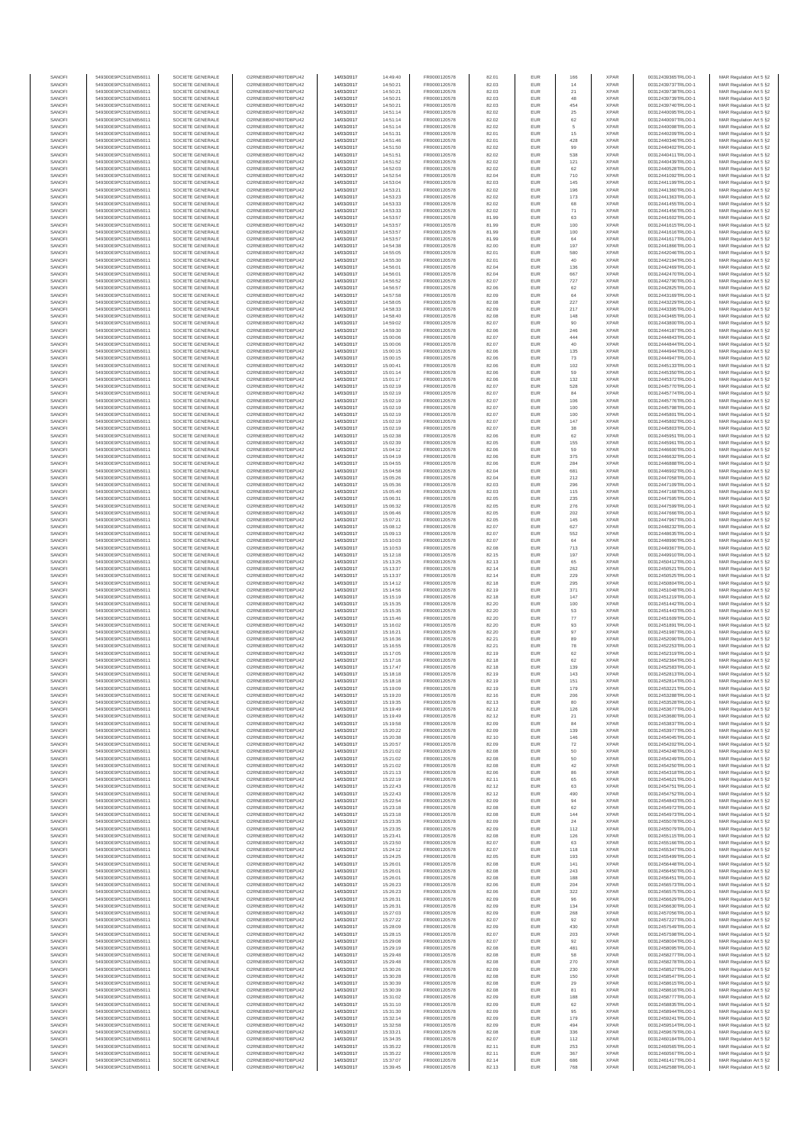| SANOF            | 549300E9PC51EN656011                         | SOCIETE GENERALE                     | O2RNE8IBXP4R0TD8PU42                          | 14/03/2017               | 14:49:40             | FR0000120578                 | 82.01          | EUR               | 166              | <b>XPAR</b>                | 00312439365TRLO0-1                       | MAR Regulation Art 5 §2                            |
|------------------|----------------------------------------------|--------------------------------------|-----------------------------------------------|--------------------------|----------------------|------------------------------|----------------|-------------------|------------------|----------------------------|------------------------------------------|----------------------------------------------------|
| SANOFI<br>SANOFI | 549300E9PC51EN656011<br>549300E9PC51EN656011 | SOCIETE GENERALE<br>SOCIETE GENERALE | O2RNE8IBXP4R0TD8PU42                          | 14/03/2017<br>14/03/2017 | 14:50:21<br>14:50:21 | FR0000120578<br>FR0000120578 | 82.03          | EUR<br>EUR        | 14<br>21         | <b>XPAR</b><br><b>XPAR</b> | 00312439737TRLO0-1                       | MAR Regulation Art 5 §2                            |
| SANOFI           | 549300E9PC51EN656011                         | SOCIETE GENERALE                     | O2RNE8IBXP4R0TD8PU42<br>O2RNE8IBXP4R0TD8PU42  | 14/03/2017               | 14:50:21             | FR0000120578                 | 82.03<br>82.03 | EUR               | 48               | <b>XPAR</b>                | 00312439738TRLO0-1<br>00312439739TRLO0-1 | MAR Regulation Art 5 §2<br>MAR Regulation Art 5 §2 |
| SANOFI           | 549300E9PC51EN656011                         | SOCIETE GENERALE                     | O2RNE8IBXP4R0TD8PU42                          | 14/03/2017               | 14:50:21             | FR0000120578                 | 82.03          | EUR               | 454              | <b>XPAR</b>                | 00312439740TRLO0-1                       | MAR Regulation Art 5 §2                            |
| SANOFI           | 549300E9PC51EN656011                         | SOCIETE GENERALE                     | O2RNE8IBXP4R0TD8PU42                          | 14/03/2017               | 14:51:14             | FR0000120578                 | 82.02          | EUR               | 25               | <b>XPAR</b>                | 00312440095TRLO0-1                       | MAR Regulation Art 5 §2                            |
| SANOFI<br>SANOFI | 549300E9PC51EN656011<br>549300E9PC51EN656011 | SOCIETE GENERALE<br>SOCIETE GENERALE | O2RNE8IBXP4R0TD8PLI42<br>O2RNE8IBXP4R0TD8PU42 | 14/03/2017<br>14/03/2017 | 14:51:14<br>14:51:14 | FR0000120578<br>FR0000120578 | 82.02<br>82.02 | EUR<br>EUR        | $62\,$<br>5      | <b>XPAR</b><br><b>XPAR</b> | 00312440097TRLO0-1<br>00312440098TRLO0-1 | MAR Regulation Art 5 §2<br>MAR Regulation Art 5 §2 |
| SANOFI           | 549300E9PC51EN656011                         | SOCIETE GENERALE                     | O2RNE8IBXP4R0TD8PU42                          | 14/03/2017               | 14:51:31             | FR0000120578                 | 82.01          | EUR               | 15               | <b>XPAR</b>                | 00312440209TRLO0-1                       | MAR Regulation Art 5 §2                            |
| SANOFI           | 549300E9PC51EN656011                         | SOCIETE GENERALE                     | O2RNE8IBXP4R0TD8PU42                          | 14/03/2017               | 14:51:46             | FR0000120578                 | 82.01          | EUR               | 428              | <b>XPAR</b>                | 00312440346TRLO0-1                       | MAR Regulation Art 5 §2                            |
| SANOFI<br>SANOFI | 549300E9PC51EN656011<br>549300E9PC51EN656011 | SOCIETE GENERALE<br>SOCIETE GENERALE | O2RNE8IBXP4R0TD8PU42<br>O2RNE8IBXP4R0TD8PU42  | 14/03/2017<br>14/03/2017 | 14:51:50<br>14:51:51 | FR0000120578<br>FR0000120578 | 82.02<br>82.02 | EUR<br>EUR        | 99<br>538        | <b>XPAR</b><br><b>XPAR</b> | 00312440402TRLO0-1<br>00312440411TRLO0-1 | MAR Regulation Art 5 §2<br>MAR Regulation Art 5 §2 |
| SANOFI           | 549300E9PC51EN656011                         | SOCIETE GENERALE                     | O2RNE8IBXP4R0TD8PU42                          | 14/03/2017               | 14:51:52             | FR0000120578                 | 82.02          | EUR               | 121              | <b>XPAR</b>                | 00312440439TRLO0-1                       | MAR Regulation Art 5 §2                            |
| SANOFI           | 549300E9PC51EN656011                         | SOCIETE GENERALE                     | O2RNE8IBXP4R0TD8PU42                          | 14/03/2017               | 14:52:03             | FR0000120578                 | 82.02          | EUR               | 62               | <b>XPAR</b>                | 00312440528TRLO0-1                       | MAR Regulation Art 5 §2                            |
| SANOFI           | 549300E9PC51EN656011                         | SOCIETE GENERALE                     | O2RNE8IBXP4R0TD8PU42                          | 14/03/2017               | 14:52:54             | FR0000120578                 | 82.04          | EUR               | 710              | <b>XPAR</b>                | 00312441092TRLO0-1                       | MAR Regulation Art 5 §2                            |
| SANOFI<br>SANOFI | 549300E9PC51EN656011<br>549300E9PC51EN656011 | SOCIETE GENERALE<br>SOCIETE GENERALE | O2RNE8IBXP4R0TD8PU42<br>O2RNE8IBXP4R0TD8PU42  | 14/03/2017<br>14/03/2017 | 14:53:04<br>14:53:21 | FR0000120578<br>FR0000120578 | 82.03<br>82.02 | EUR<br>EUR        | 145<br>196       | <b>XPAR</b><br><b>XPAR</b> | 00312441199TRLO0-1<br>00312441360TRLO0-1 | MAR Regulation Art 5 §2<br>MAR Regulation Art 5 §2 |
| SANOFI           | 549300E9PC51EN656011                         | SOCIETE GENERALE                     | O2RNE8IBXP4R0TD8PU42                          | 14/03/2017               | 14:53:23             | FR0000120578                 | 82.02          | EUR               | 173              | <b>XPAR</b>                | 00312441363TRLO0-1                       | MAR Regulation Art 5 §2                            |
| SANOFI           | 549300E9PC51EN656011                         | SOCIETE GENERALE                     | O2RNE8IBXP4R0TD8PU42                          | 14/03/2017               | 14:53:33             | FR0000120578                 | 82.02          | EUR               | 68               | <b>XPAR</b>                | 00312441455TRLO0-1                       | MAR Regulation Art 5 §2                            |
| SANOFI           | 549300E9PC51EN656011                         | SOCIETE GENERALE                     | O2RNE8IBXP4R0TD8PU42                          | 14/03/2017               | 14:53:33             | FR0000120578                 | 82.02          | EUR               | 71               | <b>XPAR</b>                | 00312441456TRLO0-1                       | MAR Regulation Art 5 §2                            |
| SANOFI<br>SANOFI | 549300E9PC51EN656011<br>549300E9PC51EN656011 | SOCIETE GENERALE<br>SOCIETE GENERALE | O2RNE8IBXP4R0TD8PU42<br>O2RNE8IBXP4R0TD8PU42  | 14/03/2017<br>14/03/2017 | 14:53:57<br>14:53:57 | FR0000120578<br>FR0000120578 | 81.99<br>81.99 | EUR<br>EUR        | 63<br>100        | <b>XPAR</b><br><b>XPAR</b> | 00312441602TRLO0-1<br>00312441615TRLO0-1 | MAR Regulation Art 5 §2<br>MAR Regulation Art 5 §2 |
| SANOFI           | 549300E9PC51EN656011                         | SOCIETE GENERALE                     | O2RNE8IBXP4R0TD8PU42                          | 14/03/2017               | 14:53:57             | FR0000120578                 | 81.99          | <b>EUR</b>        | 100              | <b>XPAR</b>                | 00312441616TRLO0-1                       | MAR Regulation Art 5 §2                            |
| SANOFI           | 549300E9PC51EN656011                         | SOCIETE GENERALE                     | O2RNE8IBXP4R0TD8PU42                          | 14/03/2017               | 14:53:57             | FR0000120578                 | 81.99          | EUR               | 64               | <b>XPAR</b>                | 00312441617TRLO0-1                       | MAR Regulation Art 5 §2                            |
| SANOFI<br>SANOFI | 549300E9PC51EN656011<br>549300E9PC51EN656011 | SOCIETE GENERALE<br>SOCIETE GENERALE | O2RNE8IBXP4R0TD8PU42<br>O2RNE8IBXP4R0TD8PU42  | 14/03/2017<br>14/03/2017 | 14:54:38<br>14:55:05 | FR0000120578<br>FR0000120578 | 82.00<br>82.01 | EUR<br>EUR        | 197<br>580       | <b>XPAR</b><br><b>XPAR</b> | 00312441866TRLO0-1<br>00312442046TRLO0-1 | MAR Regulation Art 5 §2<br>MAR Regulation Art 5 §2 |
| SANOFI           | 549300E9PC51EN656011                         | SOCIETE GENERALE                     | O2RNE8IBXP4R0TD8PU42                          | 14/03/2017               | 14:55:30             | FR0000120578                 | 82.01          | EUR               | 40               | <b>XPAR</b>                | 00312442194TRLO0-1                       | MAR Regulation Art 5 §2                            |
| SANOFI           | 549300E9PC51EN656011                         | SOCIETE GENERALE                     | O2RNE8IBXP4R0TD8PU42                          | 14/03/2017               | 14:56:01             | FR0000120578                 | 82.04          | EUR               | 136              | <b>XPAR</b>                | 00312442469TRLO0-1                       | MAR Regulation Art 5 §2                            |
| SANOFI           | 549300E9PC51EN656011                         | SOCIETE GENERALE                     | O2RNE8IBXP4R0TD8PU42                          | 14/03/2017               | 14:56:01             | FR0000120578                 | 82.04          | EUR               | 667              | <b>XPAR</b>                | 00312442470TRLO0-1                       | MAR Regulation Art 5 §2                            |
| SANOFI<br>SANOFI | 549300E9PC51EN656011<br>549300E9PC51EN656011 | SOCIETE GENERALE<br>SOCIETE GENERALE | O2RNE8IBXP4R0TD8PU42<br>O2RNE8IBXP4R0TD8PU42  | 14/03/2017<br>14/03/2017 | 14:56:52<br>14:56:57 | FR0000120578<br>FR0000120578 | 82.07<br>82.06 | EUR<br>EUR        | 727<br>62        | <b>XPAR</b><br><b>XPAR</b> | 00312442790TRLO0-1<br>00312442825TRLO0-1 | MAR Regulation Art 5 §2<br>MAR Regulation Art 5 §2 |
| SANOFI           | 549300E9PC51EN656011                         | SOCIETE GENERALE                     | O2RNE8IBXP4R0TD8PU42                          | 14/03/2017               | 14:57:58             | FR0000120578                 | 82.09          | EUR               | 64               | <b>XPAR</b>                | 00312443169TRLO0-1                       | MAR Regulation Art 5 §2                            |
| SANOFI           | 549300E9PC51EN656011                         | SOCIETE GENERALE                     | O2RNE8IBXP4R0TD8PU42                          | 14/03/2017               | 14:58:05             | FR0000120578                 | 82.08          | EUR               | 227              | <b>XPAR</b>                | 00312443229TRLO0-1                       | MAR Regulation Art 5 §2                            |
| SANOFI<br>SANOFI | 549300E9PC51EN656011<br>549300E9PC51EN656011 | SOCIETE GENERALE<br>SOCIETE GENERALE | O2RNE8IBXP4R0TD8PU42<br>O2RNE8IBXP4R0TD8PU42  | 14/03/2017<br>14/03/2017 | 14:58:33<br>14:58:40 | FR0000120578<br>FR0000120578 | 82.09<br>82.08 | EUR<br>EUR        | 217<br>148       | <b>XPAR</b><br><b>XPAR</b> | 00312443395TRLO0-1<br>00312443465TRLO0-1 | MAR Regulation Art 5 §2                            |
| SANOFI           | 549300E9PC51EN656011                         | SOCIETE GENERALE                     | O2RNE8IBXP4R0TD8PU42                          | 14/03/2017               | 14:59:02             | FR0000120578                 | 82.07          | EUR               | 90               | <b>XPAR</b>                | 00312443800TRLO0-1                       | MAR Regulation Art 5 §2<br>MAR Regulation Art 5 §2 |
| SANOFI           | 549300E9PC51EN656011                         | SOCIETE GENERALE                     | O2RNE8IBXP4R0TD8PU42                          | 14/03/2017               | 14:59:30             | FR0000120578                 | 82.06          | EUR               | 246              | <b>XPAR</b>                | 00312444187TRLO0-1                       | MAR Regulation Art 5 §2                            |
| SANOFI           | 549300E9PC51EN656011                         | SOCIETE GENERALE                     | O2RNE8IBXP4R0TD8PU42                          | 14/03/2017               | 15:00:06             | FR0000120578                 | 82.07          | EUR               | 444              | <b>XPAR</b>                | 00312444843TRLO0-1                       | MAR Regulation Art 5 §2                            |
| SANOFI<br>SANOFI | 549300E9PC51EN656011<br>549300E9PC51EN656011 | SOCIETE GENERALE<br>SOCIETE GENERALE | O2RNE8IBXP4R0TD8PU42<br>O2RNE8IBXP4R0TD8PU42  | 14/03/2017<br>14/03/2017 | 15:00:06<br>15:00:15 | FR0000120578<br>FR0000120578 | 82.07<br>82.06 | EUR<br>EUR        | 40<br>135        | <b>XPAR</b><br><b>XPAR</b> | 00312444844TRLO0-1<br>00312444944TRLO0-1 | MAR Regulation Art 5 §2<br>MAR Regulation Art 5 §2 |
| SANOFI           | 549300E9PC51EN656011                         | SOCIETE GENERALE                     | O2RNE8IBXP4R0TD8PU42                          | 14/03/2017               | 15:00:15             | FR0000120578                 | 82.06          | <b>EUR</b>        | 73               | <b>XPAR</b>                | 00312444947TRLO0-1                       | MAR Regulation Art 5 §2                            |
| SANOFI           | 549300E9PC51EN656011                         | SOCIETE GENERALE                     | O2RNE8IBXP4R0TD8PU42                          | 14/03/2017               | 15:00:41             | FR0000120578                 | 82.06          | EUR               | 102              | <b>XPAR</b>                | 00312445133TRLO0-1                       | MAR Regulation Art 5 §2                            |
| SANOFI           | 549300E9PC51EN656011                         | SOCIETE GENERALE<br>SOCIETE GENERALE | O2RNE8IBXP4R0TD8PU42<br>O2RNE8IBXP4R0TD8PU42  | 14/03/2017               | 15:01:14             | FR0000120578                 | 82.06          | EUR               | 59               | <b>XPAR</b>                | 00312445350TRLO0-1                       | MAR Regulation Art 5 §2                            |
| SANOFI<br>SANOFI | 549300E9PC51EN656011<br>549300E9PC51EN656011 | SOCIETE GENERALE                     | O2RNE8IBXP4R0TD8PU42                          | 14/03/2017<br>14/03/2017 | 15:01:17<br>15:02:19 | FR0000120578<br>FR0000120578 | 82.06<br>82.07 | EUR<br>EUR        | 132<br>528       | <b>XPAR</b><br><b>XPAR</b> | 00312445372TRLO0-1<br>00312445770TRLO0-1 | MAR Regulation Art 5 §2<br>MAR Regulation Art 5 §2 |
| SANOFI           | 549300E9PC51EN656011                         | SOCIETE GENERALE                     | O2RNE8IBXP4R0TD8PU42                          | 14/03/2017               | 15:02:19             | FR0000120578                 | 82.07          | EUR               | 84               | <b>XPAR</b>                | 00312445774TRLO0-1                       | MAR Regulation Art 5 §2                            |
| SANOFI           | 549300E9PC51EN656011                         | SOCIETE GENERALE                     | O2RNE8IBXP4R0TD8PU42                          | 14/03/2017               | 15:02:19             | FR0000120578                 | 82.07          | EUR               | 106              | <b>XPAR</b>                | 00312445776TRLO0-1                       | MAR Regulation Art 5 §2                            |
| SANOFI           | 549300E9PC51EN656011                         | SOCIETE GENERALE                     | O2RNE8IBXP4R0TD8PU42<br>O2RNE8IBXP4R0TD8PU42  | 14/03/2017               | 15:02:19             | FR0000120578<br>FR0000120578 | 82.07          | EUR               | 100              | <b>XPAR</b>                | 00312445798TRLO0-1                       | MAR Regulation Art 5 §2                            |
| SANOFI<br>SANOFI | 549300E9PC51EN656011<br>549300E9PC51EN656011 | SOCIETE GENERALE<br>SOCIETE GENERALE | O2RNE8IBXP4R0TD8PU42                          | 14/03/2017<br>14/03/2017 | 15:02:19<br>15:02:19 | FR0000120578                 | 82.07<br>82.07 | EUR<br>EUR        | 100<br>147       | <b>XPAR</b><br><b>XPAR</b> | 00312445801TRLO0-1<br>00312445802TRLO0-1 | MAR Regulation Art 5 §2<br>MAR Regulation Art 5 §2 |
| SANOFI           | 549300E9PC51EN656011                         | SOCIETE GENERALE                     | O2RNE8IBXP4R0TD8PU42                          | 14/03/2017               | 15:02:19             | FR0000120578                 | 82.07          | EUR               | 38               | <b>XPAR</b>                | 00312445803TRLO0-1                       | MAR Regulation Art 5 §2                            |
| SANOFI           | 549300E9PC51EN656011                         | SOCIETE GENERALE                     | O2RNE8IBXP4R0TD8PU42                          | 14/03/2017               | 15:02:38             | FR0000120578                 | 82.06          | EUR               | 62               | <b>XPAR</b>                | 00312445951TRLO0-1                       | MAR Regulation Art 5 §2                            |
| SANOFI<br>SANOFI | 549300E9PC51EN656011                         | SOCIETE GENERALE                     | O2RNE8IBXP4R0TD8PU42                          | 14/03/2017               | 15:02:39             | FR0000120578<br>FR0000120578 | 82.05          | EUR<br>EUR        | 155<br>59        | <b>XPAR</b><br><b>XPAR</b> | 00312445961TRLO0-1                       | MAR Regulation Art 5 §2                            |
| SANOFI           | 549300E9PC51EN656011<br>549300E9PC51EN656011 | SOCIETE GENERALE<br>SOCIETE GENERALE | O2RNE8IBXP4R0TD8PU42<br>O2RNESIBXP4R0TD8PLI42 | 14/03/2017<br>14/03/2017 | 15:04:12<br>15:04:19 | FR0000120578                 | 82.06<br>82.06 | EUR               | 375              | <b>XPAR</b>                | 00312446600TRLO0-1<br>00312446632TRLO0-1 | MAR Regulation Art 5 §2<br>MAR Regulation Art 5 §2 |
| SANOFI           | 549300E9PC51EN656011                         | SOCIETE GENERALE                     | O2RNE8IBXP4R0TD8PU42                          | 14/03/2017               | 15:04:55             | FR0000120578                 | 82.06          | EUR               | 284              | <b>XPAR</b>                | 00312446888TRLO0-1                       | MAR Regulation Art 5 §2                            |
| SANOFI           | 549300E9PC51EN656011                         | SOCIETE GENERALE                     | O2RNE8IBXP4R0TD8PU42                          | 14/03/2017               | 15:04:58             | FR0000120578                 | 82.04          | EUR               | 681              | <b>XPAR</b>                | 00312446902TRLO0-1                       | MAR Regulation Art 5 §2                            |
| SANOFI<br>SANOFI | 549300E9PC51EN656011<br>549300E9PC51EN656011 | SOCIETE GENERALE<br>SOCIETE GENERALE | O2RNE8IBXP4R0TD8PU42<br>O2RNE8IBXP4R0TD8PU42  | 14/03/2017<br>14/03/2017 | 15:05:26<br>15:05:36 | FR0000120578<br>FR0000120578 | 82.04<br>82.03 | EUR<br><b>EUR</b> | 212<br>296       | <b>XPAR</b><br><b>XPAR</b> | 00312447058TRLO0-1<br>00312447109TRLO0-1 | MAR Regulation Art 5 §2<br>MAR Regulation Art 5 §2 |
| SANOFI           | 549300E9PC51EN656011                         | SOCIETE GENERALE                     | O2RNE8IBXP4R0TD8PU42                          | 14/03/2017               | 15:05:40             | FR0000120578                 | 82.03          | EUR               | 115              | <b>XPAR</b>                | 00312447168TRLO0-1                       | MAR Regulation Art 5 §2                            |
| SANOFI           | 549300E9PC51EN656011                         | SOCIETE GENERALE                     | O2RNE8IBXP4R0TD8PU42                          | 14/03/2017               | 15:06:31             | FR0000120578                 | 82.05          | EUR               | 235              | <b>XPAR</b>                | 00312447595TRLO0-1                       | MAR Regulation Art 5 §2                            |
| SANOFI           | 549300E9PC51EN656011                         | SOCIETE GENERALE                     | O2RNE8IBXP4R0TD8PU42                          | 14/03/2017               | 15:06:32             | FR0000120578                 | 82.05          | EUR               | 276              | <b>XPAR</b>                | 00312447599TRLO0-1                       | MAR Regulation Art 5 §2                            |
| SANOFI<br>SANOFI | 549300E9PC51EN656011<br>549300E9PC51EN656011 | SOCIETE GENERALE<br>SOCIETE GENERALE | O2RNE8IBXP4R0TD8PU42<br>O2RNE8IBXP4R0TD8PU42  | 14/03/2017<br>14/03/2017 | 15:06:46             | FR0000120578                 | 82.05          | EUR<br>EUR        | 202<br>145       | <b>XPAR</b><br><b>XPAR</b> | 00312447666TRLO0-1<br>00312447967TRLO0-1 | MAR Regulation Art 5 §2                            |
| SANOFI           | 549300E9PC51EN656011                         | SOCIETE GENERALE                     | O2RNE8IBXP4R0TD8PU42                          | 14/03/2017               | 15:07:21<br>15:08:12 | FR0000120578<br>FR0000120578 | 82.05<br>82.07 | EUR               | 627              | <b>XPAR</b>                | 00312448232TRLO0-1                       | MAR Regulation Art 5 §2<br>MAR Regulation Art 5 §2 |
| SANOFI           | 549300E9PC51EN656011                         | SOCIETE GENERALE                     | O2RNE8IBXP4R0TD8PU42                          | 14/03/2017               | 15:09:13             | FR0000120578                 | 82.07          | <b>EUR</b>        | 552              | <b>XPAR</b>                | 00312448635TRLO0-1                       | MAR Regulation Art 5 §2                            |
| SANOFI           | 549300E9PC51EN656011                         | SOCIETE GENERALE                     | O2RNE8IBXP4R0TD8PU42                          | 14/03/2017               | 15:10:03             | FR0000120578                 | 82.07          | EUR               | 64               | <b>XPAR</b>                | 00312448990TRLO0-1                       | MAR Regulation Art 5 §2                            |
| SANOFI<br>SANOFI | 549300E9PC51EN656011<br>549300E9PC51EN656011 | SOCIETE GENERALE<br>SOCIETE GENERALE | O2RNE8IBXP4R0TD8PU42<br>O2RNE8IBXP4R0TD8PU42  | 14/03/2017<br>14/03/2017 | 15:10:53<br>15:12:18 | FR0000120578<br>FR0000120578 | 82.08<br>82.15 | EUR<br>EUR        | 713<br>197       | <b>XPAR</b><br><b>XPAR</b> | 00312449367TRLO0-1<br>00312449910TRLO0-1 | MAR Regulation Art 5 §2<br>MAR Regulation Art 5 §2 |
| SANOFI           | 549300E9PC51EN656011                         | SOCIETE GENERALE                     | O2RNE8IBXP4R0TD8PU42                          | 14/03/2017               | 15:13:25             | FR0000120578                 | 82.13          | EUR               | 65               | <b>XPAR</b>                | 00312450412TRLO0-1                       | MAR Regulation Art 5 §2                            |
| SANOFI           | 549300E9PC51EN656011                         | SOCIETE GENERALE                     | O2RNE8IBXP4R0TD8PU42                          | 14/03/2017               | 15:13:37             | FR0000120578                 | 82.14          | EUR               | 262              | <b>XPAR</b>                | 00312450521TRLO0-1                       | MAR Regulation Art 5 §2                            |
| SANOFI<br>SANOFI | 549300E9PC51EN656011<br>549300E9PC51EN656011 | SOCIETE GENERALE<br>SOCIETE GENERALE | O2RNE8IBXP4R0TD8PU42<br>O2RNE8IBXP4R0TD8PU42  | 14/03/2017<br>14/03/2017 | 15:13:37             | FR0000120578<br>FR0000120578 | 82.14<br>82.18 | EUR<br>EUR        | 229<br>295       | <b>XPAR</b><br><b>XPAR</b> | 00312450525TRLO0-1<br>00312450804TRLO0-1 | MAR Regulation Art 5 §2                            |
| SANOFI           | 549300E9PC51EN656011                         | SOCIETE GENERALE                     | O2RNE8IBXP4R0TD8PU42                          | 14/03/2017               | 15:14:12<br>15:14:56 | FR0000120578                 | 82.19          | EUR               | 371              | <b>XPAR</b>                | 00312451048TRLO0-1                       | MAR Regulation Art 5 §2<br>MAR Regulation Art 5 §2 |
| SANOFI           | 549300E9PC51EN656011                         | SOCIETE GENERALE                     | O2RNE8IBXP4R0TD8PU42                          | 14/03/2017               | 15:15:19             | FR0000120578                 | 82.18          | EUR               | 147              | <b>XPAR</b>                | 00312451219TRLO0-1                       | MAR Regulation Art 5 §2                            |
| SANOFI           | 549300E9PC51EN656011                         | SOCIETE GENERALE                     | O2RNE8IBXP4R0TD8PU42                          | 14/03/2017               | 15:15:35             | FR0000120578                 | 82.20          | EUR               | 100              | <b>XPAR</b>                | 00312451442TRLO0-1                       | MAR Regulation Art 5 §2                            |
| SANOFI<br>SANOFI | 549300E9PC51EN656011<br>549300E9PC51EN656011 | SOCIETE GENERALE<br>SOCIETE GENERALE | O2RNE8IBXP4R0TD8PU42<br>O2RNE8IBXP4R0TD8PU42  | 14/03/2017<br>14/03/2017 | 15:15:35<br>15:15:46 | FR0000120578<br>FR0000120578 | 82.20<br>82.20 | <b>EUR</b><br>EUR | 53<br>77         | <b>XPAR</b><br><b>XPAR</b> | 00312451443TRLO0-1<br>00312451609TRLO0-1 | MAR Regulation Art 5 §2<br>MAR Regulation Art 5 §2 |
| SANOFI           | 549300E9PC51EN656011                         | SOCIETE GENERALE                     | O2RNE8IBXP4R0TD8PU42                          | 14/03/2017               | 15:16:02             | FR0000120578                 | 82.20          | EUR               | $93\,$           | <b>XPAR</b>                | 00312451891TRLO0-1                       | MAR Regulation Art 5 §2                            |
| SANOFI           | 549300E9PC51EN656011                         | SOCIETE GENERALE                     | O2RNE8IBXP4R0TD8PU42                          | 14/03/2017               | 15:16:21             | FR0000120578                 | 82.20          | EUR               | 97               | <b>XPAR</b>                | 00312451987TRLO0-1                       | MAR Regulation Art 5 §2                            |
| SANOFI           | 549300E9PC51EN656011                         | SOCIETE GENERALE                     | O2RNE8IBXP4R0TD8PU42                          | 14/03/2017               | 15:16:36             | FR0000120578                 | 82.21          | EUR               | 89               | <b>XPAR</b>                | 00312452090TRLO0-1                       | MAR Regulation Art 5 §2                            |
| SANOFI<br>SANOFI | 549300E9PC51EN656011<br>549300E9PC51EN656011 | SOCIETE GENERALE<br>SOCIETE GENERALE | O2RNE8IBXP4R0TD8PU42<br>O2RNE8IBXP4R0TD8PU42  | 14/03/2017<br>14/03/2017 | 15:16:55<br>15:17:05 | FR0000120578<br>FR0000120578 | 82.21<br>82.19 | EUR<br>EUR        | ${\bf 78}$<br>62 | <b>XPAR</b><br><b>XPAR</b> | 00312452253TRLO0-1<br>00312452319TRLO0-1 | MAR Regulation Art 5 §2<br>MAR Regulation Art 5 §2 |
| SANOFI           | 549300E9PC51EN656011                         | SOCIETE GENERALE                     | O2RNE8IBXP4R0TD8PU42                          | 14/03/2017               | 15:17:16             | FR0000120578                 | 82.18          | EUR               | 62               | <b>XPAR</b>                | 00312452364TRLO0-1                       | MAR Regulation Art 5 §2                            |
| SANOFI           | 549300E9PC51EN656011                         | SOCIETE GENERALE                     | O2RNE8IBXP4R0TD8PU42                          | 14/03/2017               | 15:17:47             | FR0000120578                 | 82.18          | EUR               | 139              | <b>XPAR</b>                | 00312452583TRLO0-1                       | MAR Regulation Art 5 §2                            |
| SANOFI<br>SANOFI | 549300E9PC51EN656011<br>549300E9PC51EN656011 | SOCIETE GENERALE<br>SOCIETE GENERALE | O2RNE8IBXP4R0TD8PU42<br>O2RNE8IBXP4R0TD8PU42  | 14/03/2017<br>14/03/2017 | 15:18:18<br>15:18:18 | FR0000120578<br>FR0000120578 | 82.19<br>82.19 | EUR<br>EUR        | 143<br>151       | <b>XPAR</b><br><b>XPAR</b> | 00312452813TRLO0-1<br>00312452814TRLO0-1 | MAR Regulation Art 5 §2<br>MAR Regulation Art 5 §2 |
| SANOFI           | 549300E9PC51EN656011                         | SOCIETE GENERALE                     | O2RNE8IBXP4R0TD8PU42                          | 14/03/2017               | 15:19:09             | FR0000120578                 | 82.19          | EUR               | 179              | <b>XPAR</b>                | 00312453221TRLO0-1                       | MAR Regulation Art 5 §2                            |
| SANOFI           | 549300E9PC51EN656011                         | SOCIETE GENERALE                     | O2RNE8IBXP4R0TD8PU42                          | 14/03/2017               | 15:19:20             | FR0000120578                 | 82.16          | EUR               | 206              | <b>XPAR</b>                | 00312453288TRLO0-1                       | MAR Regulation Art 5 §2                            |
| SANOFI           | 549300E9PC51EN656011                         | SOCIETE GENERALE                     | O2RNE8IBXP4R0TD8PU42                          | 14/03/2017               | 15:19:35             | FR0000120578                 | 82.13          | EUR               | 80               | <b>XPAR</b>                | 00312453528TRLO0-1                       | MAR Regulation Art 5 §2                            |
| SANOFI<br>SANOFI | 549300E9PC51EN656011<br>549300E9PC51EN656011 | SOCIETE GENERALE<br>SOCIETE GENERALE | O2RNE8IBXP4R0TD8PU42<br>O2RNE8IBXP4R0TD8PU42  | 14/03/2017<br>14/03/2017 | 15:19:49<br>15:19:49 | FR0000120578<br>FR0000120578 | 82.12<br>82.12 | EUR<br>EUR        | 126<br>21        | <b>XPAR</b><br><b>XPAR</b> | 00312453677TRLO0-1<br>00312453680TRLO0-1 | MAR Regulation Art 5 §2<br>MAR Regulation Art 5 §2 |
| SANOFI           | 549300E9PC51EN656011                         | SOCIETE GENERALE                     | O2RNE8IBXP4R0TD8PU42                          | 14/03/2017               | 15:19:58             | FR0000120578                 | 82.09          | EUR               | 84               | <b>XPAR</b>                | 00312453837TRLO0-1                       | MAR Regulation Art 5 §2                            |
| SANOFI           | 549300E9PC51EN656011                         | SOCIETE GENERALE                     | O2RNE8IBXP4R0TD8PU42                          | 14/03/2017               | 15:20:22             | FR0000120578                 | 82.09          | EUR               | 139              | <b>XPAR</b>                | 00312453977TRLO0-1                       | MAR Regulation Art 5 §2                            |
| SANOFI<br>SANOFI | 549300E9PC51EN656011                         | SOCIETE GENERALE<br>SOCIETE GENERALE | O2RNE8IBXP4R0TD8PU42<br>O2RNE8IBXP4R0TD8PU42  | 14/03/2017               | 15:20:38             | FR0000120578                 | 82.10          | <b>EUR</b><br>EUR | 146<br>72        | <b>XPAR</b><br><b>XPAR</b> | 00312454045TRLO0-1                       | MAR Regulation Art 5 §2                            |
| SANOFI           | 549300E9PC51EN656011<br>549300E9PC51EN656011 | SOCIETE GENERALE                     | O2RNE8IBXP4R0TD8PU42                          | 14/03/2017<br>14/03/2017 | 15:20:57<br>15:21:02 | FR0000120578<br>FR0000120578 | 82.09<br>82.08 | EUR               | $50\,$           | <b>XPAR</b>                | 00312454202TRLO0-1<br>00312454248TRLO0-1 | MAR Regulation Art 5 §2<br>MAR Regulation Art 5 §2 |
| SANOFI           | 549300E9PC51EN656011                         | SOCIETE GENERALE                     | O2RNE8IBXP4R0TD8PU42                          | 14/03/2017               | 15:21:02             | FR0000120578                 | 82.08          | EUR               | 50               | <b>XPAR</b>                | 00312454249TRLO0-1                       | MAR Regulation Art 5 §2                            |
| SANOFI<br>SANOFI | 549300E9PC51EN656011<br>549300E9PC51EN656011 | SOCIETE GENERALE<br>SOCIETE GENERALE | O2RNE8IBXP4R0TD8PU42<br>O2RNE8IBXP4R0TD8PU42  | 14/03/2017<br>14/03/2017 | 15:21:02<br>15:21:13 | FR0000120578<br>FR0000120578 | 82.08<br>82.06 | EUR<br><b>EUR</b> | 42<br>86         | <b>XPAR</b><br><b>XPAR</b> | 00312454250TRLO0-1<br>00312454318TRLO0-1 | MAR Regulation Art 5 §2                            |
| SANOFI           | 549300E9PC51EN656011                         | SOCIETE GENERALE                     | O2RNE8IBXP4R0TD8PU42                          | 14/03/2017               | 15:22:19             | FR0000120578                 | 82.11          | EUR               | 65               | <b>XPAR</b>                | 00312454621TRLO0-1                       | MAR Regulation Art 5 §2<br>MAR Regulation Art 5 §2 |
| SANOFI           | 549300E9PC51EN656011                         | SOCIETE GENERALE                     | O2RNE8IBXP4R0TD8PU42                          | 14/03/2017               | 15:22:43             | FR0000120578                 | 82.12          | <b>EUR</b>        | 63               | <b>XPAR</b>                | 00312454751TRLO0-1                       | MAR Regulation Art 5 §2                            |
| SANOFI<br>SANOFI | 549300E9PC51EN656011<br>549300E9PC51EN656011 | SOCIETE GENERALE<br>SOCIETE GENERALE | O2RNE8IBXP4R0TD8PU42<br>O2RNE8IBXP4R0TD8PU42  | 14/03/2017               | 15:22:43             | FR0000120578<br>FR0000120578 | 82.12          | EUR<br>EUR        | 490<br>94        | <b>XPAR</b><br><b>XPAR</b> | 00312454752TRLO0-1<br>00312454843TRLO0-1 | MAR Regulation Art 5 §2                            |
| SANOFI           | 549300E9PC51EN656011                         | SOCIETE GENERALE                     | O2RNE8IBXP4R0TD8PU42                          | 14/03/2017<br>14/03/2017 | 15:22:54<br>15:23:18 | FR0000120578                 | 82.09<br>82.08 | EUR               | 62               | <b>XPAR</b>                | 00312454972TRLO0-1                       | MAR Regulation Art 5 §2<br>MAR Regulation Art 5 §2 |
| SANOFI           | 549300E9PC51EN656011                         | SOCIETE GENERALE                     | O2RNE8IBXP4R0TD8PU42                          | 14/03/2017               | 15:23:18             | FR0000120578                 | 82.08          | EUR               | 144              | <b>XPAR</b>                | 00312454973TRLO0-1                       | MAR Regulation Art 5 §2                            |
| SANOFI           | 549300E9PC51EN656011                         | SOCIETE GENERALE                     | O2RNE8IBXP4R0TD8PU42                          | 14/03/2017               | 15:23:35             | FR0000120578                 | 82.09          | EUR               | 24               | <b>XPAR</b>                | 00312455078TRLO0-1                       | MAR Regulation Art 5 §2                            |
| SANOFI<br>SANOFI | 549300E9PC51EN656011<br>549300E9PC51EN656011 | SOCIETE GENERALE<br>SOCIETE GENERALE | O2RNE8IBXP4R0TD8PU42<br>O2RNE8IBXP4R0TD8PU42  | 14/03/2017<br>14/03/2017 | 15:23:35<br>15:23:41 | FR0000120578<br>FR0000120578 | 82.09<br>82.08 | EUR<br><b>EUR</b> | 112<br>126       | <b>XPAR</b><br><b>XPAR</b> | 00312455079TRLO0-1<br>00312455115TRLO0-1 | MAR Regulation Art 5 §2<br>MAR Regulation Art 5 §2 |
| SANOFI           | 549300E9PC51EN656011                         | SOCIETE GENERALE                     | O2RNE8IBXP4R0TD8PU42                          | 14/03/2017               | 15:23:50             | FR0000120578                 | 82.07          | EUR               | 63               | <b>XPAR</b>                | 00312455166TRLO0-1                       | MAR Regulation Art 5 §2                            |
| SANOFI           | 549300E9PC51EN656011                         | SOCIETE GENERALE                     | O2RNE8IBXP4R0TD8PU42                          | 14/03/2017               | 15:24:12             | FR0000120578                 | 82.07          | <b>EUR</b>        | 118              | <b>XPAR</b>                | 00312455347TRLO0-1                       | MAR Regulation Art 5 §2                            |
| SANOFI           | 549300E9PC51EN656011                         | SOCIETE GENERALE                     | O2RNE8IBXP4R0TD8PU42                          | 14/03/2017               | 15:24:25             | FR0000120578                 | 82.05          | EUR               | 193              | <b>XPAR</b>                | 00312455499TRLO0-1                       | MAR Regulation Art 5 §2                            |
| SANOFI<br>SANOFI | 549300E9PC51EN656011<br>549300E9PC51EN656011 | SOCIETE GENERALE<br>SOCIETE GENERALE | O2RNE8IBXP4R0TD8PU42<br>O2RNE8IBXP4R0TD8PU42  | 14/03/2017<br>14/03/2017 | 15:26:01<br>15:26:01 | FR0000120578<br>FR0000120578 | 82.08<br>82.08 | EUR<br>EUR        | 141<br>243       | <b>XPAR</b><br><b>XPAR</b> | 00312456448TRLO0-1<br>00312456450TRLO0-1 | MAR Regulation Art 5 §2<br>MAR Regulation Art 5 §2 |
| SANOFI           | 549300E9PC51EN656011                         | SOCIETE GENERALE                     | O2RNE8IBXP4R0TD8PU42                          | 14/03/2017               | 15:26:01             | FR0000120578                 | 82.08          | EUR               | 188              | <b>XPAR</b>                | 00312456451TRLO0-1                       | MAR Regulation Art 5 §2                            |
| SANOFI           | 549300E9PC51EN656011                         | SOCIETE GENERALE                     | O2RNE8IBXP4R0TD8PU42                          | 14/03/2017               | 15:26:23             | FR0000120578                 | 82.06          | EUR               | 204              | <b>XPAR</b>                | 00312456573TRLO0-1                       | MAR Regulation Art 5 §2                            |
| SANOFI<br>SANOFI | 549300E9PC51EN656011<br>549300E9PC51EN656011 | SOCIETE GENERALE<br>SOCIETE GENERALE | O2RNE8IBXP4R0TD8PU42<br>O2RNE8IBXP4R0TD8PU42  | 14/03/2017<br>14/03/2017 | 15:26:23<br>15:26:31 | FR0000120578<br>FR0000120578 | 82.06<br>82.09 | EUR<br><b>EUR</b> | 322<br>96        | <b>XPAR</b><br><b>XPAR</b> | 00312456575TRLO0-1<br>00312456629TRLO0-1 | MAR Regulation Art 5 §2                            |
| SANOFI           | 549300E9PC51EN656011                         | SOCIETE GENERALE                     | O2RNE8IBXP4R0TD8PU42                          | 14/03/2017               | 15:26:31             | FR0000120578                 | 82.09          | EUR               | 134              | <b>XPAR</b>                | 00312456630TRLO0-1                       | MAR Regulation Art 5 §2<br>MAR Regulation Art 5 §2 |
| SANOFI           | 549300E9PC51EN656011                         | SOCIETE GENERALE                     | O2RNE8IBXP4R0TD8PU42                          | 14/03/2017               | 15:27:03             | FR0000120578                 | 82.09          | <b>EUR</b>        | 268              | <b>XPAR</b>                | 00312457056TRLO0-1                       | MAR Regulation Art 5 §2                            |
| SANOFI           | 549300E9PC51EN656011                         | SOCIETE GENERALE                     | O2RNE8IBXP4R0TD8PU42                          | 14/03/2017               | 15:27:22             | FR0000120578                 | 82.07          | EUR               | 92               | <b>XPAR</b>                | 00312457227TRLO0-1                       | MAR Regulation Art 5 §2                            |
| SANOFI<br>SANOFI | 549300E9PC51EN656011<br>549300E9PC51EN656011 | SOCIETE GENERALE<br>SOCIETE GENERALE | O2RNE8IBXP4R0TD8PU42<br>O2RNE8IBXP4R0TD8PU42  | 14/03/2017<br>14/03/2017 | 15:28:09<br>15:28:15 | FR0000120578<br>FR0000120578 | 82.09<br>82.07 | EUR<br>EUR        | 430<br>203       | XPAR<br><b>XPAR</b>        | 00312457549TRLO0-1<br>00312457598TRLO0-1 | MAR Regulation Art 5 §2<br>MAR Regulation Art 5 §2 |
| SANOFI           | 549300E9PC51EN656011                         | SOCIETE GENERALE                     | O2RNE8IBXP4R0TD8PU42                          | 14/03/2017               | 15:29:08             | FR0000120578                 | 82.07          | EUR               | 92               | <b>XPAR</b>                | 00312458004TRLO0-1                       | MAR Regulation Art 5 §2                            |
| SANOFI           | 549300E9PC51EN656011                         | SOCIETE GENERALE                     | O2RNE8IBXP4R0TD8PU42                          | 14/03/2017               | 15:29:19             | FR0000120578                 | 82.08          | EUR               | 481              | <b>XPAR</b>                | 00312458095TRLO0-1                       | MAR Regulation Art 5 §2                            |
| SANOFI           | 549300E9PC51EN656011                         | SOCIETE GENERALE                     | O2RNE8IBXP4R0TD8PU42                          | 14/03/2017               | 15:29:48             | FR0000120578                 | 82.08          | EUR               | 58               | <b>XPAR</b>                | 00312458277TRLO0-1                       | MAR Regulation Art 5 §2                            |
| SANOFI<br>SANOFI | 549300E9PC51EN656011<br>549300E9PC51EN656011 | SOCIETE GENERALE<br>SOCIETE GENERALE | O2RNE8IBXP4R0TD8PU42<br>O2RNE8IBXP4R0TD8PU42  | 14/03/2017<br>14/03/2017 | 15:29:48<br>15:30:26 | FR0000120578<br>FR0000120578 | 82.08<br>82.09 | <b>EUR</b><br>EUR | 270<br>230       | <b>XPAR</b><br><b>XPAR</b> | 00312458278TRLO0-1<br>00312458527TRLO0-1 | MAR Regulation Art 5 §2<br>MAR Regulation Art 5 §2 |
| SANOFI           | 549300E9PC51EN656011                         | SOCIETE GENERALE                     | O2RNE8IBXP4R0TD8PU42                          | 14/03/2017               | 15:30:28             | FR0000120578                 | 82.08          | <b>EUR</b>        | 150              | <b>XPAR</b>                | 00312458547TRLO0-1                       | MAR Regulation Art 5 §2                            |
| SANOFI           | 549300E9PC51EN656011                         | SOCIETE GENERALE                     | O2RNE8IBXP4R0TD8PU42                          | 14/03/2017               | 15:30:39             | FR0000120578                 | 82.08          | EUR               | 29               | <b>XPAR</b>                | 00312458615TRLO0-1                       | MAR Regulation Art 5 §2                            |
| SANOFI<br>SANOFI | 549300E9PC51EN656011<br>549300E9PC51EN656011 | SOCIETE GENERALE<br>SOCIETE GENERALE | O2RNE8IBXP4R0TD8PU42<br>O2RNE8IBXP4R0TD8PU42  | 14/03/2017<br>14/03/2017 | 15:30:39<br>15:31:02 | FR0000120578                 | 82.08          | EUR<br>EUR        | 81<br>188        | <b>XPAR</b><br><b>XPAR</b> | 00312458616TRLO0-1<br>00312458777TRLO0-1 | MAR Regulation Art 5 §2                            |
| SANOFI           | 549300E9PC51EN656011                         | SOCIETE GENERALE                     | O2RNE8IBXP4R0TD8PU42                          | 14/03/2017               | 15:31:10             | FR0000120578<br>FR0000120578 | 82.09<br>82.09 | EUR               | $62\,$           | <b>XPAR</b>                | 00312458835TRLO0-1                       | MAR Regulation Art 5 §2<br>MAR Regulation Art 5 §2 |
| SANOFI           | 549300E9PC51EN656011                         | SOCIETE GENERALE                     | O2RNE8IBXP4R0TD8PU42                          | 14/03/2017               | 15:31:30             | FR0000120578                 | 82.09          | <b>EUR</b>        | 95               | <b>XPAR</b>                | 00312458944TRLO0-1                       | MAR Regulation Art 5 §2                            |
| SANOFI           | 549300E9PC51EN656011                         | SOCIETE GENERALE                     | O2RNE8IBXP4R0TD8PU42                          | 14/03/2017               | 15:32:14             | FR0000120578                 | 82.09          | EUR               | 179              | <b>XPAR</b>                | 00312459241TRLO0-1                       | MAR Regulation Art 5 §2                            |
| SANOFI<br>SANOFI | 549300E9PC51EN656011<br>549300E9PC51EN656011 | SOCIETE GENERALE<br>SOCIETE GENERALE | O2RNE8IBXP4R0TD8PU42<br>O2RNE8IBXP4R0TD8PU42  | 14/03/2017<br>14/03/2017 | 15:32:58<br>15:33:21 | FR0000120578<br>FR0000120578 | 82.09<br>82.08 | <b>EUR</b><br>EUR | 494<br>336       | <b>XPAR</b><br><b>XPAR</b> | 00312459514TRLO0-1<br>00312459679TRLO0-1 | MAR Regulation Art 5 §2<br>MAR Regulation Art 5 §2 |
| SANOFI           | 549300E9PC51EN656011                         | SOCIETE GENERALE                     | O2RNE8IBXP4R0TD8PU42                          | 14/03/2017               | 15:34:35             | FR0000120578                 | 82.07          | EUR               | 112              | <b>XPAR</b>                | 00312460184TRLO0-1                       | MAR Regulation Art 5 §2                            |
| SANOFI           | 549300E9PC51EN656011                         | SOCIETE GENERALE                     | O2RNE8IBXP4R0TD8PU42                          | 14/03/2017               | 15:35:22             | FR0000120578                 | 82.11          | EUR               | 253              | <b>XPAR</b>                | 00312460565TRLO0-1                       | MAR Regulation Art 5 §2                            |
| SANOFI           | 549300E9PC51EN656011                         | SOCIETE GENERALE                     | O2RNE8IBXP4R0TD8PU42                          | 14/03/2017               | 15:35:22             | FR0000120578                 | 82.11          | EUR               | 367              | <b>XPAR</b>                | 00312460567TRLO0-1                       | MAR Regulation Art 5 §2                            |
| SANOFI<br>SANOFI | 549300E9PC51EN656011<br>549300E9PC51EN656011 | SOCIETE GENERALE<br>SOCIETE GENERALE | O2RNE8IBXP4R0TD8PU42<br>O2RNE8IBXP4R0TD8PU42  | 14/03/2017<br>14/03/2017 | 15:37:07<br>15:39:45 | FR0000120578<br>FR0000120578 | 82.14<br>82.13 | EUR<br>EUR        | 686<br>768       | <b>XPAR</b><br><b>XPAR</b> | 00312461417TRLO0-1<br>00312462588TRLO0-1 | MAR Regulation Art 5 §2<br>MAR Regulation Art 5 §2 |
|                  |                                              |                                      |                                               |                          |                      |                              |                |                   |                  |                            |                                          |                                                    |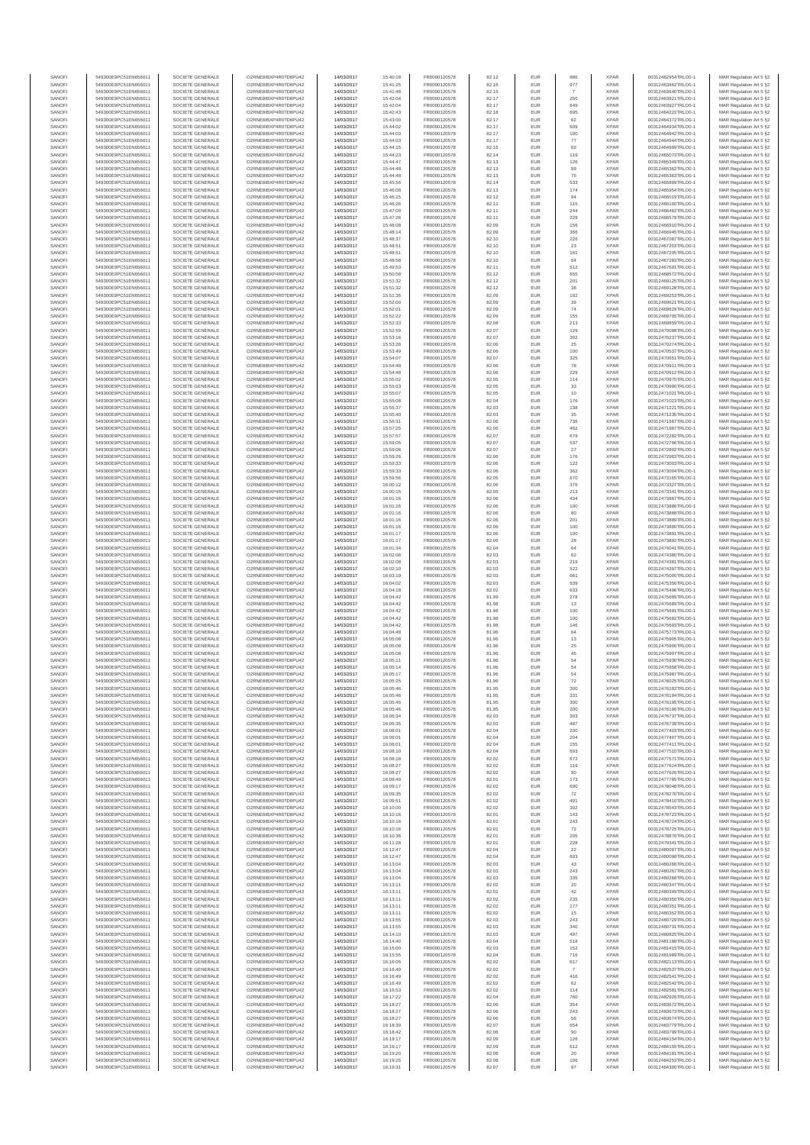| SANOF            | 549300E9PC51EN656011                         | SOCIETE GENERALE                     | O2RNE8IBXP4R0TD8PU42                          | 14/03/2017               | 15:40:18             | FR0000120578                 | 82.12          | EUR               |               | <b>XPAR</b>                | 00312462954TRLO0-1                       | MAR Regulation Art 5 §2                            |
|------------------|----------------------------------------------|--------------------------------------|-----------------------------------------------|--------------------------|----------------------|------------------------------|----------------|-------------------|---------------|----------------------------|------------------------------------------|----------------------------------------------------|
| SANOFI<br>SANOFI | 549300E9PC51EN656011<br>549300E9PC51EN656011 | SOCIETE GENERALE<br>SOCIETE GENERALE | O2RNE8IBXP4R0TD8PU42                          | 14/03/2017<br>14/03/2017 | 15:41:25<br>15:41:48 | FR0000120578<br>FR0000120578 | 82.16          | EUR<br>EUR        | 977           | <b>XPAR</b><br><b>XPAR</b> | 00312463462TRLO0-1                       | MAR Regulation Art 5 §2                            |
| SANOFI           | 549300E9PC51EN656011                         | SOCIETE GENERALE                     | O2RNE8IBXP4R0TD8PU42<br>O2RNE8IBXP4R0TD8PU42  | 14/03/2017               | 15:42:04             | FR0000120578                 | 82.15<br>82.17 | EUR               | 250           | <b>XPAR</b>                | 00312463640TRLO0-1<br>00312463921TRLO0-1 | MAR Regulation Art 5 §2<br>MAR Regulation Art 5 §2 |
| SANOFI           | 549300E9PC51EN656011                         | SOCIETE GENERALE                     | O2RNE8IBXP4R0TD8PU42                          | 14/03/2017               | 15:42:04             | FR0000120578                 | 82.17          | EUR               | 649           | <b>XPAR</b>                | 00312463927TRLO0-1                       | MAR Regulation Art 5 §2                            |
| SANOFI           | 549300E9PC51EN656011                         | SOCIETE GENERALE                     | O2RNE8IBXP4R0TD8PU42                          | 14/03/2017               | 15:42:43             | FR0000120578                 | 82.18          | EUR               | 695           | <b>XPAR</b>                | 00312464222TRLO0-1                       | MAR Regulation Art 5 §2                            |
| SANOFI<br>SANOFI | 549300E9PC51EN656011<br>549300E9PC51EN656011 | SOCIETE GENERALE<br>SOCIETE GENERALE | O2RNE8IBXP4R0TD8PLI42<br>O2RNE8IBXP4R0TD8PU42 | 14/03/2017<br>14/03/2017 | 15:43:00<br>15:44:02 | FR0000120578<br>FR0000120578 | 82.17<br>82.17 | EUR<br>EUR        | 62<br>609     | <b>XPAR</b><br><b>XPAR</b> | 00312464372TRLO0-1<br>00312464934TRLO0-1 | MAR Regulation Art 5 §2<br>MAR Regulation Art 5 §2 |
| SANOFI           | 549300E9PC51EN656011                         | SOCIETE GENERALE                     | O2RNE8IBXP4R0TD8PU42                          | 14/03/2017               | 15:44:03             | FR0000120578                 | 82.17          | EUR               | 100           | <b>XPAR</b>                | 00312464942TRLO0-1                       | MAR Regulation Art 5 §2                            |
| SANOFI           | 549300E9PC51EN656011                         | SOCIETE GENERALE                     | O2RNE8IBXP4R0TD8PU42                          | 14/03/2017               | 15:44:03             | FR0000120578                 | 82.17          | EUR               | $77$          | <b>XPAR</b>                | 00312464944TRLO0-1                       | MAR Regulation Art 5 §2                            |
| SANOFI<br>SANOFI | 549300E9PC51EN656011<br>549300E9PC51EN656011 | SOCIETE GENERALE<br>SOCIETE GENERALE | O2RNE8IBXP4R0TD8PU42<br>O2RNE8IBXP4R0TD8PU42  | 14/03/2017<br>14/03/2017 | 15:44:15<br>15:44:23 | FR0000120578<br>FR0000120578 | 82.15<br>82.14 | EUR<br>EUR        | 62<br>119     | <b>XPAR</b><br><b>XPAR</b> | 00312464999TRLO0-1<br>00312465073TRLO0-1 | MAR Regulation Art 5 §2<br>MAR Regulation Art 5 §2 |
| SANOFI           | 549300E9PC51EN656011                         | SOCIETE GENERALE                     | O2RNE8IBXP4R0TD8PU42                          | 14/03/2017               | 15:44:47             | FR0000120578                 | 82.13          | EUR               | 126           | <b>XPAR</b>                | 00312465349TRLO0-1                       | MAR Regulation Art 5 §2                            |
| SANOFI           | 549300E9PC51EN656011                         | SOCIETE GENERALE                     | O2RNE8IBXP4R0TD8PU42                          | 14/03/2017               | 15:44:48             | FR0000120578                 | 82.13          | EUR               | 89            | <b>XPAR</b>                | 00312465362TRLO0-1                       | MAR Regulation Art 5 §2                            |
| SANOFI           | 549300E9PC51EN656011                         | SOCIETE GENERALE                     | O2RNE8IBXP4R0TD8PU42                          | 14/03/2017               | 15:44:48             | FR0000120578                 | 82.13          | EUR               | 75            | <b>XPAR</b>                | 00312465363TRLO0-1                       | MAR Regulation Art 5 §2                            |
| SANOFI<br>SANOFI | 549300E9PC51EN656011<br>549300E9PC51EN656011 | SOCIETE GENERALE<br>SOCIETE GENERALE | O2RNE8IBXP4R0TD8PU42<br>O2RNE8IBXP4R0TD8PU42  | 14/03/2017<br>14/03/2017 | 15:45:56<br>15:46:08 | FR0000120578<br>FR0000120578 | 82.14<br>82.13 | EUR<br>EUR        | 533<br>174    | <b>XPAR</b><br><b>XPAR</b> | 00312465899TRLO0-1<br>00312465954TRLO0-1 | MAR Regulation Art 5 §2<br>MAR Regulation Art 5 §2 |
| SANOFI           | 549300E9PC51EN656011                         | SOCIETE GENERALE                     | O2RNE8IBXP4R0TD8PU42                          | 14/03/2017               | 15:46:15             | FR0000120578                 | 82.12          | EUR               | 94            | <b>XPAR</b>                | 00312466019TRLO0-1                       | MAR Regulation Art 5 §2                            |
| SANOFI           | 549300E9PC51EN656011                         | SOCIETE GENERALE                     | O2RNE8IBXP4R0TD8PU42                          | 14/03/2017               | 15:46:26             | FR0000120578                 | 82.11          | EUR               | 115           | <b>XPAR</b>                | 00312466100TRLO0-1                       | MAR Regulation Art 5 §2                            |
| SANOFI           | 549300E9PC51EN656011                         | SOCIETE GENERALE                     | O2RNE8IBXP4R0TD8PU42                          | 14/03/2017               | 15:47:09             | FR0000120578                 | 82.11          | EUR               | 244           | <b>XPAR</b>                | 00312466482TRLO0-1                       | MAR Regulation Art 5 §2                            |
| SANOFI<br>SANOFI | 549300E9PC51EN656011<br>549300E9PC51EN656011 | SOCIETE GENERALE<br>SOCIETE GENERALE | O2RNE8IBXP4R0TD8PU42<br>O2RNE8IBXP4R0TD8PU42  | 14/03/2017<br>14/03/2017 | 15:47:26<br>15:48:08 | FR0000120578<br>FR0000120578 | 82.11<br>82.09 | EUR<br>EUR        | 229<br>156    | <b>XPAR</b><br><b>XPAR</b> | 00312466579TRLO0-1<br>00312466910TRLO0-1 | MAR Regulation Art 5 §2<br>MAR Regulation Art 5 §2 |
| SANOFI           | 549300E9PC51EN656011                         | SOCIETE GENERALE                     | O2RNE8IBXP4R0TD8PU42                          | 14/03/2017               | 15:48:14             | FR0000120578                 | 82.09          | <b>EUR</b>        | 366           | <b>XPAR</b>                | 00312466945TRLO0-1                       | MAR Regulation Art 5 §2                            |
| SANOFI           | 549300E9PC51EN656011                         | SOCIETE GENERALE                     | O2RNE8IBXP4R0TD8PU42                          | 14/03/2017               | 15:48:37             | FR0000120578                 | 82.10          | EUR               | 226           | <b>XPAR</b>                | 00312467087TRLO0-1                       | MAR Regulation Art 5 §2                            |
| SANOFI<br>SANOFI | 549300E9PC51EN656011<br>549300E9PC51EN656011 | SOCIETE GENERALE<br>SOCIETE GENERALE | O2RNE8IBXP4R0TD8PU42<br>O2RNE8IBXP4R0TD8PU42  | 14/03/2017<br>14/03/2017 | 15:48:51<br>15:48:51 | FR0000120578<br>FR0000120578 | 82.10<br>82.10 | EUR<br>EUR        | 23<br>161     | <b>XPAR</b><br><b>XPAR</b> | 00312467203TRLO0-1<br>00312467205TRLO0-1 | MAR Regulation Art 5 §2<br>MAR Regulation Art 5 §2 |
| SANOFI           | 549300E9PC51EN656011                         | SOCIETE GENERALE                     | O2RNE8IBXP4R0TD8PU42                          | 14/03/2017               | 15:48:58             | FR0000120578                 | 82.10          | EUR               | 64            | <b>XPAR</b>                | 00312467283TRLO0-1                       | MAR Regulation Art 5 §2                            |
| SANOFI           | 549300E9PC51EN656011                         | SOCIETE GENERALE                     | O2RNE8IBXP4R0TD8PU42                          | 14/03/2017               | 15:49:53             | FR0000120578                 | 82.11          | EUR               | 512           | <b>XPAR</b>                | 00312467691TRLO0-1                       | MAR Regulation Art 5 §2                            |
| SANOFI           | 549300E9PC51EN656011                         | SOCIETE GENERALE                     | O2RNE8IBXP4R0TD8PU42                          | 14/03/2017               | 15:50:58             | FR0000120578                 | 82.12          | EUR               | 655           | <b>XPAR</b>                | 00312468572TRLO0-1                       | MAR Regulation Art 5 §2                            |
| SANOFI<br>SANOFI | 549300E9PC51EN656011<br>549300E9PC51EN656011 | SOCIETE GENERALE<br>SOCIETE GENERALE | O2RNE8IBXP4R0TD8PU42<br>O2RNE8IBXP4R0TD8PU42  | 14/03/2017<br>14/03/2017 | 15:51:32<br>15:51:32 | FR0000120578<br>FR0000120578 | 82.12<br>82.12 | EUR<br>EUR        | 201<br>38     | <b>XPAR</b><br><b>XPAR</b> | 00312469125TRLO0-1<br>00312469128TRLO0-1 | MAR Regulation Art 5 §2<br>MAR Regulation Art 5 §2 |
| SANOFI           | 549300E9PC51EN656011                         | SOCIETE GENERALE                     | O2RNE8IBXP4R0TD8PU42                          | 14/03/2017               | 15:51:36             | FR0000120578                 | 82.09          | EUR               | 192           | <b>XPAR</b>                | 00312469253TRLO0-1                       | MAR Regulation Art 5 §2                            |
| SANOFI           | 549300E9PC51EN656011                         | SOCIETE GENERALE                     | O2RNE8IBXP4R0TD8PU42                          | 14/03/2017               | 15:52:00             | FR0000120578                 | 82.09          | EUR               | 39            | <b>XPAR</b>                | 00312469621TRLO0-1                       | MAR Regulation Art 5 §2                            |
| SANOFI<br>SANOFI | 549300E9PC51EN656011<br>549300E9PC51EN656011 | SOCIETE GENERALE<br>SOCIETE GENERALE | O2RNE8IBXP4R0TD8PU42<br>O2RNE8IBXP4R0TD8PU42  | 14/03/2017<br>14/03/2017 | 15:52:01<br>15:52:22 | FR0000120578<br>FR0000120578 | 82.09<br>82.09 | EUR<br>EUR        | 74<br>155     | <b>XPAR</b><br><b>XPAR</b> | 00312469629TRLO0-1<br>00312469705TRLO0-1 | MAR Regulation Art 5 §2                            |
| SANOFI           | 549300E9PC51EN656011                         | SOCIETE GENERALE                     | O2RNE8IBXP4R0TD8PU42                          | 14/03/2017               | 15:52:33             | FR0000120578                 | 82.08          | EUR               | 213           | <b>XPAR</b>                | 00312469859TRLO0-1                       | MAR Regulation Art 5 §2<br>MAR Regulation Art 5 §2 |
| SANOFI           | 549300E9PC51EN656011                         | SOCIETE GENERALE                     | O2RNE8IBXP4R0TD8PU42                          | 14/03/2017               | 15:52:59             | FR0000120578                 | 82.07          | EUR               | 129           | <b>XPAR</b>                | 00312470098TRLO0-1                       | MAR Regulation Art 5 §2                            |
| SANOFI           | 549300E9PC51EN656011                         | SOCIETE GENERALE                     | O2RNE8IBXP4R0TD8PU42                          | 14/03/2017               | 15:53:16             | FR0000120578                 | 82.07          | EUR               | 302           | <b>XPAR</b>                | 00312470237TRLO0-1                       | MAR Regulation Art 5 §2                            |
| SANOFI<br>SANOFI | 549300E9PC51EN656011<br>549300E9PC51EN656011 | SOCIETE GENERALE<br>SOCIETE GENERALE | O2RNE8IBXP4R0TD8PU42<br>O2RNE8IBXP4R0TD8PU42  | 14/03/2017<br>14/03/2017 | 15:53:26<br>15:53:49 | FR0000120578<br>FR0000120578 | 82.06<br>82.06 | EUR<br>EUR        | 25<br>100     | <b>XPAR</b><br><b>XPAR</b> | 00312470274TRLO0-1<br>00312470537TRLO0-1 | MAR Regulation Art 5 §2<br>MAR Regulation Art 5 §2 |
| SANOFI           | 549300E9PC51EN656011                         | SOCIETE GENERALE                     | O2RNE8IBXP4R0TD8PU42                          | 14/03/2017               | 15:54:07             | FR0000120578                 | 82.07          | <b>EUR</b>        | 325           | <b>XPAR</b>                | 00312470651TRLO0-1                       | MAR Regulation Art 5 §2                            |
| SANOFI           | 549300E9PC51EN656011                         | SOCIETE GENERALE                     | O2RNE8IBXP4R0TD8PU42                          | 14/03/2017               | 15:54:48             | FR0000120578                 | 82.06          | EUR               | 78            | <b>XPAR</b>                | 00312470911TRLO0-1                       | MAR Regulation Art 5 §2                            |
| SANOFI           | 549300E9PC51EN656011                         | SOCIETE GENERALE                     | O2RNE8IBXP4R0TD8PU42<br>O2RNE8IBXP4R0TD8PU42  | 14/03/2017               | 15:54:48             | FR0000120578                 | 82.06          | EUR               | 229           | <b>XPAR</b>                | 00312470912TRLO0-1                       | MAR Regulation Art 5 §2                            |
| SANOFI<br>SANOFI | 549300E9PC51EN656011<br>549300E9PC51EN656011 | SOCIETE GENERALE<br>SOCIETE GENERALE | O2RNE8IBXP4R0TD8PU42                          | 14/03/2017<br>14/03/2017 | 15:55:02<br>15:55:03 | FR0000120578<br>FR0000120578 | 82.05<br>82.05 | EUR<br>EUR        | 114<br>33     | <b>XPAR</b><br><b>XPAR</b> | 00312470975TRLO0-1<br>00312470990TRLO0-1 | MAR Regulation Art 5 §2<br>MAR Regulation Art 5 §2 |
| SANOFI           | 549300E9PC51EN656011                         | SOCIETE GENERALE                     | O2RNE8IBXP4R0TD8PU42                          | 14/03/2017               | 15:55:07             | FR0000120578                 | 82.05          | EUR               | $10$          | <b>XPAR</b>                | 00312471021TRLO0-1                       | MAR Regulation Art 5 §2                            |
| SANOFI           | 549300E9PC51EN656011                         | SOCIETE GENERALE                     | O2RNE8IBXP4R0TD8PU42                          | 14/03/2017               | 15:55:08             | FR0000120578                 | 82.04          | EUR               | 176           | <b>XPAR</b>                | 00312471023TRLO0-1                       | MAR Regulation Art 5 §2                            |
| SANOFI           | 549300E9PC51EN656011                         | SOCIETE GENERALE                     | O2RNE8IBXP4R0TD8PU42<br>O2RNE8IBXP4R0TD8PU42  | 14/03/2017               | 15:55:37             | FR0000120578<br>FR0000120578 | 82.03          | EUR               | 138           | <b>XPAR</b>                | 00312471221TRLO0-1                       | MAR Regulation Art 5 §2                            |
| SANOFI<br>SANOFI | 549300E9PC51EN656011<br>549300E9PC51EN656011 | SOCIETE GENERALE<br>SOCIETE GENERALE | O2RNE8IBXP4R0TD8PU42                          | 14/03/2017<br>14/03/2017 | 15:55:40<br>15:56:31 | FR0000120578                 | 82.03<br>82.06 | EUR<br>EUR        | 35<br>736     | <b>XPAR</b><br><b>XPAR</b> | 00312471235TRLO0-1<br>00312471567TRLO0-1 | MAR Regulation Art 5 §2<br>MAR Regulation Art 5 §2 |
| SANOFI           | 549300E9PC51EN656011                         | SOCIETE GENERALE                     | O2RNE8IBXP4R0TD8PU42                          | 14/03/2017               | 15:57:25             | FR0000120578                 | 82.06          | EUR               | 462           | <b>XPAR</b>                | 00312471987TRLO0-1                       | MAR Regulation Art 5 §2                            |
| SANOFI           | 549300E9PC51EN656011                         | SOCIETE GENERALE                     | O2RNE8IBXP4R0TD8PU42                          | 14/03/2017               | 15:57:57             | FR0000120578                 | 82.07          | <b>EUR</b>        | 679           | <b>XPAR</b>                | 00312472282TRLO0-1                       | MAR Regulation Art 5 §2                            |
| SANOFI<br>SANOFI | 549300E9PC51EN656011                         | SOCIETE GENERALE                     | O2RNE8IBXP4R0TD8PU42<br>O2RNE8IBXP4R0TD8PU42  | 14/03/2017               | 15:59:05             | FR0000120578<br>FR0000120578 | 82.07<br>82.07 | EUR<br>EUR        | 537<br>$27\,$ | <b>XPAR</b><br><b>XPAR</b> | 00312472796TRLO0-1                       | MAR Regulation Art 5 §2<br>MAR Regulation Art 5 §2 |
| SANOFI           | 549300E9PC51EN656011<br>549300E9PC51EN656011 | SOCIETE GENERALE<br>SOCIETE GENERALE | O2RNESIBXP4R0TD8PLI42                         | 14/03/2017<br>14/03/2017 | 15:59:06<br>15:59:26 | FR0000120578                 | 82.06          | EUR               | 176           | <b>XPAR</b>                | 00312472802TRLO0-1<br>00312472963TRLO0-1 | MAR Regulation Art 5 §2                            |
| SANOFI           | 549300E9PC51EN656011                         | SOCIETE GENERALE                     | O2RNE8IBXP4R0TD8PU42                          | 14/03/2017               | 15:59:33             | FR0000120578                 | 82.06          | EUR               | 122           | <b>XPAR</b>                | 00312473003TRLO0-1                       | MAR Regulation Art 5 §2                            |
| SANOFI           | 549300E9PC51EN656011                         | SOCIETE GENERALE                     | O2RNE8IBXP4R0TD8PU42                          | 14/03/2017               | 15:59:33             | FR0000120578                 | 82.06          | EUR               | 362           | <b>XPAR</b>                | 00312473004TRLO0-1                       | MAR Regulation Art 5 §2                            |
| SANOFI<br>SANOFI | 549300E9PC51EN656011<br>549300E9PC51EN656011 | SOCIETE GENERALE<br>SOCIETE GENERALE | O2RNE8IBXP4R0TD8PU42<br>O2RNE8IBXP4R0TD8PU42  | 14/03/2017<br>14/03/2017 | 15:59:56<br>16:00:12 | FR0000120578<br>FR0000120578 | 82.05<br>82.06 | EUR<br>EUR        | 670<br>376    | <b>XPAR</b><br><b>XPAR</b> | 00312473165TRLO0-1<br>00312473327TRLO0-1 | MAR Regulation Art 5 §2<br>MAR Regulation Art 5 §2 |
| SANOFI           | 549300E9PC51EN656011                         | SOCIETE GENERALE                     | O2RNE8IBXP4R0TD8PU42                          | 14/03/2017               | 16:00:15             | FR0000120578                 | 82.05          | EUR               | 213           | <b>XPAR</b>                | 00312473341TRLO0-1                       | MAR Regulation Art 5 §2                            |
| SANOFI           | 549300E9PC51EN656011                         | SOCIETE GENERALE                     | O2RNE8IBXP4R0TD8PU42                          | 14/03/2017               | 16:01:16             | FR0000120578                 | 82.06          | EUR               | 434           | <b>XPAR</b>                | 00312473867TRLO0-1                       | MAR Regulation Art 5 §2                            |
| SANOFI           | 549300E9PC51EN656011                         | SOCIETE GENERALE                     | O2RNE8IBXP4R0TD8PU42                          | 14/03/2017               | 16:01:16             | FR0000120578                 | 82.06          | EUR               | 100           | <b>XPAR</b>                | 00312473886TRLO0-1                       | MAR Regulation Art 5 §2                            |
| SANOFI<br>SANOFI | 549300E9PC51EN656011<br>549300E9PC51EN656011 | SOCIETE GENERALE<br>SOCIETE GENERALE | O2RNE8IBXP4R0TD8PU42<br>O2RNE8IBXP4R0TD8PU42  | 14/03/2017<br>14/03/2017 | 16:01:16<br>16:01:16 | FR0000120578<br>FR0000120578 | 82.06<br>82.06 | EUR<br>EUR        | 80<br>201     | <b>XPAR</b><br><b>XPAR</b> | 00312473888TRLO0-1<br>00312473889TRLO0-1 | MAR Regulation Art 5 §2<br>MAR Regulation Art 5 §2 |
| SANOFI           | 549300E9PC51EN656011                         | SOCIETE GENERALE                     | O2RNE8IBXP4R0TD8PU42                          | 14/03/2017               | 16:01:16             | FR0000120578                 | 82.06          | EUR               | 100           | <b>XPAR</b>                | 00312473890TRLO0-1                       | MAR Regulation Art 5 §2                            |
| SANOFI           | 549300E9PC51EN656011                         | SOCIETE GENERALE                     | O2RNE8IBXP4R0TD8PU42                          | 14/03/2017               | 16:01:17             | FR0000120578                 | 82.06          | EUR               | 100           | <b>XPAR</b>                | 00312473891TRLO0-1                       | MAR Regulation Art 5 §2                            |
| SANOFI           | 549300E9PC51EN656011                         | SOCIETE GENERALE                     | O2RNE8IBXP4R0TD8PU42                          | 14/03/2017               | 16:01:17             | FR0000120578                 | 82.06          | EUR               | 28            | <b>XPAR</b>                | 00312473892TRLO0-1                       | MAR Regulation Art 5 §2                            |
| SANOFI<br>SANOFI | 549300E9PC51EN656011<br>549300E9PC51EN656011 | SOCIETE GENERALE<br>SOCIETE GENERALE | O2RNE8IBXP4R0TD8PU42<br>O2RNE8IBXP4R0TD8PU42  | 14/03/2017<br>14/03/2017 | 16:01:34<br>16:02:08 | FR0000120578<br>FR0000120578 | 82.04<br>82.03 | EUR<br>EUR        | 64<br>62      | <b>XPAR</b><br><b>XPAR</b> | 00312474041TRLO0-1<br>00312474380TRLO0-1 | MAR Regulation Art 5 §2<br>MAR Regulation Art 5 §2 |
| SANOFI           | 549300E9PC51EN656011                         | SOCIETE GENERALE                     | O2RNE8IBXP4R0TD8PU42                          | 14/03/2017               | 16:02:08             | FR0000120578                 | 82.03          | EUR               | 219           | <b>XPAR</b>                | 00312474381TRLO0-1                       | MAR Regulation Art 5 §2                            |
| SANOFI           | 549300E9PC51EN656011                         | SOCIETE GENERALE                     | O2RNE8IBXP4R0TD8PU42                          | 14/03/2017               | 16:02:10             | FR0000120578                 | 82.03          | EUR               | 522           | <b>XPAR</b>                | 00312474397TRLO0-1                       | MAR Regulation Art 5 §2                            |
| SANOFI<br>SANOFI | 549300E9PC51EN656011<br>549300E9PC51EN656011 | SOCIETE GENERALE<br>SOCIETE GENERALE | O2RNE8IBXP4R0TD8PU42<br>O2RNE8IBXP4R0TD8PU42  | 14/03/2017<br>14/03/2017 | 16:03:19<br>16:04:02 | FR0000120578<br>FR0000120578 | 82.03<br>82.03 | EUR<br>EUR        | 661<br>639    | <b>XPAR</b><br><b>XPAR</b> | 00312475000TRLO0-1<br>00312475356TRLO0-1 | MAR Regulation Art 5 §2<br>MAR Regulation Art 5 §2 |
| SANOFI           | 549300E9PC51EN656011                         | SOCIETE GENERALE                     | O2RNE8IBXP4R0TD8PU42                          | 14/03/2017               | 16:04:18             | FR0000120578                 | 82.02          | EUR               | 633           | <b>XPAR</b>                | 00312475496TRLO0-1                       | MAR Regulation Art 5 §2                            |
| SANOFI           | 549300E9PC51EN656011                         | SOCIETE GENERALE                     | O2RNE8IBXP4R0TD8PU42                          | 14/03/2017               | 16:04:42             | FR0000120578                 | 81.99          | EUR               | 278           | <b>XPAR</b>                | 00312475665TRLO0-1                       | MAR Regulation Art 5 §2                            |
| SANOFI<br>SANOFI | 549300E9PC51EN656011<br>549300E9PC51EN656011 | SOCIETE GENERALE<br>SOCIETE GENERALE | O2RNE8IBXP4R0TD8PU42<br>O2RNE8IBXP4R0TD8PU42  | 14/03/2017<br>14/03/2017 | 16:04:42<br>16:04:42 | FR0000120578<br>FR0000120578 | 81.98<br>81.98 | EUR<br><b>EUR</b> | 13            | <b>XPAR</b><br><b>XPAR</b> | 00312475689TRLO0-1<br>00312475691TRLO0-1 | MAR Regulation Art 5 §2                            |
| SANOFI           | 549300E9PC51EN656011                         | SOCIETE GENERALE                     | O2RNE8IBXP4R0TD8PU42                          | 14/03/2017               | 16:04:42             | FR0000120578                 | 81.98          | EUR               | 100<br>100    | <b>XPAR</b>                | 00312475692TRLO0-1                       | MAR Regulation Art 5 §2<br>MAR Regulation Art 5 §2 |
| SANOFI           | 549300E9PC51EN656011                         | SOCIETE GENERALE                     | O2RNE8IBXP4R0TD8PU42                          | 14/03/2017               | 16:04:42             | FR0000120578                 | 81.98          | EUR               | 146           | <b>XPAR</b>                | 00312475693TRLO0-1                       | MAR Regulation Art 5 §2                            |
| SANOFI           | 549300E9PC51EN656011                         | SOCIETE GENERALE                     | O2RNE8IBXP4R0TD8PU42                          | 14/03/2017               | 16:04:48             | FR0000120578                 | 81.96          | EUR               | 64            | <b>XPAR</b>                | 00312475773TRLO0-1                       | MAR Regulation Art 5 §2                            |
| SANOFI<br>SANOFI | 549300E9PC51EN656011<br>549300E9PC51EN656011 | SOCIETE GENERALE<br>SOCIETE GENERALE | O2RNE8IBXP4R0TD8PU42<br>O2RNE8IBXP4R0TD8PU42  | 14/03/2017<br>14/03/2017 | 16:05:08<br>16:05:08 | FR0000120578<br>FR0000120578 | 81.96          | EUR<br>EUR        | 13            | <b>XPAR</b><br><b>XPAR</b> | 00312475905TRLO0-1<br>00312475906TRLO0-1 | MAR Regulation Art 5 §2                            |
| SANOFI           | 549300E9PC51EN656011                         | SOCIETE GENERALE                     | O2RNE8IBXP4R0TD8PU42                          | 14/03/2017               | 16:05:08             | FR0000120578                 | 81.96<br>81.96 | EUR               | $25\,$<br>45  | <b>XPAR</b>                | 00312475907TRLO0-1                       | MAR Regulation Art 5 §2<br>MAR Regulation Art 5 §2 |
| SANOFI           | 549300E9PC51EN656011                         | SOCIETE GENERALE                     | O2RNE8IBXP4R0TD8PU42                          | 14/03/2017               | 16:05:11             | FR0000120578                 | 81.96          | <b>EUR</b>        | 54            | <b>XPAR</b>                | 00312475930TRLO0-1                       | MAR Regulation Art 5 §2                            |
| SANOFI           | 549300E9PC51EN656011                         | SOCIETE GENERALE                     | O2RNE8IBXP4R0TD8PU42                          | 14/03/2017               | 16:05:14             | FR0000120578                 | 81.96          | EUR               | 54<br>54      | <b>XPAR</b>                | 00312475958TRLO0-1                       | MAR Regulation Art 5 §2                            |
| SANOFI<br>SANOFI | 549300E9PC51EN656011<br>549300E9PC51EN656011 | SOCIETE GENERALE<br>SOCIETE GENERALE | O2RNE8IBXP4R0TD8PU42<br>O2RNE8IBXP4R0TD8PU42  | 14/03/2017<br>14/03/2017 | 16:05:17<br>16:05:25 | FR0000120578<br>FR0000120578 | 81.96<br>81.96 | EUR<br>EUR        | 72            | <b>XPAR</b><br><b>XPAR</b> | 00312475987TRLO0-1<br>00312476025TRLO0-1 | MAR Regulation Art 5 §2<br>MAR Regulation Art 5 §2 |
| SANOFI           | 549300E9PC51EN656011                         | SOCIETE GENERALE                     | O2RNE8IBXP4R0TD8PU42                          | 14/03/2017               | 16:05:46             | FR0000120578                 | 81.95          | EUR               | 300           | <b>XPAR</b>                | 00312476192TRLO0-1                       | MAR Regulation Art 5 §2                            |
| SANOFI           | 549300E9PC51EN656011                         | SOCIETE GENERALE                     | O2RNE8IBXP4R0TD8PU42                          | 14/03/2017               | 16:05:46             | FR0000120578                 | 81.95          | EUR               | 331           | <b>XPAR</b>                | 00312476194TRLO0-1                       | MAR Regulation Art 5 §2                            |
| SANOFI<br>SANOFI | 549300E9PC51EN656011<br>549300E9PC51EN656011 | SOCIETE GENERALE<br>SOCIETE GENERALE | O2RNE8IBXP4R0TD8PU42<br>O2RNE8IBXP4R0TD8PU42  | 14/03/2017               | 16:05:46             | FR0000120578                 | 81.95          | EUR<br>EUR        | 300           | <b>XPAR</b><br><b>XPAR</b> | 00312476195TRLO0-1                       | MAR Regulation Art 5 §2                            |
| SANOFI           | 549300E9PC51EN656011                         | SOCIETE GENERALE                     | O2RNE8IBXP4R0TD8PU42                          | 14/03/2017<br>14/03/2017 | 16:05:46<br>16:06:34 | FR0000120578<br>FR0000120578 | 81.95<br>82.03 | EUR               | 200<br>303    | <b>XPAR</b>                | 00312476196TRLO0-1<br>00312476737TRLO0-1 | MAR Regulation Art 5 §2<br>MAR Regulation Art 5 §2 |
| SANOFI           | 549300E9PC51EN656011                         | SOCIETE GENERALE                     | O2RNE8IBXP4R0TD8PU42                          | 14/03/2017               | 16:06:35             | FR0000120578                 | 82.03          | <b>EUR</b>        | 487           | <b>XPAR</b>                | 00312476739TRLO0-1                       | MAR Regulation Art 5 §2                            |
| SANOFI           | 549300E9PC51EN656011                         | SOCIETE GENERALE                     | O2RNE8IBXP4R0TD8PU42                          | 14/03/2017               | 16:08:01             | FR0000120578                 | 82.04          | EUR               | 200           | <b>XPAR</b>                | 00312477403TRLO0-1                       | MAR Regulation Art 5 §2                            |
| SANOFI<br>SANOFI | 549300E9PC51EN656011<br>549300E9PC51EN656011 | SOCIETE GENERALE<br>SOCIETE GENERALE | O2RNE8IBXP4R0TD8PU42<br>O2RNE8IBXP4R0TD8PU42  | 14/03/2017<br>14/03/2017 | 16:08:01<br>16:08:01 | FR0000120578<br>FR0000120578 | 82.04<br>82.04 | <b>EUR</b><br>EUR | 204<br>155    | <b>XPAR</b><br><b>XPAR</b> | 00312477407TRLO0-1<br>00312477411TRLO0-1 | MAR Regulation Art 5 §2<br>MAR Regulation Art 5 §2 |
| SANOFI           | 549300E9PC51EN656011                         | SOCIETE GENERALE                     | O2RNE8IBXP4R0TD8PU42                          | 14/03/2017               | 16:08:10             | FR0000120578                 | 82.04          | EUR               | 693           | <b>XPAR</b>                | 00312477510TRLO0-1                       | MAR Regulation Art 5 §2                            |
| SANOFI           | 549300E9PC51EN656011                         | SOCIETE GENERALE                     | O2RNE8IBXP4R0TD8PU42                          | 14/03/2017               | 16:08:18             | FR0000120578                 | 82.02          | EUR               | 672           | <b>XPAR</b>                | 00312477571TRLO0-1                       | MAR Regulation Art 5 §2                            |
| SANOFI<br>SANOFI | 549300E9PC51EN656011<br>549300E9PC51EN656011 | SOCIETE GENERALE<br>SOCIETE GENERALE | O2RNE8IBXP4R0TD8PU42<br>O2RNE8IBXP4R0TD8PU42  | 14/03/2017<br>14/03/2017 | 16:08:27<br>16:08:27 | FR0000120578<br>FR0000120578 | 82.02<br>82.02 | EUR<br><b>EUR</b> | 119<br>90     | <b>XPAR</b><br><b>XPAR</b> | 00312477624TRLO0-1<br>00312477626TRLO0-1 | MAR Regulation Art 5 §2<br>MAR Regulation Art 5 §2 |
| SANOFI           | 549300E9PC51EN656011                         | SOCIETE GENERALE                     | O2RNE8IBXP4R0TD8PU42                          | 14/03/2017               | 16:08:49             | FR0000120578                 | 82.01          | EUR               | 173           | <b>XPAR</b>                | 00312477785TRLO0-1                       | MAR Regulation Art 5 §2                            |
| SANOFI           | 549300E9PC51EN656011                         | SOCIETE GENERALE                     | O2RNE8IBXP4R0TD8PU42                          | 14/03/2017               | 16:09:17             | FR0000120578                 | 82.02          | <b>EUR</b>        | 690           | <b>XPAR</b>                | 00312478048TRLO0-1                       | MAR Regulation Art 5 §2                            |
| SANOFI<br>SANOFI | 549300E9PC51EN656011<br>549300E9PC51EN656011 | SOCIETE GENERALE<br>SOCIETE GENERALE | O2RNE8IBXP4R0TD8PU42<br>O2RNE8IBXP4R0TD8PU42  | 14/03/2017<br>14/03/2017 | 16:09:35<br>16:09:51 | FR0000120578<br>FR0000120578 | 82.02<br>82.02 | EUR<br>EUR        | 72<br>491     | <b>XPAR</b><br><b>XPAR</b> | 00312478270TRLO0-1<br>00312478410TRLO0-1 | MAR Regulation Art 5 §2<br>MAR Regulation Art 5 §2 |
| SANOFI           | 549300E9PC51EN656011                         | SOCIETE GENERALE                     | O2RNE8IBXP4R0TD8PU42                          | 14/03/2017               | 16:10:00             | FR0000120578                 | 82.02          | EUR               | 302           | <b>XPAR</b>                | 00312478543TRLO0-1                       | MAR Regulation Art 5 §2                            |
| SANOFI           | 549300E9PC51EN656011                         | SOCIETE GENERALE                     | O2RNE8IBXP4R0TD8PU42                          | 14/03/2017               | 16:10:16             | FR0000120578                 | 82.01          | EUR               | 143           | <b>XPAR</b>                | 00312478723TRLO0-1                       | MAR Regulation Art 5 §2                            |
| SANOFI<br>SANOFI | 549300E9PC51EN656011<br>549300E9PC51EN656011 | SOCIETE GENERALE<br>SOCIETE GENERALE | O2RNE8IBXP4R0TD8PU42<br>O2RNE8IBXP4R0TD8PU42  | 14/03/2017<br>14/03/2017 | 16:10:16<br>16:10:16 | FR0000120578<br>FR0000120578 | 82.01<br>82.01 | EUR<br>EUR        | 243<br>72     | <b>XPAR</b><br><b>XPAR</b> | 00312478724TRLO0-1<br>00312478725TRLO0-1 | MAR Regulation Art 5 §2                            |
| SANOFI           | 549300E9PC51EN656011                         | SOCIETE GENERALE                     | O2RNE8IBXP4R0TD8PU42                          | 14/03/2017               | 16:10:36             | FR0000120578                 | 82.01          | <b>EUR</b>        | 205           | <b>XPAR</b>                | 00312478876TRLO0-1                       | MAR Regulation Art 5 §2<br>MAR Regulation Art 5 §2 |
| SANOFI           | 549300E9PC51EN656011                         | SOCIETE GENERALE                     | O2RNE8IBXP4R0TD8PU42                          | 14/03/2017               | 16:11:28             | FR0000120578                 | 82.01          | EUR               | 228           | <b>XPAR</b>                | 00312479341TRLO0-1                       | MAR Regulation Art 5 §2                            |
| SANOFI           | 549300E9PC51EN656011                         | SOCIETE GENERALE                     | O2RNE8IBXP4R0TD8PU42                          | 14/03/2017               | 16:12:47             | FR0000120578                 | 82.04          | <b>EUR</b>        | 22            | <b>XPAR</b>                | 00312480097TRLO0-1                       | MAR Regulation Art 5 §2                            |
| SANOFI<br>SANOFI | 549300E9PC51EN656011<br>549300E9PC51EN656011 | SOCIETE GENERALE<br>SOCIETE GENERALE | O2RNE8IBXP4R0TD8PU42<br>O2RNE8IBXP4R0TD8PU42  | 14/03/2017<br>14/03/2017 | 16:12:47<br>16:13:04 | FR0000120578<br>FR0000120578 | 82.04<br>82.03 | EUR<br>EUR        | 693<br>43     | <b>XPAR</b><br><b>XPAR</b> | 00312480098TRLO0-1<br>00312480266TRLO0-1 | MAR Regulation Art 5 §2<br>MAR Regulation Art 5 §2 |
| SANOFI           | 549300E9PC51EN656011                         | SOCIETE GENERALE                     | O2RNE8IBXP4R0TD8PU42                          | 14/03/2017               | 16:13:04             | FR0000120578                 | 82.03          | EUR               | 243           | <b>XPAR</b>                | 00312480267TRLO0-1                       | MAR Regulation Art 5 §2                            |
| SANOFI           | 549300E9PC51EN656011                         | SOCIETE GENERALE                     | O2RNE8IBXP4R0TD8PU42                          | 14/03/2017               | 16:13:04             | FR0000120578                 | 82.03          | EUR               | 335           | <b>XPAR</b>                | 00312480268TRLO0-1                       | MAR Regulation Art 5 §2                            |
| SANOFI           | 549300E9PC51EN656011                         | SOCIETE GENERALE                     | O2RNE8IBXP4R0TD8PU42                          | 14/03/2017               | 16:13:11             | FR0000120578                 | 82.02          | EUR               | 20            | <b>XPAR</b>                | 00312480347TRLO0-1                       | MAR Regulation Art 5 §2                            |
| SANOFI<br>SANOFI | 549300E9PC51EN656011<br>549300E9PC51EN656011 | SOCIETE GENERALE<br>SOCIETE GENERALE | O2RNE8IBXP4R0TD8PU42<br>O2RNE8IBXP4R0TD8PU42  | 14/03/2017<br>14/03/2017 | 16:13:11<br>16:13:11 | FR0000120578<br>FR0000120578 | 82.02<br>82.02 | EUR<br><b>EUR</b> | 42<br>235     | <b>XPAR</b><br><b>XPAR</b> | 00312480349TRLO0-1<br>00312480350TRLO0-1 | MAR Regulation Art 5 §2<br>MAR Regulation Art 5 §2 |
| SANOFI           | 549300E9PC51EN656011                         | SOCIETE GENERALE                     | O2RNE8IBXP4R0TD8PU42                          | 14/03/2017               | 16:13:11             | FR0000120578                 | 82.02          | EUR               | 177           | <b>XPAR</b>                | 00312480351TRLO0-1                       | MAR Regulation Art 5 §2                            |
| SANOFI           | 549300E9PC51EN656011                         | SOCIETE GENERALE                     | O2RNE8IBXP4R0TD8PU42                          | 14/03/2017               | 16:13:11             | FR0000120578                 | 82.02          | <b>EUR</b>        | 15            | <b>XPAR</b>                | 00312480352TRLO0-1                       | MAR Regulation Art 5 §2                            |
| SANOFI<br>SANOFI | 549300E9PC51EN656011<br>549300E9PC51EN656011 | SOCIETE GENERALE<br>SOCIETE GENERALE | O2RNE8IBXP4R0TD8PU42<br>O2RNE8IBXP4R0TD8PU42  | 14/03/2017<br>14/03/2017 | 16:13:55<br>16:13:55 | FR0000120578<br>FR0000120578 | 82.03<br>82.03 | EUR<br>EUR        | 243<br>340    | <b>XPAR</b><br>XPAR        | 00312480729TRLO0-1<br>00312480731TRLO0-1 | MAR Regulation Art 5 §2                            |
| SANOFI           | 549300E9PC51EN656011                         | SOCIETE GENERALE                     | O2RNE8IBXP4R0TD8PU42                          | 14/03/2017               | 16:14:10             | FR0000120578                 | 82.03          | EUR               | 497           | <b>XPAR</b>                | 00312480825TRLO0-1                       | MAR Regulation Art 5 §2<br>MAR Regulation Art 5 §2 |
| SANOFI           | 549300E9PC51EN656011                         | SOCIETE GENERALE                     | O2RNE8IBXP4R0TD8PU42                          | 14/03/2017               | 16:14:40             | FR0000120578                 | 82.04          | EUR               | 518           | <b>XPAR</b>                | 00312481188TRLO0-1                       | MAR Regulation Art 5 §2                            |
| SANOFI           | 549300E9PC51EN656011                         | SOCIETE GENERALE                     | O2RNE8IBXP4R0TD8PU42                          | 14/03/2017               | 16:15:00             | FR0000120578                 | 82.03          | EUR               | 152           | <b>XPAR</b>                | 00312481415TRLO0-1                       | MAR Regulation Art 5 §2                            |
| SANOFI<br>SANOFI | 549300E9PC51EN656011<br>549300E9PC51EN656011 | SOCIETE GENERALE<br>SOCIETE GENERALE | O2RNE8IBXP4R0TD8PU42<br>O2RNE8IBXP4R0TD8PU42  | 14/03/2017<br>14/03/2017 | 16:15:55<br>16:16:05 | FR0000120578<br>FR0000120578 | 82.04<br>82.02 | EUR<br><b>EUR</b> | 716<br>617    | <b>XPAR</b><br><b>XPAR</b> | 00312481989TRLO0-1<br>00312482113TRLO0-1 | MAR Regulation Art 5 §2<br>MAR Regulation Art 5 §2 |
| SANOFI           | 549300E9PC51EN656011                         | SOCIETE GENERALE                     | O2RNE8IBXP4R0TD8PU42                          | 14/03/2017               | 16:16:49             | FR0000120578                 | 82.02          | EUR               |               | <b>XPAR</b>                | 00312482537TRLO0-1                       | MAR Regulation Art 5 §2                            |
| SANOFI           | 549300E9PC51EN656011                         | SOCIETE GENERALE                     | O2RNE8IBXP4R0TD8PU42                          | 14/03/2017               | 16:16:49             | FR0000120578                 | 82.02          | <b>EUR</b>        | 416           | <b>XPAR</b>                | 00312482541TRLO0-1                       | MAR Regulation Art 5 §2                            |
| SANOFI           | 549300E9PC51EN656011                         | SOCIETE GENERALE                     | O2RNE8IBXP4R0TD8PU42                          | 14/03/2017               | 16:16:49             | FR0000120578                 | 82.02<br>82.02 | EUR<br>EUR        | 62            | <b>XPAR</b>                | 00312482542TRLO0-1                       | MAR Regulation Art 5 §2                            |
| SANOFI<br>SANOFI | 549300E9PC51EN656011<br>549300E9PC51EN656011 | SOCIETE GENERALE<br>SOCIETE GENERALE | O2RNE8IBXP4R0TD8PU42<br>O2RNE8IBXP4R0TD8PU42  | 14/03/2017<br>14/03/2017 | 16:16:53<br>16:17:22 | FR0000120578<br>FR0000120578 | 82.04          | EUR               | 114<br>760    | <b>XPAR</b><br><b>XPAR</b> | 00312482581TRLO0-1<br>00312482926TRLO0-1 | MAR Regulation Art 5 §2<br>MAR Regulation Art 5 §2 |
| SANOFI           | 549300E9PC51EN656011                         | SOCIETE GENERALE                     | O2RNE8IBXP4R0TD8PU42                          | 14/03/2017               | 16:18:27             | FR0000120578                 | 82.06          | EUR               | 354           | <b>XPAR</b>                | 00312483672TRLO0-1                       | MAR Regulation Art 5 §2                            |
| SANOFI           | 549300E9PC51EN656011                         | SOCIETE GENERALE                     | O2RNE8IBXP4R0TD8PU42                          | 14/03/2017               | 16:18:27             | FR0000120578                 | 82.06          | <b>EUR</b>        | 243           | <b>XPAR</b>                | 00312483673TRLO0-1                       | MAR Regulation Art 5 §2                            |
| SANOFI<br>SANOFI | 549300E9PC51EN656011<br>549300E9PC51EN656011 | SOCIETE GENERALE<br>SOCIETE GENERALE | O2RNE8IBXP4R0TD8PU42<br>O2RNE8IBXP4R0TD8PU42  | 14/03/2017<br>14/03/2017 | 16:18:27<br>16:18:39 | FR0000120578<br>FR0000120578 | 82.06<br>82.07 | EUR<br><b>EUR</b> | 56<br>654     | <b>XPAR</b><br><b>XPAR</b> | 00312483674TRLO0-1<br>00312483779TRLO0-1 | MAR Regulation Art 5 §2                            |
| SANOFI           | 549300E9PC51EN656011                         | SOCIETE GENERALE                     | O2RNE8IBXP4R0TD8PU42                          | 14/03/2017               | 16:18:42             | FR0000120578                 | 82.06          | EUR               | 90            | <b>XPAR</b>                | 00312483799TRLO0-1                       | MAR Regulation Art 5 §2<br>MAR Regulation Art 5 §2 |
| SANOFI           | 549300E9PC51EN656011                         | SOCIETE GENERALE                     | O2RNE8IBXP4R0TD8PU42                          | 14/03/2017               | 16:19:17             | FR0000120578                 | 82.09          | EUR               | 126           | <b>XPAR</b>                | 00312484154TRLO0-1                       | MAR Regulation Art 5 §2                            |
| SANOFI<br>SANOFI | 549300E9PC51EN656011                         | SOCIETE GENERALE                     | O2RNE8IBXP4R0TD8PU42<br>O2RNE8IBXP4R0TD8PU42  | 14/03/2017               | 16:19:17             | FR0000120578                 | 82.09          | EUR<br>EUR        | 612           | <b>XPAR</b>                | 00312484155TRLO0-1                       | MAR Regulation Art 5 §2                            |
| SANOFI           | 549300E9PC51EN656011<br>549300E9PC51EN656011 | SOCIETE GENERALE<br>SOCIETE GENERALE | O2RNE8IBXP4R0TD8PU42                          | 14/03/2017<br>14/03/2017 | 16:19:20<br>16:19:25 | FR0000120578<br>FR0000120578 | 82.08<br>82.08 | EUR               | $20\,$<br>106 | <b>XPAR</b><br><b>XPAR</b> | 00312484181TRLO0-1<br>00312484253TRLO0-1 | MAR Regulation Art 5 §2<br>MAR Regulation Art 5 §2 |
| SANOFI           | 549300E9PC51EN656011                         | SOCIETE GENERALE                     | O2RNE8IBXP4R0TD8PU42                          | 14/03/2017               | 16:19:31             | FR0000120578                 | 82.07          | EUR               | 97            | <b>XPAR</b>                | 00312484300TRLO0-1                       | MAR Regulation Art 5 §2                            |
|                  |                                              |                                      |                                               |                          |                      |                              |                |                   |               |                            |                                          |                                                    |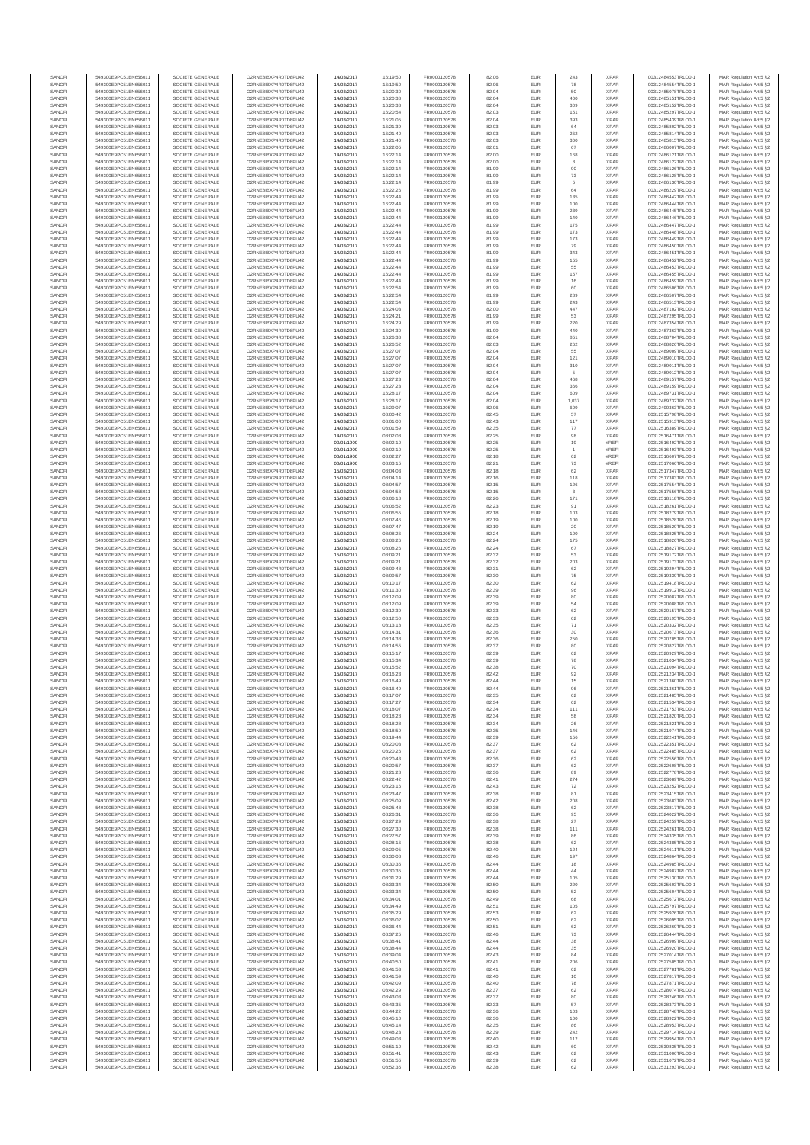| SANOF            | 549300E9PC51EN656011                         | SOCIETE GENERALE                     | O2RNE8IBXP4R0TD8PU42                          | 14/03/2017               | 16:19:50             | FR0000120578                 | 82.06          | EUR               | 243                     | <b>XPAR</b>                | 00312484553TRLO0-1                       | MAR Regulation Art 5 §2                            |
|------------------|----------------------------------------------|--------------------------------------|-----------------------------------------------|--------------------------|----------------------|------------------------------|----------------|-------------------|-------------------------|----------------------------|------------------------------------------|----------------------------------------------------|
| SANOFI<br>SANOFI | 549300E9PC51EN656011<br>549300E9PC51EN656011 | SOCIETE GENERALE<br>SOCIETE GENERALE | O2RNE8IBXP4R0TD8PU42                          | 14/03/2017<br>14/03/2017 | 16:19:50             | FR0000120578<br>FR0000120578 | 82.06<br>82.04 | EUR<br>EUR        | 78<br>50                | <b>XPAR</b><br><b>XPAR</b> | 00312484554TRLO0-1                       | MAR Regulation Art 5 §2                            |
| SANOFI           | 549300E9PC51EN656011                         | SOCIETE GENERALE                     | O2RNE8IBXP4R0TD8PU42<br>O2RNE8IBXP4R0TD8PU42  | 14/03/2017               | 16:20:30<br>16:20:38 | FR0000120578                 | 82.04          | EUR               | 400                     | <b>XPAR</b>                | 00312485078TRLO0-1<br>00312485151TRLO0-1 | MAR Regulation Art 5 §2<br>MAR Regulation Art 5 §2 |
| SANOFI           | 549300E9PC51EN656011                         | SOCIETE GENERALE                     | O2RNE8IBXP4R0TD8PU42                          | 14/03/2017               | 16:20:38             | FR0000120578                 | 82.04          | EUR               | 309                     | <b>XPAR</b>                | 00312485152TRLO0-1                       | MAR Regulation Art 5 §2                            |
| SANOFI           | 549300E9PC51EN656011                         | SOCIETE GENERALE                     | O2RNE8IBXP4R0TD8PU42<br>O2RNE8IBXP4R0TD8PLI42 | 14/03/2017               | 16:20:54             | FR0000120578                 | 82.03          | EUR               | 151                     | <b>XPAR</b>                | 00312485297TRLO0-1                       | MAR Regulation Art 5 §2                            |
| SANOFI<br>SANOFI | 549300E9PC51EN656011<br>549300E9PC51EN656011 | SOCIETE GENERALE<br>SOCIETE GENERALE | O2RNE8IBXP4R0TD8PU42                          | 14/03/2017<br>14/03/2017 | 16:21:05<br>16:21:39 | FR0000120578<br>FR0000120578 | 82.04<br>82.03 | EUR<br>EUR        | 393<br>64               | <b>XPAR</b><br><b>XPAR</b> | 00312485439TRLO0-1<br>00312485802TRLO0-1 | MAR Regulation Art 5 §2<br>MAR Regulation Art 5 §2 |
| SANOFI           | 549300E9PC51EN656011                         | SOCIETE GENERALE                     | O2RNE8IBXP4R0TD8PU42                          | 14/03/2017               | 16:21:40             | FR0000120578                 | 82.03          | EUR               | 262                     | <b>XPAR</b>                | 00312485814TRLO0-1                       | MAR Regulation Art 5 §2                            |
| SANOFI           | 549300E9PC51EN656011                         | SOCIETE GENERALE                     | O2RNE8IBXP4R0TD8PU42                          | 14/03/2017               | 16:21:40             | FR0000120578                 | 82.03          | EUR               | 300                     | <b>XPAR</b>                | 00312485815TRLO0-1                       | MAR Regulation Art 5 §2                            |
| SANOFI<br>SANOFI | 549300E9PC51EN656011<br>549300E9PC51EN656011 | SOCIETE GENERALE<br>SOCIETE GENERALE | O2RNE8IBXP4R0TD8PU42<br>O2RNE8IBXP4R0TD8PU42  | 14/03/2017<br>14/03/2017 | 16:22:05<br>16:22:14 | FR0000120578<br>FR0000120578 | 82.01<br>82.00 | EUR<br>EUR        | 67<br>168               | <b>XPAR</b><br><b>XPAR</b> | 00312486007TRLO0-1<br>00312486121TRLO0-1 | MAR Regulation Art 5 §2<br>MAR Regulation Art 5 §2 |
| SANOFI           | 549300E9PC51EN656011                         | SOCIETE GENERALE                     | O2RNE8IBXP4R0TD8PU42                          | 14/03/2017               | 16:22:14             | FR0000120578                 | 82.00          | EUR               | 8                       | <b>XPAR</b>                | 00312486122TRLO0-1                       | MAR Regulation Art 5 §2                            |
| SANOFI           | 549300E9PC51EN656011                         | SOCIETE GENERALE                     | O2RNE8IBXP4R0TD8PU42                          | 14/03/2017               | 16:22:14             | FR0000120578                 | 81.99          | EUR               | 90                      | <b>XPAR</b>                | 00312486126TRLO0-1                       | MAR Regulation Art 5 §2                            |
| SANOFI           | 549300E9PC51EN656011                         | SOCIETE GENERALE                     | O2RNE8IBXP4R0TD8PU42                          | 14/03/2017               | 16:22:14             | FR0000120578                 | 81.99          | EUR               | 73                      | <b>XPAR</b>                | 00312486128TRLO0-1                       | MAR Regulation Art 5 §2                            |
| SANOFI<br>SANOFI | 549300E9PC51EN656011<br>549300E9PC51EN656011 | SOCIETE GENERALE<br>SOCIETE GENERALE | O2RNE8IBXP4R0TD8PU42<br>O2RNE8IBXP4R0TD8PU42  | 14/03/2017<br>14/03/2017 | 16:22:14<br>16:22:26 | FR0000120578<br>FR0000120578 | 81.99<br>81.99 | EUR<br>EUR        | 5<br>64                 | <b>XPAR</b><br><b>XPAR</b> | 00312486130TRLO0-1<br>00312486229TRLO0-1 | MAR Regulation Art 5 §2<br>MAR Regulation Art 5 §2 |
| SANOFI           | 549300E9PC51EN656011                         | SOCIETE GENERALE                     | O2RNE8IBXP4R0TD8PU42                          | 14/03/2017               | 16:22:44             | FR0000120578                 | 81.99          | <b>EUR</b>        | 135                     | <b>XPAR</b>                | 00312486442TRLO0-1                       | MAR Regulation Art 5 §2                            |
| SANOFI           | 549300E9PC51EN656011                         | SOCIETE GENERALE                     | O2RNE8IBXP4R0TD8PU42                          | 14/03/2017               | 16:22:44             | FR0000120578                 | 81.99          | EUR               | 100                     | <b>XPAR</b>                | 00312486444TRLO0-1                       | MAR Regulation Art 5 §2                            |
| SANOFI           | 549300E9PC51EN656011                         | SOCIETE GENERALE                     | O2RNE8IBXP4R0TD8PU42                          | 14/03/2017               | 16:22:44             | FR0000120578                 | 81.99          | EUR               | 239                     | <b>XPAR</b>                | 00312486445TRLO0-1                       | MAR Regulation Art 5 §2                            |
| SANOFI<br>SANOFI | 549300E9PC51EN656011<br>549300E9PC51EN656011 | SOCIETE GENERALE<br>SOCIETE GENERALE | O2RNE8IBXP4R0TD8PU42<br>O2RNE8IBXP4R0TD8PU42  | 14/03/2017<br>14/03/2017 | 16:22:44<br>16:22:44 | FR0000120578<br>FR0000120578 | 81.99<br>81.99 | EUR<br>EUR        | 140<br>175              | <b>XPAR</b><br><b>XPAR</b> | 00312486446TRLO0-1<br>00312486447TRLO0-1 | MAR Regulation Art 5 §2<br>MAR Regulation Art 5 §2 |
| SANOFI           | 549300E9PC51EN656011                         | SOCIETE GENERALE                     | O2RNE8IBXP4R0TD8PU42                          | 14/03/2017               | 16:22:44             | FR0000120578                 | 81.99          | EUR               | 173                     | <b>XPAR</b>                | 00312486448TRLO0-1                       | MAR Regulation Art 5 §2                            |
| SANOFI           | 549300E9PC51EN656011                         | SOCIETE GENERALE                     | O2RNE8IBXP4R0TD8PU42                          | 14/03/2017               | 16:22:44             | FR0000120578                 | 81.99          | EUR               | 173                     | <b>XPAR</b>                | 00312486449TRLO0-1                       | MAR Regulation Art 5 §2                            |
| SANOFI<br>SANOFI | 549300E9PC51EN656011<br>549300E9PC51EN656011 | SOCIETE GENERALE<br>SOCIETE GENERALE | O2RNE8IBXP4R0TD8PU42<br>O2RNE8IBXP4R0TD8PU42  | 14/03/2017<br>14/03/2017 | 16:22:44<br>16:22:44 | FR0000120578<br>FR0000120578 | 81.99<br>81.99 | EUR<br>EUR        | 79<br>343               | <b>XPAR</b><br><b>XPAR</b> | 00312486450TRLO0-1<br>00312486451TRLO0-1 | MAR Regulation Art 5 §2<br>MAR Regulation Art 5 §2 |
| SANOFI           | 549300E9PC51EN656011                         | SOCIETE GENERALE                     | O2RNE8IBXP4R0TD8PU42                          | 14/03/2017               | 16:22:44             | FR0000120578                 | 81.99          | EUR               | 155                     | <b>XPAR</b>                | 00312486452TRLO0-1                       | MAR Regulation Art 5 §2                            |
| SANOFI           | 549300E9PC51EN656011                         | SOCIETE GENERALE                     | O2RNE8IBXP4R0TD8PU42                          | 14/03/2017               | 16:22:44             | FR0000120578                 | 81.99          | EUR               | 55                      | <b>XPAR</b>                | 00312486453TRLO0-1                       | MAR Regulation Art 5 §2                            |
| SANOFI           | 549300E9PC51EN656011                         | SOCIETE GENERALE                     | O2RNE8IBXP4R0TD8PU42                          | 14/03/2017               | 16:22:44             | FR0000120578                 | 81.99          | EUR               | 157                     | <b>XPAR</b>                | 00312486455TRLO0-1                       | MAR Regulation Art 5 §2                            |
| SANOFI<br>SANOFI | 549300E9PC51EN656011<br>549300E9PC51EN656011 | SOCIETE GENERALE<br>SOCIETE GENERALE | O2RNE8IBXP4R0TD8PU42<br>O2RNE8IBXP4R0TD8PU42  | 14/03/2017<br>14/03/2017 | 16:22:44<br>16:22:54 | FR0000120578<br>FR0000120578 | 81.99<br>81.99 | EUR<br>EUR        | $16\,$<br>60            | <b>XPAR</b><br><b>XPAR</b> | 00312486459TRLO0-1<br>00312486506TRLO0-1 | MAR Regulation Art 5 §2<br>MAR Regulation Art 5 §2 |
| SANOFI           | 549300E9PC51EN656011                         | SOCIETE GENERALE                     | O2RNE8IBXP4R0TD8PU42                          | 14/03/2017               | 16:22:54             | FR0000120578                 | 81.99          | <b>EUR</b>        | 289                     | <b>XPAR</b>                | 00312486507TRLO0-1                       | MAR Regulation Art 5 §2                            |
| SANOFI           | 549300E9PC51EN656011                         | SOCIETE GENERALE                     | O2RNE8IBXP4R0TD8PU42                          | 14/03/2017               | 16:22:54             | FR0000120578                 | 81.99          | EUR               | 243                     | <b>XPAR</b>                | 00312486513TRLO0-1                       | MAR Regulation Art 5 §2                            |
| SANOFI<br>SANOFI | 549300E9PC51EN656011<br>549300E9PC51EN656011 | SOCIETE GENERALE<br>SOCIETE GENERALE | O2RNE8IBXP4R0TD8PU42<br>O2RNE8IBXP4R0TD8PU42  | 14/03/2017<br>14/03/2017 | 16:24:03<br>16:24:21 | FR0000120578<br>FR0000120578 | 82.00<br>81.99 | <b>EUR</b><br>EUR | 447<br>53               | <b>XPAR</b><br><b>XPAR</b> | 00312487102TRLO0-1<br>00312487295TRLO0-1 | MAR Regulation Art 5 §2                            |
| SANOFI           | 549300E9PC51EN656011                         | SOCIETE GENERALE                     | O2RNE8IBXP4R0TD8PU42                          | 14/03/2017               | 16:24:29             | FR0000120578                 | 81.99          | EUR               | 220                     | <b>XPAR</b>                | 00312487354TRLO0-1                       | MAR Regulation Art 5 §2<br>MAR Regulation Art 5 §2 |
| SANOFI           | 549300E9PC51EN656011                         | SOCIETE GENERALE                     | O2RNE8IBXP4R0TD8PU42                          | 14/03/2017               | 16:24:30             | FR0000120578                 | 81.99          | EUR               | 440                     | <b>XPAR</b>                | 00312487363TRLO0-1                       | MAR Regulation Art 5 §2                            |
| SANOFI           | 549300E9PC51EN656011                         | SOCIETE GENERALE                     | O2RNE8IBXP4R0TD8PU42                          | 14/03/2017               | 16:26:38             | FR0000120578                 | 82.04          | EUR               | 851                     | <b>XPAR</b>                | 00312488704TRLO0-1                       | MAR Regulation Art 5 §2                            |
| SANOFI<br>SANOFI | 549300E9PC51EN656011<br>549300E9PC51EN656011 | SOCIETE GENERALE<br>SOCIETE GENERALE | O2RNE8IBXP4R0TD8PU42<br>O2RNE8IBXP4R0TD8PU42  | 14/03/2017<br>14/03/2017 | 16:26:52<br>16:27:07 | FR0000120578<br>FR0000120578 | 82.03<br>82.04 | EUR<br>EUR        | 262<br>55               | <b>XPAR</b><br><b>XPAR</b> | 00312488826TRLO0-1<br>00312489009TRLO0-1 | MAR Regulation Art 5 §2<br>MAR Regulation Art 5 §2 |
| SANOFI           | 549300E9PC51EN656011                         | SOCIETE GENERALE                     | O2RNE8IBXP4R0TD8PU42                          | 14/03/2017               | 16:27:07             | FR0000120578                 | 82.04          | <b>EUR</b>        | 121                     | <b>XPAR</b>                | 00312489010TRLO0-1                       | MAR Regulation Art 5 §2                            |
| SANOFI           | 549300E9PC51EN656011                         | SOCIETE GENERALE                     | O2RNE8IBXP4R0TD8PU42                          | 14/03/2017               | 16:27:07             | FR0000120578                 | 82.04          | EUR               | 310                     | <b>XPAR</b>                | 00312489011TRLO0-1                       | MAR Regulation Art 5 §2                            |
| SANOFI           | 549300E9PC51EN656011                         | SOCIETE GENERALE                     | O2RNE8IBXP4R0TD8PU42<br>O2RNE8IBXP4R0TD8PU42  | 14/03/2017               | 16:27:07             | FR0000120578                 | 82.04          | EUR               | 5                       | <b>XPAR</b>                | 00312489012TRLO0-1                       | MAR Regulation Art 5 §2                            |
| SANOFI<br>SANOFI | 549300E9PC51EN656011<br>549300E9PC51EN656011 | SOCIETE GENERALE<br>SOCIETE GENERALE | O2RNE8IBXP4R0TD8PU42                          | 14/03/2017<br>14/03/2017 | 16:27:23<br>16:27:23 | FR0000120578<br>FR0000120578 | 82.04<br>82.04 | EUR<br>EUR        | 468<br>366              | <b>XPAR</b><br><b>XPAR</b> | 00312489157TRLO0-1<br>00312489159TRLO0-1 | MAR Regulation Art 5 §2<br>MAR Regulation Art 5 §2 |
| SANOFI           | 549300E9PC51EN656011                         | SOCIETE GENERALE                     | O2RNE8IBXP4R0TD8PU42                          | 14/03/2017               | 16:28:17             | FR0000120578                 | 82.04          | EUR               | 609                     | <b>XPAR</b>                | 00312489731TRLO0-1                       | MAR Regulation Art 5 §2                            |
| SANOFI           | 549300E9PC51EN656011                         | SOCIETE GENERALE                     | O2RNE8IBXP4R0TD8PU42                          | 14/03/2017               | 16:28:17             | FR0000120578                 | 82.04          | EUR               | 1,037                   | <b>XPAR</b>                | 00312489732TRLO0-1                       | MAR Regulation Art 5 §2                            |
| SANOFI           | 549300E9PC51EN656011                         | SOCIETE GENERALE                     | O2RNE8IBXP4R0TD8PU42<br>O2RNE8IBXP4R0TD8PU42  | 14/03/2017               | 16:29:07             | FR0000120578<br>FR0000120578 | 82.06          | EUR               | 609                     | <b>XPAR</b>                | 00312490363TRLO0-1                       | MAR Regulation Art 5 §2                            |
| SANOFI<br>SANOFI | 549300E9PC51EN656011<br>549300E9PC51EN656011 | SOCIETE GENERALE<br>SOCIETE GENERALE | O2RNE8IBXP4R0TD8PU42                          | 14/03/2017<br>14/03/2017 | 08:00:42<br>08:01:00 | FR0000120578                 | 82.45<br>82.43 | EUR<br>EUR        | 57<br>117               | <b>XPAR</b><br><b>XPAR</b> | 00312515798TRLO0-1<br>00312515913TRLO0-1 | MAR Regulation Art 5 §2<br>MAR Regulation Art 5 §2 |
| SANOFI           | 549300E9PC51EN656011                         | SOCIETE GENERALE                     | O2RNE8IBXP4R0TD8PU42                          | 14/03/2017               | 08:01:59             | FR0000120578                 | 82.35          | EUR               | 77                      | <b>XPAR</b>                | 00312516389TRLO0-1                       | MAR Regulation Art 5 §2                            |
| SANOFI           | 549300E9PC51EN656011                         | SOCIETE GENERALE                     | O2RNE8IBXP4R0TD8PU42                          | 14/03/2017               | 08:02:08             | FR0000120578                 | 82.25          | EUR               | 98                      | <b>XPAR</b>                | 00312516471TRLO0-1                       | MAR Regulation Art 5 §2                            |
| SANOFI<br>SANOFI | 549300E9PC51EN656011                         | SOCIETE GENERALE                     | O2RNE8IBXP4R0TD8PU42<br>O2RNE8IBXP4R0TD8PU42  | 00/01/1900               | 08:02:10             | FR0000120578<br>FR0000120578 | 82.25<br>82.25 | EUR<br>EUR        | 19                      | #REF<br>#REF               | 00312516492TRLO0-1<br>00312516493TRLO0-1 | MAR Regulation Art 5 §2<br>MAR Regulation Art 5 §2 |
| SANOFI           | 549300E9PC51EN656011<br>549300E9PC51EN656011 | SOCIETE GENERALE<br>SOCIETE GENERALE | O2RNESIBXP4R0TD8PLI42                         | 00/01/1900<br>00/01/1900 | 08:02:10<br>08:02:27 | FR0000120578                 | 82.18          | EUR               | $62\,$                  | #REF                       | 00312516607TRLO0-1                       | MAR Regulation Art 5 §2                            |
| SANOFI           | 549300E9PC51EN656011                         | SOCIETE GENERALE                     | O2RNE8IBXP4R0TD8PU42                          | 00/01/1900               | 08:03:15             | FR0000120578                 | 82.21          | EUR               | 73                      | #REF                       | 00312517066TRLO0-1                       | MAR Regulation Art 5 §2                            |
| SANOFI           | 549300E9PC51EN656011                         | SOCIETE GENERALE                     | O2RNE8IBXP4R0TD8PU42                          | 15/03/2017               | 08:04:03             | FR0000120578                 | 82.18          | EUR               | 62                      | <b>XPAR</b>                | 00312517347TRLO0-1                       | MAR Regulation Art 5 §2                            |
| SANOFI<br>SANOFI | 549300E9PC51EN656011<br>549300E9PC51EN656011 | SOCIETE GENERALE<br>SOCIETE GENERALE | O2RNE8IBXP4R0TD8PU42<br>O2RNE8IBXP4R0TD8PU42  | 15/03/2017<br>15/03/2017 | 08:04:14<br>08:04:57 | FR0000120578<br>FR0000120578 | 82.16<br>82.15 | EUR<br><b>EUR</b> | 118<br>126              | <b>XPAR</b><br><b>XPAR</b> | 00312517383TRLO0-1<br>00312517554TRLO0-1 | MAR Regulation Art 5 §2<br>MAR Regulation Art 5 §2 |
| SANOFI           | 549300E9PC51EN656011                         | SOCIETE GENERALE                     | O2RNE8IBXP4R0TD8PU42                          | 15/03/2017               | 08:04:58             | FR0000120578                 | 82.15          | EUR               | 3                       | <b>XPAR</b>                | 00312517556TRLO0-1                       | MAR Regulation Art 5 §2                            |
| SANOFI           | 549300E9PC51EN656011                         | SOCIETE GENERALE                     | O2RNE8IBXP4R0TD8PU42                          | 15/03/2017               | 08:06:18             | FR0000120578                 | 82.26          | EUR               | 171                     | <b>XPAR</b>                | 00312518118TRLO0-1                       | MAR Regulation Art 5 §2                            |
| SANOFI           | 549300E9PC51EN656011                         | SOCIETE GENERALE                     | O2RNE8IBXP4R0TD8PU42                          | 15/03/2017               | 08:06:52             | FR0000120578                 | 82.23          | EUR               | 91                      | <b>XPAR</b>                | 00312518261TRLO0-1                       | MAR Regulation Art 5 §2                            |
| SANOFI<br>SANOFI | 549300E9PC51EN656011<br>549300E9PC51EN656011 | SOCIETE GENERALE<br>SOCIETE GENERALE | O2RNE8IBXP4R0TD8PU42<br>O2RNE8IBXP4R0TD8PU42  | 15/03/2017               | 08:06:55             | FR0000120578                 | 82.18          | EUR<br>EUR        | 103<br>100              | <b>XPAR</b><br><b>XPAR</b> | 00312518279TRLO0-1                       | MAR Regulation Art 5 §2                            |
| SANOFI           | 549300E9PC51EN656011                         | SOCIETE GENERALE                     | O2RNE8IBXP4R0TD8PU42                          | 15/03/2017<br>15/03/2017 | 08:07:46<br>08:07:47 | FR0000120578<br>FR0000120578 | 82.19<br>82.19 | EUR               | 20                      | <b>XPAR</b>                | 00312518528TRLO0-1<br>00312518529TRLO0-1 | MAR Regulation Art 5 §2<br>MAR Regulation Art 5 §2 |
| SANOFI           | 549300E9PC51EN656011                         | SOCIETE GENERALE                     | O2RNE8IBXP4R0TD8PU42                          | 15/03/2017               | 08:08:26             | FR0000120578                 | 82.24          | <b>EUR</b>        | 100                     | <b>XPAR</b>                | 00312518825TRLO0-1                       | MAR Regulation Art 5 §2                            |
| SANOFI           | 549300E9PC51EN656011                         | SOCIETE GENERALE                     | O2RNE8IBXP4R0TD8PU42                          | 15/03/2017               | 08:08:26             | FR0000120578                 | 82.24          | EUR               | 175                     | <b>XPAR</b>                | 00312518826TRLO0-1                       | MAR Regulation Art 5 §2                            |
| SANOFI<br>SANOFI | 549300E9PC51EN656011<br>549300E9PC51EN656011 | SOCIETE GENERALE<br>SOCIETE GENERALE | O2RNE8IBXP4R0TD8PU42<br>O2RNE8IBXP4R0TD8PU42  | 15/03/2017<br>15/03/2017 | 08:08:26<br>08:09:21 | FR0000120578<br>FR0000120578 | 82.24<br>82.32 | EUR<br>EUR        | 67<br>53                | <b>XPAR</b><br><b>XPAR</b> | 00312518827TRLO0-1<br>00312519172TRLO0-1 | MAR Regulation Art 5 §2<br>MAR Regulation Art 5 §2 |
| SANOFI           | 549300E9PC51EN656011                         | SOCIETE GENERALE                     | O2RNE8IBXP4R0TD8PU42                          | 15/03/2017               | 08:09:21             | FR0000120578                 | 82.32          | EUR               | 203                     | <b>XPAR</b>                | 00312519173TRLO0-1                       | MAR Regulation Art 5 §2                            |
| SANOFI           | 549300E9PC51EN656011                         | SOCIETE GENERALE                     | O2RNE8IBXP4R0TD8PU42                          | 15/03/2017               | 08:09:48             | FR0000120578                 | 82.31          | EUR               | 62                      | <b>XPAR</b>                | 00312519294TRLO0-1                       | MAR Regulation Art 5 §2                            |
| SANOFI<br>SANOFI | 549300E9PC51EN656011<br>549300E9PC51EN656011 | SOCIETE GENERALE<br>SOCIETE GENERALE | O2RNE8IBXP4R0TD8PU42<br>O2RNE8IBXP4R0TD8PU42  | 15/03/2017<br>15/03/2017 | 08:09:57             | FR0000120578<br>FR0000120578 | 82.30<br>82.30 | EUR<br>EUR        | ${\bf 75}$              | <b>XPAR</b><br><b>XPAR</b> | 00312519339TRLO0-1                       | MAR Regulation Art 5 §2                            |
| SANOFI           | 549300E9PC51EN656011                         | SOCIETE GENERALE                     | O2RNE8IBXP4R0TD8PU42                          | 15/03/2017               | 08:10:17<br>08:11:30 | FR0000120578                 | 82.39          | EUR               | 62<br>96                | <b>XPAR</b>                | 00312519418TRLO0-1<br>00312519912TRLO0-1 | MAR Regulation Art 5 §2<br>MAR Regulation Art 5 §2 |
| SANOFI           | 549300E9PC51EN656011                         | SOCIETE GENERALE                     | O2RNE8IBXP4R0TD8PU42                          | 15/03/2017               | 08:12:09             | FR0000120578                 | 82.39          | EUR               | 80                      | <b>XPAR</b>                | 00312520087TRLO0-1                       | MAR Regulation Art 5 §2                            |
| SANOFI           | 549300E9PC51EN656011                         | SOCIETE GENERALE                     | O2RNE8IBXP4R0TD8PU42                          | 15/03/2017               | 08:12:09             | FR0000120578                 | 82.39          | EUR               | 54                      | <b>XPAR</b>                | 00312520088TRLO0-1                       | MAR Regulation Art 5 §2                            |
| SANOFI<br>SANOFI | 549300E9PC51EN656011<br>549300E9PC51EN656011 | SOCIETE GENERALE<br>SOCIETE GENERALE | O2RNE8IBXP4R0TD8PU42<br>O2RNE8IBXP4R0TD8PU42  | 15/03/2017<br>15/03/2017 | 08:12:39<br>08:12:50 | FR0000120578<br>FR0000120578 | 82.33<br>82.33 | EUR<br>EUR        | 62<br>62                | <b>XPAR</b><br><b>XPAR</b> | 00312520157TRLO0-1<br>00312520195TRLO0-1 | MAR Regulation Art 5 §2<br>MAR Regulation Art 5 §2 |
| SANOFI           | 549300E9PC51EN656011                         | SOCIETE GENERALE                     | O2RNE8IBXP4R0TD8PU42                          | 15/03/2017               | 08:13:18             | FR0000120578                 | 82.35          | EUR               | $71\,$                  | <b>XPAR</b>                | 00312520332TRLO0-1                       | MAR Regulation Art 5 §2                            |
| SANOFI           | 549300E9PC51EN656011                         | SOCIETE GENERALE                     | O2RNE8IBXP4R0TD8PU42                          | 15/03/2017               | 08:14:31             | FR0000120578                 | 82.36          | EUR               | 30                      | <b>XPAR</b>                | 00312520673TRLO0-1                       | MAR Regulation Art 5 §2                            |
| SANOFI           | 549300E9PC51EN656011                         | SOCIETE GENERALE                     | O2RNE8IBXP4R0TD8PU42                          | 15/03/2017               | 08:14:38             | FR0000120578                 | 82.36          | EUR               | 250                     | <b>XPAR</b>                | 00312520705TRLO0-1                       | MAR Regulation Art 5 §2                            |
| SANOFI<br>SANOFI | 549300E9PC51EN656011<br>549300E9PC51EN656011 | SOCIETE GENERALE<br>SOCIETE GENERALE | O2RNE8IBXP4R0TD8PU42<br>O2RNE8IBXP4R0TD8PU42  | 15/03/2017<br>15/03/2017 | 08:14:55<br>08:15:17 | FR0000120578<br>FR0000120578 | 82.37<br>82.39 | EUR<br>EUR        | 80<br>62                | <b>XPAR</b><br><b>XPAR</b> | 00312520827TRLO0-1<br>00312520929TRLO0-1 | MAR Regulation Art 5 §2<br>MAR Regulation Art 5 §2 |
| SANOFI           | 549300E9PC51EN656011                         | SOCIETE GENERALE                     | O2RNE8IBXP4R0TD8PU42                          | 15/03/2017               | 08:15:34             | FR0000120578                 | 82.39          | EUR               | 78                      | <b>XPAR</b>                | 00312521034TRLO0-1                       | MAR Regulation Art 5 §2                            |
| SANOFI           | 549300E9PC51EN656011                         | SOCIETE GENERALE                     | O2RNE8IBXP4R0TD8PU42                          | 15/03/2017               | 08:15:52             | FR0000120578                 | 82.38          | EUR               | 70                      | <b>XPAR</b>                | 00312521094TRLO0-1                       | MAR Regulation Art 5 §2                            |
| SANOFI<br>SANOFI | 549300E9PC51EN656011<br>549300E9PC51EN656011 | SOCIETE GENERALE<br>SOCIETE GENERALE | O2RNE8IBXP4R0TD8PU42<br>O2RNE8IBXP4R0TD8PU42  | 15/03/2017<br>15/03/2017 | 08:16:23<br>08:16:49 | FR0000120578<br>FR0000120578 | 82.42<br>82.44 | EUR<br>EUR        | 92<br>15                | <b>XPAR</b><br><b>XPAR</b> | 00312521234TRLO0-1<br>00312521360TRLO0-1 | MAR Regulation Art 5 §2<br>MAR Regulation Art 5 §2 |
| SANOFI           | 549300E9PC51EN656011                         | SOCIETE GENERALE                     | O2RNE8IBXP4R0TD8PU42                          | 15/03/2017               | 08:16:49             | FR0000120578                 | 82.44          | EUR               | 96                      | <b>XPAR</b>                | 00312521361TRLO0-1                       | MAR Regulation Art 5 §2                            |
| SANOFI           | 549300E9PC51EN656011                         | SOCIETE GENERALE                     | O2RNE8IBXP4R0TD8PU42                          | 15/03/2017               | 08:17:07             | FR0000120578                 | 82.35          | EUR               | 62                      | <b>XPAR</b>                | 00312521485TRLO0-1                       | MAR Regulation Art 5 §2                            |
| SANOFI           | 549300E9PC51EN656011                         | SOCIETE GENERALE                     | O2RNE8IBXP4R0TD8PU42                          | 15/03/2017               | 08:17:27             | FR0000120578                 | 82.34          | EUR               | 62                      | <b>XPAR</b>                | 00312521534TRLO0-1                       | MAR Regulation Art 5 §2                            |
| SANOFI<br>SANOFI | 549300E9PC51EN656011<br>549300E9PC51EN656011 | SOCIETE GENERALE<br>SOCIETE GENERALE | O2RNE8IBXP4R0TD8PU42<br>O2RNE8IBXP4R0TD8PU42  | 15/03/2017<br>15/03/2017 | 08:18:07<br>08:18:28 | FR0000120578<br>FR0000120578 | 82.34<br>82.34 | EUR<br>EUR        | 111<br>58               | <b>XPAR</b><br><b>XPAR</b> | 00312521753TRLO0-1<br>00312521820TRLO0-1 | MAR Regulation Art 5 §2<br>MAR Regulation Art 5 §2 |
| SANOFI           | 549300E9PC51EN656011                         | SOCIETE GENERALE                     | O2RNE8IBXP4R0TD8PU42                          | 15/03/2017               | 08:18:28             | FR0000120578                 | 82.34          | EUR               | 26                      | <b>XPAR</b>                | 00312521821TRLO0-1                       | MAR Regulation Art 5 §2                            |
| SANOFI           | 549300E9PC51EN656011                         | SOCIETE GENERALE                     | O2RNE8IBXP4R0TD8PU42                          | 15/03/2017               | 08:18:59             | FR0000120578                 | 82.35          | EUR               | 146                     | <b>XPAR</b>                | 00312521974TRLO0-1                       | MAR Regulation Art 5 §2                            |
| SANOFI<br>SANOFI | 549300E9PC51EN656011                         | SOCIETE GENERALE<br>SOCIETE GENERALE | O2RNE8IBXP4R0TD8PU42<br>O2RNE8IBXP4R0TD8PU42  | 15/03/2017               | 08:19:44<br>08:20:03 | FR0000120578                 | 82.39<br>82.37 | <b>EUR</b><br>EUR | 156<br>62               | <b>XPAR</b><br><b>XPAR</b> | 00312522241TRLO0-1                       | MAR Regulation Art 5 §2                            |
| SANOFI           | 549300E9PC51EN656011<br>549300E9PC51EN656011 | SOCIETE GENERALE                     | O2RNE8IBXP4R0TD8PU42                          | 15/03/2017<br>15/03/2017 | 08:20:26             | FR0000120578<br>FR0000120578 | 82.37          | EUR               | $62\,$                  | <b>XPAR</b>                | 00312522351TRLO0-1<br>00312522485TRLO0-1 | MAR Regulation Art 5 §2<br>MAR Regulation Art 5 §2 |
| SANOFI           | 549300E9PC51EN656011                         | SOCIETE GENERALE                     | O2RNE8IBXP4R0TD8PU42                          | 15/03/2017               | 08:20:43             | FR0000120578                 | 82.36          | EUR               | 62                      | <b>XPAR</b>                | 00312522556TRLO0-1                       | MAR Regulation Art 5 §2                            |
| SANOFI           | 549300E9PC51EN656011                         | SOCIETE GENERALE                     | O2RNE8IBXP4R0TD8PU42                          | 15/03/2017               | 08:20:57             | FR0000120578<br>FR0000120578 | 82.37          | EUR               | 62                      | <b>XPAR</b>                | 00312522608TRLO0-1                       | MAR Regulation Art 5 §2                            |
| SANOFI<br>SANOFI | 549300E9PC51EN656011<br>549300E9PC51EN656011 | SOCIETE GENERALE<br>SOCIETE GENERALE | O2RNE8IBXP4R0TD8PU42<br>O2RNE8IBXP4R0TD8PU42  | 15/03/2017<br>15/03/2017 | 08:21:28<br>08:22:42 | FR0000120578                 | 82.36<br>82.41 | <b>EUR</b><br>EUR | 89<br>274               | <b>XPAR</b><br><b>XPAR</b> | 00312522778TRLO0-1<br>00312523089TRLO0-1 | MAR Regulation Art 5 §2<br>MAR Regulation Art 5 §2 |
| SANOFI           | 549300E9PC51EN656011                         | SOCIETE GENERALE                     | O2RNE8IBXP4R0TD8PU42                          | 15/03/2017               | 08:23:16             | FR0000120578                 | 82.43          | <b>EUR</b>        | 72                      | <b>XPAR</b>                | 00312523252TRLO0-1                       | MAR Regulation Art 5 §2                            |
| SANOFI           | 549300E9PC51EN656011                         | SOCIETE GENERALE                     | O2RNE8IBXP4R0TD8PU42                          | 15/03/2017               | 08:23:47             | FR0000120578                 | 82.38          | EUR               | 81                      | <b>XPAR</b>                | 00312523415TRLO0-1                       | MAR Regulation Art 5 §2                            |
| SANOFI<br>SANOFI | 549300E9PC51EN656011<br>549300E9PC51EN656011 | SOCIETE GENERALE<br>SOCIETE GENERALE | O2RNE8IBXP4R0TD8PU42<br>O2RNE8IBXP4R0TD8PU42  | 15/03/2017<br>15/03/2017 | 08:25:09<br>08:25:48 | FR0000120578<br>FR0000120578 | 82.42<br>82.38 | EUR<br>EUR        | 208<br>62               | <b>XPAR</b><br><b>XPAR</b> | 00312523683TRLO0-1<br>00312523817TRLO0-1 | MAR Regulation Art 5 §2<br>MAR Regulation Art 5 §2 |
| SANOFI           | 549300E9PC51EN656011                         | SOCIETE GENERALE                     | O2RNE8IBXP4R0TD8PU42                          | 15/03/2017               | 08:26:31             | FR0000120578                 | 82.36          | EUR               | 95                      | <b>XPAR</b>                | 00312524022TRLO0-1                       | MAR Regulation Art 5 §2                            |
| SANOFI           | 549300E9PC51EN656011                         | SOCIETE GENERALE                     | O2RNE8IBXP4R0TD8PU42                          | 15/03/2017               | 08:27:29             | FR0000120578                 | 82.38          | EUR               | 27                      | <b>XPAR</b>                | 00312524259TRLO0-1                       | MAR Regulation Art 5 §2                            |
| SANOFI<br>SANOFI | 549300E9PC51EN656011<br>549300E9PC51EN656011 | SOCIETE GENERALE<br>SOCIETE GENERALE | O2RNE8IBXP4R0TD8PU42<br>O2RNE8IBXP4R0TD8PU42  | 15/03/2017<br>15/03/2017 | 08:27:30<br>08:27:57 | FR0000120578<br>FR0000120578 | 82.38<br>82.39 | EUR<br><b>EUR</b> | 111<br>86               | <b>XPAR</b><br><b>XPAR</b> | 00312524261TRLO0-1<br>00312524335TRLO0-1 | MAR Regulation Art 5 §2                            |
| SANOFI           | 549300E9PC51EN656011                         | SOCIETE GENERALE                     | O2RNE8IBXP4R0TD8PU42                          | 15/03/2017               | 08:28:16             | FR0000120578                 | 82.38          | EUR               | 62                      | <b>XPAR</b>                | 00312524385TRLO0-1                       | MAR Regulation Art 5 §2<br>MAR Regulation Art 5 §2 |
| SANOFI           | 549300E9PC51EN656011                         | SOCIETE GENERALE                     | O2RNE8IBXP4R0TD8PU42                          | 15/03/2017               | 08:29:05             | FR0000120578                 | 82.40          | <b>EUR</b>        | 124                     | <b>XPAR</b>                | 00312524611TRLO0-1                       | MAR Regulation Art 5 §2                            |
| SANOFI           | 549300E9PC51EN656011                         | SOCIETE GENERALE                     | O2RNE8IBXP4R0TD8PU42                          | 15/03/2017               | 08:30:08             | FR0000120578                 | 82.46          | EUR               | 197                     | <b>XPAR</b>                | 00312524864TRLO0-1                       | MAR Regulation Art 5 §2                            |
| SANOFI<br>SANOFI | 549300E9PC51EN656011<br>549300E9PC51EN656011 | SOCIETE GENERALE<br>SOCIETE GENERALE | O2RNE8IBXP4R0TD8PU42<br>O2RNE8IBXP4R0TD8PU42  | 15/03/2017<br>15/03/2017 | 08:30:35<br>08:30:35 | FR0000120578<br>FR0000120578 | 82.44<br>82.44 | EUR<br>EUR        | 18<br>44                | <b>XPAR</b><br><b>XPAR</b> | 00312524985TRLO0-1<br>00312524987TRLO0-1 | MAR Regulation Art 5 §2<br>MAR Regulation Art 5 §2 |
| SANOFI           | 549300E9PC51EN656011                         | SOCIETE GENERALE                     | O2RNE8IBXP4R0TD8PU42                          | 15/03/2017               | 08:31:29             | FR0000120578                 | 82.44          | EUR               | 105                     | <b>XPAR</b>                | 00312525130TRLO0-1                       | MAR Regulation Art 5 §2                            |
| SANOFI           | 549300E9PC51EN656011                         | SOCIETE GENERALE                     | O2RNE8IBXP4R0TD8PU42                          | 15/03/2017               | 08:33:34             | FR0000120578                 | 82.50          | EUR               | 220                     | <b>XPAR</b>                | 00312525603TRLO0-1                       | MAR Regulation Art 5 §2                            |
| SANOFI<br>SANOFI | 549300E9PC51EN656011<br>549300E9PC51EN656011 | SOCIETE GENERALE<br>SOCIETE GENERALE | O2RNE8IBXP4R0TD8PU42<br>O2RNE8IBXP4R0TD8PU42  | 15/03/2017<br>15/03/2017 | 08:33:34<br>08:34:01 | FR0000120578<br>FR0000120578 | 82.50<br>82.49 | EUR<br><b>EUR</b> | 52<br>68                | <b>XPAR</b><br><b>XPAR</b> | 00312525604TRLO0-1<br>00312525672TRLO0-1 | MAR Regulation Art 5 §2                            |
| SANOFI           | 549300E9PC51EN656011                         | SOCIETE GENERALE                     | O2RNE8IBXP4R0TD8PU42                          | 15/03/2017               | 08:34:49             | FR0000120578                 | 82.51          | EUR               | 105                     | <b>XPAR</b>                | 00312525797TRLO0-1                       | MAR Regulation Art 5 §2<br>MAR Regulation Art 5 §2 |
| SANOFI           | 549300E9PC51EN656011                         | SOCIETE GENERALE                     | O2RNE8IBXP4R0TD8PU42                          | 15/03/2017               | 08:35:29             | FR0000120578                 | 82.53          | <b>EUR</b>        | 62                      | <b>XPAR</b>                | 00312525926TRLO0-1                       | MAR Regulation Art 5 §2                            |
| SANOFI           | 549300E9PC51EN656011                         | SOCIETE GENERALE                     | O2RNE8IBXP4R0TD8PU42                          | 15/03/2017               | 08:36:02             | FR0000120578                 | 82.50          | EUR               | 62                      | <b>XPAR</b>                | 00312526095TRLO0-1                       | MAR Regulation Art 5 §2                            |
| SANOFI<br>SANOFI | 549300E9PC51EN656011<br>549300E9PC51EN656011 | SOCIETE GENERALE<br>SOCIETE GENERALE | O2RNE8IBXP4R0TD8PU42<br>O2RNE8IBXP4R0TD8PU42  | 15/03/2017<br>15/03/2017 | 08:36:44<br>08:37:25 | FR0000120578<br>FR0000120578 | 82.51<br>82.46 | EUR<br>EUR        | $62\,$<br>$\mathbf{73}$ | <b>XPAR</b><br><b>XPAR</b> | 00312526269TRLO0-1<br>00312526444TRLO0-1 | MAR Regulation Art 5 §2<br>MAR Regulation Art 5 §2 |
| SANOFI           | 549300E9PC51EN656011                         | SOCIETE GENERALE                     | O2RNE8IBXP4R0TD8PU42                          | 15/03/2017               | 08:38:41             | FR0000120578                 | 82.44          | EUR               | 38                      | <b>XPAR</b>                | 00312526909TRLO0-1                       | MAR Regulation Art 5 §2                            |
| SANOFI           | 549300E9PC51EN656011                         | SOCIETE GENERALE                     | O2RNE8IBXP4R0TD8PU42                          | 15/03/2017               | 08:38:44             | FR0000120578                 | 82.44          | EUR               | 35                      | <b>XPAR</b>                | 00312526920TRLO0-1                       | MAR Regulation Art 5 §2                            |
| SANOFI           | 549300E9PC51EN656011                         | SOCIETE GENERALE                     | O2RNE8IBXP4R0TD8PU42                          | 15/03/2017               | 08:39:04             | FR0000120578                 | 82.43          | EUR               | 84                      | <b>XPAR</b>                | 00312527014TRLO0-1                       | MAR Regulation Art 5 §2                            |
| SANOFI<br>SANOFI | 549300E9PC51EN656011<br>549300E9PC51EN656011 | SOCIETE GENERALE<br>SOCIETE GENERALE | O2RNE8IBXP4R0TD8PU42<br>O2RNE8IBXP4R0TD8PU42  | 15/03/2017<br>15/03/2017 | 08:40:50<br>08:41:53 | FR0000120578<br>FR0000120578 | 82.41<br>82.41 | <b>EUR</b><br>EUR | 206<br>62               | <b>XPAR</b><br><b>XPAR</b> | 00312527505TRLO0-1<br>00312527781TRLO0-1 | MAR Regulation Art 5 §2<br>MAR Regulation Art 5 §2 |
| SANOFI           | 549300E9PC51EN656011                         | SOCIETE GENERALE                     | O2RNE8IBXP4R0TD8PU42                          | 15/03/2017               | 08:41:59             | FR0000120578                 | 82.40          | <b>EUR</b>        | 10                      | <b>XPAR</b>                | 00312527817TRLO0-1                       | MAR Regulation Art 5 §2                            |
| SANOFI           | 549300E9PC51EN656011                         | SOCIETE GENERALE                     | O2RNE8IBXP4R0TD8PU42                          | 15/03/2017               | 08:42:09             | FR0000120578                 | 82.40          | EUR               | ${\bf 78}$              | <b>XPAR</b>                | 00312527871TRLO0-1                       | MAR Regulation Art 5 §2                            |
| SANOFI<br>SANOFI | 549300E9PC51EN656011<br>549300E9PC51EN656011 | SOCIETE GENERALE<br>SOCIETE GENERALE | O2RNE8IBXP4R0TD8PU42<br>O2RNE8IBXP4R0TD8PU42  | 15/03/2017<br>15/03/2017 | 08:42:29<br>08:43:03 | FR0000120578                 | 82.37<br>82.37 | EUR<br>EUR        | 62<br>80                | <b>XPAR</b><br><b>XPAR</b> | 00312528074TRLO0-1                       | MAR Regulation Art 5 §2                            |
| SANOFI           | 549300E9PC51EN656011                         | SOCIETE GENERALE                     | O2RNE8IBXP4R0TD8PU42                          | 15/03/2017               | 08:43:35             | FR0000120578<br>FR0000120578 | 82.33          | EUR               | 57                      | <b>XPAR</b>                | 00312528246TRLO0-1<br>00312528373TRLO0-1 | MAR Regulation Art 5 §2<br>MAR Regulation Art 5 §2 |
| SANOFI           | 549300E9PC51EN656011                         | SOCIETE GENERALE                     | O2RNE8IBXP4R0TD8PU42                          | 15/03/2017               | 08:44:22             | FR0000120578                 | 82.36          | <b>EUR</b>        | 103                     | <b>XPAR</b>                | 00312528748TRLO0-1                       | MAR Regulation Art 5 §2                            |
| SANOFI           | 549300E9PC51EN656011                         | SOCIETE GENERALE                     | O2RNE8IBXP4R0TD8PU42                          | 15/03/2017               | 08:45:10             | FR0000120578                 | 82.36          | EUR               | 100                     | <b>XPAR</b>                | 00312528922TRLO0-1                       | MAR Regulation Art 5 §2                            |
| SANOFI<br>SANOFI | 549300E9PC51EN656011<br>549300E9PC51EN656011 | SOCIETE GENERALE<br>SOCIETE GENERALE | O2RNE8IBXP4R0TD8PU42<br>O2RNE8IBXP4R0TD8PU42  | 15/03/2017<br>15/03/2017 | 08:45:14<br>08:48:23 | FR0000120578<br>FR0000120578 | 82.35<br>82.39 | <b>EUR</b><br>EUR | 86<br>242               | <b>XPAR</b><br><b>XPAR</b> | 00312528953TRLO0-1<br>00312529714TRLO0-1 | MAR Regulation Art 5 §2<br>MAR Regulation Art 5 §2 |
| SANOFI           | 549300E9PC51EN656011                         | SOCIETE GENERALE                     | O2RNE8IBXP4R0TD8PU42                          | 15/03/2017               | 08:49:03             | FR0000120578                 | 82.40          | EUR               | 112                     | <b>XPAR</b>                | 00312529954TRLO0-1                       | MAR Regulation Art 5 §2                            |
| SANOFI           | 549300E9PC51EN656011                         | SOCIETE GENERALE                     | O2RNE8IBXP4R0TD8PU42                          | 15/03/2017               | 08:51:10             | FR0000120578                 | 82.42          | EUR               | 60                      | <b>XPAR</b>                | 00312530835TRLO0-1                       | MAR Regulation Art 5 §2                            |
| SANOFI           | 549300E9PC51EN656011                         | SOCIETE GENERALE                     | O2RNE8IBXP4R0TD8PU42                          | 15/03/2017               | 08:51:41             | FR0000120578                 | 82.43          | EUR               | $62\,$                  | <b>XPAR</b>                | 00312531006TRLO0-1                       | MAR Regulation Art 5 §2                            |
| SANOFI<br>SANOFI | 549300E9PC51EN656011<br>549300E9PC51EN656011 | SOCIETE GENERALE<br>SOCIETE GENERALE | O2RNE8IBXP4R0TD8PU42<br>O2RNE8IBXP4R0TD8PU42  | 15/03/2017<br>15/03/2017 | 08:51:55<br>08:52:35 | FR0000120578<br>FR0000120578 | 82.39<br>82.38 | EUR<br>EUR        | $62\,$<br>62            | <b>XPAR</b><br><b>XPAR</b> | 00312531072TRLO0-1<br>00312531293TRLO0-1 | MAR Regulation Art 5 §2<br>MAR Regulation Art 5 §2 |
|                  |                                              |                                      |                                               |                          |                      |                              |                |                   |                         |                            |                                          |                                                    |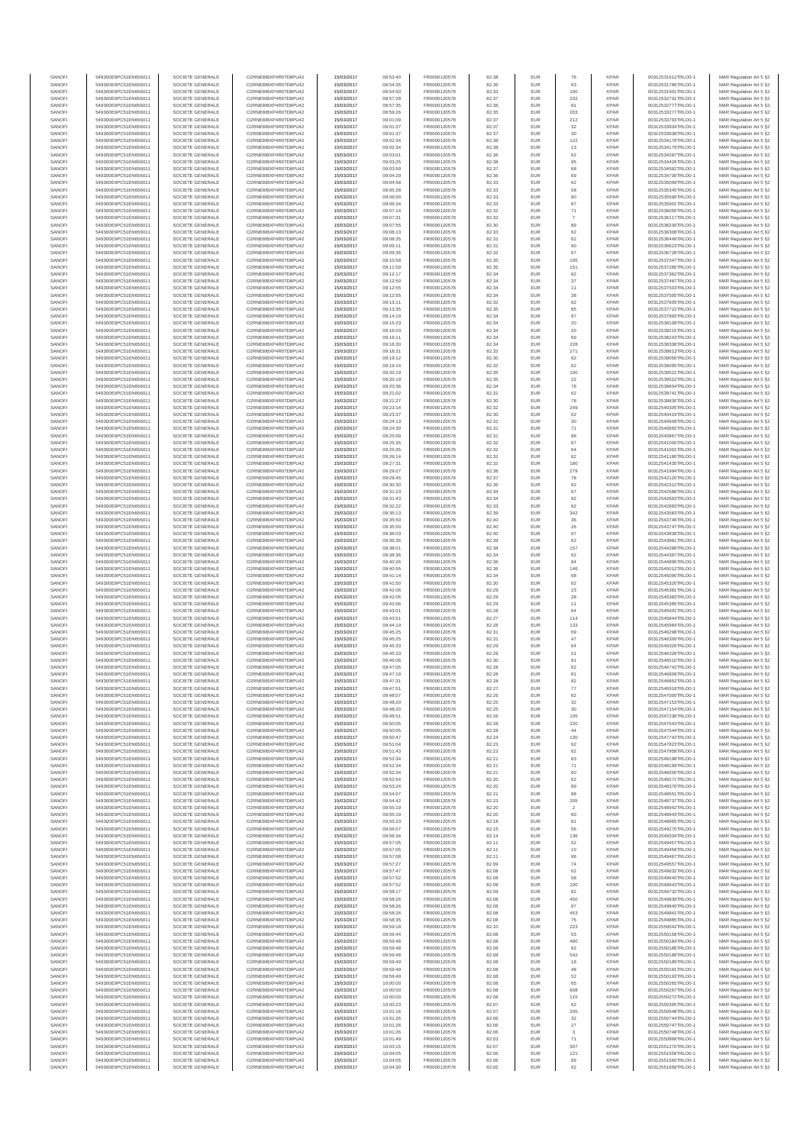| SANOF            | 549300E9PC51EN656011                         | SOCIETE GENERALE                     | O2RNE8IBXP4R0TD8PU42                          | 15/03/2017               | 08:53:40             | FR0000120578                 | 82.38          | EUR               | 76                      | <b>XPAR</b>                | 00312531612TRLO0-1                       | MAR Regulation Art 5 §2                            |
|------------------|----------------------------------------------|--------------------------------------|-----------------------------------------------|--------------------------|----------------------|------------------------------|----------------|-------------------|-------------------------|----------------------------|------------------------------------------|----------------------------------------------------|
| SANOFI<br>SANOFI | 549300E9PC51EN656011<br>549300E9PC51EN656011 | SOCIETE GENERALE<br>SOCIETE GENERALE | O2RNE8IBXP4R0TD8PU42                          | 15/03/2017<br>15/03/2017 | 08:54:35<br>08:54:50 | FR0000120578                 | 82.36          | EUR<br>EUR        | 63<br>100               | <b>XPAR</b><br><b>XPAR</b> | 00312531786TRLO0-1                       | MAR Regulation Art 5 §2                            |
| SANOFI           | 549300E9PC51EN656011                         | SOCIETE GENERALE                     | O2RNE8IBXP4R0TD8PU42<br>O2RNE8IBXP4R0TD8PU42  | 15/03/2017               | 08:57:28             | FR0000120578<br>FR0000120578 | 82.33<br>82.37 | EUR               | 232                     | <b>XPAR</b>                | 00312531901TRLO0-1<br>00312532731TRLO0-1 | MAR Regulation Art 5 §2<br>MAR Regulation Art 5 §2 |
| SANOFI           | 549300E9PC51EN656011                         | SOCIETE GENERALE                     | O2RNE8IBXP4R0TD8PU42                          | 15/03/2017               | 08:57:35             | FR0000120578                 | 82.36          | EUR               | 81                      | <b>XPAR</b>                | 00312532777TRLO0-1                       | MAR Regulation Art 5 §2                            |
| SANOFI           | 549300E9PC51EN656011                         | SOCIETE GENERALE                     | O2RNE8IBXP4R0TD8PU42                          | 15/03/2017               | 08:59:26             | FR0000120578                 | 82.35          | EUR               | 203                     | <b>XPAR</b>                | 00312533277TRLO0-1                       | MAR Regulation Art 5 §2                            |
| SANOFI<br>SANOFI | 549300E9PC51EN656011<br>549300E9PC51EN656011 | SOCIETE GENERALE<br>SOCIETE GENERALE | O2RNE8IBXP4R0TD8PLI42<br>O2RNE8IBXP4R0TD8PU42 | 15/03/2017<br>15/03/2017 | 09:01:09<br>09:01:37 | FR0000120578<br>FR0000120578 | 82.37<br>82.37 | EUR<br>EUR        | 212<br>32               | <b>XPAR</b><br><b>XPAR</b> | 00312533793TRLO0-1<br>00312533934TRLO0-1 | MAR Regulation Art 5 §2<br>MAR Regulation Art 5 §2 |
| SANOFI           | 549300E9PC51EN656011                         | SOCIETE GENERALE                     | O2RNE8IBXP4R0TD8PU42                          | 15/03/2017               | 09:01:37             | FR0000120578                 | 82.37          | EUR               | 30                      | <b>XPAR</b>                | 00312533938TRLO0-1                       | MAR Regulation Art 5 §2                            |
| SANOFI           | 549300E9PC51EN656011                         | SOCIETE GENERALE                     | O2RNE8IBXP4R0TD8PU42                          | 15/03/2017               | 09:02:34             | FR0000120578                 | 82.38          | EUR               | $122\,$                 | <b>XPAR</b>                | 00312534178TRLO0-1                       | MAR Regulation Art 5 §2                            |
| SANOFI<br>SANOFI | 549300E9PC51EN656011<br>549300E9PC51EN656011 | SOCIETE GENERALE<br>SOCIETE GENERALE | O2RNE8IBXP4R0TD8PU42<br>O2RNE8IBXP4R0TD8PU42  | 15/03/2017<br>15/03/2017 | 09:02:34<br>09:03:01 | FR0000120578<br>FR0000120578 | 82.38<br>82.36 | EUR<br>EUR        | 13<br>62                | <b>XPAR</b><br><b>XPAR</b> | 00312534179TRLO0-1<br>00312534287TRLO0-1 | MAR Regulation Art 5 §2<br>MAR Regulation Art 5 §2 |
| SANOFI           | 549300E9PC51EN656011                         | SOCIETE GENERALE                     | O2RNE8IBXP4R0TD8PU42                          | 15/03/2017               | 09:03:25             | FR0000120578                 | 82.38          | EUR               | 95                      | <b>XPAR</b>                | 00312534426TRLO0-1                       | MAR Regulation Art 5 §2                            |
| SANOFI           | 549300E9PC51EN656011                         | SOCIETE GENERALE                     | O2RNE8IBXP4R0TD8PU42                          | 15/03/2017               | 09:03:59             | FR0000120578                 | 82.37          | EUR               | 68                      | <b>XPAR</b>                | 00312534592TRLO0-1                       | MAR Regulation Art 5 §2                            |
| SANOFI           | 549300E9PC51EN656011                         | SOCIETE GENERALE                     | O2RNE8IBXP4R0TD8PU42                          | 15/03/2017               | 09:04:29             | FR0000120578                 | 82.36          | EUR               | 69                      | <b>XPAR</b>                | 00312534730TRLO0-1                       | MAR Regulation Art 5 §2                            |
| SANOFI<br>SANOFI | 549300E9PC51EN656011<br>549300E9PC51EN656011 | SOCIETE GENERALE<br>SOCIETE GENERALE | O2RNE8IBXP4R0TD8PU42<br>O2RNE8IBXP4R0TD8PU42  | 15/03/2017<br>15/03/2017 | 09:04:58<br>09:05:28 | FR0000120578<br>FR0000120578 | 82.33<br>82.33 | EUR<br>EUR        | 62<br>58                | <b>XPAR</b><br><b>XPAR</b> | 00312535009TRLO0-1<br>00312535345TRLO0-1 | MAR Regulation Art 5 §2<br>MAR Regulation Art 5 §2 |
| SANOFI           | 549300E9PC51EN656011                         | SOCIETE GENERALE                     | O2RNE8IBXP4R0TD8PU42                          | 15/03/2017               | 09:06:00             | FR0000120578                 | 82.33          | EUR               | 80                      | <b>XPAR</b>                | 00312535590TRLO0-1                       | MAR Regulation Art 5 §2                            |
| SANOFI           | 549300E9PC51EN656011                         | SOCIETE GENERALE                     | O2RNE8IBXP4R0TD8PU42                          | 15/03/2017               | 09:06:34             | FR0000120578                 | 82.33          | EUR               | 87                      | <b>XPAR</b>                | 00312535901TRLO0-1                       | MAR Regulation Art 5 §2                            |
| SANOFI           | 549300E9PC51EN656011                         | SOCIETE GENERALE                     | O2RNE8IBXP4R0TD8PU42                          | 15/03/2017               | 09:07:14             | FR0000120578                 | 82.32          | EUR               | $71\,$                  | <b>XPAR</b>                | 00312536056TRLO0-1                       | MAR Regulation Art 5 §2                            |
| SANOFI<br>SANOFI | 549300E9PC51EN656011<br>549300E9PC51EN656011 | SOCIETE GENERALE<br>SOCIETE GENERALE | O2RNE8IBXP4R0TD8PU42<br>O2RNE8IBXP4R0TD8PU42  | 15/03/2017<br>15/03/2017 | 09:07:31<br>09:07:55 | FR0000120578<br>FR0000120578 | 82.32<br>82.30 | EUR<br>EUR        | $\overline{7}$<br>89    | <b>XPAR</b><br><b>XPAR</b> | 00312536117TRLO0-1<br>00312536230TRLO0-1 | MAR Regulation Art 5 §2<br>MAR Regulation Art 5 §2 |
| SANOFI           | 549300E9PC51EN656011                         | SOCIETE GENERALE                     | O2RNE8IBXP4R0TD8PU42                          | 15/03/2017               | 09:08:13             | FR0000120578                 | 82.33          | EUR               | 62                      | <b>XPAR</b>                | 00312536308TRLO0-1                       | MAR Regulation Art 5 §2                            |
| SANOFI           | 549300E9PC51EN656011                         | SOCIETE GENERALE                     | O2RNE8IBXP4R0TD8PU42                          | 15/03/2017               | 09:08:35             | FR0000120578                 | 82.31          | EUR               | 62                      | <b>XPAR</b>                | 00312536449TRLO0-1                       | MAR Regulation Art 5 §2                            |
| SANOFI<br>SANOFI | 549300E9PC51EN656011<br>549300E9PC51EN656011 | SOCIETE GENERALE<br>SOCIETE GENERALE | O2RNE8IBXP4R0TD8PU42<br>O2RNE8IBXP4R0TD8PU42  | 15/03/2017<br>15/03/2017 | 09:09:11<br>09:09:35 | FR0000120578<br>FR0000120578 | 82.31<br>82.32 | EUR<br>EUR        | 90<br>67                | <b>XPAR</b><br><b>XPAR</b> | 00312536623TRLO0-1<br>00312536728TRLO0-1 | MAR Regulation Art 5 §2<br>MAR Regulation Art 5 §2 |
| SANOFI           | 549300E9PC51EN656011                         | SOCIETE GENERALE                     | O2RNE8IBXP4R0TD8PU42                          | 15/03/2017               | 09:10:58             | FR0000120578                 | 82.35          | EUR               | 195                     | <b>XPAR</b>                | 00312537047TRLO0-1                       | MAR Regulation Art 5 §2                            |
| SANOFI           | 549300E9PC51EN656011                         | SOCIETE GENERALE                     | O2RNE8IBXP4R0TD8PU42                          | 15/03/2017               | 09:11:59             | FR0000120578                 | 82.35          | EUR               | 151                     | <b>XPAR</b>                | 00312537285TRLO0-1                       | MAR Regulation Art 5 §2                            |
| SANOFI           | 549300E9PC51EN656011                         | SOCIETE GENERALE                     | O2RNE8IBXP4R0TD8PU42                          | 15/03/2017               | 09:12:17             | FR0000120578                 | 82.34          | EUR               | $62\,$                  | <b>XPAR</b>                | 00312537362TRLO0-1                       | MAR Regulation Art 5 §2                            |
| SANOFI<br>SANOFI | 549300E9PC51EN656011<br>549300E9PC51EN656011 | SOCIETE GENERALE<br>SOCIETE GENERALE | O2RNE8IBXP4R0TD8PU42<br>O2RNE8IBXP4R0TD8PU42  | 15/03/2017<br>15/03/2017 | 09:12:50<br>09:12:55 | FR0000120578<br>FR0000120578 | 82.34<br>82.34 | EUR<br>EUR        | 37<br>11                | <b>XPAR</b><br><b>XPAR</b> | 00312537487TRLO0-1<br>00312537503TRLO0-1 | MAR Regulation Art 5 §2<br>MAR Regulation Art 5 §2 |
| SANOFI           | 549300E9PC51EN656011                         | SOCIETE GENERALE                     | O2RNE8IBXP4R0TD8PU42                          | 15/03/2017               | 09:12:55             | FR0000120578                 | 82.34          | EUR               | 38                      | <b>XPAR</b>                | 00312537505TRLO0-1                       | MAR Regulation Art 5 §2                            |
| SANOFI           | 549300E9PC51EN656011                         | SOCIETE GENERALE                     | O2RNE8IBXP4R0TD8PU42                          | 15/03/2017               | 09:13:11             | FR0000120578                 | 82.32          | EUR               | 62                      | <b>XPAR</b>                | 00312537605TRLO0-1                       | MAR Regulation Art 5 §2                            |
| SANOFI<br>SANOFI | 549300E9PC51EN656011<br>549300E9PC51EN656011 | SOCIETE GENERALE<br>SOCIETE GENERALE | O2RNE8IBXP4R0TD8PU42<br>O2RNE8IBXP4R0TD8PU42  | 15/03/2017<br>15/03/2017 | 09:13:35<br>09:14:19 | FR0000120578<br>FR0000120578 | 82.35<br>82.34 | EUR<br>EUR        | 85<br>97                | <b>XPAR</b><br><b>XPAR</b> | 00312537722TRLO0-1<br>00312537893TRLO0-1 | MAR Regulation Art 5 §2<br>MAR Regulation Art 5 §2 |
| SANOFI           | 549300E9PC51EN656011                         | SOCIETE GENERALE                     | O2RNE8IBXP4R0TD8PU42                          | 15/03/2017               | 09:15:23             | FR0000120578                 | 82.34          | EUR               | $20\,$                  | <b>XPAR</b>                | 00312538108TRLO0-1                       | MAR Regulation Art 5 §2                            |
| SANOFI           | 549300E9PC51EN656011                         | SOCIETE GENERALE                     | O2RNE8IBXP4R0TD8PU42                          | 15/03/2017               | 09:16:03             | FR0000120578                 | 82.34          | EUR               | 20                      | <b>XPAR</b>                | 00312538215TRLO0-1                       | MAR Regulation Art 5 §2                            |
| SANOFI           | 549300E9PC51EN656011                         | SOCIETE GENERALE                     | O2RNE8IBXP4R0TD8PU42                          | 15/03/2017               | 09:16:11             | FR0000120578                 | 82.34          | EUR               | 69                      | <b>XPAR</b>                | 00312538243TRLO0-1                       | MAR Regulation Art 5 §2                            |
| SANOFI<br>SANOFI | 549300E9PC51EN656011<br>549300E9PC51EN656011 | SOCIETE GENERALE<br>SOCIETE GENERALE | O2RNE8IBXP4R0TD8PU42<br>O2RNE8IBXP4R0TD8PU42  | 15/03/2017<br>15/03/2017 | 09:16:30<br>09:18:31 | FR0000120578<br>FR0000120578 | 82.34<br>82.32 | EUR<br>EUR        | 228<br>271              | <b>XPAR</b><br><b>XPAR</b> | 00312538336TRLO0-1<br>00312538813TRLO0-1 | MAR Regulation Art 5 §2<br>MAR Regulation Art 5 §2 |
| SANOFI           | 549300E9PC51EN656011                         | SOCIETE GENERALE                     | O2RNE8IBXP4R0TD8PU42                          | 15/03/2017               | 09:19:12             | FR0000120578                 | 82.30          | EUR               | 62                      | <b>XPAR</b>                | 00312539056TRLO0-1                       | MAR Regulation Art 5 §2                            |
| SANOFI           | 549300E9PC51EN656011                         | SOCIETE GENERALE                     | O2RNE8IBXP4R0TD8PU42                          | 15/03/2017               | 09:19:14             | FR0000120578                 | 82.32          | EUR               | 62                      | <b>XPAR</b>                | 00312539095TRLO0-1                       | MAR Regulation Art 5 §2                            |
| SANOFI           | 549300E9PC51EN656011                         | SOCIETE GENERALE<br>SOCIETE GENERALE | O2RNE8IBXP4R0TD8PU42                          | 15/03/2017               | 09:20:19             | FR0000120578                 | 82.35          | EUR               | 100                     | <b>XPAR</b>                | 00312539521TRLO0-1                       | MAR Regulation Art 5 §2                            |
| SANOFI<br>SANOFI | 549300E9PC51EN656011<br>549300E9PC51EN656011 | SOCIETE GENERALE                     | O2RNE8IBXP4R0TD8PU42<br>O2RNE8IBXP4R0TD8PU42  | 15/03/2017<br>15/03/2017 | 09:20:19<br>09:20:36 | FR0000120578<br>FR0000120578 | 82.35<br>82.34 | EUR<br>EUR        | 22<br>78                | <b>XPAR</b><br><b>XPAR</b> | 00312539522TRLO0-1<br>00312539604TRLO0-1 | MAR Regulation Art 5 §2<br>MAR Regulation Art 5 §2 |
| SANOFI           | 549300E9PC51EN656011                         | SOCIETE GENERALE                     | O2RNE8IBXP4R0TD8PU42                          | 15/03/2017               | 09:21:02             | FR0000120578                 | 82.31          | EUR               | 62                      | <b>XPAR</b>                | 00312539741TRLO0-1                       | MAR Regulation Art 5 §2                            |
| SANOFI           | 549300E9PC51EN656011                         | SOCIETE GENERALE                     | O2RNE8IBXP4R0TD8PU42                          | 15/03/2017               | 09:21:27             | FR0000120578                 | 82.30          | EUR               | 78                      | <b>XPAR</b>                | 00312539830TRLO0-1                       | MAR Regulation Art 5 §2                            |
| SANOFI           | 549300E9PC51EN656011                         | SOCIETE GENERALE                     | O2RNE8IBXP4R0TD8PU42<br>O2RNE8IBXP4R0TD8PU42  | 15/03/2017               | 09:23:14             | FR0000120578                 | 82.32          | EUR               | 249                     | <b>XPAR</b>                | 00312540305TRLO0-1<br>00312540419TRLO0-1 | MAR Regulation Art 5 §2                            |
| SANOFI<br>SANOFI | 549300E9PC51EN656011<br>549300E9PC51EN656011 | SOCIETE GENERALE<br>SOCIETE GENERALE | O2RNE8IBXP4R0TD8PU42                          | 15/03/2017<br>15/03/2017 | 09:23:37<br>09:24:13 | FR0000120578<br>FR0000120578 | 82.30<br>82.31 | EUR<br>EUR        | 62<br>30                | <b>XPAR</b><br><b>XPAR</b> | 00312540609TRLO0-1                       | MAR Regulation Art 5 §2<br>MAR Regulation Art 5 §2 |
| SANOFI           | 549300E9PC51EN656011                         | SOCIETE GENERALE                     | O2RNE8IBXP4R0TD8PU42                          | 15/03/2017               | 09:24:30             | FR0000120578                 | 82.31          | EUR               | 71                      | <b>XPAR</b>                | 00312540665TRLO0-1                       | MAR Regulation Art 5 §2                            |
| SANOFI           | 549300E9PC51EN656011                         | SOCIETE GENERALE                     | O2RNE8IBXP4R0TD8PU42                          | 15/03/2017               | 09:25:09             | FR0000120578                 | 82.31          | EUR               | 86                      | <b>XPAR</b>                | 00312540867TRLO0-1                       | MAR Regulation Art 5 §2                            |
| SANOFI<br>SANOFI | 549300E9PC51EN656011                         | SOCIETE GENERALE                     | O2RNE8IBXP4R0TD8PU42<br>O2RNE8IBXP4R0TD8PU42  | 15/03/2017               | 09:25:35             | FR0000120578<br>FR0000120578 | 82.32<br>82.32 | EUR<br>EUR        | 67<br>64                | <b>XPAR</b><br><b>XPAR</b> | 00312541000TRLO0-1                       | MAR Regulation Art 5 §2                            |
| SANOFI           | 549300E9PC51EN656011<br>549300E9PC51EN656011 | SOCIETE GENERALE<br>SOCIETE GENERALE | O2RNE8IBXP4R0TD8PU42                          | 15/03/2017<br>15/03/2017 | 09:25:35<br>09:26:14 | FR0000120578                 | 82.32          | EUR               | 62                      | <b>XPAR</b>                | 00312541001TRLO0-1<br>00312541180TRLO0-1 | MAR Regulation Art 5 §2<br>MAR Regulation Art 5 §2 |
| SANOFI           | 549300E9PC51EN656011                         | SOCIETE GENERALE                     | O2RNE8IBXP4R0TD8PU42                          | 15/03/2017               | 09:27:31             | FR0000120578                 | 82.32          | EUR               | 180                     | <b>XPAR</b>                | 00312541435TRLO0-1                       | MAR Regulation Art 5 §2                            |
| SANOFI           | 549300E9PC51EN656011                         | SOCIETE GENERALE                     | O2RNE8IBXP4R0TD8PU42                          | 15/03/2017               | 09:29:07             | FR0000120578                 | 82.38          | EUR               | 279                     | <b>XPAR</b>                | 00312541994TRLO0-1                       | MAR Regulation Art 5 §2                            |
| SANOFI<br>SANOFI | 549300E9PC51EN656011<br>549300E9PC51EN656011 | SOCIETE GENERALE<br>SOCIETE GENERALE | O2RNE8IBXP4R0TD8PU42<br>O2RNE8IBXP4R0TD8PU42  | 15/03/2017<br>15/03/2017 | 09:29:45<br>09:30:30 | FR0000120578<br>FR0000120578 | 82.37<br>82.36 | EUR<br>EUR        | 78<br>62                | <b>XPAR</b><br><b>XPAR</b> | 00312542120TRLO0-1<br>00312542312TRLO0-1 | MAR Regulation Art 5 §2<br>MAR Regulation Art 5 §2 |
| SANOFI           | 549300E9PC51EN656011                         | SOCIETE GENERALE                     | O2RNE8IBXP4R0TD8PU42                          | 15/03/2017               | 09:31:23             | FR0000120578                 | 82.34          | EUR               | 67                      | <b>XPAR</b>                | 00312542588TRLO0-1                       | MAR Regulation Art 5 §2                            |
| SANOFI           | 549300E9PC51EN656011                         | SOCIETE GENERALE                     | O2RNE8IBXP4R0TD8PU42                          | 15/03/2017               | 09:31:43             | FR0000120578                 | 82.34          | EUR               | 92                      | <b>XPAR</b>                | 00312542663TRLO0-1                       | MAR Regulation Art 5 §2                            |
| SANOFI           | 549300E9PC51EN656011                         | SOCIETE GENERALE                     | O2RNE8IBXP4R0TD8PU42                          | 15/03/2017               | 09:32:22             | FR0000120578                 | 82.33          | EUR               | 62                      | <b>XPAR</b>                | 00312542883TRLO0-1                       | MAR Regulation Art 5 §2                            |
| SANOFI<br>SANOFI | 549300E9PC51EN656011<br>549300E9PC51EN656011 | SOCIETE GENERALE<br>SOCIETE GENERALE | O2RNE8IBXP4R0TD8PU42<br>O2RNE8IBXP4R0TD8PU42  | 15/03/2017<br>15/03/2017 | 09:35:13<br>09:35:50 | FR0000120578<br>FR0000120578 | 82.39<br>82.40 | EUR<br>EUR        | 342<br>36               | <b>XPAR</b><br><b>XPAR</b> | 00312543583TRLO0-1<br>00312543746TRLO0-1 | MAR Regulation Art 5 §2<br>MAR Regulation Art 5 §2 |
| SANOFI           | 549300E9PC51EN656011                         | SOCIETE GENERALE                     | O2RNE8IBXP4R0TD8PU42                          | 15/03/2017               | 09:35:50             | FR0000120578                 | 82.40          | EUR               | $26\,$                  | <b>XPAR</b>                | 00312543747TRLO0-1                       | MAR Regulation Art 5 §2                            |
| SANOFI           | 549300E9PC51EN656011                         | SOCIETE GENERALE                     | O2RNE8IBXP4R0TD8PU42                          | 15/03/2017               | 09:36:03             | FR0000120578                 | 82.40          | <b>EUR</b>        | 67                      | <b>XPAR</b>                | 00312543838TRLO0-1                       | MAR Regulation Art 5 §2                            |
| SANOFI<br>SANOFI | 549300E9PC51EN656011<br>549300E9PC51EN656011 | SOCIETE GENERALE<br>SOCIETE GENERALE | O2RNE8IBXP4R0TD8PU42<br>O2RNE8IBXP4R0TD8PU42  | 15/03/2017<br>15/03/2017 | 09:36:36<br>09:38:01 | FR0000120578<br>FR0000120578 | 82.39<br>82.38 | EUR<br>EUR        | 62<br>157               | <b>XPAR</b><br><b>XPAR</b> | 00312543961TRLO0-1<br>00312544288TRLO0-1 | MAR Regulation Art 5 §2                            |
| SANOFI           | 549300E9PC51EN656011                         | SOCIETE GENERALE                     | O2RNE8IBXP4R0TD8PU42                          | 15/03/2017               | 09:38:36             | FR0000120578                 | 82.34          | EUR               | 62                      | <b>XPAR</b>                | 00312544397TRLO0-1                       | MAR Regulation Art 5 §2<br>MAR Regulation Art 5 §2 |
| SANOFI           | 549300E9PC51EN656011                         | SOCIETE GENERALE                     | O2RNE8IBXP4R0TD8PU42                          | 15/03/2017               | 09:40:26             | FR0000120578                 | 82.36          | EUR               | 84                      | <b>XPAR</b>                | 00312544895TRLO0-1                       | MAR Regulation Art 5 §2                            |
| SANOFI           | 549300E9PC51EN656011                         | SOCIETE GENERALE                     | O2RNE8IBXP4R0TD8PU42                          | 15/03/2017               | 09:40:55             | FR0000120578                 | 82.36          | EUR               | 146                     | <b>XPAR</b>                | 00312545012TRLO0-1                       | MAR Regulation Art 5 §2                            |
| SANOFI<br>SANOFI | 549300E9PC51EN656011<br>549300E9PC51EN656011 | SOCIETE GENERALE<br>SOCIETE GENERALE | O2RNE8IBXP4R0TD8PU42<br>O2RNE8IBXP4R0TD8PU42  | 15/03/2017<br>15/03/2017 | 09:41:14<br>09:41:50 | FR0000120578<br>FR0000120578 | 82.34<br>82.30 | EUR<br>EUR        | 68<br>62                | <b>XPAR</b><br><b>XPAR</b> | 00312545090TRLO0-1<br>00312545320TRLO0-1 | MAR Regulation Art 5 §2<br>MAR Regulation Art 5 §2 |
| SANOFI           | 549300E9PC51EN656011                         | SOCIETE GENERALE                     | O2RNE8IBXP4R0TD8PU42                          | 15/03/2017               | 09:42:06             | FR0000120578                 | 82.29          | EUR               | 23                      | <b>XPAR</b>                | 00312545381TRLO0-1                       | MAR Regulation Art 5 §2                            |
| SANOFI           | 549300E9PC51EN656011                         | SOCIETE GENERALE                     | O2RNE8IBXP4R0TD8PU42                          | 15/03/2017               | 09:42:06             | FR0000120578                 | 82.29          | EUR               | 28                      | <b>XPAR</b>                | 00312545383TRLO0-1                       | MAR Regulation Art 5 §2                            |
| SANOFI<br>SANOFI | 549300E9PC51EN656011<br>549300E9PC51EN656011 | SOCIETE GENERALE<br>SOCIETE GENERALE | O2RNE8IBXP4R0TD8PU42<br>O2RNE8IBXP4R0TD8PU42  | 15/03/2017<br>15/03/2017 | 09:42:06<br>09:43:01 | FR0000120578<br>FR0000120578 | 82.29          | EUR<br>EUR        | 11<br>64                | <b>XPAR</b><br><b>XPAR</b> | 00312545385TRLO0-1<br>00312545601TRLO0-1 | MAR Regulation Art 5 §2                            |
| SANOFI           | 549300E9PC51EN656011                         | SOCIETE GENERALE                     | O2RNE8IBXP4R0TD8PU42                          | 15/03/2017               | 09:43:51             | FR0000120578                 | 82.28<br>82.27 | EUR               | 114                     | <b>XPAR</b>                | 00312545844TRLO0-1                       | MAR Regulation Art 5 §2<br>MAR Regulation Art 5 §2 |
| SANOFI           | 549300E9PC51EN656011                         | SOCIETE GENERALE                     | O2RNE8IBXP4R0TD8PU42                          | 15/03/2017               | 09:44:19             | FR0000120578                 | 82.28          | EUR               | 133                     | <b>XPAR</b>                | 00312545984TRLO0-1                       | MAR Regulation Art 5 §2                            |
| SANOFI           | 549300E9PC51EN656011                         | SOCIETE GENERALE                     | O2RNE8IBXP4R0TD8PU42                          | 15/03/2017               | 09:45:25             | FR0000120578                 | 82.31          | EUR               | 69                      | <b>XPAR</b>                | 00312546298TRLO0-1                       | MAR Regulation Art 5 §2                            |
| SANOFI<br>SANOFI | 549300E9PC51EN656011<br>549300E9PC51EN656011 | SOCIETE GENERALE<br>SOCIETE GENERALE | O2RNE8IBXP4R0TD8PU42<br>O2RNE8IBXP4R0TD8PU42  | 15/03/2017<br>15/03/2017 | 09:45:25<br>09:45:33 | FR0000120578<br>FR0000120578 | 82.31<br>82.29 | EUR<br>EUR        | 47<br>64                | <b>XPAR</b><br><b>XPAR</b> | 00312546300TRLO0-1<br>00312546326TRLO0-1 | MAR Regulation Art 5 §2                            |
| SANOFI           | 549300E9PC51EN656011                         | SOCIETE GENERALE                     | O2RNE8IBXP4R0TD8PU42                          | 15/03/2017               | 09:45:33             | FR0000120578                 | 82.29          | EUR               | 11                      | <b>XPAR</b>                | 00312546328TRLO0-1                       | MAR Regulation Art 5 §2<br>MAR Regulation Art 5 §2 |
| SANOFI           | 549300E9PC51EN656011                         | SOCIETE GENERALE                     | O2RNE8IBXP4R0TD8PU42                          | 15/03/2017               | 09:46:06             | FR0000120578                 | 82.30          | EUR               | 91                      | <b>XPAR</b>                | 00312546510TRLO0-1                       | MAR Regulation Art 5 §2                            |
| SANOFI           | 549300E9PC51EN656011                         | SOCIETE GENERALE                     | O2RNE8IBXP4R0TD8PU42                          | 15/03/2017               | 09:47:05             | FR0000120578                 | 82.28          | EUR               | 62                      | <b>XPAR</b>                | 00312546742TRLO0-1                       | MAR Regulation Art 5 §2                            |
| SANOFI<br>SANOFI | 549300E9PC51EN656011<br>549300E9PC51EN656011 | SOCIETE GENERALE<br>SOCIETE GENERALE | O2RNE8IBXP4R0TD8PU42<br>O2RNE8IBXP4R0TD8PU42  | 15/03/2017<br>15/03/2017 | 09:47:19<br>09:47:31 | FR0000120578<br>FR0000120578 | 82.28<br>82.28 | EUR<br>EUR        | 81<br>82                | <b>XPAR</b><br><b>XPAR</b> | 00312546809TRLO0-1<br>00312546852TRLO0-1 | MAR Regulation Art 5 §2<br>MAR Regulation Art 5 §2 |
| SANOFI           | 549300E9PC51EN656011                         | SOCIETE GENERALE                     | O2RNE8IBXP4R0TD8PU42                          | 15/03/2017               | 09:47:51             | FR0000120578                 | 82.27          | EUR               | 77                      | <b>XPAR</b>                | 00312546918TRLO0-1                       | MAR Regulation Art 5 §2                            |
| SANOFI           | 549300E9PC51EN656011                         | SOCIETE GENERALE                     | O2RNE8IBXP4R0TD8PU42                          | 15/03/2017               | 09:48:07             | FR0000120578                 | 82.26          | EUR               | 62                      | <b>XPAR</b>                | 00312547000TRLO0-1                       | MAR Regulation Art 5 §2                            |
| SANOFI<br>SANOFI | 549300E9PC51EN656011<br>549300E9PC51EN656011 | SOCIETE GENERALE<br>SOCIETE GENERALE | O2RNE8IBXP4R0TD8PU42<br>O2RNE8IBXP4R0TD8PU42  | 15/03/2017               | 09:48:20             | FR0000120578                 | 82.25          | EUR<br>EUR        | $_{32}$                 | <b>XPAR</b><br><b>XPAR</b> | 00312547153TRLO0-1                       | MAR Regulation Art 5 §2                            |
| SANOFI           | 549300E9PC51EN656011                         | SOCIETE GENERALE                     | O2RNE8IBXP4R0TD8PU42                          | 15/03/2017<br>15/03/2017 | 09:48:20<br>09:48:51 | FR0000120578<br>FR0000120578 | 82.25<br>82.26 | EUR               | 30<br>105               | <b>XPAR</b>                | 00312547154TRLO0-1<br>00312547238TRLO0-1 | MAR Regulation Art 5 §2<br>MAR Regulation Art 5 §2 |
| SANOFI           | 549300E9PC51EN656011                         | SOCIETE GENERALE                     | O2RNE8IBXP4R0TD8PU42                          | 15/03/2017               | 09:50:05             | FR0000120578                 | 82.28          | EUR               | 220                     | <b>XPAR</b>                | 00312547543TRLO0-1                       | MAR Regulation Art 5 §2                            |
| SANOFI           | 549300E9PC51EN656011                         | SOCIETE GENERALE                     | O2RNE8IBXP4R0TD8PU42                          | 15/03/2017               | 09:50:05             | FR0000120578                 | 82.28          | EUR               | 44                      | <b>XPAR</b>                | 00312547544TRLO0-1                       | MAR Regulation Art 5 §2                            |
| SANOFI<br>SANOFI | 549300E9PC51EN656011<br>549300E9PC51EN656011 | SOCIETE GENERALE<br>SOCIETE GENERALE | O2RNE8IBXP4R0TD8PU42<br>O2RNE8IBXP4R0TD8PU42  | 15/03/2017<br>15/03/2017 | 09:50:47<br>09:51:04 | FR0000120578<br>FR0000120578 | 82.24<br>82.23 | <b>EUR</b><br>EUR | 130<br>62               | <b>XPAR</b><br><b>XPAR</b> | 00312547742TRLO0-1<br>00312547823TRLO0-1 | MAR Regulation Art 5 §2<br>MAR Regulation Art 5 §2 |
| SANOFI           | 549300E9PC51EN656011                         | SOCIETE GENERALE                     | O2RNE8IBXP4R0TD8PU42                          | 15/03/2017               | 09:51:43             | FR0000120578                 | 82.22          | EUR               | $62\,$                  | <b>XPAR</b>                | 00312547958TRLO0-1                       | MAR Regulation Art 5 §2                            |
| SANOFI           | 549300E9PC51EN656011                         | SOCIETE GENERALE                     | O2RNE8IBXP4R0TD8PU42                          | 15/03/2017               | 09:52:34             | FR0000120578                 | 82.21          | EUR               | 83                      | <b>XPAR</b>                | 00312548198TRLO0-1                       | MAR Regulation Art 5 §2                            |
| SANOFI<br>SANOFI | 549300E9PC51EN656011<br>549300E9PC51EN656011 | SOCIETE GENERALE<br>SOCIETE GENERALE | O2RNE8IBXP4R0TD8PU42<br>O2RNE8IBXP4R0TD8PU42  | 15/03/2017<br>15/03/2017 | 09:52:34<br>09:52:34 | FR0000120578<br>FR0000120578 | 82.21<br>82.21 | EUR<br><b>EUR</b> | 71<br>60                | <b>XPAR</b><br><b>XPAR</b> | 00312548199TRLO0-1<br>00312548200TRLO0-1 | MAR Regulation Art 5 §2<br>MAR Regulation Art 5 §2 |
| SANOFI           | 549300E9PC51EN656011                         | SOCIETE GENERALE                     | O2RNE8IBXP4R0TD8PU42                          | 15/03/2017               | 09:52:54             | FR0000120578                 | 82.20          | EUR               | 62                      | <b>XPAR</b>                | 00312548271TRLO0-1                       | MAR Regulation Art 5 §2                            |
| SANOFI           | 549300E9PC51EN656011                         | SOCIETE GENERALE                     | O2RNE8IBXP4R0TD8PU42                          | 15/03/2017               | 09:53:24             | FR0000120578                 | 82.20          | <b>EUR</b>        | 89                      | <b>XPAR</b>                | 00312548376TRLO0-1                       | MAR Regulation Art 5 §2                            |
| SANOFI<br>SANOFI | 549300E9PC51EN656011<br>549300E9PC51EN656011 | SOCIETE GENERALE<br>SOCIETE GENERALE | O2RNE8IBXP4R0TD8PU42<br>O2RNE8IBXP4R0TD8PU42  | 15/03/2017<br>15/03/2017 | 09:54:07<br>09:54:42 | FR0000120578<br>FR0000120578 | 82.21<br>82.23 | EUR<br>EUR        | 88<br>205               | <b>XPAR</b><br><b>XPAR</b> | 00312548551TRLO0-1<br>00312548737TRLO0-1 | MAR Regulation Art 5 §2<br>MAR Regulation Art 5 §2 |
| SANOFI           | 549300E9PC51EN656011                         | SOCIETE GENERALE                     | O2RNE8IBXP4R0TD8PU42                          | 15/03/2017               | 09:55:19             | FR0000120578                 | 82.20          | EUR               | $\overline{2}$          | <b>XPAR</b>                | 00312548942TRLO0-1                       | MAR Regulation Art 5 §2                            |
| SANOFI           | 549300E9PC51EN656011                         | SOCIETE GENERALE                     | O2RNE8IBXP4R0TD8PU42                          | 15/03/2017               | 09:55:19             | FR0000120578                 | 82.20          | EUR               | 60                      | <b>XPAR</b>                | 00312548943TRLO0-1                       | MAR Regulation Art 5 §2                            |
| SANOFI<br>SANOFI | 549300E9PC51EN656011<br>549300E9PC51EN656011 | SOCIETE GENERALE<br>SOCIETE GENERALE | O2RNE8IBXP4R0TD8PU42<br>O2RNE8IBXP4R0TD8PU42  | 15/03/2017<br>15/03/2017 | 09:55:23<br>09:56:07 | FR0000120578<br>FR0000120578 | 82.18<br>82.15 | EUR<br>EUR        | 81<br>56                | <b>XPAR</b><br><b>XPAR</b> | 00312548965TRLO0-1<br>00312549270TRLO0-1 | MAR Regulation Art 5 §2                            |
| SANOFI           | 549300E9PC51EN656011                         | SOCIETE GENERALE                     | O2RNE8IBXP4R0TD8PU42                          | 15/03/2017               | 09:56:34             | FR0000120578                 | 82.14          | <b>EUR</b>        | 136                     | <b>XPAR</b>                | 00312549334TRLO0-1                       | MAR Regulation Art 5 §2<br>MAR Regulation Art 5 §2 |
| SANOFI           | 549300E9PC51EN656011                         | SOCIETE GENERALE                     | O2RNE8IBXP4R0TD8PU42                          | 15/03/2017               | 09:57:05             | FR0000120578                 | 82.11          | EUR               | 52                      | <b>XPAR</b>                | 00312549457TRLO0-1                       | MAR Regulation Art 5 §2                            |
| SANOFI           | 549300E9PC51EN656011                         | SOCIETE GENERALE                     | O2RNE8IBXP4R0TD8PU42                          | 15/03/2017               | 09:57:05             | FR0000120578                 | 82.11          | <b>EUR</b>        | 10                      | <b>XPAR</b>                | 00312549458TRLO0-1                       | MAR Regulation Art 5 §2                            |
| SANOFI<br>SANOFI | 549300E9PC51EN656011<br>549300E9PC51EN656011 | SOCIETE GENERALE<br>SOCIETE GENERALE | O2RNE8IBXP4R0TD8PU42<br>O2RNE8IBXP4R0TD8PU42  | 15/03/2017<br>15/03/2017 | 09:57:08<br>09:57:27 | FR0000120578<br>FR0000120578 | 82.11<br>82.09 | EUR<br>EUR        | 96<br>74                | <b>XPAR</b><br><b>XPAR</b> | 00312549467TRLO0-1<br>00312549557TRLO0-1 | MAR Regulation Art 5 §2<br>MAR Regulation Art 5 §2 |
| SANOFI           | 549300E9PC51EN656011                         | SOCIETE GENERALE                     | O2RNE8IBXP4R0TD8PU42                          | 15/03/2017               | 09:57:47             | FR0000120578                 | 82.08          | EUR               | 62                      | <b>XPAR</b>                | 00312549632TRLO0-1                       | MAR Regulation Art 5 §2                            |
| SANOFI           | 549300E9PC51EN656011                         | SOCIETE GENERALE                     | O2RNE8IBXP4R0TD8PU42                          | 15/03/2017               | 09:57:52             | FR0000120578                 | 82.08          | EUR               | $^{\rm 58}$             | <b>XPAR</b>                | 00312549640TRLO0-1                       | MAR Regulation Art 5 §2                            |
| SANOFI           | 549300E9PC51EN656011                         | SOCIETE GENERALE                     | O2RNE8IBXP4R0TD8PU42                          | 15/03/2017               | 09:57:52             | FR0000120578                 | 82.08          | EUR               | 100                     | <b>XPAR</b>                | 00312549643TRLO0-1                       | MAR Regulation Art 5 §2                            |
| SANOFI<br>SANOFI | 549300E9PC51EN656011<br>549300E9PC51EN656011 | SOCIETE GENERALE<br>SOCIETE GENERALE | O2RNE8IBXP4R0TD8PU42<br>O2RNE8IBXP4R0TD8PU42  | 15/03/2017<br>15/03/2017 | 09:58:17<br>09:58:26 | FR0000120578<br>FR0000120578 | 82.09<br>82.08 | EUR<br><b>EUR</b> | 82<br>450               | <b>XPAR</b><br><b>XPAR</b> | 00312549732TRLO0-1<br>00312549839TRLO0-1 | MAR Regulation Art 5 §2<br>MAR Regulation Art 5 §2 |
| SANOFI           | 549300E9PC51EN656011                         | SOCIETE GENERALE                     | O2RNE8IBXP4R0TD8PU42                          | 15/03/2017               | 09:58:26             | FR0000120578                 | 82.08          | EUR               | 97                      | <b>XPAR</b>                | 00312549840TRLO0-1                       | MAR Regulation Art 5 §2                            |
| SANOFI           | 549300E9PC51EN656011                         | SOCIETE GENERALE                     | O2RNE8IBXP4R0TD8PU42                          | 15/03/2017               | 09:58:26             | FR0000120578                 | 82.08          | <b>EUR</b>        | 453                     | <b>XPAR</b>                | 00312549841TRLO0-1                       | MAR Regulation Art 5 §2                            |
| SANOFI<br>SANOFI | 549300E9PC51EN656011<br>549300E9PC51EN656011 | SOCIETE GENERALE<br>SOCIETE GENERALE | O2RNE8IBXP4R0TD8PU42<br>O2RNE8IBXP4R0TD8PU42  | 15/03/2017<br>15/03/2017 | 09:58:35<br>09:59:18 | FR0000120578<br>FR0000120578 | 82.08<br>82.10 | EUR<br>EUR        | 75<br>223               | <b>XPAR</b><br><b>XPAR</b> | 00312549885TRLO0-1<br>00312550042TRLO0-1 | MAR Regulation Art 5 §2                            |
| SANOFI           | 549300E9PC51EN656011                         | SOCIETE GENERALE                     | O2RNE8IBXP4R0TD8PU42                          | 15/03/2017               | 09:59:44             | FR0000120578                 | 82.08          | EUR               | 53                      | <b>XPAR</b>                | 00312550158TRLO0-1                       | MAR Regulation Art 5 §2<br>MAR Regulation Art 5 §2 |
| SANOFI           | 549300E9PC51EN656011                         | SOCIETE GENERALE                     | O2RNE8IBXP4R0TD8PU42                          | 15/03/2017               | 09:59:48             | FR0000120578                 | 82.08          | EUR               | 480                     | <b>XPAR</b>                | 00312550184TRLO0-1                       | MAR Regulation Art 5 §2                            |
| SANOFI           | 549300E9PC51EN656011                         | SOCIETE GENERALE                     | O2RNE8IBXP4R0TD8PU42                          | 15/03/2017               | 09:59:48             | FR0000120578                 | 82.08          | EUR               | 62                      | <b>XPAR</b>                | 00312550186TRLO0-1                       | MAR Regulation Art 5 §2                            |
| SANOFI<br>SANOFI | 549300E9PC51EN656011<br>549300E9PC51EN656011 | SOCIETE GENERALE<br>SOCIETE GENERALE | O2RNE8IBXP4R0TD8PU42<br>O2RNE8IBXP4R0TD8PU42  | 15/03/2017<br>15/03/2017 | 09:59:48<br>09:59:49 | FR0000120578<br>FR0000120578 | 82.08<br>82.08 | EUR<br><b>EUR</b> | 542                     | <b>XPAR</b><br><b>XPAR</b> | 00312550188TRLO0-1<br>00312550189TRLO0-1 | MAR Regulation Art 5 §2                            |
| SANOFI           | 549300E9PC51EN656011                         | SOCIETE GENERALE                     | O2RNE8IBXP4R0TD8PU42                          | 15/03/2017               | 09:59:49             | FR0000120578                 | 82.08          | EUR               | 18<br>48                | <b>XPAR</b>                | 00312550191TRLO0-1                       | MAR Regulation Art 5 §2<br>MAR Regulation Art 5 §2 |
| SANOFI           | 549300E9PC51EN656011                         | SOCIETE GENERALE                     | O2RNE8IBXP4R0TD8PU42                          | 15/03/2017               | 09:59:49             | FR0000120578                 | 82.08          | <b>EUR</b>        | 52                      | <b>XPAR</b>                | 00312550193TRLO0-1                       | MAR Regulation Art 5 §2                            |
| SANOFI           | 549300E9PC51EN656011                         | SOCIETE GENERALE                     | O2RNE8IBXP4R0TD8PU42                          | 15/03/2017               | 10:00:00             | FR0000120578                 | 82.08          | EUR               | 65                      | <b>XPAR</b>                | 00312550265TRLO0-1                       | MAR Regulation Art 5 §2                            |
| SANOFI<br>SANOFI | 549300E9PC51EN656011<br>549300E9PC51EN656011 | SOCIETE GENERALE<br>SOCIETE GENERALE | O2RNE8IBXP4R0TD8PU42<br>O2RNE8IBXP4R0TD8PU42  | 15/03/2017<br>15/03/2017 | 10:00:00<br>10:00:00 | FR0000120578<br>FR0000120578 | 82.08<br>82.08 | EUR<br>EUR        | 608<br>115              | <b>XPAR</b><br><b>XPAR</b> | 00312550267TRLO0-1<br>00312550272TRLO0-1 | MAR Regulation Art 5 §2<br>MAR Regulation Art 5 §2 |
| SANOFI           | 549300E9PC51EN656011                         | SOCIETE GENERALE                     | O2RNE8IBXP4R0TD8PU42                          | 15/03/2017               | 10:00:23             | FR0000120578                 | 82.07          | EUR               | 62                      | <b>XPAR</b>                | 00312550395TRLO0-1                       | MAR Regulation Art 5 §2                            |
| SANOFI           | 549300E9PC51EN656011                         | SOCIETE GENERALE                     | O2RNE8IBXP4R0TD8PU42                          | 15/03/2017               | 10:01:16             | FR0000120578                 | 82.07          | <b>EUR</b>        | 205                     | <b>XPAR</b>                | 00312550648TRLO0-1                       | MAR Regulation Art 5 §2                            |
| SANOFI<br>SANOFI | 549300E9PC51EN656011<br>549300E9PC51EN656011 | SOCIETE GENERALE<br>SOCIETE GENERALE | O2RNE8IBXP4R0TD8PU42<br>O2RNE8IBXP4R0TD8PU42  | 15/03/2017<br>15/03/2017 | 10:01:26<br>10:01:26 | FR0000120578<br>FR0000120578 | 82.06<br>82.06 | EUR<br><b>EUR</b> | 32<br>27                | <b>XPAR</b><br><b>XPAR</b> | 00312550744TRLO0-1<br>00312550747TRLO0-1 | MAR Regulation Art 5 §2                            |
| SANOFI           | 549300E9PC51EN656011                         | SOCIETE GENERALE                     | O2RNE8IBXP4R0TD8PU42                          | 15/03/2017               | 10:01:26             | FR0000120578                 | 82.06          | EUR               | $\overline{\mathbf{3}}$ | <b>XPAR</b>                | 00312550748TRLO0-1                       | MAR Regulation Art 5 §2<br>MAR Regulation Art 5 §2 |
| SANOFI           | 549300E9PC51EN656011                         | SOCIETE GENERALE                     | O2RNE8IBXP4R0TD8PU42                          | 15/03/2017               | 10:01:49             | FR0000120578                 | 82.03          | EUR               | 71                      | <b>XPAR</b>                | 00312550868TRLO0-1                       | MAR Regulation Art 5 §2                            |
| SANOFI           | 549300E9PC51EN656011                         | SOCIETE GENERALE                     | O2RNE8IBXP4R0TD8PU42                          | 15/03/2017               | 10:03:15             | FR0000120578                 | 82.07          | EUR<br>EUR        | 307                     | <b>XPAR</b>                | 00312551270TRLO0-1                       | MAR Regulation Art 5 §2                            |
| SANOFI<br>SANOFI | 549300E9PC51EN656011<br>549300E9PC51EN656011 | SOCIETE GENERALE<br>SOCIETE GENERALE | O2RNE8IBXP4R0TD8PU42<br>O2RNE8IBXP4R0TD8PU42  | 15/03/2017<br>15/03/2017 | 10:04:05<br>10:04:05 | FR0000120578<br>FR0000120578 | 82.06<br>82.06 | EUR               | 121<br>89               | <b>XPAR</b><br><b>XPAR</b> | 00312551558TRLO0-1<br>00312551560TRLO0-1 | MAR Regulation Art 5 §2<br>MAR Regulation Art 5 §2 |
| SANOFI           | 549300E9PC51EN656011                         | SOCIETE GENERALE                     | O2RNE8IBXP4R0TD8PU42                          | 15/03/2017               | 10:04:30             | FR0000120578                 | 82.05          | EUR               | 62                      | <b>XPAR</b>                | 00312551658TRLO0-1                       | MAR Regulation Art 5 §2                            |
|                  |                                              |                                      |                                               |                          |                      |                              |                |                   |                         |                            |                                          |                                                    |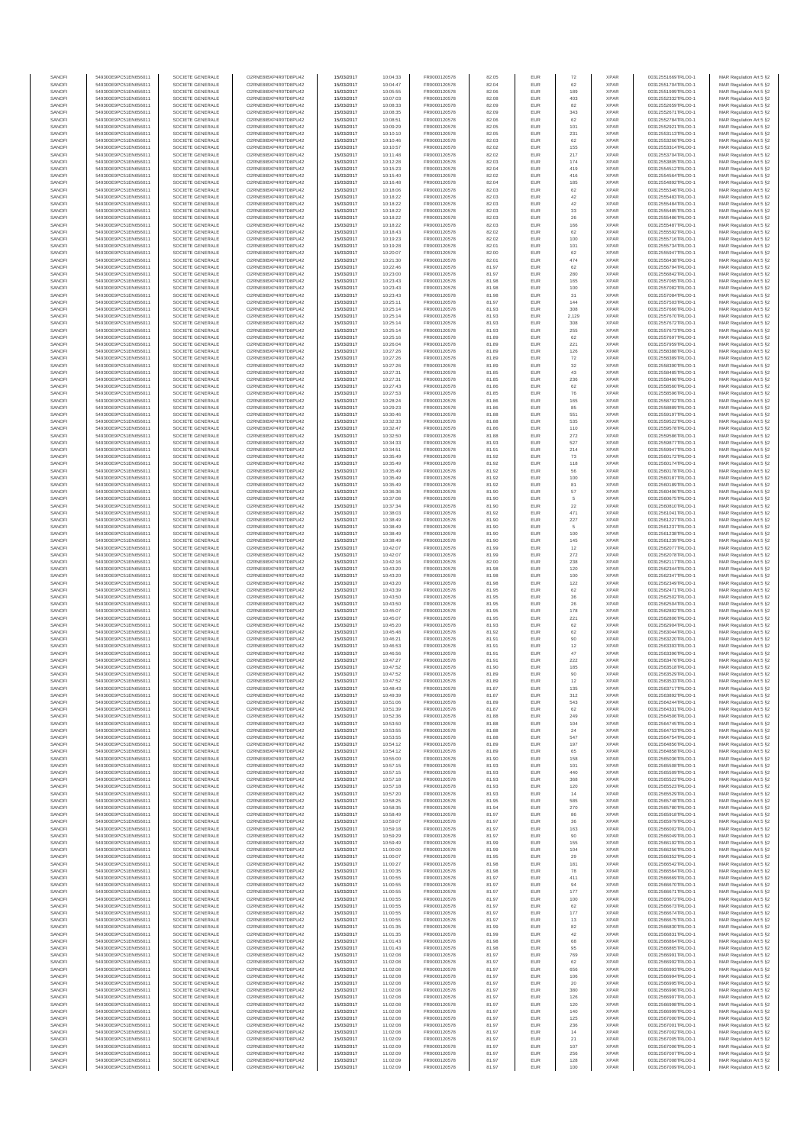| SANOFI           | 549300E9PC51EN656011                         | SOCIETE GENERALE                     | O2RNE8IBXP4R0TD8PU42                         | 15/03/2017               | 10:04:33             | FR0000120578                 | 82.05          | EUR               | 72            | <b>XPAR</b>                | 00312551669TRLO0-1                       | MAR Regulation Art 5 §2                             |
|------------------|----------------------------------------------|--------------------------------------|----------------------------------------------|--------------------------|----------------------|------------------------------|----------------|-------------------|---------------|----------------------------|------------------------------------------|-----------------------------------------------------|
| SANOFI<br>SANOFI | 549300E9PC51EN656011<br>549300E9PC51EN656011 | SOCIETE GENERALE<br>SOCIETE GENERALE | O2RNE8IBXP4R0TD8PU42<br>O2RNE8IBXP4R0TD8PU42 | 15/03/2017<br>15/03/2017 | 10:04:47<br>10:05:55 | FR0000120578<br>FR0000120578 | 82.04<br>82.06 | EUR<br>EUR        | 62<br>189     | <b>XPAR</b><br><b>XPAR</b> | 00312551704TRLO0-1<br>00312551999TRLO0-1 | MAR Regulation Art 5 §2                             |
| SANOFI           | 549300E9PC51EN656011                         | SOCIETE GENERALE                     | O2RNE8IBXP4R0TD8PU42                         | 15/03/2017               | 10:07:03             | FR0000120578                 | 82.08          | EUR               | 403           | <b>XPAR</b>                | 00312552332TRLO0-1                       | MAR Regulation Art 5 §2<br>MAR Regulation Art 5 §2  |
| SANOFI           | 549300E9PC51EN656011                         | SOCIETE GENERALE                     | O2RNE8IBXP4R0TD8PU42                         | 15/03/2017               | 10:08:33             | FR0000120578                 | 82.09          | EUR               | 82            | <b>XPAR</b>                | 00312552659TRLO0-1                       | MAR Regulation Art 5 §2                             |
| SANOFI           | 549300E9PC51EN656011                         | SOCIETE GENERALE                     | O2RNE8IBXP4R0TD8PU42                         | 15/03/2017               | 10:08:35             | FR0000120578                 | 82.09          | EUR               | 343           | <b>XPAR</b>                | 00312552671TRLO0-1                       | MAR Regulation Art 5 §2                             |
| SANOFI<br>SANOFI | 549300E9PC51EN656011<br>549300E9PC51EN656011 | SOCIETE GENERALE<br>SOCIETE GENERALE | O2RNE8IBXP4R0TD8PU42<br>O2RNE8IBXP4R0TD8PU42 | 15/03/2017<br>15/03/2017 | 10:08:51<br>10:09:29 | FR0000120578<br>FR0000120578 | 82.06<br>82.05 | EUR<br>EUR        | 62<br>101     | <b>XPAR</b><br><b>XPAR</b> | 00312552784TRLO0-1<br>00312552921TRLO0-1 | MAR Regulation Art 5 \$2<br>MAR Regulation Art 5 §2 |
| SANOFI           | 549300E9PC51EN656011                         | SOCIETE GENERALE                     | O2RNE8IBXP4R0TD8PU42                         | 15/03/2017               | 10:10:10             | FR0000120578                 | 82.05          | EUR               | 231           | <b>XPAR</b>                | 00312553113TRLO0-1                       | MAR Regulation Art 5 §2                             |
| SANOFI           | 549300E9PC51EN656011                         | SOCIETE GENERALE                     | O2RNE8IBXP4R0TD8PU42                         | 15/03/2017               | 10:10:46             | FR0000120578                 | 82.03          | EUR               | 62            | <b>XPAR</b>                | 00312553266TRLO0-1                       | MAR Regulation Art 5 §2                             |
| SANOFI<br>SANOFI | 549300E9PC51EN656011<br>549300E9PC51EN656011 | SOCIETE GENERALE<br>SOCIETE GENERALE | O2RNE8IBXP4R0TD8PU42<br>O2RNE8IBXP4R0TD8PU42 | 15/03/2017<br>15/03/2017 | 10:10:57<br>10:11:48 | FR0000120578<br>FR0000120578 | 82.02<br>82.02 | EUR<br>EUR        | 155<br>217    | <b>XPAR</b><br><b>XPAR</b> | 00312553314TRLO0-1<br>00312553704TRLO0-1 | MAR Regulation Art 5 §2<br>MAR Regulation Art 5 §2  |
| SANOFI           | 549300E9PC51EN656011                         | SOCIETE GENERALE                     | O2RNE8IBXP4R0TD8PU42                         | 15/03/2017               | 10:12:28             | FR0000120578                 | 82.03          | EUR               | 174           | <b>XPAR</b>                | 00312553805TRLO0-1                       | MAR Regulation Art 5 §2                             |
| SANOFI           | 549300E9PC51EN656011                         | SOCIETE GENERALE                     | O2RNE8IBXP4R0TD8PU42                         | 15/03/2017               | 10:15:23             | FR0000120578                 | 82.04          | EUR               | 419           | <b>XPAR</b>                | 00312554512TRLO0-1                       | MAR Regulation Art 5 §2                             |
| SANOFI           | 549300E9PC51EN656011                         | SOCIETE GENERALE                     | O2RNE8IBXP4R0TD8PU42                         | 15/03/2017               | 10:15:40             | FR0000120578                 | 82.02          | EUR               | 416           | <b>XPAR</b>                | 00312554564TRLO0-1                       | MAR Regulation Art 5 §2                             |
| SANOFI<br>SANOFI | 549300E9PC51EN656011<br>549300E9PC51EN656011 | SOCIETE GENERALE<br>SOCIETE GENERALE | O2RNE8IBXP4R0TD8PU42<br>O2RNE8IBXP4R0TD8PU42 | 15/03/2017<br>15/03/2017 | 10:16:48<br>10:18:06 | FR0000120578<br>FR0000120578 | 82.04<br>82.03 | EUR<br>EUR        | 185<br>62     | <b>XPAR</b><br><b>XPAR</b> | 00312554892TRLO0-1<br>00312555346TRLO0-1 | MAR Regulation Art 5 §2<br>MAR Regulation Art 5 §2  |
| SANOFI           | 549300E9PC51EN656011                         | SOCIETE GENERALE                     | O2RNE8IBXP4R0TD8PU42                         | 15/03/2017               | 10:18:22             | FR0000120578                 | 82.03          | EUR               | 42            | <b>XPAR</b>                | 00312555483TRLO0-1                       | MAR Regulation Art 5 §2                             |
| SANOFI           | 549300E9PC51EN656011                         | SOCIETE GENERALE                     | O2RNE8IBXP4R0TD8PU42                         | 15/03/2017               | 10:18:22             | FR0000120578                 | 82.03          | EUR               | $42\,$        | <b>XPAR</b>                | 00312555484TRLO0-1                       | MAR Regulation Art 5 §2                             |
| SANOFI           | 549300E9PC51EN656011                         | SOCIETE GENERALE                     | O2RNE8IBXP4R0TD8PU42                         | 15/03/2017               | 10:18:22             | FR0000120578                 | 82.03          | EUR               | 33            | <b>XPAR</b>                | 00312555485TRLO0-1                       | MAR Regulation Art 5 §2                             |
| SANOFI<br>SANOFI | 549300E9PC51EN656011<br>549300E9PC51EN656011 | SOCIETE GENERALE<br>SOCIETE GENERALE | O2RNE8IBXP4R0TD8PU42<br>O2RNE8IBXP4R0TD8PU42 | 15/03/2017<br>15/03/2017 | 10:18:22<br>10:18:22 | FR0000120578<br>FR0000120578 | 82.03<br>82.03 | EUR<br>EUR        | 26<br>166     | <b>XPAR</b><br><b>XPAR</b> | 00312555486TRLO0-1<br>00312555487TRLO0-1 | MAR Regulation Art 5 §2<br>MAR Regulation Art 5 §2  |
| SANOFI           | 549300E9PC51EN656011                         | SOCIETE GENERALE                     | O2RNE8IBXP4R0TD8PU42                         | 15/03/2017               | 10:18:43             | FR0000120578                 | 82.02          | EUR               | 62            | <b>XPAR</b>                | 00312555592TRLO0-1                       | MAR Regulation Art 5 §2                             |
| SANOFI           | 549300E9PC51EN656011                         | SOCIETE GENERALE                     | O2RNE8IBXP4R0TD8PU42                         | 15/03/2017               | 10:19:23             | FR0000120578                 | 82.02          | EUR               | 100           | <b>XPAR</b>                | 00312555716TRLO0-1                       | MAR Regulation Art 5 §2                             |
| SANOFI<br>SANOFI | 549300E9PC51EN656011<br>549300E9PC51EN656011 | SOCIETE GENERALE<br>SOCIETE GENERALE | O2RNE8IBXP4R0TD8PU42<br>O2RNE8IBXP4R0TD8PU42 | 15/03/2017<br>15/03/2017 | 10:19:28<br>10:20:07 | FR0000120578<br>FR0000120578 | 82.01<br>82.00 | EUR<br>EUR        | 101<br>62     | <b>XPAR</b><br><b>XPAR</b> | 00312555734TRLO0-1<br>00312555947TRLO0-1 | MAR Regulation Art 5 §2<br>MAR Regulation Art 5 §2  |
| SANOFI           | 549300E9PC51EN656011                         | SOCIETE GENERALE                     | O2RNE8IBXP4R0TD8PU42                         | 15/03/2017               | 10:21:30             | FR0000120578                 | 82.01          | EUR               | 474           | <b>XPAR</b>                | 00312556438TRLO0-1                       | MAR Regulation Art 5 62                             |
| SANOFI           | 549300E9PC51EN656011                         | SOCIETE GENERALE                     | O2RNE8IBXP4R0TD8PU42                         | 15/03/2017               | 10:22:46             | FR0000120578                 | 81.97          | EUR               | 62            | <b>XPAR</b>                | 00312556794TRLO0-1                       | MAR Regulation Art 5 §2                             |
| SANOFI           | 549300E9PC51EN656011                         | SOCIETE GENERALE                     | O2RNE8IBXP4R0TD8PU42                         | 15/03/2017               | 10:23:00             | FR0000120578                 | 81.97          | EUR               | 280           | <b>XPAR</b>                | 00312556842TRLO0-1                       | MAR Regulation Art 5 §2                             |
| SANOFI<br>SANOFI | 549300E9PC51EN656011<br>549300E9PC51EN656011 | SOCIETE GENERALE<br>SOCIETE GENERALE | O2RNE8IBXP4R0TD8PU42<br>O2RNE8IBXP4R0TD8PU42 | 15/03/2017<br>15/03/2017 | 10:23:43<br>10:23:43 | FR0000120578<br>FR0000120578 | 81.98<br>81.98 | EUR<br>EUR        | 165<br>100    | <b>XPAR</b><br><b>XPAR</b> | 00312557065TRLO0-1<br>00312557082TRLO0-1 | MAR Regulation Art 5 §2<br>MAR Regulation Art 5 §2  |
| SANOFI           | 549300E9PC51EN656011                         | SOCIETE GENERALE                     | O2RNE8IBXP4R0TD8PU42                         | 15/03/2017               | 10:23:43             | FR0000120578                 | 81.98          | EUR               | 31            | <b>XPAR</b>                | 00312557084TRLO0-1                       | MAR Regulation Art 5 §2                             |
| SANOFI           | 549300E9PC51EN656011                         | SOCIETE GENERALE                     | O2RNE8IBXP4R0TD8PU42                         | 15/03/2017               | 10:25:11             | FR0000120578                 | 81.97          | EUR               | 144           | <b>XPAR</b>                | 00312557503TRLO0-1                       | MAR Regulation Art 5 §2                             |
| SANOFI<br>SANOFI | 549300E9PC51EN656011<br>549300E9PC51EN656011 | SOCIETE GENERALE<br>SOCIETE GENERALE | O2RNE8IBXP4R0TD8PU42<br>O2RNE8IBXP4R0TD8PU42 | 15/03/2017<br>15/03/2017 | 10:25:14<br>10:25:14 | FR0000120578<br>FR0000120578 | 81.93<br>81.93 | EUR<br>EUR        | 308<br>2,129  | <b>XPAR</b><br><b>XPAR</b> | 00312557666TRLO0-1<br>00312557670TRLO0-1 | MAR Regulation Art 5 \$2<br>MAR Regulation Art 5 §2 |
| SANOFI           | 549300E9PC51EN656011                         | SOCIETE GENERALE                     | O2RNE8IBXP4R0TD8PU42                         | 15/03/2017               | 10:25:14             | FR0000120578                 | 81.93          | EUR               | 308           | <b>XPAR</b>                | 00312557672TRLO0-1                       | MAR Regulation Art 5 §2                             |
| SANOFI           | 549300E9PC51EN656011                         | SOCIETE GENERALE                     | O2RNE8IBXP4R0TD8PU42                         | 15/03/2017               | 10:25:14             | FR0000120578                 | 81.93          | EUR               | 255           | <b>XPAR</b>                | 00312557673TRLO0-1                       | MAR Regulation Art 5 §2                             |
| SANOFI           | 549300E9PC51EN656011                         | SOCIETE GENERALE                     | O2RNE8IBXP4R0TD8PU42                         | 15/03/2017               | 10:25:16             | FR0000120578                 | 81.89          | EUR               | 62            | <b>XPAR</b>                | 00312557697TRLO0-1<br>00312557959TRLO0-1 | MAR Regulation Art 5 §2                             |
| SANOFI<br>SANOFI | 549300E9PC51EN656011<br>549300E9PC51EN656011 | SOCIETE GENERALE<br>SOCIETE GENERALE | O2RNE8IBXP4R0TD8PU42<br>O2RNE8IBXP4R0TD8PU42 | 15/03/2017<br>15/03/2017 | 10:26:04<br>10:27:26 | FR0000120578<br>FR0000120578 | 81.89<br>81.89 | EUR<br>EUR        | 221<br>126    | <b>XPAR</b><br><b>XPAR</b> | 00312558388TRLO0-1                       | MAR Regulation Art 5 §2<br>MAR Regulation Art 5 §2  |
| SANOFI           | 549300E9PC51EN656011                         | SOCIETE GENERALE                     | O2RNE8IBXP4R0TD8PU42                         | 15/03/2017               | 10:27:26             | FR0000120578                 | 81.89          | EUR               | 72            | <b>XPAR</b>                | 00312558389TRLO0-1                       | MAR Regulation Art 5 §2                             |
| SANOFI           | 549300E9PC51EN656011                         | SOCIETE GENERALE                     | O2RNE8IBXP4R0TD8PU42                         | 15/03/2017               | 10:27:26             | FR0000120578                 | 81.89          | EUR               | 32            | <b>XPAR</b>                | 00312558390TRLO0-1                       | MAR Regulation Art 5 §2                             |
| SANOFI<br>SANOFI | 549300E9PC51EN656011<br>549300E9PC51EN656011 | SOCIETE GENERALE<br>SOCIETE GENERALE | O2RNE8IBXP4R0TD8PU42<br>O2RNE8IBXP4R0TD8PU42 | 15/03/2017<br>15/03/2017 | 10:27:31<br>10:27:31 | FR0000120578<br>FR0000120578 | 81.85<br>81.85 | EUR<br>EUR        | 43<br>236     | <b>XPAR</b><br><b>XPAR</b> | 00312558485TRLO0-1<br>00312558486TRLO0-1 | MAR Regulation Art 5 §2<br>MAR Regulation Art 5 §2  |
| SANOFI           | 549300E9PC51EN656011                         | SOCIETE GENERALE                     | O2RNE8IBXP4R0TD8PU42                         | 15/03/2017               | 10:27:43             | FR0000120578                 | 81.86          | EUR               | 62            | <b>XPAR</b>                | 00312558560TRLO0-1                       | MAR Regulation Art 5 §2                             |
| SANOFI           | 549300E9PC51EN656011                         | SOCIETE GENERALE                     | O2RNE8IBXP4R0TD8PU42                         | 15/03/2017               | 10:27:53             | FR0000120578                 | 81.85          | EUR               | 76            | <b>XPAR</b>                | 00312558596TRLO0-1                       | MAR Regulation Art 5 §2                             |
| SANOFI           | 549300E9PC51EN656011                         | SOCIETE GENERALE                     | O2RNE8IBXP4R0TD8PU42                         | 15/03/2017               | 10:28:24             | FR0000120578                 | 81.86          | EUR               | 165           | <b>XPAR</b>                | 00312558702TRLO0-1                       | MAR Regulation Art 5 §2                             |
| SANOFI<br>SANOFI | 549300E9PC51EN656011<br>549300E9PC51EN656011 | SOCIETE GENERALE<br>SOCIETE GENERALE | O2RNE8IBXP4R0TD8PU42<br>O2RNE8IBXP4R0TD8PU42 | 15/03/2017<br>15/03/2017 | 10:29:23<br>10:30:46 | FR0000120578<br>FR0000120578 | 81.86<br>81.88 | EUR<br>EUR        | 85<br>551     | <b>XPAR</b><br><b>XPAR</b> | 00312558889TRLO0-1<br>00312559197TRLO0-1 | MAR Regulation Art 5 §2<br>MAR Regulation Art 5 §2  |
| SANOFI           | 549300E9PC51EN656011                         | SOCIETE GENERALE                     | O2RNE8IBXP4R0TD8PLI42                        | 15/03/2017               | 10:32:33             | FR0000120578                 | 81.88          | EUR               | 535           | <b>XPAR</b>                | 00312559522TRLO0-1                       | MAR Regulation Art 5 §2                             |
| SANOFI           | 549300E9PC51EN656011                         | SOCIETE GENERALE                     | O2RNE8IBXP4R0TD8PU42                         | 15/03/2017               | 10:32:47             | FR0000120578                 | 81.86          | EUR               | 110           | <b>XPAR</b>                | 00312559578TRLO0-1                       | MAR Regulation Art 5 §2                             |
| SANOFI<br>SANOFI | 549300E9PC51EN656011<br>549300E9PC51EN656011 | SOCIETE GENERALE<br>SOCIETE GENERALE | O2RNE8IBXP4R0TD8PU42<br>O2RNE8IBXP4R0TD8PU42 | 15/03/2017<br>15/03/2017 | 10:32:50<br>10:34:33 | FR0000120578<br>FR0000120578 | 81.88<br>81.93 | EUR<br>EUR        | 272<br>527    | <b>XPAR</b><br><b>XPAR</b> | 00312559586TRLO0-1<br>00312559877TRLO0-1 | MAR Regulation Art 5 \$2<br>MAR Regulation Art 5 §2 |
| SANOFI           | 549300E9PC51EN656011                         | SOCIETE GENERALE                     | O2RNE8IBXP4R0TD8PU42                         | 15/03/2017               | 10:34:51             | FR0000120578                 | 81.91          | EUR               | 214           | <b>XPAR</b>                | 00312559947TRLO0-1                       | MAR Regulation Art 5 §2                             |
| SANOFI           | 549300E9PC51EN656011                         | SOCIETE GENERALE                     | O2RNE8IBXP4R0TD8PU42                         | 15/03/2017               | 10:35:49             | FR0000120578                 | 81.92          | EUR               | 73            | <b>XPAR</b>                | 00312560172TRLO0-1                       | MAR Regulation Art 5 §2                             |
| SANOFI           | 549300E9PC51EN656011                         | SOCIETE GENERALE                     | O2RNE8IBXP4R0TD8PU42                         | 15/03/2017               | 10:35:49             | FR0000120578                 | 81.92          | EUR               | 118           | <b>XPAR</b>                | 00312560174TRLO0-1                       | MAR Regulation Art 5 §2                             |
| SANOFI<br>SANOFI | 549300E9PC51EN656011<br>549300E9PC51EN656011 | SOCIETE GENERALE<br>SOCIETE GENERALE | O2RNE8IBXP4R0TD8PU42<br>O2RNE8IBXP4R0TD8PU42 | 15/03/2017<br>15/03/2017 | 10:35:49<br>10:35:49 | FR0000120578<br>FR0000120578 | 81.92<br>81.92 | EUR<br>EUR        | 56<br>100     | <b>XPAR</b><br><b>XPAR</b> | 00312560178TRLO0-1<br>00312560187TRLO0-1 | MAR Regulation Art 5 §2<br>MAR Regulation Art 5 §2  |
| SANOFI           | 549300E9PC51EN656011                         | SOCIETE GENERALE                     | O2RNE8IBXP4R0TD8PU42                         | 15/03/2017               | 10:35:49             | FR0000120578                 | 81.92          | EUR               | 81            | <b>XPAR</b>                | 00312560189TRLO0-1                       | MAR Regulation Art 5 §2                             |
| SANOFI           | 549300E9PC51EN656011                         | SOCIETE GENERALE                     | O2RNE8IBXP4R0TD8PU42                         | 15/03/2017               | 10:36:36             | FR0000120578                 | 81.90          | EUR               | 57            | <b>XPAR</b>                | 00312560406TRLO0-1                       | MAR Regulation Art 5 §2                             |
| SANOFI           | 549300E9PC51EN656011                         | SOCIETE GENERALE                     | O2RNE8IBXP4R0TD8PU42                         | 15/03/2017               | 10:37:08             | FR0000120578                 | 81.90          | EUR               | 5             | <b>XPAR</b>                | 00312560675TRLO0-1                       | MAR Regulation Art 5 §2                             |
| SANOFI<br>SANOFI | 549300E9PC51EN656011<br>549300E9PC51EN656011 | SOCIETE GENERALE<br>SOCIETE GENERALE | O2RNE8IBXP4R0TD8PU42<br>O2RNE8IBXP4R0TD8PU42 | 15/03/2017<br>15/03/2017 | 10:37:34<br>10:38:03 | FR0000120578<br>FR0000120578 | 81.90<br>81.92 | EUR<br>EUR        | $22\,$<br>471 | <b>XPAR</b><br><b>XPAR</b> | 00312560810TRLO0-1<br>00312561041TRLO0-1 | MAR Regulation Art 5 §2<br>MAR Regulation Art 5 §2  |
| SANOFI           | 549300E9PC51EN656011                         | SOCIETE GENERALE                     | O2RNE8IBXP4R0TD8PU42                         | 15/03/2017               | 10:38:49             | FR0000120578                 | 81.90          | EUR               | 227           | <b>XPAR</b>                | 00312561227TRLO0-1                       | MAR Regulation Art 5 §2                             |
| SANOFI           | 549300E9PC51EN656011                         | SOCIETE GENERALE                     | O2RNE8IBXP4R0TD8PU42                         | 15/03/2017               | 10:38:49             | FR0000120578                 | 81.90          | EUR               | 5             | <b>XPAR</b>                | 00312561237TRLO0-1                       | MAR Regulation Art 5 §2                             |
| SANOFI<br>SANOFI | 549300E9PC51EN656011<br>549300E9PC51EN656011 | SOCIETE GENERALE<br>SOCIETE GENERALE | O2RNE8IBXP4R0TD8PU42<br>O2RNE8IBXP4R0TD8PU42 | 15/03/2017<br>15/03/2017 | 10:38:49<br>10:38:49 | FR0000120578<br>FR0000120578 | 81.90<br>81.90 | EUR<br>EUR        | 100<br>145    | <b>XPAR</b><br><b>XPAR</b> | 00312561238TRLO0-1<br>00312561239TRLO0-1 | MAR Regulation Art 5 §2                             |
| SANOFI           | 549300E9PC51EN656011                         | SOCIETE GENERALE                     | O2RNE8IBXP4R0TD8PU42                         | 15/03/2017               | 10:42:07             | FR0000120578                 | 81.99          | EUR               | 12            | <b>XPAR</b>                | 00312562077TRLO0-1                       | MAR Regulation Art 5 §2<br>MAR Regulation Art 5 §2  |
| SANOFI           | 549300E9PC51EN656011                         | SOCIETE GENERALE                     | O2RNE8IBXP4R0TD8PU42                         | 15/03/2017               | 10:42:07             | FR0000120578                 | 81.99          | EUR               | 272           | <b>XPAR</b>                | 00312562078TRLO0-1                       | MAR Regulation Art 5 §2                             |
| SANOFI           | 549300E9PC51EN656011                         | SOCIETE GENERALE                     | O2RNE8IBXP4R0TD8PU42                         | 15/03/2017               | 10:42:16             | FR0000120578                 | 82.00          | EUR               | 238           | <b>XPAR</b>                | 00312562117TRLO0-1                       | MAR Regulation Art 5 §2                             |
| SANOFI<br>SANOFI | 549300E9PC51EN656011<br>549300E9PC51EN656011 | SOCIETE GENERALE<br>SOCIETE GENERALE | O2RNE8IBXP4R0TD8PU42<br>O2RNE8IBXP4R0TD8PU42 | 15/03/2017<br>15/03/2017 | 10:43:20<br>10:43:20 | FR0000120578<br>FR0000120578 | 81.98<br>81.98 | EUR<br>EUR        | 120<br>100    | <b>XPAR</b><br><b>XPAR</b> | 00312562344TRLO0-1<br>00312562347TRLO0-1 | MAR Regulation Art 5 §2<br>MAR Regulation Art 5 §2  |
| SANOFI           | 549300E9PC51EN656011                         | SOCIETE GENERALE                     | O2RNE8IBXP4R0TD8PU42                         | 15/03/2017               | 10:43:20             | FR0000120578                 | 81.98          | EUR               | 122           | <b>XPAR</b>                | 00312562349TRLO0-1                       | MAR Regulation Art 5 §2                             |
| SANOFI           | 549300E9PC51EN656011                         | SOCIETE GENERALE                     | O2RNE8IBXP4R0TD8PU42                         | 15/03/2017               | 10:43:39             | FR0000120578                 | 81.95          | EUR               | 62            | <b>XPAR</b>                | 00312562471TRLO0-1                       | MAR Regulation Art 5 §2                             |
| SANOFI           | 549300E9PC51EN656011                         | SOCIETE GENERALE                     | O2RNE8IBXP4R0TD8PU42                         | 15/03/2017               | 10:43:50             | FR0000120578                 | 81.95          | EUR               | 36            | <b>XPAR</b>                | 00312562502TRLO0-1                       | MAR Regulation Art 5 §2                             |
| SANOFI<br>SANOFI | 549300E9PC51EN656011<br>549300E9PC51EN656011 | SOCIETE GENERALE<br>SOCIETE GENERALE | O2RNE8IBXP4R0TD8PU42<br>O2RNE8IBXP4R0TD8PU42 | 15/03/2017<br>15/03/2017 | 10:43:50<br>10:45:07 | FR0000120578<br>FR0000120578 | 81.95<br>81.95 | EUR<br>EUR        | 26<br>178     | <b>XPAR</b><br><b>XPAR</b> | 00312562504TRLO0-1<br>00312562802TRLO0-1 | MAR Regulation Art 5 §2<br>MAR Regulation Art 5 §2  |
| SANOFI           | 549300E9PC51EN656011                         | SOCIETE GENERALE                     | O2RNE8IBXP4R0TD8PU42                         | 15/03/2017               | 10:45:07             | FR0000120578                 | 81.95          | EUR               | 221           | <b>XPAR</b>                | 00312562806TRLO0-1                       | MAR Regulation Art 5 §2                             |
| SANOFI           | 549300E9PC51EN656011                         | SOCIETE GENERALE                     | O2RNE8IBXP4R0TD8PU42                         | 15/03/2017               | 10:45:20             | FR0000120578                 | 81.93          | EUR               | 62            | <b>XPAR</b>                | 00312562904TRLO0-1                       | MAR Regulation Art 5 §2                             |
| SANOFI           | 549300E9PC51EN656011                         | SOCIETE GENERALE                     | O2RNE8IBXP4R0TD8PU42                         | 15/03/2017               | 10:45:48             | FR0000120578                 | 81.92          | EUR               | 62            | <b>XPAR</b>                | 00312563044TRLO0-1<br>00312563220TRLO0-1 | MAR Regulation Art 5 §2<br>MAR Regulation Art 5 §2  |
| SANOFI<br>SANOFI | 549300E9PC51EN656011<br>549300E9PC51EN656011 | SOCIETE GENERALE<br>SOCIETE GENERALE | O2RNE8IBXP4R0TD8PU42<br>O2RNE8IBXP4R0TD8PU42 | 15/03/2017<br>15/03/2017 | 10:46:21<br>10:46:53 | FR0000120578<br>FR0000120578 | 81.91<br>81.91 | EUR<br>EUR        | 90<br>12      | <b>XPAR</b><br><b>XPAR</b> | 00312563393TRLO0-1                       | MAR Regulation Art 5 §2                             |
| SANOFI           | 549300E9PC51EN656011                         | SOCIETE GENERALE                     | O2RNE8IBXP4R0TD8PU42                         | 15/03/2017               | 10:46:56             | FR0000120578                 | 81.91          | EUR               | 47            | <b>XPAR</b>                | 00312563396TRLO0-1                       | MAR Regulation Art 5 §2                             |
| SANOFI           | 549300E9PC51EN656011                         | SOCIETE GENERALE                     | O2RNE8IBXP4R0TD8PU42                         | 15/03/2017               | 10:47:27             | FR0000120578                 | 81.91          | EUR               | 222           | <b>XPAR</b>                | 00312563476TRLO0-1                       | MAR Regulation Art 5 \$2                            |
| SANOFI<br>SANOFI | 549300E9PC51EN656011<br>549300E9PC51EN656011 | SOCIETE GENERALE<br>SOCIETE GENERALE | O2RNE8IBXP4R0TD8PU42<br>O2RNE8IBXP4R0TD8PU42 | 15/03/2017<br>15/03/2017 | 10:47:52<br>10:47:52 | FR0000120578<br>FR0000120578 | 81.90<br>81.89 | EUR<br><b>EUR</b> | 185<br>90     | <b>XPAR</b><br><b>XPAR</b> | 00312563518TRLO0-1<br>00312563529TRLO0-1 | MAR Regulation Art 5 §2<br>MAR Regulation Art 5 §2  |
| SANOFI           | 549300E9PC51EN656011                         | SOCIETE GENERALE                     | O2RNE8IBXP4R0TD8PU42                         | 15/03/2017               | 10:47:52             | FR0000120578                 | 81.89          | EUR               | 12            | <b>XPAR</b>                | 00312563533TRLO0-1                       | MAR Regulation Art 5 §2                             |
| SANOFI           | 549300E9PC51EN656011                         | SOCIETE GENERALE                     | O2RNE8IBXP4R0TD8PU42                         | 15/03/2017               | 10:48:43             | FR0000120578                 | 81.87          | EUR               | 135           | <b>XPAR</b>                | 00312563717TRLO0-1                       | MAR Regulation Art 5 §2                             |
| SANOFI           | 549300E9PC51EN656011                         | SOCIETE GENERALE                     | O2RNE8IBXP4R0TD8PU42                         | 15/03/2017               | 10:49:39             | FR0000120578                 | 81.87          | EUR               | 312           | <b>XPAR</b>                | 00312563892TRLO0-1                       | MAR Regulation Art 5 §2                             |
| SANOFI<br>SANOFI | 549300E9PC51EN656011<br>549300E9PC51EN656011 | SOCIETE GENERALE<br>SOCIETE GENERALE | O2RNE8IBXP4R0TD8PU42<br>O2RNE8IBXP4R0TD8PU42 | 15/03/2017<br>15/03/2017 | 10:51:06<br>10:51:39 | FR0000120578<br>FR0000120578 | 81.89<br>81.87 | EUR<br>EUR        | 543<br>62     | <b>XPAR</b><br><b>XPAR</b> | 00312564244TRLO0-1<br>00312564331TRLO0-1 | MAR Regulation Art 5 §2<br>MAR Regulation Art 5 §2  |
| SANOFI           | 549300E9PC51EN656011                         | SOCIETE GENERALE                     | O2RNE8IBXP4R0TD8PU42                         | 15/03/2017               | 10:52:36             | FR0000120578                 | 81.88          | EUR               | 249           | <b>XPAR</b>                | 00312564506TRLO0-1                       | MAR Regulation Art 5 §2                             |
| SANOFI           | 549300E9PC51EN656011                         | SOCIETE GENERALE                     | O2RNE8IBXP4R0TD8PU42                         | 15/03/2017               | 10:53:50             | FR0000120578                 | 81.88          | EUR               | 104           | <b>XPAR</b>                | 00312564745TRLO0-1                       | MAR Regulation Art 5 §2                             |
| SANOFI<br>SANOFI | 549300E9PC51EN656011<br>549300E9PC51EN656011 | SOCIETE GENERALE<br>SOCIETE GENERALE | O2RNE8IBXP4R0TD8PU42<br>O2RNE8IBXP4R0TD8PU42 | 15/03/2017<br>15/03/2017 | 10:53:55<br>10:53:55 | FR0000120578<br>FR0000120578 | 81.88<br>81.88 | EUR<br>EUR        | 24<br>547     | <b>XPAR</b><br><b>XPAR</b> | 00312564753TRLO0-1<br>00312564754TRLO0-1 | MAR Regulation Art 5 §2<br>MAR Regulation Art 5 \$2 |
| SANOFI           | 549300E9PC51EN656011                         | SOCIETE GENERALE                     | O2RNE8IBXP4R0TD8PU42                         | 15/03/2017               | 10:54:12             | FR0000120578                 | 81.89          | EUR               | 197           | <b>XPAR</b>                | 00312564856TRLO0-1                       | MAR Regulation Art 5 §2                             |
| SANOFI           | 549300E9PC51EN656011                         | SOCIETE GENERALE                     | O2RNE8IBXP4R0TD8PU42                         | 15/03/2017               | 10:54:12             | FR0000120578                 | 81.89          | EUR               | 65            | <b>XPAR</b>                | 00312564858TRLO0-1                       | MAR Regulation Art 5 §2                             |
| SANOFI<br>SANOFI | 549300E9PC51EN656011<br>549300E9PC51EN656011 | SOCIETE GENERALE<br>SOCIETE GENERALE | O2RNE8IBXP4R0TD8PU42<br>O2RNE8IBXP4R0TD8PU42 | 15/03/2017<br>15/03/2017 | 10:55:00<br>10:57:15 | FR0000120578<br>FR0000120578 | 81.90<br>81.93 | EUR<br>EUR        | 158<br>101    | <b>XPAR</b><br><b>XPAR</b> | 00312565036TRLO0-1<br>00312565508TRLO0-1 | MAR Regulation Art 5 §2<br>MAR Regulation Art 5 §2  |
| SANOFI           | 549300E9PC51EN656011                         | SOCIETE GENERALE                     | O2RNE8IBXP4R0TD8PU42                         | 15/03/2017               | 10:57:15             | FR0000120578                 | 81.93          | EUR               | 440           | <b>XPAR</b>                | 00312565509TRLO0-1                       | MAR Regulation Art 5 §2                             |
| SANOFI           | 549300E9PC51EN656011                         | SOCIETE GENERALE                     | O2RNE8IBXP4R0TD8PU42                         | 15/03/2017               | 10:57:18             | FR0000120578                 | 81.93          | EUR               | 368           | <b>XPAR</b>                | 00312565522TRLO0-1                       | MAR Regulation Art 5 §2                             |
| SANOFI<br>SANOFI | 549300E9PC51EN656011<br>549300E9PC51EN656011 | SOCIETE GENERALE<br>SOCIETE GENERALE | O2RNE8IBXP4R0TD8PU42<br>O2RNE8IBXP4R0TD8PU42 | 15/03/2017<br>15/03/2017 | 10:57:18<br>10:57:20 | FR0000120578<br>FR0000120578 | 81.93<br>81.93 | EUR<br>EUR        | 120<br>14     | <b>XPAR</b><br><b>XPAR</b> | 00312565523TRLO0-1<br>00312565529TRLO0-1 | MAR Regulation Art 5 §2                             |
| SANOFI           | 549300E9PC51EN656011                         | SOCIETE GENERALE                     | O2RNE8IBXP4R0TD8PU42                         | 15/03/2017               | 10:58:25             | FR0000120578                 | 81.95          | EUR               | 585           | <b>XPAR</b>                | 00312565748TRLO0-1                       | MAR Regulation Art 5 §2<br>MAR Regulation Art 5 §2  |
| SANOFI           | 549300E9PC51EN656011                         | SOCIETE GENERALE                     | O2RNE8IBXP4R0TD8PU42                         | 15/03/2017               | 10:58:35             | FR0000120578                 | 81.94          | EUR               | 270           | <b>XPAR</b>                | 00312565780TRLO0-1                       | MAR Regulation Art 5 §2                             |
| SANOFI           | 549300E9PC51EN656011                         | SOCIETE GENERALE<br>SOCIETE GENERALE | O2RNE8IBXP4R0TD8PU42                         | 15/03/2017               | 10:58:49             | FR0000120578                 | 81.97          | EUR               | 86            | <b>XPAR</b>                | 00312565918TRLO0-1                       | MAR Regulation Art 5 §2                             |
| SANOFI<br>SANOFI | 549300E9PC51EN656011<br>549300E9PC51EN656011 | SOCIETE GENERALE                     | O2RNE8IBXP4R0TD8PU42<br>O2RNE8IBXP4R0TD8PU42 | 15/03/2017<br>15/03/2017 | 10:59:07<br>10:59:18 | FR0000120578<br>FR0000120578 | 81.97<br>81.97 | EUR<br>EUR        | 36<br>163     | <b>XPAR</b><br><b>XPAR</b> | 00312565979TRLO0-1<br>00312566002TRLO0-1 | MAR Regulation Art 5 §2<br>MAR Regulation Art 5 §2  |
| SANOFI           | 549300E9PC51EN656011                         | SOCIETE GENERALE                     | O2RNE8IBXP4R0TD8PU42                         | 15/03/2017               | 10:59:29             | FR0000120578                 | 81.97          | EUR               | 90            | <b>XPAR</b>                | 00312566049TRLO0-1                       | MAR Regulation Art 5 §2                             |
| SANOFI           | 549300E9PC51EN656011                         | SOCIETE GENERALE                     | O2RNE8IBXP4R0TD8PU42                         | 15/03/2017               | 10:59:49             | FR0000120578                 | 81.99          | EUR               | 155           | <b>XPAR</b>                | 00312566192TRLO0-1                       | MAR Regulation Art 5 §2                             |
| SANOFI<br>SANOFI | 549300E9PC51EN656011<br>549300E9PC51EN656011 | SOCIETE GENERALE<br>SOCIETE GENERALE | O2RNE8IBXP4R0TD8PU42<br>O2RNE8IBXP4R0TD8PU42 | 15/03/2017<br>15/03/2017 | 11:00:00<br>11:00:07 | FR0000120578<br>FR0000120578 | 81.99<br>81.95 | EUR<br>EUR        | 104<br>29     | <b>XPAR</b><br><b>XPAR</b> | 00312566256TRLO0-1<br>00312566352TRLO0-1 | MAR Regulation Art 5 §2<br>MAR Regulation Art 5 §2  |
| SANOFI           | 549300E9PC51EN656011                         | SOCIETE GENERALE                     | O2RNE8IBXP4R0TD8PU42                         | 15/03/2017               | 11:00:27             | FR0000120578                 | 81.98          | EUR               | 181           | <b>XPAR</b>                | 00312566542TRLO0-1                       | MAR Regulation Art 5 §2                             |
| SANOFI           | 549300E9PC51EN656011                         | SOCIETE GENERALE                     | O2RNE8IBXP4R0TD8PU42                         | 15/03/2017               | 11:00:35             | FR0000120578                 | 81.98          | EUR               | 78            | <b>XPAR</b>                | 00312566564TRLO0-1                       | MAR Regulation Art 5 §2                             |
| SANOFI           | 549300E9PC51EN656011                         | SOCIETE GENERALE                     | O2RNE8IBXP4R0TD8PU42                         | 15/03/2017               | 11:00:55             | FR0000120578                 | 81.97          | EUR               | 411           | <b>XPAR</b>                | 00312566669TRLO0-1                       | MAR Regulation Art 5 §2                             |
| SANOFI<br>SANOFI | 549300E9PC51EN656011<br>549300E9PC51EN656011 | SOCIETE GENERALE<br>SOCIETE GENERALE | O2RNE8IBXP4R0TD8PU42<br>O2RNE8IBXP4R0TD8PU42 | 15/03/2017<br>15/03/2017 | 11:00:55<br>11:00:55 | FR0000120578<br>FR0000120578 | 81.97<br>81.97 | EUR<br>EUR        | 94<br>177     | <b>XPAR</b><br><b>XPAR</b> | 00312566670TRLO0-1<br>00312566671TRLO0-1 | MAR Regulation Art 5 §2<br>MAR Regulation Art 5 §2  |
| SANOFI           | 549300E9PC51EN656011                         | SOCIETE GENERALE                     | O2RNE8IBXP4R0TD8PU42                         | 15/03/2017               | 11:00:55             | FR0000120578                 | 81.97          | EUR               | 100           | <b>XPAR</b>                | 00312566672TRLO0-1                       | MAR Regulation Art 5 §2                             |
| SANOFI           | 549300E9PC51EN656011                         | SOCIETE GENERALE                     | O2RNE8IBXP4R0TD8PU42                         | 15/03/2017               | 11:00:55             | FR0000120578                 | 81.97          | EUR               | 62            | <b>XPAR</b>                | 00312566673TRLO0-1                       | MAR Regulation Art 5 §2                             |
| SANOFI<br>SANOFI | 549300E9PC51EN656011<br>549300E9PC51EN656011 | SOCIETE GENERALE<br>SOCIETE GENERALE | O2RNE8IBXP4R0TD8PU42<br>O2RNE8IBXP4R0TD8PU42 | 15/03/2017               | 11:00:55             | FR0000120578                 | 81.97<br>81.97 | EUR<br>EUR        | 177<br>13     | <b>XPAR</b><br><b>XPAR</b> | 00312566674TRLO0-1<br>00312566675TRLO0-1 | MAR Regulation Art 5 §2                             |
| SANOFI           | 549300E9PC51EN656011                         | SOCIETE GENERALE                     | O2RNE8IBXP4R0TD8PU42                         | 15/03/2017<br>15/03/2017 | 11:00:55<br>11:01:35 | FR0000120578<br>FR0000120578 | 81.99          | EUR               | 82            | <b>XPAR</b>                | 00312566830TRLO0-1                       | MAR Regulation Art 5 §2<br>MAR Regulation Art 5 §2  |
| SANOFI           | 549300E9PC51EN656011                         | SOCIETE GENERALE                     | O2RNE8IBXP4R0TD8PU42                         | 15/03/2017               | 11:01:35             | FR0000120578                 | 81.99          | EUR               | 42            | <b>XPAR</b>                | 00312566831TRLO0-1                       | MAR Regulation Art 5 §2                             |
| SANOFI           | 549300E9PC51EN656011                         | SOCIETE GENERALE                     | O2RNE8IBXP4R0TD8PU42                         | 15/03/2017               | 11:01:43             | FR0000120578                 | 81.98          | EUR               | 68            | <b>XPAR</b>                | 00312566864TRLO0-1                       | MAR Regulation Art 5 §2                             |
| SANOFI<br>SANOFI | 549300E9PC51EN656011<br>549300E9PC51EN656011 | SOCIETE GENERALE<br>SOCIETE GENERALE | O2RNE8IBXP4R0TD8PU42<br>O2RNE8IBXP4R0TD8PU42 | 15/03/2017<br>15/03/2017 | 11:01:43<br>11:02:08 | FR0000120578<br>FR0000120578 | 81.98<br>81.97 | EUR<br>EUR        | 95<br>769     | <b>XPAR</b><br><b>XPAR</b> | 00312566865TRLO0-1<br>00312566991TRLO0-1 | MAR Regulation Art 5 §2                             |
| SANOFI           | 549300E9PC51EN656011                         | SOCIETE GENERALE                     | O2RNE8IBXP4R0TD8PU42                         | 15/03/2017               | 11:02:08             | FR0000120578                 | 81.97          | EUR               | 62            | <b>XPAR</b>                | 00312566992TRLO0-1                       | MAR Regulation Art 5 §2<br>MAR Regulation Art 5 §2  |
| SANOFI           | 549300E9PC51EN656011                         | SOCIETE GENERALE                     | O2RNE8IBXP4R0TD8PU42                         | 15/03/2017               | 11:02:08             | FR0000120578                 | 81.97          | EUR               | 656           | <b>XPAR</b>                | 00312566993TRLO0-1                       | MAR Regulation Art 5 §2                             |
| SANOFI           | 549300E9PC51EN656011                         | SOCIETE GENERALE                     | O2RNE8IBXP4R0TD8PU42                         | 15/03/2017               | 11:02:08             | FR0000120578                 | 81.97          | EUR               | 106           | <b>XPAR</b>                | 00312566994TRLO0-1                       | MAR Regulation Art 5 §2                             |
| SANOFI<br>SANOFI | 549300E9PC51EN656011<br>549300E9PC51EN656011 | SOCIETE GENERALE<br>SOCIETE GENERALE | O2RNE8IBXP4R0TD8PU42<br>O2RNE8IBXP4R0TD8PU42 | 15/03/2017<br>15/03/2017 | 11:02:08<br>11:02:08 | FR0000120578<br>FR0000120578 | 81.97<br>81.97 | EUR<br>EUR        | 20<br>380     | <b>XPAR</b><br><b>XPAR</b> | 00312566995TRLO0-1<br>00312566996TRLO0-1 | MAR Regulation Art 5 §2<br>MAR Regulation Art 5 §2  |
| SANOFI           | 549300E9PC51EN656011                         | SOCIETE GENERALE                     | O2RNE8IBXP4R0TD8PU42                         | 15/03/2017               | 11:02:08             | FR0000120578                 | 81.97          | EUR               | 126           | <b>XPAR</b>                | 00312566997TRLO0-1                       | MAR Regulation Art 5 §2                             |
| SANOFI           | 549300E9PC51EN656011                         | SOCIETE GENERALE                     | O2RNE8IBXP4R0TD8PU42                         | 15/03/2017               | 11:02:08             | FR0000120578                 | 81.97          | EUR               | 120           | <b>XPAR</b>                | 00312566998TRLO0-1                       | MAR Regulation Art 5 §2                             |
| SANOFI<br>SANOFI | 549300E9PC51EN656011<br>549300E9PC51EN656011 | SOCIETE GENERALE<br>SOCIETE GENERALE | O2RNE8IBXP4R0TD8PU42<br>O2RNE8IBXP4R0TD8PU42 | 15/03/2017<br>15/03/2017 | 11:02:08<br>11:02:08 | FR0000120578<br>FR0000120578 | 81.97<br>81.97 | EUR<br>EUR        | 140<br>125    | <b>XPAR</b><br><b>XPAR</b> | 00312566999TRLO0-1<br>00312567000TRLO0-1 | MAR Regulation Art 5 §2                             |
| SANOFI           | 549300E9PC51EN656011                         | SOCIETE GENERALE                     | O2RNE8IBXP4R0TD8PU42                         | 15/03/2017               | 11:02:08             | FR0000120578                 | 81.97          | EUR               | 236           | <b>XPAR</b>                | 00312567001TRLO0-1                       | MAR Regulation Art 5 §2<br>MAR Regulation Art 5 §2  |
| SANOFI           | 549300E9PC51EN656011                         | SOCIETE GENERALE                     | O2RNE8IBXP4R0TD8PU42                         | 15/03/2017               | 11:02:08             | FR0000120578                 | 81.97          | EUR               | 14            | <b>XPAR</b>                | 00312567002TRLO0-1                       | MAR Regulation Art 5 §2                             |
| SANOFI           | 549300E9PC51EN656011                         | SOCIETE GENERALE                     | O2RNE8IBXP4R0TD8PU42                         | 15/03/2017               | 11:02:09             | FR0000120578                 | 81.97          | EUR               | 21            | <b>XPAR</b>                | 00312567005TRLO0-1                       | MAR Regulation Art 5 §2                             |
| SANOFI<br>SANOFI | 549300E9PC51EN656011<br>549300E9PC51EN656011 | SOCIETE GENERALE<br>SOCIETE GENERALE | O2RNE8IBXP4R0TD8PU42<br>O2RNE8IBXP4R0TD8PU42 | 15/03/2017<br>15/03/2017 | 11:02:09<br>11:02:09 | FR0000120578<br>FR0000120578 | 81.97<br>81.97 | EUR<br>EUR        | 107<br>256    | <b>XPAR</b><br><b>XPAR</b> | 00312567006TRLO0-1<br>00312567007TRLO0-1 | MAR Regulation Art 5 §2<br>MAR Regulation Art 5 §2  |
| SANOFI           | 549300E9PC51EN656011                         | SOCIETE GENERALE                     | O2RNE8IBXP4R0TD8PU42                         | 15/03/2017               | 11:02:09             | FR0000120578                 | 81.97          | EUR               | 128           | <b>XPAR</b>                | 00312567008TRLO0-1                       | MAR Regulation Art 5 §2                             |
| SANOFI           | 549300E9PC51EN656011                         | SOCIETE GENERALE                     | O2RNE8IBXP4R0TD8PU42                         | 15/03/2017               | 11:02:09             | FR0000120578                 | 81.97          | EUR               | 100           | <b>XPAR</b>                | 00312567009TRLO0-1                       | MAR Regulation Art 5 §2                             |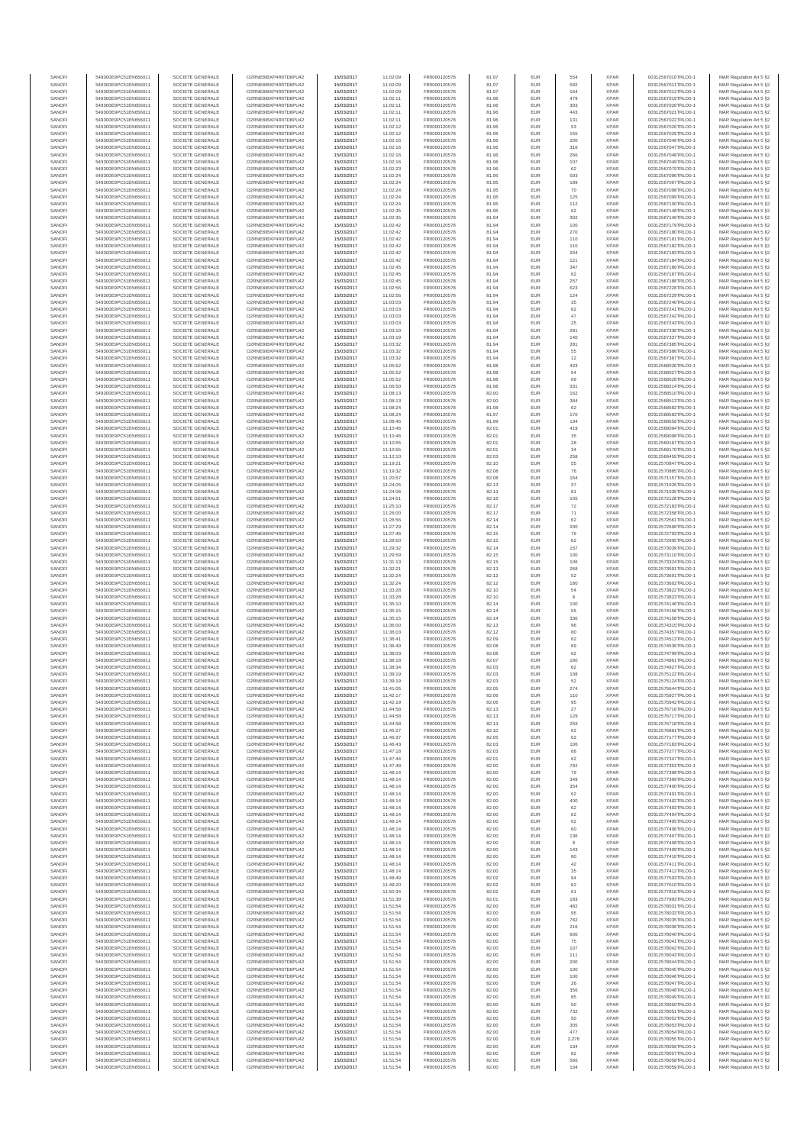| SANOFI           | 549300E9PC51EN656011                         | SOCIETE GENERALE                     | O2RNE8IBXP4R0TD8PU42                         | 15/03/2017               | 11:02:09             | FR0000120578                 | 81.97          | EUR               | 554                  | <b>XPAR</b>                | 00312567010TRLO0-1                       | MAR Regulation Art 5 §2                             |
|------------------|----------------------------------------------|--------------------------------------|----------------------------------------------|--------------------------|----------------------|------------------------------|----------------|-------------------|----------------------|----------------------------|------------------------------------------|-----------------------------------------------------|
| SANOFI<br>SANOFI | 549300E9PC51EN656011<br>549300E9PC51EN656011 | SOCIETE GENERALE<br>SOCIETE GENERALE | O2RNE8IBXP4R0TD8PU42<br>O2RNE8IBXP4R0TD8PU42 | 15/03/2017<br>15/03/2017 | 11:02:09<br>11:02:09 | FR0000120578<br>FR0000120578 | 81.97<br>81.97 | EUR<br>EUR        | 592<br>164           | <b>XPAR</b><br><b>XPAR</b> | 00312567011TRLO0-1<br>00312567012TRLO0-1 | MAR Regulation Art 5 §2                             |
| SANOFI           | 549300E9PC51EN656011                         | SOCIETE GENERALE                     | O2RNE8IBXP4R0TD8PU42                         | 15/03/2017               | 11:02:11             | FR0000120578                 | 81.96          | EUR               | 479                  | <b>XPAR</b>                | 00312567019TRLO0-1                       | MAR Regulation Art 5 §2<br>MAR Regulation Art 5 §2  |
| SANOFI           | 549300E9PC51EN656011                         | SOCIETE GENERALE                     | O2RNE8IBXP4R0TD8PU42                         | 15/03/2017               | 11:02:11             | FR0000120578                 | 81.96          | EUR               | 303                  | <b>XPAR</b>                | 00312567020TRLO0-1                       | MAR Regulation Art 5 §2                             |
| SANOFI           | 549300E9PC51EN656011                         | SOCIETE GENERALE                     | O2RNE8IBXP4R0TD8PU42                         | 15/03/2017               | 11:02:11             | FR0000120578                 | 81.96          | EUR               | 443                  | <b>XPAR</b>                | 00312567021TRLO0-1                       | MAR Regulation Art 5 §2                             |
| SANOFI<br>SANOFI | 549300E9PC51EN656011<br>549300E9PC51EN656011 | SOCIETE GENERALE<br>SOCIETE GENERALE | O2RNE8IBXP4R0TD8PU42<br>O2RNE8IBXP4R0TD8PU42 | 15/03/2017<br>15/03/2017 | 11:02:11<br>11:02:12 | FR0000120578<br>FR0000120578 | 81.96<br>81.96 | EUR<br>EUR        | 131<br>53            | <b>XPAR</b><br><b>XPAR</b> | 00312567022TRLO0-1<br>00312567026TRLO0-1 | MAR Regulation Art 5 §2<br>MAR Regulation Art 5 §2  |
| SANOFI           | 549300E9PC51EN656011                         | SOCIETE GENERALE                     | O2RNE8IBXP4R0TD8PU42                         | 15/03/2017               | 11:02:12             | FR0000120578                 | 81.96          | EUR               | 155                  | <b>XPAR</b>                | 00312567029TRLO0-1                       | MAR Regulation Art 5 \$2                            |
| SANOFI           | 549300E9PC51EN656011                         | SOCIETE GENERALE                     | O2RNE8IBXP4R0TD8PU42                         | 15/03/2017               | 11:02:16             | FR0000120578                 | 81.96          | EUR               | 200                  | <b>XPAR</b>                | 00312567046TRLO0-1                       | MAR Regulation Art 5 §2                             |
| SANOFI<br>SANOFI | 549300E9PC51EN656011<br>549300E9PC51EN656011 | SOCIETE GENERALE<br>SOCIETE GENERALE | O2RNE8IBXP4R0TD8PU42<br>O2RNE8IBXP4R0TD8PU42 | 15/03/2017<br>15/03/2017 | 11:02:16<br>11:02:16 | FR0000120578<br>FR0000120578 | 81.96<br>81.96 | EUR<br>EUR        | 316<br>266           | <b>XPAR</b><br><b>XPAR</b> | 00312567047TRLO0-1<br>00312567048TRLO0-1 | MAR Regulation Art 5 §2<br>MAR Regulation Art 5 §2  |
| SANOFI           | 549300E9PC51EN656011                         | SOCIETE GENERALE                     | O2RNE8IBXP4R0TD8PU42                         | 15/03/2017               | 11:02:16             | FR0000120578                 | 81.96          | EUR               | 107                  | <b>XPAR</b>                | 00312567049TRLO0-1                       | MAR Regulation Art 5 §2                             |
| SANOFI           | 549300E9PC51EN656011                         | SOCIETE GENERALE                     | O2RNE8IBXP4R0TD8PU42                         | 15/03/2017               | 11:02:23             | FR0000120578                 | 81.96          | EUR               | 62                   | <b>XPAR</b>                | 00312567079TRLO0-1                       | MAR Regulation Art 5 §2                             |
| SANOFI           | 549300E9PC51EN656011                         | SOCIETE GENERALE                     | O2RNE8IBXP4R0TD8PU42                         | 15/03/2017               | 11:02:24             | FR0000120578                 | 81.95          | EUR               | 593                  | <b>XPAR</b>                | 00312567096TRLO0-1                       | MAR Regulation Art 5 §2                             |
| SANOFI<br>SANOFI | 549300E9PC51EN656011<br>549300E9PC51EN656011 | SOCIETE GENERALE<br>SOCIETE GENERALE | O2RNE8IBXP4R0TD8PU42<br>O2RNE8IBXP4R0TD8PU42 | 15/03/2017<br>15/03/2017 | 11:02:24<br>11:02:24 | FR0000120578<br>FR0000120578 | 81.95<br>81.95 | EUR<br>EUR        | 189<br>70            | <b>XPAR</b><br><b>XPAR</b> | 00312567097TRLO0-1<br>00312567098TRLO0-1 | MAR Regulation Art 5 §2<br>MAR Regulation Art 5 §2  |
| SANOFI           | 549300E9PC51EN656011                         | SOCIETE GENERALE                     | O2RNE8IBXP4R0TD8PU42                         | 15/03/2017               | 11:02:24             | FR0000120578                 | 81.95          | EUR               | 125                  | <b>XPAR</b>                | 00312567099TRLO0-1                       | MAR Regulation Art 5 §2                             |
| SANOFI           | 549300E9PC51EN656011                         | SOCIETE GENERALE                     | O2RNE8IBXP4R0TD8PU42                         | 15/03/2017               | 11:02:24             | FR0000120578                 | 81.95          | EUR               | 112                  | <b>XPAR</b>                | 00312567100TRLO0-1                       | MAR Regulation Art 5 §2                             |
| SANOFI           | 549300E9PC51EN656011                         | SOCIETE GENERALE                     | O2RNE8IBXP4R0TD8PU42                         | 15/03/2017               | 11:02:35             | FR0000120578                 | 81.95          | EUR               | 62                   | <b>XPAR</b>                | 00312567148TRLO0-1                       | MAR Regulation Art 5 §2                             |
| SANOFI<br>SANOFI | 549300E9PC51EN656011<br>549300E9PC51EN656011 | SOCIETE GENERALE<br>SOCIETE GENERALE | O2RNE8IBXP4R0TD8PU42<br>O2RNE8IBXP4R0TD8PU42 | 15/03/2017<br>15/03/2017 | 11:02:35<br>11:02:42 | FR0000120578<br>FR0000120578 | 81.94<br>81.94 | EUR<br>EUR        | 302<br>100           | <b>XPAR</b><br><b>XPAR</b> | 00312567149TRLO0-1<br>00312567179TRLO0-1 | MAR Regulation Art 5 §2<br>MAR Regulation Art 5 §2  |
| SANOFI           | 549300E9PC51EN656011                         | SOCIETE GENERALE                     | O2RNE8IBXP4R0TD8PU42                         | 15/03/2017               | 11:02:42             | FR0000120578                 | 81.94          | EUR               | 270                  | <b>XPAR</b>                | 00312567180TRLO0-1                       | MAR Regulation Art 5 §2                             |
| SANOFI           | 549300E9PC51EN656011                         | SOCIETE GENERALE                     | O2RNE8IBXP4R0TD8PU42                         | 15/03/2017               | 11:02:42             | FR0000120578                 | 81.94          | EUR               | 110                  | <b>XPAR</b>                | 00312567181TRLO0-1                       | MAR Regulation Art 5 §2                             |
| SANOFI<br>SANOFI | 549300E9PC51EN656011<br>549300E9PC51EN656011 | SOCIETE GENERALE<br>SOCIETE GENERALE | O2RNE8IBXP4R0TD8PU42<br>O2RNE8IBXP4R0TD8PU42 | 15/03/2017<br>15/03/2017 | 11:02:42<br>11:02:42 | FR0000120578<br>FR0000120578 | 81.94<br>81.94 | EUR<br>EUR        | 110<br>204           | <b>XPAR</b><br><b>XPAR</b> | 00312567182TRLO0-1<br>00312567183TRLO0-1 | MAR Regulation Art 5 §2<br>MAR Regulation Art 5 §2  |
| SANOFI           | 549300E9PC51EN656011                         | SOCIETE GENERALE                     | O2RNE8IBXP4R0TD8PU42                         | 15/03/2017               | 11:02:42             | FR0000120578                 | 81.94          | EUR               | 121                  | <b>XPAR</b>                | 00312567184TRLO0-1                       | MAR Regulation Art 5 62                             |
| SANOFI           | 549300E9PC51EN656011                         | SOCIETE GENERALE                     | O2RNE8IBXP4R0TD8PU42                         | 15/03/2017               | 11:02:45             | FR0000120578                 | 81.94          | EUR               | 347                  | <b>XPAR</b>                | 00312567186TRLO0-1                       | MAR Regulation Art 5 §2                             |
| SANOFI           | 549300E9PC51EN656011                         | SOCIETE GENERALE                     | O2RNE8IBXP4R0TD8PU42                         | 15/03/2017               | 11:02:45             | FR0000120578                 | 81.94          | EUR               | 62                   | <b>XPAR</b>                | 00312567187TRLO0-1                       | MAR Regulation Art 5 §2                             |
| SANOFI<br>SANOFI | 549300E9PC51EN656011<br>549300E9PC51EN656011 | SOCIETE GENERALE<br>SOCIETE GENERALE | O2RNE8IBXP4R0TD8PU42<br>O2RNE8IBXP4R0TD8PU42 | 15/03/2017<br>15/03/2017 | 11:02:45<br>11:02:56 | FR0000120578<br>FR0000120578 | 81.94<br>81.94 | EUR<br>EUR        | 257<br>623           | <b>XPAR</b><br><b>XPAR</b> | 00312567188TRLO0-1<br>00312567228TRLO0-1 | MAR Regulation Art 5 §2<br>MAR Regulation Art 5 §2  |
| SANOFI           | 549300E9PC51EN656011                         | SOCIETE GENERALE                     | O2RNE8IBXP4R0TD8PU42                         | 15/03/2017               | 11:02:56             | FR0000120578                 | 81.94          | EUR               | 124                  | <b>XPAR</b>                | 00312567229TRLO0-1                       | MAR Regulation Art 5 §2                             |
| SANOFI           | 549300E9PC51EN656011                         | SOCIETE GENERALE                     | O2RNE8IBXP4R0TD8PU42                         | 15/03/2017               | 11:03:03             | FR0000120578                 | 81.94          | EUR               | 35                   | <b>XPAR</b>                | 00312567240TRLO0-1                       | MAR Regulation Art 5 §2                             |
| SANOFI<br>SANOFI | 549300E9PC51EN656011<br>549300E9PC51EN656011 | SOCIETE GENERALE<br>SOCIETE GENERALE | O2RNE8IBXP4R0TD8PU42<br>O2RNE8IBXP4R0TD8PU42 | 15/03/2017<br>15/03/2017 | 11:03:03<br>11:03:03 | FR0000120578<br>FR0000120578 | 81.94<br>81.94 | EUR<br>EUR        | 62<br>47             | <b>XPAR</b><br><b>XPAR</b> | 00312567241TRLO0-1<br>00312567242TRLO0-1 | MAR Regulation Art 5 \$2<br>MAR Regulation Art 5 §2 |
| SANOFI           | 549300E9PC51EN656011                         | SOCIETE GENERALE                     | O2RNE8IBXP4R0TD8PU42                         | 15/03/2017               | 11:03:03             | FR0000120578                 | 81.94          | EUR               | 25                   | <b>XPAR</b>                | 00312567243TRLO0-1                       | MAR Regulation Art 5 §2                             |
| SANOFI           | 549300E9PC51EN656011                         | SOCIETE GENERALE                     | O2RNE8IBXP4R0TD8PU42                         | 15/03/2017               | 11:03:19             | FR0000120578                 | 81.94          | EUR               | 281                  | <b>XPAR</b>                | 00312567336TRLO0-1                       | MAR Regulation Art 5 §2                             |
| SANOFI           | 549300E9PC51EN656011<br>549300E9PC51EN656011 | SOCIETE GENERALE                     | O2RNE8IBXP4R0TD8PU42                         | 15/03/2017               | 11:03:19             | FR0000120578                 | 81.94          | EUR               | 140                  | <b>XPAR</b>                | 00312567337TRLO0-1                       | MAR Regulation Art 5 §2                             |
| SANOFI<br>SANOFI | 549300E9PC51EN656011                         | SOCIETE GENERALE<br>SOCIETE GENERALE | O2RNE8IBXP4R0TD8PU42<br>O2RNE8IBXP4R0TD8PU42 | 15/03/2017<br>15/03/2017 | 11:03:32<br>11:03:32 | FR0000120578<br>FR0000120578 | 81.94<br>81.94 | EUR<br>EUR        | 281<br>55            | <b>XPAR</b><br><b>XPAR</b> | 00312567385TRLO0-1<br>00312567386TRLO0-1 | MAR Regulation Art 5 §2<br>MAR Regulation Art 5 §2  |
| SANOFI           | 549300E9PC51EN656011                         | SOCIETE GENERALE                     | O2RNE8IBXP4R0TD8PU42                         | 15/03/2017               | 11:03:32             | FR0000120578                 | 81.94          | EUR               | 12                   | <b>XPAR</b>                | 00312567387TRLO0-1                       | MAR Regulation Art 5 §2                             |
| SANOFI           | 549300E9PC51EN656011                         | SOCIETE GENERALE                     | O2RNE8IBXP4R0TD8PU42                         | 15/03/2017               | 11:05:52             | FR0000120578                 | 81.98          | EUR               | 433                  | <b>XPAR</b>                | 00312568026TRLO0-1                       | MAR Regulation Art 5 §2                             |
| SANOFI<br>SANOFI | 549300E9PC51EN656011<br>549300E9PC51EN656011 | SOCIETE GENERALE<br>SOCIETE GENERALE | O2RNE8IBXP4R0TD8PU42<br>O2RNE8IBXP4R0TD8PU42 | 15/03/2017<br>15/03/2017 | 11:05:52<br>11:05:52 | FR0000120578<br>FR0000120578 | 81.98<br>81.98 | EUR<br>EUR        | 54<br>69             | <b>XPAR</b><br><b>XPAR</b> | 00312568027TRLO0-1<br>00312568028TRLO0-1 | MAR Regulation Art 5 §2<br>MAR Regulation Art 5 §2  |
| SANOFI           | 549300E9PC51EN656011                         | SOCIETE GENERALE                     | O2RNE8IBXP4R0TD8PU42                         | 15/03/2017               | 11:06:50             | FR0000120578                 | 81.98          | EUR               | 331                  | <b>XPAR</b>                | 00312568214TRLO0-1                       | MAR Regulation Art 5 §2                             |
| SANOFI           | 549300E9PC51EN656011                         | SOCIETE GENERALE                     | O2RNE8IBXP4R0TD8PU42                         | 15/03/2017               | 11:08:13             | FR0000120578                 | 82.00          | EUR               | 162                  | <b>XPAR</b>                | 00312568510TRLO0-1                       | MAR Regulation Art 5 §2                             |
| SANOFI           | 549300E9PC51EN656011                         | SOCIETE GENERALE                     | O2RNE8IBXP4R0TD8PU42                         | 15/03/2017               | 11:08:13             | FR0000120578                 | 82.00          | EUR               | 384                  | <b>XPAR</b>                | 00312568513TRLO0-1                       | MAR Regulation Art 5 §2                             |
| SANOFI<br>SANOFI | 549300E9PC51EN656011<br>549300E9PC51EN656011 | SOCIETE GENERALE<br>SOCIETE GENERALE | O2RNE8IBXP4R0TD8PU42<br>O2RNE8IBXP4R0TD8PU42 | 15/03/2017<br>15/03/2017 | 11:08:24<br>11:08:24 | FR0000120578<br>FR0000120578 | 81.98<br>81.97 | EUR<br>EUR        | 62<br>170            | <b>XPAR</b><br><b>XPAR</b> | 00312568582TRLO0-1<br>00312568583TRLO0-1 | MAR Regulation Art 5 §2<br>MAR Regulation Art 5 §2  |
| SANOFI           | 549300E9PC51EN656011                         | SOCIETE GENERALE                     | O2RNE8IBXP4R0TD8PLI42                        | 15/03/2017               | 11:08:46             | FR0000120578                 | 81.99          | EUR               | 134                  | <b>XPAR</b>                | 00312568656TRLO0-1                       | MAR Regulation Art 5 §2                             |
| SANOFI           | 549300E9PC51EN656011                         | SOCIETE GENERALE                     | O2RNE8IBXP4R0TD8PU42                         | 15/03/2017               | 11:10:46             | FR0000120578                 | 82.01          | EUR               | 419                  | <b>XPAR</b>                | 00312569094TRLO0-1                       | MAR Regulation Art 5 §2                             |
| SANOFI           | 549300E9PC51EN656011                         | SOCIETE GENERALE                     | O2RNE8IBXP4R0TD8PU42                         | 15/03/2017               | 11:10:46             | FR0000120578                 | 82.01          | EUR               | 35                   | <b>XPAR</b>                | 00312569098TRLO0-1                       | MAR Regulation Art 5 \$2                            |
| SANOFI<br>SANOFI | 549300E9PC51EN656011<br>549300E9PC51EN656011 | SOCIETE GENERALE<br>SOCIETE GENERALE | O2RNE8IBXP4R0TD8PU42<br>O2RNE8IBXP4R0TD8PU42 | 15/03/2017<br>15/03/2017 | 11:10:55<br>11:10:55 | FR0000120578<br>FR0000120578 | 82.01<br>82.01 | EUR<br>EUR        | ${\bf 28}$<br>$34\,$ | <b>XPAR</b><br><b>XPAR</b> | 00312569167TRLO0-1<br>00312569170TRLO0-1 | MAR Regulation Art 5 §2<br>MAR Regulation Art 5 §2  |
| SANOFI           | 549300E9PC51EN656011                         | SOCIETE GENERALE                     | O2RNE8IBXP4R0TD8PU42                         | 15/03/2017               | 11:12:10             | FR0000120578                 | 82.03          | EUR               | 258                  | <b>XPAR</b>                | 00312569455TRLO0-1                       | MAR Regulation Art 5 §2                             |
| SANOFI           | 549300E9PC51EN656011                         | SOCIETE GENERALE                     | O2RNE8IBXP4R0TD8PU42                         | 15/03/2017               | 11:19:21             | FR0000120578                 | 82.10          | EUR               | 55                   | <b>XPAR</b>                | 00312570847TRLO0-1                       | MAR Regulation Art 5 §2                             |
| SANOFI           | 549300E9PC51EN656011                         | SOCIETE GENERALE                     | O2RNE8IBXP4R0TD8PU42                         | 15/03/2017               | 11:19:32             | FR0000120578                 | 82.08          | EUR               | 76                   | <b>XPAR</b>                | 00312570885TRLO0-1                       | MAR Regulation Art 5 §2                             |
| SANOFI<br>SANOFI | 549300E9PC51EN656011<br>549300E9PC51EN656011 | SOCIETE GENERALE<br>SOCIETE GENERALE | O2RNE8IBXP4R0TD8PU42<br>O2RNE8IBXP4R0TD8PU42 | 15/03/2017<br>15/03/2017 | 11:20:57<br>11:24:05 | FR0000120578<br>FR0000120578 | 82.08<br>82.13 | EUR<br>EUR        | 164<br>37            | <b>XPAR</b><br><b>XPAR</b> | 00312571157TRLO0-1<br>00312571926TRLO0-1 | MAR Regulation Art 5 §2<br>MAR Regulation Art 5 §2  |
| SANOFI           | 549300E9PC51EN656011                         | SOCIETE GENERALE                     | O2RNE8IBXP4R0TD8PU42                         | 15/03/2017               | 11:24:06             | FR0000120578                 | 82.13          | EUR               | 81                   | <b>XPAR</b>                | 00312571935TRLO0-1                       | MAR Regulation Art 5 §2                             |
| SANOFI           | 549300E9PC51EN656011                         | SOCIETE GENERALE                     | O2RNE8IBXP4R0TD8PU42                         | 15/03/2017               | 11:24:51             | FR0000120578                 | 82.16          | EUR               | 105                  | <b>XPAR</b>                | 00312572128TRLO0-1                       | MAR Regulation Art 5 §2                             |
| SANOFI           | 549300E9PC51EN656011                         | SOCIETE GENERALE                     | O2RNE8IBXP4R0TD8PU42<br>O2RNE8IBXP4R0TD8PU42 | 15/03/2017               | 11:25:10             | FR0000120578                 | 82.17          | EUR               | 72                   | <b>XPAR</b>                | 00312572183TRLO0-1                       | MAR Regulation Art 5 §2                             |
| SANOFI<br>SANOFI | 549300E9PC51EN656011<br>549300E9PC51EN656011 | SOCIETE GENERALE<br>SOCIETE GENERALE | O2RNE8IBXP4R0TD8PU42                         | 15/03/2017<br>15/03/2017 | 11:26:00<br>11:26:56 | FR0000120578<br>FR0000120578 | 82.17<br>82.14 | EUR<br>EUR        | 71<br>62             | <b>XPAR</b><br><b>XPAR</b> | 00312572358TRLO0-1<br>00312572561TRLO0-1 | MAR Regulation Art 5 §2<br>MAR Regulation Art 5 §2  |
| SANOFI           | 549300E9PC51EN656011                         | SOCIETE GENERALE                     | O2RNE8IBXP4R0TD8PU42                         | 15/03/2017               | 11:27:29             | FR0000120578                 | 82.14          | EUR               | 200                  | <b>XPAR</b>                | 00312572668TRLO0-1                       | MAR Regulation Art 5 §2                             |
| SANOFI           | 549300E9PC51EN656011                         | SOCIETE GENERALE                     | O2RNE8IBXP4R0TD8PU42                         | 15/03/2017               | 11:27:46             | FR0000120578                 | 82.15          | EUR               | 76                   | <b>XPAR</b>                | 00312572703TRLO0-1                       | MAR Regulation Art 5 §2                             |
| SANOFI           | 549300E9PC51EN656011                         | SOCIETE GENERALE                     | O2RNE8IBXP4R0TD8PU42                         | 15/03/2017               | 11:28:50             | FR0000120578                 | 82.15          | EUR<br>EUR        | 62<br>157            | <b>XPAR</b>                | 00312572905TRLO0-1                       | MAR Regulation Art 5 §2                             |
| SANOFI<br>SANOFI | 549300E9PC51EN656011<br>549300E9PC51EN656011 | SOCIETE GENERALE<br>SOCIETE GENERALE | O2RNE8IBXP4R0TD8PU42<br>O2RNE8IBXP4R0TD8PU42 | 15/03/2017<br>15/03/2017 | 11:29:32<br>11:29:59 | FR0000120578<br>FR0000120578 | 82.14<br>82.15 | EUR               | 100                  | <b>XPAR</b><br><b>XPAR</b> | 00312573039TRLO0-1<br>00312573110TRLO0-1 | MAR Regulation Art 5 §2<br>MAR Regulation Art 5 §2  |
| SANOFI           | 549300E9PC51EN656011                         | SOCIETE GENERALE                     | O2RNE8IBXP4R0TD8PU42                         | 15/03/2017               | 11:31:13             | FR0000120578                 | 82.15          | EUR               | 106                  | <b>XPAR</b>                | 00312573324TRLO0-1                       | MAR Regulation Art 5 §2                             |
| SANOFI           | 549300E9PC51EN656011                         | SOCIETE GENERALE                     | O2RNE8IBXP4R0TD8PU42                         | 15/03/2017               | 11:32:21             | FR0000120578                 | 82.13          | EUR               | 268                  | <b>XPAR</b>                | 00312573591TRLO0-1                       | MAR Regulation Art 5 §2                             |
| SANOFI<br>SANOFI | 549300E9PC51EN656011<br>549300E9PC51EN656011 | SOCIETE GENERALE<br>SOCIETE GENERALE | O2RNE8IBXP4R0TD8PU42<br>O2RNE8IBXP4R0TD8PU42 | 15/03/2017<br>15/03/2017 | 11:32:24<br>11:32:24 | FR0000120578<br>FR0000120578 | 82.12<br>82.12 | EUR<br>EUR        | 52<br>180            | <b>XPAR</b><br><b>XPAR</b> | 00312573601TRLO0-1<br>00312573602TRLO0-1 | MAR Regulation Art 5 §2<br>MAR Regulation Art 5 §2  |
| SANOFI           | 549300E9PC51EN656011                         | SOCIETE GENERALE                     | O2RNE8IBXP4R0TD8PU42                         | 15/03/2017               | 11:33:28             | FR0000120578                 | 82.10          | EUR               | 54                   | <b>XPAR</b>                | 00312573822TRLO0-1                       | MAR Regulation Art 5 §2                             |
| SANOFI           | 549300E9PC51EN656011                         | SOCIETE GENERALE                     | O2RNE8IBXP4R0TD8PU42                         | 15/03/2017               | 11:33:28             | FR0000120578                 | 82.10          | EUR               | 8                    | <b>XPAR</b>                | 00312573823TRLO0-1                       | MAR Regulation Art 5 §2                             |
| SANOFI<br>SANOFI | 549300E9PC51EN656011<br>549300E9PC51EN656011 | SOCIETE GENERALE<br>SOCIETE GENERALE | O2RNE8IBXP4R0TD8PU42<br>O2RNE8IBXP4R0TD8PU42 | 15/03/2017<br>15/03/2017 | 11:35:10<br>11:35:15 | FR0000120578<br>FR0000120578 | 82.14<br>82.14 | EUR<br>EUR        | 100<br>55            | <b>XPAR</b><br><b>XPAR</b> | 00312574146TRLO0-1<br>00312574156TRLO0-1 | MAR Regulation Art 5 §2<br>MAR Regulation Art 5 \$2 |
| SANOFI           | 549300E9PC51EN656011                         | SOCIETE GENERALE                     | O2RNE8IBXP4R0TD8PU42                         | 15/03/2017               | 11:35:15             | FR0000120578                 | 82.14          | EUR               | 330                  | <b>XPAR</b>                | 00312574158TRLO0-1                       | MAR Regulation Art 5 §2                             |
| SANOFI           | 549300E9PC51EN656011                         | SOCIETE GENERALE                     | O2RNE8IBXP4R0TD8PU42                         | 15/03/2017               | 11:36:00             | FR0000120578                 | 82.13          | EUR               | 96                   | <b>XPAR</b>                | 00312574315TRLO0-1                       | MAR Regulation Art 5 §2                             |
| SANOFI           | 549300E9PC51EN656011                         | SOCIETE GENERALE                     | O2RNE8IBXP4R0TD8PU42                         | 15/03/2017               | 11:36:03             | FR0000120578                 | 82.12          | EUR               | 80                   | <b>XPAR</b>                | 00312574357TRLO0-1                       | MAR Regulation Art 5 §2                             |
| SANOFI<br>SANOFI | 549300E9PC51EN656011<br>549300E9PC51EN656011 | SOCIETE GENERALE<br>SOCIETE GENERALE | O2RNE8IBXP4R0TD8PU42<br>O2RNE8IBXP4R0TD8PU42 | 15/03/2017<br>15/03/2017 | 11:36:41<br>11:36:49 | FR0000120578<br>FR0000120578 | 82.09<br>82.08 | EUR<br>EUR        | 62<br>69             | <b>XPAR</b><br><b>XPAR</b> | 00312574513TRLO0-1<br>00312574536TRLO0-1 | MAR Regulation Art 5 §2<br>MAR Regulation Art 5 §2  |
| SANOFI           | 549300E9PC51EN656011                         | SOCIETE GENERALE                     | O2RNE8IBXP4R0TD8PU42                         | 15/03/2017               | 11:38:03             | FR0000120578                 | 82.08          | EUR               | 62                   | <b>XPAR</b>                | 00312574799TRLO0-1                       | MAR Regulation Art 5 §2                             |
| SANOFI           | 549300E9PC51EN656011                         | SOCIETE GENERALE                     | O2RNE8IBXP4R0TD8PU42                         | 15/03/2017               | 11:38:18             | FR0000120578                 | 82.07          | EUR               | 180                  | <b>XPAR</b>                | 00312574861TRLO0-1                       | MAR Regulation Art 5 \$2                            |
| SANOFI           | 549300E9PC51EN656011                         | SOCIETE GENERALE                     | O2RNE8IBXP4R0TD8PU42                         | 15/03/2017               | 11:38:34             | FR0000120578                 | 82.03          | EUR               | 62                   | <b>XPAR</b>                | 00312574927TRLO0-1                       | MAR Regulation Art 5 §2                             |
| SANOFI<br>SANOFI | 549300E9PC51EN656011<br>549300E9PC51EN656011 | SOCIETE GENERALE<br>SOCIETE GENERALE | O2RNE8IBXP4R0TD8PU42<br>O2RNE8IBXP4R0TD8PU42 | 15/03/2017<br>15/03/2017 | 11:39:19<br>11:39:19 | FR0000120578<br>FR0000120578 | 82.03<br>82.03 | <b>EUR</b><br>EUR | 108<br>52            | <b>XPAR</b><br><b>XPAR</b> | 00312575122TRLO0-1<br>00312575124TRLO0-1 | MAR Regulation Art 5 §2<br>MAR Regulation Art 5 §2  |
| SANOFI           | 549300E9PC51EN656011                         | SOCIETE GENERALE                     | O2RNE8IBXP4R0TD8PU42                         | 15/03/2017               | 11:41:05             | FR0000120578                 | 82.05          | EUR               | 274                  | <b>XPAR</b>                | 00312575644TRLO0-1                       | MAR Regulation Art 5 §2                             |
| SANOFI           | 549300E9PC51EN656011                         | SOCIETE GENERALE                     | O2RNE8IBXP4R0TD8PU42                         | 15/03/2017               | 11:42:17             | FR0000120578                 | 82.06          | EUR               | 110                  | <b>XPAR</b>                | 00312575927TRLO0-1                       | MAR Regulation Art 5 §2                             |
| SANOFI<br>SANOFI | 549300E9PC51EN656011<br>549300E9PC51EN656011 | SOCIETE GENERALE<br>SOCIETE GENERALE | O2RNE8IBXP4R0TD8PU42<br>O2RNE8IBXP4R0TD8PU42 | 15/03/2017               | 11:42:19<br>11:44:58 | FR0000120578                 | 82.06          | EUR<br>EUR        | 95                   | <b>XPAR</b><br><b>XPAR</b> | 00312575942TRLO0-1                       | MAR Regulation Art 5 §2                             |
| SANOFI           | 549300E9PC51EN656011                         | SOCIETE GENERALE                     | O2RNE8IBXP4R0TD8PU42                         | 15/03/2017<br>15/03/2017 | 11:44:58             | FR0000120578<br>FR0000120578 | 82.13<br>82.13 | EUR               | 27<br>129            | <b>XPAR</b>                | 00312576716TRLO0-1<br>00312576717TRLO0-1 | MAR Regulation Art 5 §2<br>MAR Regulation Art 5 §2  |
| SANOFI           | 549300E9PC51EN656011                         | SOCIETE GENERALE                     | O2RNE8IBXP4R0TD8PU42                         | 15/03/2017               | 11:44:58             | FR0000120578                 | 82.13          | EUR               | 259                  | <b>XPAR</b>                | 00312576718TRLO0-1                       | MAR Regulation Art 5 §2                             |
| SANOFI           | 549300E9PC51EN656011                         | SOCIETE GENERALE                     | O2RNE8IBXP4R0TD8PU42                         | 15/03/2017               | 11:45:27             | FR0000120578                 | 82.10          | EUR               | 62                   | <b>XPAR</b>                | 00312576861TRLO0-1                       | MAR Regulation Art 5 §2                             |
| SANOFI<br>SANOFI | 549300E9PC51EN656011<br>549300E9PC51EN656011 | SOCIETE GENERALE<br>SOCIETE GENERALE | O2RNE8IBXP4R0TD8PU42<br>O2RNE8IBXP4R0TD8PU42 | 15/03/2017<br>15/03/2017 | 11:46:37<br>11:46:43 | FR0000120578<br>FR0000120578 | 82.05<br>82.03 | EUR<br>EUR        | 62<br>106            | <b>XPAR</b><br><b>XPAR</b> | 00312577177TRLO0-1<br>00312577183TRLO0-1 | MAR Regulation Art 5 \$2<br>MAR Regulation Art 5 §2 |
| SANOFI           | 549300E9PC51EN656011                         | SOCIETE GENERALE                     | O2RNE8IBXP4R0TD8PU42                         | 15/03/2017               | 11:47:18             | FR0000120578                 | 82.03          | EUR               | 68                   | <b>XPAR</b>                | 00312577277TRLO0-1                       | MAR Regulation Art 5 §2                             |
| SANOFI           | 549300E9PC51EN656011                         | SOCIETE GENERALE                     | O2RNE8IBXP4R0TD8PU42                         | 15/03/2017               | 11:47:44             | FR0000120578                 | 82.01          | EUR               | 62                   | <b>XPAR</b>                | 00312577347TRLO0-1                       | MAR Regulation Art 5 §2                             |
| SANOFI<br>SANOFI | 549300E9PC51EN656011<br>549300E9PC51EN656011 | SOCIETE GENERALE<br>SOCIETE GENERALE | O2RNE8IBXP4R0TD8PU42<br>O2RNE8IBXP4R0TD8PU42 | 15/03/2017<br>15/03/2017 | 11:47:48<br>11:48:14 | FR0000120578<br>FR0000120578 | 82.00<br>82.00 | EUR<br>EUR        | 782<br>79            | <b>XPAR</b><br><b>XPAR</b> | 00312577353TRLO0-1<br>00312577398TRLO0-1 | MAR Regulation Art 5 §2<br>MAR Regulation Art 5 §2  |
| SANOFI           | 549300E9PC51EN656011                         | SOCIETE GENERALE                     | O2RNE8IBXP4R0TD8PU42                         | 15/03/2017               | 11:48:14             | FR0000120578                 | 82.00          | EUR               | 349                  | <b>XPAR</b>                | 00312577399TRLO0-1                       | MAR Regulation Art 5 §2                             |
| SANOFI           | 549300E9PC51EN656011                         | SOCIETE GENERALE                     | O2RNE8IBXP4R0TD8PU42                         | 15/03/2017               | 11:48:14             | FR0000120578                 | 82.00          | EUR               | 354                  | <b>XPAR</b>                | 00312577400TRLO0-1                       | MAR Regulation Art 5 §2                             |
| SANOFI<br>SANOFI | 549300E9PC51EN656011<br>549300E9PC51EN656011 | SOCIETE GENERALE<br>SOCIETE GENERALE | O2RNE8IBXP4R0TD8PU42<br>O2RNE8IBXP4R0TD8PU42 | 15/03/2017<br>15/03/2017 | 11:48:14<br>11:48:14 | FR0000120578<br>FR0000120578 | 82.00<br>82.00 | EUR<br>EUR        | 62<br>400            | <b>XPAR</b><br><b>XPAR</b> | 00312577401TRLO0-1<br>00312577402TRLO0-1 | MAR Regulation Art 5 §2<br>MAR Regulation Art 5 §2  |
| SANOFI           | 549300E9PC51EN656011                         | SOCIETE GENERALE                     | O2RNE8IBXP4R0TD8PU42                         | 15/03/2017               | 11:48:14             | FR0000120578                 | 82.00          | EUR               | 62                   | <b>XPAR</b>                | 00312577403TRLO0-1                       | MAR Regulation Art 5 §2                             |
| SANOFI           | 549300E9PC51EN656011                         | SOCIETE GENERALE                     | O2RNE8IBXP4R0TD8PU42                         | 15/03/2017               | 11:48:14             | FR0000120578                 | 82.00          | EUR               | 62                   | <b>XPAR</b>                | 00312577404TRLO0-1                       | MAR Regulation Art 5 §2                             |
| SANOFI<br>SANOFI | 549300E9PC51EN656011<br>549300E9PC51EN656011 | SOCIETE GENERALE<br>SOCIETE GENERALE | O2RNE8IBXP4R0TD8PU42<br>O2RNE8IBXP4R0TD8PU42 | 15/03/2017<br>15/03/2017 | 11:48:14<br>11:48:14 | FR0000120578<br>FR0000120578 | 82.00<br>82.00 | EUR<br>EUR        | 62<br>60             | <b>XPAR</b><br><b>XPAR</b> | 00312577405TRLO0-1<br>00312577406TRLO0-1 | MAR Regulation Art 5 §2<br>MAR Regulation Art 5 §2  |
| SANOFI           | 549300E9PC51EN656011                         | SOCIETE GENERALE                     | O2RNE8IBXP4R0TD8PU42                         | 15/03/2017               | 11:48:14             | FR0000120578                 | 82.00          | EUR               | 136                  | <b>XPAR</b>                | 00312577407TRLO0-1                       | MAR Regulation Art 5 §2                             |
| SANOFI           | 549300E9PC51EN656011                         | SOCIETE GENERALE                     | O2RNE8IBXP4R0TD8PU42                         | 15/03/2017               | 11:48:14             | FR0000120578                 | 82.00          | EUR               | 9                    | <b>XPAR</b>                | 00312577408TRLO0-1                       | MAR Regulation Art 5 §2                             |
| SANOFI           | 549300E9PC51EN656011                         | SOCIETE GENERALE<br>SOCIETE GENERALE | O2RNE8IBXP4R0TD8PU42                         | 15/03/2017               | 11:48:14             | FR0000120578                 | 82.00          | EUR               | 143                  | <b>XPAR</b>                | 00312577409TRLO0-1                       | MAR Regulation Art 5 §2                             |
| SANOFI<br>SANOFI | 549300E9PC51EN656011<br>549300E9PC51EN656011 | SOCIETE GENERALE                     | O2RNE8IBXP4R0TD8PU42<br>O2RNE8IBXP4R0TD8PU42 | 15/03/2017<br>15/03/2017 | 11:48:14<br>11:48:14 | FR0000120578<br>FR0000120578 | 82.00<br>82.00 | EUR<br>EUR        | 80<br>42             | <b>XPAR</b><br><b>XPAR</b> | 00312577410TRLO0-1<br>00312577411TRLO0-1 | MAR Regulation Art 5 §2<br>MAR Regulation Art 5 §2  |
| SANOFI           | 549300E9PC51EN656011                         | SOCIETE GENERALE                     | O2RNE8IBXP4R0TD8PU42                         | 15/03/2017               | 11:48:14             | FR0000120578                 | 82.00          | EUR               | 35                   | <b>XPAR</b>                | 00312577412TRLO0-1                       | MAR Regulation Art 5 §2                             |
| SANOFI           | 549300E9PC51EN656011                         | SOCIETE GENERALE                     | O2RNE8IBXP4R0TD8PU42                         | 15/03/2017               | 11:48:49             | FR0000120578                 | 82.02          | EUR               | 94                   | <b>XPAR</b>                | 00312577503TRLO0-1                       | MAR Regulation Art 5 §2                             |
| SANOFI<br>SANOFI | 549300E9PC51EN656011<br>549300E9PC51EN656011 | SOCIETE GENERALE<br>SOCIETE GENERALE | O2RNE8IBXP4R0TD8PU42<br>O2RNE8IBXP4R0TD8PU42 | 15/03/2017<br>15/03/2017 | 11:49:20<br>11:50:34 | FR0000120578<br>FR0000120578 | 82.02<br>82.02 | EUR<br>EUR        | 62<br>61             | <b>XPAR</b><br><b>XPAR</b> | 00312577610TRLO0-1<br>00312577816TRLO0-1 | MAR Regulation Art 5 §2                             |
| SANOFI           | 549300E9PC51EN656011                         | SOCIETE GENERALE                     | O2RNE8IBXP4R0TD8PU42                         | 15/03/2017               | 11:51:39             | FR0000120578                 | 82.01          | EUR               | 183                  | <b>XPAR</b>                | 00312577993TRLO0-1                       | MAR Regulation Art 5 §2<br>MAR Regulation Art 5 §2  |
| SANOFI           | 549300E9PC51EN656011                         | SOCIETE GENERALE                     | O2RNE8IBXP4R0TD8PU42                         | 15/03/2017               | 11:51:54             | FR0000120578                 | 82.00          | EUR               | 482                  | <b>XPAR</b>                | 00312578031TRLO0-1                       | MAR Regulation Art 5 §2                             |
| SANOFI           | 549300E9PC51EN656011                         | SOCIETE GENERALE                     | O2RNE8IBXP4R0TD8PU42                         | 15/03/2017               | 11:51:54             | FR0000120578                 | 82.00          | EUR               | 95                   | <b>XPAR</b>                | 00312578033TRLO0-1                       | MAR Regulation Art 5 §2                             |
| SANOFI<br>SANOFI | 549300E9PC51EN656011<br>549300E9PC51EN656011 | SOCIETE GENERALE<br>SOCIETE GENERALE | O2RNE8IBXP4R0TD8PU42<br>O2RNE8IBXP4R0TD8PU42 | 15/03/2017<br>15/03/2017 | 11:51:54<br>11:51:54 | FR0000120578<br>FR0000120578 | 82.00<br>82.00 | EUR<br>EUR        | 782<br>216           | <b>XPAR</b><br><b>XPAR</b> | 00312578035TRLO0-1<br>00312578036TRLO0-1 | MAR Regulation Art 5 §2<br>MAR Regulation Art 5 §2  |
| SANOFI           | 549300E9PC51EN656011                         | SOCIETE GENERALE                     | O2RNE8IBXP4R0TD8PU42                         | 15/03/2017               | 11:51:54             | FR0000120578                 | 82.00          | EUR               | 600                  | <b>XPAR</b>                | 00312578040TRLO0-1                       | MAR Regulation Art 5 §2                             |
| SANOFI           | 549300E9PC51EN656011                         | SOCIETE GENERALE                     | O2RNE8IBXP4R0TD8PU42                         | 15/03/2017               | 11:51:54             | FR0000120578                 | 82.00          | EUR               | 75                   | <b>XPAR</b>                | 00312578041TRLO0-1                       | MAR Regulation Art 5 §2                             |
| SANOFI           | 549300E9PC51EN656011                         | SOCIETE GENERALE                     | O2RNE8IBXP4R0TD8PU42                         | 15/03/2017               | 11:51:54             | FR0000120578                 | 82.00          | EUR               | 107                  | <b>XPAR</b>                | 00312578042TRLO0-1                       | MAR Regulation Art 5 §2                             |
| SANOFI<br>SANOFI | 549300E9PC51EN656011<br>549300E9PC51EN656011 | SOCIETE GENERALE<br>SOCIETE GENERALE | O2RNE8IBXP4R0TD8PU42<br>O2RNE8IBXP4R0TD8PU42 | 15/03/2017<br>15/03/2017 | 11:51:54<br>11:51:54 | FR0000120578<br>FR0000120578 | 82.00<br>82.00 | EUR<br>EUR        | 111<br>200           | <b>XPAR</b><br><b>XPAR</b> | 00312578043TRLO0-1<br>00312578044TRLO0-1 | MAR Regulation Art 5 §2<br>MAR Regulation Art 5 §2  |
| SANOFI           | 549300E9PC51EN656011                         | SOCIETE GENERALE                     | O2RNE8IBXP4R0TD8PU42                         | 15/03/2017               | 11:51:54             | FR0000120578                 | 82.00          | EUR               | 100                  | <b>XPAR</b>                | 00312578045TRLO0-1                       | MAR Regulation Art 5 §2                             |
| SANOFI           | 549300E9PC51EN656011                         | SOCIETE GENERALE                     | O2RNE8IBXP4R0TD8PU42                         | 15/03/2017               | 11:51:54             | FR0000120578                 | 82.00          | EUR               | 100                  | <b>XPAR</b>                | 00312578046TRLO0-1                       | MAR Regulation Art 5 §2                             |
| SANOFI<br>SANOFI | 549300E9PC51EN656011<br>549300E9PC51EN656011 | SOCIETE GENERALE<br>SOCIETE GENERALE | O2RNE8IBXP4R0TD8PU42<br>O2RNE8IBXP4R0TD8PU42 | 15/03/2017<br>15/03/2017 | 11:51:54<br>11:51:54 | FR0000120578<br>FR0000120578 | 82.00<br>82.00 | EUR<br>EUR        | 26<br>356            | <b>XPAR</b><br><b>XPAR</b> | 00312578047TRLO0-1<br>00312578048TRLO0-1 | MAR Regulation Art 5 §2<br>MAR Regulation Art 5 §2  |
| SANOFI           | 549300E9PC51EN656011                         | SOCIETE GENERALE                     | O2RNE8IBXP4R0TD8PU42                         | 15/03/2017               | 11:51:54             | FR0000120578                 | 82.00          | EUR               | 85                   | <b>XPAR</b>                | 00312578049TRLO0-1                       | MAR Regulation Art 5 §2                             |
| SANOFI           | 549300E9PC51EN656011                         | SOCIETE GENERALE                     | O2RNE8IBXP4R0TD8PU42                         | 15/03/2017               | 11:51:54             | FR0000120578                 | 82.00          | EUR               | 50                   | <b>XPAR</b>                | 00312578050TRLO0-1                       | MAR Regulation Art 5 §2                             |
| SANOFI           | 549300E9PC51EN656011                         | SOCIETE GENERALE                     | O2RNE8IBXP4R0TD8PU42                         | 15/03/2017               | 11:51:54             | FR0000120578                 | 82.00          | EUR               | 732                  | <b>XPAR</b>                | 00312578051TRLO0-1                       | MAR Regulation Art 5 §2                             |
| SANOFI<br>SANOFI | 549300E9PC51EN656011<br>549300E9PC51EN656011 | SOCIETE GENERALE<br>SOCIETE GENERALE | O2RNE8IBXP4R0TD8PU42<br>O2RNE8IBXP4R0TD8PU42 | 15/03/2017<br>15/03/2017 | 11:51:54<br>11:51:54 | FR0000120578<br>FR0000120578 | 82.00<br>82.00 | EUR<br>EUR        | 50<br>305            | <b>XPAR</b><br><b>XPAR</b> | 00312578052TRLO0-1<br>00312578053TRLO0-1 | MAR Regulation Art 5 §2<br>MAR Regulation Art 5 §2  |
| SANOFI           | 549300E9PC51EN656011                         | SOCIETE GENERALE                     | O2RNE8IBXP4R0TD8PU42                         | 15/03/2017               | 11:51:54             | FR0000120578                 | 82.00          | EUR               | 477                  | <b>XPAR</b>                | 00312578054TRLO0-1                       | MAR Regulation Art 5 §2                             |
| SANOFI           | 549300E9PC51EN656011                         | SOCIETE GENERALE                     | O2RNE8IBXP4R0TD8PU42                         | 15/03/2017               | 11:51:54             | FR0000120578                 | 82.00          | EUR               | 2,276                | <b>XPAR</b>                | 00312578055TRLO0-1                       | MAR Regulation Art 5 §2                             |
| SANOFI<br>SANOFI | 549300E9PC51EN656011<br>549300E9PC51EN656011 | SOCIETE GENERALE<br>SOCIETE GENERALE | O2RNE8IBXP4R0TD8PU42<br>O2RNE8IBXP4R0TD8PU42 | 15/03/2017<br>15/03/2017 | 11:51:54<br>11:51:54 | FR0000120578<br>FR0000120578 | 82.00<br>82.00 | EUR<br>EUR        | 134<br>82            | <b>XPAR</b><br><b>XPAR</b> | 00312578056TRLO0-1<br>00312578057TRLO0-1 | MAR Regulation Art 5 §2<br>MAR Regulation Art 5 §2  |
| SANOFI           | 549300E9PC51EN656011                         | SOCIETE GENERALE                     | O2RNE8IBXP4R0TD8PU42                         | 15/03/2017               | 11:51:54             | FR0000120578                 | 82.00          | EUR               | 566                  | <b>XPAR</b>                | 00312578058TRLO0-1                       | MAR Regulation Art 5 §2                             |
| SANOFI           | 549300E9PC51EN656011                         | SOCIETE GENERALE                     | O2RNE8IBXP4R0TD8PU42                         | 15/03/2017               | 11:51:54             | FR0000120578                 | 82.00          | EUR               | 104                  | <b>XPAR</b>                | 00312578059TRLO0-1                       | MAR Regulation Art 5 §2                             |
|                  |                                              |                                      |                                              |                          |                      |                              |                |                   |                      |                            |                                          |                                                     |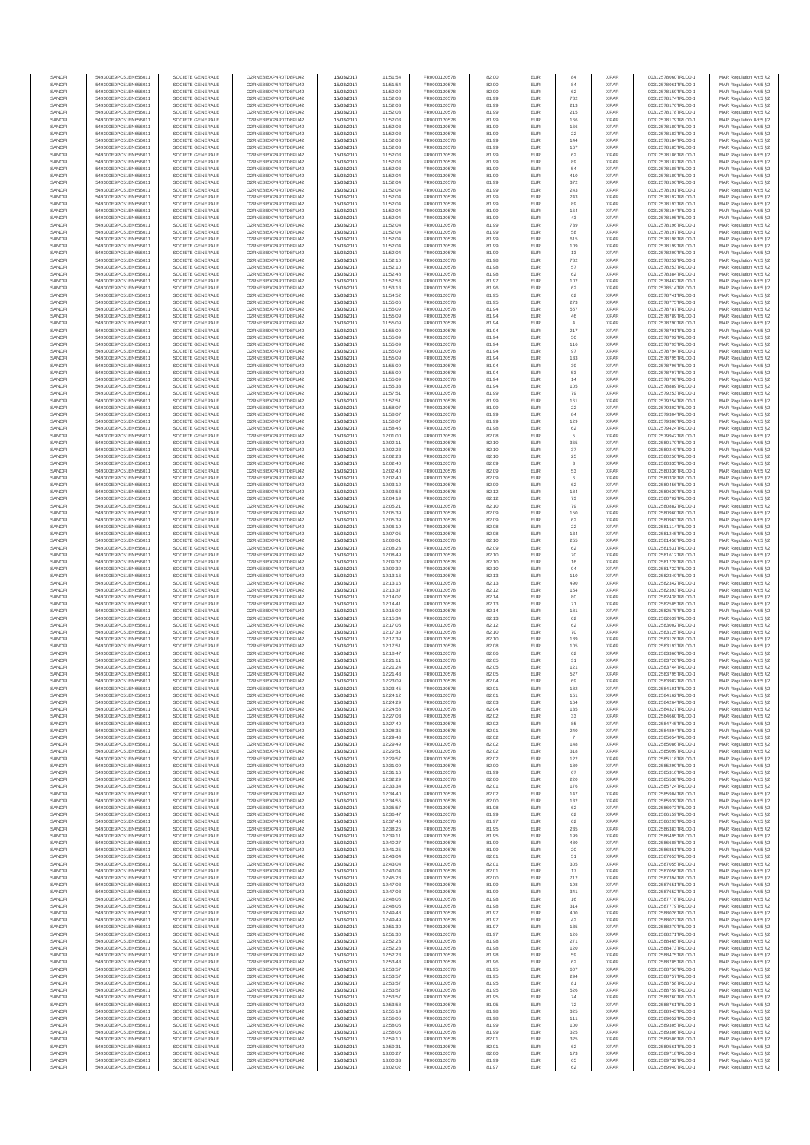| SANOFI           | 549300E9PC51EN656011                         | SOCIETE GENERALE                     | O2RNE8IBXP4R0TD8PU42                         | 15/03/2017               | 11:51:54             | FR0000120578                 | 82.00          | EUR               | 84                    | <b>XPAR</b>                | 00312578060TRLO0-1                       | MAR Regulation Art 5 §2                             |
|------------------|----------------------------------------------|--------------------------------------|----------------------------------------------|--------------------------|----------------------|------------------------------|----------------|-------------------|-----------------------|----------------------------|------------------------------------------|-----------------------------------------------------|
| SANOFI<br>SANOFI | 549300E9PC51EN656011<br>549300E9PC51EN656011 | SOCIETE GENERALE<br>SOCIETE GENERALE | O2RNE8IBXP4R0TD8PU42<br>O2RNE8IBXP4R0TD8PU42 | 15/03/2017<br>15/03/2017 | 11:51:54<br>11:52:02 | FR0000120578<br>FR0000120578 | 82.00<br>82.00 | EUR<br>EUR        | 84<br>62              | <b>XPAR</b><br><b>XPAR</b> | 00312578061TRLO0-1                       | MAR Regulation Art 5 §2                             |
| SANOFI           | 549300E9PC51EN656011                         | SOCIETE GENERALE                     | O2RNE8IBXP4R0TD8PU42                         | 15/03/2017               | 11:52:03             | FR0000120578                 | 81.99          | EUR               | 782                   | <b>XPAR</b>                | 00312578159TRLO0-1<br>00312578174TRLO0-1 | MAR Regulation Art 5 §2<br>MAR Regulation Art 5 §2  |
| SANOFI           | 549300E9PC51EN656011                         | SOCIETE GENERALE                     | O2RNE8IBXP4R0TD8PU42                         | 15/03/2017               | 11:52:03             | FR0000120578                 | 81.99          | EUR               | 213                   | <b>XPAR</b>                | 00312578176TRLO0-1                       | MAR Regulation Art 5 §2                             |
| SANOFI           | 549300E9PC51EN656011                         | SOCIETE GENERALE                     | O2RNE8IBXP4R0TD8PU42                         | 15/03/2017               | 11:52:03             | FR0000120578                 | 81.99          | EUR               | 215                   | <b>XPAR</b>                | 00312578178TRLO0-1                       | MAR Regulation Art 5 §2                             |
| SANOFI<br>SANOFI | 549300E9PC51EN656011<br>549300E9PC51EN656011 | SOCIETE GENERALE<br>SOCIETE GENERALE | O2RNE8IBXP4R0TD8PU42<br>O2RNE8IBXP4R0TD8PU42 | 15/03/2017<br>15/03/2017 | 11:52:03<br>11:52:03 | FR0000120578<br>FR0000120578 | 81.99<br>81.99 | EUR<br>EUR        | 166<br>166            | <b>XPAR</b><br><b>XPAR</b> | 00312578179TRLO0-1<br>00312578180TRLO0-1 | MAR Regulation Art 5 §2<br>MAR Regulation Art 5 §2  |
| SANOFI           | 549300E9PC51EN656011                         | SOCIETE GENERALE                     | O2RNE8IBXP4R0TD8PU42                         | 15/03/2017               | 11:52:03             | FR0000120578                 | 81.99          | EUR               | 22                    | <b>XPAR</b>                | 00312578183TRLO0-1                       | MAR Regulation Art 5 \$2                            |
| SANOFI           | 549300E9PC51EN656011                         | SOCIETE GENERALE                     | O2RNE8IBXP4R0TD8PU42                         | 15/03/2017               | 11:52:03             | FR0000120578                 | 81.99          | EUR               | 144                   | <b>XPAR</b>                | 00312578184TRLO0-1                       | MAR Regulation Art 5 §2                             |
| SANOFI<br>SANOFI | 549300E9PC51EN656011<br>549300E9PC51EN656011 | SOCIETE GENERALE<br>SOCIETE GENERALE | O2RNE8IBXP4R0TD8PU42<br>O2RNE8IBXP4R0TD8PU42 | 15/03/2017<br>15/03/2017 | 11:52:03<br>11:52:03 | FR0000120578<br>FR0000120578 | 81.99<br>81.99 | EUR<br>EUR        | 167<br>62             | <b>XPAR</b><br><b>XPAR</b> | 00312578185TRLO0-1<br>00312578186TRLO0-1 | MAR Regulation Art 5 §2<br>MAR Regulation Art 5 §2  |
| SANOFI           | 549300E9PC51EN656011                         | SOCIETE GENERALE                     | O2RNE8IBXP4R0TD8PU42                         | 15/03/2017               | 11:52:03             | FR0000120578                 | 81.99          | EUR               | 89                    | <b>XPAR</b>                | 00312578187TRLO0-1                       | MAR Regulation Art 5 §2                             |
| SANOFI           | 549300E9PC51EN656011                         | SOCIETE GENERALE                     | O2RNE8IBXP4R0TD8PU42                         | 15/03/2017               | 11:52:03             | FR0000120578                 | 81.99          | EUR               | 54                    | <b>XPAR</b>                | 00312578188TRLO0-1                       | MAR Regulation Art 5 §2                             |
| SANOFI           | 549300E9PC51EN656011                         | SOCIETE GENERALE                     | O2RNE8IBXP4R0TD8PU42                         | 15/03/2017               | 11:52:04             | FR0000120578                 | 81.99          | EUR               | 410                   | <b>XPAR</b>                | 00312578189TRLO0-1                       | MAR Regulation Art 5 §2                             |
| SANOFI<br>SANOFI | 549300E9PC51EN656011<br>549300E9PC51EN656011 | SOCIETE GENERALE<br>SOCIETE GENERALE | O2RNE8IBXP4R0TD8PU42<br>O2RNE8IBXP4R0TD8PU42 | 15/03/2017<br>15/03/2017 | 11:52:04<br>11:52:04 | FR0000120578<br>FR0000120578 | 81.99<br>81.99 | EUR<br>EUR        | 372<br>243            | <b>XPAR</b><br><b>XPAR</b> | 00312578190TRLO0-1<br>00312578191TRLO0-1 | MAR Regulation Art 5 §2<br>MAR Regulation Art 5 §2  |
| SANOFI           | 549300E9PC51EN656011                         | SOCIETE GENERALE                     | O2RNE8IBXP4R0TD8PU42                         | 15/03/2017               | 11:52:04             | FR0000120578                 | 81.99          | EUR               | 243                   | <b>XPAR</b>                | 00312578192TRLO0-1                       | MAR Regulation Art 5 §2                             |
| SANOFI           | 549300E9PC51EN656011                         | SOCIETE GENERALE                     | O2RNE8IBXP4R0TD8PU42                         | 15/03/2017               | 11:52:04             | FR0000120578                 | 81.99          | EUR               | 89                    | <b>XPAR</b>                | 00312578193TRLO0-1                       | MAR Regulation Art 5 §2                             |
| SANOFI           | 549300E9PC51EN656011                         | SOCIETE GENERALE                     | O2RNE8IBXP4R0TD8PU42                         | 15/03/2017               | 11:52:04             | FR0000120578                 | 81.99          | EUR               | 164                   | <b>XPAR</b>                | 00312578194TRLO0-1                       | MAR Regulation Art 5 §2                             |
| SANOFI<br>SANOFI | 549300E9PC51EN656011<br>549300E9PC51EN656011 | SOCIETE GENERALE<br>SOCIETE GENERALE | O2RNE8IBXP4R0TD8PU42<br>O2RNE8IBXP4R0TD8PU42 | 15/03/2017<br>15/03/2017 | 11:52:04<br>11:52:04 | FR0000120578<br>FR0000120578 | 81.99<br>81.99 | EUR<br>EUR        | 43<br>739             | <b>XPAR</b><br><b>XPAR</b> | 00312578195TRLO0-1<br>00312578196TRLO0-1 | MAR Regulation Art 5 §2<br>MAR Regulation Art 5 §2  |
| SANOFI           | 549300E9PC51EN656011                         | SOCIETE GENERALE                     | O2RNE8IBXP4R0TD8PU42                         | 15/03/2017               | 11:52:04             | FR0000120578                 | 81.99          | EUR               | 58                    | <b>XPAR</b>                | 00312578197TRLO0-1                       | MAR Regulation Art 5 §2                             |
| SANOFI           | 549300E9PC51EN656011                         | SOCIETE GENERALE                     | O2RNE8IBXP4R0TD8PU42                         | 15/03/2017               | 11:52:04             | FR0000120578                 | 81.99          | EUR               | 615                   | <b>XPAR</b>                | 00312578198TRLO0-1                       | MAR Regulation Art 5 §2                             |
| SANOFI<br>SANOFI | 549300E9PC51EN656011<br>549300E9PC51EN656011 | SOCIETE GENERALE<br>SOCIETE GENERALE | O2RNE8IBXP4R0TD8PU42<br>O2RNE8IBXP4R0TD8PU42 | 15/03/2017<br>15/03/2017 | 11:52:04<br>11:52:04 | FR0000120578<br>FR0000120578 | 81.99<br>81.99 | EUR<br>EUR        | 109<br>13             | <b>XPAR</b><br><b>XPAR</b> | 00312578199TRLO0-1<br>00312578200TRLO0-1 | MAR Regulation Art 5 §2<br>MAR Regulation Art 5 §2  |
| SANOFI           | 549300E9PC51EN656011                         | SOCIETE GENERALE                     | O2RNE8IBXP4R0TD8PU42                         | 15/03/2017               | 11:52:10             | FR0000120578                 | 81.98          | EUR               | 782                   | <b>XPAR</b>                | 00312578252TRLO0-1                       | MAR Regulation Art 5 62                             |
| SANOFI           | 549300E9PC51EN656011                         | SOCIETE GENERALE                     | O2RNE8IBXP4R0TD8PU42                         | 15/03/2017               | 11:52:10             | FR0000120578                 | 81.98          | EUR               | 57                    | <b>XPAR</b>                | 00312578253TRLO0-1                       | MAR Regulation Art 5 §2                             |
| SANOFI           | 549300E9PC51EN656011                         | SOCIETE GENERALE                     | O2RNE8IBXP4R0TD8PU42                         | 15/03/2017               | 11:52:48             | FR0000120578                 | 81.98          | EUR               | 62                    | <b>XPAR</b>                | 00312578384TRLO0-1                       | MAR Regulation Art 5 §2                             |
| SANOFI<br>SANOFI | 549300E9PC51EN656011<br>549300E9PC51EN656011 | SOCIETE GENERALE<br>SOCIETE GENERALE | O2RNE8IBXP4R0TD8PU42<br>O2RNE8IBXP4R0TD8PU42 | 15/03/2017<br>15/03/2017 | 11:52:53<br>11:53:13 | FR0000120578<br>FR0000120578 | 81.97<br>81.96 | EUR<br>EUR        | 102<br>62             | <b>XPAR</b><br><b>XPAR</b> | 00312578462TRLO0-1<br>00312578514TRLO0-1 | MAR Regulation Art 5 §2<br>MAR Regulation Art 5 §2  |
| SANOFI           | 549300E9PC51EN656011                         | SOCIETE GENERALE                     | O2RNE8IBXP4R0TD8PU42                         | 15/03/2017               | 11:54:52             | FR0000120578                 | 81.95          | EUR               | 62                    | <b>XPAR</b>                | 00312578741TRLO0-1                       | MAR Regulation Art 5 §2                             |
| SANOFI           | 549300E9PC51EN656011                         | SOCIETE GENERALE                     | O2RNE8IBXP4R0TD8PU42                         | 15/03/2017               | 11:55:06             | FR0000120578                 | 81.95          | EUR               | 273                   | <b>XPAR</b>                | 00312578775TRLO0-1                       | MAR Regulation Art 5 §2                             |
| SANOFI<br>SANOFI | 549300E9PC51EN656011<br>549300E9PC51EN656011 | SOCIETE GENERALE<br>SOCIETE GENERALE | O2RNE8IBXP4R0TD8PU42<br>O2RNE8IBXP4R0TD8PU42 | 15/03/2017<br>15/03/2017 | 11:55:09<br>11:55:09 | FR0000120578<br>FR0000120578 | 81.94<br>81.94 | EUR<br>EUR        | 557<br>46             | <b>XPAR</b><br><b>XPAR</b> | 00312578787TRLO0-1<br>00312578789TRLO0-1 | MAR Regulation Art 5 \$2<br>MAR Regulation Art 5 §2 |
| SANOFI           | 549300E9PC51EN656011                         | SOCIETE GENERALE                     | O2RNE8IBXP4R0TD8PU42                         | 15/03/2017               | 11:55:09             | FR0000120578                 | 81.94          | EUR               | $\overline{4}$        | <b>XPAR</b>                | 00312578790TRLO0-1                       | MAR Regulation Art 5 §2                             |
| SANOFI           | 549300E9PC51EN656011                         | SOCIETE GENERALE                     | O2RNE8IBXP4R0TD8PU42                         | 15/03/2017               | 11:55:09             | FR0000120578                 | 81.94          | EUR               | 217                   | <b>XPAR</b>                | 00312578791TRLO0-1                       | MAR Regulation Art 5 §2                             |
| SANOFI           | 549300E9PC51EN656011                         | SOCIETE GENERALE                     | O2RNE8IBXP4R0TD8PU42                         | 15/03/2017               | 11:55:09             | FR0000120578                 | 81.94          | EUR               | 50                    | <b>XPAR</b>                | 00312578792TRLO0-1                       | MAR Regulation Art 5 §2                             |
| SANOFI<br>SANOFI | 549300E9PC51EN656011<br>549300E9PC51EN656011 | SOCIETE GENERALE<br>SOCIETE GENERALE | O2RNE8IBXP4R0TD8PU42<br>O2RNE8IBXP4R0TD8PU42 | 15/03/2017<br>15/03/2017 | 11:55:09<br>11:55:09 | FR0000120578<br>FR0000120578 | 81.94<br>81.94 | EUR<br>EUR        | 116<br>97             | <b>XPAR</b><br><b>XPAR</b> | 00312578793TRLO0-1<br>00312578794TRLO0-1 | MAR Regulation Art 5 §2<br>MAR Regulation Art 5 §2  |
| SANOFI           | 549300E9PC51EN656011                         | SOCIETE GENERALE                     | O2RNE8IBXP4R0TD8PU42                         | 15/03/2017               | 11:55:09             | FR0000120578                 | 81.94          | EUR               | 133                   | <b>XPAR</b>                | 00312578795TRLO0-1                       | MAR Regulation Art 5 §2                             |
| SANOFI           | 549300E9PC51EN656011                         | SOCIETE GENERALE                     | O2RNE8IBXP4R0TD8PU42                         | 15/03/2017               | 11:55:09             | FR0000120578                 | 81.94          | EUR               | 39                    | <b>XPAR</b>                | 00312578796TRLO0-1                       | MAR Regulation Art 5 §2                             |
| SANOFI<br>SANOFI | 549300E9PC51EN656011<br>549300E9PC51EN656011 | SOCIETE GENERALE<br>SOCIETE GENERALE | O2RNE8IBXP4R0TD8PU42<br>O2RNE8IBXP4R0TD8PU42 | 15/03/2017<br>15/03/2017 | 11:55:09<br>11:55:09 | FR0000120578<br>FR0000120578 | 81.94<br>81.94 | EUR<br>EUR        | 53<br>14              | <b>XPAR</b><br><b>XPAR</b> | 00312578797TRLO0-1<br>00312578798TRLO0-1 | MAR Regulation Art 5 §2<br>MAR Regulation Art 5 §2  |
| SANOFI           | 549300E9PC51EN656011                         | SOCIETE GENERALE                     | O2RNE8IBXP4R0TD8PU42                         | 15/03/2017               | 11:55:33             | FR0000120578                 | 81.94          | EUR               | 105                   | <b>XPAR</b>                | 00312578889TRLO0-1                       | MAR Regulation Art 5 §2                             |
| SANOFI           | 549300E9PC51EN656011                         | SOCIETE GENERALE                     | O2RNE8IBXP4R0TD8PU42                         | 15/03/2017               | 11:57:51             | FR0000120578                 | 81.99          | EUR               | 79                    | <b>XPAR</b>                | 00312579253TRLO0-1                       | MAR Regulation Art 5 §2                             |
| SANOFI           | 549300E9PC51EN656011                         | SOCIETE GENERALE                     | O2RNE8IBXP4R0TD8PU42                         | 15/03/2017               | 11:57:51             | FR0000120578                 | 81.99          | EUR               | 161                   | <b>XPAR</b>                | 00312579254TRLO0-1                       | MAR Regulation Art 5 §2                             |
| SANOFI<br>SANOFI | 549300E9PC51EN656011<br>549300E9PC51EN656011 | SOCIETE GENERALE<br>SOCIETE GENERALE | O2RNE8IBXP4R0TD8PU42<br>O2RNE8IBXP4R0TD8PU42 | 15/03/2017<br>15/03/2017 | 11:58:07<br>11:58:07 | FR0000120578<br>FR0000120578 | 81.99<br>81.99 | EUR<br>EUR        | 22<br>84              | <b>XPAR</b><br><b>XPAR</b> | 00312579302TRLO0-1<br>00312579304TRLO0-1 | MAR Regulation Art 5 §2<br>MAR Regulation Art 5 §2  |
| SANOFI           | 549300E9PC51EN656011                         | SOCIETE GENERALE                     | O2RNE8IBXP4R0TD8PLI42                        | 15/03/2017               | 11:58:07             | FR0000120578                 | 81.99          | EUR               | 129                   | <b>XPAR</b>                | 00312579306TRLO0-1                       | MAR Regulation Art 5 §2                             |
| SANOFI           | 549300E9PC51EN656011                         | SOCIETE GENERALE                     | O2RNE8IBXP4R0TD8PU42                         | 15/03/2017               | 11:58:45             | FR0000120578                 | 81.98          | EUR               | 62                    | <b>XPAR</b>                | 00312579424TRLO0-1                       | MAR Regulation Art 5 §2                             |
| SANOFI           | 549300E9PC51EN656011                         | SOCIETE GENERALE                     | O2RNE8IBXP4R0TD8PU42                         | 15/03/2017               | 12:01:00             | FR0000120578                 | 82.08          | EUR               | 5                     | <b>XPAR</b>                | 00312579942TRLO0-1                       | MAR Regulation Art 5 \$2                            |
| SANOFI<br>SANOFI | 549300E9PC51EN656011<br>549300E9PC51EN656011 | SOCIETE GENERALE<br>SOCIETE GENERALE | O2RNE8IBXP4R0TD8PU42<br>O2RNE8IBXP4R0TD8PU42 | 15/03/2017<br>15/03/2017 | 12:02:11<br>12:02:23 | FR0000120578<br>FR0000120578 | 82.10<br>82.10 | EUR<br>EUR        | 365<br>$37\,$         | <b>XPAR</b><br><b>XPAR</b> | 00312580170TRLO0-1<br>00312580249TRLO0-1 | MAR Regulation Art 5 §2<br>MAR Regulation Art 5 §2  |
| SANOFI           | 549300E9PC51EN656011                         | SOCIETE GENERALE                     | O2RNE8IBXP4R0TD8PU42                         | 15/03/2017               | 12:02:23             | FR0000120578                 | 82.10          | EUR               | $25\,$                | <b>XPAR</b>                | 00312580250TRLO0-1                       | MAR Regulation Art 5 §2                             |
| SANOFI           | 549300E9PC51EN656011                         | SOCIETE GENERALE                     | O2RNE8IBXP4R0TD8PU42                         | 15/03/2017               | 12:02:40             | FR0000120578                 | 82.09          | EUR               | 3                     | <b>XPAR</b>                | 00312580335TRLO0-1                       | MAR Regulation Art 5 §2                             |
| SANOFI           | 549300E9PC51EN656011                         | SOCIETE GENERALE                     | O2RNE8IBXP4R0TD8PU42                         | 15/03/2017               | 12:02:40             | FR0000120578                 | 82.09          | EUR               | 53                    | <b>XPAR</b>                | 00312580336TRLO0-1                       | MAR Regulation Art 5 §2                             |
| SANOFI<br>SANOFI | 549300E9PC51EN656011<br>549300E9PC51EN656011 | SOCIETE GENERALE<br>SOCIETE GENERALE | O2RNE8IBXP4R0TD8PU42<br>O2RNE8IBXP4R0TD8PU42 | 15/03/2017<br>15/03/2017 | 12:02:40<br>12:03:12 | FR0000120578<br>FR0000120578 | 82.09<br>82.09 | EUR<br>EUR        | $_{\rm 6}$<br>62      | <b>XPAR</b><br><b>XPAR</b> | 00312580338TRLO0-1<br>00312580456TRLO0-1 | MAR Regulation Art 5 §2<br>MAR Regulation Art 5 §2  |
| SANOFI           | 549300E9PC51EN656011                         | SOCIETE GENERALE                     | O2RNE8IBXP4R0TD8PU42                         | 15/03/2017               | 12:03:53             | FR0000120578                 | 82.12          | EUR               | 184                   | <b>XPAR</b>                | 00312580620TRLO0-1                       | MAR Regulation Art 5 §2                             |
| SANOFI           | 549300E9PC51EN656011                         | SOCIETE GENERALE                     | O2RNE8IBXP4R0TD8PU42                         | 15/03/2017               | 12:04:19             | FR0000120578                 | 82.12          | EUR               | 73                    | <b>XPAR</b>                | 00312580702TRLO0-1                       | MAR Regulation Art 5 §2                             |
| SANOFI           | 549300E9PC51EN656011                         | SOCIETE GENERALE                     | O2RNE8IBXP4R0TD8PU42<br>O2RNE8IBXP4R0TD8PU42 | 15/03/2017               | 12:05:21             | FR0000120578                 | 82.10          | EUR               | 79                    | <b>XPAR</b>                | 00312580882TRLO0-1                       | MAR Regulation Art 5 §2                             |
| SANOFI<br>SANOFI | 549300E9PC51EN656011<br>549300E9PC51EN656011 | SOCIETE GENERALE<br>SOCIETE GENERALE | O2RNE8IBXP4R0TD8PU42                         | 15/03/2017<br>15/03/2017 | 12:05:39<br>12:05:39 | FR0000120578<br>FR0000120578 | 82.09<br>82.09 | EUR<br>EUR        | 150<br>62             | <b>XPAR</b><br><b>XPAR</b> | 00312580960TRLO0-1<br>00312580963TRLO0-1 | MAR Regulation Art 5 §2<br>MAR Regulation Art 5 §2  |
| SANOFI           | 549300E9PC51EN656011                         | SOCIETE GENERALE                     | O2RNE8IBXP4R0TD8PU42                         | 15/03/2017               | 12:06:19             | FR0000120578                 | 82.08          | EUR               | $22\,$                | <b>XPAR</b>                | 00312581114TRLO0-1                       | MAR Regulation Art 5 §2                             |
| SANOFI           | 549300E9PC51EN656011                         | SOCIETE GENERALE                     | O2RNE8IBXP4R0TD8PU42                         | 15/03/2017               | 12:07:05             | FR0000120578                 | 82.08          | EUR               | 134                   | <b>XPAR</b>                | 00312581245TRLO0-1                       | MAR Regulation Art 5 §2                             |
| SANOFI           | 549300E9PC51EN656011                         | SOCIETE GENERALE                     | O2RNE8IBXP4R0TD8PU42                         | 15/03/2017               | 12:08:01             | FR0000120578                 | 82.10          | EUR<br>EUR        | 255<br>62             | <b>XPAR</b>                | 00312581458TRLO0-1                       | MAR Regulation Art 5 §2                             |
| SANOFI<br>SANOFI | 549300E9PC51EN656011<br>549300E9PC51EN656011 | SOCIETE GENERALE<br>SOCIETE GENERALE | O2RNE8IBXP4R0TD8PU42<br>O2RNE8IBXP4R0TD8PU42 | 15/03/2017<br>15/03/2017 | 12:08:23<br>12:08:49 | FR0000120578<br>FR0000120578 | 82.09<br>82.10 | EUR               | 70                    | <b>XPAR</b><br><b>XPAR</b> | 00312581531TRLO0-1<br>00312581612TRLO0-1 | MAR Regulation Art 5 §2<br>MAR Regulation Art 5 §2  |
| SANOFI           | 549300E9PC51EN656011                         | SOCIETE GENERALE                     | O2RNE8IBXP4R0TD8PU42                         | 15/03/2017               | 12:09:32             | FR0000120578                 | 82.10          | EUR               | 16                    | <b>XPAR</b>                | 00312581728TRLO0-1                       | MAR Regulation Art 5 §2                             |
| SANOFI           | 549300E9PC51EN656011                         | SOCIETE GENERALE                     | O2RNE8IBXP4R0TD8PU42                         | 15/03/2017               | 12:09:32             | FR0000120578                 | 82.10          | EUR               | 94                    | <b>XPAR</b>                | 00312581732TRLO0-1                       | MAR Regulation Art 5 §2                             |
| SANOFI<br>SANOFI | 549300E9PC51EN656011<br>549300E9PC51EN656011 | SOCIETE GENERALE<br>SOCIETE GENERALE | O2RNE8IBXP4R0TD8PU42<br>O2RNE8IBXP4R0TD8PU42 | 15/03/2017<br>15/03/2017 | 12:13:16<br>12:13:16 | FR0000120578<br>FR0000120578 | 82.13<br>82.13 | EUR<br>EUR        | 110<br>490            | <b>XPAR</b><br><b>XPAR</b> | 00312582340TRLO0-1<br>00312582342TRLO0-1 | MAR Regulation Art 5 §2<br>MAR Regulation Art 5 §2  |
| SANOFI           | 549300E9PC51EN656011                         | SOCIETE GENERALE                     | O2RNE8IBXP4R0TD8PU42                         | 15/03/2017               | 12:13:37             | FR0000120578                 | 82.12          | EUR               | 154                   | <b>XPAR</b>                | 00312582393TRLO0-1                       | MAR Regulation Art 5 §2                             |
| SANOFI           | 549300E9PC51EN656011                         | SOCIETE GENERALE                     | O2RNE8IBXP4R0TD8PU42                         | 15/03/2017               | 12:14:02             | FR0000120578                 | 82.14          | EUR               | 80                    | <b>XPAR</b>                | 00312582438TRLO0-1                       | MAR Regulation Art 5 §2                             |
| SANOFI           | 549300E9PC51EN656011                         | SOCIETE GENERALE                     | O2RNE8IBXP4R0TD8PU42                         | 15/03/2017               | 12:14:41             | FR0000120578                 | 82.13          | EUR               | 71                    | <b>XPAR</b>                | 00312582505TRLO0-1                       | MAR Regulation Art 5 §2                             |
| SANOFI<br>SANOFI | 549300E9PC51EN656011<br>549300E9PC51EN656011 | SOCIETE GENERALE<br>SOCIETE GENERALE | O2RNE8IBXP4R0TD8PU42<br>O2RNE8IBXP4R0TD8PU42 | 15/03/2017<br>15/03/2017 | 12:15:02<br>12:15:34 | FR0000120578<br>FR0000120578 | 82.14<br>82.13 | EUR<br>EUR        | 181<br>62             | <b>XPAR</b><br><b>XPAR</b> | 00312582575TRLO0-1<br>00312582639TRLO0-1 | MAR Regulation Art 5 §2<br>MAR Regulation Art 5 §2  |
| SANOFI           | 549300E9PC51EN656011                         | SOCIETE GENERALE                     | O2RNE8IBXP4R0TD8PU42                         | 15/03/2017               | 12:17:05             | FR0000120578                 | 82.12          | EUR               | 62                    | <b>XPAR</b>                | 00312583002TRLO0-1                       | MAR Regulation Art 5 §2                             |
| SANOFI           | 549300E9PC51EN656011                         | SOCIETE GENERALE                     | O2RNE8IBXP4R0TD8PU42                         | 15/03/2017               | 12:17:39             | FR0000120578                 | 82.10          | EUR               | 70                    | <b>XPAR</b>                | 00312583125TRLO0-1                       | MAR Regulation Art 5 §2                             |
| SANOFI           | 549300E9PC51EN656011                         | SOCIETE GENERALE                     | O2RNE8IBXP4R0TD8PU42                         | 15/03/2017               | 12:17:39             | FR0000120578                 | 82.10          | EUR               | 189                   | <b>XPAR</b>                | 00312583126TRLO0-1                       | MAR Regulation Art 5 §2                             |
| SANOFI<br>SANOFI | 549300E9PC51EN656011<br>549300E9PC51EN656011 | SOCIETE GENERALE<br>SOCIETE GENERALE | O2RNE8IBXP4R0TD8PU42<br>O2RNE8IBXP4R0TD8PU42 | 15/03/2017<br>15/03/2017 | 12:17:51<br>12:18:47 | FR0000120578<br>FR0000120578 | 82.08<br>82.06 | EUR<br>EUR        | 105<br>62             | <b>XPAR</b><br><b>XPAR</b> | 00312583193TRLO0-1<br>00312583366TRLO0-1 | MAR Regulation Art 5 §2<br>MAR Regulation Art 5 §2  |
| SANOFI           | 549300E9PC51EN656011                         | SOCIETE GENERALE                     | O2RNE8IBXP4R0TD8PU42                         | 15/03/2017               | 12:21:11             | FR0000120578                 | 82.05          | EUR               | 31                    | <b>XPAR</b>                | 00312583726TRLO0-1                       | MAR Regulation Art 5 \$2                            |
| SANOFI           | 549300E9PC51EN656011                         | SOCIETE GENERALE                     | O2RNE8IBXP4R0TD8PU42                         | 15/03/2017               | 12:21:24             | FR0000120578                 | 82.05          | EUR               | 121                   | <b>XPAR</b>                | 00312583744TRLO0-1                       | MAR Regulation Art 5 §2                             |
| SANOFI<br>SANOFI | 549300E9PC51EN656011<br>549300E9PC51EN656011 | SOCIETE GENERALE<br>SOCIETE GENERALE | O2RNE8IBXP4R0TD8PU42<br>O2RNE8IBXP4R0TD8PU42 | 15/03/2017<br>15/03/2017 | 12:21:43<br>12:23:09 | FR0000120578<br>FR0000120578 | 82.05<br>82.04 | <b>EUR</b><br>EUR | 527<br>69             | <b>XPAR</b><br><b>XPAR</b> | 00312583795TRLO0-1<br>00312583982TRLO0-1 | MAR Regulation Art 5 §2<br>MAR Regulation Art 5 §2  |
| SANOFI           | 549300E9PC51EN656011                         | SOCIETE GENERALE                     | O2RNE8IBXP4R0TD8PU42                         | 15/03/2017               | 12:23:45             | FR0000120578                 | 82.01          | EUR               | 182                   | <b>XPAR</b>                | 00312584101TRLO0-1                       | MAR Regulation Art 5 §2                             |
| SANOFI           | 549300E9PC51EN656011                         | SOCIETE GENERALE                     | O2RNE8IBXP4R0TD8PU42                         | 15/03/2017               | 12:24:12             | FR0000120578                 | 82.01          | EUR               | 151                   | <b>XPAR</b>                | 00312584162TRLO0-1                       | MAR Regulation Art 5 §2                             |
| SANOFI           | 549300E9PC51EN656011                         | SOCIETE GENERALE                     | O2RNE8IBXP4R0TD8PU42                         | 15/03/2017               | 12:24:29             | FR0000120578                 | 82.03          | EUR               | 164                   | <b>XPAR</b>                | 00312584264TRLO0-1                       | MAR Regulation Art 5 §2                             |
| SANOFI<br>SANOFI | 549300E9PC51EN656011<br>549300E9PC51EN656011 | SOCIETE GENERALE<br>SOCIETE GENERALE | O2RNE8IBXP4R0TD8PU42<br>O2RNE8IBXP4R0TD8PU42 | 15/03/2017<br>15/03/2017 | 12:24:58<br>12:27:03 | FR0000120578<br>FR0000120578 | 82.04<br>82.02 | EUR<br>EUR        | 135<br>33             | <b>XPAR</b><br><b>XPAR</b> | 00312584327TRLO0-1<br>00312584660TRLO0-1 | MAR Regulation Art 5 §2<br>MAR Regulation Art 5 §2  |
| SANOFI           | 549300E9PC51EN656011                         | SOCIETE GENERALE                     | O2RNE8IBXP4R0TD8PU42                         | 15/03/2017               | 12:27:40             | FR0000120578                 | 82.02          | EUR               | 85                    | <b>XPAR</b>                | 00312584745TRLO0-1                       | MAR Regulation Art 5 §2                             |
| SANOFI           | 549300E9PC51EN656011                         | SOCIETE GENERALE                     | O2RNE8IBXP4R0TD8PU42                         | 15/03/2017               | 12:28:36             | FR0000120578                 | 82.01          | EUR               | 240                   | <b>XPAR</b>                | 00312584894TRLO0-1                       | MAR Regulation Art 5 §2                             |
| SANOFI<br>SANOFI | 549300E9PC51EN656011<br>549300E9PC51EN656011 | SOCIETE GENERALE<br>SOCIETE GENERALE | O2RNE8IBXP4R0TD8PU42<br>O2RNE8IBXP4R0TD8PU42 | 15/03/2017               | 12:29:43<br>12:29:49 | FR0000120578                 | 82.02<br>82.02 | EUR<br>EUR        | $\overline{7}$<br>148 | <b>XPAR</b><br><b>XPAR</b> | 00312585054TRLO0-1<br>00312585086TRLO0-1 | MAR Regulation Art 5 \$2<br>MAR Regulation Art 5 §2 |
| SANOFI           | 549300E9PC51EN656011                         | SOCIETE GENERALE                     | O2RNE8IBXP4R0TD8PU42                         | 15/03/2017<br>15/03/2017 | 12:29:51             | FR0000120578<br>FR0000120578 | 82.02          | EUR               | 318                   | <b>XPAR</b>                | 00312585099TRLO0-1                       | MAR Regulation Art 5 §2                             |
| SANOFI           | 549300E9PC51EN656011                         | SOCIETE GENERALE                     | O2RNE8IBXP4R0TD8PU42                         | 15/03/2017               | 12:29:57             | FR0000120578                 | 82.02          | EUR               | 122                   | <b>XPAR</b>                | 00312585118TRLO0-1                       | MAR Regulation Art 5 §2                             |
| SANOFI           | 549300E9PC51EN656011                         | SOCIETE GENERALE                     | O2RNE8IBXP4R0TD8PU42                         | 15/03/2017               | 12:31:09             | FR0000120578                 | 82.00          | EUR               | 189                   | <b>XPAR</b>                | 00312585299TRLO0-1                       | MAR Regulation Art 5 §2                             |
| SANOFI<br>SANOFI | 549300E9PC51EN656011<br>549300E9PC51EN656011 | SOCIETE GENERALE<br>SOCIETE GENERALE | O2RNE8IBXP4R0TD8PU42<br>O2RNE8IBXP4R0TD8PU42 | 15/03/2017<br>15/03/2017 | 12:31:16<br>12:32:29 | FR0000120578<br>FR0000120578 | 81.99<br>82.00 | EUR<br>EUR        | 67<br>220             | <b>XPAR</b><br><b>XPAR</b> | 00312585310TRLO0-1<br>00312585538TRLO0-1 | MAR Regulation Art 5 §2<br>MAR Regulation Art 5 §2  |
| SANOFI           | 549300E9PC51EN656011                         | SOCIETE GENERALE                     | O2RNE8IBXP4R0TD8PU42                         | 15/03/2017               | 12:33:34             | FR0000120578                 | 82.01          | EUR               | 176                   | <b>XPAR</b>                | 00312585724TRLO0-1                       | MAR Regulation Art 5 §2                             |
| SANOFI           | 549300E9PC51EN656011                         | SOCIETE GENERALE                     | O2RNE8IBXP4R0TD8PU42                         | 15/03/2017               | 12:34:40             | FR0000120578                 | 82.02          | EUR               | 147                   | <b>XPAR</b>                | 00312585904TRLO0-1                       | MAR Regulation Art 5 §2                             |
| SANOFI<br>SANOFI | 549300E9PC51EN656011<br>549300E9PC51EN656011 | SOCIETE GENERALE<br>SOCIETE GENERALE | O2RNE8IBXP4R0TD8PU42<br>O2RNE8IBXP4R0TD8PU42 | 15/03/2017<br>15/03/2017 | 12:34:55<br>12:35:57 | FR0000120578<br>FR0000120578 | 82.00<br>81.98 | EUR<br>EUR        | 132<br>62             | <b>XPAR</b><br><b>XPAR</b> | 00312585939TRLO0-1<br>00312586073TRLO0-1 | MAR Regulation Art 5 §2<br>MAR Regulation Art 5 §2  |
| SANOFI           | 549300E9PC51EN656011                         | SOCIETE GENERALE                     | O2RNE8IBXP4R0TD8PU42                         | 15/03/2017               | 12:36:47             | FR0000120578                 | 81.99          | EUR               | 62                    | <b>XPAR</b>                | 00312586159TRLO0-1                       | MAR Regulation Art 5 §2                             |
| SANOFI           | 549300E9PC51EN656011                         | SOCIETE GENERALE                     | O2RNE8IBXP4R0TD8PU42                         | 15/03/2017               | 12:37:46             | FR0000120578                 | 81.97          | EUR               | 62                    | <b>XPAR</b>                | 00312586293TRLO0-1                       | MAR Regulation Art 5 §2                             |
| SANOFI<br>SANOFI | 549300E9PC51EN656011<br>549300E9PC51EN656011 | SOCIETE GENERALE<br>SOCIETE GENERALE | O2RNE8IBXP4R0TD8PU42<br>O2RNE8IBXP4R0TD8PU42 | 15/03/2017<br>15/03/2017 | 12:38:25<br>12:39:11 | FR0000120578<br>FR0000120578 | 81.95<br>81.95 | EUR<br>EUR        | 235<br>199            | <b>XPAR</b><br><b>XPAR</b> | 00312586383TRLO0-1<br>00312586495TRLO0-1 | MAR Regulation Art 5 §2<br>MAR Regulation Art 5 §2  |
| SANOFI           | 549300E9PC51EN656011                         | SOCIETE GENERALE                     | O2RNE8IBXP4R0TD8PU42                         | 15/03/2017               | 12:40:27             | FR0000120578                 | 81.99          | EUR               | 480                   | <b>XPAR</b>                | 00312586688TRLO0-1                       | MAR Regulation Art 5 §2                             |
| SANOFI           | 549300E9PC51EN656011                         | SOCIETE GENERALE                     | O2RNE8IBXP4R0TD8PU42                         | 15/03/2017               | 12:41:25             | FR0000120578                 | 81.99          | EUR               | 20                    | <b>XPAR</b>                | 00312586851TRLO0-1                       | MAR Regulation Art 5 §2                             |
| SANOFI           | 549300E9PC51EN656011                         | SOCIETE GENERALE                     | O2RNE8IBXP4R0TD8PU42                         | 15/03/2017               | 12:43:04             | FR0000120578                 | 82.01          | EUR               | 51                    | <b>XPAR</b>                | 00312587053TRLO0-1                       | MAR Regulation Art 5 §2                             |
| SANOFI<br>SANOFI | 549300E9PC51EN656011<br>549300E9PC51EN656011 | SOCIETE GENERALE<br>SOCIETE GENERALE | O2RNE8IBXP4R0TD8PU42<br>O2RNE8IBXP4R0TD8PU42 | 15/03/2017<br>15/03/2017 | 12:43:04<br>12:43:04 | FR0000120578<br>FR0000120578 | 82.01<br>82.01 | EUR<br>EUR        | 305<br>17             | <b>XPAR</b><br><b>XPAR</b> | 00312587055TRLO0-1<br>00312587056TRLO0-1 | MAR Regulation Art 5 §2<br>MAR Regulation Art 5 §2  |
| SANOFI           | 549300E9PC51EN656011                         | SOCIETE GENERALE                     | O2RNE8IBXP4R0TD8PU42                         | 15/03/2017               | 12:45:28             | FR0000120578                 | 82.00          | EUR               | 712                   | <b>XPAR</b>                | 00312587394TRLO0-1                       | MAR Regulation Art 5 §2                             |
| SANOFI           | 549300E9PC51EN656011                         | SOCIETE GENERALE                     | O2RNE8IBXP4R0TD8PU42                         | 15/03/2017               | 12:47:03             | FR0000120578                 | 81.99          | EUR               | 198                   | <b>XPAR</b>                | 00312587651TRLO0-1                       | MAR Regulation Art 5 §2                             |
| SANOFI<br>SANOFI | 549300E9PC51EN656011<br>549300E9PC51EN656011 | SOCIETE GENERALE<br>SOCIETE GENERALE | O2RNE8IBXP4R0TD8PU42<br>O2RNE8IBXP4R0TD8PU42 | 15/03/2017<br>15/03/2017 | 12:47:03<br>12:48:05 | FR0000120578<br>FR0000120578 | 81.99<br>81.98 | EUR<br>EUR        | 341<br>16             | <b>XPAR</b><br><b>XPAR</b> | 00312587652TRLO0-1<br>00312587778TRLO0-1 | MAR Regulation Art 5 §2                             |
| SANOFI           | 549300E9PC51EN656011                         | SOCIETE GENERALE                     | O2RNE8IBXP4R0TD8PU42                         | 15/03/2017               | 12:48:05             | FR0000120578                 | 81.98          | EUR               | 314                   | <b>XPAR</b>                | 00312587779TRLO0-1                       | MAR Regulation Art 5 §2<br>MAR Regulation Art 5 §2  |
| SANOFI           | 549300E9PC51EN656011                         | SOCIETE GENERALE                     | O2RNE8IBXP4R0TD8PU42                         | 15/03/2017               | 12:49:48             | FR0000120578                 | 81.97          | EUR               | 400                   | <b>XPAR</b>                | 00312588026TRLO0-1                       | MAR Regulation Art 5 §2                             |
| SANOFI           | 549300E9PC51EN656011                         | SOCIETE GENERALE                     | O2RNE8IBXP4R0TD8PU42                         | 15/03/2017               | 12:49:49             | FR0000120578                 | 81.97          | EUR               | 42                    | <b>XPAR</b>                | 00312588027TRLO0-1                       | MAR Regulation Art 5 §2                             |
| SANOFI<br>SANOFI | 549300E9PC51EN656011<br>549300E9PC51EN656011 | SOCIETE GENERALE<br>SOCIETE GENERALE | O2RNE8IBXP4R0TD8PU42<br>O2RNE8IBXP4R0TD8PU42 | 15/03/2017<br>15/03/2017 | 12:51:30<br>12:51:30 | FR0000120578<br>FR0000120578 | 81.97<br>81.97 | EUR<br>EUR        | 135<br>126            | <b>XPAR</b><br><b>XPAR</b> | 00312588270TRLO0-1<br>00312588271TRLO0-1 | MAR Regulation Art 5 §2<br>MAR Regulation Art 5 §2  |
| SANOFI           | 549300E9PC51EN656011                         | SOCIETE GENERALE                     | O2RNE8IBXP4R0TD8PU42                         | 15/03/2017               | 12:52:23             | FR0000120578                 | 81.98          | EUR               | 271                   | <b>XPAR</b>                | 00312588465TRLO0-1                       | MAR Regulation Art 5 §2                             |
| SANOFI           | 549300E9PC51EN656011                         | SOCIETE GENERALE                     | O2RNE8IBXP4R0TD8PU42                         | 15/03/2017               | 12:52:23             | FR0000120578                 | 81.98          | EUR               | 120                   | <b>XPAR</b>                | 00312588473TRLO0-1                       | MAR Regulation Art 5 §2                             |
| SANOFI           | 549300E9PC51EN656011                         | SOCIETE GENERALE                     | O2RNE8IBXP4R0TD8PU42                         | 15/03/2017               | 12:52:23             | FR0000120578                 | 81.98          | EUR               | 59                    | <b>XPAR</b>                | 00312588475TRLO0-1                       | MAR Regulation Art 5 §2                             |
| SANOFI<br>SANOFI | 549300E9PC51EN656011<br>549300E9PC51EN656011 | SOCIETE GENERALE<br>SOCIETE GENERALE | O2RNE8IBXP4R0TD8PU42<br>O2RNE8IBXP4R0TD8PU42 | 15/03/2017<br>15/03/2017 | 12:53:43<br>12:53:57 | FR0000120578<br>FR0000120578 | 81.96<br>81.95 | EUR<br>EUR        | 62<br>607             | <b>XPAR</b><br><b>XPAR</b> | 00312588705TRLO0-1<br>00312588756TRLO0-1 | MAR Regulation Art 5 §2<br>MAR Regulation Art 5 §2  |
| SANOFI           | 549300E9PC51EN656011                         | SOCIETE GENERALE                     | O2RNE8IBXP4R0TD8PU42                         | 15/03/2017               | 12:53:57             | FR0000120578                 | 81.95          | EUR               | 294                   | <b>XPAR</b>                | 00312588757TRLO0-1                       | MAR Regulation Art 5 §2                             |
| SANOFI           | 549300E9PC51EN656011                         | SOCIETE GENERALE                     | O2RNE8IBXP4R0TD8PU42                         | 15/03/2017               | 12:53:57             | FR0000120578                 | 81.95          | EUR               | 81                    | <b>XPAR</b>                | 00312588758TRLO0-1                       | MAR Regulation Art 5 §2                             |
| SANOFI<br>SANOFI | 549300E9PC51EN656011                         | SOCIETE GENERALE                     | O2RNE8IBXP4R0TD8PU42                         | 15/03/2017               | 12:53:57             | FR0000120578                 | 81.95          | EUR               | 526                   | <b>XPAR</b><br><b>XPAR</b> | 00312588759TRLO0-1                       | MAR Regulation Art 5 §2                             |
| SANOFI           | 549300E9PC51EN656011<br>549300E9PC51EN656011 | SOCIETE GENERALE<br>SOCIETE GENERALE | O2RNE8IBXP4R0TD8PU42<br>O2RNE8IBXP4R0TD8PU42 | 15/03/2017<br>15/03/2017 | 12:53:57<br>12:53:58 | FR0000120578<br>FR0000120578 | 81.95<br>81.95 | EUR<br>EUR        | 74<br>${\bf 72}$      | <b>XPAR</b>                | 00312588760TRLO0-1<br>00312588761TRLO0-1 | MAR Regulation Art 5 §2<br>MAR Regulation Art 5 §2  |
| SANOFI           | 549300E9PC51EN656011                         | SOCIETE GENERALE                     | O2RNE8IBXP4R0TD8PU42                         | 15/03/2017               | 12:55:19             | FR0000120578                 | 81.98          | EUR               | 325                   | <b>XPAR</b>                | 00312588945TRLO0-1                       | MAR Regulation Art 5 §2                             |
| SANOFI           | 549300E9PC51EN656011                         | SOCIETE GENERALE                     | O2RNE8IBXP4R0TD8PU42                         | 15/03/2017               | 12:56:05             | FR0000120578                 | 81.98          | EUR               | 111                   | <b>XPAR</b>                | 00312589052TRLO0-1                       | MAR Regulation Art 5 §2                             |
| SANOFI<br>SANOFI | 549300E9PC51EN656011<br>549300E9PC51EN656011 | SOCIETE GENERALE<br>SOCIETE GENERALE | O2RNE8IBXP4R0TD8PU42<br>O2RNE8IBXP4R0TD8PU42 | 15/03/2017<br>15/03/2017 | 12:58:05<br>12:58:05 | FR0000120578<br>FR0000120578 | 81.99<br>81.99 | EUR<br>EUR        | 100<br>325            | <b>XPAR</b><br><b>XPAR</b> | 00312589305TRLO0-1<br>00312589306TRLO0-1 | MAR Regulation Art 5 §2<br>MAR Regulation Art 5 §2  |
| SANOFI           | 549300E9PC51EN656011                         | SOCIETE GENERALE                     | O2RNE8IBXP4R0TD8PU42                         | 15/03/2017               | 12:59:10             | FR0000120578                 | 82.01          | EUR               | 325                   | <b>XPAR</b>                | 00312589506TRLO0-1                       | MAR Regulation Art 5 §2                             |
| SANOFI           | 549300E9PC51EN656011                         | SOCIETE GENERALE                     | O2RNE8IBXP4R0TD8PU42                         | 15/03/2017               | 12:59:31             | FR0000120578                 | 82.01          | EUR               | 62                    | <b>XPAR</b>                | 00312589561TRLO0-1                       | MAR Regulation Art 5 §2                             |
| SANOFI           | 549300E9PC51EN656011                         | SOCIETE GENERALE                     | O2RNE8IBXP4R0TD8PU42                         | 15/03/2017               | 13:00:27             | FR0000120578                 | 82.00          | EUR               | 173                   | <b>XPAR</b>                | 00312589718TRLO0-1                       | MAR Regulation Art 5 §2                             |
| SANOFI<br>SANOFI | 549300E9PC51EN656011<br>549300E9PC51EN656011 | SOCIETE GENERALE<br>SOCIETE GENERALE | O2RNE8IBXP4R0TD8PU42<br>O2RNE8IBXP4R0TD8PU42 | 15/03/2017<br>15/03/2017 | 13:00:33<br>13:02:02 | FR0000120578<br>FR0000120578 | 81.99<br>81.97 | EUR<br>EUR        | 65<br>62              | <b>XPAR</b><br><b>XPAR</b> | 00312589732TRLO0-1<br>00312589940TRLO0-1 | MAR Regulation Art 5 §2<br>MAR Regulation Art 5 §2  |
|                  |                                              |                                      |                                              |                          |                      |                              |                |                   |                       |                            |                                          |                                                     |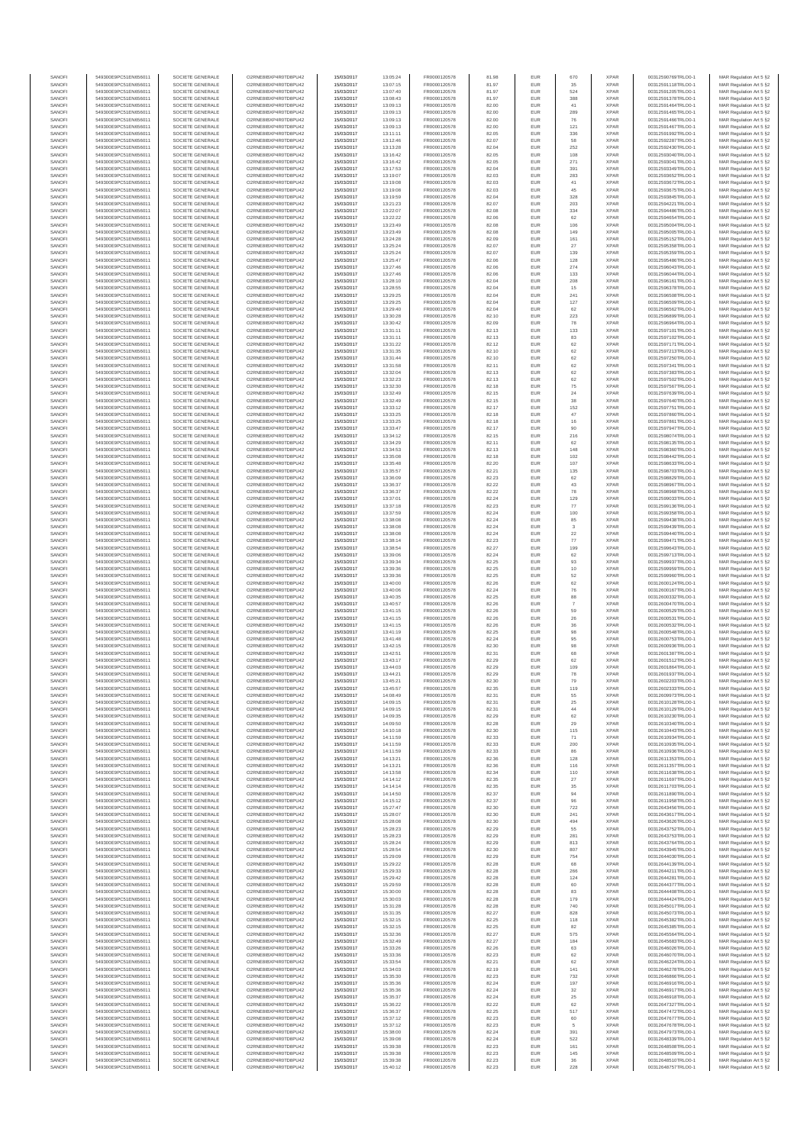| SANOFI           | 549300E9PC51EN656011                         | SOCIETE GENERALE                     | O2RNE8IBXP4R0TD8PU42                          | 15/03/2017               | 13:05:24             | FR0000120578                 | 81.98          | EUR               | 670                     | <b>XPAR</b>                | 00312590769TRLO0-1                       | MAR Regulation Art 5 §2                             |
|------------------|----------------------------------------------|--------------------------------------|-----------------------------------------------|--------------------------|----------------------|------------------------------|----------------|-------------------|-------------------------|----------------------------|------------------------------------------|-----------------------------------------------------|
| SANOFI<br>SANOFI | 549300E9PC51EN656011<br>549300E9PC51EN656011 | SOCIETE GENERALE<br>SOCIETE GENERALE | O2RNE8IBXP4R0TD8PU42<br>O2RNE8IBXP4R0TD8PU42  | 15/03/2017<br>15/03/2017 | 13:07:15<br>13:07:40 | FR0000120578<br>FR0000120578 | 81.97<br>81.97 | <b>EUR</b><br>EUR | 35<br>524               | <b>XPAR</b><br><b>XPAR</b> | 00312591118TRLO0-1<br>00312591205TRLO0-1 | MAR Regulation Art 5 §2<br>MAR Regulation Art 5 §2  |
| SANOFI           | 549300E9PC51EN656011                         | SOCIETE GENERALE                     | O2RNE8IBXP4R0TD8PLI42                         | 15/03/2017               | 13:08:43             | FR0000120578                 | 81.97          | EUR               | 388                     | <b>XPAR</b>                | 00312591378TRLO0-1                       | MAR Regulation Art 5 \$2                            |
| SANOFI           | 549300E9PC51EN656011                         | SOCIETE GENERALE                     | O2RNE8IBXP4R0TD8PU42                          | 15/03/2017               | 13:09:13             | FR0000120578                 | 82.00          | EUR               | 41                      | <b>XPAR</b>                | 00312591464TRLO0-1                       | MAR Regulation Art 5 §2                             |
| SANOFI<br>SANOFI | 549300E9PC51EN656011<br>549300E9PC51EN656011 | SOCIETE GENERALE<br>SOCIETE GENERALE | O2RNE8IBXP4R0TD8PU42<br>O2RNE8IBXP4R0TD8PU42  | 15/03/2017<br>15/03/2017 | 13:09:13<br>13:09:13 | FR0000120578<br>FR0000120578 | 82.00<br>82.00 | EUR<br>EUR        | 289<br>76               | <b>XPAR</b><br><b>XPAR</b> | 00312591465TRLO0-1<br>00312591466TRLO0-1 | MAR Regulation Art 5 §2<br>MAR Regulation Art 5 §2  |
| SANOFI           | 549300E9PC51EN656011                         | SOCIETE GENERALE                     | O2RNE8IBXP4R0TD8PU42                          | 15/03/2017               | 13:09:13             | FR0000120578                 | 82.00          | EUR               | 121                     | <b>XPAR</b>                | 00312591467TRLO0-1                       | MAR Regulation Art 5 §2                             |
| SANOFI           | 549300E9PC51EN656011                         | SOCIETE GENERALE                     | O2RNE8IBXP4R0TD8PU42                          | 15/03/2017               | 13:11:11             | FR0000120578                 | 82.05          | EUR               | 336                     | <b>XPAR</b>                | 00312591992TRLO0-1                       | MAR Regulation Art 5 §2                             |
| SANOFI<br>SANOFI | 549300E9PC51EN656011<br>549300E9PC51EN656011 | SOCIETE GENERALE<br>SOCIETE GENERALE | O2RNE8IBXP4R0TD8PU42<br>O2RNE8IBXP4R0TD8PU42  | 15/03/2017<br>15/03/2017 | 13:12:46<br>13:13:28 | FR0000120578<br>FR0000120578 | 82.07<br>82.04 | EUR<br>EUR        | 58<br>252               | <b>XPAR</b><br><b>XPAR</b> | 00312592287TRLO0-1<br>00312592430TRLO0-1 | MAR Regulation Art 5 §2<br>MAR Regulation Art 5 §2  |
| SANOFI           | 549300E9PC51EN656011                         | SOCIETE GENERALE                     | O2RNE8IBXP4R0TD8PU42                          | 15/03/2017               | 13:16:42             | FR0000120578                 | 82.05          | EUR               | 108                     | <b>XPAR</b>                | 00312593040TRLO0-1                       | MAR Regulation Art 5 §2                             |
| SANOFI           | 549300E9PC51EN656011                         | SOCIETE GENERALE                     | O2RNE8IBXP4R0TD8PU42                          | 15/03/2017               | 13:16:42             | FR0000120578                 | 82.05          | EUR               | 271                     | <b>XPAR</b>                | 00312593041TRLO0-1                       | MAR Regulation Art 5 §2                             |
| SANOFI<br>SANOFI | 549300E9PC51EN656011                         | SOCIETE GENERALE                     | O2RNE8IBXP4R0TD8PU42<br>O2RNE8IBXP4R0TD8PU42  | 15/03/2017               | 13:17:53             | FR0000120578                 | 82.04<br>82.03 | EUR<br>EUR        | 391<br>283              | <b>XPAR</b><br><b>XPAR</b> | 00312593349TRLO0-1                       | MAR Regulation Art 5 §2<br>MAR Regulation Art 5 §2  |
| SANOFI           | 549300E9PC51EN656011<br>549300E9PC51EN656011 | SOCIETE GENERALE<br>SOCIETE GENERALE | O2RNE8IBXP4R0TD8PU42                          | 15/03/2017<br>15/03/2017 | 13:19:07<br>13:19:08 | FR0000120578<br>FR0000120578 | 82.03          | EUR               | 41                      | <b>XPAR</b>                | 00312593652TRLO0-1<br>00312593672TRLO0-1 | MAR Regulation Art 5 §2                             |
| SANOFI           | 549300E9PC51EN656011                         | SOCIETE GENERALE                     | O2RNE8IBXP4R0TD8PU42                          | 15/03/2017               | 13:19:08             | FR0000120578                 | 82.03          | EUR               | 45                      | <b>XPAR</b>                | 00312593675TRLO0-1                       | MAR Regulation Art 5 §2                             |
| SANOFI           | 549300E9PC51EN656011                         | SOCIETE GENERALE                     | O2RNE8IBXP4R0TD8PU42                          | 15/03/2017               | 13:19:59             | FR0000120578                 | 82.04          | EUR               | 328                     | <b>XPAR</b>                | 00312593845TRLO0-1                       | MAR Regulation Art 5 §2                             |
| SANOFI<br>SANOFI | 549300E9PC51EN656011<br>549300E9PC51EN656011 | SOCIETE GENERALE<br>SOCIETE GENERALE | O2RNE8IBXP4R0TD8PU42<br>O2RNE8IBXP4R0TD8PU42  | 15/03/2017<br>15/03/2017 | 13:21:23<br>13:22:07 | FR0000120578<br>FR0000120578 | 82.07<br>82.08 | EUR<br>EUR        | 203<br>334              | <b>XPAR</b><br><b>XPAR</b> | 00312594221TRLO0-1<br>00312594486TRLO0-1 | MAR Regulation Art 5 §2<br>MAR Regulation Art 5 §2  |
| SANOFI           | 549300E9PC51EN656011                         | SOCIETE GENERALE                     | O2RNE8IBXP4R0TD8PU42                          | 15/03/2017               | 13:22:22             | FR0000120578                 | 82.06          | EUR               | 62                      | <b>XPAR</b>                | 00312594654TRLO0-1                       | MAR Regulation Art 5 §2                             |
| SANOFI           | 549300E9PC51EN656011                         | SOCIETE GENERALE                     | O2RNE8IBXP4R0TD8PU42                          | 15/03/2017               | 13:23:49             | FR0000120578                 | 82.08          | EUR               | 106                     | <b>XPAR</b>                | 00312595004TRLO0-1                       | MAR Regulation Art 5 §2                             |
| SANOFI<br>SANOFI | 549300E9PC51EN656011<br>549300E9PC51EN656011 | SOCIETE GENERALE<br>SOCIETE GENERALE | O2RNE8IBXP4R0TD8PU42<br>O2RNE8IBXP4R0TD8PU42  | 15/03/2017<br>15/03/2017 | 13:23:49<br>13:24:28 | FR0000120578<br>FR0000120578 | 82.08<br>82.09 | EUR<br>EUR        | 149<br>161              | <b>XPAR</b><br><b>XPAR</b> | 00312595005TRLO0-1<br>00312595152TRLO0-1 | MAR Regulation Art 5 §2<br>MAR Regulation Art 5 §2  |
| SANOFI           | 549300E9PC51EN656011                         | SOCIETE GENERALE                     | O2RNE8IBXP4R0TD8PU42                          | 15/03/2017               | 13:25:24             | FR0000120578                 | 82.07          | EUR               | 27                      | <b>XPAR</b>                | 00312595358TRLO0-1                       | MAR Regulation Art 5 §2                             |
| SANOFI           | 549300E9PC51EN656011                         | SOCIETE GENERALE                     | O2RNE8IBXP4R0TD8PU42                          | 15/03/2017               | 13:25:24             | FR0000120578                 | 82.07          | EUR               | 139                     | <b>XPAR</b>                | 00312595359TRLO0-1                       | MAR Regulation Art 5 §2                             |
| SANOFI<br>SANOFI | 549300E9PC51EN656011<br>549300E9PC51EN656011 | SOCIETE GENERALE<br>SOCIETE GENERALE | O2RNE8IBXP4R0TD8PU42<br>O2RNE8IBXP4R0TD8PU42  | 15/03/2017<br>15/03/2017 | 13:25:47<br>13:27:46 | FR0000120578<br>FR0000120578 | 82.06<br>82.06 | EUR<br>EUR        | 128<br>274              | <b>XPAR</b><br><b>XPAR</b> | 00312595486TRLO0-1<br>00312596043TRLO0-1 | MAR Regulation Art 5 §2                             |
| SANOFI           | 549300E9PC51EN656011                         | SOCIETE GENERALE                     | O2RNE8IBXP4R0TD8PU42                          | 15/03/2017               | 13:27:46             | FR0000120578                 | 82.06          | EUR               | 133                     | <b>XPAR</b>                | 00312596044TRLO0-1                       | MAR Regulation Art 5 §2<br>MAR Regulation Art 5 §2  |
| SANOFI           | 549300E9PC51EN656011                         | SOCIETE GENERALE                     | O2RNE8IBXP4R0TD8PU42                          | 15/03/2017               | 13:28:10             | FR0000120578                 | 82.04          | EUR               | 208                     | <b>XPAR</b>                | 00312596161TRLO0-1                       | MAR Regulation Art 5 §2                             |
| SANOFI           | 549300E9PC51EN656011                         | SOCIETE GENERALE                     | O2RNE8IBXP4R0TD8PU42                          | 15/03/2017               | 13:28:55             | FR0000120578                 | 82.04          | EUR               | 15                      | <b>XPAR</b>                | 00312596378TRLO0-1                       | MAR Regulation Art 5 \$2                            |
| SANOFI<br>SANOFI | 549300E9PC51EN656011<br>549300E9PC51EN656011 | SOCIETE GENERALE<br>SOCIETE GENERALE | O2RNE8IBXP4R0TD8PU42<br>O2RNE8IBXP4R0TD8PU42  | 15/03/2017<br>15/03/2017 | 13:29:25<br>13:29:25 | FR0000120578<br>FR0000120578 | 82.04<br>82.04 | EUR<br>EUR        | 241<br>127              | <b>XPAR</b><br><b>XPAR</b> | 00312596508TRLO0-1<br>00312596509TRLO0-1 | MAR Regulation Art 5 §2<br>MAR Regulation Art 5 §2  |
| SANOFI           | 549300E9PC51EN656011                         | SOCIETE GENERALE                     | O2RNE8IBXP4R0TD8PU42                          | 15/03/2017               | 13:29:40             | FR0000120578                 | 82.04          | EUR               | 62                      | <b>XPAR</b>                | 00312596562TRLO0-1                       | MAR Regulation Art 5 §2                             |
| SANOFI           | 549300E9PC51EN656011                         | SOCIETE GENERALE                     | O2RNE8IBXP4R0TD8PU42                          | 15/03/2017               | 13:30:28             | FR0000120578                 | 82.10          | EUR               | 223                     | <b>XPAR</b>                | 00312596899TRLO0-1                       | MAR Regulation Art 5 §2                             |
| SANOFI<br>SANOFI | 549300E9PC51EN656011<br>549300E9PC51EN656011 | SOCIETE GENERALE<br>SOCIETE GENERALE | O2RNE8IBXP4R0TD8PU42<br>O2RNE8IBXP4R0TD8PU42  | 15/03/2017<br>15/03/2017 | 13:30:42<br>13:31:11 | FR0000120578<br>FR0000120578 | 82.09<br>82.13 | EUR<br>EUR        | 78<br>133               | <b>XPAR</b><br><b>XPAR</b> | 00312596964TRLO0-1<br>00312597101TRLO0-1 | MAR Regulation Art 5 §2<br>MAR Regulation Art 5 §2  |
| SANOFI           | 549300E9PC51EN656011                         | SOCIETE GENERALE                     | O2RNE8IBXP4R0TD8PU42                          | 15/03/2017               | 13:31:11             | FR0000120578                 | 82.13          | EUR               | 83                      | <b>XPAR</b>                | 00312597102TRLO0-1                       | MAR Regulation Art 5 \$2                            |
| SANOFI           | 549300E9PC51EN656011                         | SOCIETE GENERALE                     | O2RNE8IBXP4R0TD8PU42                          | 15/03/2017               | 13:31:22             | FR0000120578                 | 82.12          | EUR               | 62                      | <b>XPAR</b>                | 00312597171TRLO0-1                       | MAR Regulation Art 5 §2                             |
| SANOFI<br>SANOFI | 549300E9PC51EN656011<br>549300E9PC51EN656011 | SOCIETE GENERALE<br>SOCIETE GENERALE | O2RNE8IBXP4R0TD8PU42<br>O2RNE8IBXP4R0TD8PU42  | 15/03/2017<br>15/03/2017 | 13:31:35<br>13:31:44 | FR0000120578<br>FR0000120578 | 82.10<br>82.10 | EUR<br>EUR        | 62                      | <b>XPAR</b><br><b>XPAR</b> | 00312597213TRLO0-1                       | MAR Regulation Art 5 §2                             |
| SANOFI           | 549300E9PC51EN656011                         | SOCIETE GENERALE                     | O2RNE8IBXP4R0TD8PU42                          | 15/03/2017               | 13:31:58             | FR0000120578                 | 82.11          | EUR               | 62<br>62                | <b>XPAR</b>                | 00312597250TRLO0-1<br>00312597341TRLO0-1 | MAR Regulation Art 5 §2<br>MAR Regulation Art 5 §2  |
| SANOFI           | 549300E9PC51EN656011                         | SOCIETE GENERALE                     | O2RNE8IBXP4R0TD8PU42                          | 15/03/2017               | 13:32:04             | FR0000120578                 | 82.13          | EUR               | 62                      | <b>XPAR</b>                | 00312597383TRLO0-1                       | MAR Regulation Art 5 §2                             |
| SANOFI           | 549300E9PC51EN656011<br>549300E9PC51EN656011 | SOCIETE GENERALE                     | O2RNE8IBXP4R0TD8PU42                          | 15/03/2017               | 13:32:23             | FR0000120578                 | 82.13          | EUR               | 62                      | <b>XPAR</b>                | 00312597502TRLO0-1                       | MAR Regulation Art 5 §2                             |
| SANOFI<br>SANOFI | 549300E9PC51EN656011                         | SOCIETE GENERALE<br>SOCIETE GENERALE | O2RNE8IBXP4R0TD8PU42<br>O2RNE8IBXP4R0TD8PU42  | 15/03/2017<br>15/03/2017 | 13:32:30<br>13:32:49 | FR0000120578<br>FR0000120578 | 82.18<br>82.15 | EUR<br>EUR        | 75<br>24                | <b>XPAR</b><br><b>XPAR</b> | 00312597567TRLO0-1<br>00312597639TRLO0-1 | MAR Regulation Art 5 §2<br>MAR Regulation Art 5 §2  |
| SANOFI           | 549300E9PC51EN656011                         | SOCIETE GENERALE                     | O2RNE8IBXP4R0TD8PU42                          | 15/03/2017               | 13:32:49             | FR0000120578                 | 82.15          | EUR               | 38                      | <b>XPAR</b>                | 00312597640TRLO0-1                       | MAR Regulation Art 5 \$2                            |
| SANOFI           | 549300E9PC51EN656011                         | SOCIETE GENERALE                     | O2RNE8IBXP4R0TD8PU42                          | 15/03/2017               | 13:33:12             | FR0000120578                 | 82.17          | EUR               | 152                     | <b>XPAR</b>                | 00312597751TRLO0-1                       | MAR Regulation Art 5 §2                             |
| SANOFI<br>SANOFI | 549300E9PC51EN656011<br>549300E9PC51EN656011 | SOCIETE GENERALE<br>SOCIETE GENERALE | O2RNE8IBXP4R0TD8PU42<br>O2RNE8IBXP4R0TD8PU42  | 15/03/2017<br>15/03/2017 | 13:33:25<br>13:33:25 | FR0000120578<br>FR0000120578 | 82.18<br>82.18 | EUR<br>EUR        | 47<br>16                | <b>XPAR</b><br><b>XPAR</b> | 00312597860TRLO0-1<br>00312597861TRLO0-1 | MAR Regulation Art 5 §2<br>MAR Regulation Art 5 §2  |
| SANOFI           | 549300E9PC51EN656011                         | SOCIETE GENERALE                     | O2RNE8IBXP4R0TD8PU42                          | 15/03/2017               | 13:33:47             | FR0000120578                 | 82.17          | EUR               | 90                      | <b>XPAR</b>                | 00312597947TRLO0-1                       | MAR Regulation Art 5 §2                             |
| SANOFI           | 549300E9PC51EN656011                         | SOCIETE GENERALE                     | O2RNE8IBXP4R0TD8PU42                          | 15/03/2017               | 13:34:12             | FR0000120578                 | 82.15          | EUR               | 216                     | <b>XPAR</b>                | 00312598074TRLO0-1                       | MAR Regulation Art 5 §2                             |
| SANOFI           | 549300E9PC51EN656011<br>549300E9PC51EN656011 | SOCIETE GENERALE                     | O2RNE8IBXP4R0TD8PU42                          | 15/03/2017               | 13:34:29             | FR0000120578                 | 82.11          | EUR               | 62                      | <b>XPAR</b>                | 00312598135TRLO0-1                       | MAR Regulation Art 5 §2                             |
| SANOFI<br>SANOFI | 549300E9PC51EN656011                         | SOCIETE GENERALE<br>SOCIETE GENERALE | O2RNE8IBXP4R0TD8PU42<br>O2RNE8IBXP4R0TD8PU42  | 15/03/2017<br>15/03/2017 | 13:34:53<br>13:35:08 | FR0000120578<br>FR0000120578 | 82.13<br>82.18 | EUR<br>EUR        | 148<br>102              | <b>XPAR</b><br><b>XPAR</b> | 00312598360TRLO0-1<br>00312598442TRLO0-1 | MAR Regulation Art 5 §2<br>MAR Regulation Art 5 §2  |
| SANOFI           | 549300E9PC51EN656011                         | SOCIETE GENERALE                     | O2RNE8IBXP4R0TD8PU42                          | 15/03/2017               | 13:35:48             | FR0000120578                 | 82.20          | EUR               | 107                     | <b>XPAR</b>                | 00312598633TRLO0-1                       | MAR Regulation Art 5 62                             |
| SANOFI           | 549300E9PC51EN656011                         | SOCIETE GENERALE                     | O2RNE8IBXP4R0TD8PU42                          | 15/03/2017               | 13:35:57             | FR0000120578                 | 82.21          | EUR               | 135                     | <b>XPAR</b>                | 00312598703TRLO0-1                       | MAR Regulation Art 5 §2                             |
| SANOFI<br>SANOFI | 549300E9PC51EN656011<br>549300E9PC51EN656011 | SOCIETE GENERALE<br>SOCIETE GENERALE | O2RNE8IBXP4R0TD8PU42<br>O2RNE8IBXP4R0TD8PU42  | 15/03/2017<br>15/03/2017 | 13:36:09<br>13:36:37 | FR0000120578<br>FR0000120578 | 82.23<br>82.22 | EUR<br>EUR        | 62<br>43                | <b>XPAR</b><br><b>XPAR</b> | 00312598829TRLO0-1<br>00312598967TRLO0-1 | MAR Regulation Art 5 §2<br>MAR Regulation Art 5 §2  |
| SANOFI           | 549300E9PC51EN656011                         | SOCIETE GENERALE                     | O2RNE8IBXP4R0TD8PU42                          | 15/03/2017               | 13:36:37             | FR0000120578                 | 82.22          | EUR               | 78                      | <b>XPAR</b>                | 00312598968TRLO0-1                       | MAR Regulation Art 5 §2                             |
| SANOFI           | 549300E9PC51EN656011                         | SOCIETE GENERALE                     | O2RNE8IBXP4R0TD8PU42                          | 15/03/2017               | 13:37:01             | FR0000120578                 | 82.24          | EUR               | 129                     | <b>XPAR</b>                | 00312599033TRLO0-1                       | MAR Regulation Art 5 §2                             |
| SANOFI<br>SANOFI | 549300E9PC51EN656011<br>549300E9PC51EN656011 | SOCIETE GENERALE<br>SOCIETE GENERALE | O2RNE8IBXP4R0TD8PU42<br>O2RNE8IBXP4R0TD8PU42  | 15/03/2017<br>15/03/2017 | 13:37:18<br>13:37:59 | FR0000120578<br>FR0000120578 | 82.23<br>82.24 | EUR<br>EUR        | 77<br>100               | <b>XPAR</b><br><b>XPAR</b> | 00312599136TRLO0-1<br>00312599358TRLO0-1 | MAR Regulation Art 5 §2                             |
| SANOFI           | 549300E9PC51EN656011                         | SOCIETE GENERALE                     | O2RNE8IBXP4R0TD8PU42                          | 15/03/2017               | 13:38:08             | FR0000120578                 | 82.24          | EUR               | 85                      | <b>XPAR</b>                | 00312599438TRLO0-1                       | MAR Regulation Art 5 §2<br>MAR Regulation Art 5 §2  |
| SANOFI           | 549300E9PC51EN656011                         | SOCIETE GENERALE                     | O2RNE8IBXP4R0TD8PU42                          | 15/03/2017               | 13:38:08             | FR0000120578                 | 82.24          | EUR               | $\mathbf{3}$            | <b>XPAR</b>                | 00312599439TRLO0-1                       | MAR Regulation Art 5 §2                             |
| SANOFI           | 549300E9PC51EN656011                         | SOCIETE GENERALE                     | O2RNE8IBXP4R0TD8PU42                          | 15/03/2017               | 13:38:08             | FR0000120578                 | 82.24          | EUR               | $22\,$                  | <b>XPAR</b>                | 00312599440TRLO0-1                       | MAR Regulation Art 5 §2                             |
| SANOFI<br>SANOFI | 549300E9PC51EN656011<br>549300E9PC51EN656011 | SOCIETE GENERALE<br>SOCIETE GENERALE | O2RNE8IBXP4R0TD8PU42<br>O2RNE8IBXP4R0TD8PU42  | 15/03/2017<br>15/03/2017 | 13:38:14<br>13:38:54 | FR0000120578<br>FR0000120578 | 82.23<br>82.27 | EUR<br>EUR        | 77<br>199               | <b>XPAR</b><br><b>XPAR</b> | 00312599471TRLO0-1<br>00312599643TRLO0-1 | MAR Regulation Art 5 §2<br>MAR Regulation Art 5 §2  |
| SANOFI           | 549300E9PC51EN656011                         | SOCIETE GENERALE                     | O2RNE8IBXP4R0TD8PU42                          | 15/03/2017               | 13:39:06             | FR0000120578                 | 82.24          | EUR               | 62                      | <b>XPAR</b>                | 00312599713TRLO0-1                       | MAR Regulation Art 5 §2                             |
| SANOFI           | 549300E9PC51EN656011                         | SOCIETE GENERALE                     | O2RNE8IBXP4R0TD8PU42                          | 15/03/2017               | 13:39:34             | FR0000120578                 | 82.25          | EUR               | 93                      | <b>XPAR</b>                | 00312599937TRLO0-1                       | MAR Regulation Art 5 §2                             |
| SANOFI           | 549300E9PC51EN656011                         | SOCIETE GENERALE                     | O2RNE8IBXP4R0TD8PU42                          | 15/03/2017               | 13:39:36             | FR0000120578                 | 82.25          | EUR               | 10<br>52                | <b>XPAR</b>                | 00312599959TRLO0-1                       | MAR Regulation Art 5 §2                             |
| SANOFI<br>SANOFI | 549300E9PC51EN656011<br>549300E9PC51EN656011 | SOCIETE GENERALE<br>SOCIETE GENERALE | O2RNE8IBXP4R0TD8PU42<br>O2RNE8IBXP4R0TD8PU42  | 15/03/2017<br>15/03/2017 | 13:39:36<br>13:40:00 | FR0000120578<br>FR0000120578 | 82.25<br>82.26 | EUR<br>EUR        | 62                      | <b>XPAR</b><br><b>XPAR</b> | 00312599960TRLO0-1<br>00312600124TRLO0-1 | MAR Regulation Art 5 §2<br>MAR Regulation Art 5 §2  |
| SANOFI           | 549300E9PC51EN656011                         | SOCIETE GENERALE                     | O2RNE8IBXP4R0TD8PU42                          | 15/03/2017               | 13:40:06             | FR0000120578                 | 82.24          | EUR               | 76                      | <b>XPAR</b>                | 00312600167TRLO0-1                       | MAR Regulation Art 5 §2                             |
| SANOFI           | 549300E9PC51EN656011                         | SOCIETE GENERALE                     | O2RNE8IBXP4R0TD8PU42                          | 15/03/2017               | 13:40:35             | FR0000120578                 | 82.25          | EUR               | 88                      | <b>XPAR</b>                | 00312600332TRLO0-1                       | MAR Regulation Art 5 §2                             |
| SANOFI<br>SANOFI | 549300E9PC51EN656011<br>549300E9PC51EN656011 | SOCIETE GENERALE<br>SOCIETE GENERALE | O2RNE8IBXP4R0TD8PU42<br>O2RNE8IBXP4R0TD8PU42  | 15/03/2017<br>15/03/2017 | 13:40:57<br>13:41:15 | FR0000120578<br>FR0000120578 | 82.26<br>82.26 | EUR<br>EUR        | $\scriptstyle{7}$<br>59 | <b>XPAR</b><br><b>XPAR</b> | 00312600470TRLO0-1<br>00312600529TRLO0-1 | MAR Regulation Art 5 §2<br>MAR Regulation Art 5 §2  |
| SANOFI           | 549300E9PC51EN656011                         | SOCIETE GENERALE                     | O2RNE8IBXP4R0TD8PU42                          | 15/03/2017               | 13:41:15             | FR0000120578                 | 82.26          | EUR               | 26                      | <b>XPAR</b>                | 00312600531TRLO0-1                       | MAR Regulation Art 5 §2                             |
| SANOFI           | 549300E9PC51EN656011                         | SOCIETE GENERALE                     | O2RNE8IBXP4R0TD8PLI42                         | 15/03/2017               | 13:41:15             | FR0000120578                 | 82.26          | EUR               | 36                      | <b>XPAR</b>                | 00312600532TRLO0-1                       | MAR Regulation Art 5 §2                             |
| SANOFI           | 549300E9PC51EN656011                         | SOCIETE GENERALE                     | O2RNE8IBXP4R0TD8PU42                          | 15/03/2017               | 13:41:19             | FR0000120578                 | 82.25          | EUR               | 98                      | <b>XPAR</b>                | 00312600548TRLO0-1                       | MAR Regulation Art 5 §2                             |
| SANOFI<br>SANOFI | 549300E9PC51EN656011<br>549300E9PC51EN656011 | SOCIETE GENERALE<br>SOCIETE GENERALE | O2RNE8IBXP4R0TD8PU42<br>O2RNE8IBXP4R0TD8PU42  | 15/03/2017<br>15/03/2017 | 13:41:48<br>13:42:15 | FR0000120578<br>FR0000120578 | 82.24<br>82.30 | EUR<br>EUR        | 95<br>98                | <b>XPAR</b><br><b>XPAR</b> | 00312600753TRLO0-1<br>00312600936TRLO0-1 | MAR Regulation Art 5 \$2<br>MAR Regulation Art 5 §2 |
| SANOFI           | 549300E9PC51EN656011                         | SOCIETE GENERALE                     | O2RNE8IBXP4R0TD8PU42                          | 15/03/2017               | 13:42:51             | FR0000120578                 | 82.31          | EUR               | 68                      | <b>XPAR</b>                | 00312601387TRLO0-1                       | MAR Regulation Art 5 §2                             |
| SANOFI           | 549300E9PC51EN656011                         | SOCIETE GENERALE                     | O2RNE8IBXP4R0TD8PU42                          | 15/03/2017               | 13:43:17             | FR0000120578                 | 82.29          | EUR               | 62                      | <b>XPAR</b>                | 00312601512TRLO0-1                       | MAR Regulation Art 5 §2                             |
| SANOFI<br>SANOFI | 549300E9PC51EN656011<br>549300E9PC51EN656011 | SOCIETE GENERALE<br>SOCIETE GENERALE | O2RNE8IBXP4R0TD8PU42<br>O2RNE8IBXP4R0TD8PU42  | 15/03/2017<br>15/03/2017 | 13:44:03<br>13:44:21 | FR0000120578<br>FR0000120578 | 82.29<br>82.29 | EUR<br>EUR        | 109<br>78               | <b>XPAR</b><br><b>XPAR</b> | 00312601864TRLO0-1<br>00312601937TRLO0-1 | MAR Regulation Art 5 §2                             |
| SANOFI           | 549300E9PC51EN656011                         | SOCIETE GENERALE                     | O2RNE8IBXP4R0TD8PU42                          | 15/03/2017               | 13:45:21             | FR0000120578                 | 82.30          | EUR               | 79                      | <b>XPAR</b>                | 00312602203TRLO0-1                       | MAR Regulation Art 5 §2<br>MAR Regulation Art 5 §2  |
| SANOFI           | 549300E9PC51EN656011                         | SOCIETE GENERALE                     | O2RNE8IBXP4R0TD8PU42                          | 15/03/2017               | 13:45:57             | FR0000120578                 | 82.35          | EUR               | 119                     | <b>XPAR</b>                | 00312602333TRLO0-1                       | MAR Regulation Art 5 §2                             |
| SANOFI           | 549300E9PC51EN656011                         | SOCIETE GENERALE                     | O2RNE8IBXP4R0TD8PU42                          | 15/03/2017               | 14:08:49             | FR0000120578                 | 82.31          | EUR               | 55                      | <b>XPAR</b>                | 00312609973TRLO0-1                       | MAR Regulation Art 5 §2                             |
| SANOFI<br>SANOFI | 549300E9PC51EN656011<br>549300E9PC51EN656011 | SOCIETE GENERALE<br>SOCIETE GENERALE | O2RNE8IBXP4R0TD8PU42<br>O2RNE8IBXP4R0TD8PU42  | 15/03/2017<br>15/03/2017 | 14:09:15<br>14:09:15 | FR0000120578<br>FR0000120578 | 82.31<br>82.31 | EUR<br>EUR        | 25<br>44                | <b>XPAR</b><br><b>XPAR</b> | 00312610128TRLO0-1<br>00312610129TRLO0-1 | MAR Regulation Art 5 §2<br>MAR Regulation Art 5 §2  |
| SANOFI           | 549300E9PC51EN656011                         | SOCIETE GENERALE                     | O2RNE8IBXP4R0TD8PU42                          | 15/03/2017               | 14:09:35             | FR0000120578                 | 82.29          | EUR               | 62                      | <b>XPAR</b>                | 00312610230TRLO0-1                       | MAR Regulation Art 5 §2                             |
| SANOFI           | 549300E9PC51EN656011                         | SOCIETE GENERALE                     | O2RNE8IBXP4R0TD8PU42                          | 15/03/2017               | 14:09:50             | FR0000120578                 | 82.28          | EUR               | 29                      | <b>XPAR</b>                | 00312610340TRLO0-1                       | MAR Regulation Art 5 §2                             |
| SANOFI<br>SANOFI | 549300E9PC51EN656011<br>549300E9PC51EN656011 | SOCIETE GENERALE<br>SOCIETE GENERALE | O2RNESIBXP4R0TD8PLI42<br>O2RNE8IBXP4R0TD8PU42 | 15/03/2017<br>15/03/2017 | 14:10:18<br>14:11:59 | FR0000120578<br>FR0000120578 | 82.30<br>82.33 | EUR<br>EUR        | 115<br>71               | <b>XPAR</b><br><b>XPAR</b> | 00312610443TRLO0-1<br>00312610934TRLO0-1 | MAR Regulation Art 5 §2<br>MAR Regulation Art 5 §2  |
| SANOFI           | 549300E9PC51EN656011                         | SOCIETE GENERALE                     | O2RNE8IBXP4R0TD8PU42                          | 15/03/2017               | 14:11:59             | FR0000120578                 | 82.33          | EUR               | 200                     | <b>XPAR</b>                | 00312610935TRLO0-1                       | MAR Regulation Art 5 §2                             |
| SANOFI           | 549300E9PC51EN656011                         | SOCIETE GENERALE                     | O2RNE8IBXP4R0TD8PU42                          | 15/03/2017               | 14:11:59             | FR0000120578                 | 82.33          | EUR               | 86                      | <b>XPAR</b>                | 00312610936TRLO0-1                       | MAR Regulation Art 5 §2                             |
| SANOFI<br>SANOFI | 549300E9PC51EN656011<br>549300E9PC51EN656011 | SOCIETE GENERALE<br>SOCIETE GENERALE | O2RNE8IBXP4R0TD8PU42<br>O2RNE8IBXP4R0TD8PU42  | 15/03/2017<br>15/03/2017 | 14:13:21<br>14:13:21 | FR0000120578<br>FR0000120578 | 82.36<br>82.36 | EUR<br>EUR        | 128<br>116              | <b>XPAR</b><br><b>XPAR</b> | 00312611353TRLO0-1<br>00312611357TRLO0-1 | MAR Regulation Art 5 §2<br>MAR Regulation Art 5 §2  |
| SANOFI           | 549300E9PC51EN656011                         | SOCIETE GENERALE                     | O2RNE8IBXP4R0TD8PU42                          | 15/03/2017               | 14:13:58             | FR0000120578                 | 82.34          | EUR               | 110                     | <b>XPAR</b>                | 00312611638TRLO0-1                       | MAR Regulation Art 5 §2                             |
| SANOFI           | 549300E9PC51EN656011                         | SOCIETE GENERALE                     | O2RNE8IBXP4R0TD8PU42                          | 15/03/2017               | 14:14:12             | FR0000120578                 | 82.35          | EUR               | $27\,$                  | <b>XPAR</b>                | 00312611697TRLO0-1                       | MAR Regulation Art 5 §2                             |
| SANOFI<br>SANOFI | 549300E9PC51EN656011<br>549300E9PC51EN656011 | SOCIETE GENERALE<br>SOCIETE GENERALE | O2RNE8IBXP4R0TD8PU42<br>O2RNE8IBXP4R0TD8PU42  | 15/03/2017<br>15/03/2017 | 14:14:14<br>14:14:50 | FR0000120578<br>FR0000120578 | 82.35<br>82.37 | EUR<br>EUR        | 35<br>94                | <b>XPAR</b><br><b>XPAR</b> | 00312611703TRLO0-1<br>00312611890TRLO0-1 | MAR Regulation Art 5 §2<br>MAR Regulation Art 5 §2  |
| SANOFI           | 549300E9PC51EN656011                         | SOCIETE GENERALE                     | O2RNE8IBXP4R0TD8PU42                          | 15/03/2017               | 14:15:12             | FR0000120578                 | 82.37          | EUR               | 96                      | <b>XPAR</b>                | 00312611958TRLO0-1                       | MAR Regulation Art 5 §2                             |
| SANOFI           | 549300E9PC51EN656011                         | SOCIETE GENERALE                     | O2RNE8IBXP4R0TD8PU42                          | 15/03/2017               | 15:27:47             | FR0000120578                 | 82.30          | EUR               | 722                     | <b>XPAR</b>                | 00312643456TRLO0-1                       | MAR Regulation Art 5 §2                             |
| SANOFI<br>SANOFI | 549300E9PC51EN656011<br>549300E9PC51EN656011 | SOCIETE GENERALE<br>SOCIETE GENERALE | O2RNE8IBXP4R0TD8PU42<br>O2RNE8IBXP4R0TD8PU42  | 15/03/2017<br>15/03/2017 | 15:28:07<br>15:28:08 | FR0000120578<br>FR0000120578 | 82.30<br>82.30 | EUR<br>EUR        | 241<br>494              | <b>XPAR</b><br><b>XPAR</b> | 00312643617TRLO0-1<br>00312643626TRLO0-1 | MAR Regulation Art 5 §2<br>MAR Regulation Art 5 §2  |
| SANOFI           | 549300E9PC51EN656011                         | SOCIETE GENERALE                     | O2RNE8IBXP4R0TD8PU42                          | 15/03/2017               | 15:28:23             | FR0000120578                 | 82.29          | EUR               | 55                      | <b>XPAR</b>                | 00312643752TRLO0-1                       | MAR Regulation Art 5 §2                             |
| SANOFI           | 549300E9PC51EN656011                         | SOCIETE GENERALE                     | O2RNE8IBXP4R0TD8PU42                          | 15/03/2017               | 15:28:23             | FR0000120578                 | 82.29          | EUR               | 281                     | <b>XPAR</b>                | 00312643753TRLO0-1                       | MAR Regulation Art 5 §2                             |
| SANOFI<br>SANOFI | 549300E9PC51EN656011<br>549300E9PC51EN656011 | SOCIETE GENERALE<br>SOCIETE GENERALE | O2RNE8IBXP4R0TD8PU42<br>O2RNE8IBXP4R0TD8PU42  | 15/03/2017<br>15/03/2017 | 15:28:24<br>15:28:54 | FR0000120578                 | 82.29<br>82.30 | EUR<br>EUR        | 813<br>807              | <b>XPAR</b><br><b>XPAR</b> | 00312643764TRLO0-1<br>00312643945TRLO0-1 | MAR Regulation Art 5 §2                             |
| SANOFI           | 549300E9PC51EN656011                         | SOCIETE GENERALE                     | O2RNE8IBXP4R0TD8PU42                          | 15/03/2017               | 15:29:09             | FR0000120578<br>FR0000120578 | 82.29          | EUR               | 754                     | <b>XPAR</b>                | 00312644030TRLO0-1                       | MAR Regulation Art 5 §2<br>MAR Regulation Art 5 §2  |
| SANOFI           | 549300E9PC51EN656011                         | SOCIETE GENERALE                     | O2RNE8IBXP4R0TD8PU42                          | 15/03/2017               | 15:29:22             | FR0000120578                 | 82.28          | EUR               | 68                      | <b>XPAR</b>                | 00312644139TRLO0-1                       | MAR Regulation Art 5 §2                             |
| SANOFI<br>SANOFI | 549300E9PC51EN656011<br>549300E9PC51EN656011 | SOCIETE GENERALE<br>SOCIETE GENERALE | O2RNE8IBXP4R0TD8PU42<br>O2RNE8IBXP4R0TD8PU42  | 15/03/2017<br>15/03/2017 | 15:29:33<br>15:29:42 | FR0000120578<br>FR0000120578 | 82.28<br>82.28 | EUR<br>EUR        | 266<br>124              | <b>XPAR</b><br><b>XPAR</b> | 00312644211TRLO0-1<br>00312644281TRLO0-1 | MAR Regulation Art 5 §2<br>MAR Regulation Art 5 §2  |
| SANOFI           | 549300E9PC51EN656011                         | SOCIETE GENERALE                     | O2RNE8IBXP4R0TD8PU42                          | 15/03/2017               | 15:29:59             | FR0000120578                 | 82.28          | EUR               | 60                      | <b>XPAR</b>                | 00312644377TRLO0-1                       | MAR Regulation Art 5 §2                             |
| SANOFI           | 549300E9PC51EN656011                         | SOCIETE GENERALE                     | O2RNE8IBXP4R0TD8PU42                          | 15/03/2017               | 15:30:00             | FR0000120578                 | 82.28          | EUR               | 83                      | <b>XPAR</b>                | 00312644408TRLO0-1                       | MAR Regulation Art 5 §2                             |
| SANOFI           | 549300E9PC51EN656011                         | SOCIETE GENERALE                     | O2RNE8IBXP4R0TD8PU42                          | 15/03/2017               | 15:30:03             | FR0000120578                 | 82.28<br>82.28 | EUR               | 179                     | <b>XPAR</b>                | 00312644424TRLO0-1                       | MAR Regulation Art 5 §2                             |
| SANOFI<br>SANOFI | 549300E9PC51EN656011<br>549300E9PC51EN656011 | SOCIETE GENERALE<br>SOCIETE GENERALE | O2RNE8IBXP4R0TD8PU42<br>O2RNE8IBXP4R0TD8PU42  | 15/03/2017<br>15/03/2017 | 15:31:28<br>15:31:35 | FR0000120578<br>FR0000120578 | 82.27          | EUR<br>EUR        | 740<br>828              | <b>XPAR</b><br><b>XPAR</b> | 00312645017TRLO0-1<br>00312645073TRLO0-1 | MAR Regulation Art 5 §2<br>MAR Regulation Art 5 §2  |
| SANOFI           | 549300E9PC51EN656011                         | SOCIETE GENERALE                     | O2RNE8IBXP4R0TD8PU42                          | 15/03/2017               | 15:32:15             | FR0000120578                 | 82.25          | EUR               | 118                     | <b>XPAR</b>                | 00312645382TRLO0-1                       | MAR Regulation Art 5 §2                             |
| SANOFI           | 549300E9PC51EN656011                         | SOCIETE GENERALE                     | O2RNE8IBXP4R0TD8PU42                          | 15/03/2017               | 15:32:15             | FR0000120578                 | 82.25          | EUR               | 82                      | <b>XPAR</b>                | 00312645385TRLO0-1                       | MAR Regulation Art 5 §2                             |
| SANOFI<br>SANOFI | 549300E9PC51EN656011<br>549300E9PC51EN656011 | SOCIETE GENERALE<br>SOCIETE GENERALE | O2RNE8IBXP4R0TD8PU42<br>O2RNE8IBXP4R0TD8PU42  | 15/03/2017<br>15/03/2017 | 15:32:36<br>15:32:49 | FR0000120578<br>FR0000120578 | 82.27<br>82.27 | EUR<br>EUR        | 575<br>184              | <b>XPAR</b><br><b>XPAR</b> | 00312645564TRLO0-1<br>00312645683TRLO0-1 | MAR Regulation Art 5 §2<br>MAR Regulation Art 5 §2  |
| SANOFI           | 549300E9PC51EN656011                         | SOCIETE GENERALE                     | O2RNE8IBXP4R0TD8PU42                          | 15/03/2017               | 15:33:26             | FR0000120578                 | 82.26          | EUR               | 63                      | <b>XPAR</b>                | 00312646026TRLO0-1                       | MAR Regulation Art 5 §2                             |
| SANOFI           | 549300E9PC51EN656011                         | SOCIETE GENERALE                     | O2RNE8IBXP4R0TD8PU42                          | 15/03/2017               | 15:33:36             | FR0000120578                 | 82.23          | EUR               | 62                      | <b>XPAR</b>                | 00312646070TRLO0-1                       | MAR Regulation Art 5 §2                             |
| SANOFI<br>SANOFI | 549300E9PC51EN656011<br>549300E9PC51EN656011 | SOCIETE GENERALE<br>SOCIETE GENERALE | O2RNE8IBXP4R0TD8PU42<br>O2RNE8IBXP4R0TD8PU42  | 15/03/2017<br>15/03/2017 | 15:33:54<br>15:34:03 | FR0000120578<br>FR0000120578 | 82.21<br>82.19 | EUR<br>EUR        | 62<br>141               | <b>XPAR</b><br><b>XPAR</b> | 00312646224TRLO0-1<br>00312646278TRLO0-1 | MAR Regulation Art 5 §2<br>MAR Regulation Art 5 §2  |
| SANOFI           | 549300E9PC51EN656011                         | SOCIETE GENERALE                     | O2RNE8IBXP4R0TD8PU42                          | 15/03/2017               | 15:35:30             | FR0000120578                 | 82.23          | EUR               | 732                     | <b>XPAR</b>                | 00312646866TRLO0-1                       | MAR Regulation Art 5 §2                             |
| SANOFI           | 549300E9PC51EN656011                         | SOCIETE GENERALE                     | O2RNE8IBXP4R0TD8PU42                          | 15/03/2017               | 15:35:36             | FR0000120578                 | 82.24          | EUR               | 197                     | <b>XPAR</b>                | 00312646916TRLO0-1                       | MAR Regulation Art 5 §2                             |
| SANOFI<br>SANOFI | 549300E9PC51EN656011<br>549300E9PC51EN656011 | SOCIETE GENERALE<br>SOCIETE GENERALE | O2RNE8IBXP4R0TD8PU42<br>O2RNE8IBXP4R0TD8PU42  | 15/03/2017<br>15/03/2017 | 15:35:36<br>15:35:37 | FR0000120578<br>FR0000120578 | 82.24<br>82.24 | EUR<br>EUR        | 32<br>25                | <b>XPAR</b><br><b>XPAR</b> | 00312646917TRLO0-1<br>00312646918TRLO0-1 | MAR Regulation Art 5 §2                             |
| SANOFI           | 549300E9PC51EN656011                         | SOCIETE GENERALE                     | O2RNE8IBXP4R0TD8PU42                          | 15/03/2017               | 15:36:22             | FR0000120578                 | 82.22          | EUR               | 62                      | <b>XPAR</b>                | 00312647327TRLO0-1                       | MAR Regulation Art 5 §2<br>MAR Regulation Art 5 §2  |
| SANOFI           | 549300E9PC51EN656011                         | SOCIETE GENERALE                     | O2RNE8IBXP4R0TD8PU42                          | 15/03/2017               | 15:36:37             | FR0000120578                 | 82.25          | EUR               | 517                     | <b>XPAR</b>                | 00312647472TRLO0-1                       | MAR Regulation Art 5 §2                             |
| SANOFI<br>SANOFI | 549300E9PC51EN656011                         | SOCIETE GENERALE                     | O2RNE8IBXP4R0TD8PU42<br>O2RNE8IBXP4R0TD8PU42  | 15/03/2017               | 15:37:12             | FR0000120578                 | 82.23          | EUR               | 60                      | <b>XPAR</b>                | 00312647677TRLO0-1                       | MAR Regulation Art 5 §2                             |
| SANOFI           | 549300E9PC51EN656011<br>549300E9PC51EN656011 | SOCIETE GENERALE<br>SOCIETE GENERALE | O2RNE8IBXP4R0TD8PU42                          | 15/03/2017<br>15/03/2017 | 15:37:12<br>15:38:00 | FR0000120578<br>FR0000120578 | 82.23<br>82.24 | EUR<br>EUR        | $\overline{5}$<br>391   | <b>XPAR</b><br><b>XPAR</b> | 00312647678TRLO0-1<br>00312647973TRLO0-1 | MAR Regulation Art 5 §2<br>MAR Regulation Art 5 §2  |
| SANOFI           | 549300E9PC51EN656011                         | SOCIETE GENERALE                     | O2RNE8IBXP4R0TD8PU42                          | 15/03/2017               | 15:39:08             | FR0000120578                 | 82.24          | EUR               | 522                     | <b>XPAR</b>                | 00312648339TRLO0-1                       | MAR Regulation Art 5 §2                             |
| SANOFI<br>SANOFI | 549300E9PC51EN656011<br>549300E9PC51EN656011 | SOCIETE GENERALE<br>SOCIETE GENERALE | O2RNE8IBXP4R0TD8PU42<br>O2RNE8IBXP4R0TD8PU42  | 15/03/2017<br>15/03/2017 | 15:39:38<br>15:39:38 | FR0000120578<br>FR0000120578 | 82.23<br>82.23 | EUR<br>EUR        | 161<br>145              | <b>XPAR</b><br><b>XPAR</b> | 00312648508TRLO0-1<br>00312648509TRLO0-1 | MAR Regulation Art 5 §2                             |
| SANOFI           | 549300E9PC51EN656011                         | SOCIETE GENERALE                     | O2RNE8IBXP4R0TD8PU42                          | 15/03/2017               | 15:39:38             | FR0000120578                 | 82.23          | EUR               | 36                      | <b>XPAR</b>                | 00312648510TRLO0-1                       | MAR Regulation Art 5 §2<br>MAR Regulation Art 5 §2  |
| SANOFI           | 549300E9PC51EN656011                         | SOCIETE GENERALE                     | O2RNE8IBXP4R0TD8PU42                          | 15/03/2017               | 15:40:12             | FR0000120578                 | 82.23          | EUR               | 228                     | <b>XPAR</b>                | 00312648757TRLO0-1                       | MAR Regulation Art 5 §2                             |
|                  |                                              |                                      |                                               |                          |                      |                              |                |                   |                         |                            |                                          |                                                     |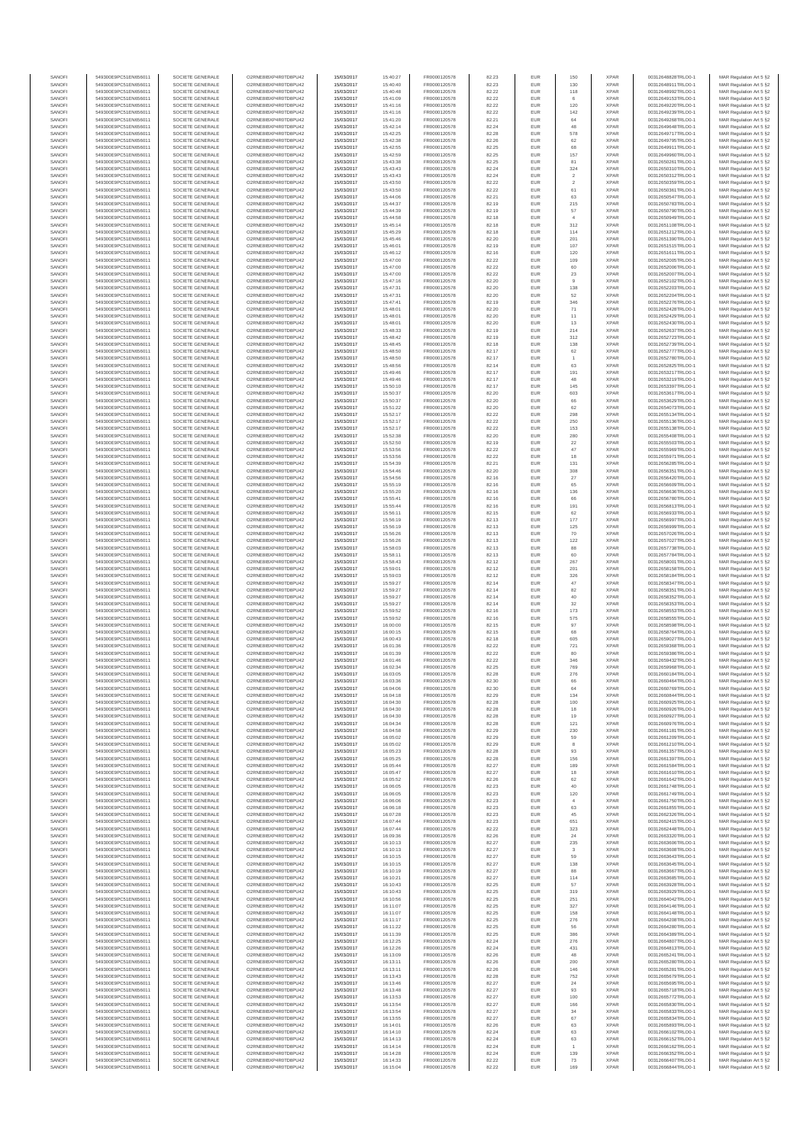| SANOFI           | 549300E9PC51EN656011                         | SOCIETE GENERALE                     | O2RNE8IBXP4R0TD8PU42                         | 15/03/2017               | 15:40:27             | FR0000120578                 | 82.23          | EUR               | 150                   | <b>XPAR</b>                | 00312648828TRLO0-1                       | MAR Regulation Art 5 §2                             |
|------------------|----------------------------------------------|--------------------------------------|----------------------------------------------|--------------------------|----------------------|------------------------------|----------------|-------------------|-----------------------|----------------------------|------------------------------------------|-----------------------------------------------------|
| SANOFI<br>SANOFI | 549300E9PC51EN656011<br>549300E9PC51EN656011 | SOCIETE GENERALE<br>SOCIETE GENERALE | O2RNE8IBXP4R0TD8PU42<br>O2RNE8IBXP4R0TD8PU42 | 15/03/2017<br>15/03/2017 | 15:40:40<br>15:40:48 | FR0000120578<br>FR0000120578 | 82.23<br>82.22 | EUR<br>EUR        | 130<br>118            | <b>XPAR</b><br><b>XPAR</b> | 00312648911TRLO0-1<br>00312648992TRLO0-1 | MAR Regulation Art 5 §2                             |
| SANOFI           | 549300E9PC51EN656011                         | SOCIETE GENERALE                     | O2RNE8IBXP4R0TD8PU42                         | 15/03/2017               | 15:41:09             | FR0000120578                 | 82.22          | EUR               | 6                     | <b>XPAR</b>                | 00312649153TRLO0-1                       | MAR Regulation Art 5 §2<br>MAR Regulation Art 5 §2  |
| SANOFI           | 549300E9PC51EN656011                         | SOCIETE GENERALE                     | O2RNE8IBXP4R0TD8PU42                         | 15/03/2017               | 15:41:16             | FR0000120578                 | 82.22          | EUR               | 120                   | <b>XPAR</b>                | 00312649220TRLO0-1                       | MAR Regulation Art 5 §2                             |
| SANOFI           | 549300E9PC51EN656011                         | SOCIETE GENERALE                     | O2RNE8IBXP4R0TD8PU42                         | 15/03/2017               | 15:41:16             | FR0000120578                 | 82.22          | EUR               | 142                   | <b>XPAR</b>                | 00312649239TRLO0-1                       | MAR Regulation Art 5 §2                             |
| SANOFI<br>SANOFI | 549300E9PC51EN656011<br>549300E9PC51EN656011 | SOCIETE GENERALE<br>SOCIETE GENERALE | O2RNE8IBXP4R0TD8PU42<br>O2RNE8IBXP4R0TD8PU42 | 15/03/2017<br>15/03/2017 | 15:41:20<br>15:42:14 | FR0000120578<br>FR0000120578 | 82.21<br>82.24 | EUR<br>EUR        | 64<br>48              | <b>XPAR</b><br><b>XPAR</b> | 00312649268TRLO0-1<br>00312649648TRLO0-1 | MAR Regulation Art 5 §2<br>MAR Regulation Art 5 §2  |
| SANOFI           | 549300E9PC51EN656011                         | SOCIETE GENERALE                     | O2RNE8IBXP4R0TD8PU42                         | 15/03/2017               | 15:42:25             | FR0000120578                 | 82.28          | EUR               | 578                   | <b>XPAR</b>                | 00312649717TRLO0-1                       | MAR Regulation Art 5 §2                             |
| SANOFI           | 549300E9PC51EN656011                         | SOCIETE GENERALE                     | O2RNE8IBXP4R0TD8PU42                         | 15/03/2017               | 15:42:38             | FR0000120578                 | 82.26          | EUR               | 62                    | <b>XPAR</b>                | 00312649795TRLO0-1                       | MAR Regulation Art 5 §2                             |
| SANOFI<br>SANOFI | 549300E9PC51EN656011<br>549300E9PC51EN656011 | SOCIETE GENERALE<br>SOCIETE GENERALE | O2RNE8IBXP4R0TD8PU42<br>O2RNE8IBXP4R0TD8PU42 | 15/03/2017<br>15/03/2017 | 15:42:55<br>15:42:59 | FR0000120578<br>FR0000120578 | 82.25<br>82.25 | EUR<br>EUR        | 68<br>157             | <b>XPAR</b><br><b>XPAR</b> | 00312649911TRLO0-1<br>00312649960TRLO0-1 | MAR Regulation Art 5 §2<br>MAR Regulation Art 5 §2  |
| SANOFI           | 549300E9PC51EN656011                         | SOCIETE GENERALE                     | O2RNE8IBXP4R0TD8PU42                         | 15/03/2017               | 15:43:38             | FR0000120578                 | 82.25          | EUR               | 81                    | <b>XPAR</b>                | 00312650261TRLO0-1                       | MAR Regulation Art 5 §2                             |
| SANOFI           | 549300E9PC51EN656011                         | SOCIETE GENERALE                     | O2RNE8IBXP4R0TD8PU42                         | 15/03/2017               | 15:43:43             | FR0000120578                 | 82.24          | EUR               | 324                   | <b>XPAR</b>                | 00312650310TRLO0-1                       | MAR Regulation Art 5 §2                             |
| SANOFI           | 549300E9PC51EN656011                         | SOCIETE GENERALE                     | O2RNE8IBXP4R0TD8PU42                         | 15/03/2017               | 15:43:43             | FR0000120578                 | 82.24          | EUR               | $\sqrt{2}$            | <b>XPAR</b>                | 00312650312TRLO0-1                       | MAR Regulation Art 5 §2                             |
| SANOFI<br>SANOFI | 549300E9PC51EN656011<br>549300E9PC51EN656011 | SOCIETE GENERALE<br>SOCIETE GENERALE | O2RNE8IBXP4R0TD8PU42<br>O2RNE8IBXP4R0TD8PU42 | 15/03/2017<br>15/03/2017 | 15:43:50<br>15:43:50 | FR0000120578<br>FR0000120578 | 82.22<br>82.22 | EUR<br>EUR        | $\overline{2}$<br>61  | <b>XPAR</b><br><b>XPAR</b> | 00312650359TRLO0-1<br>00312650361TRLO0-1 | MAR Regulation Art 5 §2<br>MAR Regulation Art 5 §2  |
| SANOFI           | 549300E9PC51EN656011                         | SOCIETE GENERALE                     | O2RNE8IBXP4R0TD8PU42                         | 15/03/2017               | 15:44:06             | FR0000120578                 | 82.21          | EUR               | 63                    | <b>XPAR</b>                | 00312650547TRLO0-1                       | MAR Regulation Art 5 §2                             |
| SANOFI           | 549300E9PC51EN656011                         | SOCIETE GENERALE                     | O2RNE8IBXP4R0TD8PU42                         | 15/03/2017               | 15:44:37             | FR0000120578                 | 82.19          | EUR               | 215                   | <b>XPAR</b>                | 00312650783TRLO0-1                       | MAR Regulation Art 5 §2                             |
| SANOFI           | 549300E9PC51EN656011                         | SOCIETE GENERALE                     | O2RNE8IBXP4R0TD8PU42                         | 15/03/2017               | 15:44:39             | FR0000120578                 | 82.19          | EUR               | 57                    | <b>XPAR</b>                | 00312650790TRLO0-1                       | MAR Regulation Art 5 §2                             |
| SANOFI<br>SANOFI | 549300E9PC51EN656011<br>549300E9PC51EN656011 | SOCIETE GENERALE<br>SOCIETE GENERALE | O2RNE8IBXP4R0TD8PU42<br>O2RNE8IBXP4R0TD8PU42 | 15/03/2017<br>15/03/2017 | 15:44:58<br>15:45:14 | FR0000120578<br>FR0000120578 | 82.18<br>82.18 | EUR<br>EUR        | $\overline{4}$<br>312 | <b>XPAR</b><br><b>XPAR</b> | 00312650949TRLO0-1<br>00312651108TRLO0-1 | MAR Regulation Art 5 §2<br>MAR Regulation Art 5 §2  |
| SANOFI           | 549300E9PC51EN656011                         | SOCIETE GENERALE                     | O2RNE8IBXP4R0TD8PU42                         | 15/03/2017               | 15:45:29             | FR0000120578                 | 82.18          | EUR               | 114                   | <b>XPAR</b>                | 00312651212TRLO0-1                       | MAR Regulation Art 5 §2                             |
| SANOFI           | 549300E9PC51EN656011                         | SOCIETE GENERALE                     | O2RNE8IBXP4R0TD8PU42                         | 15/03/2017               | 15:45:46             | FR0000120578                 | 82.20          | EUR               | 201                   | <b>XPAR</b>                | 00312651390TRLO0-1                       | MAR Regulation Art 5 §2                             |
| SANOFI<br>SANOFI | 549300E9PC51EN656011<br>549300E9PC51EN656011 | SOCIETE GENERALE<br>SOCIETE GENERALE | O2RNE8IBXP4R0TD8PU42<br>O2RNE8IBXP4R0TD8PU42 | 15/03/2017<br>15/03/2017 | 15:46:01<br>15:46:12 | FR0000120578<br>FR0000120578 | 82.19<br>82.16 | EUR<br>EUR        | 107<br>120            | <b>XPAR</b><br><b>XPAR</b> | 00312651515TRLO0-1<br>00312651611TRLO0-1 | MAR Regulation Art 5 §2<br>MAR Regulation Art 5 §2  |
| SANOFI           | 549300E9PC51EN656011                         | SOCIETE GENERALE                     | O2RNE8IBXP4R0TD8PU42                         | 15/03/2017               | 15:47:00             | FR0000120578                 | 82.22          | EUR               | 109                   | <b>XPAR</b>                | 00312652005TRLO0-1                       | MAR Regulation Art 5 62                             |
| SANOFI           | 549300E9PC51EN656011                         | SOCIETE GENERALE                     | O2RNE8IBXP4R0TD8PU42                         | 15/03/2017               | 15:47:00             | FR0000120578                 | 82.22          | EUR               | 60                    | <b>XPAR</b>                | 00312652006TRLO0-1                       | MAR Regulation Art 5 §2                             |
| SANOFI           | 549300E9PC51EN656011                         | SOCIETE GENERALE                     | O2RNE8IBXP4R0TD8PU42                         | 15/03/2017               | 15:47:00             | FR0000120578                 | 82.22          | EUR               | $23\,$                | <b>XPAR</b>                | 00312652007TRLO0-1                       | MAR Regulation Art 5 §2                             |
| SANOFI<br>SANOFI | 549300E9PC51EN656011<br>549300E9PC51EN656011 | SOCIETE GENERALE<br>SOCIETE GENERALE | O2RNE8IBXP4R0TD8PU42<br>O2RNE8IBXP4R0TD8PU42 | 15/03/2017<br>15/03/2017 | 15:47:16<br>15:47:31 | FR0000120578<br>FR0000120578 | 82.20<br>82.20 | EUR<br>EUR        | 9<br>138              | <b>XPAR</b><br><b>XPAR</b> | 00312652102TRLO0-1<br>00312652203TRLO0-1 | MAR Regulation Art 5 §2<br>MAR Regulation Art 5 §2  |
| SANOFI           | 549300E9PC51EN656011                         | SOCIETE GENERALE                     | O2RNE8IBXP4R0TD8PU42                         | 15/03/2017               | 15:47:31             | FR0000120578                 | 82.20          | EUR               | 52                    | <b>XPAR</b>                | 00312652204TRLO0-1                       | MAR Regulation Art 5 §2                             |
| SANOFI           | 549300E9PC51EN656011                         | SOCIETE GENERALE                     | O2RNE8IBXP4R0TD8PU42                         | 15/03/2017               | 15:47:41             | FR0000120578                 | 82.19          | EUR               | 346                   | <b>XPAR</b>                | 00312652276TRLO0-1                       | MAR Regulation Art 5 §2                             |
| SANOFI<br>SANOFI | 549300E9PC51EN656011<br>549300E9PC51EN656011 | SOCIETE GENERALE<br>SOCIETE GENERALE | O2RNE8IBXP4R0TD8PU42<br>O2RNE8IBXP4R0TD8PU42 | 15/03/2017<br>15/03/2017 | 15:48:01<br>15:48:01 | FR0000120578<br>FR0000120578 | 82.20<br>82.20 | EUR<br>EUR        | 71<br>11              | <b>XPAR</b><br><b>XPAR</b> | 00312652428TRLO0-1<br>00312652429TRLO0-1 | MAR Regulation Art 5 \$2                            |
| SANOFI           | 549300E9PC51EN656011                         | SOCIETE GENERALE                     | O2RNE8IBXP4R0TD8PU42                         | 15/03/2017               | 15:48:01             | FR0000120578                 | 82.20          | EUR               | 13                    | <b>XPAR</b>                | 00312652430TRLO0-1                       | MAR Regulation Art 5 §2<br>MAR Regulation Art 5 §2  |
| SANOFI           | 549300E9PC51EN656011                         | SOCIETE GENERALE                     | O2RNE8IBXP4R0TD8PU42                         | 15/03/2017               | 15:48:33             | FR0000120578                 | 82.19          | EUR               | 214                   | <b>XPAR</b>                | 00312652637TRLO0-1                       | MAR Regulation Art 5 §2                             |
| SANOFI           | 549300E9PC51EN656011                         | SOCIETE GENERALE                     | O2RNE8IBXP4R0TD8PU42                         | 15/03/2017               | 15:48:42             | FR0000120578                 | 82.19          | EUR               | 312                   | <b>XPAR</b>                | 00312652723TRLO0-1                       | MAR Regulation Art 5 §2                             |
| SANOFI<br>SANOFI | 549300E9PC51EN656011<br>549300E9PC51EN656011 | SOCIETE GENERALE<br>SOCIETE GENERALE | O2RNE8IBXP4R0TD8PU42<br>O2RNE8IBXP4R0TD8PU42 | 15/03/2017<br>15/03/2017 | 15:48:45<br>15:48:50 | FR0000120578<br>FR0000120578 | 82.18<br>82.17 | EUR<br>EUR        | 138<br>62             | <b>XPAR</b><br><b>XPAR</b> | 00312652739TRLO0-1<br>00312652777TRLO0-1 | MAR Regulation Art 5 §2<br>MAR Regulation Art 5 §2  |
| SANOFI           | 549300E9PC51EN656011                         | SOCIETE GENERALE                     | O2RNE8IBXP4R0TD8PU42                         | 15/03/2017               | 15:48:50             | FR0000120578                 | 82.17          | EUR               | $\overline{1}$        | <b>XPAR</b>                | 00312652780TRLO0-1                       | MAR Regulation Art 5 §2                             |
| SANOFI           | 549300E9PC51EN656011                         | SOCIETE GENERALE                     | O2RNE8IBXP4R0TD8PU42                         | 15/03/2017               | 15:48:56             | FR0000120578                 | 82.14          | EUR               | 63                    | <b>XPAR</b>                | 00312652825TRLO0-1                       | MAR Regulation Art 5 §2                             |
| SANOFI           | 549300E9PC51EN656011                         | SOCIETE GENERALE                     | O2RNE8IBXP4R0TD8PU42                         | 15/03/2017               | 15:49:46             | FR0000120578<br>FR0000120578 | 82.17          | EUR               | 191                   | <b>XPAR</b>                | 00312653217TRLO0-1                       | MAR Regulation Art 5 §2                             |
| SANOFI<br>SANOFI | 549300E9PC51EN656011<br>549300E9PC51EN656011 | SOCIETE GENERALE<br>SOCIETE GENERALE | O2RNE8IBXP4R0TD8PU42<br>O2RNE8IBXP4R0TD8PU42 | 15/03/2017<br>15/03/2017 | 15:49:46<br>15:50:10 | FR0000120578                 | 82.17<br>82.17 | EUR<br>EUR        | 48<br>145             | <b>XPAR</b><br><b>XPAR</b> | 00312653219TRLO0-1<br>00312653397TRLO0-1 | MAR Regulation Art 5 §2<br>MAR Regulation Art 5 §2  |
| SANOFI           | 549300E9PC51EN656011                         | SOCIETE GENERALE                     | O2RNE8IBXP4R0TD8PU42                         | 15/03/2017               | 15:50:37             | FR0000120578                 | 82.20          | EUR               | 603                   | <b>XPAR</b>                | 00312653617TRLO0-1                       | MAR Regulation Art 5 §2                             |
| SANOFI           | 549300E9PC51EN656011                         | SOCIETE GENERALE                     | O2RNE8IBXP4R0TD8PU42                         | 15/03/2017               | 15:50:37             | FR0000120578                 | 82.20          | EUR               | 66                    | <b>XPAR</b>                | 00312653629TRLO0-1                       | MAR Regulation Art 5 §2                             |
| SANOFI           | 549300E9PC51EN656011                         | SOCIETE GENERALE                     | O2RNE8IBXP4R0TD8PU42<br>O2RNE8IBXP4R0TD8PU42 | 15/03/2017               | 15:51:22             | FR0000120578<br>FR0000120578 | 82.20          | EUR               | 62                    | <b>XPAR</b>                | 00312654073TRLO0-1                       | MAR Regulation Art 5 §2                             |
| SANOFI<br>SANOFI | 549300E9PC51EN656011<br>549300E9PC51EN656011 | SOCIETE GENERALE<br>SOCIETE GENERALE | O2RNE8IBXP4R0TD8PLI42                        | 15/03/2017<br>15/03/2017 | 15:52:17<br>15:52:17 | FR0000120578                 | 82.22<br>82.22 | EUR<br>EUR        | 298<br>250            | <b>XPAR</b><br><b>XPAR</b> | 00312655134TRLO0-1<br>00312655136TRLO0-1 | MAR Regulation Art 5 §2<br>MAR Regulation Art 5 §2  |
| SANOFI           | 549300E9PC51EN656011                         | SOCIETE GENERALE                     | O2RNE8IBXP4R0TD8PU42                         | 15/03/2017               | 15:52:17             | FR0000120578                 | 82.22          | EUR               | 153                   | <b>XPAR</b>                | 00312655138TRLO0-1                       | MAR Regulation Art 5 §2                             |
| SANOFI           | 549300E9PC51EN656011                         | SOCIETE GENERALE                     | O2RNE8IBXP4R0TD8PU42                         | 15/03/2017               | 15:52:38             | FR0000120578                 | 82.20          | EUR               | 280                   | <b>XPAR</b>                | 00312655408TRLO0-1                       | MAR Regulation Art 5 \$2                            |
| SANOFI<br>SANOFI | 549300E9PC51EN656011<br>549300E9PC51EN656011 | SOCIETE GENERALE<br>SOCIETE GENERALE | O2RNE8IBXP4R0TD8PU42<br>O2RNE8IBXP4R0TD8PU42 | 15/03/2017               | 15:52:50             | FR0000120578<br>FR0000120578 | 82.19<br>82.22 | EUR<br>EUR        | 22<br>$47\,$          | <b>XPAR</b><br><b>XPAR</b> | 00312655503TRLO0-1                       | MAR Regulation Art 5 §2<br>MAR Regulation Art 5 §2  |
| SANOFI           | 549300E9PC51EN656011                         | SOCIETE GENERALE                     | O2RNE8IBXP4R0TD8PU42                         | 15/03/2017<br>15/03/2017 | 15:53:56<br>15:53:56 | FR0000120578                 | 82.22          | EUR               | 18                    | <b>XPAR</b>                | 00312655969TRLO0-1<br>00312655971TRLO0-1 | MAR Regulation Art 5 §2                             |
| SANOFI           | 549300E9PC51EN656011                         | SOCIETE GENERALE                     | O2RNE8IBXP4R0TD8PU42                         | 15/03/2017               | 15:54:39             | FR0000120578                 | 82.21          | EUR               | 131                   | <b>XPAR</b>                | 00312656285TRLO0-1                       | MAR Regulation Art 5 §2                             |
| SANOFI           | 549300E9PC51EN656011                         | SOCIETE GENERALE                     | O2RNE8IBXP4R0TD8PU42                         | 15/03/2017               | 15:54:46             | FR0000120578                 | 82.20          | EUR               | 308                   | <b>XPAR</b>                | 00312656351TRLO0-1                       | MAR Regulation Art 5 §2                             |
| SANOFI<br>SANOFI | 549300E9PC51EN656011<br>549300E9PC51EN656011 | SOCIETE GENERALE<br>SOCIETE GENERALE | O2RNE8IBXP4R0TD8PU42<br>O2RNE8IBXP4R0TD8PU42 | 15/03/2017<br>15/03/2017 | 15:54:56<br>15:55:19 | FR0000120578<br>FR0000120578 | 82.16<br>82.16 | EUR<br>EUR        | $27\,$<br>65          | <b>XPAR</b><br><b>XPAR</b> | 00312656420TRLO0-1<br>00312656609TRLO0-1 | MAR Regulation Art 5 §2<br>MAR Regulation Art 5 §2  |
| SANOFI           | 549300E9PC51EN656011                         | SOCIETE GENERALE                     | O2RNE8IBXP4R0TD8PU42                         | 15/03/2017               | 15:55:20             | FR0000120578                 | 82.16          | EUR               | 136                   | <b>XPAR</b>                | 00312656636TRLO0-1                       | MAR Regulation Art 5 §2                             |
| SANOFI           | 549300E9PC51EN656011                         | SOCIETE GENERALE                     | O2RNE8IBXP4R0TD8PU42                         | 15/03/2017               | 15:55:41             | FR0000120578                 | 82.16          | EUR               | 66                    | <b>XPAR</b>                | 00312656780TRLO0-1                       | MAR Regulation Art 5 §2                             |
| SANOFI           | 549300E9PC51EN656011                         | SOCIETE GENERALE                     | O2RNE8IBXP4R0TD8PU42                         | 15/03/2017               | 15:55:44             | FR0000120578                 | 82.16          | EUR               | 191                   | <b>XPAR</b>                | 00312656813TRLO0-1                       | MAR Regulation Art 5 §2                             |
| SANOFI<br>SANOFI | 549300E9PC51EN656011<br>549300E9PC51EN656011 | SOCIETE GENERALE<br>SOCIETE GENERALE | O2RNE8IBXP4R0TD8PU42<br>O2RNE8IBXP4R0TD8PU42 | 15/03/2017<br>15/03/2017 | 15:56:11<br>15:56:19 | FR0000120578<br>FR0000120578 | 82.15<br>82.13 | EUR<br>EUR        | 62<br>$177\,$         | <b>XPAR</b><br><b>XPAR</b> | 00312656933TRLO0-1<br>00312656997TRLO0-1 | MAR Regulation Art 5 §2<br>MAR Regulation Art 5 §2  |
| SANOFI           | 549300E9PC51EN656011                         | SOCIETE GENERALE                     | O2RNE8IBXP4R0TD8PU42                         | 15/03/2017               | 15:56:19             | FR0000120578                 | 82.13          | EUR               | 125                   | <b>XPAR</b>                | 00312656999TRLO0-1                       | MAR Regulation Art 5 §2                             |
| SANOFI           | 549300E9PC51EN656011                         | SOCIETE GENERALE                     | O2RNE8IBXP4R0TD8PU42                         | 15/03/2017               | 15:56:26             | FR0000120578                 | 82.13          | EUR               | 70                    | <b>XPAR</b>                | 00312657026TRLO0-1                       | MAR Regulation Art 5 §2                             |
| SANOFI           | 549300E9PC51EN656011                         | SOCIETE GENERALE                     | O2RNE8IBXP4R0TD8PU42                         | 15/03/2017               | 15:56:26             | FR0000120578                 | 82.13          | EUR<br>EUR        | 122<br>88             | <b>XPAR</b>                | 00312657027TRLO0-1                       | MAR Regulation Art 5 §2                             |
| SANOFI<br>SANOFI | 549300E9PC51EN656011<br>549300E9PC51EN656011 | SOCIETE GENERALE<br>SOCIETE GENERALE | O2RNE8IBXP4R0TD8PU42<br>O2RNE8IBXP4R0TD8PU42 | 15/03/2017<br>15/03/2017 | 15:58:03<br>15:58:11 | FR0000120578<br>FR0000120578 | 82.13<br>82.13 | EUR               | 60                    | <b>XPAR</b><br><b>XPAR</b> | 00312657738TRLO0-1<br>00312657784TRLO0-1 | MAR Regulation Art 5 §2<br>MAR Regulation Art 5 §2  |
| SANOFI           | 549300E9PC51EN656011                         | SOCIETE GENERALE                     | O2RNE8IBXP4R0TD8PU42                         | 15/03/2017               | 15:58:43             | FR0000120578                 | 82.12          | EUR               | 267                   | <b>XPAR</b>                | 00312658001TRLO0-1                       | MAR Regulation Art 5 §2                             |
| SANOFI           | 549300E9PC51EN656011                         | SOCIETE GENERALE                     | O2RNE8IBXP4R0TD8PU42                         | 15/03/2017               | 15:59:01             | FR0000120578                 | 82.12          | EUR               | 201                   | <b>XPAR</b>                | 00312658158TRLO0-1                       | MAR Regulation Art 5 §2                             |
| SANOFI<br>SANOFI | 549300E9PC51EN656011<br>549300E9PC51EN656011 | SOCIETE GENERALE<br>SOCIETE GENERALE | O2RNE8IBXP4R0TD8PU42<br>O2RNE8IBXP4R0TD8PU42 | 15/03/2017<br>15/03/2017 | 15:59:03<br>15:59:27 | FR0000120578<br>FR0000120578 | 82.12<br>82.14 | EUR<br>EUR        | 326<br>47             | <b>XPAR</b><br><b>XPAR</b> | 00312658184TRLO0-1<br>00312658347TRLO0-1 | MAR Regulation Art 5 §2<br>MAR Regulation Art 5 §2  |
| SANOFI           | 549300E9PC51EN656011                         | SOCIETE GENERALE                     | O2RNE8IBXP4R0TD8PU42                         | 15/03/2017               | 15:59:27             | FR0000120578                 | 82.14          | EUR               | 82                    | <b>XPAR</b>                | 00312658351TRLO0-1                       | MAR Regulation Art 5 §2                             |
| SANOFI           | 549300E9PC51EN656011                         | SOCIETE GENERALE                     | O2RNE8IBXP4R0TD8PU42                         | 15/03/2017               | 15:59:27             | FR0000120578                 | 82.14          | EUR               | 40                    | <b>XPAR</b>                | 00312658352TRLO0-1                       | MAR Regulation Art 5 §2                             |
| SANOFI           | 549300E9PC51EN656011                         | SOCIETE GENERALE                     | O2RNE8IBXP4R0TD8PU42                         | 15/03/2017               | 15:59:27             | FR0000120578                 | 82.14          | EUR               | 32                    | <b>XPAR</b>                | 00312658353TRLO0-1                       | MAR Regulation Art 5 §2                             |
| SANOFI<br>SANOFI | 549300E9PC51EN656011<br>549300E9PC51EN656011 | SOCIETE GENERALE<br>SOCIETE GENERALE | O2RNE8IBXP4R0TD8PU42<br>O2RNE8IBXP4R0TD8PU42 | 15/03/2017<br>15/03/2017 | 15:59:52<br>15:59:52 | FR0000120578<br>FR0000120578 | 82.16<br>82.16 | EUR<br>EUR        | 173<br>575            | <b>XPAR</b><br><b>XPAR</b> | 00312658553TRLO0-1<br>00312658555TRLO0-1 | MAR Regulation Art 5 §2<br>MAR Regulation Art 5 §2  |
| SANOFI           | 549300E9PC51EN656011                         | SOCIETE GENERALE                     | O2RNE8IBXP4R0TD8PU42                         | 15/03/2017               | 16:00:00             | FR0000120578                 | 82.15          | EUR               | 97                    | <b>XPAR</b>                | 00312658598TRLO0-1                       | MAR Regulation Art 5 §2                             |
| SANOFI           | 549300E9PC51EN656011                         | SOCIETE GENERALE                     | O2RNE8IBXP4R0TD8PU42                         | 15/03/2017               | 16:00:15             | FR0000120578                 | 82.15          | EUR               | 68                    | <b>XPAR</b>                | 00312658764TRLO0-1                       | MAR Regulation Art 5 §2                             |
| SANOFI           | 549300E9PC51EN656011                         | SOCIETE GENERALE                     | O2RNE8IBXP4R0TD8PU42                         | 15/03/2017               | 16:00:43             | FR0000120578                 | 82.18          | EUR               | 605                   | <b>XPAR</b>                | 00312659027TRLO0-1                       | MAR Regulation Art 5 §2                             |
| SANOFI<br>SANOFI | 549300E9PC51EN656011<br>549300E9PC51EN656011 | SOCIETE GENERALE<br>SOCIETE GENERALE | O2RNE8IBXP4R0TD8PU42<br>O2RNE8IBXP4R0TD8PU42 | 15/03/2017<br>15/03/2017 | 16:01:36<br>16:01:39 | FR0000120578<br>FR0000120578 | 82.22<br>82.22 | EUR<br>EUR        | 721<br>80             | <b>XPAR</b><br><b>XPAR</b> | 00312659368TRLO0-1<br>00312659386TRLO0-1 | MAR Regulation Art 5 §2<br>MAR Regulation Art 5 §2  |
| SANOFI           | 549300E9PC51EN656011                         | SOCIETE GENERALE                     | O2RNE8IBXP4R0TD8PU42                         | 15/03/2017               | 16:01:46             | FR0000120578                 | 82.22          | EUR               | 346                   | <b>XPAR</b>                | 00312659432TRLO0-1                       | MAR Regulation Art 5 \$2                            |
| SANOFI           | 549300E9PC51EN656011                         | SOCIETE GENERALE                     | O2RNE8IBXP4R0TD8PU42                         | 15/03/2017               | 16:02:34             | FR0000120578                 | 82.25          | EUR               | 769                   | <b>XPAR</b>                | 00312659968TRLO0-1                       | MAR Regulation Art 5 §2                             |
| SANOFI<br>SANOFI | 549300E9PC51EN656011<br>549300E9PC51EN656011 | SOCIETE GENERALE<br>SOCIETE GENERALE | O2RNE8IBXP4R0TD8PU42<br>O2RNE8IBXP4R0TD8PU42 | 15/03/2017<br>15/03/2017 | 16:03:05<br>16:03:36 | FR0000120578<br>FR0000120578 | 82.28<br>82.30 | <b>EUR</b><br>EUR | 276<br>66             | <b>XPAR</b><br><b>XPAR</b> | 00312660184TRLO0-1<br>00312660464TRLO0-1 | MAR Regulation Art 5 §2<br>MAR Regulation Art 5 §2  |
| SANOFI           | 549300E9PC51EN656011                         | SOCIETE GENERALE                     | O2RNE8IBXP4R0TD8PU42                         | 15/03/2017               | 16:04:06             | FR0000120578                 | 82.30          | EUR               | 64                    | <b>XPAR</b>                | 00312660769TRLO0-1                       | MAR Regulation Art 5 §2                             |
| SANOFI           | 549300E9PC51EN656011                         | SOCIETE GENERALE                     | O2RNE8IBXP4R0TD8PU42                         | 15/03/2017               | 16:04:18             | FR0000120578                 | 82.29          | EUR               | 134                   | <b>XPAR</b>                | 00312660844TRLO0-1                       | MAR Regulation Art 5 §2                             |
| SANOFI           | 549300E9PC51EN656011                         | SOCIETE GENERALE                     | O2RNE8IBXP4R0TD8PU42                         | 15/03/2017               | 16:04:30             | FR0000120578                 | 82.28          | EUR               | 100                   | <b>XPAR</b>                | 00312660925TRLO0-1                       | MAR Regulation Art 5 §2                             |
| SANOFI<br>SANOFI | 549300E9PC51EN656011<br>549300E9PC51EN656011 | SOCIETE GENERALE<br>SOCIETE GENERALE | O2RNE8IBXP4R0TD8PU42<br>O2RNE8IBXP4R0TD8PU42 | 15/03/2017<br>15/03/2017 | 16:04:30<br>16:04:30 | FR0000120578<br>FR0000120578 | 82.28<br>82.28 | EUR<br>EUR        | 18<br>19              | <b>XPAR</b><br><b>XPAR</b> | 00312660926TRLO0-1<br>00312660927TRLO0-1 | MAR Regulation Art 5 §2<br>MAR Regulation Art 5 §2  |
| SANOFI           | 549300E9PC51EN656011                         | SOCIETE GENERALE                     | O2RNE8IBXP4R0TD8PU42                         | 15/03/2017               | 16:04:34             | FR0000120578                 | 82.28          | EUR               | 121                   | <b>XPAR</b>                | 00312660976TRLO0-1                       | MAR Regulation Art 5 §2                             |
| SANOFI           | 549300E9PC51EN656011                         | SOCIETE GENERALE                     | O2RNE8IBXP4R0TD8PU42                         | 15/03/2017               | 16:04:58             | FR0000120578                 | 82.29          | EUR               | 230                   | <b>XPAR</b>                | 00312661181TRLO0-1                       | MAR Regulation Art 5 §2                             |
| SANOFI<br>SANOFI | 549300E9PC51EN656011<br>549300E9PC51EN656011 | SOCIETE GENERALE<br>SOCIETE GENERALE | O2RNE8IBXP4R0TD8PU42<br>O2RNE8IBXP4R0TD8PU42 | 15/03/2017               | 16:05:02<br>16:05:02 | FR0000120578                 | 82.29<br>82.29 | EUR<br>EUR        | 59<br>8               | <b>XPAR</b><br><b>XPAR</b> | 00312661209TRLO0-1                       | MAR Regulation Art 5 \$2<br>MAR Regulation Art 5 §2 |
| SANOFI           | 549300E9PC51EN656011                         | SOCIETE GENERALE                     | O2RNE8IBXP4R0TD8PU42                         | 15/03/2017<br>15/03/2017 | 16:05:23             | FR0000120578<br>FR0000120578 | 82.28          | EUR               | 93                    | <b>XPAR</b>                | 00312661210TRLO0-1<br>00312661357TRLO0-1 | MAR Regulation Art 5 §2                             |
| SANOFI           | 549300E9PC51EN656011                         | SOCIETE GENERALE                     | O2RNE8IBXP4R0TD8PU42                         | 15/03/2017               | 16:05:25             | FR0000120578                 | 82.28          | EUR               | 156                   | <b>XPAR</b>                | 00312661397TRLO0-1                       | MAR Regulation Art 5 §2                             |
| SANOFI           | 549300E9PC51EN656011                         | SOCIETE GENERALE                     | O2RNE8IBXP4R0TD8PU42                         | 15/03/2017               | 16:05:44             | FR0000120578                 | 82.27          | EUR               | 189                   | <b>XPAR</b>                | 00312661584TRLO0-1                       | MAR Regulation Art 5 §2                             |
| SANOFI<br>SANOFI | 549300E9PC51EN656011<br>549300E9PC51EN656011 | SOCIETE GENERALE<br>SOCIETE GENERALE | O2RNE8IBXP4R0TD8PU42<br>O2RNE8IBXP4R0TD8PU42 | 15/03/2017<br>15/03/2017 | 16:05:47<br>16:05:52 | FR0000120578<br>FR0000120578 | 82.27<br>82.26 | EUR<br>EUR        | 18<br>62              | <b>XPAR</b><br><b>XPAR</b> | 00312661610TRLO0-1<br>00312661642TRLO0-1 | MAR Regulation Art 5 §2<br>MAR Regulation Art 5 §2  |
| SANOFI           | 549300E9PC51EN656011                         | SOCIETE GENERALE                     | O2RNE8IBXP4R0TD8PU42                         | 15/03/2017               | 16:06:05             | FR0000120578                 | 82.23          | EUR               | 40                    | <b>XPAR</b>                | 00312661748TRLO0-1                       | MAR Regulation Art 5 §2                             |
| SANOFI           | 549300E9PC51EN656011                         | SOCIETE GENERALE                     | O2RNE8IBXP4R0TD8PU42                         | 15/03/2017               | 16:06:05             | FR0000120578                 | 82.23          | EUR               | 120                   | <b>XPAR</b>                | 00312661749TRLO0-1                       | MAR Regulation Art 5 §2                             |
| SANOFI<br>SANOFI | 549300E9PC51EN656011<br>549300E9PC51EN656011 | SOCIETE GENERALE<br>SOCIETE GENERALE | O2RNE8IBXP4R0TD8PU42<br>O2RNE8IBXP4R0TD8PU42 | 15/03/2017<br>15/03/2017 | 16:06:06<br>16:06:18 | FR0000120578<br>FR0000120578 | 82.23<br>82.23 | EUR<br>EUR        | $\overline{4}$<br>63  | <b>XPAR</b><br><b>XPAR</b> | 00312661750TRLO0-1<br>00312661855TRLO0-1 | MAR Regulation Art 5 §2<br>MAR Regulation Art 5 §2  |
| SANOFI           | 549300E9PC51EN656011                         | SOCIETE GENERALE                     | O2RNE8IBXP4R0TD8PU42                         | 15/03/2017               | 16:07:28             | FR0000120578                 | 82.23          | EUR               | 45                    | <b>XPAR</b>                | 00312662326TRLO0-1                       | MAR Regulation Art 5 §2                             |
| SANOFI           | 549300E9PC51EN656011                         | SOCIETE GENERALE                     | O2RNESIBXP4R0TD8PLI42                        | 15/03/2017               | 16:07:44             | FR0000120578                 | 82.23          | EUR               | 651                   | <b>XPAR</b>                | 00312662415TRLO0-1                       | MAR Regulation Art 5 §2                             |
| SANOFI<br>SANOFI | 549300E9PC51EN656011<br>549300E9PC51EN656011 | SOCIETE GENERALE<br>SOCIETE GENERALE | O2RNE8IBXP4R0TD8PU42<br>O2RNE8IBXP4R0TD8PU42 | 15/03/2017<br>15/03/2017 | 16:07:44<br>16:09:36 | FR0000120578<br>FR0000120578 | 82.22<br>82.26 | EUR<br>EUR        | 323<br>24             | <b>XPAR</b><br><b>XPAR</b> | 00312662448TRLO0-1<br>00312663320TRLO0-1 | MAR Regulation Art 5 §2<br>MAR Regulation Art 5 §2  |
| SANOFI           | 549300E9PC51EN656011                         | SOCIETE GENERALE                     | O2RNE8IBXP4R0TD8PU42                         | 15/03/2017               | 16:10:13             | FR0000120578                 | 82.27          | EUR               | 235                   | <b>XPAR</b>                | 00312663606TRLO0-1                       | MAR Regulation Art 5 §2                             |
| SANOFI           | 549300E9PC51EN656011                         | SOCIETE GENERALE                     | O2RNE8IBXP4R0TD8PU42                         | 15/03/2017               | 16:10:13             | FR0000120578                 | 82.27          | EUR               | $\mathbf{3}$          | <b>XPAR</b>                | 00312663608TRLO0-1                       | MAR Regulation Art 5 §2                             |
| SANOFI           | 549300E9PC51EN656011                         | SOCIETE GENERALE                     | O2RNE8IBXP4R0TD8PU42                         | 15/03/2017               | 16:10:15             | FR0000120578                 | 82.27          | EUR               | 59                    | <b>XPAR</b>                | 00312663643TRLO0-1                       | MAR Regulation Art 5 §2                             |
| SANOFI<br>SANOFI | 549300E9PC51EN656011<br>549300E9PC51EN656011 | SOCIETE GENERALE<br>SOCIETE GENERALE | O2RNE8IBXP4R0TD8PU42<br>O2RNE8IBXP4R0TD8PU42 | 15/03/2017<br>15/03/2017 | 16:10:15<br>16:10:19 | FR0000120578<br>FR0000120578 | 82.27<br>82.27 | EUR<br>EUR        | 138<br>88             | <b>XPAR</b><br><b>XPAR</b> | 00312663645TRLO0-1<br>00312663667TRLO0-1 | MAR Regulation Art 5 §2<br>MAR Regulation Art 5 §2  |
| SANOFI           | 549300E9PC51EN656011                         | SOCIETE GENERALE                     | O2RNE8IBXP4R0TD8PU42                         | 15/03/2017               | 16:10:21             | FR0000120578                 | 82.27          | EUR               | 114                   | <b>XPAR</b>                | 00312663685TRLO0-1                       | MAR Regulation Art 5 §2                             |
| SANOFI           | 549300E9PC51EN656011                         | SOCIETE GENERALE                     | O2RNE8IBXP4R0TD8PU42                         | 15/03/2017               | 16:10:43             | FR0000120578                 | 82.25          | EUR               | 57                    | <b>XPAR</b>                | 00312663928TRLO0-1                       | MAR Regulation Art 5 §2                             |
| SANOFI<br>SANOFI | 549300E9PC51EN656011<br>549300E9PC51EN656011 | SOCIETE GENERALE<br>SOCIETE GENERALE | O2RNE8IBXP4R0TD8PU42<br>O2RNE8IBXP4R0TD8PU42 | 15/03/2017<br>15/03/2017 | 16:10:43<br>16:10:56 | FR0000120578<br>FR0000120578 | 82.25<br>82.25 | EUR<br>EUR        | 319<br>251            | <b>XPAR</b><br><b>XPAR</b> | 00312663929TRLO0-1<br>00312664042TRLO0-1 | MAR Regulation Art 5 §2                             |
| SANOFI           | 549300E9PC51EN656011                         | SOCIETE GENERALE                     | O2RNE8IBXP4R0TD8PU42                         | 15/03/2017               | 16:11:07             | FR0000120578                 | 82.25          | EUR               | 327                   | <b>XPAR</b>                | 00312664146TRLO0-1                       | MAR Regulation Art 5 §2<br>MAR Regulation Art 5 §2  |
| SANOFI           | 549300E9PC51EN656011                         | SOCIETE GENERALE                     | O2RNE8IBXP4R0TD8PU42                         | 15/03/2017               | 16:11:07             | FR0000120578                 | 82.25          | EUR               | 158                   | <b>XPAR</b>                | 00312664148TRLO0-1                       | MAR Regulation Art 5 §2                             |
| SANOFI           | 549300E9PC51EN656011                         | SOCIETE GENERALE                     | O2RNE8IBXP4R0TD8PU42                         | 15/03/2017               | 16:11:17             | FR0000120578                 | 82.25          | EUR               | 276                   | <b>XPAR</b>                | 00312664208TRLO0-1                       | MAR Regulation Art 5 §2                             |
| SANOFI<br>SANOFI | 549300E9PC51EN656011<br>549300E9PC51EN656011 | SOCIETE GENERALE<br>SOCIETE GENERALE | O2RNE8IBXP4R0TD8PU42<br>O2RNE8IBXP4R0TD8PU42 | 15/03/2017<br>15/03/2017 | 16:11:22<br>16:11:39 | FR0000120578<br>FR0000120578 | 82.25<br>82.25 | EUR<br>EUR        | 56<br>386             | <b>XPAR</b><br><b>XPAR</b> | 00312664280TRLO0-1<br>00312664389TRLO0-1 | MAR Regulation Art 5 §2<br>MAR Regulation Art 5 §2  |
| SANOFI           | 549300E9PC51EN656011                         | SOCIETE GENERALE                     | O2RNE8IBXP4R0TD8PU42                         | 15/03/2017               | 16:12:25             | FR0000120578                 | 82.24          | EUR               | 276                   | <b>XPAR</b>                | 00312664807TRLO0-1                       | MAR Regulation Art 5 §2                             |
| SANOFI           | 549300E9PC51EN656011                         | SOCIETE GENERALE                     | O2RNE8IBXP4R0TD8PU42                         | 15/03/2017               | 16:12:26             | FR0000120578                 | 82.24          | EUR               | 431                   | <b>XPAR</b>                | 00312664813TRLO0-1                       | MAR Regulation Art 5 §2                             |
| SANOFI           | 549300E9PC51EN656011                         | SOCIETE GENERALE                     | O2RNE8IBXP4R0TD8PU42                         | 15/03/2017               | 16:13:09             | FR0000120578                 | 82.26          | EUR               | 48                    | <b>XPAR</b>                | 00312665241TRLO0-1                       | MAR Regulation Art 5 §2                             |
| SANOFI<br>SANOFI | 549300E9PC51EN656011<br>549300E9PC51EN656011 | SOCIETE GENERALE<br>SOCIETE GENERALE | O2RNE8IBXP4R0TD8PU42<br>O2RNE8IBXP4R0TD8PU42 | 15/03/2017<br>15/03/2017 | 16:13:11<br>16:13:11 | FR0000120578<br>FR0000120578 | 82.26<br>82.26 | EUR<br>EUR        | 200<br>146            | <b>XPAR</b><br><b>XPAR</b> | 00312665280TRLO0-1<br>00312665281TRLO0-1 | MAR Regulation Art 5 §2<br>MAR Regulation Art 5 §2  |
| SANOFI           | 549300E9PC51EN656011                         | SOCIETE GENERALE                     | O2RNE8IBXP4R0TD8PU42                         | 15/03/2017               | 16:13:43             | FR0000120578                 | 82.28          | EUR               | 752                   | <b>XPAR</b>                | 00312665679TRLO0-1                       | MAR Regulation Art 5 §2                             |
| SANOFI           | 549300E9PC51EN656011                         | SOCIETE GENERALE                     | O2RNE8IBXP4R0TD8PU42                         | 15/03/2017               | 16:13:46             | FR0000120578                 | 82.27          | EUR               | 24                    | <b>XPAR</b>                | 00312665695TRLO0-1                       | MAR Regulation Art 5 §2                             |
| SANOFI<br>SANOFI | 549300E9PC51EN656011<br>549300E9PC51EN656011 | SOCIETE GENERALE<br>SOCIETE GENERALE | O2RNE8IBXP4R0TD8PU42<br>O2RNE8IBXP4R0TD8PU42 | 15/03/2017<br>15/03/2017 | 16:13:48<br>16:13:53 | FR0000120578<br>FR0000120578 | 82.27          | EUR<br>EUR        | 93<br>100             | <b>XPAR</b><br><b>XPAR</b> | 00312665718TRLO0-1<br>00312665772TRLO0-1 | MAR Regulation Art 5 §2                             |
| SANOFI           | 549300E9PC51EN656011                         | SOCIETE GENERALE                     | O2RNE8IBXP4R0TD8PU42                         | 15/03/2017               | 16:13:54             | FR0000120578                 | 82.27<br>82.27 | EUR               | 166                   | <b>XPAR</b>                | 00312665830TRLO0-1                       | MAR Regulation Art 5 §2<br>MAR Regulation Art 5 §2  |
| SANOFI           | 549300E9PC51EN656011                         | SOCIETE GENERALE                     | O2RNE8IBXP4R0TD8PU42                         | 15/03/2017               | 16:13:54             | FR0000120578                 | 82.27          | EUR               | 34                    | <b>XPAR</b>                | 00312665833TRLO0-1                       | MAR Regulation Art 5 §2                             |
| SANOFI           | 549300E9PC51EN656011                         | SOCIETE GENERALE                     | O2RNE8IBXP4R0TD8PU42                         | 15/03/2017               | 16:13:55             | FR0000120578                 | 82.27          | EUR               | 67                    | <b>XPAR</b>                | 00312665834TRLO0-1                       | MAR Regulation Art 5 §2                             |
| SANOFI<br>SANOFI | 549300E9PC51EN656011<br>549300E9PC51EN656011 | SOCIETE GENERALE<br>SOCIETE GENERALE | O2RNE8IBXP4R0TD8PU42<br>O2RNE8IBXP4R0TD8PU42 | 15/03/2017<br>15/03/2017 | 16:14:01<br>16:14:10 | FR0000120578<br>FR0000120578 | 82.26<br>82.24 | EUR<br>EUR        | 63<br>63              | <b>XPAR</b><br><b>XPAR</b> | 00312665893TRLO0-1<br>00312666102TRLO0-1 | MAR Regulation Art 5 §2<br>MAR Regulation Art 5 §2  |
| SANOFI           | 549300E9PC51EN656011                         | SOCIETE GENERALE                     | O2RNE8IBXP4R0TD8PU42                         | 15/03/2017               | 16:14:13             | FR0000120578                 | 82.24          | EUR               | 63                    | <b>XPAR</b>                | 00312666152TRLO0-1                       | MAR Regulation Art 5 §2                             |
| SANOFI           | 549300E9PC51EN656011                         | SOCIETE GENERALE                     | O2RNE8IBXP4R0TD8PU42                         | 15/03/2017               | 16:14:14             | FR0000120578                 | 82.24          | EUR               |                       | <b>XPAR</b>                | 00312666162TRLO0-1                       | MAR Regulation Art 5 §2                             |
| SANOFI           | 549300E9PC51EN656011                         | SOCIETE GENERALE                     | O2RNE8IBXP4R0TD8PU42                         | 15/03/2017               | 16:14:28             | FR0000120578                 | 82.24          | EUR               | 139                   | <b>XPAR</b>                | 00312666352TRLO0-1                       | MAR Regulation Art 5 §2                             |
| SANOFI<br>SANOFI | 549300E9PC51EN656011<br>549300E9PC51EN656011 | SOCIETE GENERALE<br>SOCIETE GENERALE | O2RNE8IBXP4R0TD8PU42<br>O2RNE8IBXP4R0TD8PU42 | 15/03/2017<br>15/03/2017 | 16:14:33<br>16:15:04 | FR0000120578<br>FR0000120578 | 82.22<br>82.22 | EUR<br>EUR        | 73<br>169             | <b>XPAR</b><br><b>XPAR</b> | 00312666407TRLO0-1<br>00312666844TRLO0-1 | MAR Regulation Art 5 §2<br>MAR Regulation Art 5 §2  |
|                  |                                              |                                      |                                              |                          |                      |                              |                |                   |                       |                            |                                          |                                                     |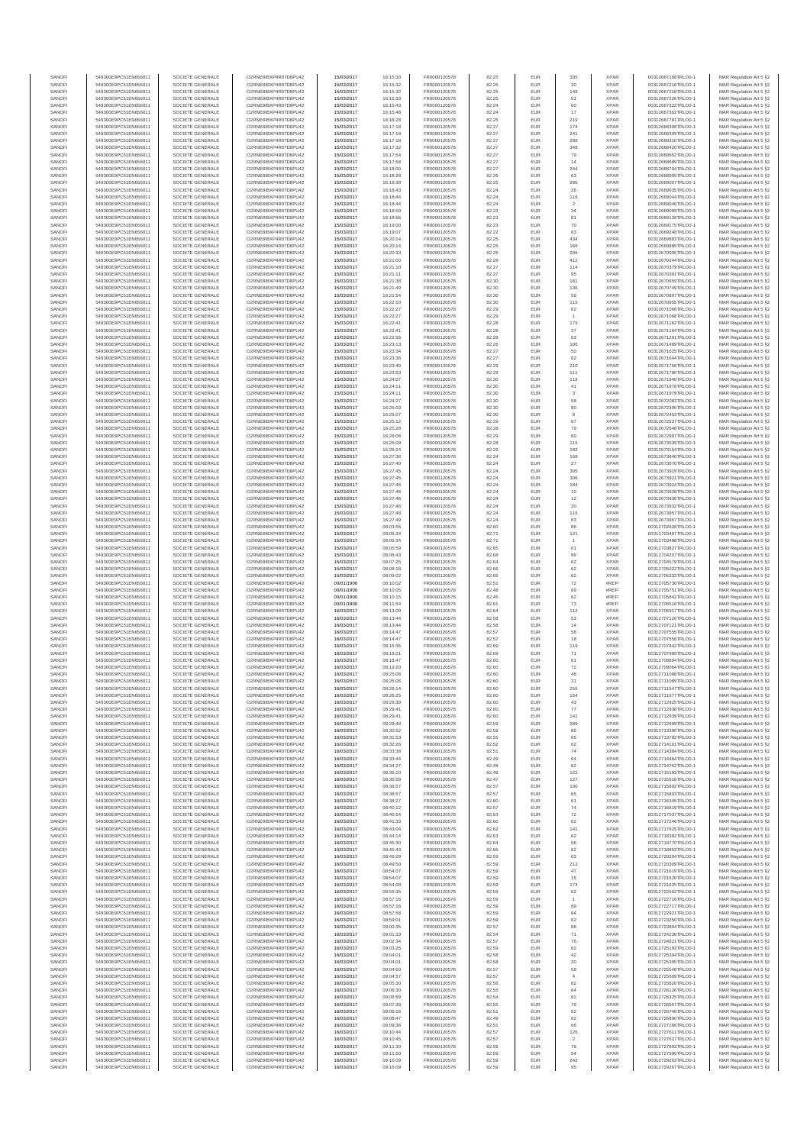| SANOFI           | 549300E9PC51EN656011                         | SOCIETE GENERALE                     | O2RNE8IBXP4R0TD8PU42                          | 15/03/2017               | 16:15:30             | FR0000120578                 | 82.25          | EUR               | 335                     | <b>XPAR</b>                | 00312667168TRLO0-1                       | MAR Regulation Art 5 §2                            |
|------------------|----------------------------------------------|--------------------------------------|-----------------------------------------------|--------------------------|----------------------|------------------------------|----------------|-------------------|-------------------------|----------------------------|------------------------------------------|----------------------------------------------------|
| SANOFI           | 549300E9PC51EN656011                         | SOCIETE GENERALE                     | O2RNE8IBXP4R0TD8PLI42                         | 15/03/2017               | 16:15:32             | FR0000120578                 | 82.25          | <b>EUR</b>        | 20                      | <b>XPAR</b>                | 00312667216TRLO0-1                       | MAR Regulation Art 5 §2                            |
| SANOFI           | 549300E9PC51EN656011                         | SOCIETE GENERALE                     | O2RNE8IBXP4R0TD8PU42                          | 15/03/2017               | 16:15:32             | FR0000120578                 | 82.25          | EUR               | 148                     | <b>XPAR</b>                | 00312667218TRLO0-1                       | MAR Regulation Art 5 §2                            |
| SANOFI           | 549300E9PC51EN656011                         | SOCIETE GENERALE                     | O2RNE8IBXP4R0TD8PU42                          | 15/03/2017               | 16:15:33             | FR0000120578                 | 82.25          | EUR               | 51                      | <b>XPAR</b>                | 00312667226TRLO0-1                       | MAR Regulation Art 5 §2                            |
| SANOFI<br>SANOFI | 549300E9PC51EN656011<br>549300E9PC51EN656011 | SOCIETE GENERALE<br>SOCIETE GENERALE | O2RNE8IBXP4R0TD8PU42<br>O2RNE8IBXP4R0TD8PU42  | 15/03/2017<br>15/03/2017 | 16:15:43<br>16:15:48 | FR0000120578<br>FR0000120578 | 82.24<br>82.24 | EUR<br>EUR        | 60<br>17                | <b>XPAR</b><br><b>XPAR</b> | 00312667322TRLO0-1<br>00312667362TRLO0-1 | MAR Regulation Art 5 §2<br>MAR Regulation Art 5 §2 |
| SANOFI           | 549300E9PC51EN656011                         | SOCIETE GENERALE                     | O2RNE8IBXP4R0TD8PU42                          | 15/03/2017               | 16:16:28             | FR0000120578                 | 82.25          | EUR               | 219                     | <b>XPAR</b>                | 00312667781TRLO0-1                       | MAR Regulation Art 5 §2                            |
| SANOFI           | 549300E9PC51EN656011                         | SOCIETE GENERALE                     | O2RNE8IBXP4R0TD8PU42                          | 15/03/2017               | 16:17:18             | FR0000120578                 | 82.27          | EUR               | 174                     | <b>XPAR</b>                | 00312668308TRLO0-1                       | MAR Regulation Art 5 §2                            |
| SANOFI           | 549300E9PC51EN656011                         | SOCIETE GENERALE                     | O2RNE8IBXP4R0TD8PU42                          | 15/03/2017               | 16:17:18             | FR0000120578                 | 82.27          | EUR               | 241                     | <b>XPAR</b>                | 00312668309TRLO0-1                       | MAR Regulation Art 5 §2                            |
| SANOFI           | 549300E9PC51EN656011                         | SOCIETE GENERALE                     | O2RNE8IBXP4R0TD8PU42                          | 15/03/2017               | 16:17:18             | FR0000120578                 | 82.27          | EUR               | 288                     | <b>XPAR</b>                | 00312668310TRLO0-1                       | MAR Regulation Art 5 §2                            |
| SANOFI           | 549300E9PC51EN656011                         | SOCIETE GENERALE                     | O2RNE8IBXP4R0TD8PU42                          | 15/03/2017               | 16:17:32             | FR0000120578                 | 82.27          | EUR               | 348                     | <b>XPAR</b>                | 00312668420TRLO0-1                       | MAR Regulation Art 5 §2                            |
| SANOFI           | 549300E9PC51EN656011                         | SOCIETE GENERALE                     | O2RNE8IBXP4R0TD8PU42                          | 15/03/2017               | 16:17:54             | FR0000120578                 | 82.27          | EUR               | 79                      | <b>XPAR</b>                | 00312668652TRLO0-1                       | MAR Regulation Art 5 §2                            |
| SANOFI           | 549300E9PC51EN656011                         | SOCIETE GENERALE                     | O2RNE8IBXP4R0TD8PU42                          | 15/03/2017               | 16:17:58             | FR0000120578                 | 82.27          | EUR               | 14                      | <b>XPAR</b>                | 00312668689TRLO0-1                       | MAR Regulation Art 5 \$2                           |
| SANOFI           | 549300E9PC51EN656011                         | SOCIETE GENERALE                     | O2RNE8IBXP4R0TD8PU42                          | 15/03/2017               | 16:18:00             | FR0000120578                 | 82.27          | EUR<br>EUR        | 244<br>63               | <b>XPAF</b><br><b>XPAR</b> | 00312668704TRLO0-1                       | MAR Regulation Art 5 §2                            |
| SANOFI<br>SANOFI | 549300E9PC51EN656011<br>549300E9PC51EN656011 | SOCIETE GENERALE<br>SOCIETE GENERALE | O2RNE8IBXP4R0TD8PU42<br>O2RNE8IBXP4R0TD8PU42  | 15/03/2017<br>15/03/2017 | 16:18:28<br>16:18:38 | FR0000120578<br>FR0000120578 | 82.26<br>82.25 | EUR               | 295                     | <b>XPAR</b>                | 00312668905TRLO0-1<br>00312669007TRLO0-1 | MAR Regulation Art 5 §2<br>MAR Regulation Art 5 §2 |
| SANOFI           | 549300E9PC51EN656011                         | SOCIETE GENERALE                     | O2RNE8IBXP4R0TD8PU42                          | 15/03/2017               | 16:18:43             | FR0000120578                 | 82.24          | EUR               | 26                      | <b>XPAR</b>                | 00312669035TRLO0-1                       | MAR Regulation Art 5 §2                            |
| SANOFI           | 549300E9PC51EN656011                         | SOCIETE GENERALE                     | O2RNE8IBXP4R0TD8PU42                          | 15/03/2017               | 16:18:44             | FR0000120578                 | 82.24          | EUR               | 116                     | <b>XPAR</b>                | 00312669044TRLO0-1                       | MAR Regulation Art 5 §2                            |
| SANOFI           | 549300E9PC51EN656011                         | SOCIETE GENERALE                     | O2RNE8IBXP4R0TD8PU42                          | 15/03/2017               | 16:18:44             | FR0000120578                 | 82.24          | EUR               | $\overline{\mathbf{2}}$ | <b>XPAF</b>                | 00312669046TRLO0-1                       | MAR Regulation Art 5 §2                            |
| SANOFI           | 549300E9PC51EN656011                         | SOCIETE GENERALE                     | O2RNE8IBXP4R0TD8PU42                          | 15/03/2017               | 16:18:50             | FR0000120578                 | 82.23          | EUR               | 34                      | <b>XPAR</b>                | 00312669099TRLO0-1                       | MAR Regulation Art 5 §2                            |
| SANOFI           | 549300E9PC51EN656011                         | SOCIETE GENERALE                     | O2RNE8IBXP4R0TD8PU42                          | 15/03/2017               | 16:18:55             | FR0000120578                 | 82.23          | EUR               | 81                      | <b>XPAR</b>                | 00312669128TRLO0-1                       | MAR Regulation Art 5 §2                            |
| SANOFI           | 549300E9PC51EN656011                         | SOCIETE GENERALE                     | O2RNE8IBXP4R0TD8PU42                          | 15/03/2017               | 16:19:00             | FR0000120578                 | 82.23          | EUR               | 70                      | <b>XPAR</b>                | 00312669175TRLO0-1                       | MAR Regulation Art 5 §2                            |
| SANOFI           | 549300E9PC51EN656011<br>549300E9PC51EN656011 | SOCIETE GENERALE<br>SOCIETE GENERALE | O2RNE8IBXP4R0TD8PU42<br>O2RNE8IBXP4R0TD8PU42  | 15/03/2017<br>15/03/2017 | 16:19:07             | FR0000120578<br>FR0000120578 | 82.22          | EUR<br>EUR        | 63<br>434               | <b>XPAR</b><br><b>XPAR</b> | 00312669248TRLO0-1<br>00312669883TRLO0-1 | MAR Regulation Art 5 §2<br>MAR Regulation Art 5 §2 |
| SANOFI<br>SANOFI | 549300E9PC51EN656011                         | SOCIETE GENERALE                     | O2RNE8IBXP4R0TD8PU42                          | 15/03/2017               | 16:20:14<br>16:20:14 | FR0000120578                 | 82.25<br>82.25 | EUR               | 166                     | <b>XPAR</b>                | 00312669885TRLO0-1                       | MAR Regulation Art 5 §2                            |
| SANOFI           | 549300E9PC51EN656011                         | SOCIETE GENERALE                     | O2RNE8IBXP4R0TD8PLI42                         | 15/03/2017               | 16:20:33             | FR0000120578                 | 82.26          | EUR               | 206                     | <b>XPAR</b>                | 00312670005TRLO0-1                       | MAR Regulation Art 5 §2                            |
| SANOFI           | 549300E9PC51EN656011                         | SOCIETE GENERALE                     | O2RNE8IBXP4R0TD8PU42                          | 15/03/2017               | 16:21:00             | FR0000120578                 | 82.28          | EUR               | 412                     | <b>XPAR</b>                | 00312670244TRLO0-1                       | MAR Regulation Art 5 §2                            |
| SANOFI           | 549300E9PC51EN656011                         | SOCIETE GENERALE                     | O2RNE8IBXP4R0TD8PU42                          | 15/03/2017               | 16:21:10             | FR0000120578                 | 82.27          | EUR               | 114                     | <b>XPAR</b>                | 00312670379TRLO0-1                       | MAR Regulation Art 5 §2                            |
| SANOFI           | 549300E9PC51EN656011                         | SOCIETE GENERALE                     | O2RNE8IBXP4R0TD8PU42                          | 15/03/2017               | 16:21:11             | FR0000120578                 | 82.27          | EUR               | 95                      | <b>XPAR</b>                | 00312670391TRLO0-1                       | MAR Regulation Art 5 §2                            |
| SANOFI           | 549300E9PC51EN656011                         | SOCIETE GENERALE                     | O2RNE8IBXP4R0TD8PU42                          | 15/03/2017               | 16:21:38             | FR0000120578                 | 82.30          | EUR               | 161                     | <b>XPAR</b>                | 00312670659TRLO0-1                       | MAR Regulation Art 5 §2                            |
| SANOFI           | 549300E9PC51EN656011                         | SOCIETE GENERALE                     | O2RNE8IBXP4R0TD8PU42                          | 15/03/2017               | 16:21:49             | FR0000120578                 | 82.30          | EUR               | 136                     | <b>XPAR</b>                | 00312670749TRLO0-1                       | MAR Regulation Art 5 §2                            |
| SANOFI<br>SANOFI | 549300E9PC51EN656011<br>549300E9PC51EN656011 | SOCIETE GENERALE<br>SOCIETE GENERALE | O2RNE8IBXP4R0TD8PU42<br>O2RNE8IBXP4R0TD8PU42  | 15/03/2017<br>15/03/2017 | 16:21:54             | FR0000120578<br>FR0000120578 | 82.30<br>82.30 | EUR<br>EUR        | 56<br>115               | <b>XPAR</b><br><b>XPAR</b> | 00312670807TRLO0-1<br>00312670955TRLO0-1 | MAR Regulation Art 5 §2<br>MAR Regulation Art 5 §2 |
| SANOFI           | 549300E9PC51EN656011                         | SOCIETE GENERALE                     | O2RNE8IBXP4R0TD8PU42                          | 15/03/2017               | 16:22:10<br>16:22:27 | FR0000120578                 | 82.29          | EUR               | 62                      | <b>XPAR</b>                | 00312671066TRLO0-1                       | MAR Regulation Art 5 §2                            |
| SANOFI           | 549300E9PC51EN656011                         | SOCIETE GENERALE                     | O2RNE8IBXP4R0TD8PU42                          | 15/03/2017               | 16:22:27             | FR0000120578                 | 82.29          | EUR               |                         | <b>XPAR</b>                | 00312671068TRLO0-1                       | MAR Regulation Art 5 §2                            |
| SANOFI           | 549300E9PC51EN656011                         | SOCIETE GENERALE                     | O2RNE8IBXP4R0TD8PU42                          | 15/03/2017               | 16:22:41             | FR0000120578                 | 82.28          | EUR               | 179                     | <b>XPAR</b>                | 00312671162TRLO0-1                       | MAR Regulation Art 5 §2                            |
| SANOFI           | 549300E9PC51EN656011                         | SOCIETE GENERALE                     | O2RNE8IBXP4R0TD8PU42                          | 15/03/2017               | 16:22:41             | FR0000120578                 | 82.28          | EUR               | 37                      | <b>XPAR</b>                | 00312671164TRLO0-1                       | MAR Regulation Art 5 §2                            |
| SANOFI           | 549300E9PC51EN656011                         | SOCIETE GENERALE                     | O2RNE8IBXP4R0TD8PU42                          | 15/03/2017               | 16:22:56             | FR0000120578                 | 82.28          | EUR               | 63                      | <b>XPAR</b>                | 00312671291TRLO0-1                       | MAR Regulation Art 5 §2                            |
| SANOFI           | 549300E9PC51EN656011                         | SOCIETE GENERALE                     | O2RNE8IBXP4R0TD8PU42                          | 15/03/2017               | 16:23:13             | FR0000120578                 | 82.26          | EUR               | 106                     | <b>XPAR</b>                | 00312671469TRLO0-1                       | MAR Regulation Art 5 §2                            |
| SANOFI           | 549300E9PC51EN656011                         | SOCIETE GENERALE                     | O2RNE8IBXP4R0TD8PU42                          | 15/03/2017               | 16:23:34             | FR0000120578                 | 82.27          | EUR               | 50                      | <b>XPAR</b>                | 00312671625TRLO0-1                       | MAR Regulation Art 5 §2                            |
| SANOFI           | 549300E9PC51EN656011                         | SOCIETE GENERALE                     | O2RNE8IBXP4R0TD8PU42<br>O2RNE8IBXP4R0TD8PLI42 | 15/03/2017               | 16:23:36             | FR0000120578                 | 82.27          | EUR               | 62                      | <b>XPAR</b>                | 00312671644TRLO0-1                       | MAR Regulation Art 5 §2                            |
| SANOFI<br>SANOFI | 549300E9PC51EN656011<br>549300E9PC51EN656011 | SOCIETE GENERALE<br>SOCIETE GENERALE | O2RNE8IBXP4R0TD8PU42                          | 15/03/2017<br>15/03/2017 | 16:23:49<br>16:23:53 | FR0000120578<br>FR0000120578 | 82.29<br>82.29 | EUR<br>EUR        | 210<br>111              | <b>XPAR</b><br><b>XPAR</b> | 00312671756TRLO0-1<br>00312671780TRLO0-1 | MAR Regulation Art 5 §2<br>MAR Regulation Art 5 §2 |
| SANOFI           | 549300E9PC51EN656011                         | SOCIETE GENERALE                     | O2RNE8IBXP4R0TD8PU42                          | 15/03/2017               | 16:24:07             | FR0000120578                 | 82.30          | EUR               | 118                     | <b>XPAR</b>                | 00312671940TRLO0-1                       | MAR Regulation Art 5 §2                            |
| SANOFI           | 549300E9PC51EN656011                         | SOCIETE GENERALE                     | O2RNE8IBXP4R0TD8PU42                          | 15/03/2017               | 16:24:11             | FR0000120578                 | 82.30          | EUR               | 41                      | <b>XPAR</b>                | 00312671978TRLO0-1                       | MAR Regulation Art 5 §2                            |
| SANOFI           | 549300E9PC51EN656011                         | SOCIETE GENERALE                     | O2RNE8IBXP4R0TD8PU42                          | 15/03/2017               | 16:24:11             | FR0000120578                 | 82.30          | EUR               | $\overline{\mathbf{3}}$ | <b>XPAR</b>                | 00312671979TRLO0-1                       | MAR Regulation Art 5 §2                            |
| SANOFI           | 549300E9PC51EN656011                         | SOCIETE GENERALE                     | O2RNE8IBXP4R0TD8PU42                          | 15/03/2017               | 16:24:27             | FR0000120578                 | 82.30          | EUR               | 58                      | <b>XPAR</b>                | 00312672083TRLO0-1                       | MAR Regulation Art 5 §2                            |
| SANOFI           | 549300E9PC51EN656011                         | SOCIETE GENERALE                     | O2RNE8IBXP4R0TD8PU42                          | 15/03/2017               | 16:25:03             | FR0000120578                 | 82.30          | EUR               | 80                      | <b>XPAR</b>                | 00312672395TRLO0-1                       | MAR Regulation Art 5 §2                            |
| SANOFI           | 549300E9PC51EN656011                         | SOCIETE GENERALE                     | O2RNE8IBXP4R0TD8PU42                          | 15/03/2017               | 16:25:07             | FR0000120578                 | 82.30          | EUR               | 9                       | <b>XPAR</b>                | 00312672453TRLO0-1                       | MAR Regulation Art 5 §2                            |
| SANOFI           | 549300E9PC51EN656011                         | SOCIETE GENERALE                     | O2RNE8IBXP4R0TD8PU42                          | 15/03/2017               | 16:25:12             | FR0000120578                 | 82.29          | EUR               | 67                      | <b>XPAR</b>                | 00312672537TRLO0-1                       | MAR Regulation Art 5 §2                            |
| SANOFI           | 549300E9PC51EN656011                         | SOCIETE GENERALE                     | O2RNE8IBXP4R0TD8PU42<br>O2RNE8IBXP4R0TD8PU42  | 15/03/2017               | 16:25:28             | FR0000120578                 | 82.28          | EUR               | 79                      | <b>XPAR</b>                | 00312672648TRLO0-1                       | MAR Regulation Art 5 §2                            |
| SANOFI<br>SANOFI | 549300E9PC51EN656011<br>549300E9PC51EN656011 | SOCIETE GENERALE<br>SOCIETE GENERALE | O2RNE8IBXP4R0TD8PU42                          | 15/03/2017<br>15/03/2017 | 16:26:06<br>16:26:09 | FR0000120578<br>FR0000120578 | 82.29<br>82.28 | EUR<br>EUR        | 60<br>115               | <b>XPAR</b><br><b>XPAR</b> | 00312672997TRLO0-1<br>00312673039TRLO0-1 | MAR Regulation Art 5 §2<br>MAR Regulation Art 5 §2 |
| SANOFI           | 549300E9PC51EN656011                         | SOCIETE GENERALE                     | O2RNE8IBXP4R0TD8PU42                          | 15/03/2017               | 16:26:24             | FR0000120578                 | 82.29          | EUR               | 182                     | <b>XPAR</b>                | 00312673154TRLO0-1                       | MAR Regulation Art 5 §2                            |
| SANOFI           | 549300E9PC51EN656011                         | SOCIETE GENERALE                     | O2RNE8IBXP4R0TD8PU42                          | 15/03/2017               | 16:27:36             | FR0000120578                 | 82.24          | EUR               | 168                     | <b>XPAR</b>                | 00312673840TRLO0-1                       | MAR Regulation Art 5 §2                            |
| SANOFI           | 549300E9PC51EN656011                         | SOCIETE GENERALE                     | O2RNE8IBXP4R0TD8PU42                          | 15/03/2017               | 16:27:40             | FR0000120578                 | 82.24          | EUR               | 27                      | <b>XPAR</b>                | 00312673870TRLO0-1                       | MAR Regulation Art 5 §2                            |
| SANOFI           | 549300E9PC51EN656011                         | SOCIETE GENERALE                     | O2RNE8IBXP4R0TD8PU42                          | 15/03/2017               | 16:27:45             | FR0000120578                 | 82.24          | EUR               | 305                     | <b>XPAR</b>                | 00312673919TRLO0-1                       | MAR Regulation Art 5 §2                            |
| SANOFI           | 549300E9PC51EN656011                         | SOCIETE GENERALE                     | O2RNE8IBXP4R0TD8PU42                          | 15/03/2017               | 16:27:45             | FR0000120578                 | 82.24          | EUR               | 306                     | <b>XPAR</b>                | 00312673921TRLO0-1                       | MAR Regulation Art 5 §2                            |
| SANOFI           | 549300E9PC51EN656011                         | SOCIETE GENERALE                     | O2RNE8IBXP4R0TD8PU42                          | 15/03/2017               | 16:27:46             | FR0000120578                 | 82.24          | EUR               | 184                     | <b>XPAR</b>                | 00312673924TRLO0-1                       | MAR Regulation Art 5 §2                            |
| SANOFI           | 549300E9PC51EN656011                         | SOCIETE GENERALE                     | O2RNE8IBXP4R0TD8PU42                          | 15/03/2017               | 16:27:46             | FR0000120578                 | 82.24          | EUR               | 10                      | <b>XPAR</b>                | 00312673928TRLO0-1                       | MAR Regulation Art 5 §2                            |
| SANOFI<br>SANOFI | 549300E9PC51EN656011<br>549300E9PC51EN656011 | SOCIETE GENERALE<br>SOCIETE GENERALE | O2RNE8IBXP4R0TD8PU42<br>O2RNE8IBXP4R0TD8PU42  | 15/03/2017<br>15/03/2017 | 16:27:46<br>16:27:46 | FR0000120578<br>FR0000120578 | 82.24<br>82.24 | EUR<br>EUR        | $12\,$<br>20            | <b>XPAR</b><br><b>XPAR</b> | 00312673930TRLO0-1<br>00312673932TRLO0-1 | MAR Regulation Art 5 §2<br>MAR Regulation Art 5 §2 |
| SANOFI           | 549300E9PC51EN656011                         | SOCIETE GENERALE                     | O2RNE8IBXP4R0TD8PU42                          | 15/03/2017               | 16:27:48             | FR0000120578                 | 82.24          | EUR               | 116                     | <b>XPAR</b>                | 00312673957TRLO0-1                       | MAR Regulation Art 5 §2                            |
| SANOFI           | 549300E9PC51EN656011                         | SOCIETE GENERALE                     | O2RNE8IBXP4R0TD8PU42                          | 15/03/2017               | 16:27:49             | FR0000120578                 | 82.24          | EUR               | 83                      | <b>XPAR</b>                | 00312673967TRLO0-1                       | MAR Regulation Art 5 §2                            |
| SANOFI           | 549300E9PC51EN656011                         | SOCIETE GENERALE                     | O2RNE8IBXP4R0TD8PU42                          | 15/03/2017               | 08:03:55             | FR0000120578                 | 82.60          | EUR               | 86                      | <b>XPAR</b>                | 00312702628TRLO0-1                       | MAR Regulation Art 5 §2                            |
| SANOFI           | 549300E9PC51EN656011                         | SOCIETE GENERALE                     | O2RNE8IBXP4R0TD8PU42                          | 15/03/2017               | 08:05:34             | FR0000120578                 | 82.71          | EUR               | 121                     | <b>XPAR</b>                | 00312703497TRLO0-1                       | MAR Regulation Art 5 §2                            |
| SANOFI           | 549300E9PC51EN656011                         | SOCIETE GENERALE                     | O2RNE8IBXP4R0TD8PU42                          | 15/03/2017               | 08:05:34             | FR0000120578                 | 82.71          | EUR               |                         | <b>XPAR</b>                | 00312703498TRLO0-1                       | MAR Regulation Art 5 §2                            |
| SANOFI           | 549300E9PC51EN656011                         | SOCIETE GENERALE                     | O2RNE8IBXP4R0TD8PU42                          | 15/03/2017               | 08:05:59             | FR0000120578                 | 82.65          | EUR               | 61                      | <b>XPAR</b>                | 00312703827TRLO0-1                       | MAR Regulation Art 5 §2                            |
| SANOFI           | 549300E9PC51EN656011                         | SOCIETE GENERALE                     | O2RNE8IBXP4R0TD8PU42                          | 15/03/2017               | 08:06:43             | FR0000120578                 | 82.68          | EUR               | 99                      | <b>XPAR</b>                | 00312704207TRLO0-1                       | MAR Regulation Art 5 §2                            |
| SANOFI<br>SANOFI | 549300E9PC51EN656011<br>549300E9PC51EN656011 | SOCIETE GENERALE<br>SOCIETE GENERALE | O2RNE8IBXP4R0TD8PU42<br>O2RNE8IBXP4R0TD8PU42  | 15/03/2017<br>15/03/2017 | 08:07:25<br>08:08:18 | FR0000120578<br>FR0000120578 | 82.64<br>82.66 | EUR<br>EUR        | 62<br>62                | <b>XPAR</b><br><b>XPAR</b> | 00312704579TRLO0-1<br>00312705022TRLO0-1 | MAR Regulation Art 5 §2                            |
| SANOFI           | 549300E9PC51EN656011                         | SOCIETE GENERALE                     | O2RNE8IBXP4R0TD8PU42                          | 15/03/2017               | 08:09:02             | FR0000120578                 | 82.65          | EUR               | 62                      | <b>XPAR</b>                | 00312705333TRLO0-1                       | MAR Regulation Art 5 §2<br>MAR Regulation Art 5 §2 |
| SANOFI           | 549300E9PC51EN656011                         | SOCIETE GENERALE                     | O2RNE8IBXP4R0TD8PU42                          | 00/01/1900               | 08:10:02             | FR0000120578                 | 82.51          | EUR               | 72                      | #REF                       | 00312705730TRLO0-1                       | MAR Regulation Art 5 §2                            |
| SANOFI           | 549300E9PC51EN656011                         | SOCIETE GENERALE                     | O2RNE8IBXP4R0TD8PU42                          | 00/01/1900               | 08:10:05             | FR0000120578                 | 82.48          | EUR               | 69                      | #REF!                      | 00312705751TRLO0-1                       | MAR Regulation Art 5 §2                            |
| SANOFI           | 549300E9PC51EN656011                         | SOCIETE GENERALE                     | O2RNE8IBXP4R0TD8PU42                          | 00/01/1900               | 08:10:15             | FR0000120578                 | 82.45          | EUR               | 62                      | #REF!                      | 00312705842TRLO0-1                       | MAR Regulation Art 5 §2                            |
| SANOFI           | 549300E9PC51EN656011                         | SOCIETE GENERALE                     | O2RNE8IBXP4R0TD8PU42                          | 00/01/1900               | 08:11:54             | FR0000120578                 | 82.61          | EUR               | $\mathbf{73}$           | #REF!                      | 00312706516TRLO0-1                       | MAR Regulation Art 5 §2                            |
| SANOFI           | 549300E9PC51EN656011                         | SOCIETE GENERALE                     | O2RNE8IBXP4R0TD8PU42                          | 16/03/2017               | 08:13:09             | FR0000120578                 | 82.64          | EUR               | 112                     | <b>XPAR</b>                | 00312706917TRLO0-1                       | MAR Regulation Art 5 §2                            |
| SANOFI           | 549300E9PC51EN656011                         | SOCIETE GENERALE                     | O2RNE8IBXP4R0TD8PU42                          | 16/03/2017               | 08:13:44             | FR0000120578                 | 82.58          | EUR               | 53                      | <b>XPAR</b>                | 00312707120TRLO0-1                       | MAR Regulation Art 5 §2                            |
| SANOFI           | 549300E9PC51EN656011                         | SOCIETE GENERALE                     | O2RNE8IBXP4R0TD8PU42                          | 16/03/2017               | 08:13:44             | FR0000120578                 | 82.58          | EUR               | 14                      | <b>XPAR</b>                | 00312707121TRLO0-1                       | MAR Regulation Art 5 §2                            |
| SANOFI           | 549300E9PC51EN656011                         | SOCIETE GENERALE                     | O2RNE8IBXP4R0TD8PU42                          | 16/03/2017               | 08:14:47             | FR0000120578                 | 82.57          | EUR               | 58                      | <b>XPAR</b>                | 00312707555TRLO0-1                       | MAR Regulation Art 5 §2                            |
| SANOFI<br>SANOFI | 549300E9PC51EN656011<br>549300E9PC51EN656011 | SOCIETE GENERALE<br>SOCIETE GENERALE | O2RNE8IBXP4R0TD8PU42<br>O2RNE8IBXP4R0TD8PU42  | 16/03/2017<br>16/03/2017 | 08:14:47<br>08:15:35 | FR0000120578<br>FR0000120578 | 82.57<br>82.69 | EUR<br>EUR        | 18<br>119               | <b>XPAR</b><br><b>XPAR</b> | 00312707556TRLO0-1<br>00312707842TRLO0-1 | MAR Regulation Art 5 §2<br>MAR Regulation Art 5 §2 |
| SANOFI           | 549300E9PC51EN656011                         | SOCIETE GENERALE                     | O2RNE8IBXP4R0TD8PU42                          | 16/03/2017               | 08:16:01             | FR0000120578                 | 82.69          | EUR               | 71                      | <b>XPAR</b>                | 00312707989TRLO0-1                       | MAR Regulation Art 5 §2                            |
| SANOFI           | 549300E9PC51EN656011                         | SOCIETE GENERALE                     | O2RNE8IBXP4R0TD8PU42                          | 16/03/2017               | 08:18:47             | FR0000120578                 | 82.60          | EUR               | 61                      | <b>XPAR</b>                | 00312708894TRLO0-1                       | MAR Regulation Art 5 §2                            |
| SANOFI           | 549300E9PC51EN656011                         | SOCIETE GENERALE                     | O2RNE8IBXP4R0TD8PU42                          | 16/03/2017               | 08:19:20             | FR0000120578                 | 82.60          | EUR               | 72                      | <b>XPAR</b>                | 00312709064TRLO0-1                       | MAR Regulation Art 5 §2                            |
| SANOFI           | 549300E9PC51EN656011                         | SOCIETE GENERALE                     | O2RNE8IBXP4R0TD8PU42                          | 16/03/2017               | 08:25:06             | FR0000120578                 | 82.60          | EUR               | 48                      | <b>XPAR</b>                | 00312711088TRLO0-1                       | MAR Regulation Art 5 §2                            |
| SANOFI           | 549300E9PC51EN656011                         | SOCIETE GENERALE                     | O2RNE8IBXP4R0TD8PU42                          | 16/03/2017               | 08:25:06             | FR0000120578                 | 82.60          | EUR               | 31                      | <b>XPAR</b>                | 00312711089TRLO0-1                       | MAR Regulation Art 5 §2                            |
| SANOFI           | 549300E9PC51EN656011                         | SOCIETE GENERALE                     | O2RNE8IBXP4R0TD8PU42                          | 16/03/2017               | 08:26:14             | FR0000120578                 | 82.60          | EUR               | 255                     | <b>XPAR</b>                | 00312711547TRLO0-1                       | MAR Regulation Art 5 §2                            |
| SANOFI           | 549300E9PC51EN656011                         | SOCIETE GENERALE                     | O2RNE8IBXP4R0TD8PU42<br>O2RNE8IBXP4R0TD8PLI42 | 16/03/2017               | 08:26:25             | FR0000120578                 | 82.60          | EUR               | 154                     | <b>XPAR</b>                | 00312711677TRLO0-1                       | MAR Regulation Art 5 §2                            |
| SANOFI           | 549300E9PC51EN656011                         | SOCIETE GENERALE                     |                                               | 16/03/2017               | 08:29:39             | FR0000120578                 | 82.60          | <b>EUR</b>        | 43                      | <b>XPAR</b>                | 00312712925TRLO0-1                       | MAR Regulation Art 5 §2                            |
| SANOFI<br>SANOFI | 549300E9PC51EN656011<br>549300E9PC51EN656011 | SOCIETE GENERALE<br>SOCIETE GENERALE | O2RNE8IBXP4R0TD8PU42<br>O2RNE8IBXP4R0TD8PU42  | 16/03/2017<br>16/03/2017 | 08:29:41<br>08:29:41 | FR0000120578<br>FR0000120578 | 82.60<br>82.60 | EUR<br>EUR        | 77<br>141               | <b>XPAR</b><br><b>XPAR</b> | 00312712938TRLO0-1<br>00312712939TRLO0-1 | MAR Regulation Art 5 §2<br>MAR Regulation Art 5 §2 |
| SANOFI           | 549300E9PC51EN656011                         | SOCIETE GENERALE                     | O2RNE8IBXP4R0TD8PU42                          | 16/03/2017               | 08:29:48             | FR0000120578                 | 82.59          | EUR               | 289                     | <b>XPAR</b>                | 00312712999TRLO0-1                       | MAR Regulation Art 5 §2                            |
| SANOFI           | 549300E9PC51EN656011                         | SOCIETE GENERALE                     | O2RNE8IBXP4R0TD8PU42                          | 16/03/2017               | 08:30:52             | FR0000120578                 | 82.59          | EUR               | 85                      | <b>XPAR</b>                | 00312713390TRLO0-1                       | MAR Regulation Art 5 §2                            |
| SANOFI           | 549300E9PC51EN656011                         | SOCIETE GENERALE                     | O2RNE8IBXP4R0TD8PU42                          | 16/03/2017               | 08:31:53             | FR0000120578                 | 82.55          | EUR               | 65                      | <b>XPAR</b>                | 00312713782TRLO0-1                       | MAR Regulation Art 5 §2                            |
| SANOFI           | 549300E9PC51EN656011                         | SOCIETE GENERALE                     | O2RNE8IBXP4R0TD8PU42                          | 16/03/2017               | 08:32:26             | FR0000120578                 | 82.52          | EUR               | 62                      | <b>XPAR</b>                | 00312714101TRLO0-1                       | MAR Regulation Art 5 §2                            |
| SANOFI           | 549300E9PC51EN656011                         | SOCIETE GENERALE                     | O2RNE8IBXP4R0TD8PU42                          | 16/03/2017               | 08:33:38             | FR0000120578                 | 82.51          | EUR               | 74                      | <b>XPAR</b>                | 00312714384TRLO0-1                       | MAR Regulation Art 5 §2                            |
| SANOFI<br>SANOFI | 549300E9PC51EN656011<br>549300E9PC51EN656011 | SOCIETE GENERALE<br>SOCIETE GENERALE | O2RNE8IBXP4R0TD8PU42<br>O2RNE8IBXP4R0TD8PU42  | 16/03/2017<br>16/03/2017 | 08:33:44<br>08:34:27 | FR0000120578<br>FR0000120578 | 82.49<br>82.48 | EUR<br><b>EUR</b> | 64<br>62                | <b>XPAR</b><br><b>XPAR</b> | 00312714464TRLO0-1<br>00312714752TRLO0-1 | MAR Regulation Art 5 §2<br>MAR Regulation Art 5 §2 |
| SANOFI           | 549300E9PC51EN656011                         | SOCIETE GENERALE                     | O2RNE8IBXP4R0TD8PU42                          | 16/03/2017               | 08:35:10             | FR0000120578                 | 82.48          | EUR               | 122                     | <b>XPAR</b>                | 00312715193TRLO0-1                       | MAR Regulation Art 5 §2                            |
| SANOFI           | 549300E9PC51EN656011                         | SOCIETE GENERALE                     | O2RNE8IBXP4R0TD8PU42                          | 16/03/2017               | 08:35:59             | FR0000120578                 | 82.47          | EUR               | 127                     | <b>XPAR</b>                | 00312715516TRLO0-1                       | MAR Regulation Art 5 §2                            |
| SANOFI           | 549300E9PC51EN656011                         | SOCIETE GENERALE                     | O2RNE8IBXP4R0TD8PU42                          | 16/03/2017               | 08:36:57             | FR0000120578                 | 82.57          | EUR               | 100                     | <b>XPAR</b>                | 00312715802TRLO0-1                       | MAR Regulation Art 5 §2                            |
| SANOFI           | 549300E9PC51EN656011                         | SOCIETE GENERALE                     | O2RNE8IBXP4R0TD8PU42                          | 16/03/2017               | 08:36:57             | FR0000120578                 | 82.57          | EUR               | 65                      | <b>XPAR</b>                | 00312715803TRLO0-1                       | MAR Regulation Art 5 §2                            |
| SANOFI           | 549300E9PC51EN656011                         | SOCIETE GENERALE                     | O2RNE8IBXP4R0TD8PU42                          | 16/03/2017               | 08:38:27             | FR0000120578                 | 82.60          | <b>EUR</b>        | 61                      | <b>XPAR</b>                | 00312716345TRLO0-1                       | MAR Regulation Art 5 §2                            |
| SANOFI           | 549300E9PC51EN656011                         | SOCIETE GENERALE                     | O2RNE8IBXP4R0TD8PU42                          | 16/03/2017               | 08:40:12             | FR0000120578                 | 82.57          | EUR               | 74                      | <b>XPAR</b>                | 00312716819TRLO0-1                       | MAR Regulation Art 5 §2                            |
| SANOFI           | 549300E9PC51EN656011                         | SOCIETE GENERALE                     | O2RNE8IBXP4R0TD8PU42                          | 16/03/2017               | 08:40:54             | FR0000120578                 | 82.63          | <b>EUR</b>        | 72                      | <b>XPAR</b>                | 00312717037TRLO0-1                       | MAR Regulation Art 5 §2                            |
| SANOFI<br>SANOFI | 549300E9PC51EN656011<br>549300E9PC51EN656011 | SOCIETE GENERALE<br>SOCIETE GENERALE | O2RNE8IBXP4R0TD8PU42<br>O2RNE8IBXP4R0TD8PU42  | 16/03/2017<br>16/03/2017 | 08:41:33<br>08:43:04 | FR0000120578<br>FR0000120578 | 82.60<br>82.62 | EUR<br>EUR        | 62<br>141               | <b>XPAR</b><br><b>XPAR</b> | 00312717246TRLO0-1<br>00312717925TRLO0-1 | MAR Regulation Art 5 §2<br>MAR Regulation Art 5 §2 |
| SANOFI           | 549300E9PC51EN656011                         | SOCIETE GENERALE                     | O2RNE8IBXP4R0TD8PU42                          | 16/03/2017               | 08:44:14             | FR0000120578                 | 82.63          | EUR               | 62                      | <b>XPAR</b>                | 00312718382TRLO0-1                       | MAR Regulation Art 5 §2                            |
| SANOFI           | 549300E9PC51EN656011                         | SOCIETE GENERALE                     | O2RNE8IBXP4R0TD8PU42                          | 16/03/2017               | 08:45:30             | FR0000120578                 | 82.64          | EUR               | 56                      | <b>XPAR</b>                | 00312718770TRLO0-1                       | MAR Regulation Art 5 §2                            |
| SANOFI           | 549300E9PC51EN656011                         | SOCIETE GENERALE                     | O2RNE8IBXP4R0TD8PU42                          | 16/03/2017               | 08:45:43             | FR0000120578                 | 82.65          | EUR               | 62                      | <b>XPAR</b>                | 00312718853TRLO0-1                       | MAR Regulation Art 5 §2                            |
| SANOFI           | 549300E9PC51EN656011                         | SOCIETE GENERALE                     | O2RNE8IBXP4R0TD8PU42                          | 16/03/2017               | 08:49:29             | FR0000120578                 | 82.59          | EUR               | 63                      | <b>XPAR</b>                | 00312720204TRLO0-1                       | MAR Regulation Art 5 §2                            |
| SANOFI           | 549300E9PC51EN656011                         | SOCIETE GENERALE                     | O2RNE8IBXP4R0TD8PU42                          | 16/03/2017               | 08:49:50             | FR0000120578                 | 82.59          | <b>EUR</b>        | 212                     | <b>XPAR</b>                | 00312720309TRLO0-1                       | MAR Regulation Art 5 §2                            |
| SANOFI           | 549300E9PC51EN656011                         | SOCIETE GENERALE                     | O2RNE8IBXP4R0TD8PU42                          | 16/03/2017               | 08:54:07             | FR0000120578                 | 82.59          | EUR               | 47                      | <b>XPAR</b>                | 00312721619TRLO0-1                       | MAR Regulation Art 5 §2                            |
| SANOFI           | 549300E9PC51EN656011                         | SOCIETE GENERALE                     | O2RNE8IBXP4R0TD8PU42                          | 16/03/2017               | 08:54:07             | FR0000120578                 | 82.59          | <b>EUR</b>        | 15                      | <b>XPAR</b>                | 00312721620TRLO0-1                       | MAR Regulation Art 5 §2                            |
| SANOFI           | 549300E9PC51EN656011                         | SOCIETE GENERALE                     | O2RNE8IBXP4R0TD8PU42                          | 16/03/2017               | 08:54:08             | FR0000120578                 | 82.59          | EUR               | 174                     | <b>XPAR</b>                | 00312721625TRLO0-1                       | MAR Regulation Art 5 §2                            |
| SANOFI<br>SANOFI | 549300E9PC51EN656011<br>549300E9PC51EN656011 | SOCIETE GENERALE<br>SOCIETE GENERALE | O2RNE8IBXP4R0TD8PU42<br>O2RNE8IBXP4R0TD8PU42  | 16/03/2017<br>16/03/2017 | 08:56:35<br>08:57:16 | FR0000120578<br>FR0000120578 | 82.59<br>82.59 | EUR<br>EUR        | 62                      | <b>XPAR</b><br><b>XPAR</b> | 00312722562TRLO0-1<br>00312722716TRLO0-1 | MAR Regulation Art 5 §2<br>MAR Regulation Art 5 §2 |
| SANOFI           | 549300E9PC51EN656011                         | SOCIETE GENERALE                     | O2RNE8IBXP4R0TD8PU42                          | 16/03/2017               | 08:57:16             | FR0000120578                 | 82.59          | EUR               | 69                      | <b>XPAR</b>                | 00312722717TRLO0-1                       | MAR Regulation Art 5 §2                            |
| SANOFI           | 549300E9PC51EN656011                         | SOCIETE GENERALE                     | O2RNE8IBXP4R0TD8PU42                          | 16/03/2017               | 08:57:58             | FR0000120578                 | 82.59          | EUR               | 64                      | <b>XPAR</b>                | 00312722921TRLO0-1                       | MAR Regulation Art 5 §2                            |
| SANOFI           | 549300E9PC51EN656011                         | SOCIETE GENERALE                     | O2RNE8IBXP4R0TD8PU42                          | 16/03/2017               | 08:59:01             | FR0000120578                 | 82.59          | EUR               | 62                      | <b>XPAR</b>                | 00312723250TRLO0-1                       | MAR Regulation Art 5 §2                            |
| SANOFI           | 549300E9PC51EN656011                         | SOCIETE GENERALE                     | O2RNE8IBXP4R0TD8PU42                          | 16/03/2017               | 09:00:35             | FR0000120578                 | 82.57          | EUR               | 88                      | <b>XPAR</b>                | 00312723894TRLO0-1                       | MAR Regulation Art 5 §2                            |
| SANOFI           | 549300E9PC51EN656011                         | SOCIETE GENERALE                     | O2RNE8IBXP4R0TD8PU42                          | 16/03/2017               | 09:01:33             | FR0000120578                 | 82.54          | EUR               | 71                      | <b>XPAR</b>                | 00312724236TRLO0-1                       | MAR Regulation Art 5 §2                            |
| SANOFI           | 549300E9PC51EN656011                         | SOCIETE GENERALE                     | O2RNE8IBXP4R0TD8PU42                          | 16/03/2017               | 09:02:34             | FR0000120578                 | 82.57          | <b>EUR</b>        | 76                      | <b>XPAR</b>                | 00312724821TRLO0-1                       | MAR Regulation Art 5 §2                            |
| SANOFI           | 549300E9PC51EN656011                         | SOCIETE GENERALE                     | O2RNE8IBXP4R0TD8PU42                          | 16/03/2017               | 09:03:25             | FR0000120578                 | 82.59          | EUR               | 62                      | <b>XPAR</b>                | 00312725192TRLO0-1                       | MAR Regulation Art 5 §2                            |
| SANOFI<br>SANOFI | 549300E9PC51EN656011                         | SOCIETE GENERALE<br>SOCIETE GENERALE | O2RNE8IBXP4R0TD8PU42<br>O2RNE8IBXP4R0TD8PU42  | 16/03/2017               | 09:04:01<br>09:04:01 | FR0000120578<br>FR0000120578 | 82.58<br>82.58 | EUR<br>EUR        | 42                      | <b>XPAR</b><br><b>XPAR</b> | 00312725304TRLO0-1<br>00312725305TRLO0-1 | MAR Regulation Art 5 §2                            |
| SANOFI           | 549300E9PC51EN656011<br>549300E9PC51EN656011 | SOCIETE GENERALE                     | O2RNE8IBXP4R0TD8PU42                          | 16/03/2017<br>16/03/2017 | 09:04:50             | FR0000120578                 | 82.57          | EUR               | $20\,$<br>58            | <b>XPAR</b>                | 00312725548TRLO0-1                       | MAR Regulation Art 5 §2<br>MAR Regulation Art 5 §2 |
| SANOFI           | 549300E9PC51EN656011                         | SOCIETE GENERALE                     | O2RNE8IBXP4R0TD8PU42                          | 16/03/2017               | 09:04:57             | FR0000120578                 | 82.57          | EUR               | $\overline{4}$          | <b>XPAR</b>                | 00312725609TRLO0-1                       | MAR Regulation Art 5 §2                            |
| SANOFI           | 549300E9PC51EN656011                         | SOCIETE GENERALE                     | O2RNE8IBXP4R0TD8PU42                          | 16/03/2017               | 09:05:30             | FR0000120578                 | 82.56          | EUR               | 62                      | <b>XPAR</b>                | 00312725820TRLO0-1                       | MAR Regulation Art 5 §2                            |
| SANOFI           | 549300E9PC51EN656011                         | SOCIETE GENERALE                     | O2RNE8IBXP4R0TD8PU42                          | 16/03/2017               | 09:06:30             | FR0000120578                 | 82.55          | <b>EUR</b>        | 64                      | <b>XPAR</b>                | 00312726126TRLO0-1                       | MAR Regulation Art 5 §2                            |
| SANOFI           | 549300E9PC51EN656011                         | SOCIETE GENERALE                     | O2RNE8IBXP4R0TD8PU42                          | 16/03/2017               | 09:06:59             | FR0000120578                 | 82.54          | EUR               | 62                      | <b>XPAR</b>                | 00312726325TRLO0-1                       | MAR Regulation Art 5 §2                            |
| SANOFI           | 549300E9PC51EN656011                         | SOCIETE GENERALE                     | O2RNE8IBXP4R0TD8PU42                          | 16/03/2017               | 09:07:39             | FR0000120578                 | 82.55          | <b>EUR</b>        | 79                      | <b>XPAR</b>                | 00312726557TRLO0-1                       | MAR Regulation Art 5 §2                            |
| SANOFI           | 549300E9PC51EN656011                         | SOCIETE GENERALE                     | O2RNE8IBXP4R0TD8PU42                          | 16/03/2017               | 09:08:16             | FR0000120578                 | 82.51          | EUR               | 62                      | <b>XPAR</b>                | 00312726740TRLO0-1                       | MAR Regulation Art 5 §2                            |
| SANOFI           | 549300E9PC51EN656011                         | SOCIETE GENERALE                     | O2RNE8IBXP4R0TD8PU42                          | 16/03/2017               | 09:08:47             | FR0000120578                 | 82.49          | EUR               | 62                      | <b>XPAR</b>                | 00312726890TRLO0-1                       | MAR Regulation Art 5 §2                            |
| SANOFI           | 549300E9PC51EN656011                         | SOCIETE GENERALE                     | O2RNE8IBXP4R0TD8PU42                          | 16/03/2017               | 09:09:36             | FR0000120578                 | 82.51<br>82.57 | EUR               | 66                      | <b>XPAR</b>                | 00312727166TRLO0-1                       | MAR Regulation Art 5 §2                            |
| SANOFI<br>SANOFI | 549300E9PC51EN656011<br>549300E9PC51EN656011 | SOCIETE GENERALE<br>SOCIETE GENERALE | O2RNE8IBXP4R0TD8PU42<br>O2RNE8IBXP4R0TD8PU42  | 16/03/2017<br>16/03/2017 | 09:10:44<br>09:10:45 | FR0000120578<br>FR0000120578 | 82.57          | EUR<br><b>EUR</b> | 126<br>$\overline{2}$   | <b>XPAR</b><br><b>XPAR</b> | 00312727611TRLO0-1<br>00312727627TRLO0-1 | MAR Regulation Art 5 §2                            |
| SANOFI           | 549300E9PC51EN656011                         | SOCIETE GENERALE                     | O2RNE8IBXP4R0TD8PU42                          | 16/03/2017               | 09:11:30             | FR0000120578                 | 82.59          | EUR               | 78                      | <b>XPAR</b>                | 00312727893TRLO0-1                       | MAR Regulation Art 5 §2<br>MAR Regulation Art 5 §2 |
| SANOFI           | 549300E9PC51EN656011                         | SOCIETE GENERALE                     | O2RNE8IBXP4R0TD8PU42                          | 16/03/2017               | 09:11:50             | FR0000120578                 | 82.59          | EUR               | 54                      | <b>XPAR</b>                | 00312727990TRLO0-1                       | MAR Regulation Art 5 §2                            |
| SANOFI           | 549300E9PC51EN656011                         | SOCIETE GENERALE                     | O2RNE8IBXP4R0TD8PU42                          | 16/03/2017               | 09:16:09             | FR0000120578                 | 82.59          | EUR               | 242                     | <b>XPAR</b>                | 00312729263TRLO0-1                       | MAR Regulation Art 5 §2                            |
| SANOFI           | 549300E9PC51EN656011                         | SOCIETE GENERALE                     | O2RNE8IBXP4R0TD8PU42                          | 16/03/2017               | 09:16:09             | FR0000120578                 | 82.59          | EUR               | 95                      | <b>XPAR</b>                | 00312729267TRLO0-1                       | MAR Regulation Art 5 §2                            |
|                  |                                              |                                      |                                               |                          |                      |                              |                |                   |                         |                            |                                          |                                                    |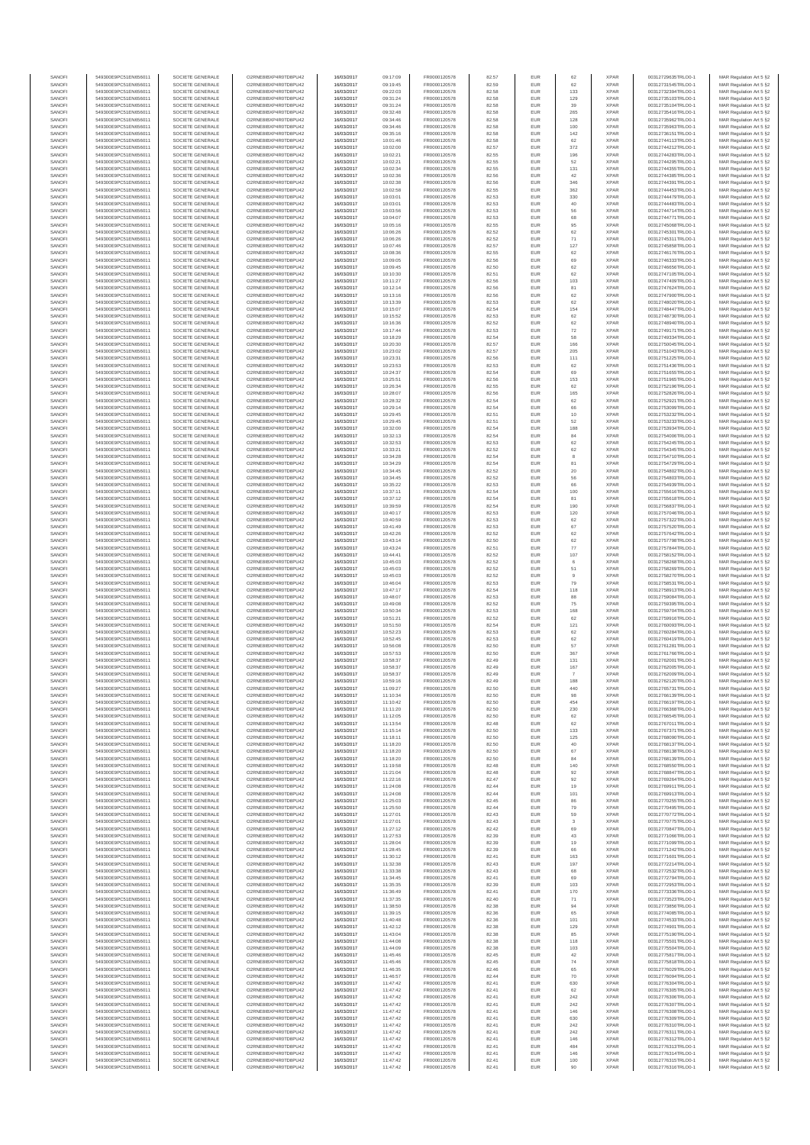| SANOFI           | 549300E9PC51EN656011                         | SOCIETE GENERALE                     | O2RNE8IBXP4R0TD8PU42                         | 16/03/2017               | 09:17:09             | FR0000120578                 | 82.57          | EUR               | 62                    | <b>XPAR</b>                | 00312729635TRLO0-1                       | MAR Regulation Art 5 §2                             |
|------------------|----------------------------------------------|--------------------------------------|----------------------------------------------|--------------------------|----------------------|------------------------------|----------------|-------------------|-----------------------|----------------------------|------------------------------------------|-----------------------------------------------------|
| SANOFI<br>SANOFI | 549300E9PC51EN656011<br>549300E9PC51EN656011 | SOCIETE GENERALE<br>SOCIETE GENERALE | O2RNE8IBXP4R0TD8PU42<br>O2RNE8IBXP4R0TD8PU42 | 16/03/2017<br>16/03/2017 | 09:19:45<br>09:22:03 | FR0000120578<br>FR0000120578 | 82.59<br>82.58 | EUR<br>EUR        | 62<br>133             | <b>XPAR</b><br><b>XPAR</b> | 00312731545TRLO0-1<br>00312732394TRLO0-1 | MAR Regulation Art 5 §2                             |
| SANOFI           | 549300E9PC51EN656011                         | SOCIETE GENERALE                     | O2RNE8IBXP4R0TD8PU42                         | 16/03/2017               | 09:31:24             | FR0000120578                 | 82.58          | EUR               | 129                   | <b>XPAR</b>                | 00312735103TRLO0-1                       | MAR Regulation Art 5 §2<br>MAR Regulation Art 5 §2  |
| SANOFI           | 549300E9PC51EN656011                         | SOCIETE GENERALE                     | O2RNE8IBXP4R0TD8PU42                         | 16/03/2017               | 09:31:24             | FR0000120578                 | 82.58          | EUR               | 39                    | <b>XPAR</b>                | 00312735104TRLO0-1                       | MAR Regulation Art 5 §2                             |
| SANOFI           | 549300E9PC51EN656011                         | SOCIETE GENERALE                     | O2RNE8IBXP4R0TD8PU42                         | 16/03/2017               | 09:32:48             | FR0000120578                 | 82.58          | EUR               | 265                   | <b>XPAR</b>                | 00312735416TRLO0-1                       | MAR Regulation Art 5 §2                             |
| SANOFI<br>SANOFI | 549300E9PC51EN656011<br>549300E9PC51EN656011 | SOCIETE GENERALE<br>SOCIETE GENERALE | O2RNE8IBXP4R0TD8PU42<br>O2RNE8IBXP4R0TD8PU42 | 16/03/2017<br>16/03/2017 | 09:34:46<br>09:34:46 | FR0000120578<br>FR0000120578 | 82.58<br>82.58 | EUR<br>EUR        | 128<br>100            | <b>XPAR</b><br><b>XPAR</b> | 00312735962TRLO0-1<br>00312735963TRLO0-1 | MAR Regulation Art 5 \$2<br>MAR Regulation Art 5 §2 |
| SANOFI           | 549300E9PC51EN656011                         | SOCIETE GENERALE                     | O2RNE8IBXP4R0TD8PU42                         | 16/03/2017               | 09:35:16             | FR0000120578                 | 82.58          | EUR               | 142                   | <b>XPAR</b>                | 00312736151TRLO0-1                       | MAR Regulation Art 5 §2                             |
| SANOFI           | 549300E9PC51EN656011                         | SOCIETE GENERALE                     | O2RNE8IBXP4R0TD8PU42                         | 16/03/2017               | 10:01:46             | FR0000120578                 | 82.58          | EUR               | 62                    | <b>XPAR</b>                | 00312744113TRLO0-1                       | MAR Regulation Art 5 §2                             |
| SANOFI<br>SANOFI | 549300E9PC51EN656011<br>549300E9PC51EN656011 | SOCIETE GENERALE<br>SOCIETE GENERALE | O2RNE8IBXP4R0TD8PU42<br>O2RNE8IBXP4R0TD8PU42 | 16/03/2017<br>16/03/2017 | 10:02:00<br>10:02:21 | FR0000120578<br>FR0000120578 | 82.57<br>82.55 | EUR<br>EUR        | 372<br>196            | <b>XPAR</b><br><b>XPAR</b> | 00312744212TRLO0-1<br>00312744283TRLO0-1 | MAR Regulation Art 5 §2<br>MAR Regulation Art 5 §2  |
| SANOFI           | 549300E9PC51EN656011                         | SOCIETE GENERALE                     | O2RNE8IBXP4R0TD8PU42                         | 16/03/2017               | 10:02:21             | FR0000120578                 | 82.55          | EUR               | 52                    | <b>XPAR</b>                | 00312744295TRLO0-1                       | MAR Regulation Art 5 §2                             |
| SANOFI           | 549300E9PC51EN656011                         | SOCIETE GENERALE                     | O2RNE8IBXP4R0TD8PU42                         | 16/03/2017               | 10:02:34             | FR0000120578                 | 82.55          | EUR               | 131                   | <b>XPAR</b>                | 00312744355TRLO0-1                       | MAR Regulation Art 5 §2                             |
| SANOFI           | 549300E9PC51EN656011                         | SOCIETE GENERALE                     | O2RNE8IBXP4R0TD8PU42                         | 16/03/2017               | 10:02:36             | FR0000120578                 | 82.56          | EUR               | 42                    | <b>XPAR</b>                | 00312744385TRLO0-1                       | MAR Regulation Art 5 §2                             |
| SANOFI<br>SANOFI | 549300E9PC51EN656011<br>549300E9PC51EN656011 | SOCIETE GENERALE<br>SOCIETE GENERALE | O2RNE8IBXP4R0TD8PU42<br>O2RNE8IBXP4R0TD8PU42 | 16/03/2017<br>16/03/2017 | 10:02:38<br>10:02:58 | FR0000120578<br>FR0000120578 | 82.56<br>82.55 | EUR<br>EUR        | 346<br>362            | <b>XPAR</b><br><b>XPAR</b> | 00312744391TRLO0-1<br>00312744453TRLO0-1 | MAR Regulation Art 5 §2<br>MAR Regulation Art 5 §2  |
| SANOFI           | 549300E9PC51EN656011                         | SOCIETE GENERALE                     | O2RNE8IBXP4R0TD8PU42                         | 16/03/2017               | 10:03:01             | FR0000120578                 | 82.53          | EUR               | 330                   | <b>XPAR</b>                | 00312744479TRLO0-1                       | MAR Regulation Art 5 §2                             |
| SANOFI           | 549300E9PC51EN656011                         | SOCIETE GENERALE                     | O2RNE8IBXP4R0TD8PU42                         | 16/03/2017               | 10:03:01             | FR0000120578                 | 82.53          | EUR               | 40                    | <b>XPAR</b>                | 00312744483TRLO0-1                       | MAR Regulation Art 5 §2                             |
| SANOFI           | 549300E9PC51EN656011                         | SOCIETE GENERALE                     | O2RNE8IBXP4R0TD8PU42                         | 16/03/2017               | 10:03:56             | FR0000120578                 | 82.53          | EUR               | 56                    | <b>XPAR</b>                | 00312744714TRLO0-1                       | MAR Regulation Art 5 §2                             |
| SANOFI<br>SANOFI | 549300E9PC51EN656011<br>549300E9PC51EN656011 | SOCIETE GENERALE<br>SOCIETE GENERALE | O2RNE8IBXP4R0TD8PU42<br>O2RNE8IBXP4R0TD8PU42 | 16/03/2017<br>16/03/2017 | 10:04:07<br>10:05:16 | FR0000120578<br>FR0000120578 | 82.53<br>82.55 | EUR<br>EUR        | 68<br>95              | <b>XPAR</b><br><b>XPAR</b> | 00312744771TRLO0-1<br>00312745068TRLO0-1 | MAR Regulation Art 5 §2<br>MAR Regulation Art 5 §2  |
| SANOFI           | 549300E9PC51EN656011                         | SOCIETE GENERALE                     | O2RNE8IBXP4R0TD8PU42                         | 16/03/2017               | 10:06:26             | FR0000120578                 | 82.52          | EUR               | 62                    | <b>XPAR</b>                | 00312745301TRLO0-1                       | MAR Regulation Art 5 §2                             |
| SANOFI           | 549300E9PC51EN656011                         | SOCIETE GENERALE                     | O2RNE8IBXP4R0TD8PU42                         | 16/03/2017               | 10:06:26             | FR0000120578                 | 82.52          | EUR               | 71                    | <b>XPAR</b>                | 00312745311TRLO0-1                       | MAR Regulation Art 5 §2                             |
| SANOFI<br>SANOFI | 549300E9PC51EN656011<br>549300E9PC51EN656011 | SOCIETE GENERALE<br>SOCIETE GENERALE | O2RNE8IBXP4R0TD8PU42<br>O2RNE8IBXP4R0TD8PU42 | 16/03/2017<br>16/03/2017 | 10:07:46<br>10:08:36 | FR0000120578<br>FR0000120578 | 82.57<br>82.55 | EUR<br>EUR        | 127<br>62             | <b>XPAR</b><br><b>XPAR</b> | 00312745858TRLO0-1<br>00312746176TRLO0-1 | MAR Regulation Art 5 §2<br>MAR Regulation Art 5 §2  |
| SANOFI           | 549300E9PC51EN656011                         | SOCIETE GENERALE                     | O2RNE8IBXP4R0TD8PU42                         | 16/03/2017               | 10:09:05             | FR0000120578                 | 82.56          | EUR               | 69                    | <b>XPAR</b>                | 00312746333TRLO0-1                       | MAR Regulation Art 5 62                             |
| SANOFI           | 549300E9PC51EN656011                         | SOCIETE GENERALE                     | O2RNE8IBXP4R0TD8PU42                         | 16/03/2017               | 10:09:45             | FR0000120578                 | 82.50          | EUR               | 62                    | <b>XPAR</b>                | 00312746656TRLO0-1                       | MAR Regulation Art 5 §2                             |
| SANOFI           | 549300E9PC51EN656011                         | SOCIETE GENERALE                     | O2RNE8IBXP4R0TD8PU42                         | 16/03/2017               | 10:10:30             | FR0000120578                 | 82.51          | EUR               | 62                    | <b>XPAR</b>                | 00312747105TRLO0-1                       | MAR Regulation Art 5 §2                             |
| SANOFI<br>SANOFI | 549300E9PC51EN656011<br>549300E9PC51EN656011 | SOCIETE GENERALE<br>SOCIETE GENERALE | O2RNE8IBXP4R0TD8PU42<br>O2RNE8IBXP4R0TD8PU42 | 16/03/2017<br>16/03/2017 | 10:11:27<br>10:12:14 | FR0000120578<br>FR0000120578 | 82.56<br>82.56 | EUR<br>EUR        | 103<br>81             | <b>XPAR</b><br><b>XPAR</b> | 00312747409TRLO0-1<br>00312747624TRLO0-1 | MAR Regulation Art 5 §2<br>MAR Regulation Art 5 §2  |
| SANOFI           | 549300E9PC51EN656011                         | SOCIETE GENERALE                     | O2RNE8IBXP4R0TD8PU42                         | 16/03/2017               | 10:13:16             | FR0000120578                 | 82.56          | EUR               | 62                    | <b>XPAR</b>                | 00312747900TRLO0-1                       | MAR Regulation Art 5 §2                             |
| SANOFI           | 549300E9PC51EN656011                         | SOCIETE GENERALE                     | O2RNE8IBXP4R0TD8PU42                         | 16/03/2017               | 10:13:39             | FR0000120578                 | 82.53          | EUR               | 62                    | <b>XPAR</b>                | 00312748020TRLO0-1                       | MAR Regulation Art 5 §2                             |
| SANOFI<br>SANOFI | 549300E9PC51EN656011<br>549300E9PC51EN656011 | SOCIETE GENERALE<br>SOCIETE GENERALE | O2RNE8IBXP4R0TD8PU42<br>O2RNE8IBXP4R0TD8PU42 | 16/03/2017<br>16/03/2017 | 10:15:07<br>10:15:52 | FR0000120578<br>FR0000120578 | 82.54<br>82.53 | EUR<br>EUR        | 154<br>62             | <b>XPAR</b><br><b>XPAR</b> | 00312748447TRLO0-1<br>00312748730TRLO0-1 | MAR Regulation Art 5 \$2                            |
| SANOFI           | 549300E9PC51EN656011                         | SOCIETE GENERALE                     | O2RNE8IBXP4R0TD8PU42                         | 16/03/2017               | 10:16:36             | FR0000120578                 | 82.52          | EUR               | 62                    | <b>XPAR</b>                | 00312748940TRLO0-1                       | MAR Regulation Art 5 §2<br>MAR Regulation Art 5 §2  |
| SANOFI           | 549300E9PC51EN656011                         | SOCIETE GENERALE                     | O2RNE8IBXP4R0TD8PU42                         | 16/03/2017               | 10:17:44             | FR0000120578                 | 82.53          | EUR               | 72                    | <b>XPAR</b>                | 00312749171TRLO0-1                       | MAR Regulation Art 5 §2                             |
| SANOFI           | 549300E9PC51EN656011                         | SOCIETE GENERALE                     | O2RNE8IBXP4R0TD8PU42                         | 16/03/2017               | 10:18:29             | FR0000120578                 | 82.54          | EUR               | 58                    | <b>XPAR</b>                | 00312749334TRLO0-1                       | MAR Regulation Art 5 §2                             |
| SANOFI<br>SANOFI | 549300E9PC51EN656011<br>549300E9PC51EN656011 | SOCIETE GENERALE<br>SOCIETE GENERALE | O2RNE8IBXP4R0TD8PU42<br>O2RNE8IBXP4R0TD8PU42 | 16/03/2017<br>16/03/2017 | 10:20:30<br>10:23:02 | FR0000120578<br>FR0000120578 | 82.57<br>82.57 | EUR<br>EUR        | 166<br>205            | <b>XPAR</b><br><b>XPAR</b> | 00312750045TRLO0-1<br>00312751043TRLO0-1 | MAR Regulation Art 5 §2<br>MAR Regulation Art 5 §2  |
| SANOFI           | 549300E9PC51EN656011                         | SOCIETE GENERALE                     | O2RNE8IBXP4R0TD8PU42                         | 16/03/2017               | 10:23:31             | FR0000120578                 | 82.56          | EUR               | 111                   | <b>XPAR</b>                | 00312751225TRLO0-1                       | MAR Regulation Art 5 §2                             |
| SANOFI           | 549300E9PC51EN656011                         | SOCIETE GENERALE                     | O2RNE8IBXP4R0TD8PU42                         | 16/03/2017               | 10:23:53             | FR0000120578                 | 82.53          | EUR               | 62                    | <b>XPAR</b>                | 00312751436TRLO0-1                       | MAR Regulation Art 5 §2                             |
| SANOFI           | 549300E9PC51EN656011                         | SOCIETE GENERALE                     | O2RNE8IBXP4R0TD8PU42                         | 16/03/2017               | 10:24:37             | FR0000120578                 | 82.54          | EUR               | 69                    | <b>XPAR</b>                | 00312751655TRLO0-1                       | MAR Regulation Art 5 §2                             |
| SANOFI<br>SANOFI | 549300E9PC51EN656011<br>549300E9PC51EN656011 | SOCIETE GENERALE<br>SOCIETE GENERALE | O2RNE8IBXP4R0TD8PU42<br>O2RNE8IBXP4R0TD8PU42 | 16/03/2017<br>16/03/2017 | 10:25:51<br>10:26:34 | FR0000120578<br>FR0000120578 | 82.56<br>82.55 | EUR<br>EUR        | 153<br>62             | <b>XPAR</b><br><b>XPAR</b> | 00312751965TRLO0-1<br>00312752196TRLO0-1 | MAR Regulation Art 5 §2<br>MAR Regulation Art 5 §2  |
| SANOFI           | 549300E9PC51EN656011                         | SOCIETE GENERALE                     | O2RNE8IBXP4R0TD8PU42                         | 16/03/2017               | 10:28:07             | FR0000120578                 | 82.56          | EUR               | 165                   | <b>XPAR</b>                | 00312752826TRLO0-1                       | MAR Regulation Art 5 §2                             |
| SANOFI           | 549300E9PC51EN656011                         | SOCIETE GENERALE                     | O2RNE8IBXP4R0TD8PU42                         | 16/03/2017               | 10:28:32             | FR0000120578                 | 82.54          | EUR               | 62                    | <b>XPAR</b>                | 00312752921TRLO0-1                       | MAR Regulation Art 5 §2                             |
| SANOFI           | 549300E9PC51EN656011                         | SOCIETE GENERALE                     | O2RNE8IBXP4R0TD8PU42<br>O2RNE8IBXP4R0TD8PU42 | 16/03/2017               | 10:29:14             | FR0000120578<br>FR0000120578 | 82.54          | EUR               | 66                    | <b>XPAR</b>                | 00312753099TRLO0-1<br>00312753232TRLO0-1 | MAR Regulation Art 5 §2                             |
| SANOFI<br>SANOFI | 549300E9PC51EN656011<br>549300E9PC51EN656011 | SOCIETE GENERALE<br>SOCIETE GENERALE | O2RNE8IBXP4R0TD8PLI42                        | 16/03/2017<br>16/03/2017 | 10:29:45<br>10:29:45 | FR0000120578                 | 82.51<br>82.51 | EUR<br>EUR        | 10<br>52              | <b>XPAR</b><br><b>XPAR</b> | 00312753233TRLO0-1                       | MAR Regulation Art 5 §2<br>MAR Regulation Art 5 §2  |
| SANOFI           | 549300E9PC51EN656011                         | SOCIETE GENERALE                     | O2RNE8IBXP4R0TD8PU42                         | 16/03/2017               | 10:32:00             | FR0000120578                 | 82.54          | EUR               | 188                   | <b>XPAR</b>                | 00312753934TRLO0-1                       | MAR Regulation Art 5 §2                             |
| SANOFI           | 549300E9PC51EN656011                         | SOCIETE GENERALE                     | O2RNE8IBXP4R0TD8PU42                         | 16/03/2017               | 10:32:13             | FR0000120578                 | 82.54          | EUR               | 84                    | <b>XPAR</b>                | 00312754006TRLO0-1                       | MAR Regulation Art 5 \$2                            |
| SANOFI<br>SANOFI | 549300E9PC51EN656011<br>549300E9PC51EN656011 | SOCIETE GENERALE<br>SOCIETE GENERALE | O2RNE8IBXP4R0TD8PU42<br>O2RNE8IBXP4R0TD8PU42 | 16/03/2017               | 10:32:53             | FR0000120578<br>FR0000120578 | 82.53<br>82.52 | EUR<br>EUR        | 62<br>62              | <b>XPAR</b><br><b>XPAR</b> | 00312754245TRLO0-1                       | MAR Regulation Art 5 §2<br>MAR Regulation Art 5 §2  |
| SANOFI           | 549300E9PC51EN656011                         | SOCIETE GENERALE                     | O2RNE8IBXP4R0TD8PU42                         | 16/03/2017<br>16/03/2017 | 10:33:21<br>10:34:28 | FR0000120578                 | 82.54          | EUR               | 8                     | <b>XPAR</b>                | 00312754345TRLO0-1<br>00312754710TRLO0-1 | MAR Regulation Art 5 §2                             |
| SANOFI           | 549300E9PC51EN656011                         | SOCIETE GENERALE                     | O2RNE8IBXP4R0TD8PU42                         | 16/03/2017               | 10:34:29             | FR0000120578                 | 82.54          | EUR               | 81                    | <b>XPAR</b>                | 00312754729TRLO0-1                       | MAR Regulation Art 5 §2                             |
| SANOFI           | 549300E9PC51EN656011                         | SOCIETE GENERALE                     | O2RNE8IBXP4R0TD8PU42                         | 16/03/2017               | 10:34:45             | FR0000120578                 | 82.52          | EUR               | 20                    | <b>XPAR</b>                | 00312754802TRLO0-1                       | MAR Regulation Art 5 §2                             |
| SANOFI<br>SANOFI | 549300E9PC51EN656011<br>549300E9PC51EN656011 | SOCIETE GENERALE<br>SOCIETE GENERALE | O2RNE8IBXP4R0TD8PU42<br>O2RNE8IBXP4R0TD8PU42 | 16/03/2017<br>16/03/2017 | 10:34:45<br>10:35:22 | FR0000120578<br>FR0000120578 | 82.52<br>82.53 | EUR<br>EUR        | 56<br>66              | <b>XPAR</b><br><b>XPAR</b> | 00312754803TRLO0-1<br>00312754939TRLO0-1 | MAR Regulation Art 5 §2<br>MAR Regulation Art 5 §2  |
| SANOFI           | 549300E9PC51EN656011                         | SOCIETE GENERALE                     | O2RNE8IBXP4R0TD8PU42                         | 16/03/2017               | 10:37:11             | FR0000120578                 | 82.54          | EUR               | 100                   | <b>XPAR</b>                | 00312755616TRLO0-1                       | MAR Regulation Art 5 §2                             |
| SANOFI           | 549300E9PC51EN656011                         | SOCIETE GENERALE                     | O2RNE8IBXP4R0TD8PU42                         | 16/03/2017               | 10:37:12             | FR0000120578                 | 82.54          | EUR               | 81                    | <b>XPAR</b>                | 00312755618TRLO0-1                       | MAR Regulation Art 5 §2                             |
| SANOFI           | 549300E9PC51EN656011                         | SOCIETE GENERALE                     | O2RNE8IBXP4R0TD8PU42                         | 16/03/2017               | 10:39:59             | FR0000120578                 | 82.54          | EUR               | 190                   | <b>XPAR</b>                | 00312756837TRLO0-1                       | MAR Regulation Art 5 §2                             |
| SANOFI<br>SANOFI | 549300E9PC51EN656011<br>549300E9PC51EN656011 | SOCIETE GENERALE<br>SOCIETE GENERALE | O2RNE8IBXP4R0TD8PU42<br>O2RNE8IBXP4R0TD8PU42 | 16/03/2017<br>16/03/2017 | 10:40:17<br>10:40:59 | FR0000120578<br>FR0000120578 | 82.53<br>82.53 | EUR<br>EUR        | 120<br>62             | <b>XPAR</b><br><b>XPAR</b> | 00312757046TRLO0-1<br>00312757322TRLO0-1 | MAR Regulation Art 5 §2<br>MAR Regulation Art 5 §2  |
| SANOFI           | 549300E9PC51EN656011                         | SOCIETE GENERALE                     | O2RNE8IBXP4R0TD8PU42                         | 16/03/2017               | 10:41:49             | FR0000120578                 | 82.53          | EUR               | 67                    | <b>XPAR</b>                | 00312757520TRLO0-1                       | MAR Regulation Art 5 §2                             |
| SANOFI           | 549300E9PC51EN656011                         | SOCIETE GENERALE                     | O2RNE8IBXP4R0TD8PU42                         | 16/03/2017               | 10:42:26             | FR0000120578                 | 82.52          | EUR               | 62                    | <b>XPAR</b>                | 00312757642TRLO0-1                       | MAR Regulation Art 5 §2                             |
| SANOFI           | 549300E9PC51EN656011                         | SOCIETE GENERALE                     | O2RNE8IBXP4R0TD8PU42                         | 16/03/2017               | 10:43:14             | FR0000120578                 | 82.50          | EUR<br>EUR        | 62<br>77              | <b>XPAR</b>                | 00312757798TRLO0-1                       | MAR Regulation Art 5 §2                             |
| SANOFI<br>SANOFI | 549300E9PC51EN656011<br>549300E9PC51EN656011 | SOCIETE GENERALE<br>SOCIETE GENERALE | O2RNE8IBXP4R0TD8PU42<br>O2RNE8IBXP4R0TD8PU42 | 16/03/2017<br>16/03/2017 | 10:43:24<br>10:44:41 | FR0000120578<br>FR0000120578 | 82.51<br>82.52 | EUR               | 107                   | <b>XPAR</b><br><b>XPAR</b> | 00312757844TRLO0-1<br>00312758152TRLO0-1 | MAR Regulation Art 5 §2<br>MAR Regulation Art 5 §2  |
| SANOFI           | 549300E9PC51EN656011                         | SOCIETE GENERALE                     | O2RNE8IBXP4R0TD8PU42                         | 16/03/2017               | 10:45:03             | FR0000120578                 | 82.52          | EUR               | 6                     | <b>XPAR</b>                | 00312758268TRLO0-1                       | MAR Regulation Art 5 §2                             |
| SANOFI           | 549300E9PC51EN656011                         | SOCIETE GENERALE                     | O2RNE8IBXP4R0TD8PU42                         | 16/03/2017               | 10:45:03             | FR0000120578                 | 82.52          | EUR               | 51                    | <b>XPAR</b>                | 00312758269TRLO0-1                       | MAR Regulation Art 5 §2                             |
| SANOFI<br>SANOFI | 549300E9PC51EN656011<br>549300E9PC51EN656011 | SOCIETE GENERALE<br>SOCIETE GENERALE | O2RNE8IBXP4R0TD8PU42<br>O2RNE8IBXP4R0TD8PU42 | 16/03/2017<br>16/03/2017 | 10:45:03<br>10:46:04 | FR0000120578<br>FR0000120578 | 82.52<br>82.53 | EUR<br>EUR        | 9<br>79               | <b>XPAR</b><br><b>XPAR</b> | 00312758270TRLO0-1<br>00312758531TRLO0-1 | MAR Regulation Art 5 §2<br>MAR Regulation Art 5 §2  |
| SANOFI           | 549300E9PC51EN656011                         | SOCIETE GENERALE                     | O2RNE8IBXP4R0TD8PU42                         | 16/03/2017               | 10:47:17             | FR0000120578                 | 82.54          | EUR               | 118                   | <b>XPAR</b>                | 00312758913TRLO0-1                       | MAR Regulation Art 5 §2                             |
| SANOFI           | 549300E9PC51EN656011                         | SOCIETE GENERALE                     | O2RNE8IBXP4R0TD8PU42                         | 16/03/2017               | 10:48:07             | FR0000120578                 | 82.53          | EUR               | 88                    | <b>XPAR</b>                | 00312759084TRLO0-1                       | MAR Regulation Art 5 §2                             |
| SANOFI           | 549300E9PC51EN656011                         | SOCIETE GENERALE                     | O2RNE8IBXP4R0TD8PU42                         | 16/03/2017               | 10:49:08             | FR0000120578                 | 82.52          | EUR               | 75                    | <b>XPAR</b>                | 00312759395TRLO0-1                       | MAR Regulation Art 5 §2                             |
| SANOFI<br>SANOFI | 549300E9PC51EN656011<br>549300E9PC51EN656011 | SOCIETE GENERALE<br>SOCIETE GENERALE | O2RNE8IBXP4R0TD8PU42<br>O2RNE8IBXP4R0TD8PU42 | 16/03/2017<br>16/03/2017 | 10:50:34<br>10:51:21 | FR0000120578<br>FR0000120578 | 82.53<br>82.52 | EUR<br>EUR        | 168<br>62             | <b>XPAR</b><br><b>XPAR</b> | 00312759704TRLO0-1<br>00312759916TRLO0-1 | MAR Regulation Art 5 §2<br>MAR Regulation Art 5 §2  |
| SANOFI           | 549300E9PC51EN656011                         | SOCIETE GENERALE                     | O2RNE8IBXP4R0TD8PU42                         | 16/03/2017               | 10:51:50             | FR0000120578                 | 82.54          | EUR               | 121                   | <b>XPAR</b>                | 00312760093TRLO0-1                       | MAR Regulation Art 5 §2                             |
| SANOFI           | 549300E9PC51EN656011                         | SOCIETE GENERALE                     | O2RNE8IBXP4R0TD8PU42                         | 16/03/2017               | 10:52:23             | FR0000120578                 | 82.53          | EUR               | 62                    | <b>XPAR</b>                | 00312760284TRLO0-1                       | MAR Regulation Art 5 §2                             |
| SANOFI           | 549300E9PC51EN656011                         | SOCIETE GENERALE                     | O2RNE8IBXP4R0TD8PU42                         | 16/03/2017               | 10:52:45             | FR0000120578                 | 82.53          | EUR               | 62                    | <b>XPAR</b>                | 00312760419TRLO0-1                       | MAR Regulation Art 5 §2                             |
| SANOFI<br>SANOFI | 549300E9PC51EN656011<br>549300E9PC51EN656011 | SOCIETE GENERALE<br>SOCIETE GENERALE | O2RNE8IBXP4R0TD8PU42<br>O2RNE8IBXP4R0TD8PU42 | 16/03/2017<br>16/03/2017 | 10:56:08<br>10:57:53 | FR0000120578<br>FR0000120578 | 82.50<br>82.50 | EUR<br>EUR        | 57<br>367             | <b>XPAR</b><br><b>XPAR</b> | 00312761281TRLO0-1<br>00312761766TRLO0-1 | MAR Regulation Art 5 §2<br>MAR Regulation Art 5 §2  |
| SANOFI           | 549300E9PC51EN656011                         | SOCIETE GENERALE                     | O2RNE8IBXP4R0TD8PU42                         | 16/03/2017               | 10:58:37             | FR0000120578                 | 82.49          | EUR               | 131                   | <b>XPAR</b>                | 00312762001TRLO0-1                       | MAR Regulation Art 5 \$2                            |
| SANOFI           | 549300E9PC51EN656011                         | SOCIETE GENERALE                     | O2RNE8IBXP4R0TD8PU42                         | 16/03/2017               | 10:58:37             | FR0000120578                 | 82.49          | EUR               | 167                   | <b>XPAR</b>                | 00312762005TRLO0-1                       | MAR Regulation Art 5 §2                             |
| SANOFI<br>SANOFI | 549300E9PC51EN656011<br>549300E9PC51EN656011 | SOCIETE GENERALE<br>SOCIETE GENERALE | O2RNE8IBXP4R0TD8PU42<br>O2RNE8IBXP4R0TD8PU42 | 16/03/2017<br>16/03/2017 | 10:58:37<br>10:59:16 | FR0000120578<br>FR0000120578 | 82.49<br>82.49 | <b>EUR</b><br>EUR | $\overline{7}$<br>188 | <b>XPAR</b><br><b>XPAR</b> | 00312762009TRLO0-1<br>00312762120TRLO0-1 | MAR Regulation Art 5 §2<br>MAR Regulation Art 5 §2  |
| SANOFI           | 549300E9PC51EN656011                         | SOCIETE GENERALE                     | O2RNE8IBXP4R0TD8PU42                         | 16/03/2017               | 11:09:27             | FR0000120578                 | 82.50          | EUR               | 440                   | <b>XPAR</b>                | 00312765731TRLO0-1                       | MAR Regulation Art 5 §2                             |
| SANOFI           | 549300E9PC51EN656011                         | SOCIETE GENERALE                     | O2RNE8IBXP4R0TD8PU42                         | 16/03/2017               | 11:10:34             | FR0000120578                 | 82.50          | EUR               | 98                    | <b>XPAR</b>                | 00312766139TRLO0-1                       | MAR Regulation Art 5 §2                             |
| SANOFI           | 549300E9PC51EN656011                         | SOCIETE GENERALE                     | O2RNE8IBXP4R0TD8PU42                         | 16/03/2017               | 11:10:42             | FR0000120578                 | 82.50          | EUR               | 454                   | <b>XPAR</b>                | 00312766197TRLO0-1                       | MAR Regulation Art 5 §2                             |
| SANOFI<br>SANOFI | 549300E9PC51EN656011<br>549300E9PC51EN656011 | SOCIETE GENERALE<br>SOCIETE GENERALE | O2RNE8IBXP4R0TD8PU42<br>O2RNE8IBXP4R0TD8PU42 | 16/03/2017<br>16/03/2017 | 11:11:20<br>11:12:05 | FR0000120578<br>FR0000120578 | 82.50<br>82.50 | EUR<br>EUR        | 230<br>62             | <b>XPAR</b><br><b>XPAR</b> | 00312766368TRLO0-1<br>00312766545TRLO0-1 | MAR Regulation Art 5 §2<br>MAR Regulation Art 5 §2  |
| SANOFI           | 549300E9PC51EN656011                         | SOCIETE GENERALE                     | O2RNE8IBXP4R0TD8PU42                         | 16/03/2017               | 11:13:54             | FR0000120578                 | 82.48          | EUR               | 62                    | <b>XPAR</b>                | 00312767011TRLO0-1                       | MAR Regulation Art 5 §2                             |
| SANOFI           | 549300E9PC51EN656011                         | SOCIETE GENERALE                     | O2RNE8IBXP4R0TD8PU42                         | 16/03/2017               | 11:15:14             | FR0000120578                 | 82.50          | EUR               | 133                   | <b>XPAR</b>                | 00312767371TRLO0-1                       | MAR Regulation Art 5 §2                             |
| SANOFI<br>SANOFI | 549300E9PC51EN656011<br>549300E9PC51EN656011 | SOCIETE GENERALE<br>SOCIETE GENERALE | O2RNE8IBXP4R0TD8PU42<br>O2RNE8IBXP4R0TD8PU42 | 16/03/2017               | 11:18:11             | FR0000120578                 | 82.50<br>82.50 | EUR<br>EUR        | 125                   | <b>XPAR</b><br><b>XPAR</b> | 00312768090TRLO0-1<br>00312768137TRLO0-1 | MAR Regulation Art 5 \$2<br>MAR Regulation Art 5 §2 |
| SANOFI           | 549300E9PC51EN656011                         | SOCIETE GENERALE                     | O2RNE8IBXP4R0TD8PU42                         | 16/03/2017<br>16/03/2017 | 11:18:20<br>11:18:20 | FR0000120578<br>FR0000120578 | 82.50          | EUR               | 40<br>67              | <b>XPAR</b>                | 00312768138TRLO0-1                       | MAR Regulation Art 5 §2                             |
| SANOFI           | 549300E9PC51EN656011                         | SOCIETE GENERALE                     | O2RNE8IBXP4R0TD8PU42                         | 16/03/2017               | 11:18:20             | FR0000120578                 | 82.50          | EUR               | 84                    | <b>XPAR</b>                | 00312768139TRLO0-1                       | MAR Regulation Art 5 §2                             |
| SANOFI<br>SANOFI | 549300E9PC51EN656011<br>549300E9PC51EN656011 | SOCIETE GENERALE<br>SOCIETE GENERALE | O2RNE8IBXP4R0TD8PU42<br>O2RNE8IBXP4R0TD8PU42 | 16/03/2017<br>16/03/2017 | 11:19:58<br>11:21:04 | FR0000120578<br>FR0000120578 | 82.48<br>82.48 | EUR<br>EUR        | 140<br>92             | <b>XPAR</b><br><b>XPAR</b> | 00312768550TRLO0-1<br>00312768847TRLO0-1 | MAR Regulation Art 5 §2                             |
| SANOFI           | 549300E9PC51EN656011                         | SOCIETE GENERALE                     | O2RNE8IBXP4R0TD8PU42                         | 16/03/2017               | 11:22:16             | FR0000120578                 | 82.47          | EUR               | 92                    | <b>XPAR</b>                | 00312769264TRLO0-1                       | MAR Regulation Art 5 §2<br>MAR Regulation Art 5 §2  |
| SANOFI           | 549300E9PC51EN656011                         | SOCIETE GENERALE                     | O2RNE8IBXP4R0TD8PU42                         | 16/03/2017               | 11:24:08             | FR0000120578                 | 82.44          | EUR               | 19                    | <b>XPAR</b>                | 00312769911TRLO0-1                       | MAR Regulation Art 5 §2                             |
| SANOFI<br>SANOFI | 549300E9PC51EN656011<br>549300E9PC51EN656011 | SOCIETE GENERALE<br>SOCIETE GENERALE | O2RNE8IBXP4R0TD8PU42<br>O2RNE8IBXP4R0TD8PU42 | 16/03/2017               | 11:24:08             | FR0000120578<br>FR0000120578 | 82.44<br>82.45 | EUR<br>EUR        | 101<br>86             | <b>XPAR</b><br><b>XPAR</b> | 00312769913TRLO0-1                       | MAR Regulation Art 5 §2<br>MAR Regulation Art 5 §2  |
| SANOFI           | 549300E9PC51EN656011                         | SOCIETE GENERALE                     | O2RNE8IBXP4R0TD8PU42                         | 16/03/2017<br>16/03/2017 | 11:25:03<br>11:25:50 | FR0000120578                 | 82.44          | EUR               | 79                    | <b>XPAR</b>                | 00312770255TRLO0-1<br>00312770495TRLO0-1 | MAR Regulation Art 5 §2                             |
| SANOFI           | 549300E9PC51EN656011                         | SOCIETE GENERALE                     | O2RNE8IBXP4R0TD8PU42                         | 16/03/2017               | 11:27:01             | FR0000120578                 | 82.43          | EUR               | 59                    | <b>XPAR</b>                | 00312770772TRLO0-1                       | MAR Regulation Art 5 §2                             |
| SANOFI           | 549300E9PC51EN656011                         | SOCIETE GENERALE                     | O2RNESIBXP4R0TD8PLI42                        | 16/03/2017               | 11:27:01             | FR0000120578                 | 82.43          | EUR               | $_{3}$                | <b>XPAR</b>                | 00312770775TRLO0-1                       | MAR Regulation Art 5 §2                             |
| SANOFI<br>SANOFI | 549300E9PC51EN656011<br>549300E9PC51EN656011 | SOCIETE GENERALE<br>SOCIETE GENERALE | O2RNE8IBXP4R0TD8PU42<br>O2RNE8IBXP4R0TD8PU42 | 16/03/2017<br>16/03/2017 | 11:27:12<br>11:27:53 | FR0000120578<br>FR0000120578 | 82.42<br>82.39 | EUR<br>EUR        | 69<br>43              | <b>XPAR</b><br><b>XPAR</b> | 00312770847TRLO0-1<br>00312771066TRLO0-1 | MAR Regulation Art 5 §2<br>MAR Regulation Art 5 §2  |
| SANOFI           | 549300E9PC51EN656011                         | SOCIETE GENERALE                     | O2RNE8IBXP4R0TD8PU42                         | 16/03/2017               | 11:28:04             | FR0000120578                 | 82.39          | EUR               | 19                    | <b>XPAR</b>                | 00312771099TRLO0-1                       | MAR Regulation Art 5 §2                             |
| SANOFI           | 549300E9PC51EN656011                         | SOCIETE GENERALE                     | O2RNE8IBXP4R0TD8PU42                         | 16/03/2017               | 11:28:45             | FR0000120578                 | 82.39          | EUR               | 66                    | <b>XPAR</b>                | 00312771242TRLO0-1                       | MAR Regulation Art 5 §2                             |
| SANOFI<br>SANOFI | 549300E9PC51EN656011<br>549300E9PC51EN656011 | SOCIETE GENERALE                     | O2RNE8IBXP4R0TD8PU42<br>O2RNE8IBXP4R0TD8PU42 | 16/03/2017               | 11:30:12             | FR0000120578                 | 82.41<br>82.43 | EUR               | 163<br>197            | <b>XPAR</b><br><b>XPAR</b> | 00312771601TRLO0-1<br>00312772214TRLO0-1 | MAR Regulation Art 5 §2<br>MAR Regulation Art 5 §2  |
| SANOFI           | 549300E9PC51EN656011                         | SOCIETE GENERALE<br>SOCIETE GENERALE | O2RNE8IBXP4R0TD8PU42                         | 16/03/2017<br>16/03/2017 | 11:32:38<br>11:33:38 | FR0000120578<br>FR0000120578 | 82.43          | EUR<br>EUR        | 68                    | <b>XPAR</b>                | 00312772532TRLO0-1                       | MAR Regulation Art 5 §2                             |
| SANOFI           | 549300E9PC51EN656011                         | SOCIETE GENERALE                     | O2RNE8IBXP4R0TD8PU42                         | 16/03/2017               | 11:34:45             | FR0000120578                 | 82.41          | EUR               | 69                    | <b>XPAR</b>                | 00312772794TRLO0-1                       | MAR Regulation Art 5 §2                             |
| SANOFI           | 549300E9PC51EN656011                         | SOCIETE GENERALE                     | O2RNE8IBXP4R0TD8PU42                         | 16/03/2017               | 11:35:35             | FR0000120578                 | 82.39          | EUR               | 103                   | <b>XPAR</b>                | 00312772953TRLO0-1                       | MAR Regulation Art 5 §2                             |
| SANOFI<br>SANOFI | 549300E9PC51EN656011<br>549300E9PC51EN656011 | SOCIETE GENERALE<br>SOCIETE GENERALE | O2RNE8IBXP4R0TD8PU42<br>O2RNE8IBXP4R0TD8PU42 | 16/03/2017<br>16/03/2017 | 11:36:49<br>11:37:35 | FR0000120578<br>FR0000120578 | 82.41<br>82.40 | EUR<br>EUR        | 170<br>71             | <b>XPAR</b><br><b>XPAR</b> | 00312773336TRLO0-1<br>00312773523TRLO0-1 | MAR Regulation Art 5 §2<br>MAR Regulation Art 5 §2  |
| SANOFI           | 549300E9PC51EN656011                         | SOCIETE GENERALE                     | O2RNE8IBXP4R0TD8PU42                         | 16/03/2017               | 11:38:50             | FR0000120578                 | 82.38          | EUR               | 94                    | <b>XPAR</b>                | 00312773856TRLO0-1                       | MAR Regulation Art 5 §2                             |
| SANOFI           | 549300E9PC51EN656011                         | SOCIETE GENERALE                     | O2RNE8IBXP4R0TD8PU42                         | 16/03/2017               | 11:39:15             | FR0000120578                 | 82.36          | EUR               | 65                    | <b>XPAR</b>                | 00312774085TRLO0-1                       | MAR Regulation Art 5 §2                             |
| SANOFI           | 549300E9PC51EN656011                         | SOCIETE GENERALE                     | O2RNE8IBXP4R0TD8PU42                         | 16/03/2017               | 11:40:48             | FR0000120578                 | 82.36          | EUR               | 101                   | <b>XPAR</b>                | 00312774533TRLO0-1                       | MAR Regulation Art 5 §2                             |
| SANOFI<br>SANOFI | 549300E9PC51EN656011<br>549300E9PC51EN656011 | SOCIETE GENERALE<br>SOCIETE GENERALE | O2RNE8IBXP4R0TD8PU42<br>O2RNE8IBXP4R0TD8PU42 | 16/03/2017<br>16/03/2017 | 11:42:12<br>11:43:04 | FR0000120578<br>FR0000120578 | 82.38<br>82.38 | EUR<br>EUR        | 129<br>85             | <b>XPAR</b><br><b>XPAR</b> | 00312774901TRLO0-1<br>00312775190TRLO0-1 | MAR Regulation Art 5 §2<br>MAR Regulation Art 5 §2  |
| SANOFI           | 549300E9PC51EN656011                         | SOCIETE GENERALE                     | O2RNE8IBXP4R0TD8PU42                         | 16/03/2017               | 11:44:08             | FR0000120578                 | 82.38          | EUR               | 118                   | <b>XPAR</b>                | 00312775501TRLO0-1                       | MAR Regulation Art 5 §2                             |
| SANOFI           | 549300E9PC51EN656011                         | SOCIETE GENERALE                     | O2RNE8IBXP4R0TD8PU42                         | 16/03/2017               | 11:44:09             | FR0000120578                 | 82.38          | EUR               | 103                   | <b>XPAR</b>                | 00312775504TRLO0-1                       | MAR Regulation Art 5 §2                             |
| SANOFI           | 549300E9PC51EN656011                         | SOCIETE GENERALE                     | O2RNE8IBXP4R0TD8PU42                         | 16/03/2017               | 11:45:46             | FR0000120578                 | 82.45          | EUR               | 42                    | <b>XPAR</b>                | 00312775817TRLO0-1                       | MAR Regulation Art 5 §2                             |
| SANOFI<br>SANOFI | 549300E9PC51EN656011<br>549300E9PC51EN656011 | SOCIETE GENERALE<br>SOCIETE GENERALE | O2RNE8IBXP4R0TD8PU42<br>O2RNE8IBXP4R0TD8PU42 | 16/03/2017<br>16/03/2017 | 11:45:46<br>11:46:35 | FR0000120578<br>FR0000120578 | 82.45<br>82.46 | EUR<br>EUR        | 74<br>65              | <b>XPAR</b><br><b>XPAR</b> | 00312775818TRLO0-1<br>00312776029TRLO0-1 | MAR Regulation Art 5 §2<br>MAR Regulation Art 5 §2  |
| SANOFI           | 549300E9PC51EN656011                         | SOCIETE GENERALE                     | O2RNE8IBXP4R0TD8PU42                         | 16/03/2017               | 11:46:57             | FR0000120578                 | 82.44          | EUR               | 70                    | <b>XPAR</b>                | 00312776094TRLO0-1                       | MAR Regulation Art 5 §2                             |
| SANOFI           | 549300E9PC51EN656011                         | SOCIETE GENERALE                     | O2RNE8IBXP4R0TD8PU42                         | 16/03/2017               | 11:47:42             | FR0000120578                 | 82.41          | EUR               | 630                   | <b>XPAR</b>                | 00312776304TRLO0-1                       | MAR Regulation Art 5 §2                             |
| SANOFI<br>SANOFI | 549300E9PC51EN656011<br>549300E9PC51EN656011 | SOCIETE GENERALE<br>SOCIETE GENERALE | O2RNE8IBXP4R0TD8PU42<br>O2RNE8IBXP4R0TD8PU42 | 16/03/2017<br>16/03/2017 | 11:47:42<br>11:47:42 | FR0000120578<br>FR0000120578 | 82.41<br>82.41 | EUR<br>EUR        | 62<br>242             | <b>XPAR</b><br><b>XPAR</b> | 00312776305TRLO0-1<br>00312776306TRLO0-1 | MAR Regulation Art 5 §2                             |
| SANOFI           | 549300E9PC51EN656011                         | SOCIETE GENERALE                     | O2RNE8IBXP4R0TD8PU42                         | 16/03/2017               | 11:47:42             | FR0000120578                 | 82.41          | EUR               | 242                   | <b>XPAR</b>                | 00312776307TRLO0-1                       | MAR Regulation Art 5 §2<br>MAR Regulation Art 5 §2  |
| SANOFI           | 549300E9PC51EN656011                         | SOCIETE GENERALE                     | O2RNE8IBXP4R0TD8PU42                         | 16/03/2017               | 11:47:42             | FR0000120578                 | 82.41          | EUR               | 146                   | <b>XPAR</b>                | 00312776308TRLO0-1                       | MAR Regulation Art 5 §2                             |
| SANOFI           | 549300E9PC51EN656011                         | SOCIETE GENERALE                     | O2RNE8IBXP4R0TD8PU42                         | 16/03/2017               | 11:47:42             | FR0000120578                 | 82.41          | EUR               | 630                   | <b>XPAR</b>                | 00312776309TRLO0-1                       | MAR Regulation Art 5 §2                             |
| SANOFI<br>SANOFI | 549300E9PC51EN656011<br>549300E9PC51EN656011 | SOCIETE GENERALE<br>SOCIETE GENERALE | O2RNE8IBXP4R0TD8PU42<br>O2RNE8IBXP4R0TD8PU42 | 16/03/2017<br>16/03/2017 | 11:47:42<br>11:47:42 | FR0000120578<br>FR0000120578 | 82.41<br>82.41 | EUR<br>EUR        | 242<br>242            | <b>XPAR</b><br><b>XPAR</b> | 00312776310TRLO0-1<br>00312776311TRLO0-1 | MAR Regulation Art 5 §2<br>MAR Regulation Art 5 §2  |
| SANOFI           | 549300E9PC51EN656011                         | SOCIETE GENERALE                     | O2RNE8IBXP4R0TD8PU42                         | 16/03/2017               | 11:47:42             | FR0000120578                 | 82.41          | EUR               | 146                   | <b>XPAR</b>                | 00312776312TRLO0-1                       | MAR Regulation Art 5 §2                             |
| SANOFI           | 549300E9PC51EN656011                         | SOCIETE GENERALE                     | O2RNE8IBXP4R0TD8PU42                         | 16/03/2017               | 11:47:42             | FR0000120578                 | 82.41          | EUR               | 484                   | <b>XPAR</b>                | 00312776313TRLO0-1                       | MAR Regulation Art 5 §2                             |
| SANOFI           | 549300E9PC51EN656011                         | SOCIETE GENERALE                     | O2RNE8IBXP4R0TD8PU42                         | 16/03/2017               | 11:47:42             | FR0000120578                 | 82.41          | EUR               | 146                   | <b>XPAR</b>                | 00312776314TRLO0-1                       | MAR Regulation Art 5 §2                             |
| SANOFI<br>SANOFI | 549300E9PC51EN656011<br>549300E9PC51EN656011 | SOCIETE GENERALE<br>SOCIETE GENERALE | O2RNE8IBXP4R0TD8PU42<br>O2RNE8IBXP4R0TD8PU42 | 16/03/2017<br>16/03/2017 | 11:47:42<br>11:47:42 | FR0000120578<br>FR0000120578 | 82.41<br>82.41 | EUR<br>EUR        | 100<br>90             | <b>XPAR</b><br><b>XPAR</b> | 00312776315TRLO0-1<br>00312776316TRLO0-1 | MAR Regulation Art 5 §2<br>MAR Regulation Art 5 §2  |
|                  |                                              |                                      |                                              |                          |                      |                              |                |                   |                       |                            |                                          |                                                     |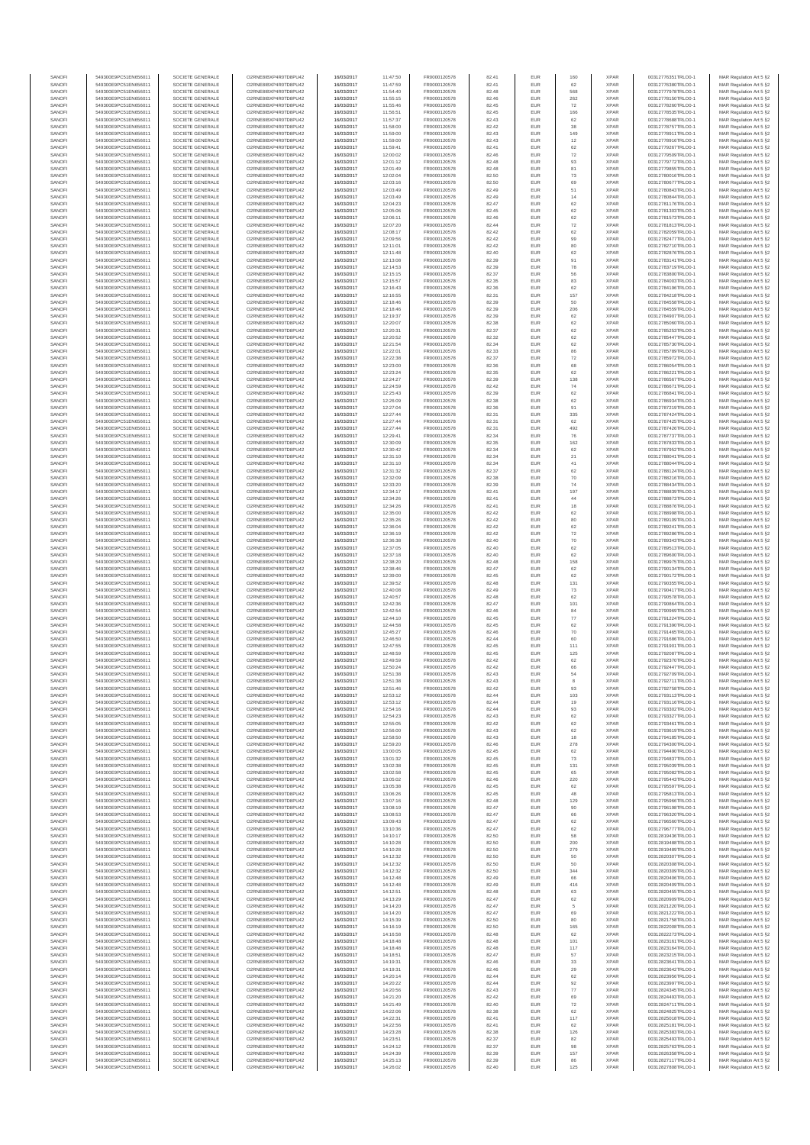| SANOFI           | 549300E9PC51EN656011                         | SOCIETE GENERALE                     | O2RNE8IBXP4R0TD8PU42                          | 16/03/2017               | 11:47:50             | FR0000120578                 | 82.41          | EUR               | 160                      | <b>XPAR</b>                | 00312776351TRLO0-1                       | MAR Regulation Art 5 §2                             |
|------------------|----------------------------------------------|--------------------------------------|-----------------------------------------------|--------------------------|----------------------|------------------------------|----------------|-------------------|--------------------------|----------------------------|------------------------------------------|-----------------------------------------------------|
| SANOFI<br>SANOFI | 549300E9PC51EN656011<br>549300E9PC51EN656011 | SOCIETE GENERALE<br>SOCIETE GENERALE | O2RNE8IBXP4R0TD8PU42<br>O2RNE8IBXP4R0TD8PU42  | 16/03/2017<br>16/03/2017 | 11:47:59<br>11:54:40 | FR0000120578<br>FR0000120578 | 82.41<br>82.48 | EUR<br>EUR        | 62<br>568                | <b>XPAR</b><br><b>XPAR</b> | 00312776380TRLO0-1                       | MAR Regulation Art 5 §2                             |
| SANOFI           | 549300E9PC51EN656011                         | SOCIETE GENERALE                     | O2RNE8IBXP4R0TD8PU42                          | 16/03/2017               | 11:55:15             | FR0000120578                 | 82.46          | EUR               | 262                      | <b>XPAR</b>                | 00312777978TRLO0-1<br>00312778150TRLO0-1 | MAR Regulation Art 5 §2<br>MAR Regulation Art 5 §2  |
| SANOFI           | 549300E9PC51EN656011                         | SOCIETE GENERALE                     | O2RNE8IBXP4R0TD8PU42                          | 16/03/2017               | 11:55:46             | FR0000120578                 | 82.45          | EUR               | 72                       | <b>XPAR</b>                | 00312778260TRLO0-1                       | MAR Regulation Art 5 §2                             |
| SANOFI           | 549300E9PC51EN656011                         | SOCIETE GENERALE                     | O2RNE8IBXP4R0TD8PU42                          | 16/03/2017               | 11:56:51             | FR0000120578                 | 82.45          | EUR               | 166                      | <b>XPAR</b>                | 00312778535TRLO0-1                       | MAR Regulation Art 5 §2                             |
| SANOFI<br>SANOFI | 549300E9PC51EN656011<br>549300E9PC51EN656011 | SOCIETE GENERALE<br>SOCIETE GENERALE | O2RNE8IBXP4R0TD8PU42<br>O2RNE8IBXP4R0TD8PU42  | 16/03/2017<br>16/03/2017 | 11:57:37<br>11:58:00 | FR0000120578<br>FR0000120578 | 82.43<br>82.42 | EUR<br>EUR        | 62<br>38                 | <b>XPAR</b><br><b>XPAR</b> | 00312778688TRLO0-1<br>00312778757TRLO0-1 | MAR Regulation Art 5 §2<br>MAR Regulation Art 5 §2  |
| SANOFI           | 549300E9PC51EN656011                         | SOCIETE GENERALE                     | O2RNE8IBXP4R0TD8PU42                          | 16/03/2017               | 11:59:00             | FR0000120578                 | 82.43          | EUR               | 149                      | <b>XPAR</b>                | 00312778911TRLO0-1                       | MAR Regulation Art 5 §2                             |
| SANOFI           | 549300E9PC51EN656011                         | SOCIETE GENERALE                     | O2RNE8IBXP4R0TD8PU42                          | 16/03/2017               | 11:59:00             | FR0000120578                 | 82.43          | EUR               | 12                       | <b>XPAR</b>                | 00312778916TRLO0-1                       | MAR Regulation Art 5 §2                             |
| SANOFI<br>SANOFI | 549300E9PC51EN656011<br>549300E9PC51EN656011 | SOCIETE GENERALE<br>SOCIETE GENERALE | O2RNE8IBXP4R0TD8PU42<br>O2RNE8IBXP4R0TD8PU42  | 16/03/2017<br>16/03/2017 | 11:59:41<br>12:00:02 | FR0000120578<br>FR0000120578 | 82.41<br>82.46 | EUR<br>EUR        | 62<br>72                 | <b>XPAR</b><br><b>XPAR</b> | 00312779267TRLO0-1<br>00312779509TRLO0-1 | MAR Regulation Art 5 §2<br>MAR Regulation Art 5 §2  |
| SANOFI           | 549300E9PC51EN656011                         | SOCIETE GENERALE                     | O2RNE8IBXP4R0TD8PU42                          | 16/03/2017               | 12:01:12             | FR0000120578                 | 82.48          | EUR               | 93                       | <b>XPAR</b>                | 00312779772TRLO0-1                       | MAR Regulation Art 5 §2                             |
| SANOFI           | 549300E9PC51EN656011                         | SOCIETE GENERALE                     | O2RNE8IBXP4R0TD8PU42                          | 16/03/2017               | 12:01:49             | FR0000120578                 | 82.48          | EUR               | 81                       | <b>XPAR</b>                | 00312779855TRLO0-1                       | MAR Regulation Art 5 §2                             |
| SANOFI           | 549300E9PC51EN656011                         | SOCIETE GENERALE                     | O2RNE8IBXP4R0TD8PU42                          | 16/03/2017               | 12:02:04             | FR0000120578                 | 82.50          | EUR               | $\sqrt{73}$              | <b>XPAR</b>                | 00312780016TRLO0-1                       | MAR Regulation Art 5 §2                             |
| SANOFI<br>SANOFI | 549300E9PC51EN656011<br>549300E9PC51EN656011 | SOCIETE GENERALE<br>SOCIETE GENERALE | O2RNE8IBXP4R0TD8PU42<br>O2RNE8IBXP4R0TD8PU42  | 16/03/2017<br>16/03/2017 | 12:03:16<br>12:03:49 | FR0000120578<br>FR0000120578 | 82.50<br>82.49 | EUR<br>EUR        | 69<br>51                 | <b>XPAR</b><br><b>XPAR</b> | 00312780677TRLO0-1<br>00312780843TRLO0-1 | MAR Regulation Art 5 §2<br>MAR Regulation Art 5 §2  |
| SANOFI           | 549300E9PC51EN656011                         | SOCIETE GENERALE                     | O2RNE8IBXP4R0TD8PU42                          | 16/03/2017               | 12:03:49             | FR0000120578                 | 82.49          | EUR               | 14                       | <b>XPAR</b>                | 00312780844TRLO0-1                       | MAR Regulation Art 5 §2                             |
| SANOFI           | 549300E9PC51EN656011                         | SOCIETE GENERALE                     | O2RNE8IBXP4R0TD8PU42                          | 16/03/2017               | 12:04:23             | FR0000120578                 | 82.47          | EUR               | 62                       | <b>XPAR</b>                | 00312781176TRLO0-1                       | MAR Regulation Art 5 §2                             |
| SANOFI           | 549300E9PC51EN656011                         | SOCIETE GENERALE                     | O2RNE8IBXP4R0TD8PU42                          | 16/03/2017               | 12:05:06             | FR0000120578                 | 82.45          | EUR               | 62                       | <b>XPAR</b>                | 00312781303TRLO0-1                       | MAR Regulation Art 5 §2                             |
| SANOFI<br>SANOFI | 549300E9PC51EN656011<br>549300E9PC51EN656011 | SOCIETE GENERALE<br>SOCIETE GENERALE | O2RNE8IBXP4R0TD8PU42<br>O2RNE8IBXP4R0TD8PU42  | 16/03/2017<br>16/03/2017 | 12:06:11<br>12:07:20 | FR0000120578<br>FR0000120578 | 82.46<br>82.44 | EUR<br>EUR        | 62<br>$\scriptstyle{72}$ | <b>XPAR</b><br><b>XPAR</b> | 00312781573TRLO0-1<br>00312781813TRLO0-1 | MAR Regulation Art 5 §2<br>MAR Regulation Art 5 §2  |
| SANOFI           | 549300E9PC51EN656011                         | SOCIETE GENERALE                     | O2RNE8IBXP4R0TD8PU42                          | 16/03/2017               | 12:08:17             | FR0000120578                 | 82.42          | EUR               | 62                       | <b>XPAR</b>                | 00312782059TRLO0-1                       | MAR Regulation Art 5 §2                             |
| SANOFI           | 549300E9PC51EN656011                         | SOCIETE GENERALE                     | O2RNE8IBXP4R0TD8PU42                          | 16/03/2017               | 12:09:56             | FR0000120578                 | 82.42          | EUR               | 99                       | <b>XPAR</b>                | 00312782477TRLO0-1                       | MAR Regulation Art 5 §2                             |
| SANOFI<br>SANOFI | 549300E9PC51EN656011<br>549300E9PC51EN656011 | SOCIETE GENERALE<br>SOCIETE GENERALE | O2RNE8IBXP4R0TD8PU42<br>O2RNE8IBXP4R0TD8PU42  | 16/03/2017<br>16/03/2017 | 12:11:01<br>12:11:48 | FR0000120578<br>FR0000120578 | 82.42<br>82.40 | EUR<br>EUR        | 80<br>62                 | <b>XPAR</b><br><b>XPAR</b> | 00312782710TRLO0-1<br>00312782876TRLO0-1 | MAR Regulation Art 5 §2<br>MAR Regulation Art 5 §2  |
| SANOFI           | 549300E9PC51EN656011                         | SOCIETE GENERALE                     | O2RNE8IBXP4R0TD8PU42                          | 16/03/2017               | 12:13:08             | FR0000120578                 | 82.39          | EUR               | 91                       | <b>XPAR</b>                | 00312783141TRLO0-1                       | MAR Regulation Art 5 62                             |
| SANOFI           | 549300E9PC51EN656011                         | SOCIETE GENERALE                     | O2RNE8IBXP4R0TD8PU42                          | 16/03/2017               | 12:14:53             | FR0000120578                 | 82.39          | EUR               | ${\bf 78}$               | <b>XPAR</b>                | 00312783719TRLO0-1                       | MAR Regulation Art 5 §2                             |
| SANOFI           | 549300E9PC51EN656011                         | SOCIETE GENERALE                     | O2RNE8IBXP4R0TD8PU42                          | 16/03/2017               | 12:15:15             | FR0000120578                 | 82.37          | EUR               | 56                       | <b>XPAR</b>                | 00312783800TRLO0-1                       | MAR Regulation Art 5 §2                             |
| SANOFI<br>SANOFI | 549300E9PC51EN656011<br>549300E9PC51EN656011 | SOCIETE GENERALE<br>SOCIETE GENERALE | O2RNE8IBXP4R0TD8PU42<br>O2RNE8IBXP4R0TD8PU42  | 16/03/2017<br>16/03/2017 | 12:15:57<br>12:16:43 | FR0000120578<br>FR0000120578 | 82.35<br>82.36 | EUR<br>EUR        | 83<br>62                 | <b>XPAR</b><br><b>XPAR</b> | 00312784003TRLO0-1<br>00312784196TRLO0-1 | MAR Regulation Art 5 §2<br>MAR Regulation Art 5 §2  |
| SANOFI           | 549300E9PC51EN656011                         | SOCIETE GENERALE                     | O2RNE8IBXP4R0TD8PU42                          | 16/03/2017               | 12:16:55             | FR0000120578                 | 82.31          | EUR               | 157                      | <b>XPAR</b>                | 00312784218TRLO0-1                       | MAR Regulation Art 5 §2                             |
| SANOFI           | 549300E9PC51EN656011                         | SOCIETE GENERALE                     | O2RNE8IBXP4R0TD8PU42                          | 16/03/2017               | 12:18:46             | FR0000120578                 | 82.39          | EUR               | 50                       | <b>XPAR</b>                | 00312784558TRLO0-1                       | MAR Regulation Art 5 §2                             |
| SANOFI<br>SANOFI | 549300E9PC51EN656011<br>549300E9PC51EN656011 | SOCIETE GENERALE<br>SOCIETE GENERALE | O2RNE8IBXP4R0TD8PU42<br>O2RNE8IBXP4R0TD8PU42  | 16/03/2017<br>16/03/2017 | 12:18:46<br>12:19:37 | FR0000120578<br>FR0000120578 | 82.39<br>82.39 | EUR<br>EUR        | 206<br>62                | <b>XPAR</b><br><b>XPAR</b> | 00312784559TRLO0-1<br>00312784907TRLO0-1 | MAR Regulation Art 5 \$2<br>MAR Regulation Art 5 §2 |
| SANOFI           | 549300E9PC51EN656011                         | SOCIETE GENERALE                     | O2RNE8IBXP4R0TD8PU42                          | 16/03/2017               | 12:20:07             | FR0000120578                 | 82.38          | EUR               | 62                       | <b>XPAR</b>                | 00312785060TRLO0-1                       | MAR Regulation Art 5 §2                             |
| SANOFI           | 549300E9PC51EN656011                         | SOCIETE GENERALE                     | O2RNE8IBXP4R0TD8PU42                          | 16/03/2017               | 12:20:31             | FR0000120578                 | 82.37          | EUR               | 62                       | <b>XPAR</b>                | 00312785253TRLO0-1                       | MAR Regulation Art 5 §2                             |
| SANOFI           | 549300E9PC51EN656011<br>549300E9PC51EN656011 | SOCIETE GENERALE                     | O2RNE8IBXP4R0TD8PU42                          | 16/03/2017               | 12:20:52             | FR0000120578                 | 82.32          | EUR               | 62                       | <b>XPAR</b>                | 00312785447TRLO0-1                       | MAR Regulation Art 5 §2                             |
| SANOFI<br>SANOFI | 549300E9PC51EN656011                         | SOCIETE GENERALE<br>SOCIETE GENERALE | O2RNE8IBXP4R0TD8PU42<br>O2RNE8IBXP4R0TD8PU42  | 16/03/2017<br>16/03/2017 | 12:21:54<br>12:22:01 | FR0000120578<br>FR0000120578 | 82.34<br>82.33 | EUR<br>EUR        | 62<br>86                 | <b>XPAR</b><br><b>XPAR</b> | 00312785730TRLO0-1<br>00312785789TRLO0-1 | MAR Regulation Art 5 §2<br>MAR Regulation Art 5 §2  |
| SANOFI           | 549300E9PC51EN656011                         | SOCIETE GENERALE                     | O2RNE8IBXP4R0TD8PU42                          | 16/03/2017               | 12:22:38             | FR0000120578                 | 82.37          | EUR               | 72                       | <b>XPAR</b>                | 00312785972TRLO0-1                       | MAR Regulation Art 5 §2                             |
| SANOFI           | 549300E9PC51EN656011                         | SOCIETE GENERALE                     | O2RNE8IBXP4R0TD8PU42                          | 16/03/2017               | 12:23:00             | FR0000120578                 | 82.36          | EUR               | 68                       | <b>XPAR</b>                | 00312786054TRLO0-1                       | MAR Regulation Art 5 §2                             |
| SANOFI<br>SANOFI | 549300E9PC51EN656011<br>549300E9PC51EN656011 | SOCIETE GENERALE<br>SOCIETE GENERALE | O2RNE8IBXP4R0TD8PU42<br>O2RNE8IBXP4R0TD8PU42  | 16/03/2017<br>16/03/2017 | 12:23:24<br>12:24:27 | FR0000120578<br>FR0000120578 | 82.35<br>82.39 | EUR<br>EUR        | 62<br>138                | <b>XPAR</b><br><b>XPAR</b> | 00312786221TRLO0-1<br>00312786567TRLO0-1 | MAR Regulation Art 5 §2<br>MAR Regulation Art 5 §2  |
| SANOFI           | 549300E9PC51EN656011                         | SOCIETE GENERALE                     | O2RNE8IBXP4R0TD8PU42                          | 16/03/2017               | 12:24:59             | FR0000120578                 | 82.42          | EUR               | 74                       | <b>XPAR</b>                | 00312786671TRLO0-1                       | MAR Regulation Art 5 §2                             |
| SANOFI           | 549300E9PC51EN656011                         | SOCIETE GENERALE                     | O2RNE8IBXP4R0TD8PU42                          | 16/03/2017               | 12:25:43             | FR0000120578                 | 82.39          | EUR               | 62                       | <b>XPAR</b>                | 00312786841TRLO0-1                       | MAR Regulation Art 5 §2                             |
| SANOFI           | 549300E9PC51EN656011                         | SOCIETE GENERALE                     | O2RNE8IBXP4R0TD8PU42                          | 16/03/2017               | 12:26:09             | FR0000120578                 | 82.38          | EUR               | 62                       | <b>XPAR</b>                | 00312786934TRLO0-1<br>00312787219TRLO0-1 | MAR Regulation Art 5 §2                             |
| SANOFI<br>SANOFI | 549300E9PC51EN656011<br>549300E9PC51EN656011 | SOCIETE GENERALE<br>SOCIETE GENERALE | O2RNE8IBXP4R0TD8PU42<br>O2RNE8IBXP4R0TD8PU42  | 16/03/2017<br>16/03/2017 | 12:27:04<br>12:27:44 | FR0000120578<br>FR0000120578 | 82.36<br>82.31 | EUR<br>EUR        | 91<br>335                | <b>XPAR</b><br><b>XPAR</b> | 00312787424TRLO0-1                       | MAR Regulation Art 5 §2<br>MAR Regulation Art 5 §2  |
| SANOFI           | 549300E9PC51EN656011                         | SOCIETE GENERALE                     | O2RNE8IBXP4R0TD8PLI42                         | 16/03/2017               | 12:27:44             | FR0000120578                 | 82.31          | EUR               | 62                       | <b>XPAR</b>                | 00312787425TRLO0-1                       | MAR Regulation Art 5 §2                             |
| SANOFI           | 549300E9PC51EN656011                         | SOCIETE GENERALE                     | O2RNE8IBXP4R0TD8PU42                          | 16/03/2017               | 12:27:44             | FR0000120578                 | 82.31          | EUR               | 492                      | <b>XPAR</b>                | 00312787426TRLO0-1                       | MAR Regulation Art 5 §2                             |
| SANOFI<br>SANOFI | 549300E9PC51EN656011<br>549300E9PC51EN656011 | SOCIETE GENERALE                     | O2RNE8IBXP4R0TD8PU42<br>O2RNE8IBXP4R0TD8PU42  | 16/03/2017               | 12:29:41             | FR0000120578                 | 82.34<br>82.35 | EUR<br>EUR        | 76<br>162                | <b>XPAR</b><br><b>XPAR</b> | 00312787737TRLO0-1                       | MAR Regulation Art 5 \$2<br>MAR Regulation Art 5 §2 |
| SANOFI           | 549300E9PC51EN656011                         | SOCIETE GENERALE<br>SOCIETE GENERALE | O2RNE8IBXP4R0TD8PU42                          | 16/03/2017<br>16/03/2017 | 12:30:09<br>12:30:42 | FR0000120578<br>FR0000120578 | 82.34          | EUR               | 62                       | <b>XPAR</b>                | 00312787833TRLO0-1<br>00312787952TRLO0-1 | MAR Regulation Art 5 §2                             |
| SANOFI           | 549300E9PC51EN656011                         | SOCIETE GENERALE                     | O2RNE8IBXP4R0TD8PU42                          | 16/03/2017               | 12:31:10             | FR0000120578                 | 82.34          | EUR               | 21                       | <b>XPAR</b>                | 00312788041TRLO0-1                       | MAR Regulation Art 5 §2                             |
| SANOFI           | 549300E9PC51EN656011                         | SOCIETE GENERALE                     | O2RNE8IBXP4R0TD8PU42                          | 16/03/2017               | 12:31:10             | FR0000120578                 | 82.34          | EUR               | 41                       | <b>XPAR</b>                | 00312788044TRLO0-1                       | MAR Regulation Art 5 §2                             |
| SANOFI<br>SANOFI | 549300E9PC51EN656011<br>549300E9PC51EN656011 | SOCIETE GENERALE<br>SOCIETE GENERALE | O2RNE8IBXP4R0TD8PU42<br>O2RNE8IBXP4R0TD8PU42  | 16/03/2017<br>16/03/2017 | 12:31:32<br>12:32:09 | FR0000120578<br>FR0000120578 | 82.37<br>82.38 | EUR<br>EUR        | 62<br>70                 | <b>XPAR</b><br><b>XPAR</b> | 00312788124TRLO0-1<br>00312788216TRLO0-1 | MAR Regulation Art 5 §2<br>MAR Regulation Art 5 §2  |
| SANOFI           | 549300E9PC51EN656011                         | SOCIETE GENERALE                     | O2RNE8IBXP4R0TD8PU42                          | 16/03/2017               | 12:33:20             | FR0000120578                 | 82.39          | EUR               | 74                       | <b>XPAR</b>                | 00312788434TRLO0-1                       | MAR Regulation Art 5 §2                             |
| SANOFI           | 549300E9PC51EN656011                         | SOCIETE GENERALE                     | O2RNE8IBXP4R0TD8PU42                          | 16/03/2017               | 12:34:17             | FR0000120578                 | 82.41          | EUR               | 197                      | <b>XPAR</b>                | 00312788839TRLO0-1                       | MAR Regulation Art 5 §2                             |
| SANOFI           | 549300E9PC51EN656011                         | SOCIETE GENERALE                     | O2RNE8IBXP4R0TD8PU42                          | 16/03/2017               | 12:34:26             | FR0000120578                 | 82.41          | EUR               | 44                       | <b>XPAR</b>                | 00312788873TRLO0-1                       | MAR Regulation Art 5 §2                             |
| SANOFI<br>SANOFI | 549300E9PC51EN656011<br>549300E9PC51EN656011 | SOCIETE GENERALE<br>SOCIETE GENERALE | O2RNE8IBXP4R0TD8PU42<br>O2RNE8IBXP4R0TD8PU42  | 16/03/2017<br>16/03/2017 | 12:34:26<br>12:35:00 | FR0000120578<br>FR0000120578 | 82.41<br>82.42 | EUR<br>EUR        | 18<br>62                 | <b>XPAR</b><br><b>XPAR</b> | 00312788876TRLO0-1<br>00312788998TRLO0-1 | MAR Regulation Art 5 §2<br>MAR Regulation Art 5 §2  |
| SANOFI           | 549300E9PC51EN656011                         | SOCIETE GENERALE                     | O2RNE8IBXP4R0TD8PU42                          | 16/03/2017               | 12:35:26             | FR0000120578                 | 82.42          | EUR               | 80                       | <b>XPAR</b>                | 00312789109TRLO0-1                       | MAR Regulation Art 5 §2                             |
| SANOFI           | 549300E9PC51EN656011                         | SOCIETE GENERALE                     | O2RNE8IBXP4R0TD8PU42                          | 16/03/2017               | 12:36:04             | FR0000120578                 | 82.42          | EUR               | 62                       | <b>XPAR</b>                | 00312789241TRLO0-1                       | MAR Regulation Art 5 §2                             |
| SANOFI<br>SANOFI | 549300E9PC51EN656011<br>549300E9PC51EN656011 | SOCIETE GENERALE<br>SOCIETE GENERALE | O2RNE8IBXP4R0TD8PU42<br>O2RNE8IBXP4R0TD8PU42  | 16/03/2017<br>16/03/2017 | 12:36:19<br>12:36:38 | FR0000120578<br>FR0000120578 | 82.42<br>82.40 | EUR<br>EUR        | 72<br>70                 | <b>XPAR</b><br><b>XPAR</b> | 00312789286TRLO0-1<br>00312789343TRLO0-1 | MAR Regulation Art 5 §2                             |
| SANOFI           | 549300E9PC51EN656011                         | SOCIETE GENERALE                     | O2RNE8IBXP4R0TD8PU42                          | 16/03/2017               | 12:37:05             | FR0000120578                 | 82.40          | EUR               | 62                       | <b>XPAR</b>                | 00312789513TRLO0-1                       | MAR Regulation Art 5 §2<br>MAR Regulation Art 5 §2  |
| SANOFI           | 549300E9PC51EN656011                         | SOCIETE GENERALE                     | O2RNE8IBXP4R0TD8PU42                          | 16/03/2017               | 12:37:18             | FR0000120578                 | 82.40          | EUR               | 62                       | <b>XPAR</b>                | 00312789600TRLO0-1                       | MAR Regulation Art 5 §2                             |
| SANOFI           | 549300E9PC51EN656011                         | SOCIETE GENERALE                     | O2RNE8IBXP4R0TD8PU42                          | 16/03/2017               | 12:38:20             | FR0000120578                 | 82.48          | EUR               | 158                      | <b>XPAR</b>                | 00312789975TRLO0-1                       | MAR Regulation Art 5 §2                             |
| SANOFI<br>SANOFI | 549300E9PC51EN656011<br>549300E9PC51EN656011 | SOCIETE GENERALE<br>SOCIETE GENERALE | O2RNE8IBXP4R0TD8PU42<br>O2RNE8IBXP4R0TD8PU42  | 16/03/2017<br>16/03/2017 | 12:38:46<br>12:39:00 | FR0000120578<br>FR0000120578 | 82.47<br>82.45 | EUR<br>EUR        | 62<br>62                 | <b>XPAR</b><br><b>XPAR</b> | 00312790134TRLO0-1<br>00312790172TRLO0-1 | MAR Regulation Art 5 §2<br>MAR Regulation Art 5 §2  |
| SANOFI           | 549300E9PC51EN656011                         | SOCIETE GENERALE                     | O2RNE8IBXP4R0TD8PU42                          | 16/03/2017               | 12:39:52             | FR0000120578                 | 82.48          | EUR               | 131                      | <b>XPAR</b>                | 00312790355TRLO0-1                       | MAR Regulation Art 5 §2                             |
| SANOFI           | 549300E9PC51EN656011                         | SOCIETE GENERALE                     | O2RNE8IBXP4R0TD8PU42                          | 16/03/2017               | 12:40:08             | FR0000120578                 | 82.49          | EUR               | 73                       | <b>XPAR</b>                | 00312790417TRLO0-1                       | MAR Regulation Art 5 §2                             |
| SANOFI           | 549300E9PC51EN656011                         | SOCIETE GENERALE                     | O2RNE8IBXP4R0TD8PU42                          | 16/03/2017               | 12:40:57             | FR0000120578                 | 82.48          | EUR               | 62                       | <b>XPAR</b>                | 00312790578TRLO0-1                       | MAR Regulation Art 5 §2                             |
| SANOFI<br>SANOFI | 549300E9PC51EN656011<br>549300E9PC51EN656011 | SOCIETE GENERALE<br>SOCIETE GENERALE | O2RNE8IBXP4R0TD8PU42<br>O2RNE8IBXP4R0TD8PU42  | 16/03/2017<br>16/03/2017 | 12:42:36<br>12:42:54 | FR0000120578<br>FR0000120578 | 82.47<br>82.46 | EUR<br>EUR        | 101<br>84                | <b>XPAR</b><br><b>XPAR</b> | 00312790864TRLO0-1<br>00312790969TRLO0-1 | MAR Regulation Art 5 §2<br>MAR Regulation Art 5 §2  |
| SANOFI           | 549300E9PC51EN656011                         | SOCIETE GENERALE                     | O2RNE8IBXP4R0TD8PU42                          | 16/03/2017               | 12:44:10             | FR0000120578                 | 82.45          | EUR               | $77\,$                   | <b>XPAR</b>                | 00312791224TRLO0-1                       | MAR Regulation Art 5 §2                             |
| SANOFI           | 549300E9PC51EN656011                         | SOCIETE GENERALE                     | O2RNE8IBXP4R0TD8PU42                          | 16/03/2017               | 12:44:58             | FR0000120578                 | 82.45          | EUR               | 62                       | <b>XPAR</b>                | 00312791390TRLO0-1                       | MAR Regulation Art 5 §2                             |
| SANOFI           | 549300E9PC51EN656011                         | SOCIETE GENERALE                     | O2RNE8IBXP4R0TD8PU42                          | 16/03/2017               | 12:45:27             | FR0000120578                 | 82.46          | EUR               | 70                       | <b>XPAR</b>                | 00312791465TRLO0-1                       | MAR Regulation Art 5 §2<br>MAR Regulation Art 5 §2  |
| SANOFI<br>SANOFI | 549300E9PC51EN656011<br>549300E9PC51EN656011 | SOCIETE GENERALE<br>SOCIETE GENERALE | O2RNE8IBXP4R0TD8PU42<br>O2RNE8IBXP4R0TD8PU42  | 16/03/2017<br>16/03/2017 | 12:46:50<br>12:47:55 | FR0000120578<br>FR0000120578 | 82.44<br>82.45 | EUR<br>EUR        | 60<br>111                | <b>XPAR</b><br><b>XPAR</b> | 00312791686TRLO0-1<br>00312791901TRLO0-1 | MAR Regulation Art 5 §2                             |
| SANOFI           | 549300E9PC51EN656011                         | SOCIETE GENERALE                     | O2RNE8IBXP4R0TD8PU42                          | 16/03/2017               | 12:48:59             | FR0000120578                 | 82.45          | EUR               | 125                      | <b>XPAR</b>                | 00312792087TRLO0-1                       | MAR Regulation Art 5 §2                             |
| SANOFI           | 549300E9PC51EN656011                         | SOCIETE GENERALE                     | O2RNE8IBXP4R0TD8PU42                          | 16/03/2017               | 12:49:59             | FR0000120578                 | 82.42          | EUR               | 62                       | <b>XPAR</b>                | 00312792370TRLO0-1                       | MAR Regulation Art 5 \$2                            |
| SANOFI<br>SANOFI | 549300E9PC51EN656011<br>549300E9PC51EN656011 | SOCIETE GENERALE<br>SOCIETE GENERALE | O2RNE8IBXP4R0TD8PU42<br>O2RNE8IBXP4R0TD8PU42  | 16/03/2017<br>16/03/2017 | 12:50:24<br>12:51:38 | FR0000120578<br>FR0000120578 | 82.42<br>82.43 | EUR<br><b>EUR</b> | 66<br>54                 | <b>XPAR</b><br><b>XPAR</b> | 00312792447TRLO0-1<br>00312792709TRLO0-1 | MAR Regulation Art 5 §2<br>MAR Regulation Art 5 §2  |
| SANOFI           | 549300E9PC51EN656011                         | SOCIETE GENERALE                     | O2RNE8IBXP4R0TD8PU42                          | 16/03/2017               | 12:51:38             | FR0000120578                 | 82.43          | EUR               | 8                        | <b>XPAR</b>                | 00312792711TRLO0-1                       | MAR Regulation Art 5 §2                             |
| SANOFI           | 549300E9PC51EN656011                         | SOCIETE GENERALE                     | O2RNE8IBXP4R0TD8PU42                          | 16/03/2017               | 12:51:46             | FR0000120578                 | 82.42          | EUR               | 93                       | <b>XPAR</b>                | 00312792758TRLO0-1                       | MAR Regulation Art 5 §2                             |
| SANOFI           | 549300E9PC51EN656011                         | SOCIETE GENERALE                     | O2RNE8IBXP4R0TD8PU42                          | 16/03/2017               | 12:53:12             | FR0000120578                 | 82.44          | EUR               | 103                      | <b>XPAR</b>                | 00312793113TRLO0-1                       | MAR Regulation Art 5 §2                             |
| SANOFI<br>SANOFI | 549300E9PC51EN656011<br>549300E9PC51EN656011 | SOCIETE GENERALE<br>SOCIETE GENERALE | O2RNE8IBXP4R0TD8PU42<br>O2RNE8IBXP4R0TD8PU42  | 16/03/2017<br>16/03/2017 | 12:53:12<br>12:54:16 | FR0000120578<br>FR0000120578 | 82.44<br>82.44 | EUR<br>EUR        | 19<br>93                 | <b>XPAR</b><br><b>XPAR</b> | 00312793116TRLO0-1<br>00312793302TRLO0-1 | MAR Regulation Art 5 §2<br>MAR Regulation Art 5 §2  |
| SANOFI           | 549300E9PC51EN656011                         | SOCIETE GENERALE                     | O2RNE8IBXP4R0TD8PU42                          | 16/03/2017               | 12:54:23             | FR0000120578                 | 82.43          | EUR               | 62                       | <b>XPAR</b>                | 00312793327TRLO0-1                       | MAR Regulation Art 5 §2                             |
| SANOFI           | 549300E9PC51EN656011                         | SOCIETE GENERALE                     | O2RNE8IBXP4R0TD8PU42                          | 16/03/2017               | 12:55:05             | FR0000120578                 | 82.42          | EUR               | 62                       | <b>XPAR</b>                | 00312793461TRLO0-1                       | MAR Regulation Art 5 §2                             |
| SANOFI<br>SANOFI | 549300E9PC51EN656011<br>549300E9PC51EN656011 | SOCIETE GENERALE<br>SOCIETE GENERALE | O2RNE8IBXP4R0TD8PU42<br>O2RNE8IBXP4R0TD8PU42  | 16/03/2017<br>16/03/2017 | 12:56:00<br>12:58:50 | FR0000120578<br>FR0000120578 | 82.43<br>82.43 | EUR<br>EUR        | 62<br>18                 | <b>XPAR</b><br><b>XPAR</b> | 00312793619TRLO0-1<br>00312794185TRLO0-1 | MAR Regulation Art 5 §2<br>MAR Regulation Art 5 \$2 |
| SANOFI           | 549300E9PC51EN656011                         | SOCIETE GENERALE                     | O2RNE8IBXP4R0TD8PU42                          | 16/03/2017               | 12:59:20             | FR0000120578                 | 82.46          | EUR               | 278                      | <b>XPAR</b>                | 00312794300TRLO0-1                       | MAR Regulation Art 5 §2                             |
| SANOFI           | 549300E9PC51EN656011                         | SOCIETE GENERALE                     | O2RNE8IBXP4R0TD8PU42                          | 16/03/2017               | 13:00:05             | FR0000120578                 | 82.45          | EUR               | 62                       | <b>XPAR</b>                | 00312794490TRLO0-1                       | MAR Regulation Art 5 §2                             |
| SANOFI<br>SANOFI | 549300E9PC51EN656011<br>549300E9PC51EN656011 | SOCIETE GENERALE<br>SOCIETE GENERALE | O2RNE8IBXP4R0TD8PU42<br>O2RNE8IBXP4R0TD8PU42  | 16/03/2017<br>16/03/2017 | 13:01:32<br>13:02:38 | FR0000120578<br>FR0000120578 | 82.45<br>82.45 | EUR<br>EUR        | 73<br>131                | <b>XPAR</b><br><b>XPAR</b> | 00312794837TRLO0-1<br>00312795039TRLO0-1 | MAR Regulation Art 5 §2<br>MAR Regulation Art 5 §2  |
| SANOFI           | 549300E9PC51EN656011                         | SOCIETE GENERALE                     | O2RNE8IBXP4R0TD8PU42                          | 16/03/2017               | 13:02:58             | FR0000120578                 | 82.45          | EUR               | 65                       | <b>XPAR</b>                | 00312795082TRLO0-1                       | MAR Regulation Art 5 §2                             |
| SANOFI           | 549300E9PC51EN656011                         | SOCIETE GENERALE                     | O2RNE8IBXP4R0TD8PU42                          | 16/03/2017               | 13:05:02             | FR0000120578                 | 82.46          | EUR               | 220                      | <b>XPAR</b>                | 00312795443TRLO0-1                       | MAR Regulation Art 5 §2                             |
| SANOFI<br>SANOFI | 549300E9PC51EN656011<br>549300E9PC51EN656011 | SOCIETE GENERALE<br>SOCIETE GENERALE | O2RNE8IBXP4R0TD8PU42<br>O2RNE8IBXP4R0TD8PU42  | 16/03/2017<br>16/03/2017 | 13:05:38<br>13:06:26 | FR0000120578<br>FR0000120578 | 82.45<br>82.45 | EUR<br>EUR        | 62<br>48                 | <b>XPAR</b><br><b>XPAR</b> | 00312795597TRLO0-1<br>00312795813TRLO0-1 | MAR Regulation Art 5 §2<br>MAR Regulation Art 5 §2  |
| SANOFI           | 549300E9PC51EN656011                         | SOCIETE GENERALE                     | O2RNE8IBXP4R0TD8PU42                          | 16/03/2017               | 13:07:16             | FR0000120578                 | 82.48          | EUR               | 129                      | <b>XPAR</b>                | 00312795966TRLO0-1                       | MAR Regulation Art 5 §2                             |
| SANOFI           | 549300E9PC51EN656011                         | SOCIETE GENERALE                     | O2RNE8IBXP4R0TD8PU42                          | 16/03/2017               | 13:08:19             | FR0000120578                 | 82.47          | EUR               | 90                       | <b>XPAR</b>                | 00312796198TRLO0-1                       | MAR Regulation Art 5 §2                             |
| SANOFI<br>SANOFI | 549300E9PC51EN656011<br>549300E9PC51EN656011 | SOCIETE GENERALE<br>SOCIETE GENERALE | O2RNE8IBXP4R0TD8PU42<br>O2RNESIBXP4R0TD8PLI42 | 16/03/2017<br>16/03/2017 | 13:08:53<br>13:09:43 | FR0000120578<br>FR0000120578 | 82.47<br>82.47 | EUR<br>EUR        | 66<br>62                 | <b>XPAR</b><br><b>XPAR</b> | 00312796320TRLO0-1<br>00312796560TRLO0-1 | MAR Regulation Art 5 §2                             |
| SANOFI           | 549300E9PC51EN656011                         | SOCIETE GENERALE                     | O2RNE8IBXP4R0TD8PU42                          | 16/03/2017               | 13:10:36             | FR0000120578                 | 82.47          | EUR               | 62                       | <b>XPAR</b>                | 00312796777TRLO0-1                       | MAR Regulation Art 5 §2<br>MAR Regulation Art 5 §2  |
| SANOFI           | 549300E9PC51EN656011                         | SOCIETE GENERALE                     | O2RNE8IBXP4R0TD8PU42                          | 16/03/2017               | 14:10:17             | FR0000120578                 | 82.50          | EUR               | 58                       | <b>XPAR</b>                | 00312819436TRLO0-1                       | MAR Regulation Art 5 §2                             |
| SANOFI           | 549300E9PC51EN656011                         | SOCIETE GENERALE                     | O2RNE8IBXP4R0TD8PU42                          | 16/03/2017               | 14:10:28             | FR0000120578                 | 82.50          | EUR               | 200<br>279               | <b>XPAR</b>                | 00312819488TRLO0-1                       | MAR Regulation Art 5 §2                             |
| SANOFI<br>SANOFI | 549300E9PC51EN656011<br>549300E9PC51EN656011 | SOCIETE GENERALE<br>SOCIETE GENERALE | O2RNE8IBXP4R0TD8PU42<br>O2RNE8IBXP4R0TD8PU42  | 16/03/2017<br>16/03/2017 | 14:10:28<br>14:12:32 | FR0000120578<br>FR0000120578 | 82.50<br>82.50 | EUR<br>EUR        | 50                       | <b>XPAR</b><br><b>XPAR</b> | 00312819489TRLO0-1<br>00312820307TRLO0-1 | MAR Regulation Art 5 §2<br>MAR Regulation Art 5 §2  |
| SANOFI           | 549300E9PC51EN656011                         | SOCIETE GENERALE                     | O2RNE8IBXP4R0TD8PU42                          | 16/03/2017               | 14:12:32             | FR0000120578                 | 82.50          | EUR               | 50                       | <b>XPAR</b>                | 00312820308TRLO0-1                       | MAR Regulation Art 5 §2                             |
| SANOFI           | 549300E9PC51EN656011                         | SOCIETE GENERALE                     | O2RNE8IBXP4R0TD8PU42                          | 16/03/2017               | 14:12:32             | FR0000120578                 | 82.50          | EUR               | 344<br>66                | <b>XPAR</b>                | 00312820309TRLO0-1                       | MAR Regulation Art 5 §2                             |
| SANOFI<br>SANOFI | 549300E9PC51EN656011<br>549300E9PC51EN656011 | SOCIETE GENERALE<br>SOCIETE GENERALE | O2RNE8IBXP4R0TD8PU42<br>O2RNE8IBXP4R0TD8PU42  | 16/03/2017               | 14:12:48<br>14:12:48 | FR0000120578<br>FR0000120578 | 82.49<br>82.49 | EUR<br>EUR        | 416                      | <b>XPAR</b><br><b>XPAR</b> | 00312820406TRLO0-1<br>00312820409TRLO0-1 | MAR Regulation Art 5 §2                             |
| SANOFI           | 549300E9PC51EN656011                         | SOCIETE GENERALE                     | O2RNE8IBXP4R0TD8PU42                          | 16/03/2017<br>16/03/2017 | 14:12:51             | FR0000120578                 | 82.48          | EUR               | 63                       | <b>XPAR</b>                | 00312820455TRLO0-1                       | MAR Regulation Art 5 §2<br>MAR Regulation Art 5 §2  |
| SANOFI           | 549300E9PC51EN656011                         | SOCIETE GENERALE                     | O2RNE8IBXP4R0TD8PU42                          | 16/03/2017               | 14:13:29             | FR0000120578                 | 82.47          | EUR               | 62                       | <b>XPAR</b>                | 00312820909TRLO0-1                       | MAR Regulation Art 5 §2                             |
| SANOFI           | 549300E9PC51EN656011                         | SOCIETE GENERALE                     | O2RNE8IBXP4R0TD8PU42                          | 16/03/2017               | 14:14:20             | FR0000120578                 | 82.47          | EUR               | 5                        | <b>XPAR</b>                | 00312821220TRLO0-1                       | MAR Regulation Art 5 §2                             |
| SANOFI<br>SANOFI | 549300E9PC51EN656011<br>549300E9PC51EN656011 | SOCIETE GENERALE<br>SOCIETE GENERALE | O2RNE8IBXP4R0TD8PU42<br>O2RNE8IBXP4R0TD8PU42  | 16/03/2017<br>16/03/2017 | 14:14:20<br>14:15:39 | FR0000120578<br>FR0000120578 | 82.47<br>82.50 | EUR<br>EUR        | 69<br>80                 | <b>XPAR</b><br><b>XPAR</b> | 00312821222TRLO0-1<br>00312821758TRLO0-1 | MAR Regulation Art 5 §2<br>MAR Regulation Art 5 §2  |
| SANOFI           | 549300E9PC51EN656011                         | SOCIETE GENERALE                     | O2RNE8IBXP4R0TD8PU42                          | 16/03/2017               | 14:16:19             | FR0000120578                 | 82.50          | EUR               | 165                      | <b>XPAR</b>                | 00312822008TRLO0-1                       | MAR Regulation Art 5 §2                             |
| SANOFI           | 549300E9PC51EN656011                         | SOCIETE GENERALE                     | O2RNE8IBXP4R0TD8PU42                          | 16/03/2017               | 14:16:58             | FR0000120578                 | 82.48          | EUR               | 62                       | <b>XPAR</b>                | 00312822273TRLO0-1                       | MAR Regulation Art 5 §2                             |
| SANOFI<br>SANOFI | 549300E9PC51EN656011<br>549300E9PC51EN656011 | SOCIETE GENERALE<br>SOCIETE GENERALE | O2RNE8IBXP4R0TD8PU42<br>O2RNE8IBXP4R0TD8PU42  | 16/03/2017<br>16/03/2017 | 14:18:48<br>14:18:48 | FR0000120578<br>FR0000120578 | 82.48<br>82.48 | EUR<br>EUR        | 101<br>117               | <b>XPAR</b><br><b>XPAR</b> | 00312823161TRLO0-1<br>00312823164TRLO0-1 | MAR Regulation Art 5 §2                             |
| SANOFI           | 549300E9PC51EN656011                         | SOCIETE GENERALE                     | O2RNE8IBXP4R0TD8PU42                          | 16/03/2017               | 14:18:51             | FR0000120578                 | 82.47          | EUR               | 57                       | <b>XPAR</b>                | 00312823215TRLO0-1                       | MAR Regulation Art 5 §2<br>MAR Regulation Art 5 §2  |
| SANOFI           | 549300E9PC51EN656011                         | SOCIETE GENERALE                     | O2RNE8IBXP4R0TD8PU42                          | 16/03/2017               | 14:19:31             | FR0000120578                 | 82.46          | EUR               | 33                       | <b>XPAR</b>                | 00312823641TRLO0-1                       | MAR Regulation Art 5 §2                             |
| SANOFI           | 549300E9PC51EN656011                         | SOCIETE GENERALE                     | O2RNE8IBXP4R0TD8PU42                          | 16/03/2017               | 14:19:31             | FR0000120578                 | 82.46          | EUR               | 29                       | <b>XPAR</b>                | 00312823642TRLO0-1                       | MAR Regulation Art 5 §2                             |
| SANOFI<br>SANOFI | 549300E9PC51EN656011<br>549300E9PC51EN656011 | SOCIETE GENERALE<br>SOCIETE GENERALE | O2RNE8IBXP4R0TD8PU42<br>O2RNE8IBXP4R0TD8PU42  | 16/03/2017<br>16/03/2017 | 14:20:14<br>14:20:22 | FR0000120578<br>FR0000120578 | 82.44<br>82.44 | EUR<br>EUR        | 62<br>92                 | <b>XPAR</b><br><b>XPAR</b> | 00312823956TRLO0-1<br>00312823997TRLO0-1 | MAR Regulation Art 5 §2<br>MAR Regulation Art 5 §2  |
| SANOFI           | 549300E9PC51EN656011                         | SOCIETE GENERALE                     | O2RNE8IBXP4R0TD8PU42                          | 16/03/2017               | 14:20:56             | FR0000120578                 | 82.43          | EUR               | $77\,$                   | <b>XPAR</b>                | 00312824345TRLO0-1                       | MAR Regulation Art 5 §2                             |
| SANOFI           | 549300E9PC51EN656011                         | SOCIETE GENERALE                     | O2RNE8IBXP4R0TD8PU42                          | 16/03/2017               | 14:21:20             | FR0000120578                 | 82.42          | EUR               | 69                       | <b>XPAR</b>                | 00312824493TRLO0-1                       | MAR Regulation Art 5 §2                             |
| SANOFI<br>SANOFI | 549300E9PC51EN656011<br>549300E9PC51EN656011 | SOCIETE GENERALE<br>SOCIETE GENERALE | O2RNE8IBXP4R0TD8PU42<br>O2RNE8IBXP4R0TD8PU42  | 16/03/2017<br>16/03/2017 | 14:21:49<br>14:22:06 | FR0000120578<br>FR0000120578 | 82.40<br>82.38 | EUR<br>EUR        | ${\bf 72}$<br>62         | <b>XPAR</b><br><b>XPAR</b> | 00312824711TRLO0-1<br>00312824825TRLO0-1 | MAR Regulation Art 5 §2                             |
| SANOFI           | 549300E9PC51EN656011                         | SOCIETE GENERALE                     | O2RNE8IBXP4R0TD8PU42                          | 16/03/2017               | 14:22:31             | FR0000120578                 | 82.41          | EUR               | 117                      | <b>XPAR</b>                | 00312825018TRLO0-1                       | MAR Regulation Art 5 §2<br>MAR Regulation Art 5 §2  |
| SANOFI           | 549300E9PC51EN656011                         | SOCIETE GENERALE                     | O2RNE8IBXP4R0TD8PU42                          | 16/03/2017               | 14:22:56             | FR0000120578                 | 82.41          | EUR               | 62                       | <b>XPAR</b>                | 00312825181TRLO0-1                       | MAR Regulation Art 5 §2                             |
| SANOFI           | 549300E9PC51EN656011                         | SOCIETE GENERALE                     | O2RNE8IBXP4R0TD8PU42                          | 16/03/2017               | 14:23:28             | FR0000120578                 | 82.38          | EUR               | 126                      | <b>XPAR</b>                | 00312825383TRLO0-1                       | MAR Regulation Art 5 §2                             |
| SANOFI<br>SANOFI | 549300E9PC51EN656011<br>549300E9PC51EN656011 | SOCIETE GENERALE<br>SOCIETE GENERALE | O2RNE8IBXP4R0TD8PU42<br>O2RNE8IBXP4R0TD8PU42  | 16/03/2017<br>16/03/2017 | 14:23:51<br>14:24:12 | FR0000120578<br>FR0000120578 | 82.37<br>82.37 | EUR<br>EUR        | 82<br>98                 | <b>XPAR</b><br><b>XPAR</b> | 00312825493TRLO0-1<br>00312825763TRLO0-1 | MAR Regulation Art 5 §2<br>MAR Regulation Art 5 §2  |
| SANOFI           | 549300E9PC51EN656011                         | SOCIETE GENERALE                     | O2RNE8IBXP4R0TD8PU42                          | 16/03/2017               | 14:24:39             | FR0000120578                 | 82.39          | EUR               | 157                      | <b>XPAR</b>                | 00312826358TRLO0-1                       | MAR Regulation Art 5 §2                             |
| SANOFI           | 549300E9PC51EN656011                         | SOCIETE GENERALE                     | O2RNE8IBXP4R0TD8PU42                          | 16/03/2017               | 14:25:13             | FR0000120578                 | 82.39          | EUR               | 86                       | <b>XPAR</b>                | 00312827117TRLO0-1                       | MAR Regulation Art 5 §2                             |
| SANOFI           | 549300E9PC51EN656011                         | SOCIETE GENERALE                     | O2RNE8IBXP4R0TD8PU42                          | 16/03/2017               | 14:26:02             | FR0000120578                 | 82.40          | EUR               | 125                      | <b>XPAR</b>                | 00312827808TRLO0-1                       | MAR Regulation Art 5 §2                             |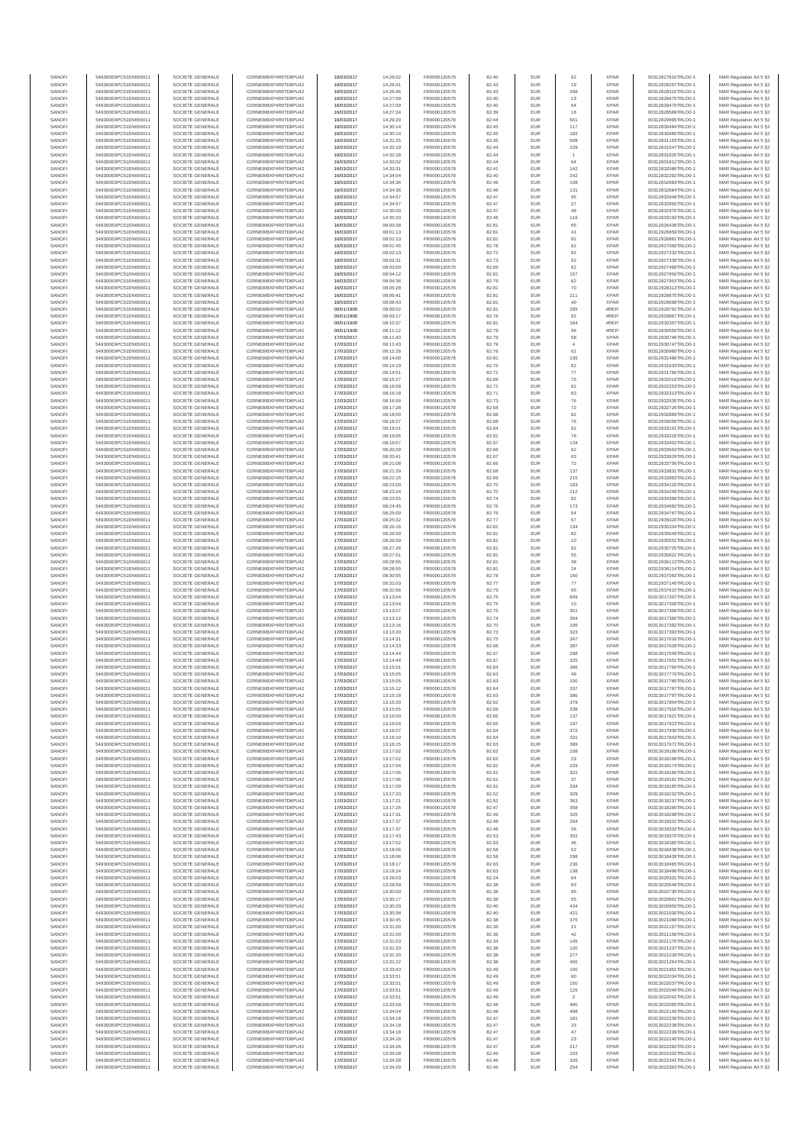| SANOFI           | 549300E9PC51EN656011                         | SOCIETE GENERALE                     | O2RNE8IBXP4R0TD8PU42                         | 16/03/2017               | 14:26:02             | FR0000120578                 | 82.40          | EUR               | 62                    | <b>XPAR</b>                | 00312827810TRLO0-1                       | MAR Regulation Art 5 §2                             |
|------------------|----------------------------------------------|--------------------------------------|----------------------------------------------|--------------------------|----------------------|------------------------------|----------------|-------------------|-----------------------|----------------------------|------------------------------------------|-----------------------------------------------------|
| SANOFI<br>SANOFI | 549300E9PC51EN656011<br>549300E9PC51EN656011 | SOCIETE GENERALE<br>SOCIETE GENERALE | O2RNE8IBXP4R0TD8PU42<br>O2RNE8IBXP4R0TD8PU42 | 16/03/2017<br>16/03/2017 | 14:26:41<br>14:26:46 | FR0000120578<br>FR0000120578 | 82.43<br>82.43 | EUR<br>EUR        | 19<br>298             | <b>XPAR</b><br><b>XPAR</b> | 00312828257TRLO0-1<br>00312828315TRLO0-1 | MAR Regulation Art 5 §2                             |
| SANOFI           | 549300E9PC51EN656011                         | SOCIETE GENERALE                     | O2RNE8IBXP4R0TD8PU42                         | 16/03/2017               | 14:27:09             | FR0000120578                 | 82.40          | EUR               | 13                    | <b>XPAR</b>                | 00312828475TRLO0-1                       | MAR Regulation Art 5 §2<br>MAR Regulation Art 5 §2  |
| SANOFI           | 549300E9PC51EN656011                         | SOCIETE GENERALE                     | O2RNE8IBXP4R0TD8PU42                         | 16/03/2017               | 14:27:09             | FR0000120578                 | 82.40          | EUR               | 64                    | <b>XPAR</b>                | 00312828476TRLO0-1                       | MAR Regulation Art 5 §2                             |
| SANOFI           | 549300E9PC51EN656011                         | SOCIETE GENERALE                     | O2RNE8IBXP4R0TD8PU42                         | 16/03/2017               | 14:27:24             | FR0000120578                 | 82.39          | EUR               | 18                    | <b>XPAR</b>                | 00312828589TRLO0-1                       | MAR Regulation Art 5 §2                             |
| SANOFI<br>SANOFI | 549300E9PC51EN656011<br>549300E9PC51EN656011 | SOCIETE GENERALE<br>SOCIETE GENERALE | O2RNE8IBXP4R0TD8PU42<br>O2RNE8IBXP4R0TD8PU42 | 16/03/2017<br>16/03/2017 | 14:29:20<br>14:30:14 | FR0000120578<br>FR0000120578 | 82.44<br>82.45 | EUR<br>EUR        | 601<br>117            | <b>XPAR</b><br><b>XPAR</b> | 00312829895TRLO0-1<br>00312830484TRLO0-1 | MAR Regulation Art 5 §2<br>MAR Regulation Art 5 §2  |
| SANOFI           | 549300E9PC51EN656011                         | SOCIETE GENERALE                     | O2RNE8IBXP4R0TD8PU42                         | 16/03/2017               | 14:30:14             | FR0000120578                 | 82.45          | EUR               | 182                   | <b>XPAR</b>                | 00312830485TRLO0-1                       | MAR Regulation Art 5 §2                             |
| SANOFI           | 549300E9PC51EN656011                         | SOCIETE GENERALE                     | O2RNE8IBXP4R0TD8PU42                         | 16/03/2017               | 14:31:25             | FR0000120578                 | 82.45          | EUR               | 508                   | <b>XPAR</b>                | 00312831163TRLO0-1                       | MAR Regulation Art 5 §2                             |
| SANOFI<br>SANOFI | 549300E9PC51EN656011<br>549300E9PC51EN656011 | SOCIETE GENERALE<br>SOCIETE GENERALE | O2RNE8IBXP4R0TD8PU42<br>O2RNE8IBXP4R0TD8PU42 | 16/03/2017<br>16/03/2017 | 14:32:19<br>14:32:28 | FR0000120578<br>FR0000120578 | 82.44<br>82.44 | EUR<br>EUR        | 229                   | <b>XPAR</b><br><b>XPAR</b> | 00312831547TRLO0-1<br>00312831625TRLO0-1 | MAR Regulation Art 5 §2<br>MAR Regulation Art 5 §2  |
| SANOFI           | 549300E9PC51EN656011                         | SOCIETE GENERALE                     | O2RNE8IBXP4R0TD8PU42                         | 16/03/2017               | 14:33:02             | FR0000120578                 | 82.44          | EUR               | 64                    | <b>XPAR</b>                | 00312831812TRLO0-1                       | MAR Regulation Art 5 §2                             |
| SANOFI           | 549300E9PC51EN656011                         | SOCIETE GENERALE                     | O2RNE8IBXP4R0TD8PU42                         | 16/03/2017               | 14:33:31             | FR0000120578                 | 82.41          | EUR               | 142                   | <b>XPAR</b>                | 00312832080TRLO0-1                       | MAR Regulation Art 5 §2                             |
| SANOFI           | 549300E9PC51EN656011                         | SOCIETE GENERALE                     | O2RNE8IBXP4R0TD8PU42                         | 16/03/2017               | 14:34:04             | FR0000120578                 | 82.40          | EUR               | 242                   | <b>XPAR</b>                | 00312832292TRLO0-1                       | MAR Regulation Art 5 §2                             |
| SANOFI<br>SANOFI | 549300E9PC51EN656011<br>549300E9PC51EN656011 | SOCIETE GENERALE<br>SOCIETE GENERALE | O2RNE8IBXP4R0TD8PU42<br>O2RNE8IBXP4R0TD8PU42 | 16/03/2017<br>16/03/2017 | 14:34:36<br>14:34:36 | FR0000120578<br>FR0000120578 | 82.46<br>82.46 | EUR<br>EUR        | 108<br>131            | <b>XPAR</b><br><b>XPAR</b> | 00312832683TRLO0-1<br>00312832684TRLO0-1 | MAR Regulation Art 5 §2<br>MAR Regulation Art 5 §2  |
| SANOFI           | 549300E9PC51EN656011                         | SOCIETE GENERALE                     | O2RNE8IBXP4R0TD8PU42                         | 16/03/2017               | 14:34:57             | FR0000120578                 | 82.47          | EUR               | 95                    | <b>XPAR</b>                | 00312832949TRLO0-1                       | MAR Regulation Art 5 §2                             |
| SANOFI           | 549300E9PC51EN656011                         | SOCIETE GENERALE                     | O2RNE8IBXP4R0TD8PU42                         | 16/03/2017               | 14:34:57             | FR0000120578                 | 82.47          | EUR               | $27\,$                | <b>XPAR</b>                | 00312832950TRLO0-1                       | MAR Regulation Art 5 §2                             |
| SANOFI           | 549300E9PC51EN656011                         | SOCIETE GENERALE                     | O2RNE8IBXP4R0TD8PU42                         | 16/03/2017               | 14:35:00             | FR0000120578                 | 82.47          | EUR               | 48                    | <b>XPAR</b>                | 00312832975TRLO0-1                       | MAR Regulation Art 5 §2                             |
| SANOFI<br>SANOFI | 549300E9PC51EN656011<br>549300E9PC51EN656011 | SOCIETE GENERALE<br>SOCIETE GENERALE | O2RNE8IBXP4R0TD8PU42<br>O2RNE8IBXP4R0TD8PU42 | 16/03/2017<br>16/03/2017 | 14:35:33<br>08:00:38 | FR0000120578<br>FR0000120578 | 82.46<br>82.81 | EUR<br>EUR        | 116<br>65             | <b>XPAR</b><br><b>XPAR</b> | 00312833192TRLO0-1<br>00312926436TRLO0-1 | MAR Regulation Art 5 §2<br>MAR Regulation Art 5 §2  |
| SANOFI           | 549300E9PC51EN656011                         | SOCIETE GENERALE                     | O2RNE8IBXP4R0TD8PU42                         | 16/03/2017               | 08:01:13             | FR0000120578                 | 82.81          | EUR               | 41                    | <b>XPAR</b>                | 00312926859TRLO0-1                       | MAR Regulation Art 5 §2                             |
| SANOFI           | 549300E9PC51EN656011                         | SOCIETE GENERALE                     | O2RNE8IBXP4R0TD8PU42                         | 16/03/2017               | 08:01:13             | FR0000120578                 | 82.81          | EUR               | 92                    | <b>XPAR</b>                | 00312926861TRLO0-1                       | MAR Regulation Art 5 §2                             |
| SANOFI<br>SANOFI | 549300E9PC51EN656011<br>549300E9PC51EN656011 | SOCIETE GENERALE<br>SOCIETE GENERALE | O2RNE8IBXP4R0TD8PU42<br>O2RNE8IBXP4R0TD8PU42 | 16/03/2017<br>16/03/2017 | 08:01:45<br>08:02:13 | FR0000120578<br>FR0000120578 | 82.78<br>82.72 | EUR<br>EUR        | 62<br>82              | <b>XPAR</b><br><b>XPAR</b> | 00312927069TRLO0-1<br>00312927232TRLO0-1 | MAR Regulation Art 5 §2<br>MAR Regulation Art 5 §2  |
| SANOFI           | 549300E9PC51EN656011                         | SOCIETE GENERALE                     | O2RNE8IBXP4R0TD8PU42                         | 16/03/2017               | 08:02:31             | FR0000120578                 | 82.73          | EUR               | 62                    | <b>XPAR</b>                | 00312927338TRLO0-1                       | MAR Regulation Art 5 62                             |
| SANOFI           | 549300E9PC51EN656011                         | SOCIETE GENERALE                     | O2RNE8IBXP4R0TD8PU42                         | 16/03/2017               | 08:03:00             | FR0000120578                 | 82.69          | EUR               | 62                    | <b>XPAR</b>                | 00312927468TRLO0-1                       | MAR Regulation Art 5 §2                             |
| SANOFI           | 549300E9PC51EN656011                         | SOCIETE GENERALE                     | O2RNE8IBXP4R0TD8PU42                         | 16/03/2017               | 08:04:12             | FR0000120578                 | 82.81          | EUR               | 157                   | <b>XPAR</b>                | 00312927856TRLO0-1                       | MAR Regulation Art 5 §2                             |
| SANOFI<br>SANOFI | 549300E9PC51EN656011<br>549300E9PC51EN656011 | SOCIETE GENERALE<br>SOCIETE GENERALE | O2RNE8IBXP4R0TD8PU42<br>O2RNE8IBXP4R0TD8PU42 | 16/03/2017<br>16/03/2017 | 08:04:36<br>08:05:28 | FR0000120578<br>FR0000120578 | 82.79<br>82.81 | EUR<br>EUR        | 62<br>70              | <b>XPAR</b><br><b>XPAR</b> | 00312927953TRLO0-1<br>00312928313TRLO0-1 | MAR Regulation Art 5 §2<br>MAR Regulation Art 5 §2  |
| SANOFI           | 549300E9PC51EN656011                         | SOCIETE GENERALE                     | O2RNE8IBXP4R0TD8PU42                         | 16/03/2017               | 08:06:41             | FR0000120578                 | 82.81          | EUR               | 211                   | <b>XPAR</b>                | 00312928875TRLO0-1                       | MAR Regulation Art 5 §2                             |
| SANOFI           | 549300E9PC51EN656011                         | SOCIETE GENERALE                     | O2RNE8IBXP4R0TD8PU42                         | 16/03/2017               | 08:08:43             | FR0000120578                 | 82.81          | EUR               | 40                    | <b>XPAR</b>                | 00312929688TRLO0-1                       | MAR Regulation Art 5 §2                             |
| SANOFI<br>SANOFI | 549300E9PC51EN656011<br>549300E9PC51EN656011 | SOCIETE GENERALE<br>SOCIETE GENERALE | O2RNE8IBXP4R0TD8PU42<br>O2RNE8IBXP4R0TD8PU42 | 00/01/1900<br>00/01/1900 | 08:09:02<br>08:09:17 | FR0000120578<br>FR0000120578 | 82.81<br>82.76 | EUR<br>EUR        | 285<br>62             | #REF!<br>#REF!             | 00312929791TRLO0-1<br>00312929867TRLO0-1 | MAR Regulation Art 5 \$2                            |
| SANOFI           | 549300E9PC51EN656011                         | SOCIETE GENERALE                     | O2RNE8IBXP4R0TD8PU42                         | 00/01/1900               | 08:10:37             | FR0000120578                 | 82.81          | EUR               | 164                   | #REF!                      | 00312930357TRLO0-1                       | MAR Regulation Art 5 §2<br>MAR Regulation Art 5 §2  |
| SANOFI           | 549300E9PC51EN656011                         | SOCIETE GENERALE                     | O2RNE8IBXP4R0TD8PU42                         | 00/01/1900               | 08:11:12             | FR0000120578                 | 82.79          | EUR               | $96\,$                | #REF!                      | 00312930559TRLO0-1                       | MAR Regulation Art 5 §2                             |
| SANOFI           | 549300E9PC51EN656011                         | SOCIETE GENERALE                     | O2RNE8IBXP4R0TD8PU42                         | 17/03/2017               | 08:11:43             | FR0000120578                 | 82.79          | EUR               | 58                    | <b>XPAR</b>                | 00312930746TRLO0-1                       | MAR Regulation Art 5 §2                             |
| SANOFI<br>SANOFI | 549300E9PC51EN656011<br>549300E9PC51EN656011 | SOCIETE GENERALE<br>SOCIETE GENERALE | O2RNE8IBXP4R0TD8PU42<br>O2RNE8IBXP4R0TD8PU42 | 17/03/2017<br>17/03/2017 | 08:11:43<br>08:12:28 | FR0000120578<br>FR0000120578 | 82.79<br>82.76 | EUR<br>EUR        | $\overline{4}$<br>62  | <b>XPAR</b><br><b>XPAR</b> | 00312930747TRLO0-1<br>00312930980TRLO0-1 | MAR Regulation Art 5 §2<br>MAR Regulation Art 5 §2  |
| SANOFI           | 549300E9PC51EN656011                         | SOCIETE GENERALE                     | O2RNE8IBXP4R0TD8PU42                         | 17/03/2017               | 08:14:00             | FR0000120578                 | 82.81          | EUR               | 235                   | <b>XPAR</b>                | 00312931486TRLO0-1                       | MAR Regulation Art 5 §2                             |
| SANOFI           | 549300E9PC51EN656011                         | SOCIETE GENERALE                     | O2RNE8IBXP4R0TD8PU42                         | 17/03/2017               | 08:14:19             | FR0000120578                 | 82.75          | EUR               | 62                    | <b>XPAR</b>                | 00312931633TRLO0-1                       | MAR Regulation Art 5 §2                             |
| SANOFI           | 549300E9PC51EN656011                         | SOCIETE GENERALE<br>SOCIETE GENERALE | O2RNE8IBXP4R0TD8PU42                         | 17/03/2017               | 08:14:51             | FR0000120578<br>FR0000120578 | 82.72          | EUR               | 77                    | <b>XPAR</b>                | 00312931780TRLO0-1                       | MAR Regulation Art 5 §2                             |
| SANOFI<br>SANOFI | 549300E9PC51EN656011<br>549300E9PC51EN656011 | SOCIETE GENERALE                     | O2RNE8IBXP4R0TD8PU42<br>O2RNE8IBXP4R0TD8PU42 | 17/03/2017<br>17/03/2017 | 08:15:27<br>08:16:09 | FR0000120578                 | 82.69<br>82.71 | EUR<br>EUR        | 75<br>62              | <b>XPAR</b><br><b>XPAR</b> | 00312932019TRLO0-1<br>00312932253TRLO0-1 | MAR Regulation Art 5 §2<br>MAR Regulation Art 5 §2  |
| SANOFI           | 549300E9PC51EN656011                         | SOCIETE GENERALE                     | O2RNE8IBXP4R0TD8PU42                         | 17/03/2017               | 08:16:18             | FR0000120578                 | 82.71          | EUR               | 83                    | <b>XPAR</b>                | 00312932313TRLO0-1                       | MAR Regulation Art 5 §2                             |
| SANOFI           | 549300E9PC51EN656011                         | SOCIETE GENERALE                     | O2RNE8IBXP4R0TD8PU42                         | 17/03/2017               | 08:16:59             | FR0000120578                 | 82.73          | EUR               | 76                    | <b>XPAR</b>                | 00312932535TRLO0-1                       | MAR Regulation Art 5 §2                             |
| SANOFI           | 549300E9PC51EN656011                         | SOCIETE GENERALE                     | O2RNE8IBXP4R0TD8PU42<br>O2RNE8IBXP4R0TD8PU42 | 17/03/2017               | 08:17:28             | FR0000120578<br>FR0000120578 | 82.68          | EUR               | 72                    | <b>XPAR</b>                | 00312932726TRLO0-1                       | MAR Regulation Art 5 §2                             |
| SANOFI<br>SANOFI | 549300E9PC51EN656011<br>549300E9PC51EN656011 | SOCIETE GENERALE<br>SOCIETE GENERALE | O2RNE8IBXP4R0TD8PLI42                        | 17/03/2017<br>17/03/2017 | 08:18:00<br>08:18:27 | FR0000120578                 | 82.68<br>82.68 | EUR<br>EUR        | 62<br>76              | <b>XPAR</b><br><b>XPAR</b> | 00312932889TRLO0-1<br>00312933058TRLO0-1 | MAR Regulation Art 5 §2<br>MAR Regulation Art 5 §2  |
| SANOFI           | 549300E9PC51EN656011                         | SOCIETE GENERALE                     | O2RNE8IBXP4R0TD8PU42                         | 17/03/2017               | 08:19:01             | FR0000120578                 | 82.64          | EUR               | 62                    | <b>XPAR</b>                | 00312933191TRLO0-1                       | MAR Regulation Art 5 §2                             |
| SANOFI           | 549300E9PC51EN656011                         | SOCIETE GENERALE                     | O2RNE8IBXP4R0TD8PU42                         | 17/03/2017               | 08:19:05             | FR0000120578                 | 82.62          | EUR               | 76                    | <b>XPAR</b>                | 00312933226TRLO0-1                       | MAR Regulation Art 5 \$2                            |
| SANOFI<br>SANOFI | 549300E9PC51EN656011<br>549300E9PC51EN656011 | SOCIETE GENERALE<br>SOCIETE GENERALE | O2RNE8IBXP4R0TD8PU42<br>O2RNE8IBXP4R0TD8PU42 | 17/03/2017<br>17/03/2017 | 08:19:57             | FR0000120578<br>FR0000120578 | 82.67<br>82.66 | EUR<br>EUR        | 134<br>62             | <b>XPAR</b><br><b>XPAR</b> | 00312933452TRLO0-1                       | MAR Regulation Art 5 §2<br>MAR Regulation Art 5 §2  |
| SANOFI           | 549300E9PC51EN656011                         | SOCIETE GENERALE                     | O2RNE8IBXP4R0TD8PU42                         | 17/03/2017               | 08:20:29<br>08:20:41 | FR0000120578                 | 82.67          | EUR               | 63                    | <b>XPAR</b>                | 00312933563TRLO0-1<br>00312933629TRLO0-1 | MAR Regulation Art 5 §2                             |
| SANOFI           | 549300E9PC51EN656011                         | SOCIETE GENERALE                     | O2RNE8IBXP4R0TD8PU42                         | 17/03/2017               | 08:21:08             | FR0000120578                 | 82.66          | EUR               | 72                    | <b>XPAR</b>                | 00312933756TRLO0-1                       | MAR Regulation Art 5 §2                             |
| SANOFI           | 549300E9PC51EN656011                         | SOCIETE GENERALE                     | O2RNE8IBXP4R0TD8PU42                         | 17/03/2017               | 08:21:29             | FR0000120578                 | 82.68          | EUR               | 137                   | <b>XPAR</b>                | 00312933831TRLO0-1                       | MAR Regulation Art 5 §2                             |
| SANOFI<br>SANOFI | 549300E9PC51EN656011<br>549300E9PC51EN656011 | SOCIETE GENERALE<br>SOCIETE GENERALE | O2RNE8IBXP4R0TD8PU42<br>O2RNE8IBXP4R0TD8PU42 | 17/03/2017<br>17/03/2017 | 08:22:15<br>08:23:00 | FR0000120578<br>FR0000120578 | 82.69<br>82.70 | EUR<br>EUR        | 215<br>183            | <b>XPAR</b><br><b>XPAR</b> | 00312933993TRLO0-1<br>00312934125TRLO0-1 | MAR Regulation Art 5 §2<br>MAR Regulation Art 5 §2  |
| SANOFI           | 549300E9PC51EN656011                         | SOCIETE GENERALE                     | O2RNE8IBXP4R0TD8PU42                         | 17/03/2017               | 08:23:24             | FR0000120578                 | 82.70          | EUR               | 112                   | <b>XPAR</b>                | 00312934245TRLO0-1                       | MAR Regulation Art 5 §2                             |
| SANOFI           | 549300E9PC51EN656011                         | SOCIETE GENERALE                     | O2RNE8IBXP4R0TD8PU42                         | 17/03/2017               | 08:23:55             | FR0000120578                 | 82.74          | EUR               | 62                    | <b>XPAR</b>                | 00312934399TRLO0-1                       | MAR Regulation Art 5 §2                             |
| SANOFI           | 549300E9PC51EN656011                         | SOCIETE GENERALE                     | O2RNE8IBXP4R0TD8PU42                         | 17/03/2017               | 08:24:45             | FR0000120578                 | 82.76          | EUR               | 173                   | <b>XPAR</b>                | 00312934682TRLO0-1                       | MAR Regulation Art 5 §2                             |
| SANOFI<br>SANOFI | 549300E9PC51EN656011<br>549300E9PC51EN656011 | SOCIETE GENERALE<br>SOCIETE GENERALE | O2RNE8IBXP4R0TD8PU42<br>O2RNE8IBXP4R0TD8PU42 | 17/03/2017<br>17/03/2017 | 08:25:00<br>08:25:32 | FR0000120578<br>FR0000120578 | 82.76<br>82.77 | EUR<br>EUR        | 54<br>67              | <b>XPAR</b><br><b>XPAR</b> | 00312934767TRLO0-1<br>00312935020TRLO0-1 | MAR Regulation Art 5 §2<br>MAR Regulation Art 5 §2  |
| SANOFI           | 549300E9PC51EN656011                         | SOCIETE GENERALE                     | O2RNE8IBXP4R0TD8PU42                         | 17/03/2017               | 08:26:16             | FR0000120578                 | 82.81          | EUR               | 134                   | <b>XPAR</b>                | 00312935334TRLO0-1                       | MAR Regulation Art 5 §2                             |
| SANOFI           | 549300E9PC51EN656011                         | SOCIETE GENERALE                     | O2RNE8IBXP4R0TD8PU42                         | 17/03/2017               | 08:26:59             | FR0000120578                 | 82.81          | EUR               | 82                    | <b>XPAR</b>                | 00312935549TRLO0-1                       | MAR Regulation Art 5 §2                             |
| SANOFI           | 549300E9PC51EN656011                         | SOCIETE GENERALE                     | O2RNE8IBXP4R0TD8PU42                         | 17/03/2017               | 08:26:59             | FR0000120578                 | 82.81          | EUR<br>EUR        | 10<br>62              | <b>XPAR</b>                | 00312935551TRLO0-1                       | MAR Regulation Art 5 §2                             |
| SANOFI<br>SANOFI | 549300E9PC51EN656011<br>549300E9PC51EN656011 | SOCIETE GENERALE<br>SOCIETE GENERALE | O2RNE8IBXP4R0TD8PU42<br>O2RNE8IBXP4R0TD8PU42 | 17/03/2017<br>17/03/2017 | 08:27:26<br>08:27:51 | FR0000120578<br>FR0000120578 | 82.81<br>82.81 | EUR               | 55                    | <b>XPAR</b><br><b>XPAR</b> | 00312935725TRLO0-1<br>00312935821TRLO0-1 | MAR Regulation Art 5 §2<br>MAR Regulation Art 5 §2  |
| SANOFI           | 549300E9PC51EN656011                         | SOCIETE GENERALE                     | O2RNE8IBXP4R0TD8PU42                         | 17/03/2017               | 08:28:55             | FR0000120578                 | 82.81          | EUR               | 38                    | <b>XPAR</b>                | 00312936113TRLO0-1                       | MAR Regulation Art 5 §2                             |
| SANOFI           | 549300E9PC51EN656011                         | SOCIETE GENERALE                     | O2RNE8IBXP4R0TD8PU42                         | 17/03/2017               | 08:28:55             | FR0000120578                 | 82.81          | EUR               | 24                    | <b>XPAR</b>                | 00312936114TRLO0-1                       | MAR Regulation Art 5 §2                             |
| SANOFI<br>SANOFI | 549300E9PC51EN656011<br>549300E9PC51EN656011 | SOCIETE GENERALE<br>SOCIETE GENERALE | O2RNE8IBXP4R0TD8PU42<br>O2RNE8IBXP4R0TD8PU42 | 17/03/2017<br>17/03/2017 | 08:30:55<br>08:31:03 | FR0000120578<br>FR0000120578 | 82.78<br>82.77 | EUR<br>EUR        | 160<br>77             | <b>XPAR</b><br><b>XPAR</b> | 00312937082TRLO0-1<br>00312937140TRLO0-1 | MAR Regulation Art 5 §2<br>MAR Regulation Art 5 §2  |
| SANOFI           | 549300E9PC51EN656011                         | SOCIETE GENERALE                     | O2RNE8IBXP4R0TD8PU42                         | 17/03/2017               | 08:31:56             | FR0000120578                 | 82.79          | EUR               | 65                    | <b>XPAR</b>                | 00312937615TRLO0-1                       | MAR Regulation Art 5 §2                             |
| SANOFI           | 549300E9PC51EN656011                         | SOCIETE GENERALE                     | O2RNE8IBXP4R0TD8PU42                         | 17/03/2017               | 13:13:04             | FR0000120578                 | 82.75          | EUR               | 849                   | <b>XPAR</b>                | 00313017307TRLO0-1                       | MAR Regulation Art 5 §2                             |
| SANOFI           | 549300E9PC51EN656011                         | SOCIETE GENERALE                     | O2RNE8IBXP4R0TD8PU42                         | 17/03/2017               | 13:13:04             | FR0000120578                 | 82.75          | EUR               | 10                    | <b>XPAR</b>                | 00313017309TRLO0-1                       | MAR Regulation Art 5 §2                             |
| SANOFI<br>SANOFI | 549300E9PC51EN656011<br>549300E9PC51EN656011 | SOCIETE GENERALE<br>SOCIETE GENERALE | O2RNE8IBXP4R0TD8PU42<br>O2RNE8IBXP4R0TD8PU42 | 17/03/2017<br>17/03/2017 | 13:13:07<br>13:13:12 | FR0000120578<br>FR0000120578 | 82.75<br>82.74 | EUR<br>EUR        | 351<br>394            | <b>XPAR</b><br><b>XPAR</b> | 00313017368TRLO0-1<br>00313017380TRLO0-1 | MAR Regulation Art 5 §2<br>MAR Regulation Art 5 §2  |
| SANOFI           | 549300E9PC51EN656011                         | SOCIETE GENERALE                     | O2RNE8IBXP4R0TD8PU42                         | 17/03/2017               | 13:13:16             | FR0000120578                 | 82.70          | EUR               | 195                   | <b>XPAR</b>                | 00313017392TRLO0-1                       | MAR Regulation Art 5 §2                             |
| SANOFI           | 549300E9PC51EN656011                         | SOCIETE GENERALE                     | O2RNE8IBXP4R0TD8PU42                         | 17/03/2017               | 13:13:20             | FR0000120578                 | 82.73          | EUR               | 323                   | <b>XPAR</b>                | 00313017393TRLO0-1                       | MAR Regulation Art 5 §2                             |
| SANOFI           | 549300E9PC51EN656011                         | SOCIETE GENERALE                     | O2RNE8IBXP4R0TD8PU42                         | 17/03/2017               | 13:14:31             | FR0000120578                 | 82.75          | EUR               | 347                   | <b>XPAR</b>                | 00313017616TRLO0-1                       | MAR Regulation Art 5 §2                             |
| SANOFI<br>SANOFI | 549300E9PC51EN656011<br>549300E9PC51EN656011 | SOCIETE GENERALE<br>SOCIETE GENERALE | O2RNE8IBXP4R0TD8PU42<br>O2RNE8IBXP4R0TD8PU42 | 17/03/2017<br>17/03/2017 | 13:14:33<br>13:14:44 | FR0000120578<br>FR0000120578 | 82.68<br>82.67 | EUR<br>EUR        | 387<br>298            | <b>XPAR</b><br><b>XPAR</b> | 00313017628TRLO0-1<br>00313017649TRLO0-1 | MAR Regulation Art 5 §2<br>MAR Regulation Art 5 §2  |
| SANOFI           | 549300E9PC51EN656011                         | SOCIETE GENERALE                     | O2RNE8IBXP4R0TD8PU42                         | 17/03/2017               | 13:14:44             | FR0000120578                 | 82.67          | EUR               | 325                   | <b>XPAR</b>                | 00313017651TRLO0-1                       | MAR Regulation Art 5 \$2                            |
| SANOFI           | 549300E9PC51EN656011                         | SOCIETE GENERALE                     | O2RNE8IBXP4R0TD8PU42                         | 17/03/2017               | 13:15:01             | FR0000120578                 | 82.64          | EUR               | 386                   | <b>XPAR</b>                | 00313017769TRLO0-1                       | MAR Regulation Art 5 §2                             |
| SANOFI<br>SANOFI | 549300E9PC51EN656011<br>549300E9PC51EN656011 | SOCIETE GENERALE<br>SOCIETE GENERALE | O2RNE8IBXP4R0TD8PU42<br>O2RNE8IBXP4R0TD8PU42 | 17/03/2017<br>17/03/2017 | 13:15:05<br>13:15:05 | FR0000120578<br>FR0000120578 | 82.63<br>82.63 | <b>EUR</b><br>EUR | 49<br>100             | <b>XPAR</b><br><b>XPAR</b> | 00313017779TRLO0-1<br>00313017780TRLO0-1 | MAR Regulation Art 5 §2<br>MAR Regulation Art 5 §2  |
| SANOFI           | 549300E9PC51EN656011                         | SOCIETE GENERALE                     | O2RNE8IBXP4R0TD8PU42                         | 17/03/2017               | 13:15:12             | FR0000120578                 | 82.64          | EUR               | 337                   | <b>XPAR</b>                | 00313017787TRLO0-1                       | MAR Regulation Art 5 §2                             |
| SANOFI           | 549300E9PC51EN656011                         | SOCIETE GENERALE                     | O2RNE8IBXP4R0TD8PU42                         | 17/03/2017               | 13:15:18             | FR0000120578                 | 82.63          | EUR               | 380                   | <b>XPAR</b>                | 00313017797TRLO0-1                       | MAR Regulation Art 5 §2                             |
| SANOFI           | 549300E9PC51EN656011                         | SOCIETE GENERALE                     | O2RNE8IBXP4R0TD8PU42                         | 17/03/2017               | 13:15:20             | FR0000120578                 | 82.62          | EUR               | 379                   | <b>XPAR</b>                | 00313017804TRLO0-1                       | MAR Regulation Art 5 §2                             |
| SANOFI<br>SANOFI | 549300E9PC51EN656011<br>549300E9PC51EN656011 | SOCIETE GENERALE<br>SOCIETE GENERALE | O2RNE8IBXP4R0TD8PU42<br>O2RNE8IBXP4R0TD8PU42 | 17/03/2017<br>17/03/2017 | 13:15:55<br>13:16:00 | FR0000120578<br>FR0000120578 | 82.69<br>82.65 | EUR<br>EUR        | 336<br>137            | <b>XPAR</b><br><b>XPAR</b> | 00313017916TRLO0-1<br>00313017921TRLO0-1 | MAR Regulation Art 5 §2<br>MAR Regulation Art 5 §2  |
| SANOFI           | 549300E9PC51EN656011                         | SOCIETE GENERALE                     | O2RNE8IBXP4R0TD8PU42                         | 17/03/2017               | 13:16:04             | FR0000120578                 | 82.65          | EUR               | 197                   | <b>XPAR</b>                | 00313017923TRLO0-1                       | MAR Regulation Art 5 §2                             |
| SANOFI           | 549300E9PC51EN656011                         | SOCIETE GENERALE                     | O2RNE8IBXP4R0TD8PU42                         | 17/03/2017               | 13:16:07             | FR0000120578                 | 82.64          | EUR               | 372                   | <b>XPAR</b>                | 00313017930TRLO0-1                       | MAR Regulation Art 5 §2                             |
| SANOFI<br>SANOFI | 549300E9PC51EN656011<br>549300E9PC51EN656011 | SOCIETE GENERALE<br>SOCIETE GENERALE | O2RNE8IBXP4R0TD8PU42<br>O2RNE8IBXP4R0TD8PU42 | 17/03/2017               | 13:16:10             | FR0000120578                 | 82.64<br>82.63 | EUR<br>EUR        | 331<br>389            | <b>XPAR</b><br><b>XPAR</b> | 00313017943TRLO0-1                       | MAR Regulation Art 5 \$2<br>MAR Regulation Art 5 §2 |
| SANOFI           | 549300E9PC51EN656011                         | SOCIETE GENERALE                     | O2RNE8IBXP4R0TD8PU42                         | 17/03/2017<br>17/03/2017 | 13:16:15<br>13:17:02 | FR0000120578<br>FR0000120578 | 82.62          | EUR               | 108                   | <b>XPAR</b>                | 00313017971TRLO0-1<br>00313018166TRLO0-1 | MAR Regulation Art 5 §2                             |
| SANOFI           | 549300E9PC51EN656011                         | SOCIETE GENERALE                     | O2RNE8IBXP4R0TD8PU42                         | 17/03/2017               | 13:17:02             | FR0000120578                 | 82.62          | EUR               | 23                    | <b>XPAR</b>                | 00313018168TRLO0-1                       | MAR Regulation Art 5 §2                             |
| SANOFI           | 549300E9PC51EN656011                         | SOCIETE GENERALE                     | O2RNE8IBXP4R0TD8PU42                         | 17/03/2017               | 13:17:04             | FR0000120578                 | 82.62          | EUR               | 229                   | <b>XPAR</b>                | 00313018174TRLO0-1                       | MAR Regulation Art 5 §2                             |
| SANOFI<br>SANOFI | 549300E9PC51EN656011<br>549300E9PC51EN656011 | SOCIETE GENERALE<br>SOCIETE GENERALE | O2RNE8IBXP4R0TD8PU42<br>O2RNE8IBXP4R0TD8PU42 | 17/03/2017<br>17/03/2017 | 13:17:06<br>13:17:06 | FR0000120578<br>FR0000120578 | 82.61<br>82.61 | EUR<br>EUR        | 322<br>37             | <b>XPAR</b><br><b>XPAR</b> | 00313018180TRLO0-1<br>00313018181TRLO0-1 | MAR Regulation Art 5 §2<br>MAR Regulation Art 5 §2  |
| SANOFI           | 549300E9PC51EN656011                         | SOCIETE GENERALE                     | O2RNE8IBXP4R0TD8PU42                         | 17/03/2017               | 13:17:09             | FR0000120578                 | 82.61          | EUR               | 334                   | <b>XPAR</b>                | 00313018185TRLO0-1                       | MAR Regulation Art 5 §2                             |
| SANOFI           | 549300E9PC51EN656011                         | SOCIETE GENERALE                     | O2RNE8IBXP4R0TD8PU42                         | 17/03/2017               | 13:17:20             | FR0000120578                 | 82.52          | EUR               | 329                   | <b>XPAR</b>                | 00313018232TRLO0-1                       | MAR Regulation Art 5 §2                             |
| SANOFI<br>SANOFI | 549300E9PC51EN656011<br>549300E9PC51EN656011 | SOCIETE GENERALE<br>SOCIETE GENERALE | O2RNE8IBXP4R0TD8PU42<br>O2RNE8IBXP4R0TD8PU42 | 17/03/2017<br>17/03/2017 | 13:17:21<br>13:17:26 | FR0000120578<br>FR0000120578 | 82.52<br>82.47 | EUR<br>EUR        | 363<br>358            | <b>XPAR</b><br><b>XPAR</b> | 00313018237TRLO0-1<br>00313018280TRLO0-1 | MAR Regulation Art 5 §2<br>MAR Regulation Art 5 §2  |
| SANOFI           | 549300E9PC51EN656011                         | SOCIETE GENERALE                     | O2RNE8IBXP4R0TD8PU42                         | 17/03/2017               | 13:17:31             | FR0000120578                 | 82.49          | EUR               | 325                   | <b>XPAR</b>                | 00313018298TRLO0-1                       | MAR Regulation Art 5 §2                             |
| SANOFI           | 549300E9PC51EN656011                         | SOCIETE GENERALE                     | O2RNESIBXP4R0TD8PLI42                        | 17/03/2017               | 13:17:37             | FR0000120578                 | 82.48          | EUR               | 294                   | <b>XPAR</b>                | 00313018331TRLO0-1                       | MAR Regulation Art 5 §2                             |
| SANOFI<br>SANOFI | 549300E9PC51EN656011<br>549300E9PC51EN656011 | SOCIETE GENERALE<br>SOCIETE GENERALE | O2RNE8IBXP4R0TD8PU42<br>O2RNE8IBXP4R0TD8PU42 | 17/03/2017<br>17/03/2017 | 13:17:37<br>13:17:43 | FR0000120578<br>FR0000120578 | 82.48<br>82.53 | EUR<br>EUR        | 56<br>302             | <b>XPAR</b><br><b>XPAR</b> | 00313018332TRLO0-1<br>00313018370TRLO0-1 | MAR Regulation Art 5 §2<br>MAR Regulation Art 5 §2  |
| SANOFI           | 549300E9PC51EN656011                         | SOCIETE GENERALE                     | O2RNE8IBXP4R0TD8PU42                         | 17/03/2017               | 13:17:52             | FR0000120578                 | 82.53          | EUR               | 46                    | <b>XPAR</b>                | 00313018385TRLO0-1                       | MAR Regulation Art 5 §2                             |
| SANOFI           | 549300E9PC51EN656011                         | SOCIETE GENERALE                     | O2RNE8IBXP4R0TD8PU42                         | 17/03/2017               | 13:18:06             | FR0000120578                 | 82.58          | EUR               | 52                    | <b>XPAR</b>                | 00313018438TRLO0-1                       | MAR Regulation Art 5 §2                             |
| SANOFI           | 549300E9PC51EN656011                         | SOCIETE GENERALE                     | O2RNE8IBXP4R0TD8PU42                         | 17/03/2017               | 13:18:06             | FR0000120578                 | 82.58          | EUR               | 298                   | <b>XPAR</b>                | 00313018439TRLO0-1                       | MAR Regulation Art 5 §2                             |
| SANOFI<br>SANOFI | 549300E9PC51EN656011<br>549300E9PC51EN656011 | SOCIETE GENERALE<br>SOCIETE GENERALE | O2RNE8IBXP4R0TD8PU42<br>O2RNE8IBXP4R0TD8PU42 | 17/03/2017<br>17/03/2017 | 13:18:17<br>13:18:24 | FR0000120578<br>FR0000120578 | 82.63<br>82.63 | EUR<br>EUR        | 236<br>138            | <b>XPAR</b><br><b>XPAR</b> | 00313018465TRLO0-1<br>00313018496TRLO0-1 | MAR Regulation Art 5 §2<br>MAR Regulation Art 5 §2  |
| SANOFI           | 549300E9PC51EN656011                         | SOCIETE GENERALE                     | O2RNE8IBXP4R0TD8PU42                         | 17/03/2017               | 13:28:03             | FR0000120578                 | 82.24          | EUR               | 64                    | <b>XPAR</b>                | 00313020331TRLO0-1                       | MAR Regulation Art 5 §2                             |
| SANOFI           | 549300E9PC51EN656011                         | SOCIETE GENERALE                     | O2RNE8IBXP4R0TD8PU42                         | 17/03/2017               | 13:28:59             | FR0000120578                 | 82.38          | EUR               | 63                    | <b>XPAR</b>                | 00313020549TRLO0-1                       | MAR Regulation Art 5 §2                             |
| SANOFI<br>SANOFI | 549300E9PC51EN656011<br>549300E9PC51EN656011 | SOCIETE GENERALE<br>SOCIETE GENERALE | O2RNE8IBXP4R0TD8PU42<br>O2RNE8IBXP4R0TD8PU42 | 17/03/2017<br>17/03/2017 | 13:30:00<br>13:30:17 | FR0000120578<br>FR0000120578 | 82.38<br>82.38 | EUR<br>EUR        | 95<br>55              | <b>XPAR</b><br><b>XPAR</b> | 00313020735TRLO0-1<br>00313020861TRLO0-1 | MAR Regulation Art 5 §2<br>MAR Regulation Art 5 §2  |
| SANOFI           | 549300E9PC51EN656011                         | SOCIETE GENERALE                     | O2RNE8IBXP4R0TD8PU42                         | 17/03/2017               | 13:30:29             | FR0000120578                 | 82.40          | EUR               | 434                   | <b>XPAR</b>                | 00313020956TRLO0-1                       | MAR Regulation Art 5 §2                             |
| SANOFI           | 549300E9PC51EN656011                         | SOCIETE GENERALE                     | O2RNE8IBXP4R0TD8PU42                         | 17/03/2017               | 13:30:38             | FR0000120578                 | 82.40          | EUR               | 421                   | <b>XPAR</b>                | 00313021030TRLO0-1                       | MAR Regulation Art 5 §2                             |
| SANOFI           | 549300E9PC51EN656011                         | SOCIETE GENERALE                     | O2RNE8IBXP4R0TD8PU42                         | 17/03/2017               | 13:30:45             | FR0000120578                 | 82.38          | EUR               | 375                   | <b>XPAR</b>                | 00313021088TRLO0-1                       | MAR Regulation Art 5 §2                             |
| SANOFI<br>SANOFI | 549300E9PC51EN656011<br>549300E9PC51EN656011 | SOCIETE GENERALE<br>SOCIETE GENERALE | O2RNE8IBXP4R0TD8PU42<br>O2RNE8IBXP4R0TD8PU42 | 17/03/2017<br>17/03/2017 | 13:31:00<br>13:31:00 | FR0000120578<br>FR0000120578 | 82.36<br>82.36 | EUR<br>EUR        | 21<br>42              | <b>XPAR</b><br><b>XPAR</b> | 00313021157TRLO0-1<br>00313021158TRLO0-1 | MAR Regulation Art 5 §2<br>MAR Regulation Art 5 §2  |
| SANOFI           | 549300E9PC51EN656011                         | SOCIETE GENERALE                     | O2RNE8IBXP4R0TD8PU42                         | 17/03/2017               | 13:31:03             | FR0000120578                 | 82.34          | EUR               | 145                   | <b>XPAR</b>                | 00313021170TRLO0-1                       | MAR Regulation Art 5 §2                             |
| SANOFI           | 549300E9PC51EN656011                         | SOCIETE GENERALE                     | O2RNE8IBXP4R0TD8PU42                         | 17/03/2017               | 13:31:20             | FR0000120578                 | 82.38          | EUR               | 120                   | <b>XPAR</b>                | 00313021237TRLO0-1                       | MAR Regulation Art 5 §2                             |
| SANOFI           | 549300E9PC51EN656011                         | SOCIETE GENERALE                     | O2RNE8IBXP4R0TD8PU42                         | 17/03/2017               | 13:31:20             | FR0000120578                 | 82.38          | EUR               | 277                   | <b>XPAR</b>                | 00313021239TRLO0-1                       | MAR Regulation Art 5 §2                             |
| SANOFI<br>SANOFI | 549300E9PC51EN656011<br>549300E9PC51EN656011 | SOCIETE GENERALE<br>SOCIETE GENERALE | O2RNE8IBXP4R0TD8PU42<br>O2RNE8IBXP4R0TD8PU42 | 17/03/2017<br>17/03/2017 | 13:31:22<br>13:33:43 | FR0000120578<br>FR0000120578 | 82.38<br>82.49 | EUR<br>EUR        | 455<br>100            | <b>XPAR</b><br><b>XPAR</b> | 00313021264TRLO0-1<br>00313021951TRLO0-1 | MAR Regulation Art 5 §2<br>MAR Regulation Art 5 §2  |
| SANOFI           | 549300E9PC51EN656011                         | SOCIETE GENERALE                     | O2RNE8IBXP4R0TD8PU42                         | 17/03/2017               | 13:33:51             | FR0000120578                 | 82.49          | EUR               | 60                    | <b>XPAR</b>                | 00313022034TRLO0-1                       | MAR Regulation Art 5 §2                             |
| SANOFI           | 549300E9PC51EN656011                         | SOCIETE GENERALE                     | O2RNE8IBXP4R0TD8PU42                         | 17/03/2017               | 13:33:51             | FR0000120578                 | 82.49          | EUR               | 150                   | <b>XPAR</b>                | 00313022037TRLO0-1                       | MAR Regulation Art 5 §2                             |
| SANOFI<br>SANOFI | 549300E9PC51EN656011<br>549300E9PC51EN656011 | SOCIETE GENERALE<br>SOCIETE GENERALE | O2RNE8IBXP4R0TD8PU42<br>O2RNE8IBXP4R0TD8PU42 | 17/03/2017<br>17/03/2017 | 13:33:51<br>13:33:51 | FR0000120578<br>FR0000120578 | 82.49<br>82.49 | EUR<br>EUR        | 125                   | <b>XPAR</b><br><b>XPAR</b> | 00313022040TRLO0-1<br>00313022041TRLO0-1 | MAR Regulation Art 5 §2                             |
| SANOFI           | 549300E9PC51EN656011                         | SOCIETE GENERALE                     | O2RNE8IBXP4R0TD8PU42                         | 17/03/2017               | 13:33:58             | FR0000120578                 | 82.48          | EUR               | $\overline{2}$<br>480 | <b>XPAR</b>                | 00313022095TRLO0-1                       | MAR Regulation Art 5 §2<br>MAR Regulation Art 5 §2  |
| SANOFI           | 549300E9PC51EN656011                         | SOCIETE GENERALE                     | O2RNE8IBXP4R0TD8PU42                         | 17/03/2017               | 13:34:04             | FR0000120578                 | 82.48          | EUR               | 498                   | <b>XPAR</b>                | 00313022145TRLO0-1                       | MAR Regulation Art 5 §2                             |
| SANOFI           | 549300E9PC51EN656011                         | SOCIETE GENERALE                     | O2RNE8IBXP4R0TD8PU42                         | 17/03/2017               | 13:34:18             | FR0000120578                 | 82.47          | EUR               | 181                   | <b>XPAR</b>                | 00313022236TRLO0-1                       | MAR Regulation Art 5 §2                             |
| SANOFI<br>SANOFI | 549300E9PC51EN656011<br>549300E9PC51EN656011 | SOCIETE GENERALE<br>SOCIETE GENERALE | O2RNE8IBXP4R0TD8PU42<br>O2RNE8IBXP4R0TD8PU42 | 17/03/2017<br>17/03/2017 | 13:34:18<br>13:34:18 | FR0000120578<br>FR0000120578 | 82.47<br>82.47 | EUR<br>EUR        | 23<br>47              | <b>XPAR</b><br><b>XPAR</b> | 00313022238TRLO0-1<br>00313022239TRLO0-1 | MAR Regulation Art 5 §2<br>MAR Regulation Art 5 §2  |
| SANOFI           | 549300E9PC51EN656011                         | SOCIETE GENERALE                     | O2RNE8IBXP4R0TD8PU42                         | 17/03/2017               | 13:34:18             | FR0000120578                 | 82.47          | EUR               | 23                    | <b>XPAR</b>                | 00313022240TRLO0-1                       | MAR Regulation Art 5 §2                             |
| SANOFI           | 549300E9PC51EN656011                         | SOCIETE GENERALE                     | O2RNE8IBXP4R0TD8PU42                         | 17/03/2017               | 13:34:26             | FR0000120578                 | 82.47          | EUR               | 217                   | <b>XPAR</b>                | 00313022282TRLO0-1                       | MAR Regulation Art 5 §2                             |
| SANOFI           | 549300E9PC51EN656011                         | SOCIETE GENERALE                     | O2RNE8IBXP4R0TD8PU42                         | 17/03/2017               | 13:34:28             | FR0000120578                 | 82.46          | EUR               | 103                   | <b>XPAR</b>                | 00313022332TRLO0-1                       | MAR Regulation Art 5 §2                             |
| SANOFI<br>SANOFI | 549300E9PC51EN656011<br>549300E9PC51EN656011 | SOCIETE GENERALE<br>SOCIETE GENERALE | O2RNE8IBXP4R0TD8PU42<br>O2RNE8IBXP4R0TD8PU42 | 17/03/2017<br>17/03/2017 | 13:34:28<br>13:34:29 | FR0000120578<br>FR0000120578 | 82.46<br>82.46 | EUR<br>EUR        | 326<br>254            | <b>XPAR</b><br><b>XPAR</b> | 00313022341TRLO0-1<br>00313022363TRLO0-1 | MAR Regulation Art 5 §2<br>MAR Regulation Art 5 §2  |
|                  |                                              |                                      |                                              |                          |                      |                              |                |                   |                       |                            |                                          |                                                     |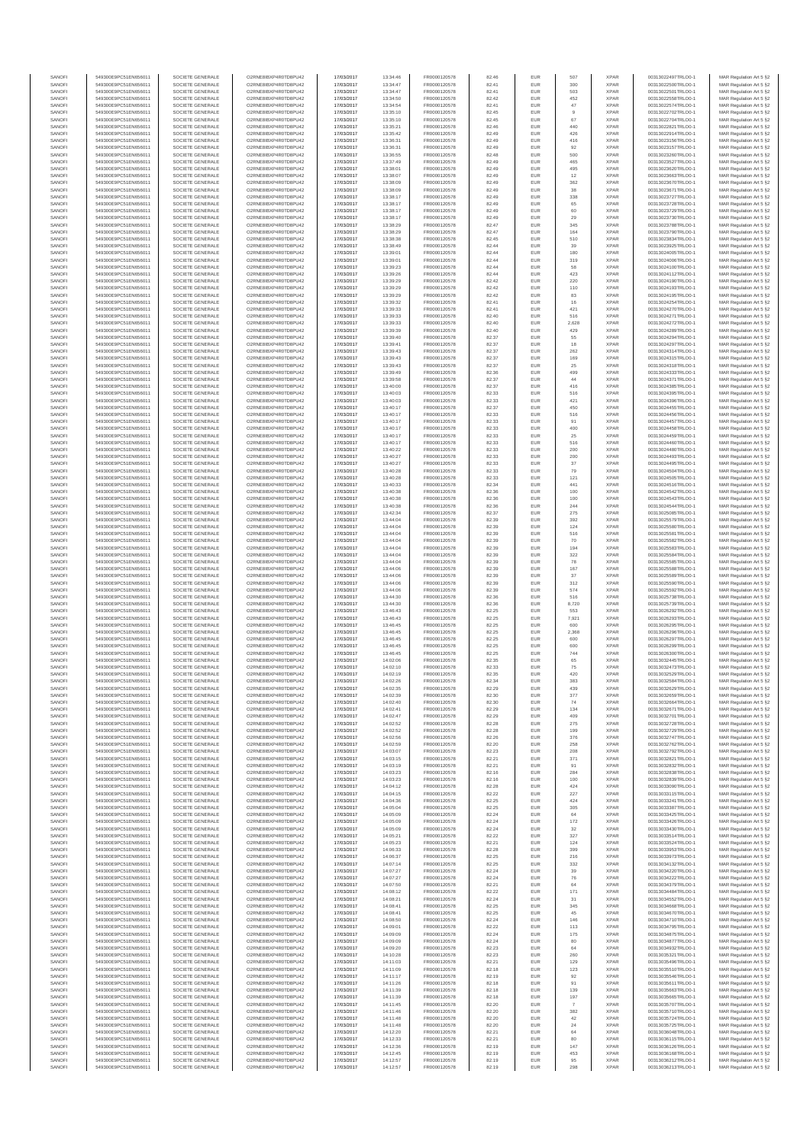| SANOFI           | 549300E9PC51EN656011                         | SOCIETE GENERALE                     | O2RNE8IBXP4R0TD8PU42                          | 17/03/2017               | 13:34:46             | FR0000120578                 | 82.46          | EUR               | 507          | <b>XPAR</b>                | 00313022497TRLO0-1                       | MAR Regulation Art 5 §2                             |
|------------------|----------------------------------------------|--------------------------------------|-----------------------------------------------|--------------------------|----------------------|------------------------------|----------------|-------------------|--------------|----------------------------|------------------------------------------|-----------------------------------------------------|
| SANOFI<br>SANOFI | 549300E9PC51EN656011<br>549300E9PC51EN656011 | SOCIETE GENERALE<br>SOCIETE GENERALE | O2RNE8IBXP4R0TD8PU42<br>O2RNE8IBXP4R0TD8PU42  | 17/03/2017<br>17/03/2017 | 13:34:47<br>13:34:47 | FR0000120578<br>FR0000120578 | 82.41<br>82.41 | <b>EUR</b><br>EUR | 300<br>503   | <b>XPAR</b><br><b>XPAR</b> | 00313022500TRLO0-1<br>00313022501TRLO0-1 | MAR Regulation Art 5 §2<br>MAR Regulation Art 5 §2  |
| SANOFI           | 549300E9PC51EN656011                         | SOCIETE GENERALE                     | O2RNE8IBXP4R0TD8PLI42                         | 17/03/2017               | 13:34:50             | FR0000120578                 | 82.42          | EUR               | 452          | <b>XPAR</b>                | 00313022558TRLO0-1                       | MAR Regulation Art 5 \$2                            |
| SANOFI           | 549300E9PC51EN656011                         | SOCIETE GENERALE                     | O2RNE8IBXP4R0TD8PU42                          | 17/03/2017               | 13:34:54             | FR0000120578                 | 82.41          | EUR               | 47           | <b>XPAR</b>                | 00313022574TRLO0-1                       | MAR Regulation Art 5 §2<br>MAR Regulation Art 5 §2  |
| SANOFI<br>SANOFI | 549300E9PC51EN656011<br>549300E9PC51EN656011 | SOCIETE GENERALE<br>SOCIETE GENERALE | O2RNE8IBXP4R0TD8PU42<br>O2RNE8IBXP4R0TD8PU42  | 17/03/2017<br>17/03/2017 | 13:35:10<br>13:35:10 | FR0000120578<br>FR0000120578 | 82.45<br>82.45 | EUR<br>EUR        | 9<br>67      | <b>XPAR</b><br><b>XPAR</b> | 00313022702TRLO0-1<br>00313022704TRLO0-1 | MAR Regulation Art 5 §2                             |
| SANOFI           | 549300E9PC51EN656011                         | SOCIETE GENERALE                     | O2RNE8IBXP4R0TD8PU42                          | 17/03/2017               | 13:35:21             | FR0000120578                 | 82.46          | EUR               | 440          | <b>XPAR</b>                | 00313022821TRLO0-1                       | MAR Regulation Art 5 §2                             |
| SANOFI           | 549300E9PC51EN656011                         | SOCIETE GENERALE                     | O2RNE8IBXP4R0TD8PU42                          | 17/03/2017               | 13:35:42             | FR0000120578                 | 82.49          | EUR               | 426          | <b>XPAR</b>                | 00313022914TRLO0-1                       | MAR Regulation Art 5 §2                             |
| SANOFI<br>SANOFI | 549300E9PC51EN656011<br>549300E9PC51EN656011 | SOCIETE GENERALE<br>SOCIETE GENERALE | O2RNE8IBXP4R0TD8PU42<br>O2RNE8IBXP4R0TD8PU42  | 17/03/2017<br>17/03/2017 | 13:36:31<br>13:36:31 | FR0000120578<br>FR0000120578 | 82.49<br>82.49 | EUR<br>EUR        | 416<br>92    | <b>XPAR</b><br><b>XPAR</b> | 00313023156TRLO0-1<br>00313023157TRLO0-1 | MAR Regulation Art 5 §2                             |
| SANOFI           | 549300E9PC51EN656011                         | SOCIETE GENERALE                     | O2RNE8IBXP4R0TD8PU42                          | 17/03/2017               | 13:36:55             | FR0000120578                 | 82.48          | EUR               | 500          | <b>XPAR</b>                | 00313023260TRLO0-1                       | MAR Regulation Art 5 §2<br>MAR Regulation Art 5 §2  |
| SANOFI           | 549300E9PC51EN656011                         | SOCIETE GENERALE                     | O2RNE8IBXP4R0TD8PU42                          | 17/03/2017               | 13:37:49             | FR0000120578                 | 82.49          | EUR               | 465          | <b>XPAR</b>                | 00313023527TRLO0-1                       | MAR Regulation Art 5 §2                             |
| SANOFI           | 549300E9PC51EN656011                         | SOCIETE GENERALE                     | O2RNE8IBXP4R0TD8PU42                          | 17/03/2017               | 13:38:01             | FR0000120578                 | 82.49          | EUR               | 495          | <b>XPAR</b>                | 00313023620TRLO0-1                       | MAR Regulation Art 5 §2                             |
| SANOFI<br>SANOFI | 549300E9PC51EN656011<br>549300E9PC51EN656011 | SOCIETE GENERALE<br>SOCIETE GENERALE | O2RNE8IBXP4R0TD8PU42<br>O2RNE8IBXP4R0TD8PU42  | 17/03/2017<br>17/03/2017 | 13:38:07<br>13:38:09 | FR0000120578<br>FR0000120578 | 82.49<br>82.49 | EUR<br>EUR        | 12<br>362    | <b>XPAR</b><br><b>XPAR</b> | 00313023663TRLO0-1<br>00313023670TRLO0-1 | MAR Regulation Art 5 §2<br>MAR Regulation Art 5 §2  |
| SANOFI           | 549300E9PC51EN656011                         | SOCIETE GENERALE                     | O2RNE8IBXP4R0TD8PU42                          | 17/03/2017               | 13:38:09             | FR0000120578                 | 82.49          | EUR               | 38           | <b>XPAR</b>                | 00313023671TRLO0-1                       | MAR Regulation Art 5 §2                             |
| SANOFI           | 549300E9PC51EN656011                         | SOCIETE GENERALE                     | O2RNE8IBXP4R0TD8PU42                          | 17/03/2017               | 13:38:17             | FR0000120578                 | 82.49          | EUR               | 338          | <b>XPAR</b>                | 00313023727TRLO0-1                       | MAR Regulation Art 5 §2                             |
| SANOFI           | 549300E9PC51EN656011                         | SOCIETE GENERALE                     | O2RNE8IBXP4R0TD8PU42                          | 17/03/2017               | 13:38:17             | FR0000120578                 | 82.49          | EUR               | 65           | <b>XPAR</b>                | 00313023728TRLO0-1                       | MAR Regulation Art 5 §2                             |
| SANOFI<br>SANOFI | 549300E9PC51EN656011<br>549300E9PC51EN656011 | SOCIETE GENERALE<br>SOCIETE GENERALE | O2RNE8IBXP4R0TD8PU42<br>O2RNE8IBXP4R0TD8PU42  | 17/03/2017<br>17/03/2017 | 13:38:17<br>13:38:17 | FR0000120578<br>FR0000120578 | 82.49<br>82.49 | EUR<br>EUR        | 60<br>29     | <b>XPAR</b><br><b>XPAR</b> | 00313023729TRLO0-1<br>00313023730TRLO0-1 | MAR Regulation Art 5 §2<br>MAR Regulation Art 5 §2  |
| SANOFI           | 549300E9PC51EN656011                         | SOCIETE GENERALE                     | O2RNE8IBXP4R0TD8PU42                          | 17/03/2017               | 13:38:29             | FR0000120578                 | 82.47          | EUR               | 345          | <b>XPAR</b>                | 00313023788TRLO0-1                       | MAR Regulation Art 5 §2                             |
| SANOFI           | 549300E9PC51EN656011                         | SOCIETE GENERALE                     | O2RNE8IBXP4R0TD8PU42                          | 17/03/2017               | 13:38:29             | FR0000120578                 | 82.47          | EUR               | 164          | <b>XPAR</b>                | 00313023790TRLO0-1                       | MAR Regulation Art 5 §2                             |
| SANOFI           | 549300E9PC51EN656011                         | SOCIETE GENERALE<br>SOCIETE GENERALE | O2RNE8IBXP4R0TD8PU42                          | 17/03/2017               | 13:38:38             | FR0000120578                 | 82.45          | EUR               | 510          | <b>XPAR</b>                | 00313023834TRLO0-1                       | MAR Regulation Art 5 §2                             |
| SANOFI<br>SANOFI | 549300E9PC51EN656011<br>549300E9PC51EN656011 | SOCIETE GENERALE                     | O2RNE8IBXP4R0TD8PU42<br>O2RNE8IBXP4R0TD8PU42  | 17/03/2017<br>17/03/2017 | 13:38:49<br>13:39:01 | FR0000120578<br>FR0000120578 | 82.44<br>82.44 | EUR<br>EUR        | 39<br>180    | <b>XPAR</b><br><b>XPAR</b> | 00313023925TRLO0-1<br>00313024005TRLO0-1 | MAR Regulation Art 5 §2<br>MAR Regulation Art 5 §2  |
| SANOFI           | 549300E9PC51EN656011                         | SOCIETE GENERALE                     | O2RNE8IBXP4R0TD8PU42                          | 17/03/2017               | 13:39:01             | FR0000120578                 | 82.44          | EUR               | 319          | <b>XPAR</b>                | 00313024006TRLO0-1                       | MAR Regulation Art 5 §2                             |
| SANOFI           | 549300E9PC51EN656011                         | SOCIETE GENERALE                     | O2RNE8IBXP4R0TD8PU42                          | 17/03/2017               | 13:39:23             | FR0000120578                 | 82.44          | EUR               | 58           | <b>XPAR</b>                | 00313024100TRLO0-1                       | MAR Regulation Art 5 §2                             |
| SANOFI           | 549300E9PC51EN656011                         | SOCIETE GENERALE                     | O2RNE8IBXP4R0TD8PU42                          | 17/03/2017               | 13:39:26             | FR0000120578                 | 82.44          | EUR               | 423          | <b>XPAR</b>                | 00313024112TRLO0-1                       | MAR Regulation Art 5 §2                             |
| SANOFI<br>SANOFI | 549300E9PC51EN656011<br>549300E9PC51EN656011 | SOCIETE GENERALE<br>SOCIETE GENERALE | O2RNE8IBXP4R0TD8PU42<br>O2RNE8IBXP4R0TD8PU42  | 17/03/2017<br>17/03/2017 | 13:39:29<br>13:39:29 | FR0000120578<br>FR0000120578 | 82.42<br>82.42 | EUR<br>EUR        | 220<br>110   | <b>XPAR</b><br><b>XPAR</b> | 00313024190TRLO0-1<br>00313024193TRLO0-1 | MAR Regulation Art 5 §2<br>MAR Regulation Art 5 \$2 |
| SANOFI           | 549300E9PC51EN656011                         | SOCIETE GENERALE                     | O2RNE8IBXP4R0TD8PU42                          | 17/03/2017               | 13:39:29             | FR0000120578                 | 82.42          | EUR               | 83           | <b>XPAR</b>                | 00313024195TRLO0-1                       | MAR Regulation Art 5 §2                             |
| SANOFI           | 549300E9PC51EN656011                         | SOCIETE GENERALE                     | O2RNE8IBXP4R0TD8PU42                          | 17/03/2017               | 13:39:32             | FR0000120578                 | 82.41          | EUR               | $16$         | <b>XPAR</b>                | 00313024254TRLO0-1                       | MAR Regulation Art 5 §2                             |
| SANOFI           | 549300E9PC51EN656011                         | SOCIETE GENERALE                     | O2RNE8IBXP4R0TD8PU42                          | 17/03/2017               | 13:39:33             | FR0000120578                 | 82.41          | EUR               | 421          | <b>XPAR</b>                | 00313024270TRLO0-1                       | MAR Regulation Art 5 §2                             |
| SANOFI<br>SANOFI | 549300E9PC51EN656011<br>549300E9PC51EN656011 | SOCIETE GENERALE<br>SOCIETE GENERALE | O2RNE8IBXP4R0TD8PU42<br>O2RNE8IBXP4R0TD8PU42  | 17/03/2017<br>17/03/2017 | 13:39:33<br>13:39:33 | FR0000120578<br>FR0000120578 | 82.40<br>82.40 | EUR<br>EUR        | 516<br>2,628 | <b>XPAR</b><br><b>XPAR</b> | 00313024271TRLO0-1<br>00313024272TRLO0-1 | MAR Regulation Art 5 §2<br>MAR Regulation Art 5 §2  |
| SANOFI           | 549300E9PC51EN656011                         | SOCIETE GENERALE                     | O2RNE8IBXP4R0TD8PU42                          | 17/03/2017               | 13:39:39             | FR0000120578                 | 82.40          | EUR               | 429          | <b>XPAR</b>                | 00313024289TRLO0-1                       | MAR Regulation Art 5 §2                             |
| SANOFI           | 549300E9PC51EN656011                         | SOCIETE GENERALE                     | O2RNE8IBXP4R0TD8PU42                          | 17/03/2017               | 13:39:40             | FR0000120578                 | 82.37          | EUR               | 55           | <b>XPAR</b>                | 00313024294TRLO0-1                       | MAR Regulation Art 5 \$2                            |
| SANOFI<br>SANOFI | 549300E9PC51EN656011                         | SOCIETE GENERALE<br>SOCIETE GENERALE | O2RNE8IBXP4R0TD8PU42<br>O2RNE8IBXP4R0TD8PU42  | 17/03/2017               | 13:39:41             | FR0000120578<br>FR0000120578 | 82.37<br>82.37 | EUR<br>EUR        | 18<br>262    | <b>XPAR</b><br><b>XPAR</b> | 00313024297TRLO0-1<br>00313024314TRLO0-1 | MAR Regulation Art 5 §2<br>MAR Regulation Art 5 §2  |
| SANOFI           | 549300E9PC51EN656011<br>549300E9PC51EN656011 | SOCIETE GENERALE                     | O2RNE8IBXP4R0TD8PU42                          | 17/03/2017<br>17/03/2017 | 13:39:43<br>13:39:43 | FR0000120578                 | 82.37          | EUR               | 169          | <b>XPAR</b>                | 00313024315TRLO0-1                       | MAR Regulation Art 5 §2                             |
| SANOFI           | 549300E9PC51EN656011                         | SOCIETE GENERALE                     | O2RNE8IBXP4R0TD8PU42                          | 17/03/2017               | 13:39:43             | FR0000120578                 | 82.37          | EUR               | 25           | <b>XPAR</b>                | 00313024318TRLO0-1                       | MAR Regulation Art 5 §2                             |
| SANOFI           | 549300E9PC51EN656011                         | SOCIETE GENERALE                     | O2RNE8IBXP4R0TD8PU42                          | 17/03/2017               | 13:39:49             | FR0000120578                 | 82.36          | EUR               | 499          | <b>XPAR</b>                | 00313024333TRLO0-1                       | MAR Regulation Art 5 §2                             |
| SANOFI           | 549300E9PC51EN656011<br>549300E9PC51EN656011 | SOCIETE GENERALE                     | O2RNE8IBXP4R0TD8PU42                          | 17/03/2017               | 13:39:58             | FR0000120578                 | 82.37          | EUR               | 44           | <b>XPAR</b>                | 00313024371TRLO0-1                       | MAR Regulation Art 5 §2                             |
| SANOFI<br>SANOFI | 549300E9PC51EN656011                         | SOCIETE GENERALE<br>SOCIETE GENERALE | O2RNE8IBXP4R0TD8PU42<br>O2RNE8IBXP4R0TD8PU42  | 17/03/2017<br>17/03/2017 | 13:40:00<br>13:40:03 | FR0000120578<br>FR0000120578 | 82.37<br>82.33 | EUR<br>EUR        | 416<br>516   | <b>XPAR</b><br><b>XPAR</b> | 00313024385TRLO0-1<br>00313024395TRLO0-1 | MAR Regulation Art 5 §2<br>MAR Regulation Art 5 §2  |
| SANOFI           | 549300E9PC51EN656011                         | SOCIETE GENERALE                     | O2RNE8IBXP4R0TD8PU42                          | 17/03/2017               | 13:40:03             | FR0000120578                 | 82.33          | EUR               | 421          | <b>XPAR</b>                | 00313024396TRLO0-1                       | MAR Regulation Art 5 \$2                            |
| SANOFI           | 549300E9PC51EN656011                         | SOCIETE GENERALE                     | O2RNE8IBXP4R0TD8PU42                          | 17/03/2017               | 13:40:17             | FR0000120578                 | 82.37          | EUR               | 450          | <b>XPAR</b>                | 00313024455TRLO0-1                       | MAR Regulation Art 5 §2                             |
| SANOFI<br>SANOFI | 549300E9PC51EN656011                         | SOCIETE GENERALE                     | O2RNE8IBXP4R0TD8PU42<br>O2RNE8IBXP4R0TD8PU42  | 17/03/2017               | 13:40:17             | FR0000120578                 | 82.33          | EUR<br>EUR        | 516<br>91    | <b>XPAR</b><br><b>XPAR</b> | 00313024456TRLO0-1<br>00313024457TRLO0-1 | MAR Regulation Art 5 §2                             |
| SANOFI           | 549300E9PC51EN656011<br>549300E9PC51EN656011 | SOCIETE GENERALE<br>SOCIETE GENERALE | O2RNE8IBXP4R0TD8PU42                          | 17/03/2017<br>17/03/2017 | 13:40:17<br>13:40:17 | FR0000120578<br>FR0000120578 | 82.33<br>82.33 | EUR               | 400          | <b>XPAR</b>                | 00313024458TRLO0-1                       | MAR Regulation Art 5 §2<br>MAR Regulation Art 5 §2  |
| SANOFI           | 549300E9PC51EN656011                         | SOCIETE GENERALE                     | O2RNE8IBXP4R0TD8PU42                          | 17/03/2017               | 13:40:17             | FR0000120578                 | 82.33          | EUR               | 25           | <b>XPAR</b>                | 00313024459TRLO0-1                       | MAR Regulation Art 5 §2                             |
| SANOFI           | 549300E9PC51EN656011                         | SOCIETE GENERALE                     | O2RNE8IBXP4R0TD8PU42                          | 17/03/2017               | 13:40:17             | FR0000120578                 | 82.33          | EUR               | 516          | <b>XPAR</b>                | 00313024460TRLO0-1                       | MAR Regulation Art 5 §2                             |
| SANOFI<br>SANOFI | 549300E9PC51EN656011<br>549300E9PC51EN656011 | SOCIETE GENERALE<br>SOCIETE GENERALE | O2RNE8IBXP4R0TD8PU42<br>O2RNE8IBXP4R0TD8PU42  | 17/03/2017<br>17/03/2017 | 13:40:22<br>13:40:27 | FR0000120578<br>FR0000120578 | 82.33<br>82.33 | EUR<br>EUR        | 200<br>200   | <b>XPAR</b><br><b>XPAR</b> | 00313024480TRLO0-1<br>00313024493TRLO0-1 | MAR Regulation Art 5 §2<br>MAR Regulation Art 5 §2  |
| SANOFI           | 549300E9PC51EN656011                         | SOCIETE GENERALE                     | O2RNE8IBXP4R0TD8PU42                          | 17/03/2017               | 13:40:27             | FR0000120578                 | 82.33          | EUR               | 37           | <b>XPAR</b>                | 00313024495TRLO0-1                       | MAR Regulation Art 5 62                             |
| SANOFI           | 549300E9PC51EN656011                         | SOCIETE GENERALE                     | O2RNE8IBXP4R0TD8PU42                          | 17/03/2017               | 13:40:28             | FR0000120578                 | 82.33          | EUR               | 79           | <b>XPAR</b>                | 00313024504TRLO0-1                       | MAR Regulation Art 5 §2                             |
| SANOFI           | 549300E9PC51EN656011                         | SOCIETE GENERALE                     | O2RNE8IBXP4R0TD8PU42                          | 17/03/2017               | 13:40:28             | FR0000120578                 | 82.33          | EUR               | 121          | <b>XPAR</b>                | 00313024505TRLO0-1                       | MAR Regulation Art 5 §2                             |
| SANOFI<br>SANOFI | 549300E9PC51EN656011<br>549300E9PC51EN656011 | SOCIETE GENERALE<br>SOCIETE GENERALE | O2RNE8IBXP4R0TD8PU42<br>O2RNE8IBXP4R0TD8PU42  | 17/03/2017<br>17/03/2017 | 13:40:33<br>13:40:38 | FR0000120578<br>FR0000120578 | 82.34<br>82.36 | EUR<br>EUR        | 441<br>100   | <b>XPAR</b><br><b>XPAR</b> | 00313024516TRLO0-1<br>00313024542TRLO0-1 | MAR Regulation Art 5 §2<br>MAR Regulation Art 5 §2  |
| SANOFI           | 549300E9PC51EN656011                         | SOCIETE GENERALE                     | O2RNE8IBXP4R0TD8PU42                          | 17/03/2017               | 13:40:38             | FR0000120578                 | 82.36          | EUR               | 100          | <b>XPAR</b>                | 00313024543TRLO0-1                       | MAR Regulation Art 5 §2                             |
| SANOFI           | 549300E9PC51EN656011                         | SOCIETE GENERALE                     | O2RNE8IBXP4R0TD8PU42                          | 17/03/2017               | 13:40:38             | FR0000120578                 | 82.36          | EUR               | 244          | <b>XPAR</b>                | 00313024544TRLO0-1                       | MAR Regulation Art 5 §2                             |
| SANOFI           | 549300E9PC51EN656011                         | SOCIETE GENERALE                     | O2RNE8IBXP4R0TD8PU42                          | 17/03/2017               | 13:42:34             | FR0000120578                 | 82.37          | EUR               | 275          | <b>XPAR</b>                | 00313025085TRLO0-1                       | MAR Regulation Art 5 §2                             |
| SANOFI<br>SANOFI | 549300E9PC51EN656011<br>549300E9PC51EN656011 | SOCIETE GENERALE<br>SOCIETE GENERALE | O2RNE8IBXP4R0TD8PU42<br>O2RNE8IBXP4R0TD8PU42  | 17/03/2017<br>17/03/2017 | 13:44:04<br>13:44:04 | FR0000120578<br>FR0000120578 | 82.39<br>82.39 | EUR<br>EUR        | 392<br>124   | <b>XPAR</b><br><b>XPAR</b> | 00313025579TRLO0-1<br>00313025580TRLO0-1 | MAR Regulation Art 5 §2<br>MAR Regulation Art 5 §2  |
| SANOFI           | 549300E9PC51EN656011                         | SOCIETE GENERALE                     | O2RNE8IBXP4R0TD8PU42                          | 17/03/2017               | 13:44:04             | FR0000120578                 | 82.39          | EUR               | 516          | <b>XPAR</b>                | 00313025581TRLO0-1                       | MAR Regulation Art 5 §2                             |
| SANOFI           | 549300E9PC51EN656011                         | SOCIETE GENERALE                     | O2RNE8IBXP4R0TD8PU42                          | 17/03/2017               | 13:44:04             | FR0000120578                 | 82.39          | EUR               | 70           | <b>XPAR</b>                | 00313025582TRLO0-1                       | MAR Regulation Art 5 §2                             |
| SANOFI           | 549300E9PC51EN656011                         | SOCIETE GENERALE                     | O2RNE8IBXP4R0TD8PU42                          | 17/03/2017               | 13:44:04             | FR0000120578                 | 82.39          | EUR               | 194          | <b>XPAR</b>                | 00313025583TRLO0-1                       | MAR Regulation Art 5 §2                             |
| SANOFI<br>SANOFI | 549300E9PC51EN656011<br>549300E9PC51EN656011 | SOCIETE GENERALE<br>SOCIETE GENERALE | O2RNE8IBXP4R0TD8PU42<br>O2RNE8IBXP4R0TD8PU42  | 17/03/2017<br>17/03/2017 | 13:44:04<br>13:44:04 | FR0000120578<br>FR0000120578 | 82.39<br>82.39 | EUR<br>EUR        | 322<br>78    | <b>XPAR</b><br><b>XPAR</b> | 00313025584TRLO0-1<br>00313025585TRLO0-1 | MAR Regulation Art 5 §2<br>MAR Regulation Art 5 §2  |
| SANOFI           | 549300E9PC51EN656011                         | SOCIETE GENERALE                     | O2RNE8IBXP4R0TD8PU42                          | 17/03/2017               | 13:44:06             | FR0000120578                 | 82.39          | EUR               | 167          | <b>XPAR</b>                | 00313025588TRLO0-1                       | MAR Regulation Art 5 §2                             |
| SANOFI           | 549300E9PC51EN656011                         | SOCIETE GENERALE                     | O2RNE8IBXP4R0TD8PU42                          | 17/03/2017               | 13:44:06             | FR0000120578                 | 82.39          | EUR               | 37           | <b>XPAR</b>                | 00313025589TRLO0-1                       | MAR Regulation Art 5 §2                             |
| SANOFI           | 549300E9PC51EN656011                         | SOCIETE GENERALE                     | O2RNE8IBXP4R0TD8PU42                          | 17/03/2017               | 13:44:06             | FR0000120578                 | 82.39          | EUR               | 312          | <b>XPAR</b>                | 00313025590TRLO0-1                       | MAR Regulation Art 5 §2                             |
| SANOFI<br>SANOFI | 549300E9PC51EN656011<br>549300E9PC51EN656011 | SOCIETE GENERALE<br>SOCIETE GENERALE | O2RNE8IBXP4R0TD8PU42<br>O2RNE8IBXP4R0TD8PU42  | 17/03/2017<br>17/03/2017 | 13:44:06<br>13:44:30 | FR0000120578<br>FR0000120578 | 82.39<br>82.36 | EUR<br>EUR        | 574<br>516   | <b>XPAR</b><br><b>XPAR</b> | 00313025592TRLO0-1<br>00313025738TRLO0-1 | MAR Regulation Art 5 §2<br>MAR Regulation Art 5 §2  |
| SANOFI           | 549300E9PC51EN656011                         | SOCIETE GENERALE                     | O2RNE8IBXP4R0TD8PU42                          | 17/03/2017               | 13:44:30             | FR0000120578                 | 82.36          | EUR               | 8,720        | <b>XPAR</b>                | 00313025739TRLO0-1                       | MAR Regulation Art 5 §2                             |
| SANOFI           | 549300E9PC51EN656011                         | SOCIETE GENERALE                     | O2RNE8IBXP4R0TD8PU42                          | 17/03/2017               | 13:46:43             | FR0000120578                 | 82.25          | EUR               | 553          | <b>XPAR</b>                | 00313026292TRLO0-1                       | MAR Regulation Art 5 §2                             |
| SANOFI           | 549300E9PC51EN656011                         | SOCIETE GENERALE                     | O2RNE8IBXP4R0TD8PU42                          | 17/03/2017               | 13:46:43             | FR0000120578                 | 82.25          | EUR               | 7,921        | <b>XPAR</b>                | 00313026293TRLO0-1                       | MAR Regulation Art 5 §2                             |
| SANOFI<br>SANOFI | 549300E9PC51EN656011<br>549300E9PC51EN656011 | SOCIETE GENERALE<br>SOCIETE GENERALE | O2RNE8IBXP4R0TD8PLI42<br>O2RNE8IBXP4R0TD8PU42 | 17/03/2017<br>17/03/2017 | 13:46:45<br>13:46:45 | FR0000120578<br>FR0000120578 | 82.25<br>82.25 | EUR<br>EUR        | 600<br>2,368 | <b>XPAR</b><br><b>XPAR</b> | 00313026295TRLO0-1<br>00313026296TRLO0-1 | MAR Regulation Art 5 §2<br>MAR Regulation Art 5 §2  |
| SANOFI           | 549300E9PC51EN656011                         | SOCIETE GENERALE                     | O2RNE8IBXP4R0TD8PU42                          | 17/03/2017               | 13:46:45             | FR0000120578                 | 82.25          | EUR               | 600          | <b>XPAR</b>                | 00313026297TRLO0-1                       | MAR Regulation Art 5 \$2                            |
| SANOFI           | 549300E9PC51EN656011                         | SOCIETE GENERALE                     | O2RNE8IBXP4R0TD8PU42                          | 17/03/2017               | 13:46:45             | FR0000120578                 | 82.25          | EUR               | 600          | <b>XPAR</b>                | 00313026299TRLO0-1                       | MAR Regulation Art 5 §2                             |
| SANOFI           | 549300E9PC51EN656011                         | SOCIETE GENERALE                     | O2RNE8IBXP4R0TD8PU42                          | 17/03/2017               | 13:46:45             | FR0000120578                 | 82.25          | EUR               | 744          | <b>XPAR</b>                | 00313026300TRLO0-1<br>00313032445TRLO0-1 | MAR Regulation Art 5 §2                             |
| SANOFI<br>SANOFI | 549300E9PC51EN656011<br>549300E9PC51EN656011 | SOCIETE GENERALE<br>SOCIETE GENERALE | O2RNE8IBXP4R0TD8PU42<br>O2RNE8IBXP4R0TD8PU42  | 17/03/2017<br>17/03/2017 | 14:02:06<br>14:02:10 | FR0000120578<br>FR0000120578 | 82.35<br>82.33 | EUR<br>EUR        | 65<br>75     | <b>XPAR</b><br><b>XPAR</b> | 00313032473TRLO0-1                       | MAR Regulation Art 5 §2<br>MAR Regulation Art 5 §2  |
| SANOFI           | 549300E9PC51EN656011                         | SOCIETE GENERALE                     | O2RNE8IBXP4R0TD8PU42                          | 17/03/2017               | 14:02:19             | FR0000120578                 | 82.35          | EUR               | 420          | <b>XPAR</b>                | 00313032529TRLO0-1                       | MAR Regulation Art 5 §2                             |
| SANOFI           | 549300E9PC51EN656011                         | SOCIETE GENERALE                     | O2RNE8IBXP4R0TD8PU42                          | 17/03/2017               | 14:02:26             | FR0000120578                 | 82.34          | EUR               | 383          | <b>XPAR</b>                | 00313032584TRLO0-1                       | MAR Regulation Art 5 §2                             |
| SANOFI           | 549300E9PC51EN656011                         | SOCIETE GENERALE                     | O2RNE8IBXP4R0TD8PU42                          | 17/03/2017               | 14:02:35             | FR0000120578                 | 82.29          | EUR               | 439          | <b>XPAR</b>                | 00313032629TRLO0-1                       | MAR Regulation Art 5 §2                             |
| SANOFI<br>SANOFI | 549300E9PC51EN656011<br>549300E9PC51EN656011 | SOCIETE GENERALE<br>SOCIETE GENERALE | O2RNE8IBXP4R0TD8PU42<br>O2RNE8IBXP4R0TD8PU42  | 17/03/2017<br>17/03/2017 | 14:02:39<br>14:02:40 | FR0000120578<br>FR0000120578 | 82.30<br>82.30 | EUR<br>EUR        | 377<br>74    | <b>XPAR</b><br><b>XPAR</b> | 00313032659TRLO0-1<br>00313032664TRLO0-1 | MAR Regulation Art 5 §2<br>MAR Regulation Art 5 §2  |
| SANOFI           | 549300E9PC51EN656011                         | SOCIETE GENERALE                     | O2RNE8IBXP4R0TD8PU42                          | 17/03/2017               | 14:02:41             | FR0000120578                 | 82.29          | EUR               | 134          | <b>XPAR</b>                | 00313032671TRLO0-1                       | MAR Regulation Art 5 §2                             |
| SANOFI           | 549300E9PC51EN656011                         | SOCIETE GENERALE                     | O2RNE8IBXP4R0TD8PU42                          | 17/03/2017               | 14:02:47             | FR0000120578                 | 82.29          | EUR               | 409          | <b>XPAR</b>                | 00313032701TRLO0-1                       | MAR Regulation Art 5 §2                             |
| SANOFI           | 549300E9PC51EN656011                         | SOCIETE GENERALE                     | O2RNE8IBXP4R0TD8PU42<br>O2RNESIBXP4R0TD8PLI42 | 17/03/2017               | 14:02:52             | FR0000120578                 | 82.28          | EUR               | 275          | <b>XPAR</b>                | 00313032728TRLO0-1                       | MAR Regulation Art 5 §2                             |
| SANOFI<br>SANOFI | 549300E9PC51EN656011<br>549300E9PC51EN656011 | SOCIETE GENERALE<br>SOCIETE GENERALE | O2RNE8IBXP4R0TD8PU42                          | 17/03/2017<br>17/03/2017 | 14:02:52<br>14:02:56 | FR0000120578<br>FR0000120578 | 82.28<br>82.26 | EUR<br>EUR        | 199<br>376   | <b>XPAR</b><br><b>XPAR</b> | 00313032729TRLO0-1<br>00313032747TRLO0-1 | MAR Regulation Art 5 §2<br>MAR Regulation Art 5 §2  |
| SANOFI           | 549300E9PC51EN656011                         | SOCIETE GENERALE                     | O2RNE8IBXP4R0TD8PU42                          | 17/03/2017               | 14:02:59             | FR0000120578                 | 82.20          | EUR               | 258          | <b>XPAR</b>                | 00313032762TRLO0-1                       | MAR Regulation Art 5 §2                             |
| SANOFI           | 549300E9PC51EN656011                         | SOCIETE GENERALE                     | O2RNE8IBXP4R0TD8PU42                          | 17/03/2017               | 14:03:07             | FR0000120578                 | 82.23          | EUR               | 208          | <b>XPAR</b>                | 00313032792TRLO0-1                       | MAR Regulation Art 5 §2                             |
| SANOFI<br>SANOFI | 549300E9PC51EN656011<br>549300E9PC51EN656011 | SOCIETE GENERALE<br>SOCIETE GENERALE | O2RNE8IBXP4R0TD8PU42<br>O2RNE8IBXP4R0TD8PU42  | 17/03/2017<br>17/03/2017 | 14:03:15<br>14:03:19 | FR0000120578<br>FR0000120578 | 82.21<br>82.21 | EUR<br>EUR        | 371<br>91    | <b>XPAR</b><br><b>XPAR</b> | 00313032821TRLO0-1<br>00313032832TRLO0-1 | MAR Regulation Art 5 §2<br>MAR Regulation Art 5 §2  |
| SANOFI           | 549300E9PC51EN656011                         | SOCIETE GENERALE                     | O2RNE8IBXP4R0TD8PU42                          | 17/03/2017               | 14:03:23             | FR0000120578                 | 82.16          | EUR               | 284          | <b>XPAR</b>                | 00313032838TRLO0-1                       | MAR Regulation Art 5 §2                             |
| SANOFI           | 549300E9PC51EN656011                         | SOCIETE GENERALE                     | O2RNE8IBXP4R0TD8PU42                          | 17/03/2017               | 14:03:23             | FR0000120578                 | 82.16          | EUR               | 100          | <b>XPAR</b>                | 00313032839TRLO0-1                       | MAR Regulation Art 5 §2                             |
| SANOFI           | 549300E9PC51EN656011                         | SOCIETE GENERALE                     | O2RNE8IBXP4R0TD8PU42                          | 17/03/2017               | 14:04:12             | FR0000120578                 | 82.28          | EUR               | 424          | <b>XPAR</b><br><b>XPAR</b> | 00313033090TRLO0-1<br>00313033115TRLO0-1 | MAR Regulation Art 5 §2                             |
| SANOFI<br>SANOFI | 549300E9PC51EN656011<br>549300E9PC51EN656011 | SOCIETE GENERALE<br>SOCIETE GENERALE | O2RNE8IBXP4R0TD8PU42<br>O2RNE8IBXP4R0TD8PU42  | 17/03/2017<br>17/03/2017 | 14:04:15<br>14:04:36 | FR0000120578<br>FR0000120578 | 82.22<br>82.25 | EUR<br>EUR        | 227<br>424   | <b>XPAR</b>                | 00313033241TRLO0-1                       | MAR Regulation Art 5 §2<br>MAR Regulation Art 5 §2  |
| SANOFI           | 549300E9PC51EN656011                         | SOCIETE GENERALE                     | O2RNE8IBXP4R0TD8PU42                          | 17/03/2017               | 14:05:04             | FR0000120578                 | 82.25          | EUR               | 305          | <b>XPAR</b>                | 00313033387TRLO0-1                       | MAR Regulation Art 5 §2                             |
| SANOFI           | 549300E9PC51EN656011                         | SOCIETE GENERALE                     | O2RNE8IBXP4R0TD8PU42                          | 17/03/2017               | 14:05:09             | FR0000120578                 | 82.24          | EUR               | 64           | <b>XPAR</b>                | 00313033425TRLO0-1                       | MAR Regulation Art 5 §2                             |
| SANOFI<br>SANOFI | 549300E9PC51EN656011<br>549300E9PC51EN656011 | SOCIETE GENERALE<br>SOCIETE GENERALE | O2RNE8IBXP4R0TD8PU42<br>O2RNE8IBXP4R0TD8PU42  | 17/03/2017<br>17/03/2017 | 14:05:09<br>14:05:09 | FR0000120578<br>FR0000120578 | 82.24<br>82.24 | EUR<br>EUR        | 172<br>32    | <b>XPAR</b><br><b>XPAR</b> | 00313033426TRLO0-1<br>00313033430TRLO0-1 | MAR Regulation Art 5 §2<br>MAR Regulation Art 5 §2  |
| SANOFI           | 549300E9PC51EN656011                         | SOCIETE GENERALE                     | O2RNE8IBXP4R0TD8PU42                          | 17/03/2017               | 14:05:21             | FR0000120578                 | 82.22          | EUR               | 327          | <b>XPAR</b>                | 00313033514TRLO0-1                       | MAR Regulation Art 5 §2                             |
| SANOFI           | 549300E9PC51EN656011                         | SOCIETE GENERALE                     | O2RNE8IBXP4R0TD8PU42                          | 17/03/2017               | 14:05:23             | FR0000120578                 | 82.21          | EUR               | 124          | <b>XPAR</b>                | 00313033524TRLO0-1                       | MAR Regulation Art 5 §2                             |
| SANOFI           | 549300E9PC51EN656011                         | SOCIETE GENERALE                     | O2RNE8IBXP4R0TD8PU42                          | 17/03/2017               | 14:06:33             | FR0000120578                 | 82.28          | EUR               | 399          | <b>XPAR</b>                | 00313033953TRLO0-1                       | MAR Regulation Art 5 §2                             |
| SANOFI<br>SANOFI | 549300E9PC51EN656011<br>549300E9PC51EN656011 | SOCIETE GENERALE<br>SOCIETE GENERALE | O2RNE8IBXP4R0TD8PU42<br>O2RNE8IBXP4R0TD8PU42  | 17/03/2017<br>17/03/2017 | 14:06:37<br>14:07:14 | FR0000120578<br>FR0000120578 | 82.25<br>82.25 | EUR<br>EUR        | 216<br>332   | <b>XPAR</b><br><b>XPAR</b> | 00313033973TRLO0-1<br>00313034132TRLO0-1 | MAR Regulation Art 5 §2<br>MAR Regulation Art 5 §2  |
| SANOFI           | 549300E9PC51EN656011                         | SOCIETE GENERALE                     | O2RNE8IBXP4R0TD8PU42                          | 17/03/2017               | 14:07:27             | FR0000120578                 | 82.24          | EUR               | 39           | <b>XPAR</b>                | 00313034220TRLO0-1                       | MAR Regulation Art 5 §2                             |
| SANOFI           | 549300E9PC51EN656011                         | SOCIETE GENERALE                     | O2RNE8IBXP4R0TD8PU42                          | 17/03/2017               | 14:07:27             | FR0000120578                 | 82.24          | EUR               | 76           | <b>XPAR</b>                | 00313034222TRLO0-1                       | MAR Regulation Art 5 §2                             |
| SANOFI           | 549300E9PC51EN656011                         | SOCIETE GENERALE                     | O2RNE8IBXP4R0TD8PU42                          | 17/03/2017               | 14:07:50             | FR0000120578                 | 82.21          | EUR               | 64           | <b>XPAR</b>                | 00313034379TRLO0-1                       | MAR Regulation Art 5 §2                             |
| SANOFI<br>SANOFI | 549300E9PC51EN656011<br>549300E9PC51EN656011 | SOCIETE GENERALE<br>SOCIETE GENERALE | O2RNE8IBXP4R0TD8PU42<br>O2RNE8IBXP4R0TD8PU42  | 17/03/2017<br>17/03/2017 | 14:08:12<br>14:08:21 | FR0000120578<br>FR0000120578 | 82.22<br>82.24 | EUR<br>EUR        | 171<br>31    | <b>XPAR</b><br><b>XPAR</b> | 00313034484TRLO0-1<br>00313034552TRLO0-1 | MAR Regulation Art 5 §2<br>MAR Regulation Art 5 §2  |
| SANOFI           | 549300E9PC51EN656011                         | SOCIETE GENERALE                     | O2RNE8IBXP4R0TD8PU42                          | 17/03/2017               | 14:08:41             | FR0000120578                 | 82.25          | EUR               | 345          | <b>XPAR</b>                | 00313034668TRLO0-1                       | MAR Regulation Art 5 §2                             |
| SANOFI           | 549300E9PC51EN656011                         | SOCIETE GENERALE                     | O2RNE8IBXP4R0TD8PU42                          | 17/03/2017               | 14:08:41             | FR0000120578                 | 82.25          | EUR               | 45           | <b>XPAR</b>                | 00313034670TRLO0-1                       | MAR Regulation Art 5 §2                             |
| SANOFI           | 549300E9PC51EN656011                         | SOCIETE GENERALE                     | O2RNE8IBXP4R0TD8PU42                          | 17/03/2017               | 14:08:50             | FR0000120578                 | 82.24          | EUR               | 146          | <b>XPAR</b>                | 00313034710TRLO0-1                       | MAR Regulation Art 5 §2                             |
| SANOFI<br>SANOFI | 549300E9PC51EN656011<br>549300E9PC51EN656011 | SOCIETE GENERALE<br>SOCIETE GENERALE | O2RNE8IBXP4R0TD8PU42<br>O2RNE8IBXP4R0TD8PU42  | 17/03/2017<br>17/03/2017 | 14:09:01<br>14:09:09 | FR0000120578<br>FR0000120578 | 82.22<br>82.24 | EUR<br>EUR        | 113<br>175   | <b>XPAR</b><br><b>XPAR</b> | 00313034795TRLO0-1<br>00313034875TRLO0-1 | MAR Regulation Art 5 §2<br>MAR Regulation Art 5 §2  |
| SANOFI           | 549300E9PC51EN656011                         | SOCIETE GENERALE                     | O2RNE8IBXP4R0TD8PU42                          | 17/03/2017               | 14:09:09             | FR0000120578                 | 82.24          | EUR               | 80           | <b>XPAR</b>                | 00313034877TRLO0-1                       | MAR Regulation Art 5 §2                             |
| SANOFI           | 549300E9PC51EN656011                         | SOCIETE GENERALE                     | O2RNE8IBXP4R0TD8PU42                          | 17/03/2017               | 14:09:20             | FR0000120578                 | 82.23          | EUR               | 64           | <b>XPAR</b>                | 00313034932TRLO0-1                       | MAR Regulation Art 5 §2                             |
| SANOFI           | 549300E9PC51EN656011                         | SOCIETE GENERALE                     | O2RNE8IBXP4R0TD8PU42                          | 17/03/2017               | 14:10:28             | FR0000120578                 | 82.23          | EUR               | 260          | <b>XPAR</b>                | 00313035321TRLO0-1                       | MAR Regulation Art 5 §2                             |
| SANOFI<br>SANOFI | 549300E9PC51EN656011<br>549300E9PC51EN656011 | SOCIETE GENERALE<br>SOCIETE GENERALE | O2RNE8IBXP4R0TD8PU42<br>O2RNE8IBXP4R0TD8PU42  | 17/03/2017<br>17/03/2017 | 14:11:03<br>14:11:09 | FR0000120578<br>FR0000120578 | 82.21<br>82.18 | EUR<br>EUR        | 129<br>123   | <b>XPAR</b><br><b>XPAR</b> | 00313035496TRLO0-1<br>00313035510TRLO0-1 | MAR Regulation Art 5 §2<br>MAR Regulation Art 5 §2  |
| SANOFI           | 549300E9PC51EN656011                         | SOCIETE GENERALE                     | O2RNE8IBXP4R0TD8PU42                          | 17/03/2017               | 14:11:17             | FR0000120578                 | 82.19          | EUR               | 92           | <b>XPAR</b>                | 00313035546TRLO0-1                       | MAR Regulation Art 5 §2                             |
| SANOFI           | 549300E9PC51EN656011                         | SOCIETE GENERALE                     | O2RNE8IBXP4R0TD8PU42                          | 17/03/2017               | 14:11:26             | FR0000120578                 | 82.18          | EUR               | 91           | <b>XPAR</b>                | 00313035611TRLO0-1                       | MAR Regulation Art 5 §2                             |
| SANOFI           | 549300E9PC51EN656011                         | SOCIETE GENERALE                     | O2RNE8IBXP4R0TD8PU42                          | 17/03/2017               | 14:11:39             | FR0000120578                 | 82.18          | EUR               | 139          | <b>XPAR</b>                | 00313035663TRLO0-1                       | MAR Regulation Art 5 §2                             |
| SANOFI<br>SANOFI | 549300E9PC51EN656011<br>549300E9PC51EN656011 | SOCIETE GENERALE<br>SOCIETE GENERALE | O2RNE8IBXP4R0TD8PU42<br>O2RNE8IBXP4R0TD8PU42  | 17/03/2017<br>17/03/2017 | 14:11:39<br>14:11:45 | FR0000120578<br>FR0000120578 | 82.18<br>82.20 | EUR<br>EUR        | 197<br>-7    | <b>XPAR</b><br><b>XPAR</b> | 00313035665TRLO0-1<br>00313035707TRLO0-1 | MAR Regulation Art 5 §2<br>MAR Regulation Art 5 §2  |
| SANOFI           | 549300E9PC51EN656011                         | SOCIETE GENERALE                     | O2RNE8IBXP4R0TD8PU42                          | 17/03/2017               | 14:11:46             | FR0000120578                 | 82.20          | EUR               | 382          | <b>XPAR</b>                | 00313035710TRLO0-1                       | MAR Regulation Art 5 §2                             |
| SANOFI           | 549300E9PC51EN656011                         | SOCIETE GENERALE                     | O2RNE8IBXP4R0TD8PU42                          | 17/03/2017               | 14:11:48             | FR0000120578                 | 82.20          | EUR               | 42           | <b>XPAR</b>                | 00313035724TRLO0-1                       | MAR Regulation Art 5 §2                             |
| SANOFI           | 549300E9PC51EN656011<br>549300E9PC51EN656011 | SOCIETE GENERALE                     | O2RNE8IBXP4R0TD8PU42<br>O2RNE8IBXP4R0TD8PU42  | 17/03/2017               | 14:11:48             | FR0000120578                 | 82.20<br>82.21 | EUR<br>EUR        | 24           | <b>XPAR</b><br><b>XPAR</b> | 00313035725TRLO0-1                       | MAR Regulation Art 5 §2                             |
| SANOFI<br>SANOFI | 549300E9PC51EN656011                         | SOCIETE GENERALE<br>SOCIETE GENERALE | O2RNE8IBXP4R0TD8PU42                          | 17/03/2017<br>17/03/2017 | 14:12:20<br>14:12:33 | FR0000120578<br>FR0000120578 | 82.21          | EUR               | 64<br>80     | <b>XPAR</b>                | 00313036048TRLO0-1<br>00313036115TRLO0-1 | MAR Regulation Art 5 §2<br>MAR Regulation Art 5 §2  |
| SANOFI           | 549300E9PC51EN656011                         | SOCIETE GENERALE                     | O2RNE8IBXP4R0TD8PU42                          | 17/03/2017               | 14:12:36             | FR0000120578                 | 82.19          | EUR               | 147          | <b>XPAR</b>                | 00313036126TRLO0-1                       | MAR Regulation Art 5 §2                             |
| SANOFI           | 549300E9PC51EN656011                         | SOCIETE GENERALE                     | O2RNE8IBXP4R0TD8PU42                          | 17/03/2017               | 14:12:45             | FR0000120578                 | 82.19          | EUR               | 453          | <b>XPAR</b>                | 00313036168TRLO0-1                       | MAR Regulation Art 5 §2                             |
| SANOFI<br>SANOFI | 549300E9PC51EN656011<br>549300E9PC51EN656011 | SOCIETE GENERALE<br>SOCIETE GENERALE | O2RNE8IBXP4R0TD8PU42<br>O2RNE8IBXP4R0TD8PU42  | 17/03/2017<br>17/03/2017 | 14:12:57<br>14:12:57 | FR0000120578<br>FR0000120578 | 82.19<br>82.19 | EUR<br>EUR        | 95<br>298    | <b>XPAR</b><br><b>XPAR</b> | 00313036212TRLO0-1<br>00313036213TRLO0-1 | MAR Regulation Art 5 §2<br>MAR Regulation Art 5 §2  |
|                  |                                              |                                      |                                               |                          |                      |                              |                |                   |              |                            |                                          |                                                     |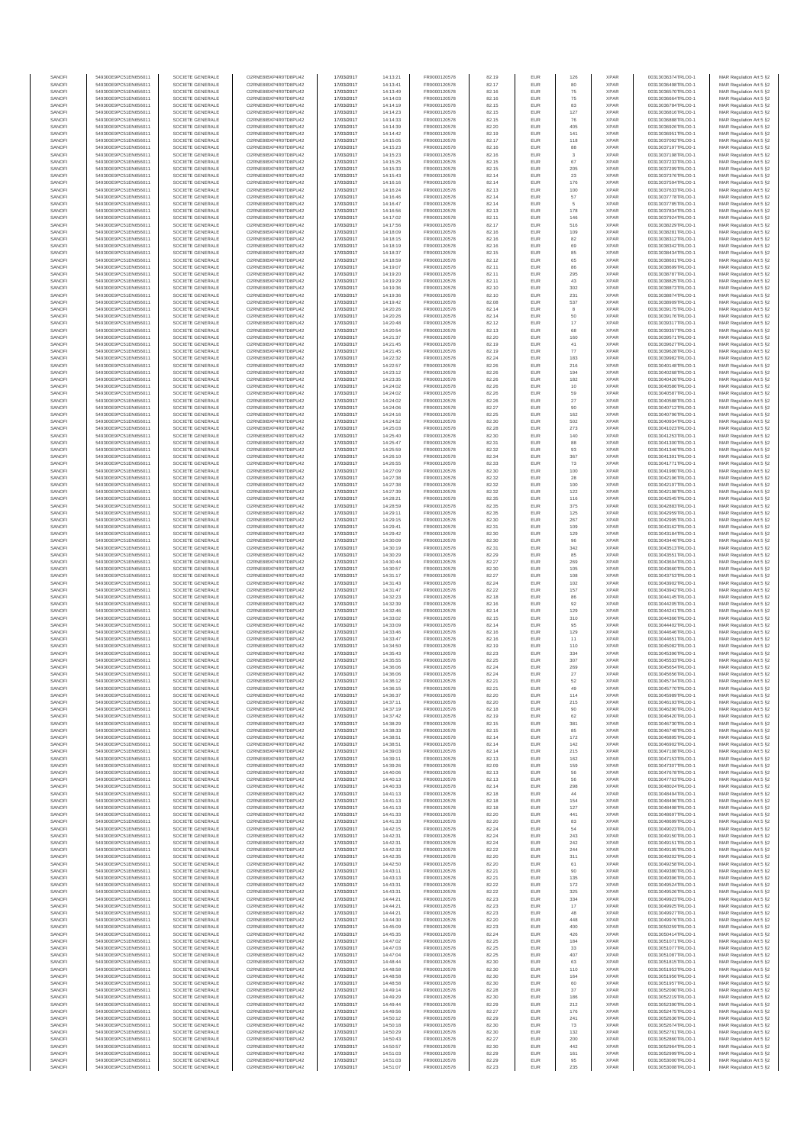| SANOFI           | 549300E9PC51EN656011                         | SOCIETE GENERALE                     | O2RNE8IBXP4R0TD8PU42                         | 17/03/2017               | 14:13:21             | FR0000120578                 | 82.19          | <b>EUR</b>        | 126               | <b>XPAR</b>                | 00313036374TRLO0-1                       | MAR Regulation Art 5 §2                            |
|------------------|----------------------------------------------|--------------------------------------|----------------------------------------------|--------------------------|----------------------|------------------------------|----------------|-------------------|-------------------|----------------------------|------------------------------------------|----------------------------------------------------|
| SANOFI<br>SANOFI | 549300E9PC51EN656011<br>549300E9PC51EN656011 | SOCIETE GENERALE<br>SOCIETE GENERALE | O2RNE8IBXP4R0TD8PU42<br>O2RNE8IBXP4R0TD8PU42 | 17/03/2017<br>17/03/2017 | 14:13:41<br>14:13:49 | FR0000120578<br>FR0000120578 | 82.17<br>82.16 | <b>EUR</b><br>EUR | 80<br>75          | <b>XPAR</b><br><b>XPAR</b> | 00313036498TRLO0-1<br>00313036570TRLO0-1 | MAR Regulation Art 5 §2<br>MAR Regulation Art 5 §2 |
| SANOFI           | 549300E9PC51EN656011                         | SOCIETE GENERALE                     | O2RNE8IBXP4R0TD8PLI42                        | 17/03/2017               | 14:14:03             | FR0000120578                 | 82.16          | <b>EUR</b>        | 75                | <b>XPAR</b>                | 00313036664TRLO0-1                       | MAR Regulation Art 5 §2                            |
| SANOFI           | 549300E9PC51EN656011                         | SOCIETE GENERALE                     | O2RNE8IBXP4R0TD8PU42                         | 17/03/2017               | 14:14:19             | FR0000120578                 | 82.15          | EUR               | 83                | <b>XPAR</b>                | 00313036784TRLO0-1                       | MAR Regulation Art 5 §2                            |
| SANOFI           | 549300E9PC51EN656011                         | SOCIETE GENERALE                     | O2RNE8IBXP4R0TD8PU42                         | 17/03/2017               | 14:14:23             | FR0000120578                 | 82.15          | EUR               | 127               | <b>XPAR</b>                | 00313036816TRLO0-1                       | MAR Regulation Art 5 §2                            |
| SANOFI<br>SANOFI | 549300E9PC51EN656011<br>549300E9PC51EN656011 | SOCIETE GENERALE<br>SOCIETE GENERALE | O2RNE8IBXP4R0TD8PU42<br>O2RNE8IBXP4R0TD8PU42 | 17/03/2017<br>17/03/2017 | 14:14:33<br>14:14:39 | FR0000120578<br>FR0000120578 | 82.15<br>82.20 | EUR<br>EUR        | 76<br>405         | <b>XPAR</b><br><b>XPAR</b> | 00313036888TRLO0-1<br>00313036926TRLO0-1 | MAR Regulation Art 5 §2<br>MAR Regulation Art 5 §2 |
| SANOFI           | 549300E9PC51EN656011                         | SOCIETE GENERALE                     | O2RNE8IBXP4R0TD8PU42                         | 17/03/2017               | 14:14:42             | FR0000120578                 | 82.19          | EUR               | 141               | <b>XPAR</b>                | 00313036951TRLO0-1                       | MAR Regulation Art 5 §2                            |
| SANOFI           | 549300E9PC51EN656011                         | SOCIETE GENERALE                     | O2RNE8IBXP4R0TD8PU42                         | 17/03/2017               | 14:15:05             | FR0000120578                 | 82.17          | EUR               | 118               | <b>XPAR</b>                | 00313037092TRLO0-1                       | MAR Regulation Art 5 §2                            |
| SANOFI<br>SANOFI | 549300E9PC51EN656011<br>549300E9PC51EN656011 | SOCIETE GENERALE<br>SOCIETE GENERALE | O2RNE8IBXP4R0TD8PU42<br>O2RNE8IBXP4R0TD8PU42 | 17/03/2017<br>17/03/2017 | 14:15:23<br>14:15:23 | FR0000120578<br>FR0000120578 | 82.16<br>82.16 | <b>EUR</b><br>EUR | 88<br>3           | <b>XPAR</b><br><b>XPAR</b> | 00313037197TRLO0-1<br>00313037198TRLO0-1 | MAR Regulation Art 5 §2<br>MAR Regulation Art 5 §2 |
| SANOFI           | 549300E9PC51EN656011                         | SOCIETE GENERALE                     | O2RNE8IBXP4R0TD8PU42                         | 17/03/2017               | 14:15:25             | FR0000120578                 | 82.15          | <b>EUR</b>        | 67                | <b>XPAR</b>                | 00313037233TRLO0-1                       | MAR Regulation Art 5 \$2                           |
| SANOFI           | 549300E9PC51EN656011                         | SOCIETE GENERALE                     | O2RNE8IBXP4R0TD8PU42                         | 17/03/2017               | 14:15:33             | FR0000120578                 | 82.15          | EUR               | 205               | <b>XPAR</b>                | 00313037299TRLO0-1                       | MAR Regulation Art 5 §2                            |
| SANOFI           | 549300E9PC51EN656011                         | SOCIETE GENERALE                     | O2RNE8IBXP4R0TD8PU42                         | 17/03/2017               | 14:15:43             | FR0000120578                 | 82.14          | EUR               | $23\,$            | <b>XPAR</b>                | 00313037376TRLO0-1                       | MAR Regulation Art 5 §2                            |
| SANOFI<br>SANOFI | 549300E9PC51EN656011<br>549300E9PC51EN656011 | SOCIETE GENERALE<br>SOCIETE GENERALE | O2RNE8IBXP4R0TD8PU42<br>O2RNE8IBXP4R0TD8PU42 | 17/03/2017<br>17/03/2017 | 14:16:16<br>14:16:24 | FR0000120578<br>FR0000120578 | 82.14<br>82.13 | EUR<br>EUR        | 176<br>100        | <b>XPAR</b><br><b>XPAR</b> | 00313037594TRLO0-1<br>00313037633TRLO0-1 | MAR Regulation Art 5 §2<br>MAR Regulation Art 5 §2 |
| SANOFI           | 549300E9PC51EN656011                         | SOCIETE GENERALE                     | O2RNE8IBXP4R0TD8PU42                         | 17/03/2017               | 14:16:46             | FR0000120578                 | 82.14          | EUR               | 57                | <b>XPAR</b>                | 00313037778TRLO0-1                       | MAR Regulation Art 5 §2                            |
| SANOFI           | 549300E9PC51EN656011                         | SOCIETE GENERALE                     | O2RNE8IBXP4R0TD8PU42                         | 17/03/2017               | 14:16:47             | FR0000120578                 | 82.14          | EUR               | 5                 | <b>XPAR</b>                | 00313037785TRLO0-1                       | MAR Regulation Art 5 §2                            |
| SANOFI           | 549300E9PC51EN656011                         | SOCIETE GENERALE                     | O2RNE8IBXP4R0TD8PU42                         | 17/03/2017               | 14:16:56             | FR0000120578                 | 82.13          | <b>EUR</b>        | 178               | <b>XPAR</b>                | 00313037834TRLO0-1                       | MAR Regulation Art 5 §2                            |
| SANOFI<br>SANOFI | 549300E9PC51EN656011<br>549300E9PC51EN656011 | SOCIETE GENERALE<br>SOCIETE GENERALE | O2RNE8IBXP4R0TD8PU42<br>O2RNE8IBXP4R0TD8PU42 | 17/03/2017<br>17/03/2017 | 14:17:02<br>14:17:56 | FR0000120578<br>FR0000120578 | 82.11<br>82.17 | EUR<br><b>EUR</b> | 146<br>516        | <b>XPAR</b><br><b>XPAR</b> | 00313037924TRLO0-1<br>00313038229TRLO0-1 | MAR Regulation Art 5 §2<br>MAR Regulation Art 5 §2 |
| SANOFI           | 549300E9PC51EN656011                         | SOCIETE GENERALE                     | O2RNE8IBXP4R0TD8PU42                         | 17/03/2017               | 14:18:09             | FR0000120578                 | 82.16          | EUR               | 109               | <b>XPAR</b>                | 00313038281TRLO0-1                       | MAR Regulation Art 5 §2                            |
| SANOFI           | 549300E9PC51EN656011                         | SOCIETE GENERALE                     | O2RNE8IBXP4R0TD8PLI42                        | 17/03/2017               | 14:18:15             | FR0000120578                 | 82.16          | EUR               | 82                | XPAR                       | 00313038312TRLO0-1                       | MAR Regulation Art 5 §2                            |
| SANOFI           | 549300E9PC51EN656011                         | SOCIETE GENERALE                     | O2RNE8IBXP4R0TD8PU42                         | 17/03/2017               | 14:18:19             | FR0000120578                 | 82.16          | EUR               | 69                | <b>XPAR</b>                | 00313038342TRLO0-1                       | MAR Regulation Art 5 §2                            |
| SANOFI<br>SANOFI | 549300E9PC51EN656011<br>549300E9PC51EN656011 | SOCIETE GENERALE<br>SOCIETE GENERALE | O2RNE8IBXP4R0TD8PU42<br>O2RNE8IBXP4R0TD8PU42 | 17/03/2017<br>17/03/2017 | 14:18:37<br>14:18:59 | FR0000120578<br>FR0000120578 | 82.15<br>82.12 | EUR<br>EUR        | 85<br>65          | <b>XPAR</b><br><b>XPAR</b> | 00313038434TRLO0-1<br>00313038601TRLO0-1 | MAR Regulation Art 5 §2<br>MAR Regulation Art 5 §2 |
| SANOFI           | 549300E9PC51EN656011                         | SOCIETE GENERALE                     | O2RNE8IBXP4R0TD8PU42                         | 17/03/2017               | 14:19:07             | FR0000120578                 | 82.11          | EUR               | 86                | <b>XPAR</b>                | 00313038699TRLO0-1                       | MAR Regulation Art 5 §2                            |
| SANOFI           | 549300E9PC51EN656011                         | SOCIETE GENERALE                     | O2RNE8IBXP4R0TD8PU42                         | 17/03/2017               | 14:19:20             | FR0000120578                 | 82.11          | <b>EUR</b>        | 295               | <b>XPAR</b>                | 00313038787TRLO0-1                       | MAR Regulation Art 5 §2                            |
| SANOFI<br>SANOFI | 549300E9PC51EN656011<br>549300E9PC51EN656011 | SOCIETE GENERALE<br>SOCIETE GENERALE | O2RNE8IBXP4R0TD8PU42<br>O2RNE8IBXP4R0TD8PU42 | 17/03/2017<br>17/03/2017 | 14:19:29<br>14:19:36 | FR0000120578<br>FR0000120578 | 82.11<br>82.10 | EUR<br><b>EUR</b> | 43<br>302         | <b>XPAR</b><br><b>XPAR</b> | 00313038825TRLO0-1<br>00313038873TRLO0-1 | MAR Regulation Art 5 §2<br>MAR Regulation Art 5 §2 |
| SANOFI           | 549300E9PC51EN656011                         | SOCIETE GENERALE                     | O2RNE8IBXP4R0TD8PU42                         | 17/03/2017               | 14:19:36             | FR0000120578                 | 82.10          | EUR               | 231               | <b>XPAR</b>                | 00313038874TRLO0-1                       | MAR Regulation Art 5 §2                            |
| SANOFI           | 549300E9PC51EN656011                         | SOCIETE GENERALE                     | O2RNE8IBXP4R0TD8PU42                         | 17/03/2017               | 14:19:42             | FR0000120578                 | 82.08          | EUR               | 537               | <b>XPAR</b>                | 00313038909TRLO0-1                       | MAR Regulation Art 5 §2                            |
| SANOFI           | 549300E9PC51EN656011                         | SOCIETE GENERALE                     | O2RNE8IBXP4R0TD8PU42                         | 17/03/2017               | 14:20:26             | FR0000120578                 | 82.14          | EUR               | 8                 | <b>XPAR</b>                | 00313039175TRLO0-1                       | MAR Regulation Art 5 §2                            |
| SANOFI<br>SANOFI | 549300E9PC51EN656011<br>549300E9PC51EN656011 | SOCIETE GENERALE<br>SOCIETE GENERALE | O2RNE8IBXP4R0TD8PU42<br>O2RNE8IBXP4R0TD8PU42 | 17/03/2017<br>17/03/2017 | 14:20:26<br>14:20:48 | FR0000120578<br>FR0000120578 | 82.14<br>82.12 | EUR<br><b>EUR</b> | 50<br>17          | <b>XPAR</b><br><b>XPAR</b> | 00313039176TRLO0-1<br>00313039317TRLO0-1 | MAR Regulation Art 5 §2<br>MAR Regulation Art 5 §2 |
| SANOFI           | 549300E9PC51EN656011                         | SOCIETE GENERALE                     | O2RNE8IBXP4R0TD8PU42                         | 17/03/2017               | 14:20:54             | FR0000120578                 | 82.13          | EUR               | 68                | <b>XPAR</b>                | 00313039357TRLO0-1                       | MAR Regulation Art 5 §2                            |
| SANOFI           | 549300E9PC51EN656011                         | SOCIETE GENERALE                     | O2RNE8IBXP4R0TD8PU42                         | 17/03/2017               | 14:21:37             | FR0000120578                 | 82.20          | <b>EUR</b>        | 160               | <b>XPAR</b>                | 00313039571TRLO0-1                       | MAR Regulation Art 5 §2                            |
| SANOFI<br>SANOFI | 549300E9PC51EN656011<br>549300E9PC51EN656011 | SOCIETE GENERALE<br>SOCIETE GENERALE | O2RNE8IBXP4R0TD8PU42<br>O2RNE8IBXP4R0TD8PU42 | 17/03/2017<br>17/03/2017 | 14:21:45             | FR0000120578<br>FR0000120578 | 82.19<br>82.19 | EUR<br>EUR        | 41<br>$77\,$      | <b>XPAR</b><br><b>XPAR</b> | 00313039627TRLO0-1<br>00313039628TRLO0-1 | MAR Regulation Art 5 §2<br>MAR Regulation Art 5 §2 |
| SANOFI           | 549300E9PC51EN656011                         | SOCIETE GENERALE                     | O2RNE8IBXP4R0TD8PU42                         | 17/03/2017               | 14:21:45<br>14:22:32 | FR0000120578                 | 82.24          | EUR               | 183               | <b>XPAR</b>                | 00313039982TRLO0-1                       | MAR Regulation Art 5 §2                            |
| SANOFI           | 549300E9PC51EN656011                         | SOCIETE GENERALE                     | O2RNE8IBXP4R0TD8PU42                         | 17/03/2017               | 14:22:57             | FR0000120578                 | 82.26          | EUR               | 216               | <b>XPAR</b>                | 00313040148TRLO0-1                       | MAR Regulation Art 5 §2                            |
| SANOFI           | 549300E9PC51EN656011                         | SOCIETE GENERALE                     | O2RNE8IBXP4R0TD8PU42                         | 17/03/2017               | 14:23:12             | FR0000120578                 | 82.26          | EUR               | 194               | <b>XPAR</b>                | 00313040268TRLO0-1                       | MAR Regulation Art 5 §2                            |
| SANOFI<br>SANOFI | 549300E9PC51EN656011<br>549300E9PC51EN656011 | SOCIETE GENERALE<br>SOCIETE GENERALE | O2RNE8IBXP4R0TD8PU42<br>O2RNE8IBXP4R0TD8PU42 | 17/03/2017<br>17/03/2017 | 14:23:35<br>14:24:02 | FR0000120578<br>FR0000120578 | 82.26<br>82.26 | EUR<br><b>EUR</b> | 182<br>10         | <b>XPAR</b><br><b>XPAR</b> | 00313040426TRLO0-1<br>00313040586TRLO0-1 | MAR Regulation Art 5 §2<br>MAR Regulation Art 5 §2 |
| SANOFI           | 549300E9PC51EN656011                         | SOCIETE GENERALE                     | O2RNE8IBXP4R0TD8PU42                         | 17/03/2017               | 14:24:02             | FR0000120578                 | 82.26          | EUR               | 59                | <b>XPAR</b>                | 00313040587TRLO0-1                       | MAR Regulation Art 5 §2                            |
| SANOFI           | 549300E9PC51EN656011                         | SOCIETE GENERALE                     | O2RNE8IBXP4R0TD8PLI42                        | 17/03/2017               | 14:24:02             | FR0000120578                 | 82.26          | <b>EUR</b>        | $27\,$            | <b>XPAR</b>                | 00313040588TRLO0-1                       | MAR Regulation Art 5 §2                            |
| SANOFI           | 549300E9PC51EN656011                         | SOCIETE GENERALE                     | O2RNE8IBXP4R0TD8PU42                         | 17/03/2017               | 14:24:06             | FR0000120578                 | 82.27          | EUR               | 90                | <b>XPAR</b>                | 00313040712TRLO0-1                       | MAR Regulation Art 5 §2                            |
| SANOFI<br>SANOFI | 549300E9PC51EN656011<br>549300E9PC51EN656011 | SOCIETE GENERALE<br>SOCIETE GENERALE | O2RNE8IBXP4R0TD8PU42<br>O2RNE8IBXP4R0TD8PU42 | 17/03/2017<br>17/03/2017 | 14:24:16<br>14:24:52 | FR0000120578<br>FR0000120578 | 82.25<br>82.30 | EUR<br>EUR        | 162<br>502        | <b>XPAR</b><br><b>XPAR</b> | 00313040796TRLO0-1<br>00313040934TRLO0-1 | MAR Regulation Art 5 §2<br>MAR Regulation Art 5 §2 |
| SANOFI           | 549300E9PC51EN656011                         | SOCIETE GENERALE                     | O2RNE8IBXP4R0TD8PU42                         | 17/03/2017               | 14:25:03             | FR0000120578                 | 82.28          | EUR               | 273               | <b>XPAR</b>                | 00313041023TRLO0-1                       | MAR Regulation Art 5 §2                            |
| SANOFI           | 549300E9PC51EN656011                         | SOCIETE GENERALE                     | O2RNE8IBXP4R0TD8PU42                         | 17/03/2017               | 14:25:40             | FR0000120578                 | 82.30          | EUR               | 140               | <b>XPAR</b>                | 00313041253TRLO0-1                       | MAR Regulation Art 5 §2                            |
| SANOFI           | 549300E9PC51EN656011<br>549300E9PC51EN656011 | SOCIETE GENERALE                     | O2RNE8IBXP4R0TD8PU42                         | 17/03/2017               | 14:25:47             | FR0000120578                 | 82.31          | EUR               |                   | <b>XPAR</b>                | 00313041300TRLO0-1                       | MAR Regulation Art 5 §2                            |
| SANOFI<br>SANOFI | 549300E9PC51EN656011                         | SOCIETE GENERALE<br>SOCIETE GENERALE | O2RNE8IBXP4R0TD8PU42<br>O2RNE8IBXP4R0TD8PU42 | 17/03/2017<br>17/03/2017 | 14:25:59<br>14:26:10 | FR0000120578<br>FR0000120578 | 82.32<br>82.34 | <b>EUR</b><br>EUR | 93<br>367         | <b>XPAR</b><br><b>XPAR</b> | 00313041346TRLO0-1<br>00313041391TRLO0-1 | MAR Regulation Art 5 §2<br>MAR Regulation Art 5 §2 |
| SANOFI           | 549300E9PC51EN656011                         | SOCIETE GENERALE                     | O2RNE8IBXP4R0TD8PU42                         | 17/03/2017               | 14:26:55             | FR0000120578                 | 82.33          | <b>EUR</b>        | 73                | <b>XPAR</b>                | 00313041771TRLO0-1                       | MAR Regulation Art 5 §2                            |
| SANOFI           | 549300E9PC51EN656011                         | SOCIETE GENERALE                     | O2RNE8IBXP4R0TD8PU42                         | 17/03/2017               | 14:27:09             | FR0000120578                 | 82.30          | EUR               | 100               | <b>XPAR</b>                | 00313041980TRLO0-1                       | MAR Regulation Art 5 §2                            |
| SANOFI<br>SANOFI | 549300E9PC51EN656011<br>549300E9PC51EN656011 | SOCIETE GENERALE<br>SOCIETE GENERALE | O2RNE8IBXP4R0TD8PU42                         | 17/03/2017<br>17/03/2017 | 14:27:38             | FR0000120578<br>FR0000120578 | 82.32<br>82.32 | EUR<br>EUR        | ${\bf 28}$<br>100 | <b>XPAR</b><br><b>XPAR</b> | 00313042196TRLO0-1                       | MAR Regulation Art 5 §2<br>MAR Regulation Art 5 §2 |
| SANOFI           | 549300E9PC51EN656011                         | SOCIETE GENERALE                     | O2RNE8IBXP4R0TD8PU42<br>O2RNE8IBXP4R0TD8PU42 | 17/03/2017               | 14:27:38<br>14:27:39 | FR0000120578                 | 82.32          | EUR               | 122               | XPAR                       | 00313042197TRLO0-1<br>00313042198TRLO0-1 | MAR Regulation Art 5 §2                            |
| SANOFI           | 549300E9PC51EN656011                         | SOCIETE GENERALE                     | O2RNE8IBXP4R0TD8PU42                         | 17/03/2017               | 14:28:21             | FR0000120578                 | 82.35          | EUR               | 116               | <b>XPAR</b>                | 00313042545TRLO0-1                       | MAR Regulation Art 5 §2                            |
| SANOFI           | 549300E9PC51EN656011                         | SOCIETE GENERALE                     | O2RNE8IBXP4R0TD8PU42                         | 17/03/2017               | 14:28:59             | FR0000120578                 | 82.35          | EUR               | 375               | <b>XPAR</b>                | 00313042883TRLO0-1                       | MAR Regulation Art 5 §2                            |
| SANOFI<br>SANOFI | 549300E9PC51EN656011<br>549300E9PC51EN656011 | SOCIETE GENERALE<br>SOCIETE GENERALE | O2RNE8IBXP4R0TD8PU42<br>O2RNE8IBXP4R0TD8PU42 | 17/03/2017<br>17/03/2017 | 14:29:11<br>14:29:15 | FR0000120578<br>FR0000120578 | 82.35<br>82.30 | <b>EUR</b><br>EUR | 125<br>267        | <b>XPAR</b><br><b>XPAR</b> | 00313042959TRLO0-1<br>00313042995TRLO0-1 | MAR Regulation Art 5 §2<br>MAR Regulation Art 5 §2 |
| SANOFI           | 549300E9PC51EN656011                         | SOCIETE GENERALE                     | O2RNE8IBXP4R0TD8PU42                         | 17/03/2017               | 14:29:41             | FR0000120578                 | 82.31          | <b>EUR</b>        | 109               | <b>XPAR</b>                | 00313043162TRLO0-1                       | MAR Regulation Art 5 §2                            |
| SANOFI           | 549300E9PC51EN656011                         | SOCIETE GENERALE                     | O2RNE8IBXP4R0TD8PU42                         | 17/03/2017               | 14:29:42             | FR0000120578                 | 82.30          | EUR               | 129               | <b>XPAR</b>                | 00313043184TRLO0-1                       | MAR Regulation Art 5 §2                            |
| SANOFI           | 549300E9PC51EN656011                         | SOCIETE GENERALE                     | O2RNE8IBXP4R0TD8PU42                         | 17/03/2017               | 14:30:09             | FR0000120578                 | 82.30          | EUR               | 96                | <b>XPAR</b>                | 00313043446TRLO0-1                       | MAR Regulation Art 5 §2                            |
| SANOFI<br>SANOFI | 549300E9PC51EN656011<br>549300E9PC51EN656011 | SOCIETE GENERALE<br>SOCIETE GENERALE | O2RNE8IBXP4R0TD8PU42<br>O2RNE8IBXP4R0TD8PU42 | 17/03/2017<br>17/03/2017 | 14:30:19<br>14:30:29 | FR0000120578<br>FR0000120578 | 82.31<br>82.29 | EUR<br>EUR        | 342<br>85         | <b>XPAR</b><br><b>XPAR</b> | 00313043513TRLO0-1<br>00313043551TRLO0-1 | MAR Regulation Art 5 §2<br>MAR Regulation Art 5 §2 |
| SANOFI           | 549300E9PC51EN656011                         | SOCIETE GENERALE                     | O2RNE8IBXP4R0TD8PU42                         | 17/03/2017               | 14:30:44             | FR0000120578                 | 82.27          | <b>EUR</b>        | 269               | <b>XPAR</b>                | 00313043604TRLO0-1                       | MAR Regulation Art 5 §2                            |
| SANOFI           | 549300E9PC51EN656011                         | SOCIETE GENERALE                     | O2RNE8IBXP4R0TD8PU42                         | 17/03/2017               | 14:30:57             | FR0000120578                 | 82.30          | EUR               | 105               | <b>XPAR</b>                | 00313043660TRLO0-1                       | MAR Regulation Art 5 §2                            |
| SANOFI           | 549300E9PC51EN656011                         | SOCIETE GENERALE                     | O2RNE8IBXP4R0TD8PU42                         | 17/03/2017               | 14:31:17             | FR0000120578                 | 82.27          | <b>EUR</b>        | 108               | <b>XPAR</b>                | 00313043753TRLO0-1                       | MAR Regulation Art 5 §2                            |
| SANOFI<br>SANOFI | 549300E9PC51EN656011<br>549300E9PC51EN656011 | SOCIETE GENERALE<br>SOCIETE GENERALE | O2RNE8IBXP4R0TD8PU42<br>O2RNE8IBXP4R0TD8PU42 | 17/03/2017<br>17/03/2017 | 14:31:43<br>14:31:47 | FR0000120578<br>FR0000120578 | 82.24<br>82.22 | EUR<br>EUR        | 102<br>157        | <b>XPAR</b><br><b>XPAR</b> | 00313043902TRLO0-1<br>00313043942TRLO0-1 | MAR Regulation Art 5 §2<br>MAR Regulation Art 5 §2 |
| SANOFI           | 549300E9PC51EN656011                         | SOCIETE GENERALE                     | O2RNE8IBXP4R0TD8PU42                         | 17/03/2017               | 14:32:23             | FR0000120578                 | 82.18          | EUR               | 86                | <b>XPAR</b>                | 00313044145TRLO0-1                       | MAR Regulation Art 5 §2                            |
| SANOFI           | 549300E9PC51EN656011                         | SOCIETE GENERALE                     | O2RNE8IBXP4R0TD8PU42                         | 17/03/2017               | 14:32:39             | FR0000120578                 | 82.16          | EUR               | $92\,$            | <b>XPAR</b>                | 00313044205TRLO0-1                       | MAR Regulation Art 5 §2                            |
| SANOFI<br>SANOFI | 549300E9PC51EN656011<br>549300E9PC51EN656011 | SOCIETE GENERALE<br>SOCIETE GENERALE | O2RNE8IBXP4R0TD8PU42<br>O2RNE8IBXP4R0TD8PU42 | 17/03/2017<br>17/03/2017 | 14:32:46<br>14:33:02 | FR0000120578<br>FR0000120578 | 82.14<br>82.15 | EUR<br>EUR        | 129<br>310        | <b>XPAR</b><br><b>XPAR</b> | 00313044241TRLO0-1<br>00313044366TRLO0-1 | MAR Regulation Art 5 §2<br>MAR Regulation Art 5 §2 |
| SANOFI           | 549300E9PC51EN656011                         | SOCIETE GENERALE                     | O2RNE8IBXP4R0TD8PLI42                        | 17/03/2017               | 14:33:09             | FR0000120578                 | 82.14          | <b>EUR</b>        | 95                | <b>XPAR</b>                | 00313044402TRLO0-1                       | MAR Regulation Art 5 §2                            |
| SANOFI           | 549300E9PC51EN656011                         | SOCIETE GENERALE                     | O2RNE8IBXP4R0TD8PU42                         | 17/03/2017               | 14:33:46             | FR0000120578                 | 82.16          | EUR               | 129               | <b>XPAR</b>                | 00313044646TRLO0-1                       | MAR Regulation Art 5 §2                            |
| SANOFI           | 549300E9PC51EN656011                         | SOCIETE GENERALE                     | O2RNE8IBXP4R0TD8PU42                         | 17/03/2017               | 14:33:47             | FR0000120578                 | 82.16          | <b>EUR</b>        | 11                | <b>XPAR</b>                | 00313044651TRLO0-1                       | MAR Regulation Art 5 §2                            |
| SANOFI<br>SANOFI | 549300E9PC51EN656011<br>549300E9PC51EN656011 | SOCIETE GENERALE<br>SOCIETE GENERALE | O2RNE8IBXP4R0TD8PU42<br>O2RNE8IBXP4R0TD8PU42 | 17/03/2017<br>17/03/2017 | 14:34:50<br>14:35:43 | FR0000120578<br>FR0000120578 | 82.19<br>82.23 | EUR<br>EUR        | 110<br>334        | <b>XPAR</b><br><b>XPAR</b> | 00313045082TRLO0-1<br>00313045396TRLO0-1 | MAR Regulation Art 5 §2<br>MAR Regulation Art 5 §2 |
| SANOFI           | 549300E9PC51EN656011                         | SOCIETE GENERALE                     | O2RNE8IBXP4R0TD8PU42                         | 17/03/2017               | 14:35:55             | FR0000120578                 | 82.25          | EUR               | 307               | <b>XPAR</b>                | 00313045533TRLO0-1                       | MAR Regulation Art 5 §2                            |
| SANOFI           | 549300E9PC51EN656011                         | SOCIETE GENERALE                     | O2RNE8IBXP4R0TD8PU42                         | 17/03/2017               | 14:36:06             | FR0000120578                 | 82.24          | EUR               | 269               | <b>XPAR</b>                | 00313045654TRLO0-1                       | MAR Regulation Art 5 §2                            |
| SANOFI           | 549300E9PC51EN656011                         | SOCIETE GENERALE                     | O2RNE8IBXP4R0TD8PLI42                        | 17/03/2017               | 14:36:06             | FR0000120578                 | 82.24          | EUR               | 27                | <b>XPAR</b>                | 00313045656TRLO0-1                       | MAR Regulation Art 5 §2                            |
| SANOFI<br>SANOFI | 549300E9PC51EN656011<br>549300E9PC51EN656011 | SOCIETE GENERALE<br>SOCIETE GENERALE | O2RNE8IBXP4R0TD8PU42<br>O2RNE8IBXP4R0TD8PU42 | 17/03/2017<br>17/03/2017 | 14:36:12<br>14:36:15 | FR0000120578<br>FR0000120578 | 82.21<br>82.21 | EUR<br><b>EUR</b> | $52\,$<br>49      | <b>XPAR</b><br><b>XPAR</b> | 00313045704TRLO0-1<br>00313045770TRLO0-1 | MAR Regulation Art 5 §2<br>MAR Regulation Art 5 §2 |
| SANOFI           | 549300E9PC51EN656011                         | SOCIETE GENERALE                     | O2RNE8IBXP4R0TD8PU42                         | 17/03/2017               | 14:36:37             | FR0000120578                 | 82.20          | EUR               | 114               | <b>XPAR</b>                | 00313045989TRLO0-1                       | MAR Regulation Art 5 §2                            |
| SANOFI           | 549300E9PC51EN656011                         | SOCIETE GENERALE                     | O2RNE8IBXP4R0TD8PU42                         | 17/03/2017               | 14:37:11             | FR0000120578                 | 82.20          | <b>EUR</b>        | 215               | <b>XPAR</b>                | 00313046193TRLO0-1                       | MAR Regulation Art 5 §2                            |
| SANOFI<br>SANOFI | 549300E9PC51EN656011<br>549300E9PC51EN656011 | SOCIETE GENERALE<br>SOCIETE GENERALE | O2RNE8IBXP4R0TD8PU42<br>O2RNE8IBXP4R0TD8PU42 | 17/03/2017<br>17/03/2017 | 14:37:19<br>14:37:42 | FR0000120578<br>FR0000120578 | 82.18<br>82.19 | EUR<br>EUR        | 90<br>62          | <b>XPAR</b><br><b>XPAR</b> | 00313046290TRLO0-1<br>00313046420TRLO0-1 | MAR Regulation Art 5 §2<br>MAR Regulation Art 5 §2 |
| SANOFI           | 549300E9PC51EN656011                         | SOCIETE GENERALE                     | O2RNE8IBXP4R0TD8PU42                         | 17/03/2017               | 14:38:29             | FR0000120578                 | 82.15          | EUR               | 381               | <b>XPAR</b>                | 00313046730TRLO0-1                       | MAR Regulation Art 5 §2                            |
| SANOFI           | 549300E9PC51EN656011                         | SOCIETE GENERALE                     | O2RNE8IBXP4R0TD8PU42                         | 17/03/2017               | 14:38:33             | FR0000120578                 | 82.15          | EUR               | 85                | <b>XPAR</b>                | 00313046748TRLO0-1                       | MAR Regulation Art 5 §2                            |
| SANOFI           | 549300E9PC51EN656011<br>549300E9PC51EN656011 | SOCIETE GENERALE                     | O2RNE8IBXP4R0TD8PU42<br>O2RNE8IBXP4R0TD8PU42 | 17/03/2017               | 14:38:51             | FR0000120578                 | 82.14          | EUR               | 172               | <b>XPAR</b>                | 00313046895TRLO0-1                       | MAR Regulation Art 5 §2                            |
| SANOFI<br>SANOFI | 549300E9PC51EN656011                         | SOCIETE GENERALE<br>SOCIETE GENERALE | O2RNE8IBXP4R0TD8PU42                         | 17/03/2017<br>17/03/2017 | 14:38:51<br>14:39:03 | FR0000120578<br>FR0000120578 | 82.14<br>82.14 | EUR<br><b>EUR</b> | 142<br>215        | <b>XPAR</b><br><b>XPAR</b> | 00313046902TRLO0-1<br>00313047108TRLO0-1 | MAR Regulation Art 5 §2<br>MAR Regulation Art 5 §2 |
| SANOFI           | 549300E9PC51EN656011                         | SOCIETE GENERALE                     | O2RNE8IBXP4R0TD8PU42                         | 17/03/2017               | 14:39:11             | FR0000120578                 | 82.13          | EUR               | 162               | <b>XPAR</b>                | 00313047153TRLO0-1                       | MAR Regulation Art 5 §2                            |
| SANOFI           | 549300E9PC51EN656011                         | SOCIETE GENERALE                     | O2RNE8IBXP4R0TD8PU42                         | 17/03/2017               | 14:39:26             | FR0000120578                 | 82.09          | <b>EUR</b>        | 159               | <b>XPAR</b>                | 00313047307TRLO0-1                       | MAR Regulation Art 5 §2                            |
| SANOFI<br>SANOFI | 549300E9PC51EN656011<br>549300E9PC51EN656011 | SOCIETE GENERALE<br>SOCIETE GENERALE | O2RNE8IBXP4R0TD8PU42<br>O2RNE8IBXP4R0TD8PU42 | 17/03/2017<br>17/03/2017 | 14:40:06<br>14:40:13 | FR0000120578<br>FR0000120578 | 82.13<br>82.13 | EUR<br>EUR        | 56<br>56          | <b>XPAR</b><br><b>XPAR</b> | 00313047678TRLO0-1<br>00313047763TRLO0-1 | MAR Regulation Art 5 §2<br>MAR Regulation Art 5 §2 |
| SANOFI           | 549300E9PC51EN656011                         | SOCIETE GENERALE                     | O2RNE8IBXP4R0TD8PU42                         | 17/03/2017               | 14:40:33             | FR0000120578                 | 82.14          | EUR               | 298               | <b>XPAR</b>                | 00313048024TRLO0-1                       | MAR Regulation Art 5 §2                            |
| SANOFI           | 549300E9PC51EN656011                         | SOCIETE GENERALE                     | O2RNE8IBXP4R0TD8PU42                         | 17/03/2017               | 14:41:13             | FR0000120578                 | 82.18          | EUR               | 44                | <b>XPAR</b>                | 00313048494TRLO0-1                       | MAR Regulation Art 5 §2                            |
| SANOFI           | 549300E9PC51EN656011                         | SOCIETE GENERALE                     | O2RNE8IBXP4R0TD8PU42                         | 17/03/2017               | 14:41:13             | FR0000120578                 | 82.18          | <b>EUR</b>        | 154               | <b>XPAR</b>                | 00313048496TRLO0-1                       | MAR Regulation Art 5 §2                            |
| SANOFI<br>SANOFI | 549300E9PC51EN656011<br>549300E9PC51EN656011 | SOCIETE GENERALE<br>SOCIETE GENERALE | O2RNE8IBXP4R0TD8PU42<br>O2RNE8IBXP4R0TD8PU42 | 17/03/2017<br>17/03/2017 | 14:41:13<br>14:41:33 | FR0000120578<br>FR0000120578 | 82.18<br>82.20 | EUR<br><b>EUR</b> | 127<br>441        | <b>XPAR</b><br><b>XPAR</b> | 00313048498TRLO0-1<br>00313048697TRLO0-1 | MAR Regulation Art 5 §2<br>MAR Regulation Art 5 §2 |
| SANOFI           | 549300E9PC51EN656011                         | SOCIETE GENERALE                     | O2RNE8IBXP4R0TD8PU42                         | 17/03/2017               | 14:41:33             | FR0000120578                 | 82.20          | EUR               | 83                | <b>XPAR</b>                | 00313048699TRLO0-1                       | MAR Regulation Art 5 §2                            |
| SANOFI           | 549300E9PC51EN656011                         | SOCIETE GENERALE                     | O2RNE8IBXP4R0TD8PU42                         | 17/03/2017               | 14:42:15             | FR0000120578                 | 82.24          | EUR               | $^{\rm 54}$       | XPAR                       | 00313049023TRLO0-1                       | MAR Regulation Art 5 §2                            |
| SANOFI<br>SANOFI | 549300E9PC51EN656011<br>549300E9PC51EN656011 | SOCIETE GENERALE<br>SOCIETE GENERALE | O2RNE8IBXP4R0TD8PU42<br>O2RNE8IBXP4R0TD8PU42 | 17/03/2017<br>17/03/2017 | 14:42:31<br>14:42:31 | FR0000120578<br>FR0000120578 | 82.24<br>82.24 | EUR<br>EUR        | 243<br>242        | <b>XPAR</b><br><b>XPAR</b> | 00313049150TRLO0-1<br>00313049151TRLO0-1 | MAR Regulation Art 5 §2<br>MAR Regulation Art 5 §2 |
| SANOFI           | 549300E9PC51EN656011                         | SOCIETE GENERALE                     | O2RNE8IBXP4R0TD8PU42                         | 17/03/2017               | 14:42:33             | FR0000120578                 | 82.22          | EUR               | 244               | <b>XPAR</b>                | 00313049195TRLO0-1                       | MAR Regulation Art 5 §2                            |
| SANOFI           | 549300E9PC51EN656011                         | SOCIETE GENERALE                     | O2RNE8IBXP4R0TD8PU42                         | 17/03/2017               | 14:42:35             | FR0000120578                 | 82.20          | EUR               | 311               | <b>XPAR</b>                | 00313049202TRLO0-1                       | MAR Regulation Art 5 §2                            |
| SANOFI           | 549300E9PC51EN656011                         | SOCIETE GENERALE                     | O2RNE8IBXP4R0TD8PU42                         | 17/03/2017               | 14:42:50             | FR0000120578                 | 82.20          | <b>EUR</b>        | 61                | <b>XPAR</b>                | 00313049258TRLO0-1                       | MAR Regulation Art 5 §2                            |
| SANOFI<br>SANOFI | 549300E9PC51EN656011<br>549300E9PC51EN656011 | SOCIETE GENERALE<br>SOCIETE GENERALE | O2RNE8IBXP4R0TD8PU42<br>O2RNE8IBXP4R0TD8PU42 | 17/03/2017<br>17/03/2017 | 14:43:11<br>14:43:13 | FR0000120578<br>FR0000120578 | 82.21<br>82.21 | EUR<br><b>EUR</b> | 90<br>135         | <b>XPAR</b><br><b>XPAR</b> | 00313049380TRLO0-1<br>00313049396TRLO0-1 | MAR Regulation Art 5 §2<br>MAR Regulation Art 5 §2 |
| SANOFI           | 549300E9PC51EN656011                         | SOCIETE GENERALE                     | O2RNE8IBXP4R0TD8PU42                         | 17/03/2017               | 14:43:31             | FR0000120578                 | 82.22          | EUR               | 172               | <b>XPAR</b>                | 00313049524TRLO0-1                       | MAR Regulation Art 5 §2                            |
| SANOFI           | 549300E9PC51EN656011                         | SOCIETE GENERALE                     | O2RNE8IBXP4R0TD8PU42                         | 17/03/2017               | 14:43:31             | FR0000120578                 | 82.22          | EUR               | 325               | <b>XPAR</b>                | 00313049526TRLO0-1                       | MAR Regulation Art 5 §2                            |
| SANOFI           | 549300E9PC51EN656011                         | SOCIETE GENERALE                     | O2RNE8IBXP4R0TD8PU42                         | 17/03/2017               | 14:44:21             | FR0000120578                 | 82.23          | EUR               | 334               | <b>XPAR</b>                | 00313049923TRLO0-1                       | MAR Regulation Art 5 §2                            |
| SANOFI<br>SANOFI | 549300E9PC51EN656011<br>549300E9PC51EN656011 | SOCIETE GENERALE<br>SOCIETE GENERALE | O2RNE8IBXP4R0TD8PU42<br>O2RNE8IBXP4R0TD8PU42 | 17/03/2017<br>17/03/2017 | 14:44:21<br>14:44:21 | FR0000120578<br>FR0000120578 | 82.23<br>82.23 | EUR<br>EUR        | $17\,$<br>48      | <b>XPAR</b><br><b>XPAR</b> | 00313049925TRLO0-1<br>00313049927TRLO0-1 | MAR Regulation Art 5 §2<br>MAR Regulation Art 5 §2 |
| SANOFI           | 549300E9PC51EN656011                         | SOCIETE GENERALE                     | O2RNE8IBXP4R0TD8PU42                         | 17/03/2017               | 14:44:30             | FR0000120578                 | 82.20          | EUR               | 448               | <b>XPAR</b>                | 00313049976TRLO0-1                       | MAR Regulation Art 5 §2                            |
| SANOFI           | 549300E9PC51EN656011                         | SOCIETE GENERALE                     | O2RNE8IBXP4R0TD8PU42                         | 17/03/2017               | 14:45:09             | FR0000120578                 | 82.23          | <b>EUR</b>        | 400               | <b>XPAR</b>                | 00313050259TRLO0-1                       | MAR Regulation Art 5 §2                            |
| SANOFI           | 549300E9PC51EN656011                         | SOCIETE GENERALE                     | O2RNE8IBXP4R0TD8PU42                         | 17/03/2017               | 14:45:35             | FR0000120578                 | 82.24          | EUR               | 426               | <b>XPAR</b>                | 00313050414TRLO0-1                       | MAR Regulation Art 5 §2                            |
| SANOFI<br>SANOFI | 549300E9PC51EN656011<br>549300E9PC51EN656011 | SOCIETE GENERALE<br>SOCIETE GENERALE | O2RNE8IBXP4R0TD8PU42<br>O2RNE8IBXP4R0TD8PU42 | 17/03/2017<br>17/03/2017 | 14:47:02<br>14:47:03 | FR0000120578<br>FR0000120578 | 82.25<br>82.25 | <b>EUR</b><br>EUR | 184<br>33         | <b>XPAR</b><br><b>XPAR</b> | 00313051071TRLO0-1<br>00313051077TRLO0-1 | MAR Regulation Art 5 §2<br>MAR Regulation Art 5 §2 |
| SANOFI           | 549300E9PC51EN656011                         | SOCIETE GENERALE                     | O2RNE8IBXP4R0TD8PU42                         | 17/03/2017               | 14:47:04             | FR0000120578                 | 82.25          | EUR               | 407               | <b>XPAR</b>                | 00313051087TRLO0-1                       | MAR Regulation Art 5 §2                            |
| SANOFI           | 549300E9PC51EN656011                         | SOCIETE GENERALE                     | O2RNE8IBXP4R0TD8PU42                         | 17/03/2017               | 14:48:44             | FR0000120578                 | 82.30          | EUR               | 63                | <b>XPAR</b>                | 00313051815TRLO0-1                       | MAR Regulation Art 5 §2                            |
| SANOFI           | 549300E9PC51EN656011                         | SOCIETE GENERALE                     | O2RNE8IBXP4R0TD8PU42                         | 17/03/2017               | 14:48:58             | FR0000120578                 | 82.30          | EUR               | 110               | <b>XPAR</b>                | 00313051953TRLO0-1                       | MAR Regulation Art 5 §2                            |
| SANOFI<br>SANOFI | 549300E9PC51EN656011<br>549300E9PC51EN656011 | SOCIETE GENERALE<br>SOCIETE GENERALE | O2RNE8IBXP4R0TD8PU42<br>O2RNE8IBXP4R0TD8PU42 | 17/03/2017<br>17/03/2017 | 14:48:58<br>14:48:58 | FR0000120578<br>FR0000120578 | 82.30<br>82.30 | <b>EUR</b><br>EUR | 164<br>60         | <b>XPAR</b><br><b>XPAR</b> | 00313051956TRLO0-1<br>00313051957TRLO0-1 | MAR Regulation Art 5 §2<br>MAR Regulation Art 5 §2 |
| SANOFI           | 549300E9PC51EN656011                         | SOCIETE GENERALE                     | O2RNE8IBXP4R0TD8PU42                         | 17/03/2017               | 14:49:14             | FR0000120578                 | 82.28          | <b>EUR</b>        | 37                | <b>XPAR</b>                | 00313052090TRLO0-1                       | MAR Regulation Art 5 §2                            |
| SANOFI           | 549300E9PC51EN656011                         | SOCIETE GENERALE                     | O2RNE8IBXP4R0TD8PU42                         | 17/03/2017               | 14:49:29             | FR0000120578                 | 82.30          | EUR               | 186               | <b>XPAR</b>                | 00313052219TRLO0-1                       | MAR Regulation Art 5 §2                            |
| SANOFI<br>SANOFI | 549300E9PC51EN656011                         | SOCIETE GENERALE<br>SOCIETE GENERALE | O2RNE8IBXP4R0TD8PU42                         | 17/03/2017<br>17/03/2017 | 14:49:44<br>14:49:56 | FR0000120578                 | 82.29          | <b>EUR</b><br>EUR | 212<br>176        | <b>XPAR</b><br><b>XPAR</b> | 00313052390TRLO0-1                       | MAR Regulation Art 5 §2                            |
| SANOFI           | 549300E9PC51EN656011<br>549300E9PC51EN656011 | SOCIETE GENERALE                     | O2RNE8IBXP4R0TD8PU42<br>O2RNE8IBXP4R0TD8PU42 | 17/03/2017               | 14:50:12             | FR0000120578<br>FR0000120578 | 82.27<br>82.29 | EUR               | 241               | <b>XPAR</b>                | 00313052475TRLO0-1<br>00313052636TRLO0-1 | MAR Regulation Art 5 §2<br>MAR Regulation Art 5 §2 |
| SANOFI           | 549300E9PC51EN656011                         | SOCIETE GENERALE                     | O2RNE8IBXP4R0TD8PU42                         | 17/03/2017               | 14:50:18             | FR0000120578                 | 82.30          | EUR               | $\sqrt{73}$       | <b>XPAR</b>                | 00313052674TRLO0-1                       | MAR Regulation Art 5 §2                            |
| SANOFI           | 549300E9PC51EN656011                         | SOCIETE GENERALE                     | O2RNE8IBXP4R0TD8PU42                         | 17/03/2017               | 14:50:29             | FR0000120578                 | 82.30          | EUR               | 132               | XPAR                       | 00313052761TRLO0-1                       | MAR Regulation Art 5 §2                            |
| SANOFI<br>SANOFI | 549300E9PC51EN656011<br>549300E9PC51EN656011 | SOCIETE GENERALE<br>SOCIETE GENERALE | O2RNE8IBXP4R0TD8PU42<br>O2RNE8IBXP4R0TD8PU42 | 17/03/2017<br>17/03/2017 | 14:50:43<br>14:50:57 | FR0000120578<br>FR0000120578 | 82.27<br>82.30 | <b>EUR</b><br>EUR | 200<br>442        | <b>XPAR</b><br><b>XPAR</b> | 00313052860TRLO0-1<br>00313052964TRLO0-1 | MAR Regulation Art 5 §2                            |
| SANOFI           | 549300E9PC51EN656011                         | SOCIETE GENERALE                     | O2RNE8IBXP4R0TD8PU42                         | 17/03/2017               | 14:51:03             | FR0000120578                 | 82.29          | <b>EUR</b>        | 161               | <b>XPAR</b>                | 00313052999TRLO0-1                       | MAR Regulation Art 5 §2<br>MAR Regulation Art 5 §2 |
| SANOFI           | 549300E9PC51EN656011                         | SOCIETE GENERALE                     | O2RNE8IBXP4R0TD8PU42                         | 17/03/2017               | 14:51:03             | FR0000120578                 | 82.29          | EUR               | 95                | <b>XPAR</b>                | 00313053000TRLO0-1                       | MAR Regulation Art 5 §2                            |
| SANOFI           | 549300E9PC51EN656011                         | SOCIETE GENERALE                     | O2RNE8IBXP4R0TD8PU42                         | 17/03/2017               | 14:51:07             | FR0000120578                 | 82.23          | EUR               | 235               | <b>XPAR</b>                | 00313053008TRLO0-1                       | MAR Regulation Art 5 §2                            |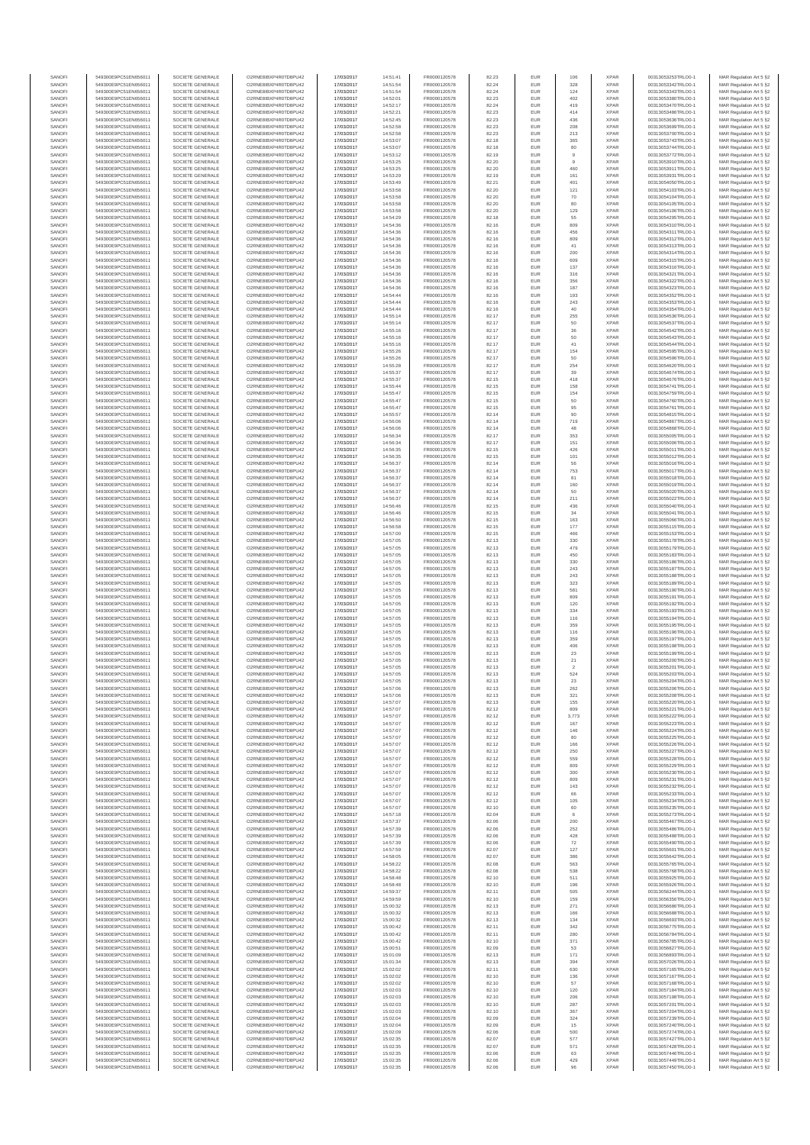| SANOFI           | 549300E9PC51EN656011                         | SOCIETE GENERALE                     | O2RNE8IBXP4R0TD8PU42                         | 17/03/2017               | 14:51:41             | FR0000120578                 | 82.23          | EUR               | 106                  | <b>XPAR</b>                | 00313053253TRLO0-1                       | MAR Regulation Art 5 §2                             |
|------------------|----------------------------------------------|--------------------------------------|----------------------------------------------|--------------------------|----------------------|------------------------------|----------------|-------------------|----------------------|----------------------------|------------------------------------------|-----------------------------------------------------|
| SANOFI<br>SANOFI | 549300E9PC51EN656011<br>549300E9PC51EN656011 | SOCIETE GENERALE<br>SOCIETE GENERALE | O2RNE8IBXP4R0TD8PU42<br>O2RNE8IBXP4R0TD8PU42 | 17/03/2017<br>17/03/2017 | 14:51:54<br>14:51:54 | FR0000120578<br>FR0000120578 | 82.24          | EUR<br>EUR        | 328<br>124           | <b>XPAR</b><br><b>XPAR</b> | 00313053342TRLO0-1<br>00313053343TRLO0-1 | MAR Regulation Art 5 §2                             |
| SANOFI           | 549300E9PC51EN656011                         | SOCIETE GENERALE                     | O2RNE8IBXP4R0TD8PU42                         | 17/03/2017               | 14:52:01             | FR0000120578                 | 82.24<br>82.23 | EUR               | 402                  | <b>XPAR</b>                | 00313053380TRLO0-1                       | MAR Regulation Art 5 §2<br>MAR Regulation Art 5 §2  |
| SANOFI           | 549300E9PC51EN656011                         | SOCIETE GENERALE                     | O2RNE8IBXP4R0TD8PU42                         | 17/03/2017               | 14:52:17             | FR0000120578                 | 82.24          | EUR               | 419                  | <b>XPAR</b>                | 00313053470TRLO0-1                       | MAR Regulation Art 5 §2                             |
| SANOFI           | 549300E9PC51EN656011                         | SOCIETE GENERALE                     | O2RNE8IBXP4R0TD8PU42                         | 17/03/2017               | 14:52:21             | FR0000120578                 | 82.23          | EUR               | 414                  | <b>XPAR</b>                | 00313053486TRLO0-1                       | MAR Regulation Art 5 §2                             |
| SANOFI<br>SANOFI | 549300E9PC51EN656011<br>549300E9PC51EN656011 | SOCIETE GENERALE<br>SOCIETE GENERALE | O2RNE8IBXP4R0TD8PU42<br>O2RNE8IBXP4R0TD8PU42 | 17/03/2017<br>17/03/2017 | 14:52:45<br>14:52:58 | FR0000120578<br>FR0000120578 | 82.23<br>82.23 | EUR<br>EUR        | 436<br>208           | <b>XPAR</b><br><b>XPAR</b> | 00313053636TRLO0-1<br>00313053699TRLO0-1 | MAR Regulation Art 5 §2<br>MAR Regulation Art 5 §2  |
| SANOFI           | 549300E9PC51EN656011                         | SOCIETE GENERALE                     | O2RNE8IBXP4R0TD8PU42                         | 17/03/2017               | 14:52:58             | FR0000120578                 | 82.23          | EUR               | 213                  | <b>XPAR</b>                | 00313053700TRLO0-1                       | MAR Regulation Art 5 §2                             |
| SANOFI           | 549300E9PC51EN656011                         | SOCIETE GENERALE                     | O2RNE8IBXP4R0TD8PU42                         | 17/03/2017               | 14:53:07             | FR0000120578                 | 82.18          | EUR               | 365                  | <b>XPAR</b>                | 00313053743TRLO0-1                       | MAR Regulation Art 5 §2                             |
| SANOFI<br>SANOFI | 549300E9PC51EN656011<br>549300E9PC51EN656011 | SOCIETE GENERALE<br>SOCIETE GENERALE | O2RNE8IBXP4R0TD8PU42<br>O2RNE8IBXP4R0TD8PU42 | 17/03/2017<br>17/03/2017 | 14:53:07<br>14:53:12 | FR0000120578<br>FR0000120578 | 82.18<br>82.19 | EUR<br>EUR        | 80<br>$\overline{9}$ | <b>XPAR</b><br><b>XPAR</b> | 00313053744TRLO0-1<br>00313053772TRLO0-1 | MAR Regulation Art 5 §2<br>MAR Regulation Art 5 §2  |
| SANOFI           | 549300E9PC51EN656011                         | SOCIETE GENERALE                     | O2RNE8IBXP4R0TD8PU42                         | 17/03/2017               | 14:53:25             | FR0000120578                 | 82.20          | EUR               | $\overline{9}$       | <b>XPAR</b>                | 00313053910TRLO0-1                       | MAR Regulation Art 5 §2                             |
| SANOFI           | 549300E9PC51EN656011                         | SOCIETE GENERALE                     | O2RNE8IBXP4R0TD8PU42                         | 17/03/2017               | 14:53:25             | FR0000120578                 | 82.20          | EUR               | 460                  | <b>XPAR</b>                | 00313053911TRLO0-1                       | MAR Regulation Art 5 §2                             |
| SANOFI           | 549300E9PC51EN656011                         | SOCIETE GENERALE                     | O2RNE8IBXP4R0TD8PU42                         | 17/03/2017               | 14:53:29             | FR0000120578                 | 82.19          | EUR               | 161                  | <b>XPAR</b>                | 00313053931TRLO0-1                       | MAR Regulation Art 5 §2                             |
| SANOFI<br>SANOFI | 549300E9PC51EN656011<br>549300E9PC51EN656011 | SOCIETE GENERALE<br>SOCIETE GENERALE | O2RNE8IBXP4R0TD8PU42<br>O2RNE8IBXP4R0TD8PU42 | 17/03/2017<br>17/03/2017 | 14:53:49<br>14:53:58 | FR0000120578<br>FR0000120578 | 82.21<br>82.20 | EUR<br>EUR        | 401<br>121           | <b>XPAR</b><br><b>XPAR</b> | 00313054050TRLO0-1<br>00313054103TRLO0-1 | MAR Regulation Art 5 §2<br>MAR Regulation Art 5 §2  |
| SANOFI           | 549300E9PC51EN656011                         | SOCIETE GENERALE                     | O2RNE8IBXP4R0TD8PU42                         | 17/03/2017               | 14:53:58             | FR0000120578                 | 82.20          | EUR               | 70                   | <b>XPAR</b>                | 00313054104TRLO0-1                       | MAR Regulation Art 5 §2                             |
| SANOFI           | 549300E9PC51EN656011                         | SOCIETE GENERALE                     | O2RNE8IBXP4R0TD8PU42                         | 17/03/2017               | 14:53:58             | FR0000120578                 | 82.20          | EUR               | 80                   | <b>XPAR</b>                | 00313054105TRLO0-1                       | MAR Regulation Art 5 §2                             |
| SANOFI           | 549300E9PC51EN656011                         | SOCIETE GENERALE                     | O2RNE8IBXP4R0TD8PU42                         | 17/03/2017               | 14:53:58             | FR0000120578                 | 82.20          | EUR               | 129                  | <b>XPAR</b>                | 00313054106TRLO0-1                       | MAR Regulation Art 5 §2                             |
| SANOFI<br>SANOFI | 549300E9PC51EN656011<br>549300E9PC51EN656011 | SOCIETE GENERALE<br>SOCIETE GENERALE | O2RNE8IBXP4R0TD8PU42<br>O2RNE8IBXP4R0TD8PU42 | 17/03/2017<br>17/03/2017 | 14:54:29<br>14:54:36 | FR0000120578<br>FR0000120578 | 82.18<br>82.16 | EUR<br>EUR        | 55<br>809            | <b>XPAR</b><br><b>XPAR</b> | 00313054295TRLO0-1<br>00313054310TRLO0-1 | MAR Regulation Art 5 §2<br>MAR Regulation Art 5 §2  |
| SANOFI           | 549300E9PC51EN656011                         | SOCIETE GENERALE                     | O2RNE8IBXP4R0TD8PU42                         | 17/03/2017               | 14:54:36             | FR0000120578                 | 82.16          | EUR               | 456                  | <b>XPAR</b>                | 00313054311TRLO0-1                       | MAR Regulation Art 5 §2                             |
| SANOFI           | 549300E9PC51EN656011                         | SOCIETE GENERALE                     | O2RNE8IBXP4R0TD8PU42                         | 17/03/2017               | 14:54:36             | FR0000120578                 | 82.16          | EUR               | 809                  | <b>XPAR</b>                | 00313054312TRLO0-1                       | MAR Regulation Art 5 §2                             |
| SANOFI<br>SANOFI | 549300E9PC51EN656011<br>549300E9PC51EN656011 | SOCIETE GENERALE<br>SOCIETE GENERALE | O2RNE8IBXP4R0TD8PU42<br>O2RNE8IBXP4R0TD8PU42 | 17/03/2017<br>17/03/2017 | 14:54:36<br>14:54:36 | FR0000120578<br>FR0000120578 | 82.16<br>82.16 | EUR<br>EUR        | 41<br>200            | <b>XPAR</b><br><b>XPAR</b> | 00313054313TRLO0-1<br>00313054314TRLO0-1 | MAR Regulation Art 5 §2<br>MAR Regulation Art 5 §2  |
| SANOFI           | 549300E9PC51EN656011                         | SOCIETE GENERALE                     | O2RNE8IBXP4R0TD8PU42                         | 17/03/2017               | 14:54:36             | FR0000120578                 | 82.16          | EUR               | 609                  | <b>XPAR</b>                | 00313054315TRLO0-1                       | MAR Regulation Art 5 62                             |
| SANOFI           | 549300E9PC51EN656011                         | SOCIETE GENERALE                     | O2RNE8IBXP4R0TD8PU42                         | 17/03/2017               | 14:54:36             | FR0000120578                 | 82.16          | EUR               | 137                  | <b>XPAR</b>                | 00313054316TRLO0-1                       | MAR Regulation Art 5 §2                             |
| SANOFI           | 549300E9PC51EN656011                         | SOCIETE GENERALE                     | O2RNE8IBXP4R0TD8PU42                         | 17/03/2017               | 14:54:36             | FR0000120578                 | 82.16          | EUR               | 316                  | <b>XPAR</b>                | 00313054321TRLO0-1                       | MAR Regulation Art 5 §2                             |
| SANOFI<br>SANOFI | 549300E9PC51EN656011<br>549300E9PC51EN656011 | SOCIETE GENERALE<br>SOCIETE GENERALE | O2RNE8IBXP4R0TD8PU42<br>O2RNE8IBXP4R0TD8PU42 | 17/03/2017<br>17/03/2017 | 14:54:36<br>14:54:36 | FR0000120578<br>FR0000120578 | 82.16<br>82.16 | EUR<br>EUR        | 356<br>187           | <b>XPAR</b><br><b>XPAR</b> | 00313054322TRLO0-1<br>00313054323TRLO0-1 | MAR Regulation Art 5 §2<br>MAR Regulation Art 5 §2  |
| SANOFI           | 549300E9PC51EN656011                         | SOCIETE GENERALE                     | O2RNE8IBXP4R0TD8PU42                         | 17/03/2017               | 14:54:44             | FR0000120578                 | 82.16          | EUR               | 193                  | <b>XPAR</b>                | 00313054352TRLO0-1                       | MAR Regulation Art 5 §2                             |
| SANOFI           | 549300E9PC51EN656011                         | SOCIETE GENERALE                     | O2RNE8IBXP4R0TD8PU42                         | 17/03/2017               | 14:54:44             | FR0000120578                 | 82.16          | EUR               | 243                  | <b>XPAR</b>                | 00313054353TRLO0-1                       | MAR Regulation Art 5 §2                             |
| SANOFI<br>SANOFI | 549300E9PC51EN656011<br>549300E9PC51EN656011 | SOCIETE GENERALE<br>SOCIETE GENERALE | O2RNE8IBXP4R0TD8PU42<br>O2RNE8IBXP4R0TD8PU42 | 17/03/2017<br>17/03/2017 | 14:54:44<br>14:55:14 | FR0000120578<br>FR0000120578 | 82.16<br>82.17 | EUR<br>EUR        | 40<br>255            | <b>XPAR</b><br><b>XPAR</b> | 00313054354TRLO0-1<br>00313054536TRLO0-1 | MAR Regulation Art 5 \$2                            |
| SANOFI           | 549300E9PC51EN656011                         | SOCIETE GENERALE                     | O2RNE8IBXP4R0TD8PU42                         | 17/03/2017               | 14:55:14             | FR0000120578                 | 82.17          | EUR               | 50                   | <b>XPAR</b>                | 00313054537TRLO0-1                       | MAR Regulation Art 5 §2<br>MAR Regulation Art 5 §2  |
| SANOFI           | 549300E9PC51EN656011                         | SOCIETE GENERALE                     | O2RNE8IBXP4R0TD8PU42                         | 17/03/2017               | 14:55:16             | FR0000120578                 | 82.17          | EUR               | $_{\rm 36}$          | <b>XPAR</b>                | 00313054542TRLO0-1                       | MAR Regulation Art 5 §2                             |
| SANOFI           | 549300E9PC51EN656011                         | SOCIETE GENERALE                     | O2RNE8IBXP4R0TD8PU42                         | 17/03/2017               | 14:55:16             | FR0000120578                 | 82.17          | EUR               | 50                   | <b>XPAR</b>                | 00313054543TRLO0-1                       | MAR Regulation Art 5 §2                             |
| SANOFI<br>SANOFI | 549300E9PC51EN656011<br>549300E9PC51EN656011 | SOCIETE GENERALE<br>SOCIETE GENERALE | O2RNE8IBXP4R0TD8PU42<br>O2RNE8IBXP4R0TD8PU42 | 17/03/2017<br>17/03/2017 | 14:55:16<br>14:55:26 | FR0000120578<br>FR0000120578 | 82.17<br>82.17 | EUR<br>EUR        | 41<br>154            | <b>XPAR</b><br><b>XPAR</b> | 00313054544TRLO0-1<br>00313054595TRLO0-1 | MAR Regulation Art 5 §2<br>MAR Regulation Art 5 §2  |
| SANOFI           | 549300E9PC51EN656011                         | SOCIETE GENERALE                     | O2RNE8IBXP4R0TD8PU42                         | 17/03/2017               | 14:55:26             | FR0000120578                 | 82.17          | EUR               | 50                   | <b>XPAR</b>                | 00313054596TRLO0-1                       | MAR Regulation Art 5 §2                             |
| SANOFI           | 549300E9PC51EN656011                         | SOCIETE GENERALE                     | O2RNE8IBXP4R0TD8PU42                         | 17/03/2017               | 14:55:28             | FR0000120578                 | 82.17          | EUR               | 254                  | <b>XPAR</b>                | 00313054620TRLO0-1                       | MAR Regulation Art 5 §2                             |
| SANOFI           | 549300E9PC51EN656011                         | SOCIETE GENERALE<br>SOCIETE GENERALE | O2RNE8IBXP4R0TD8PU42                         | 17/03/2017               | 14:55:37             | FR0000120578<br>FR0000120578 | 82.17          | EUR               | 39                   | <b>XPAR</b>                | 00313054674TRLO0-1                       | MAR Regulation Art 5 §2                             |
| SANOFI<br>SANOFI | 549300E9PC51EN656011<br>549300E9PC51EN656011 | SOCIETE GENERALE                     | O2RNE8IBXP4R0TD8PU42<br>O2RNE8IBXP4R0TD8PU42 | 17/03/2017<br>17/03/2017 | 14:55:37<br>14:55:44 | FR0000120578                 | 82.15<br>82.15 | EUR<br>EUR        | 418<br>158           | <b>XPAR</b><br><b>XPAR</b> | 00313054676TRLO0-1<br>00313054741TRLO0-1 | MAR Regulation Art 5 §2<br>MAR Regulation Art 5 §2  |
| SANOFI           | 549300E9PC51EN656011                         | SOCIETE GENERALE                     | O2RNE8IBXP4R0TD8PU42                         | 17/03/2017               | 14:55:47             | FR0000120578                 | 82.15          | EUR               | 154                  | <b>XPAR</b>                | 00313054759TRLO0-1                       | MAR Regulation Art 5 §2                             |
| SANOFI           | 549300E9PC51EN656011                         | SOCIETE GENERALE                     | O2RNE8IBXP4R0TD8PU42                         | 17/03/2017               | 14:55:47             | FR0000120578                 | 82.15          | EUR               | 50                   | <b>XPAR</b>                | 00313054760TRLO0-1                       | MAR Regulation Art 5 §2                             |
| SANOFI           | 549300E9PC51EN656011                         | SOCIETE GENERALE                     | O2RNE8IBXP4R0TD8PU42<br>O2RNE8IBXP4R0TD8PU42 | 17/03/2017               | 14:55:47             | FR0000120578<br>FR0000120578 | 82.15          | EUR               | 95                   | <b>XPAR</b>                | 00313054761TRLO0-1                       | MAR Regulation Art 5 §2                             |
| SANOFI<br>SANOFI | 549300E9PC51EN656011<br>549300E9PC51EN656011 | SOCIETE GENERALE<br>SOCIETE GENERALE | O2RNE8IBXP4R0TD8PLI42                        | 17/03/2017<br>17/03/2017 | 14:55:57<br>14:56:06 | FR0000120578                 | 82.14<br>82.14 | EUR<br>EUR        | 90<br>719            | <b>XPAR</b><br><b>XPAR</b> | 00313054815TRLO0-1<br>00313054867TRLO0-1 | MAR Regulation Art 5 §2<br>MAR Regulation Art 5 §2  |
| SANOFI           | 549300E9PC51EN656011                         | SOCIETE GENERALE                     | O2RNE8IBXP4R0TD8PU42                         | 17/03/2017               | 14:56:06             | FR0000120578                 | 82.14          | EUR               | 48                   | <b>XPAR</b>                | 00313054868TRLO0-1                       | MAR Regulation Art 5 §2                             |
| SANOFI           | 549300E9PC51EN656011                         | SOCIETE GENERALE                     | O2RNE8IBXP4R0TD8PU42                         | 17/03/2017               | 14:56:34             | FR0000120578                 | 82.17          | EUR               | 353                  | <b>XPAR</b>                | 00313055005TRLO0-1                       | MAR Regulation Art 5 \$2                            |
| SANOFI<br>SANOFI | 549300E9PC51EN656011<br>549300E9PC51EN656011 | SOCIETE GENERALE<br>SOCIETE GENERALE | O2RNE8IBXP4R0TD8PU42<br>O2RNE8IBXP4R0TD8PU42 | 17/03/2017<br>17/03/2017 | 14:56:34             | FR0000120578<br>FR0000120578 | 82.17<br>82.15 | EUR<br>EUR        | 151<br>426           | <b>XPAR</b><br><b>XPAR</b> | 00313055006TRLO0-1<br>00313055011TRLO0-1 | MAR Regulation Art 5 §2<br>MAR Regulation Art 5 §2  |
| SANOFI           | 549300E9PC51EN656011                         | SOCIETE GENERALE                     | O2RNE8IBXP4R0TD8PU42                         | 17/03/2017               | 14:56:35<br>14:56:35 | FR0000120578                 | 82.15          | EUR               | 101                  | <b>XPAR</b>                | 00313055012TRLO0-1                       | MAR Regulation Art 5 §2                             |
| SANOFI           | 549300E9PC51EN656011                         | SOCIETE GENERALE                     | O2RNE8IBXP4R0TD8PU42                         | 17/03/2017               | 14:56:37             | FR0000120578                 | 82.14          | EUR               | 56                   | <b>XPAR</b>                | 00313055016TRLO0-1                       | MAR Regulation Art 5 §2                             |
| SANOFI           | 549300E9PC51EN656011                         | SOCIETE GENERALE                     | O2RNE8IBXP4R0TD8PU42                         | 17/03/2017               | 14:56:37             | FR0000120578                 | 82.14          | EUR               | 753                  | <b>XPAR</b>                | 00313055017TRLO0-1                       | MAR Regulation Art 5 §2                             |
| SANOFI<br>SANOFI | 549300E9PC51EN656011<br>549300E9PC51EN656011 | SOCIETE GENERALE<br>SOCIETE GENERALE | O2RNE8IBXP4R0TD8PU42<br>O2RNE8IBXP4R0TD8PU42 | 17/03/2017<br>17/03/2017 | 14:56:37<br>14:56:37 | FR0000120578<br>FR0000120578 | 82.14<br>82.14 | EUR<br>EUR        | 81<br>160            | <b>XPAR</b><br><b>XPAR</b> | 00313055018TRLO0-1<br>00313055019TRLO0-1 | MAR Regulation Art 5 §2<br>MAR Regulation Art 5 §2  |
| SANOFI           | 549300E9PC51EN656011                         | SOCIETE GENERALE                     | O2RNE8IBXP4R0TD8PU42                         | 17/03/2017               | 14:56:37             | FR0000120578                 | 82.14          | EUR               | 50                   | <b>XPAR</b>                | 00313055020TRLO0-1                       | MAR Regulation Art 5 §2                             |
| SANOFI           | 549300E9PC51EN656011                         | SOCIETE GENERALE                     | O2RNE8IBXP4R0TD8PU42                         | 17/03/2017               | 14:56:37             | FR0000120578                 | 82.14          | EUR               | 211                  | <b>XPAR</b>                | 00313055022TRLO0-1                       | MAR Regulation Art 5 §2                             |
| SANOFI           | 549300E9PC51EN656011                         | SOCIETE GENERALE                     | O2RNE8IBXP4R0TD8PU42                         | 17/03/2017               | 14:56:46             | FR0000120578                 | 82.15          | EUR               | 436                  | <b>XPAR</b>                | 00313055040TRLO0-1                       | MAR Regulation Art 5 §2                             |
| SANOFI<br>SANOFI | 549300E9PC51EN656011<br>549300E9PC51EN656011 | SOCIETE GENERALE<br>SOCIETE GENERALE | O2RNE8IBXP4R0TD8PU42<br>O2RNE8IBXP4R0TD8PU42 | 17/03/2017<br>17/03/2017 | 14:56:46<br>14:56:50 | FR0000120578<br>FR0000120578 | 82.15<br>82.15 | EUR<br>EUR        | 34<br>163            | <b>XPAR</b><br><b>XPAR</b> | 00313055041TRLO0-1<br>00313055066TRLO0-1 | MAR Regulation Art 5 §2<br>MAR Regulation Art 5 §2  |
| SANOFI           | 549300E9PC51EN656011                         | SOCIETE GENERALE                     | O2RNE8IBXP4R0TD8PU42                         | 17/03/2017               | 14:56:58             | FR0000120578                 | 82.15          | EUR               | 177                  | <b>XPAR</b>                | 00313055115TRLO0-1                       | MAR Regulation Art 5 §2                             |
| SANOFI           | 549300E9PC51EN656011                         | SOCIETE GENERALE                     | O2RNE8IBXP4R0TD8PU42                         | 17/03/2017               | 14:57:00             | FR0000120578                 | 82.15          | EUR               | 466                  | <b>XPAR</b>                | 00313055153TRLO0-1                       | MAR Regulation Art 5 §2                             |
| SANOFI           | 549300E9PC51EN656011                         | SOCIETE GENERALE                     | O2RNE8IBXP4R0TD8PU42                         | 17/03/2017               | 14:57:05             | FR0000120578                 | 82.13          | EUR<br>EUR        | 330                  | <b>XPAR</b>                | 00313055178TRLO0-1                       | MAR Regulation Art 5 §2                             |
| SANOFI<br>SANOFI | 549300E9PC51EN656011<br>549300E9PC51EN656011 | SOCIETE GENERALE<br>SOCIETE GENERALE | O2RNE8IBXP4R0TD8PU42<br>O2RNE8IBXP4R0TD8PU42 | 17/03/2017<br>17/03/2017 | 14:57:05<br>14:57:05 | FR0000120578<br>FR0000120578 | 82.13<br>82.13 | EUR               | 479<br>450           | <b>XPAR</b><br><b>XPAR</b> | 00313055179TRLO0-1<br>00313055183TRLO0-1 | MAR Regulation Art 5 §2<br>MAR Regulation Art 5 §2  |
| SANOFI           | 549300E9PC51EN656011                         | SOCIETE GENERALE                     | O2RNE8IBXP4R0TD8PU42                         | 17/03/2017               | 14:57:05             | FR0000120578                 | 82.13          | EUR               | 330                  | <b>XPAR</b>                | 00313055186TRLO0-1                       | MAR Regulation Art 5 §2                             |
| SANOFI           | 549300E9PC51EN656011                         | SOCIETE GENERALE                     | O2RNE8IBXP4R0TD8PU42                         | 17/03/2017               | 14:57:05             | FR0000120578                 | 82.13          | EUR               | 243                  | <b>XPAR</b>                | 00313055187TRLO0-1                       | MAR Regulation Art 5 §2                             |
| SANOFI<br>SANOFI | 549300E9PC51EN656011<br>549300E9PC51EN656011 | SOCIETE GENERALE<br>SOCIETE GENERALE | O2RNE8IBXP4R0TD8PU42<br>O2RNE8IBXP4R0TD8PU42 | 17/03/2017<br>17/03/2017 | 14:57:05<br>14:57:05 | FR0000120578<br>FR0000120578 | 82.13<br>82.13 | EUR<br>EUR        | 243<br>323           | <b>XPAR</b><br><b>XPAR</b> | 00313055188TRLO0-1<br>00313055189TRLO0-1 | MAR Regulation Art 5 §2<br>MAR Regulation Art 5 §2  |
| SANOFI           | 549300E9PC51EN656011                         | SOCIETE GENERALE                     | O2RNE8IBXP4R0TD8PU42                         | 17/03/2017               | 14:57:05             | FR0000120578                 | 82.13          | EUR               | 581                  | <b>XPAR</b>                | 00313055190TRLO0-1                       | MAR Regulation Art 5 §2                             |
| SANOFI           | 549300E9PC51EN656011                         | SOCIETE GENERALE                     | O2RNE8IBXP4R0TD8PU42                         | 17/03/2017               | 14:57:05             | FR0000120578                 | 82.13          | EUR               | 809                  | <b>XPAR</b>                | 00313055191TRLO0-1                       | MAR Regulation Art 5 §2                             |
| SANOFI<br>SANOFI | 549300E9PC51EN656011<br>549300E9PC51EN656011 | SOCIETE GENERALE<br>SOCIETE GENERALE | O2RNE8IBXP4R0TD8PU42<br>O2RNE8IBXP4R0TD8PU42 | 17/03/2017<br>17/03/2017 | 14:57:05<br>14:57:05 | FR0000120578<br>FR0000120578 | 82.13<br>82.13 | EUR<br>EUR        | 120<br>334           | <b>XPAR</b><br><b>XPAR</b> | 00313055192TRLO0-1<br>00313055193TRLO0-1 | MAR Regulation Art 5 §2                             |
| SANOFI           | 549300E9PC51EN656011                         | SOCIETE GENERALE                     | O2RNE8IBXP4R0TD8PU42                         | 17/03/2017               | 14:57:05             | FR0000120578                 | 82.13          | EUR               | 116                  | <b>XPAR</b>                | 00313055194TRLO0-1                       | MAR Regulation Art 5 §2<br>MAR Regulation Art 5 §2  |
| SANOFI           | 549300E9PC51EN656011                         | SOCIETE GENERALE                     | O2RNE8IBXP4R0TD8PU42                         | 17/03/2017               | 14:57:05             | FR0000120578                 | 82.13          | EUR               | 359                  | <b>XPAR</b>                | 00313055195TRLO0-1                       | MAR Regulation Art 5 §2                             |
| SANOFI           | 549300E9PC51EN656011                         | SOCIETE GENERALE                     | O2RNE8IBXP4R0TD8PU42                         | 17/03/2017               | 14:57:05             | FR0000120578                 | 82.13          | EUR               | 116                  | <b>XPAR</b>                | 00313055196TRLO0-1                       | MAR Regulation Art 5 §2                             |
| SANOFI<br>SANOFI | 549300E9PC51EN656011<br>549300E9PC51EN656011 | SOCIETE GENERALE<br>SOCIETE GENERALE | O2RNE8IBXP4R0TD8PU42<br>O2RNE8IBXP4R0TD8PU42 | 17/03/2017<br>17/03/2017 | 14:57:05<br>14:57:05 | FR0000120578<br>FR0000120578 | 82.13<br>82.13 | EUR<br>EUR        | 359<br>406           | <b>XPAR</b><br><b>XPAR</b> | 00313055197TRLO0-1<br>00313055198TRLO0-1 | MAR Regulation Art 5 §2<br>MAR Regulation Art 5 §2  |
| SANOFI           | 549300E9PC51EN656011                         | SOCIETE GENERALE                     | O2RNE8IBXP4R0TD8PU42                         | 17/03/2017               | 14:57:05             | FR0000120578                 | 82.13          | EUR               | 23                   | <b>XPAR</b>                | 00313055199TRLO0-1                       | MAR Regulation Art 5 §2                             |
| SANOFI           | 549300E9PC51EN656011                         | SOCIETE GENERALE                     | O2RNE8IBXP4R0TD8PU42                         | 17/03/2017               | 14:57:05             | FR0000120578                 | 82.13          | EUR               | 21                   | <b>XPAR</b>                | 00313055200TRLO0-1                       | MAR Regulation Art 5 \$2                            |
| SANOFI           | 549300E9PC51EN656011                         | SOCIETE GENERALE                     | O2RNE8IBXP4R0TD8PU42                         | 17/03/2017               | 14:57:05             | FR0000120578                 | 82.13          | EUR               | $\sqrt{2}$           | <b>XPAR</b>                | 00313055201TRLO0-1                       | MAR Regulation Art 5 §2                             |
| SANOFI<br>SANOFI | 549300E9PC51EN656011<br>549300E9PC51EN656011 | SOCIETE GENERALE<br>SOCIETE GENERALE | O2RNE8IBXP4R0TD8PU42<br>O2RNE8IBXP4R0TD8PU42 | 17/03/2017<br>17/03/2017 | 14:57:05<br>14:57:05 | FR0000120578<br>FR0000120578 | 82.13<br>82.13 | <b>EUR</b><br>EUR | 524<br>23            | <b>XPAR</b><br><b>XPAR</b> | 00313055203TRLO0-1<br>00313055204TRLO0-1 | MAR Regulation Art 5 §2<br>MAR Regulation Art 5 §2  |
| SANOFI           | 549300E9PC51EN656011                         | SOCIETE GENERALE                     | O2RNE8IBXP4R0TD8PU42                         | 17/03/2017               | 14:57:06             | FR0000120578                 | 82.13          | EUR               | 262                  | <b>XPAR</b>                | 00313055206TRLO0-1                       | MAR Regulation Art 5 §2                             |
| SANOFI           | 549300E9PC51EN656011                         | SOCIETE GENERALE                     | O2RNE8IBXP4R0TD8PU42                         | 17/03/2017               | 14:57:06             | FR0000120578                 | 82.13          | EUR               | 321                  | <b>XPAR</b>                | 00313055208TRLO0-1                       | MAR Regulation Art 5 §2                             |
| SANOFI<br>SANOFI | 549300E9PC51EN656011<br>549300E9PC51EN656011 | SOCIETE GENERALE<br>SOCIETE GENERALE | O2RNE8IBXP4R0TD8PU42<br>O2RNE8IBXP4R0TD8PU42 | 17/03/2017               | 14:57:07             | FR0000120578                 | 82.13<br>82.12 | EUR<br>EUR        | 155<br>809           | <b>XPAR</b><br><b>XPAR</b> | 00313055220TRLO0-1                       | MAR Regulation Art 5 §2                             |
| SANOFI           | 549300E9PC51EN656011                         | SOCIETE GENERALE                     | O2RNE8IBXP4R0TD8PU42                         | 17/03/2017<br>17/03/2017 | 14:57:07<br>14:57:07 | FR0000120578<br>FR0000120578 | 82.12          | EUR               | 3,773                | <b>XPAR</b>                | 00313055221TRLO0-1<br>00313055222TRLO0-1 | MAR Regulation Art 5 §2<br>MAR Regulation Art 5 §2  |
| SANOFI           | 549300E9PC51EN656011                         | SOCIETE GENERALE                     | O2RNE8IBXP4R0TD8PU42                         | 17/03/2017               | 14:57:07             | FR0000120578                 | 82.12          | EUR               | 167                  | <b>XPAR</b>                | 00313055223TRLO0-1                       | MAR Regulation Art 5 §2                             |
| SANOFI           | 549300E9PC51EN656011                         | SOCIETE GENERALE                     | O2RNE8IBXP4R0TD8PU42                         | 17/03/2017               | 14:57:07             | FR0000120578                 | 82.12          | EUR               | 146                  | <b>XPAR</b>                | 00313055224TRLO0-1                       | MAR Regulation Art 5 §2                             |
| SANOFI<br>SANOFI | 549300E9PC51EN656011<br>549300E9PC51EN656011 | SOCIETE GENERALE<br>SOCIETE GENERALE | O2RNE8IBXP4R0TD8PU42<br>O2RNE8IBXP4R0TD8PU42 | 17/03/2017<br>17/03/2017 | 14:57:07<br>14:57:07 | FR0000120578<br>FR0000120578 | 82.12<br>82.12 | EUR<br>EUR        | 80<br>166            | <b>XPAR</b><br><b>XPAR</b> | 00313055225TRLO0-1<br>00313055226TRLO0-1 | MAR Regulation Art 5 \$2<br>MAR Regulation Art 5 §2 |
| SANOFI           | 549300E9PC51EN656011                         | SOCIETE GENERALE                     | O2RNE8IBXP4R0TD8PU42                         | 17/03/2017               | 14:57:07             | FR0000120578                 | 82.12          | EUR               | 250                  | <b>XPAR</b>                | 00313055227TRLO0-1                       | MAR Regulation Art 5 §2                             |
| SANOFI           | 549300E9PC51EN656011                         | SOCIETE GENERALE                     | O2RNE8IBXP4R0TD8PU42                         | 17/03/2017               | 14:57:07             | FR0000120578                 | 82.12          | EUR               | 559                  | <b>XPAR</b>                | 00313055228TRLO0-1                       | MAR Regulation Art 5 §2                             |
| SANOFI<br>SANOFI | 549300E9PC51EN656011<br>549300E9PC51EN656011 | SOCIETE GENERALE<br>SOCIETE GENERALE | O2RNE8IBXP4R0TD8PU42<br>O2RNE8IBXP4R0TD8PU42 | 17/03/2017<br>17/03/2017 | 14:57:07<br>14:57:07 | FR0000120578<br>FR0000120578 | 82.12<br>82.12 | EUR<br>EUR        | 809<br>300           | <b>XPAR</b><br><b>XPAR</b> | 00313055229TRLO0-1<br>00313055230TRLO0-1 | MAR Regulation Art 5 §2<br>MAR Regulation Art 5 §2  |
| SANOFI           | 549300E9PC51EN656011                         | SOCIETE GENERALE                     | O2RNE8IBXP4R0TD8PU42                         | 17/03/2017               | 14:57:07             | FR0000120578                 | 82.12          | EUR               | 809                  | <b>XPAR</b>                | 00313055231TRLO0-1                       | MAR Regulation Art 5 §2                             |
| SANOFI           | 549300E9PC51EN656011                         | SOCIETE GENERALE                     | O2RNE8IBXP4R0TD8PU42                         | 17/03/2017               | 14:57:07             | FR0000120578                 | 82.12          | EUR               | 143                  | <b>XPAR</b>                | 00313055232TRLO0-1                       | MAR Regulation Art 5 §2                             |
| SANOFI<br>SANOFI | 549300E9PC51EN656011<br>549300E9PC51EN656011 | SOCIETE GENERALE<br>SOCIETE GENERALE | O2RNE8IBXP4R0TD8PU42<br>O2RNE8IBXP4R0TD8PU42 | 17/03/2017<br>17/03/2017 | 14:57:07<br>14:57:07 | FR0000120578<br>FR0000120578 | 82.12<br>82.12 | EUR<br>EUR        | 66<br>105            | <b>XPAR</b><br><b>XPAR</b> | 00313055233TRLO0-1<br>00313055234TRLO0-1 | MAR Regulation Art 5 §2<br>MAR Regulation Art 5 §2  |
| SANOFI           | 549300E9PC51EN656011                         | SOCIETE GENERALE                     | O2RNE8IBXP4R0TD8PU42                         | 17/03/2017               | 14:57:07             | FR0000120578                 | 82.10          | EUR               | 60                   | <b>XPAR</b>                | 00313055235TRLO0-1                       | MAR Regulation Art 5 §2                             |
| SANOFI           | 549300E9PC51EN656011                         | SOCIETE GENERALE                     | O2RNE8IBXP4R0TD8PU42                         | 17/03/2017               | 14:57:18             | FR0000120578                 | 82.04          | EUR               | 6                    | <b>XPAR</b>                | 00313055273TRLO0-1                       | MAR Regulation Art 5 §2                             |
| SANOFI<br>SANOFI | 549300E9PC51EN656011<br>549300E9PC51EN656011 | SOCIETE GENERALE<br>SOCIETE GENERALE | O2RNE8IBXP4R0TD8PU42<br>O2RNE8IBXP4R0TD8PU42 | 17/03/2017<br>17/03/2017 | 14:57:37<br>14:57:39 | FR0000120578<br>FR0000120578 | 82.06<br>82.06 | EUR<br>EUR        | 200<br>252           | <b>XPAR</b><br><b>XPAR</b> | 00313055467TRLO0-1<br>00313055486TRLO0-1 | MAR Regulation Art 5 §2<br>MAR Regulation Art 5 §2  |
| SANOFI           | 549300E9PC51EN656011                         | SOCIETE GENERALE                     | O2RNE8IBXP4R0TD8PU42                         | 17/03/2017               | 14:57:39             | FR0000120578                 | 82.06          | EUR               | 428                  | <b>XPAR</b>                | 00313055488TRLO0-1                       | MAR Regulation Art 5 §2                             |
| SANOFI           | 549300E9PC51EN656011                         | SOCIETE GENERALE                     | O2RNE8IBXP4R0TD8PU42                         | 17/03/2017               | 14:57:39             | FR0000120578                 | 82.06          | EUR               | 72                   | <b>XPAR</b>                | 00313055490TRLO0-1                       | MAR Regulation Art 5 §2                             |
| SANOFI           | 549300E9PC51EN656011                         | SOCIETE GENERALE                     | O2RNE8IBXP4R0TD8PU42                         | 17/03/2017               | 14:57:59             | FR0000120578                 | 82.07          | EUR               | 127                  | <b>XPAR</b>                | 00313055601TRLO0-1                       | MAR Regulation Art 5 §2                             |
| SANOFI<br>SANOFI | 549300E9PC51EN656011<br>549300E9PC51EN656011 | SOCIETE GENERALE<br>SOCIETE GENERALE | O2RNE8IBXP4R0TD8PU42<br>O2RNE8IBXP4R0TD8PU42 | 17/03/2017<br>17/03/2017 | 14:58:05<br>14:58:22 | FR0000120578<br>FR0000120578 | 82.07<br>82.08 | EUR<br>EUR        | 386<br>563           | <b>XPAR</b><br><b>XPAR</b> | 00313055642TRLO0-1<br>00313055765TRLO0-1 | MAR Regulation Art 5 §2<br>MAR Regulation Art 5 §2  |
| SANOFI           | 549300E9PC51EN656011                         | SOCIETE GENERALE                     | O2RNE8IBXP4R0TD8PU42                         | 17/03/2017               | 14:58:22             | FR0000120578                 | 82.08          | EUR               | 538                  | <b>XPAR</b>                | 00313055768TRLO0-1                       | MAR Regulation Art 5 §2                             |
| SANOFI           | 549300E9PC51EN656011                         | SOCIETE GENERALE                     | O2RNE8IBXP4R0TD8PU42                         | 17/03/2017               | 14:58:48             | FR0000120578                 | 82.10          | EUR               | 511                  | <b>XPAR</b>                | 00313055925TRLO0-1                       | MAR Regulation Art 5 §2                             |
| SANOFI           | 549300E9PC51EN656011                         | SOCIETE GENERALE                     | O2RNE8IBXP4R0TD8PU42                         | 17/03/2017               | 14:58:48             | FR0000120578                 | 82.10          | EUR               | 196                  | <b>XPAR</b>                | 00313055926TRLO0-1                       | MAR Regulation Art 5 §2                             |
| SANOFI<br>SANOFI | 549300E9PC51EN656011<br>549300E9PC51EN656011 | SOCIETE GENERALE<br>SOCIETE GENERALE | O2RNE8IBXP4R0TD8PU42<br>O2RNE8IBXP4R0TD8PU42 | 17/03/2017<br>17/03/2017 | 14:59:37<br>14:59:59 | FR0000120578<br>FR0000120578 | 82.11<br>82.10 | EUR<br>EUR        | 505<br>159           | <b>XPAR</b><br><b>XPAR</b> | 00313056244TRLO0-1<br>00313056356TRLO0-1 | MAR Regulation Art 5 §2<br>MAR Regulation Art 5 §2  |
| SANOFI           | 549300E9PC51EN656011                         | SOCIETE GENERALE                     | O2RNE8IBXP4R0TD8PU42                         | 17/03/2017               | 15:00:32             | FR0000120578                 | 82.13          | EUR               | 271                  | <b>XPAR</b>                | 00313056686TRLO0-1                       | MAR Regulation Art 5 §2                             |
| SANOFI           | 549300E9PC51EN656011                         | SOCIETE GENERALE                     | O2RNE8IBXP4R0TD8PU42                         | 17/03/2017               | 15:00:32             | FR0000120578                 | 82.13          | EUR               | 166                  | <b>XPAR</b>                | 00313056688TRLO0-1                       | MAR Regulation Art 5 §2                             |
| SANOFI<br>SANOFI | 549300E9PC51EN656011<br>549300E9PC51EN656011 | SOCIETE GENERALE<br>SOCIETE GENERALE | O2RNE8IBXP4R0TD8PU42<br>O2RNE8IBXP4R0TD8PU42 | 17/03/2017<br>17/03/2017 | 15:00:32<br>15:00:42 | FR0000120578<br>FR0000120578 | 82.13<br>82.11 | EUR<br>EUR        | 134<br>342           | <b>XPAR</b><br><b>XPAR</b> | 00313056693TRLO0-1<br>00313056775TRLO0-1 | MAR Regulation Art 5 §2<br>MAR Regulation Art 5 §2  |
| SANOFI           | 549300E9PC51EN656011                         | SOCIETE GENERALE                     | O2RNE8IBXP4R0TD8PU42                         | 17/03/2017               | 15:00:42             | FR0000120578                 | 82.11          | EUR               | 280                  | <b>XPAR</b>                | 00313056784TRLO0-1                       | MAR Regulation Art 5 §2                             |
| SANOFI           | 549300E9PC51EN656011                         | SOCIETE GENERALE                     | O2RNE8IBXP4R0TD8PU42                         | 17/03/2017               | 15:00:42             | FR0000120578                 | 82.10          | EUR               | 371                  | <b>XPAR</b>                | 00313056785TRLO0-1                       | MAR Regulation Art 5 §2                             |
| SANOFI           | 549300E9PC51EN656011                         | SOCIETE GENERALE                     | O2RNE8IBXP4R0TD8PU42                         | 17/03/2017               | 15:00:51             | FR0000120578                 | 82.09          | EUR               | 53                   | <b>XPAR</b>                | 00313056827TRLO0-1                       | MAR Regulation Art 5 §2                             |
| SANOFI<br>SANOFI | 549300E9PC51EN656011<br>549300E9PC51EN656011 | SOCIETE GENERALE<br>SOCIETE GENERALE | O2RNE8IBXP4R0TD8PU42<br>O2RNE8IBXP4R0TD8PU42 | 17/03/2017<br>17/03/2017 | 15:01:09<br>15:01:34 | FR0000120578                 | 82.13<br>82.13 | EUR<br>EUR        | 171<br>394           | <b>XPAR</b><br><b>XPAR</b> | 00313056893TRLO0-1<br>00313057026TRLO0-1 | MAR Regulation Art 5 §2                             |
| SANOFI           | 549300E9PC51EN656011                         | SOCIETE GENERALE                     | O2RNE8IBXP4R0TD8PU42                         | 17/03/2017               | 15:02:02             | FR0000120578<br>FR0000120578 | 82.11          | EUR               | 630                  | <b>XPAR</b>                | 00313057165TRLO0-1                       | MAR Regulation Art 5 §2<br>MAR Regulation Art 5 §2  |
| SANOFI           | 549300E9PC51EN656011                         | SOCIETE GENERALE                     | O2RNE8IBXP4R0TD8PU42                         | 17/03/2017               | 15:02:02             | FR0000120578                 | 82.10          | EUR               | 136                  | <b>XPAR</b>                | 00313057167TRLO0-1                       | MAR Regulation Art 5 §2                             |
| SANOFI           | 549300E9PC51EN656011                         | SOCIETE GENERALE                     | O2RNE8IBXP4R0TD8PU42                         | 17/03/2017               | 15:02:02             | FR0000120578                 | 82.10          | EUR               | 57                   | <b>XPAR</b>                | 00313057168TRLO0-1                       | MAR Regulation Art 5 §2                             |
| SANOFI<br>SANOFI | 549300E9PC51EN656011<br>549300E9PC51EN656011 | SOCIETE GENERALE<br>SOCIETE GENERALE | O2RNE8IBXP4R0TD8PU42<br>O2RNE8IBXP4R0TD8PU42 | 17/03/2017<br>17/03/2017 | 15:02:03<br>15:02:03 | FR0000120578<br>FR0000120578 | 82.10<br>82.10 | EUR<br>EUR        | 120<br>206           | <b>XPAR</b><br><b>XPAR</b> | 00313057184TRLO0-1<br>00313057198TRLO0-1 | MAR Regulation Art 5 §2<br>MAR Regulation Art 5 §2  |
| SANOFI           | 549300E9PC51EN656011                         | SOCIETE GENERALE                     | O2RNE8IBXP4R0TD8PU42                         | 17/03/2017               | 15:02:03             | FR0000120578                 | 82.10          | EUR               | 287                  | <b>XPAR</b>                | 00313057201TRLO0-1                       | MAR Regulation Art 5 §2                             |
| SANOFI           | 549300E9PC51EN656011                         | SOCIETE GENERALE                     | O2RNE8IBXP4R0TD8PU42                         | 17/03/2017               | 15:02:03             | FR0000120578                 | 82.10          | EUR               | 367                  | <b>XPAR</b>                | 00313057204TRLO0-1                       | MAR Regulation Art 5 §2                             |
| SANOFI<br>SANOFI | 549300E9PC51EN656011<br>549300E9PC51EN656011 | SOCIETE GENERALE<br>SOCIETE GENERALE | O2RNE8IBXP4R0TD8PU42<br>O2RNE8IBXP4R0TD8PU42 | 17/03/2017<br>17/03/2017 | 15:02:04<br>15:02:04 | FR0000120578<br>FR0000120578 | 82.09<br>82.09 | EUR<br>EUR        | 324<br>15            | <b>XPAR</b><br><b>XPAR</b> | 00313057239TRLO0-1<br>00313057240TRLO0-1 | MAR Regulation Art 5 §2<br>MAR Regulation Art 5 §2  |
| SANOFI           | 549300E9PC51EN656011                         | SOCIETE GENERALE                     | O2RNE8IBXP4R0TD8PU42                         | 17/03/2017               | 15:02:09             | FR0000120578                 | 82.06          | EUR               | 500                  | <b>XPAR</b>                | 00313057274TRLO0-1                       | MAR Regulation Art 5 §2                             |
| SANOFI           | 549300E9PC51EN656011                         | SOCIETE GENERALE                     | O2RNE8IBXP4R0TD8PU42                         | 17/03/2017               | 15:02:35             | FR0000120578                 | 82.07          | EUR               | 577                  | <b>XPAR</b>                | 00313057427TRLO0-1                       | MAR Regulation Art 5 §2                             |
| SANOFI           | 549300E9PC51EN656011                         | SOCIETE GENERALE                     | O2RNE8IBXP4R0TD8PU42                         | 17/03/2017               | 15:02:35             | FR0000120578                 | 82.07          | EUR               | 571                  | <b>XPAR</b>                | 00313057428TRLO0-1                       | MAR Regulation Art 5 §2                             |
| SANOFI<br>SANOFI | 549300E9PC51EN656011<br>549300E9PC51EN656011 | SOCIETE GENERALE<br>SOCIETE GENERALE | O2RNE8IBXP4R0TD8PU42<br>O2RNE8IBXP4R0TD8PU42 | 17/03/2017<br>17/03/2017 | 15:02:35<br>15:02:35 | FR0000120578<br>FR0000120578 | 82.06<br>82.06 | EUR<br>EUR        | 63<br>429            | <b>XPAR</b><br><b>XPAR</b> | 00313057446TRLO0-1<br>00313057449TRLO0-1 | MAR Regulation Art 5 §2<br>MAR Regulation Art 5 §2  |
| SANOFI           | 549300E9PC51EN656011                         | SOCIETE GENERALE                     | O2RNE8IBXP4R0TD8PU42                         | 17/03/2017               | 15:02:35             | FR0000120578                 | 82.06          | EUR               | 96                   | <b>XPAR</b>                | 00313057450TRLO0-1                       | MAR Regulation Art 5 §2                             |
|                  |                                              |                                      |                                              |                          |                      |                              |                |                   |                      |                            |                                          |                                                     |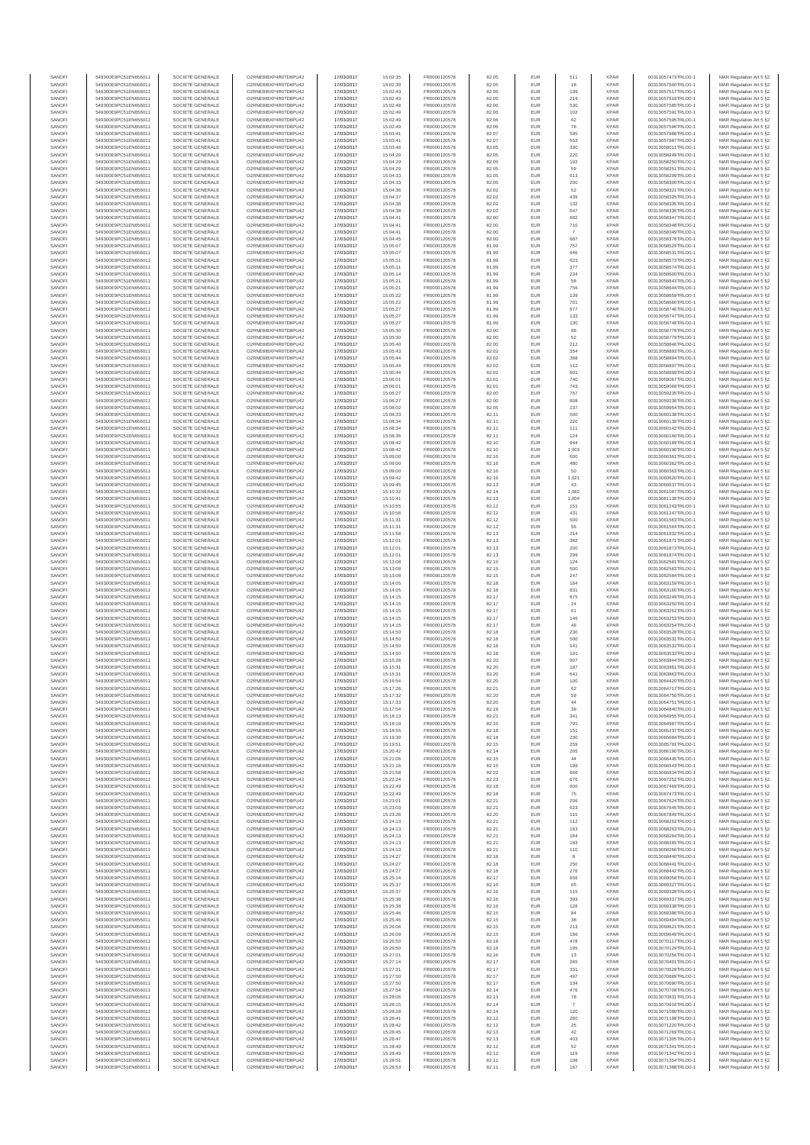| SANOFI           | 549300E9PC51EN656011                         | SOCIETE GENERALE                     | O2RNE8IBXP4R0TD8PU42                          | 17/03/2017               | 15:02:35             | FR0000120578                 | 82.05          | EUR               | 511                   | <b>XPAR</b>                | 00313057473TRLO0-1                       | MAR Regulation Art 5 §2                             |
|------------------|----------------------------------------------|--------------------------------------|-----------------------------------------------|--------------------------|----------------------|------------------------------|----------------|-------------------|-----------------------|----------------------------|------------------------------------------|-----------------------------------------------------|
| SANOFI<br>SANOFI | 549300E9PC51EN656011<br>549300E9PC51EN656011 | SOCIETE GENERALE<br>SOCIETE GENERALE | O2RNE8IBXP4R0TD8PU42<br>O2RNE8IBXP4R0TD8PU42  | 17/03/2017<br>17/03/2017 | 15:02:39<br>15:02:43 | FR0000120578<br>FR0000120578 | 82.05<br>82.05 | EUR<br>EUR        | 18<br>139             | <b>XPAR</b><br><b>XPAR</b> | 00313057500TRLO0-1<br>00313057517TRLO0-1 | MAR Regulation Art 5 §2                             |
| SANOFI           | 549300E9PC51EN656011                         | SOCIETE GENERALE                     | O2RNE8IBXP4R0TD8PU42                          | 17/03/2017               | 15:02:43             | FR0000120578                 | 82.05          | EUR               | 219                   | <b>XPAR</b>                | 00313057518TRLO0-1                       | MAR Regulation Art 5 §2<br>MAR Regulation Art 5 §2  |
| SANOFI           | 549300E9PC51EN656011                         | SOCIETE GENERALE                     | O2RNE8IBXP4R0TD8PU42                          | 17/03/2017               | 15:02:48             | FR0000120578                 | 82.06          | EUR               | 530                   | <b>XPAR</b>                | 00313057585TRLO0-1                       | MAR Regulation Art 5 §2                             |
| SANOFI           | 549300E9PC51EN656011                         | SOCIETE GENERALE                     | O2RNE8IBXP4R0TD8PU42                          | 17/03/2017               | 15:02:49             | FR0000120578                 | 82.06          | EUR               | 102                   | <b>XPAR</b>                | 00313057591TRLO0-1                       | MAR Regulation Art 5 §2                             |
| SANOFI<br>SANOFI | 549300E9PC51EN656011<br>549300E9PC51EN656011 | SOCIETE GENERALE<br>SOCIETE GENERALE | O2RNE8IBXP4R0TD8PU42<br>O2RNE8IBXP4R0TD8PU42  | 17/03/2017<br>17/03/2017 | 15:02:49<br>15:02:49 | FR0000120578<br>FR0000120578 | 82.06<br>82.06 | EUR<br>EUR        | 62<br>78              | <b>XPAR</b><br><b>XPAR</b> | 00313057595TRLO0-1<br>00313057596TRLO0-1 | MAR Regulation Art 5 §2<br>MAR Regulation Art 5 §2  |
| SANOFI           | 549300E9PC51EN656011                         | SOCIETE GENERALE                     | O2RNE8IBXP4R0TD8PU42                          | 17/03/2017               | 15:03:41             | FR0000120578                 | 82.07          | EUR               | 595                   | <b>XPAR</b>                | 00313057986TRLO0-1                       | MAR Regulation Art 5 \$2                            |
| SANOFI           | 549300E9PC51EN656011                         | SOCIETE GENERALE                     | O2RNE8IBXP4R0TD8PU42                          | 17/03/2017               | 15:03:41             | FR0000120578                 | 82.07          | EUR               | 553                   | <b>XPAR</b>                | 00313057987TRLO0-1                       | MAR Regulation Art 5 §2                             |
| SANOFI<br>SANOFI | 549300E9PC51EN656011<br>549300E9PC51EN656011 | SOCIETE GENERALE<br>SOCIETE GENERALE | O2RNE8IBXP4R0TD8PU42<br>O2RNE8IBXP4R0TD8PU42  | 17/03/2017<br>17/03/2017 | 15:03:46<br>15:04:29 | FR0000120578<br>FR0000120578 | 82.05<br>82.05 | EUR<br>EUR        | 330<br>220            | <b>XPAR</b><br><b>XPAR</b> | 00313058011TRLO0-1<br>00313058249TRLO0-1 | MAR Regulation Art 5 §2<br>MAR Regulation Art 5 §2  |
| SANOFI           | 549300E9PC51EN656011                         | SOCIETE GENERALE                     | O2RNE8IBXP4R0TD8PU42                          | 17/03/2017               | 15:04:29             | FR0000120578                 | 82.05          | EUR               | 192                   | <b>XPAR</b>                | 00313058250TRLO0-1                       | MAR Regulation Art 5 §2                             |
| SANOFI           | 549300E9PC51EN656011                         | SOCIETE GENERALE                     | O2RNE8IBXP4R0TD8PU42                          | 17/03/2017               | 15:04:29             | FR0000120578                 | 82.05          | EUR               | 59                    | <b>XPAR</b>                | 00313058251TRLO0-1                       | MAR Regulation Art 5 §2                             |
| SANOFI           | 549300E9PC51EN656011                         | SOCIETE GENERALE                     | O2RNE8IBXP4R0TD8PU42                          | 17/03/2017               | 15:04:33             | FR0000120578                 | 82.05          | EUR               | 613                   | <b>XPAR</b>                | 00313058299TRLO0-1                       | MAR Regulation Art 5 §2                             |
| SANOFI<br>SANOFI | 549300E9PC51EN656011<br>549300E9PC51EN656011 | SOCIETE GENERALE<br>SOCIETE GENERALE | O2RNE8IBXP4R0TD8PU42<br>O2RNE8IBXP4R0TD8PU42  | 17/03/2017<br>17/03/2017 | 15:04:33<br>15:04:36 | FR0000120578<br>FR0000120578 | 82.05<br>82.02 | EUR<br>EUR        | 200<br>52             | <b>XPAR</b><br><b>XPAR</b> | 00313058300TRLO0-1<br>00313058321TRLO0-1 | MAR Regulation Art 5 §2<br>MAR Regulation Art 5 §2  |
| SANOFI           | 549300E9PC51EN656011                         | SOCIETE GENERALE                     | O2RNE8IBXP4R0TD8PU42                          | 17/03/2017               | 15:04:37             | FR0000120578                 | 82.02          | EUR               | 439                   | <b>XPAR</b>                | 00313058325TRLO0-1                       | MAR Regulation Art 5 §2                             |
| SANOFI           | 549300E9PC51EN656011                         | SOCIETE GENERALE                     | O2RNE8IBXP4R0TD8PU42                          | 17/03/2017               | 15:04:38             | FR0000120578                 | 82.02          | EUR               | 132                   | <b>XPAR</b>                | 00313058335TRLO0-1                       | MAR Regulation Art 5 §2                             |
| SANOFI           | 549300E9PC51EN656011                         | SOCIETE GENERALE                     | O2RNE8IBXP4R0TD8PU42                          | 17/03/2017               | 15:04:38             | FR0000120578                 | 82.02          | EUR               | 647                   | <b>XPAR</b>                | 00313058336TRLO0-1                       | MAR Regulation Art 5 §2                             |
| SANOFI<br>SANOFI | 549300E9PC51EN656011<br>549300E9PC51EN656011 | SOCIETE GENERALE<br>SOCIETE GENERALE | O2RNE8IBXP4R0TD8PU42<br>O2RNE8IBXP4R0TD8PU42  | 17/03/2017<br>17/03/2017 | 15:04:41<br>15:04:41 | FR0000120578<br>FR0000120578 | 82.00<br>82.00 | EUR<br>EUR        | 682<br>710            | <b>XPAR</b><br><b>XPAR</b> | 00313058347TRLO0-1<br>00313058348TRLO0-1 | MAR Regulation Art 5 §2<br>MAR Regulation Art 5 §2  |
| SANOFI           | 549300E9PC51EN656011                         | SOCIETE GENERALE                     | O2RNE8IBXP4R0TD8PU42                          | 17/03/2017               | 15:04:41             | FR0000120578                 | 82.00          | EUR               | $\overline{7}$        | <b>XPAR</b>                | 00313058349TRLO0-1                       | MAR Regulation Art 5 §2                             |
| SANOFI           | 549300E9PC51EN656011                         | SOCIETE GENERALE                     | O2RNE8IBXP4R0TD8PU42                          | 17/03/2017               | 15:04:45             | FR0000120578                 | 82.00          | EUR               | 687                   | <b>XPAR</b>                | 00313058378TRLO0-1                       | MAR Regulation Art 5 §2                             |
| SANOFI<br>SANOFI | 549300E9PC51EN656011<br>549300E9PC51EN656011 | SOCIETE GENERALE<br>SOCIETE GENERALE | O2RNE8IBXP4R0TD8PU42<br>O2RNE8IBXP4R0TD8PU42  | 17/03/2017<br>17/03/2017 | 15:05:07<br>15:05:07 | FR0000120578<br>FR0000120578 | 81.99<br>81.99 | EUR<br>EUR        | 757<br>646            | <b>XPAR</b><br><b>XPAR</b> | 00313058529TRLO0-1<br>00313058531TRLO0-1 | MAR Regulation Art 5 §2<br>MAR Regulation Art 5 §2  |
| SANOFI           | 549300E9PC51EN656011                         | SOCIETE GENERALE                     | O2RNE8IBXP4R0TD8PU42                          | 17/03/2017               | 15:05:11             | FR0000120578                 | 81.99          | EUR               | 623                   | <b>XPAR</b>                | 00313058573TRLO0-1                       | MAR Regulation Art 5 62                             |
| SANOFI           | 549300E9PC51EN656011                         | SOCIETE GENERALE                     | O2RNE8IBXP4R0TD8PU42                          | 17/03/2017               | 15:05:11             | FR0000120578                 | 81.99          | EUR               | 377                   | <b>XPAR</b>                | 00313058574TRLO0-1                       | MAR Regulation Art 5 §2                             |
| SANOFI           | 549300E9PC51EN656011                         | SOCIETE GENERALE                     | O2RNE8IBXP4R0TD8PU42                          | 17/03/2017               | 15:05:14             | FR0000120578                 | 81.99          | EUR               | 234                   | <b>XPAR</b>                | 00313058600TRLO0-1                       | MAR Regulation Art 5 §2                             |
| SANOFI<br>SANOFI | 549300E9PC51EN656011<br>549300E9PC51EN656011 | SOCIETE GENERALE<br>SOCIETE GENERALE | O2RNE8IBXP4R0TD8PU42<br>O2RNE8IBXP4R0TD8PU42  | 17/03/2017<br>17/03/2017 | 15:05:21<br>15:05:21 | FR0000120578<br>FR0000120578 | 81.99<br>81.99 | EUR<br>EUR        | 58<br>756             | <b>XPAR</b><br><b>XPAR</b> | 00313058643TRLO0-1<br>00313058644TRLO0-1 | MAR Regulation Art 5 §2<br>MAR Regulation Art 5 §2  |
| SANOFI           | 549300E9PC51EN656011                         | SOCIETE GENERALE                     | O2RNE8IBXP4R0TD8PU42                          | 17/03/2017               | 15:05:22             | FR0000120578                 | 81.99          | EUR               | 139                   | <b>XPAR</b>                | 00313058659TRLO0-1                       | MAR Regulation Art 5 §2                             |
| SANOFI           | 549300E9PC51EN656011                         | SOCIETE GENERALE                     | O2RNE8IBXP4R0TD8PU42                          | 17/03/2017               | 15:05:22             | FR0000120578                 | 81.99          | EUR               | 701                   | <b>XPAR</b>                | 00313058660TRLO0-1                       | MAR Regulation Art 5 §2                             |
| SANOFI<br>SANOFI | 549300E9PC51EN656011<br>549300E9PC51EN656011 | SOCIETE GENERALE<br>SOCIETE GENERALE | O2RNE8IBXP4R0TD8PU42<br>O2RNE8IBXP4R0TD8PU42  | 17/03/2017<br>17/03/2017 | 15:05:27<br>15:05:27 | FR0000120578<br>FR0000120578 | 81.99<br>81.99 | EUR<br>EUR        | 677<br>133            | <b>XPAR</b><br><b>XPAR</b> | 00313058746TRLO0-1<br>00313058747TRLO0-1 | MAR Regulation Art 5 \$2<br>MAR Regulation Art 5 §2 |
| SANOFI           | 549300E9PC51EN656011                         | SOCIETE GENERALE                     | O2RNE8IBXP4R0TD8PU42                          | 17/03/2017               | 15:05:27             | FR0000120578                 | 81.99          | EUR               | 130                   | <b>XPAR</b>                | 00313058748TRLO0-1                       | MAR Regulation Art 5 §2                             |
| SANOFI           | 549300E9PC51EN656011                         | SOCIETE GENERALE                     | O2RNE8IBXP4R0TD8PU42                          | 17/03/2017               | 15:05:30             | FR0000120578                 | 82.00          | EUR               | 88                    | <b>XPAR</b>                | 00313058778TRLO0-1                       | MAR Regulation Art 5 §2                             |
| SANOFI           | 549300E9PC51EN656011                         | SOCIETE GENERALE                     | O2RNE8IBXP4R0TD8PU42                          | 17/03/2017               | 15:05:30             | FR0000120578                 | 82.00          | EUR               | 52                    | <b>XPAR</b>                | 00313058779TRLO0-1                       | MAR Regulation Art 5 §2                             |
| SANOFI<br>SANOFI | 549300E9PC51EN656011<br>549300E9PC51EN656011 | SOCIETE GENERALE<br>SOCIETE GENERALE | O2RNE8IBXP4R0TD8PU42<br>O2RNE8IBXP4R0TD8PU42  | 17/03/2017<br>17/03/2017 | 15:05:40<br>15:05:43 | FR0000120578<br>FR0000120578 | 82.00<br>82.02 | EUR<br>EUR        | 212<br>354            | <b>XPAR</b><br><b>XPAR</b> | 00313058846TRLO0-1<br>00313058893TRLO0-1 | MAR Regulation Art 5 §2<br>MAR Regulation Art 5 §2  |
| SANOFI           | 549300E9PC51EN656011                         | SOCIETE GENERALE                     | O2RNE8IBXP4R0TD8PU42                          | 17/03/2017               | 15:05:44             | FR0000120578                 | 82.02          | EUR               | 368                   | <b>XPAR</b>                | 00313058894TRLO0-1                       | MAR Regulation Art 5 §2                             |
| SANOFI           | 549300E9PC51EN656011                         | SOCIETE GENERALE                     | O2RNE8IBXP4R0TD8PU42                          | 17/03/2017               | 15:05:44             | FR0000120578                 | 82.02          | EUR               | 112                   | <b>XPAR</b>                | 00313058897TRLO0-1                       | MAR Regulation Art 5 §2                             |
| SANOFI<br>SANOFI | 549300E9PC51EN656011<br>549300E9PC51EN656011 | SOCIETE GENERALE<br>SOCIETE GENERALE | O2RNE8IBXP4R0TD8PU42<br>O2RNE8IBXP4R0TD8PU42  | 17/03/2017<br>17/03/2017 | 15:05:44<br>15:06:01 | FR0000120578<br>FR0000120578 | 82.02<br>82.01 | EUR<br>EUR        | 601<br>740            | <b>XPAR</b><br><b>XPAR</b> | 00313058899TRLO0-1<br>00313059067TRLO0-1 | MAR Regulation Art 5 §2<br>MAR Regulation Art 5 §2  |
| SANOFI           | 549300E9PC51EN656011                         | SOCIETE GENERALE                     | O2RNE8IBXP4R0TD8PU42                          | 17/03/2017               | 15:06:01             | FR0000120578                 | 82.01          | EUR               | 743                   | <b>XPAR</b>                | 00313059068TRLO0-1                       | MAR Regulation Art 5 §2                             |
| SANOFI           | 549300E9PC51EN656011                         | SOCIETE GENERALE                     | O2RNE8IBXP4R0TD8PU42                          | 17/03/2017               | 15:06:27             | FR0000120578                 | 82.00          | EUR               | 757                   | <b>XPAR</b>                | 00313059235TRLO0-1                       | MAR Regulation Art 5 §2                             |
| SANOFI<br>SANOFI | 549300E9PC51EN656011<br>549300E9PC51EN656011 | SOCIETE GENERALE                     | O2RNE8IBXP4R0TD8PU42<br>O2RNE8IBXP4R0TD8PU42  | 17/03/2017               | 15:06:27             | FR0000120578                 | 82.00          | EUR               | 808                   | <b>XPAR</b><br><b>XPAR</b> | 00313059236TRLO0-1<br>00313059954TRLO0-1 | MAR Regulation Art 5 §2                             |
| SANOFI           | 549300E9PC51EN656011                         | SOCIETE GENERALE<br>SOCIETE GENERALE | O2RNE8IBXP4R0TD8PU42                          | 17/03/2017<br>17/03/2017 | 15:08:02<br>15:08:33 | FR0000120578<br>FR0000120578 | 82.05<br>82.11 | EUR<br>EUR        | 137<br>500            | <b>XPAR</b>                | 00313060138TRLO0-1                       | MAR Regulation Art 5 §2<br>MAR Regulation Art 5 §2  |
| SANOFI           | 549300E9PC51EN656011                         | SOCIETE GENERALE                     | O2RNE8IBXP4R0TD8PLI42                         | 17/03/2017               | 15:08:34             | FR0000120578                 | 82.11          | EUR               | 220                   | <b>XPAR</b>                | 00313060139TRLO0-1                       | MAR Regulation Art 5 §2                             |
| SANOFI           | 549300E9PC51EN656011                         | SOCIETE GENERALE                     | O2RNE8IBXP4R0TD8PU42                          | 17/03/2017               | 15:08:34             | FR0000120578                 | 82.11          | EUR               | 111                   | <b>XPAR</b>                | 00313060142TRLO0-1                       | MAR Regulation Art 5 §2                             |
| SANOFI<br>SANOFI | 549300E9PC51EN656011<br>549300E9PC51EN656011 | SOCIETE GENERALE<br>SOCIETE GENERALE | O2RNE8IBXP4R0TD8PU42<br>O2RNE8IBXP4R0TD8PU42  | 17/03/2017<br>17/03/2017 | 15:08:36<br>15:08:42 | FR0000120578<br>FR0000120578 | 82.11<br>82.10 | EUR<br>EUR        | 124<br>944            | <b>XPAR</b><br><b>XPAR</b> | 00313060166TRLO0-1<br>00313060189TRLO0-1 | MAR Regulation Art 5 \$2<br>MAR Regulation Art 5 §2 |
| SANOFI           | 549300E9PC51EN656011                         | SOCIETE GENERALE                     | O2RNE8IBXP4R0TD8PU42                          | 17/03/2017               | 15:08:42             | FR0000120578                 | 82.10          | EUR               | 1,003                 | <b>XPAR</b>                | 00313060190TRLO0-1                       | MAR Regulation Art 5 §2                             |
| SANOFI           | 549300E9PC51EN656011                         | SOCIETE GENERALE                     | O2RNE8IBXP4R0TD8PU42                          | 17/03/2017               | 15:09:00             | FR0000120578                 | 82.16          | EUR               | 600                   | <b>XPAR</b>                | 00313060361TRLO0-1                       | MAR Regulation Art 5 §2                             |
| SANOFI           | 549300E9PC51EN656011                         | SOCIETE GENERALE                     | O2RNE8IBXP4R0TD8PU42                          | 17/03/2017               | 15:09:00             | FR0000120578                 | 82.16          | EUR               | 480                   | <b>XPAR</b>                | 00313060362TRLO0-1                       | MAR Regulation Art 5 §2                             |
| SANOFI<br>SANOFI | 549300E9PC51EN656011<br>549300E9PC51EN656011 | SOCIETE GENERALE<br>SOCIETE GENERALE | O2RNE8IBXP4R0TD8PU42<br>O2RNE8IBXP4R0TD8PU42  | 17/03/2017<br>17/03/2017 | 15:09:00<br>15:09:42 | FR0000120578<br>FR0000120578 | 82.16<br>82.16 | EUR<br>EUR        | 50<br>1,021           | <b>XPAR</b><br><b>XPAR</b> | 00313060363TRLO0-1<br>00313060620TRLO0-1 | MAR Regulation Art 5 §2<br>MAR Regulation Art 5 §2  |
| SANOFI           | 549300E9PC51EN656011                         | SOCIETE GENERALE                     | O2RNE8IBXP4R0TD8PU42                          | 17/03/2017               | 15:09:45             | FR0000120578                 | 82.13          | EUR               | 43                    | <b>XPAR</b>                | 00313060637TRLO0-1                       | MAR Regulation Art 5 §2                             |
| SANOFI           | 549300E9PC51EN656011                         | SOCIETE GENERALE                     | O2RNE8IBXP4R0TD8PU42                          | 17/03/2017               | 15:10:32             | FR0000120578                 | 82.14          | EUR               | 1,082                 | <b>XPAR</b>                | 00313061087TRLO0-1                       | MAR Regulation Art 5 §2                             |
| SANOFI           | 549300E9PC51EN656011                         | SOCIETE GENERALE                     | O2RNE8IBXP4R0TD8PU42                          | 17/03/2017               | 15:10:41             | FR0000120578                 | 82.13          | EUR               | 1,004                 | <b>XPAR</b>                | 00313061139TRLO0-1                       | MAR Regulation Art 5 §2                             |
| SANOFI<br>SANOFI | 549300E9PC51EN656011<br>549300E9PC51EN656011 | SOCIETE GENERALE<br>SOCIETE GENERALE | O2RNE8IBXP4R0TD8PU42<br>O2RNE8IBXP4R0TD8PU42  | 17/03/2017<br>17/03/2017 | 15:10:55<br>15:10:56 | FR0000120578<br>FR0000120578 | 82.12<br>82.12 | EUR<br>EUR        | 151<br>431            | <b>XPAR</b><br><b>XPAR</b> | 00313061243TRLO0-1<br>00313061247TRLO0-1 | MAR Regulation Art 5 §2<br>MAR Regulation Art 5 §2  |
| SANOFI           | 549300E9PC51EN656011                         | SOCIETE GENERALE                     | O2RNE8IBXP4R0TD8PU42                          | 17/03/2017               | 15:11:31             | FR0000120578                 | 82.12          | EUR               | 500                   | <b>XPAR</b>                | 00313061563TRLO0-1                       | MAR Regulation Art 5 §2                             |
| SANOFI           | 549300E9PC51EN656011                         | SOCIETE GENERALE                     | O2RNE8IBXP4R0TD8PU42                          | 17/03/2017               | 15:11:31             | FR0000120578                 | 82.12          | EUR               | 56                    | <b>XPAR</b>                | 00313061564TRLO0-1                       | MAR Regulation Art 5 §2                             |
| SANOFI<br>SANOFI | 549300E9PC51EN656011<br>549300E9PC51EN656011 | SOCIETE GENERALE<br>SOCIETE GENERALE | O2RNE8IBXP4R0TD8PU42<br>O2RNE8IBXP4R0TD8PU42  | 17/03/2017<br>17/03/2017 | 15:11:58<br>15:12:01 | FR0000120578<br>FR0000120578 | 82.13<br>82.13 | EUR<br>EUR        | 214<br>382            | <b>XPAR</b><br><b>XPAR</b> | 00313061832TRLO0-1<br>00313061871TRLO0-1 | MAR Regulation Art 5 §2                             |
| SANOFI           | 549300E9PC51EN656011                         | SOCIETE GENERALE                     | O2RNE8IBXP4R0TD8PU42                          | 17/03/2017               | 15:12:01             | FR0000120578                 | 82.13          | EUR               | 200                   | <b>XPAR</b>                | 00313061873TRLO0-1                       | MAR Regulation Art 5 §2<br>MAR Regulation Art 5 §2  |
| SANOFI           | 549300E9PC51EN656011                         | SOCIETE GENERALE                     | O2RNE8IBXP4R0TD8PU42                          | 17/03/2017               | 15:12:01             | FR0000120578                 | 82.13          | EUR               | 299                   | <b>XPAR</b>                | 00313061874TRLO0-1                       | MAR Regulation Art 5 §2                             |
| SANOFI           | 549300E9PC51EN656011                         | SOCIETE GENERALE                     | O2RNE8IBXP4R0TD8PU42                          | 17/03/2017               | 15:13:08             | FR0000120578                 | 82.15          | EUR               | 124                   | <b>XPAR</b>                | 00313062581TRLO0-1                       | MAR Regulation Art 5 §2                             |
| SANOFI<br>SANOFI | 549300E9PC51EN656011<br>549300E9PC51EN656011 | SOCIETE GENERALE<br>SOCIETE GENERALE | O2RNE8IBXP4R0TD8PU42<br>O2RNE8IBXP4R0TD8PU42  | 17/03/2017<br>17/03/2017 | 15:13:08<br>15:13:08 | FR0000120578<br>FR0000120578 | 82.15<br>82.15 | EUR<br>EUR        | 500<br>247            | <b>XPAR</b><br><b>XPAR</b> | 00313062583TRLO0-1<br>00313062584TRLO0-1 | MAR Regulation Art 5 §2<br>MAR Regulation Art 5 §2  |
| SANOFI           | 549300E9PC51EN656011                         | SOCIETE GENERALE                     | O2RNE8IBXP4R0TD8PU42                          | 17/03/2017               | 15:14:05             | FR0000120578                 | 82.18          | EUR               | 164                   | <b>XPAR</b>                | 00313063159TRLO0-1                       | MAR Regulation Art 5 §2                             |
| SANOFI           | 549300E9PC51EN656011                         | SOCIETE GENERALE                     | O2RNE8IBXP4R0TD8PU42                          | 17/03/2017               | 15:14:05             | FR0000120578                 | 82.18          | EUR               | 831                   | <b>XPAR</b>                | 00313063160TRLO0-1                       | MAR Regulation Art 5 §2                             |
| SANOFI           | 549300E9PC51EN656011                         | SOCIETE GENERALE                     | O2RNE8IBXP4R0TD8PU42                          | 17/03/2017               | 15:14:15             | FR0000120578                 | 82.17          | EUR               | 675                   | <b>XPAR</b>                | 00313063249TRLO0-1                       | MAR Regulation Art 5 §2                             |
| SANOFI<br>SANOFI | 549300E9PC51EN656011<br>549300E9PC51EN656011 | SOCIETE GENERALE<br>SOCIETE GENERALE | O2RNE8IBXP4R0TD8PU42<br>O2RNE8IBXP4R0TD8PU42  | 17/03/2017<br>17/03/2017 | 15:14:15<br>15:14:15 | FR0000120578<br>FR0000120578 | 82.17<br>82.17 | EUR<br>EUR        | 24<br>61              | <b>XPAR</b><br><b>XPAR</b> | 00313063250TRLO0-1<br>00313063252TRLO0-1 | MAR Regulation Art 5 §2<br>MAR Regulation Art 5 \$2 |
| SANOFI           | 549300E9PC51EN656011                         | SOCIETE GENERALE                     | O2RNE8IBXP4R0TD8PU42                          | 17/03/2017               | 15:14:15             | FR0000120578                 | 82.17          | EUR               | 146                   | <b>XPAR</b>                | 00313063253TRLO0-1                       | MAR Regulation Art 5 §2                             |
| SANOFI           | 549300E9PC51EN656011                         | SOCIETE GENERALE                     | O2RNE8IBXP4R0TD8PU42                          | 17/03/2017               | 15:14:15             | FR0000120578                 | 82.17          | EUR               | 49                    | <b>XPAR</b>                | 00313063254TRLO0-1                       | MAR Regulation Art 5 §2                             |
| SANOFI           | 549300E9PC51EN656011                         | SOCIETE GENERALE                     | O2RNE8IBXP4R0TD8PU42                          | 17/03/2017               | 15:14:50             | FR0000120578                 | 82.18          | EUR               | 230                   | <b>XPAR</b>                | 00313063528TRLO0-1                       | MAR Regulation Art 5 §2<br>MAR Regulation Art 5 §2  |
| SANOFI<br>SANOFI | 549300E9PC51EN656011<br>549300E9PC51EN656011 | SOCIETE GENERALE<br>SOCIETE GENERALE | O2RNE8IBXP4R0TD8PU42<br>O2RNE8IBXP4R0TD8PU42  | 17/03/2017<br>17/03/2017 | 15:14:50<br>15:14:50 | FR0000120578<br>FR0000120578 | 82.18<br>82.18 | EUR<br>EUR        | 500<br>141            | <b>XPAR</b><br><b>XPAR</b> | 00313063531TRLO0-1<br>00313063532TRLO0-1 | MAR Regulation Art 5 §2                             |
| SANOFI           | 549300E9PC51EN656011                         | SOCIETE GENERALE                     | O2RNE8IBXP4R0TD8PU42                          | 17/03/2017               | 15:14:50             | FR0000120578                 | 82.18          | EUR               | 101                   | <b>XPAR</b>                | 00313063533TRLO0-1                       | MAR Regulation Art 5 §2                             |
| SANOFI           | 549300E9PC51EN656011                         | SOCIETE GENERALE                     | O2RNE8IBXP4R0TD8PU42                          | 17/03/2017               | 15:15:28             | FR0000120578                 | 82.20          | EUR               | 907                   | <b>XPAR</b>                | 00313063844TRLO0-1                       | MAR Regulation Art 5 \$2                            |
| SANOFI<br>SANOFI | 549300E9PC51EN656011<br>549300E9PC51EN656011 | SOCIETE GENERALE<br>SOCIETE GENERALE | O2RNE8IBXP4R0TD8PU42<br>O2RNE8IBXP4R0TD8PU42  | 17/03/2017<br>17/03/2017 | 15:15:31<br>15:15:31 | FR0000120578<br>FR0000120578 | 82.20<br>82.20 | EUR<br><b>EUR</b> | 187<br>641            | <b>XPAR</b><br><b>XPAR</b> | 00313063861TRLO0-1<br>00313063863TRLO0-1 | MAR Regulation Art 5 §2<br>MAR Regulation Art 5 §2  |
| SANOFI           | 549300E9PC51EN656011                         | SOCIETE GENERALE                     | O2RNE8IBXP4R0TD8PU42                          | 17/03/2017               | 15:16:54             | FR0000120578                 | 82.20          | EUR               | 100                   | <b>XPAR</b>                | 00313064420TRLO0-1                       | MAR Regulation Art 5 §2                             |
| SANOFI           | 549300E9PC51EN656011                         | SOCIETE GENERALE                     | O2RNE8IBXP4R0TD8PU42                          | 17/03/2017               | 15:17:26             | FR0000120578                 | 82.21          | EUR               | 62                    | <b>XPAR</b>                | 00313064717TRLO0-1                       | MAR Regulation Art 5 §2                             |
| SANOFI           | 549300E9PC51EN656011                         | SOCIETE GENERALE                     | O2RNE8IBXP4R0TD8PU42                          | 17/03/2017               | 15:17:32             | FR0000120578                 | 82.20          | EUR               | 59                    | <b>XPAR</b>                | 00313064750TRLO0-1                       | MAR Regulation Art 5 §2                             |
| SANOFI<br>SANOFI | 549300E9PC51EN656011<br>549300E9PC51EN656011 | SOCIETE GENERALE<br>SOCIETE GENERALE | O2RNE8IBXP4R0TD8PU42<br>O2RNE8IBXP4R0TD8PU42  | 17/03/2017<br>17/03/2017 | 15:17:33<br>15:17:54 | FR0000120578<br>FR0000120578 | 82.20<br>82.19 | EUR<br>EUR        | $44\,$<br>39          | <b>XPAR</b><br><b>XPAR</b> | 00313064751TRLO0-1<br>00313064840TRLO0-1 | MAR Regulation Art 5 §2<br>MAR Regulation Art 5 §2  |
| SANOFI           | 549300E9PC51EN656011                         | SOCIETE GENERALE                     | O2RNE8IBXP4R0TD8PU42                          | 17/03/2017               | 15:18:13             | FR0000120578                 | 82.21          | EUR               | 341                   | <b>XPAR</b>                | 00313064955TRLO0-1                       | MAR Regulation Art 5 §2                             |
| SANOFI           | 549300E9PC51EN656011                         | SOCIETE GENERALE                     | O2RNE8IBXP4R0TD8PU42                          | 17/03/2017               | 15:18:19             | FR0000120578                 | 82.15          | EUR               | 791                   | <b>XPAR</b>                | 00313064987TRLO0-1                       | MAR Regulation Art 5 §2                             |
| SANOFI<br>SANOFI | 549300E9PC51EN656011<br>549300E9PC51EN656011 | SOCIETE GENERALE<br>SOCIETE GENERALE | O2RNE8IBXP4R0TD8PU42<br>O2RNE8IBXP4R0TD8PU42  | 17/03/2017<br>17/03/2017 | 15:18:55<br>15:19:39 | FR0000120578<br>FR0000120578 | 82.18<br>82.18 | EUR<br>EUR        | 151<br>230            | <b>XPAR</b><br><b>XPAR</b> | 00313065237TRLO0-1<br>00313065684TRLO0-1 | MAR Regulation Art 5 §2<br>MAR Regulation Art 5 \$2 |
| SANOFI           | 549300E9PC51EN656011                         | SOCIETE GENERALE                     | O2RNE8IBXP4R0TD8PU42                          | 17/03/2017               | 15:19:51             | FR0000120578                 | 82.15          | EUR               | 259                   | <b>XPAR</b>                | 00313065791TRLO0-1                       | MAR Regulation Art 5 §2                             |
| SANOFI           | 549300E9PC51EN656011                         | SOCIETE GENERALE                     | O2RNE8IBXP4R0TD8PU42                          | 17/03/2017               | 15:20:42             | FR0000120578                 | 82.14          | EUR               | 205                   | <b>XPAR</b>                | 00313066190TRLO0-1                       | MAR Regulation Art 5 §2                             |
| SANOFI<br>SANOFI | 549300E9PC51EN656011<br>549300E9PC51EN656011 | SOCIETE GENERALE<br>SOCIETE GENERALE | O2RNE8IBXP4R0TD8PU42<br>O2RNE8IBXP4R0TD8PU42  | 17/03/2017<br>17/03/2017 | 15:21:06<br>15:21:16 | FR0000120578<br>FR0000120578 | 82.15<br>82.15 | EUR<br>EUR        | 44<br>199             | <b>XPAR</b><br><b>XPAR</b> | 00313066445TRLO0-1<br>00313066543TRLO0-1 | MAR Regulation Art 5 §2<br>MAR Regulation Art 5 §2  |
| SANOFI           | 549300E9PC51EN656011                         | SOCIETE GENERALE                     | O2RNE8IBXP4R0TD8PU42                          | 17/03/2017               | 15:21:58             | FR0000120578                 | 82.22          | EUR               | 666                   | <b>XPAR</b>                | 00313066834TRLO0-1                       | MAR Regulation Art 5 §2                             |
| SANOFI           | 549300E9PC51EN656011                         | SOCIETE GENERALE                     | O2RNE8IBXP4R0TD8PU42                          | 17/03/2017               | 15:22:24             | FR0000120578                 | 82.23          | EUR               | 676                   | <b>XPAR</b>                | 00313067252TRLO0-1                       | MAR Regulation Art 5 §2                             |
| SANOFI<br>SANOFI | 549300E9PC51EN656011<br>549300E9PC51EN656011 | SOCIETE GENERALE<br>SOCIETE GENERALE | O2RNE8IBXP4R0TD8PU42<br>O2RNE8IBXP4R0TD8PU42  | 17/03/2017<br>17/03/2017 | 15:22:49<br>15:22:49 | FR0000120578<br>FR0000120578 | 82.18<br>82.18 | EUR<br>EUR        | 600<br>75             | <b>XPAR</b><br><b>XPAR</b> | 00313067469TRLO0-1<br>00313067473TRLO0-1 | MAR Regulation Art 5 §2<br>MAR Regulation Art 5 §2  |
| SANOFI           | 549300E9PC51EN656011                         | SOCIETE GENERALE                     | O2RNE8IBXP4R0TD8PU42                          | 17/03/2017               | 15:23:01             | FR0000120578                 | 82.21          | EUR               | 206                   | <b>XPAR</b>                | 00313067624TRLO0-1                       | MAR Regulation Art 5 §2                             |
| SANOFI           | 549300E9PC51EN656011                         | SOCIETE GENERALE                     | O2RNE8IBXP4R0TD8PU42                          | 17/03/2017               | 15:23:03             | FR0000120578                 | 82.21          | EUR               | 623                   | <b>XPAR</b>                | 00313067645TRLO0-1                       | MAR Regulation Art 5 §2                             |
| SANOFI<br>SANOFI | 549300E9PC51EN656011<br>549300E9PC51EN656011 | SOCIETE GENERALE<br>SOCIETE GENERALE | O2RNE8IBXP4R0TD8PU42<br>O2RNESIBXP4R0TD8PLI42 | 17/03/2017<br>17/03/2017 | 15:23:26<br>15:24:13 | FR0000120578<br>FR0000120578 | 82.20<br>82.21 | EUR<br>EUR        | 115<br>112            | <b>XPAR</b><br><b>XPAR</b> | 00313067849TRLO0-1<br>00313068262TRLO0-1 | MAR Regulation Art 5 §2                             |
| SANOFI           | 549300E9PC51EN656011                         | SOCIETE GENERALE                     | O2RNE8IBXP4R0TD8PU42                          | 17/03/2017               | 15:24:13             | FR0000120578                 | 82.21          | EUR               | 163                   | <b>XPAR</b>                | 00313068263TRLO0-1                       | MAR Regulation Art 5 §2<br>MAR Regulation Art 5 §2  |
| SANOFI           | 549300E9PC51EN656011                         | SOCIETE GENERALE                     | O2RNE8IBXP4R0TD8PU42                          | 17/03/2017               | 15:24:13             | FR0000120578                 | 82.21          | EUR               | 164                   | <b>XPAR</b>                | 00313068264TRLO0-1                       | MAR Regulation Art 5 §2                             |
| SANOFI           | 549300E9PC51EN656011                         | SOCIETE GENERALE                     | O2RNE8IBXP4R0TD8PU42                          | 17/03/2017               | 15:24:13             | FR0000120578                 | 82.21          | EUR               | 163                   | <b>XPAR</b>                | 00313068265TRLO0-1                       | MAR Regulation Art 5 §2                             |
| SANOFI<br>SANOFI | 549300E9PC51EN656011<br>549300E9PC51EN656011 | SOCIETE GENERALE<br>SOCIETE GENERALE | O2RNE8IBXP4R0TD8PU42<br>O2RNE8IBXP4R0TD8PU42  | 17/03/2017<br>17/03/2017 | 15:24:13<br>15:24:27 | FR0000120578<br>FR0000120578 | 82.21<br>82.18 | EUR<br>EUR        | 110<br>8              | <b>XPAR</b><br><b>XPAR</b> | 00313068266TRLO0-1<br>00313068440TRLO0-1 | MAR Regulation Art 5 §2<br>MAR Regulation Art 5 §2  |
| SANOFI           | 549300E9PC51EN656011                         | SOCIETE GENERALE                     | O2RNE8IBXP4R0TD8PU42                          | 17/03/2017               | 15:24:27             | FR0000120578                 | 82.18          | EUR               | 250                   | <b>XPAR</b>                | 00313068441TRLO0-1                       | MAR Regulation Art 5 §2                             |
| SANOFI           | 549300E9PC51EN656011                         | SOCIETE GENERALE                     | O2RNE8IBXP4R0TD8PU42                          | 17/03/2017               | 15:24:27             | FR0000120578                 | 82.18          | EUR               | 276                   | <b>XPAR</b>                | 00313068442TRLO0-1                       | MAR Regulation Art 5 §2                             |
| SANOFI<br>SANOFI | 549300E9PC51EN656011<br>549300E9PC51EN656011 | SOCIETE GENERALE<br>SOCIETE GENERALE | O2RNE8IBXP4R0TD8PU42<br>O2RNE8IBXP4R0TD8PU42  | 17/03/2017               | 15:25:14<br>15:25:37 | FR0000120578<br>FR0000120578 | 82.17<br>82.16 | EUR<br>EUR        | 656<br>65             | <b>XPAR</b><br><b>XPAR</b> | 00313069058TRLO0-1<br>00313069327TRLO0-1 | MAR Regulation Art 5 §2                             |
| SANOFI           | 549300E9PC51EN656011                         | SOCIETE GENERALE                     | O2RNE8IBXP4R0TD8PU42                          | 17/03/2017<br>17/03/2017 | 15:25:37             | FR0000120578                 | 82.16          | EUR               | 115                   | <b>XPAR</b>                | 00313069328TRLO0-1                       | MAR Regulation Art 5 §2<br>MAR Regulation Art 5 §2  |
| SANOFI           | 549300E9PC51EN656011                         | SOCIETE GENERALE                     | O2RNE8IBXP4R0TD8PU42                          | 17/03/2017               | 15:25:38             | FR0000120578                 | 82.16          | EUR               | 393                   | <b>XPAR</b>                | 00313069337TRLO0-1                       | MAR Regulation Art 5 §2                             |
| SANOFI<br>SANOFI | 549300E9PC51EN656011<br>549300E9PC51EN656011 | SOCIETE GENERALE<br>SOCIETE GENERALE | O2RNE8IBXP4R0TD8PU42<br>O2RNE8IBXP4R0TD8PU42  | 17/03/2017<br>17/03/2017 | 15:25:38<br>15:25:46 | FR0000120578<br>FR0000120578 | 82.16<br>82.15 | EUR<br>EUR        | 128<br>84             | <b>XPAR</b><br><b>XPAR</b> | 00313069338TRLO0-1<br>00313069396TRLO0-1 | MAR Regulation Art 5 §2                             |
| SANOFI           | 549300E9PC51EN656011                         | SOCIETE GENERALE                     | O2RNE8IBXP4R0TD8PU42                          | 17/03/2017               | 15:25:46             | FR0000120578                 | 82.15          | EUR               | 38                    | <b>XPAR</b>                | 00313069404TRLO0-1                       | MAR Regulation Art 5 §2<br>MAR Regulation Art 5 §2  |
| SANOFI           | 549300E9PC51EN656011                         | SOCIETE GENERALE                     | O2RNE8IBXP4R0TD8PU42                          | 17/03/2017               | 15:26:06             | FR0000120578                 | 82.15          | EUR               | 213                   | <b>XPAR</b>                | 00313069621TRLO0-1                       | MAR Regulation Art 5 §2                             |
| SANOFI           | 549300E9PC51EN656011                         | SOCIETE GENERALE                     | O2RNE8IBXP4R0TD8PU42                          | 17/03/2017               | 15:26:09             | FR0000120578                 | 82.15          | EUR               | 186                   | <b>XPAR</b>                | 00313069649TRLO0-1                       | MAR Regulation Art 5 §2                             |
| SANOFI<br>SANOFI | 549300E9PC51EN656011<br>549300E9PC51EN656011 | SOCIETE GENERALE<br>SOCIETE GENERALE | O2RNE8IBXP4R0TD8PU42<br>O2RNE8IBXP4R0TD8PU42  | 17/03/2017<br>17/03/2017 | 15:26:50<br>15:26:50 | FR0000120578<br>FR0000120578 | 82.18<br>82.18 | EUR<br>EUR        | 478<br>195            | <b>XPAR</b><br><b>XPAR</b> | 00313070117TRLO0-1<br>00313070129TRLO0-1 | MAR Regulation Art 5 §2                             |
| SANOFI           | 549300E9PC51EN656011                         | SOCIETE GENERALE                     | O2RNE8IBXP4R0TD8PU42                          | 17/03/2017               | 15:27:01             | FR0000120578                 | 82.16          | EUR               | 13                    | <b>XPAR</b>                | 00313070256TRLO0-1                       | MAR Regulation Art 5 §2<br>MAR Regulation Art 5 §2  |
| SANOFI           | 549300E9PC51EN656011                         | SOCIETE GENERALE                     | O2RNE8IBXP4R0TD8PU42                          | 17/03/2017               | 15:27:14             | FR0000120578                 | 82.17          | EUR               | 265                   | <b>XPAR</b>                | 00313070401TRLO0-1                       | MAR Regulation Art 5 §2                             |
| SANOFI           | 549300E9PC51EN656011                         | SOCIETE GENERALE                     | O2RNE8IBXP4R0TD8PU42                          | 17/03/2017               | 15:27:31             | FR0000120578                 | 82.17          | EUR               | 331                   | <b>XPAR</b>                | 00313070528TRLO0-1                       | MAR Regulation Art 5 §2                             |
| SANOFI<br>SANOFI | 549300E9PC51EN656011<br>549300E9PC51EN656011 | SOCIETE GENERALE<br>SOCIETE GENERALE | O2RNE8IBXP4R0TD8PU42<br>O2RNE8IBXP4R0TD8PU42  | 17/03/2017<br>17/03/2017 | 15:27:50<br>15:27:50 | FR0000120578<br>FR0000120578 | 82.17<br>82.17 | EUR<br>EUR        | 497<br>134            | <b>XPAR</b><br><b>XPAR</b> | 00313070689TRLO0-1<br>00313070690TRLO0-1 | MAR Regulation Art 5 §2<br>MAR Regulation Art 5 §2  |
| SANOFI           | 549300E9PC51EN656011                         | SOCIETE GENERALE                     | O2RNE8IBXP4R0TD8PU42                          | 17/03/2017               | 15:27:54             | FR0000120578                 | 82.14          | EUR               | 476                   | <b>XPAR</b>                | 00313070708TRLO0-1                       | MAR Regulation Art 5 §2                             |
| SANOFI           | 549300E9PC51EN656011                         | SOCIETE GENERALE                     | O2RNE8IBXP4R0TD8PU42                          | 17/03/2017               | 15:28:06             | FR0000120578                 | 82.13          | EUR               | 78                    | <b>XPAR</b>                | 00313070831TRLO0-1                       | MAR Regulation Art 5 §2                             |
| SANOFI<br>SANOFI | 549300E9PC51EN656011<br>549300E9PC51EN656011 | SOCIETE GENERALE<br>SOCIETE GENERALE | O2RNE8IBXP4R0TD8PU42<br>O2RNE8IBXP4R0TD8PU42  | 17/03/2017<br>17/03/2017 | 15:28:15<br>15:28:28 | FR0000120578<br>FR0000120578 | 82.14<br>82.14 | EUR<br>EUR        | $\overline{7}$<br>120 | <b>XPAR</b><br><b>XPAR</b> | 00313070916TRLO0-1<br>00313071080TRLO0-1 | MAR Regulation Art 5 §2                             |
| SANOFI           | 549300E9PC51EN656011                         | SOCIETE GENERALE                     | O2RNE8IBXP4R0TD8PU42                          | 17/03/2017               | 15:28:41             | FR0000120578                 | 82.12          | EUR               | 260                   | <b>XPAR</b>                | 00313071198TRLO0-1                       | MAR Regulation Art 5 §2<br>MAR Regulation Art 5 §2  |
| SANOFI           | 549300E9PC51EN656011                         | SOCIETE GENERALE                     | O2RNE8IBXP4R0TD8PU42                          | 17/03/2017               | 15:28:42             | FR0000120578                 | 82.12          | EUR               | 25                    | <b>XPAR</b>                | 00313071220TRLO0-1                       | MAR Regulation Art 5 §2                             |
| SANOFI           | 549300E9PC51EN656011                         | SOCIETE GENERALE                     | O2RNE8IBXP4R0TD8PU42                          | 17/03/2017               | 15:28:45             | FR0000120578                 | 82.13          | EUR               | 42                    | <b>XPAR</b>                | 00313071269TRLO0-1                       | MAR Regulation Art 5 §2                             |
| SANOFI<br>SANOFI | 549300E9PC51EN656011<br>549300E9PC51EN656011 | SOCIETE GENERALE<br>SOCIETE GENERALE | O2RNE8IBXP4R0TD8PU42<br>O2RNE8IBXP4R0TD8PU42  | 17/03/2017<br>17/03/2017 | 15:28:47<br>15:28:49 | FR0000120578<br>FR0000120578 | 82.13<br>82.12 | EUR<br>EUR        | 403<br>52             | <b>XPAR</b><br><b>XPAR</b> | 00313071305TRLO0-1<br>00313071341TRLO0-1 | MAR Regulation Art 5 §2<br>MAR Regulation Art 5 §2  |
| SANOFI           | 549300E9PC51EN656011                         | SOCIETE GENERALE                     | O2RNE8IBXP4R0TD8PU42                          | 17/03/2017               | 15:28:49             | FR0000120578                 | 82.12          | EUR               | 119                   | <b>XPAR</b>                | 00313071342TRLO0-1                       | MAR Regulation Art 5 §2                             |
| SANOFI           | 549300E9PC51EN656011                         | SOCIETE GENERALE                     | O2RNE8IBXP4R0TD8PU42                          | 17/03/2017               | 15:28:51             | FR0000120578                 | 82.11          | EUR               | 108                   | <b>XPAR</b>                | 00313071354TRLO0-1                       | MAR Regulation Art 5 §2                             |
| SANOFI           | 549300E9PC51EN656011                         | SOCIETE GENERALE                     | O2RNE8IBXP4R0TD8PU42                          | 17/03/2017               | 15:28:53             | FR0000120578                 | 82.11          | EUR               | 167                   | <b>XPAR</b>                | 00313071388TRLO0-1                       | MAR Regulation Art 5 §2                             |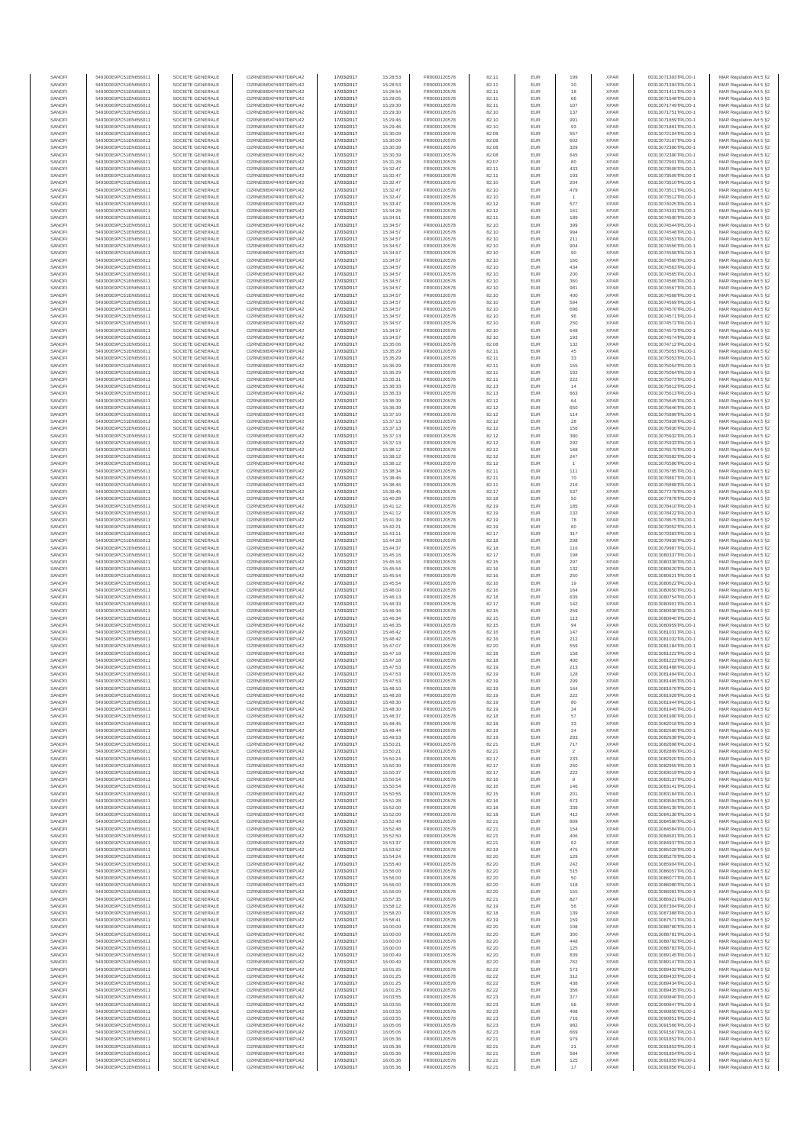| SANOFI           | 549300E9PC51EN656011                         | SOCIETE GENERALE                     | O2RNE8IBXP4R0TD8PU42                         | 17/03/2017               | 15:28:53             | FR0000120578                 | 82.11          | EUR               | 199            | <b>XPAR</b>                | 00313071393TRLO0-1                       | MAR Regulation Art 5 §2                             |
|------------------|----------------------------------------------|--------------------------------------|----------------------------------------------|--------------------------|----------------------|------------------------------|----------------|-------------------|----------------|----------------------------|------------------------------------------|-----------------------------------------------------|
| SANOFI<br>SANOFI | 549300E9PC51EN656011<br>549300E9PC51EN656011 | SOCIETE GENERALE<br>SOCIETE GENERALE | O2RNE8IBXP4R0TD8PU42<br>O2RNE8IBXP4R0TD8PU42 | 17/03/2017<br>17/03/2017 | 15:28:53<br>15:28:54 | FR0000120578<br>FR0000120578 | 82.11<br>82.11 | EUR<br>EUR        | 20<br>18       | <b>XPAR</b><br><b>XPAR</b> | 00313071394TRLO0-1<br>00313071411TRLO0-1 | MAR Regulation Art 5 §2<br>MAR Regulation Art 5 §2  |
| SANOFI           | 549300E9PC51EN656011                         | SOCIETE GENERALE                     | O2RNE8IBXP4R0TD8PLI42                        | 17/03/2017               | 15:29:05             | FR0000120578                 | 82.11          | EUR               | 66             | <b>XPAR</b>                | 00313071548TRLO0-1                       | MAR Regulation Art 5 \$2                            |
| SANOFI           | 549300E9PC51EN656011                         | SOCIETE GENERALE                     | O2RNE8IBXP4R0TD8PU42                         | 17/03/2017               | 15:29:30             | FR0000120578                 | 82.11          | EUR               | 107            | <b>XPAR</b>                | 00313071749TRLO0-1                       | MAR Regulation Art 5 §2                             |
| SANOFI           | 549300E9PC51EN656011                         | SOCIETE GENERALE                     | O2RNE8IBXP4R0TD8PU42                         | 17/03/2017               | 15:29:30             | FR0000120578                 | 82.10          | EUR               | 137            | <b>XPAR</b>                | 00313071751TRLO0-1                       | MAR Regulation Art 5 §2                             |
| SANOFI<br>SANOFI | 549300E9PC51EN656011<br>549300E9PC51EN656011 | SOCIETE GENERALE<br>SOCIETE GENERALE | O2RNE8IBXP4R0TD8PU42<br>O2RNE8IBXP4R0TD8PU42 | 17/03/2017<br>17/03/2017 | 15:29:46<br>15:29:46 | FR0000120578<br>FR0000120578 | 82.10<br>82.10 | EUR<br>EUR        | 991<br>93      | <b>XPAR</b><br><b>XPAR</b> | 00313071859TRLO0-1<br>00313071861TRLO0-1 | MAR Regulation Art 5 §2<br>MAR Regulation Art 5 §2  |
| SANOFI           | 549300E9PC51EN656011                         | SOCIETE GENERALE                     | O2RNE8IBXP4R0TD8PU42                         | 17/03/2017               | 15:30:09             | FR0000120578                 | 82.08          | EUR               | 557            | <b>XPAR</b>                | 00313072104TRLO0-1                       | MAR Regulation Art 5 §2                             |
| SANOFI           | 549300E9PC51EN656011                         | SOCIETE GENERALE                     | O2RNE8IBXP4R0TD8PU42                         | 17/03/2017               | 15:30:09             | FR0000120578                 | 82.08          | EUR               | 602            | <b>XPAR</b>                | 00313072107TRLO0-1                       | MAR Regulation Art 5 §2                             |
| SANOFI<br>SANOFI | 549300E9PC51EN656011<br>549300E9PC51EN656011 | SOCIETE GENERALE<br>SOCIETE GENERALE | O2RNE8IBXP4R0TD8PU42<br>O2RNE8IBXP4R0TD8PU42 | 17/03/2017<br>17/03/2017 | 15:30:39<br>15:30:39 | FR0000120578<br>FR0000120578 | 82.08<br>82.08 | EUR<br>EUR        | 329<br>645     | <b>XPAR</b><br><b>XPAR</b> | 00313072386TRLO0-1<br>00313072390TRLO0-1 | MAR Regulation Art 5 §2<br>MAR Regulation Art 5 §2  |
| SANOFI           | 549300E9PC51EN656011                         | SOCIETE GENERALE                     | O2RNE8IBXP4R0TD8PU42                         | 17/03/2017               | 15:31:28             | FR0000120578                 | 82.07          | EUR               | 80             | <b>XPAR</b>                | 00313072901TRLO0-1                       | MAR Regulation Art 5 §2                             |
| SANOFI           | 549300E9PC51EN656011                         | SOCIETE GENERALE                     | O2RNE8IBXP4R0TD8PU42                         | 17/03/2017               | 15:32:47             | FR0000120578                 | 82.11          | EUR               | 433            | <b>XPAR</b>                | 00313073508TRLO0-1                       | MAR Regulation Art 5 §2                             |
| SANOFI           | 549300E9PC51EN656011                         | SOCIETE GENERALE                     | O2RNE8IBXP4R0TD8PU42                         | 17/03/2017               | 15:32:47             | FR0000120578                 | 82.11          | EUR               | 193            | <b>XPAR</b>                | 00313073509TRLO0-1                       | MAR Regulation Art 5 §2                             |
| SANOFI           | 549300E9PC51EN656011                         | SOCIETE GENERALE                     | O2RNE8IBXP4R0TD8PU42                         | 17/03/2017               | 15:32:47             | FR0000120578                 | 82.10          | EUR               | 204            | <b>XPAR</b>                | 00313073510TRLO0-1                       | MAR Regulation Art 5 §2                             |
| SANOFI           | 549300E9PC51EN656011                         | SOCIETE GENERALE                     | O2RNE8IBXP4R0TD8PU42                         | 17/03/2017               | 15:32:47             | FR0000120578                 | 82.10          | EUR               | 479            | <b>XPAR</b>                | 00313073511TRLO0-1                       | MAR Regulation Art 5 §2                             |
| SANOFI<br>SANOFI | 549300E9PC51EN656011<br>549300E9PC51EN656011 | SOCIETE GENERALE<br>SOCIETE GENERALE | O2RNE8IBXP4R0TD8PU42<br>O2RNE8IBXP4R0TD8PU42 | 17/03/2017<br>17/03/2017 | 15:32:47<br>15:33:47 | FR0000120578<br>FR0000120578 | 82.10<br>82.12 | EUR<br>EUR        | 577            | <b>XPAR</b><br><b>XPAR</b> | 00313073512TRLO0-1<br>00313074025TRLO0-1 | MAR Regulation Art 5 §2<br>MAR Regulation Art 5 §2  |
| SANOFI           | 549300E9PC51EN656011                         | SOCIETE GENERALE                     | O2RNE8IBXP4R0TD8PU42                         | 17/03/2017               | 15:34:26             | FR0000120578                 | 82.12          | EUR               | 161            | <b>XPAR</b>                | 00313074331TRLO0-1                       | MAR Regulation Art 5 §2                             |
| SANOFI           | 549300E9PC51EN656011                         | SOCIETE GENERALE                     | O2RNE8IBXP4R0TD8PU42                         | 17/03/2017               | 15:34:51             | FR0000120578                 | 82.11          | EUR               | 189            | <b>XPAR</b>                | 00313074500TRLO0-1                       | MAR Regulation Art 5 §2                             |
| SANOFI           | 549300E9PC51EN656011                         | SOCIETE GENERALE                     | O2RNE8IBXP4R0TD8PU42                         | 17/03/2017               | 15:34:57             | FR0000120578                 | 82.10          | EUR               | 399            | <b>XPAR</b>                | 00313074544TRLO0-1                       | MAR Regulation Art 5 §2                             |
| SANOFI           | 549300E9PC51EN656011                         | SOCIETE GENERALE                     | O2RNE8IBXP4R0TD8PU42                         | 17/03/2017               | 15:34:57             | FR0000120578                 | 82.10          | EUR               | 994            | <b>XPAR</b>                | 00313074548TRLO0-1                       | MAR Regulation Art 5 §2                             |
| SANOFI<br>SANOFI | 549300E9PC51EN656011<br>549300E9PC51EN656011 | SOCIETE GENERALE<br>SOCIETE GENERALE | O2RNE8IBXP4R0TD8PU42<br>O2RNE8IBXP4R0TD8PU42 | 17/03/2017<br>17/03/2017 | 15:34:57<br>15:34:57 | FR0000120578<br>FR0000120578 | 82.10<br>82.10 | EUR<br>EUR        | 211<br>904     | <b>XPAR</b><br><b>XPAR</b> | 00313074553TRLO0-1<br>00313074556TRLO0-1 | MAR Regulation Art 5 §2<br>MAR Regulation Art 5 §2  |
| SANOFI           | 549300E9PC51EN656011                         | SOCIETE GENERALE                     | O2RNE8IBXP4R0TD8PU42                         | 17/03/2017               | 15:34:57             | FR0000120578                 | 82.10          | EUR               | 90             | <b>XPAR</b>                | 00313074558TRLO0-1                       | MAR Regulation Art 5 §2                             |
| SANOFI           | 549300E9PC51EN656011                         | SOCIETE GENERALE                     | O2RNE8IBXP4R0TD8PU42                         | 17/03/2017               | 15:34:57             | FR0000120578                 | 82.10          | EUR               | 160            | <b>XPAR</b>                | 00313074560TRLO0-1                       | MAR Regulation Art 5 §2                             |
| SANOFI           | 549300E9PC51EN656011                         | SOCIETE GENERALE                     | O2RNE8IBXP4R0TD8PU42                         | 17/03/2017               | 15:34:57             | FR0000120578                 | 82.10          | EUR               | 434            | <b>XPAR</b>                | 00313074563TRLO0-1                       | MAR Regulation Art 5 §2                             |
| SANOFI           | 549300E9PC51EN656011                         | SOCIETE GENERALE                     | O2RNE8IBXP4R0TD8PU42                         | 17/03/2017               | 15:34:57             | FR0000120578                 | 82.10          | EUR               | 200            | <b>XPAR</b>                | 00313074565TRLO0-1                       | MAR Regulation Art 5 §2                             |
| SANOFI<br>SANOFI | 549300E9PC51EN656011<br>549300E9PC51EN656011 | SOCIETE GENERALE<br>SOCIETE GENERALE | O2RNE8IBXP4R0TD8PU42<br>O2RNE8IBXP4R0TD8PU42 | 17/03/2017<br>17/03/2017 | 15:34:57<br>15:34:57 | FR0000120578<br>FR0000120578 | 82.10<br>82.10 | EUR<br>EUR        | 360<br>981     | <b>XPAR</b><br><b>XPAR</b> | 00313074566TRLO0-1<br>00313074567TRLO0-1 | MAR Regulation Art 5 §2<br>MAR Regulation Art 5 \$2 |
| SANOFI           | 549300E9PC51EN656011                         | SOCIETE GENERALE                     | O2RNE8IBXP4R0TD8PU42                         | 17/03/2017               | 15:34:57             | FR0000120578                 | 82.10          | EUR               | 400            | <b>XPAR</b>                | 00313074568TRLO0-1                       | MAR Regulation Art 5 §2                             |
| SANOFI           | 549300E9PC51EN656011                         | SOCIETE GENERALE                     | O2RNE8IBXP4R0TD8PU42                         | 17/03/2017               | 15:34:57             | FR0000120578                 | 82.10          | EUR               | 594            | <b>XPAR</b>                | 00313074569TRLO0-1                       | MAR Regulation Art 5 §2                             |
| SANOFI           | 549300E9PC51EN656011                         | SOCIETE GENERALE                     | O2RNE8IBXP4R0TD8PU42                         | 17/03/2017               | 15:34:57             | FR0000120578                 | 82.10          | EUR               | 696            | <b>XPAR</b>                | 00313074570TRLO0-1                       | MAR Regulation Art 5 §2                             |
| SANOFI<br>SANOFI | 549300E9PC51EN656011<br>549300E9PC51EN656011 | SOCIETE GENERALE<br>SOCIETE GENERALE | O2RNE8IBXP4R0TD8PU42<br>O2RNE8IBXP4R0TD8PU42 | 17/03/2017<br>17/03/2017 | 15:34:57<br>15:34:57 | FR0000120578<br>FR0000120578 | 82.10<br>82.10 | EUR<br>EUR        | 96<br>250      | <b>XPAR</b><br><b>XPAR</b> | 00313074571TRLO0-1<br>00313074572TRLO0-1 | MAR Regulation Art 5 §2<br>MAR Regulation Art 5 §2  |
| SANOFI           | 549300E9PC51EN656011                         | SOCIETE GENERALE                     | O2RNE8IBXP4R0TD8PU42                         | 17/03/2017               | 15:34:57             | FR0000120578                 | 82.10          | EUR               | 648            | <b>XPAR</b>                | 00313074573TRLO0-1                       | MAR Regulation Art 5 §2                             |
| SANOFI           | 549300E9PC51EN656011                         | SOCIETE GENERALE                     | O2RNE8IBXP4R0TD8PU42                         | 17/03/2017               | 15:34:57             | FR0000120578                 | 82.10          | EUR               | 193            | <b>XPAR</b>                | 00313074574TRLO0-1                       | MAR Regulation Art 5 \$2                            |
| SANOFI           | 549300E9PC51EN656011                         | SOCIETE GENERALE                     | O2RNE8IBXP4R0TD8PU42                         | 17/03/2017               | 15:35:06             | FR0000120578                 | 82.08          | EUR               | 132            | <b>XPAR</b>                | 00313074712TRLO0-1                       | MAR Regulation Art 5 §2                             |
| SANOFI<br>SANOFI | 549300E9PC51EN656011<br>549300E9PC51EN656011 | SOCIETE GENERALE                     | O2RNE8IBXP4R0TD8PU42<br>O2RNE8IBXP4R0TD8PU42 | 17/03/2017<br>17/03/2017 | 15:35:29<br>15:35:29 | FR0000120578<br>FR0000120578 | 82.11<br>82.11 | EUR<br>EUR        | 45             | <b>XPAR</b><br><b>XPAR</b> | 00313075051TRLO0-1                       | MAR Regulation Art 5 §2                             |
| SANOFI           | 549300E9PC51EN656011                         | SOCIETE GENERALE<br>SOCIETE GENERALE | O2RNE8IBXP4R0TD8PU42                         | 17/03/2017               | 15:35:29             | FR0000120578                 | 82.11          | EUR               | 33<br>155      | <b>XPAR</b>                | 00313075053TRLO0-1<br>00313075054TRLO0-1 | MAR Regulation Art 5 §2<br>MAR Regulation Art 5 §2  |
| SANOFI           | 549300E9PC51EN656011                         | SOCIETE GENERALE                     | O2RNE8IBXP4R0TD8PU42                         | 17/03/2017               | 15:35:29             | FR0000120578                 | 82.11          | EUR               | 192            | <b>XPAR</b>                | 00313075064TRLO0-1                       | MAR Regulation Art 5 §2                             |
| SANOFI           | 549300E9PC51EN656011                         | SOCIETE GENERALE                     | O2RNE8IBXP4R0TD8PU42                         | 17/03/2017               | 15:35:31             | FR0000120578                 | 82.11          | EUR               | 222            | <b>XPAR</b>                | 00313075073TRLO0-1                       | MAR Regulation Art 5 §2                             |
| SANOFI           | 549300E9PC51EN656011                         | SOCIETE GENERALE                     | O2RNE8IBXP4R0TD8PU42                         | 17/03/2017               | 15:36:33             | FR0000120578                 | 82.13          | EUR               | 14             | <b>XPAR</b>                | 00313075612TRLO0-1                       | MAR Regulation Art 5 §2                             |
| SANOFI<br>SANOFI | 549300E9PC51EN656011<br>549300E9PC51EN656011 | SOCIETE GENERALE<br>SOCIETE GENERALE | O2RNE8IBXP4R0TD8PU42<br>O2RNE8IBXP4R0TD8PU42 | 17/03/2017<br>17/03/2017 | 15:36:33<br>15:36:39 | FR0000120578<br>FR0000120578 | 82.13<br>82.12 | EUR<br>EUR        | 663<br>64      | <b>XPAR</b><br><b>XPAR</b> | 00313075613TRLO0-1<br>00313075645TRLO0-1 | MAR Regulation Art 5 §2<br>MAR Regulation Art 5 \$2 |
| SANOFI           | 549300E9PC51EN656011                         | SOCIETE GENERALE                     | O2RNE8IBXP4R0TD8PU42                         | 17/03/2017               | 15:36:39             | FR0000120578                 | 82.12          | EUR               | 650            | <b>XPAR</b>                | 00313075646TRLO0-1                       | MAR Regulation Art 5 §2                             |
| SANOFI           | 549300E9PC51EN656011                         | SOCIETE GENERALE                     | O2RNE8IBXP4R0TD8PU42                         | 17/03/2017               | 15:37:10             | FR0000120578                 | 82.12          | EUR               | 114            | <b>XPAR</b>                | 00313075899TRLO0-1                       | MAR Regulation Art 5 §2                             |
| SANOFI           | 549300E9PC51EN656011                         | SOCIETE GENERALE                     | O2RNE8IBXP4R0TD8PU42                         | 17/03/2017               | 15:37:13             | FR0000120578                 | 82.12          | EUR               | 28             | <b>XPAR</b>                | 00313075928TRLO0-1                       | MAR Regulation Art 5 §2                             |
| SANOFI           | 549300E9PC51EN656011                         | SOCIETE GENERALE                     | O2RNE8IBXP4R0TD8PU42                         | 17/03/2017               | 15:37:13             | FR0000120578                 | 82.12          | EUR               | 156            | <b>XPAR</b>                | 00313075930TRLO0-1                       | MAR Regulation Art 5 §2                             |
| SANOFI<br>SANOFI | 549300E9PC51EN656011<br>549300E9PC51EN656011 | SOCIETE GENERALE<br>SOCIETE GENERALE | O2RNE8IBXP4R0TD8PU42<br>O2RNE8IBXP4R0TD8PU42 | 17/03/2017<br>17/03/2017 | 15:37:13<br>15:37:13 | FR0000120578<br>FR0000120578 | 82.12<br>82.12 | EUR<br>EUR        | 380<br>292     | <b>XPAR</b><br><b>XPAR</b> | 00313075932TRLO0-1<br>00313075933TRLO0-1 | MAR Regulation Art 5 §2<br>MAR Regulation Art 5 §2  |
| SANOFI           | 549300E9PC51EN656011                         | SOCIETE GENERALE                     | O2RNE8IBXP4R0TD8PU42                         | 17/03/2017               | 15:38:12             | FR0000120578                 | 82.12          | EUR               | 168            | <b>XPAR</b>                | 00313076579TRLO0-1                       | MAR Regulation Art 5 §2                             |
| SANOFI           | 549300E9PC51EN656011                         | SOCIETE GENERALE                     | O2RNE8IBXP4R0TD8PU42                         | 17/03/2017               | 15:38:12             | FR0000120578                 | 82.12          | EUR               | 247            | <b>XPAR</b>                | 00313076582TRLO0-1                       | MAR Regulation Art 5 §2                             |
| SANOFI           | 549300E9PC51EN656011                         | SOCIETE GENERALE                     | O2RNE8IBXP4R0TD8PU42                         | 17/03/2017               | 15:38:12             | FR0000120578                 | 82.12          | EUR               |                | <b>XPAR</b>                | 00313076586TRLO0-1                       | MAR Regulation Art 5 62                             |
| SANOFI           | 549300E9PC51EN656011                         | SOCIETE GENERALE                     | O2RNE8IBXP4R0TD8PU42                         | 17/03/2017               | 15:38:34             | FR0000120578                 | 82.11          | EUR               | 111<br>70      | <b>XPAR</b>                | 00313076785TRLO0-1                       | MAR Regulation Art 5 §2                             |
| SANOFI<br>SANOFI | 549300E9PC51EN656011<br>549300E9PC51EN656011 | SOCIETE GENERALE<br>SOCIETE GENERALE | O2RNE8IBXP4R0TD8PU42<br>O2RNE8IBXP4R0TD8PU42 | 17/03/2017<br>17/03/2017 | 15:38:46<br>15:38:46 | FR0000120578<br>FR0000120578 | 82.11<br>82.11 | EUR<br>EUR        | 216            | <b>XPAR</b><br><b>XPAR</b> | 00313076867TRLO0-1<br>00313076868TRLO0-1 | MAR Regulation Art 5 §2<br>MAR Regulation Art 5 §2  |
| SANOFI           | 549300E9PC51EN656011                         | SOCIETE GENERALE                     | O2RNE8IBXP4R0TD8PU42                         | 17/03/2017               | 15:39:45             | FR0000120578                 | 82.17          | EUR               | 537            | <b>XPAR</b>                | 00313077278TRLO0-1                       | MAR Regulation Art 5 §2                             |
| SANOFI           | 549300E9PC51EN656011                         | SOCIETE GENERALE                     | O2RNE8IBXP4R0TD8PU42                         | 17/03/2017               | 15:40:28             | FR0000120578                 | 82.18          | EUR               | 50             | <b>XPAR</b>                | 00313077878TRLO0-1                       | MAR Regulation Art 5 §2                             |
| SANOFI           | 549300E9PC51EN656011                         | SOCIETE GENERALE                     | O2RNE8IBXP4R0TD8PU42                         | 17/03/2017               | 15:41:12             | FR0000120578                 | 82.19          | EUR               | 185            | <b>XPAR</b>                | 00313078410TRLO0-1                       | MAR Regulation Art 5 §2                             |
| SANOFI<br>SANOFI | 549300E9PC51EN656011<br>549300E9PC51EN656011 | SOCIETE GENERALE<br>SOCIETE GENERALE | O2RNE8IBXP4R0TD8PU42<br>O2RNE8IBXP4R0TD8PU42 | 17/03/2017<br>17/03/2017 | 15:41:12<br>15:41:39 | FR0000120578<br>FR0000120578 | 82.19<br>82.19 | EUR<br>EUR        | 132<br>78      | <b>XPAR</b><br><b>XPAR</b> | 00313078422TRLO0-1<br>00313078675TRLO0-1 | MAR Regulation Art 5 §2<br>MAR Regulation Art 5 §2  |
| SANOFI           | 549300E9PC51EN656011                         | SOCIETE GENERALE                     | O2RNE8IBXP4R0TD8PU42                         | 17/03/2017               | 15:42:21             | FR0000120578                 | 82.19          | EUR               | 60             | <b>XPAR</b>                | 00313079052TRLO0-1                       | MAR Regulation Art 5 §2                             |
| SANOFI           | 549300E9PC51EN656011                         | SOCIETE GENERALE                     | O2RNE8IBXP4R0TD8PU42                         | 17/03/2017               | 15:43:11             | FR0000120578                 | 82.17          | EUR               | 317            | <b>XPAR</b>                | 00313079383TRLO0-1                       | MAR Regulation Art 5 §2                             |
| SANOFI           | 549300E9PC51EN656011                         | SOCIETE GENERALE                     | O2RNE8IBXP4R0TD8PU42                         | 17/03/2017               | 15:44:28             | FR0000120578                 | 82.18          | EUR               | 298            | <b>XPAR</b>                | 00313079939TRLO0-1                       | MAR Regulation Art 5 §2                             |
| SANOFI           | 549300E9PC51EN656011                         | SOCIETE GENERALE                     | O2RNE8IBXP4R0TD8PU42                         | 17/03/2017               | 15:44:37             | FR0000120578                 | 82.18          | EUR               | 116            | <b>XPAR</b>                | 00313079987TRLO0-1                       | MAR Regulation Art 5 §2                             |
| SANOFI<br>SANOFI | 549300E9PC51EN656011<br>549300E9PC51EN656011 | SOCIETE GENERALE<br>SOCIETE GENERALE | O2RNE8IBXP4R0TD8PU42<br>O2RNE8IBXP4R0TD8PU42 | 17/03/2017<br>17/03/2017 | 15:45:16<br>15:45:16 | FR0000120578<br>FR0000120578 | 82.17<br>82.15 | EUR<br>EUR        | 198<br>297     | <b>XPAR</b><br><b>XPAR</b> | 00313080337TRLO0-1<br>00313080338TRLO0-1 | MAR Regulation Art 5 §2<br>MAR Regulation Art 5 §2  |
| SANOFI           | 549300E9PC51EN656011                         | SOCIETE GENERALE                     | O2RNE8IBXP4R0TD8PU42                         | 17/03/2017               | 15:45:54             | FR0000120578                 | 82.16          | EUR               | 132            | <b>XPAR</b>                | 00313080620TRLO0-1                       | MAR Regulation Art 5 §2                             |
| SANOFI           | 549300E9PC51EN656011                         | SOCIETE GENERALE                     | O2RNE8IBXP4R0TD8PU42                         | 17/03/2017               | 15:45:54             | FR0000120578                 | 82.16          | EUR               | 250            | <b>XPAR</b>                | 00313080621TRLO0-1                       | MAR Regulation Art 5 §2                             |
| SANOFI           | 549300E9PC51EN656011                         | SOCIETE GENERALE                     | O2RNE8IBXP4R0TD8PU42                         | 17/03/2017               | 15:45:54             | FR0000120578                 | 82.16          | EUR               | 19             | <b>XPAR</b>                | 00313080622TRLO0-1                       | MAR Regulation Art 5 §2                             |
| SANOFI<br>SANOFI | 549300E9PC51EN656011<br>549300E9PC51EN656011 | SOCIETE GENERALE<br>SOCIETE GENERALE | O2RNE8IBXP4R0TD8PU42<br>O2RNE8IBXP4R0TD8PU42 | 17/03/2017<br>17/03/2017 | 15:46:00<br>15:46:13 | FR0000120578<br>FR0000120578 | 82.16<br>82.18 | EUR<br>EUR        | 164<br>639     | <b>XPAR</b><br><b>XPAR</b> | 00313080650TRLO0-1<br>00313080754TRLO0-1 | MAR Regulation Art 5 §2<br>MAR Regulation Art 5 §2  |
| SANOFI           | 549300E9PC51EN656011                         | SOCIETE GENERALE                     | O2RNE8IBXP4R0TD8PU42                         | 17/03/2017               | 15:46:33             | FR0000120578                 | 82.17          | EUR               | 142            | <b>XPAR</b>                | 00313080901TRLO0-1                       | MAR Regulation Art 5 §2                             |
| SANOFI           | 549300E9PC51EN656011                         | SOCIETE GENERALE                     | O2RNE8IBXP4R0TD8PU42                         | 17/03/2017               | 15:46:34             | FR0000120578                 | 82.15          | EUR               | 259            | <b>XPAR</b>                | 00313080938TRLO0-1                       | MAR Regulation Art 5 §2                             |
| SANOFI           | 549300E9PC51EN656011                         | SOCIETE GENERALE                     | O2RNE8IBXP4R0TD8PU42                         | 17/03/2017               | 15:46:34             | FR0000120578                 | 82.15          | EUR               | 113            | <b>XPAR</b>                | 00313080940TRLO0-1                       | MAR Regulation Art 5 §2                             |
| SANOFI           | 549300E9PC51EN656011                         | SOCIETE GENERALE                     | O2RNE8IBXP4R0TD8PLI42                        | 17/03/2017               | 15:46:35             | FR0000120578                 | 82.15          | EUR               | 94             | <b>XPAR</b>                | 00313080959TRLO0-1                       | MAR Regulation Art 5 §2                             |
| SANOFI<br>SANOFI | 549300E9PC51EN656011<br>549300E9PC51EN656011 | SOCIETE GENERALE<br>SOCIETE GENERALE | O2RNE8IBXP4R0TD8PU42<br>O2RNE8IBXP4R0TD8PU42 | 17/03/2017<br>17/03/2017 | 15:46:42<br>15:46:42 | FR0000120578<br>FR0000120578 | 82.16<br>82.16 | EUR<br>EUR        | 147<br>212     | <b>XPAR</b><br><b>XPAR</b> | 00313081031TRLO0-1<br>00313081032TRLO0-1 | MAR Regulation Art 5 §2<br>MAR Regulation Art 5 \$2 |
| SANOFI           | 549300E9PC51EN656011                         | SOCIETE GENERALE                     | O2RNE8IBXP4R0TD8PU42                         | 17/03/2017               | 15:47:07             | FR0000120578                 | 82.20          | EUR               | 559            | <b>XPAR</b>                | 00313081184TRLO0-1                       | MAR Regulation Art 5 §2                             |
| SANOFI           | 549300E9PC51EN656011                         | SOCIETE GENERALE                     | O2RNE8IBXP4R0TD8PU42                         | 17/03/2017               | 15:47:18             | FR0000120578                 | 82.18          | EUR               | 158            | <b>XPAR</b>                | 00313081222TRLO0-1                       | MAR Regulation Art 5 §2                             |
| SANOFI           | 549300E9PC51EN656011                         | SOCIETE GENERALE                     | O2RNE8IBXP4R0TD8PU42                         | 17/03/2017               | 15:47:18             | FR0000120578                 | 82.18          | EUR               | 400            | <b>XPAR</b>                | 00313081223TRLO0-1                       | MAR Regulation Art 5 §2                             |
| SANOFI<br>SANOFI | 549300E9PC51EN656011<br>549300E9PC51EN656011 | SOCIETE GENERALE<br>SOCIETE GENERALE | O2RNE8IBXP4R0TD8PU42<br>O2RNE8IBXP4R0TD8PU42 | 17/03/2017               | 15:47:53             | FR0000120578                 | 82.19          | EUR<br><b>EUR</b> | 213            | <b>XPAR</b><br><b>XPAR</b> | 00313081488TRLO0-1                       | MAR Regulation Art 5 §2                             |
| SANOFI           | 549300E9PC51EN656011                         | SOCIETE GENERALE                     | O2RNE8IBXP4R0TD8PU42                         | 17/03/2017<br>17/03/2017 | 15:47:53<br>15:47:53 | FR0000120578<br>FR0000120578 | 82.19<br>82.19 | EUR               | 128<br>299     | <b>XPAR</b>                | 00313081494TRLO0-1<br>00313081495TRLO0-1 | MAR Regulation Art 5 §2<br>MAR Regulation Art 5 §2  |
| SANOFI           | 549300E9PC51EN656011                         | SOCIETE GENERALE                     | O2RNE8IBXP4R0TD8PU42                         | 17/03/2017               | 15:48:10             | FR0000120578                 | 82.19          | EUR               | 164            | <b>XPAR</b>                | 00313081676TRLO0-1                       | MAR Regulation Art 5 §2                             |
| SANOFI           | 549300E9PC51EN656011                         | SOCIETE GENERALE                     | O2RNE8IBXP4R0TD8PU42                         | 17/03/2017               | 15:48:28             | FR0000120578                 | 82.19          | EUR               | 222            | <b>XPAR</b>                | 00313081928TRLO0-1                       | MAR Regulation Art 5 §2                             |
| SANOFI           | 549300E9PC51EN656011                         | SOCIETE GENERALE<br>SOCIETE GENERALE | O2RNE8IBXP4R0TD8PU42                         | 17/03/2017               | 15:48:30             | FR0000120578                 | 82.19          | EUR               | 80             | <b>XPAR</b>                | 00313081944TRLO0-1                       | MAR Regulation Art 5 §2                             |
| SANOFI<br>SANOFI | 549300E9PC51EN656011<br>549300E9PC51EN656011 | SOCIETE GENERALE                     | O2RNE8IBXP4R0TD8PU42<br>O2RNE8IBXP4R0TD8PU42 | 17/03/2017<br>17/03/2017 | 15:48:30<br>15:48:37 | FR0000120578<br>FR0000120578 | 82.19<br>82.18 | EUR<br>EUR        | 34<br>57       | <b>XPAR</b><br><b>XPAR</b> | 00313081945TRLO0-1<br>00313081990TRLO0-1 | MAR Regulation Art 5 §2<br>MAR Regulation Art 5 §2  |
| SANOFI           | 549300E9PC51EN656011                         | SOCIETE GENERALE                     | O2RNE8IBXP4R0TD8PU42                         | 17/03/2017               | 15:48:45             | FR0000120578                 | 82.18          | EUR               | 33             | <b>XPAR</b>                | 00313082016TRLO0-1                       | MAR Regulation Art 5 §2                             |
| SANOFI           | 549300E9PC51EN656011                         | SOCIETE GENERALE                     | O2RNE8IBXP4R0TD8PU42                         | 17/03/2017               | 15:49:44             | FR0000120578                 | 82.19          | EUR               | $\sqrt{24}$    | <b>XPAR</b>                | 00313082580TRLO0-1                       | MAR Regulation Art 5 §2                             |
| SANOFI<br>SANOFI | 549300E9PC51EN656011<br>549300E9PC51EN656011 | SOCIETE GENERALE<br>SOCIETE GENERALE | O2RNE8IBXP4R0TD8PU42<br>O2RNE8IBXP4R0TD8PU42 | 17/03/2017<br>17/03/2017 | 15:49:53<br>15:50:21 | FR0000120578<br>FR0000120578 | 82.19<br>82.21 | EUR<br>EUR        | 283<br>717     | <b>XPAR</b><br><b>XPAR</b> | 00313082638TRLO0-1<br>00313082898TRLO0-1 | MAR Regulation Art 5 §2<br>MAR Regulation Art 5 §2  |
| SANOFI           | 549300E9PC51EN656011                         | SOCIETE GENERALE                     | O2RNE8IBXP4R0TD8PU42                         | 17/03/2017               | 15:50:21             | FR0000120578                 | 82.21          | EUR               | $\overline{2}$ | <b>XPAR</b>                | 00313082899TRLO0-1                       | MAR Regulation Art 5 §2                             |
| SANOFI           | 549300E9PC51EN656011                         | SOCIETE GENERALE                     | O2RNE8IBXP4R0TD8PU42                         | 17/03/2017               | 15:50:24             | FR0000120578                 | 82.17          | EUR               | 233            | <b>XPAR</b>                | 00313082920TRLO0-1                       | MAR Regulation Art 5 §2                             |
| SANOFI           | 549300E9PC51EN656011                         | SOCIETE GENERALE                     | O2RNE8IBXP4R0TD8PU42<br>O2RNE8IBXP4R0TD8PU42 | 17/03/2017               | 15:50:30             | FR0000120578                 | 82.17          | EUR               | 250            | <b>XPAR</b>                | 00313082955TRLO0-1                       | MAR Regulation Art 5 §2                             |
| SANOFI<br>SANOFI | 549300E9PC51EN656011<br>549300E9PC51EN656011 | SOCIETE GENERALE<br>SOCIETE GENERALE | O2RNE8IBXP4R0TD8PU42                         | 17/03/2017<br>17/03/2017 | 15:50:37<br>15:50:54 | FR0000120578<br>FR0000120578 | 82.17<br>82.16 | EUR<br>EUR        | 222<br>9       | <b>XPAR</b><br><b>XPAR</b> | 00313083019TRLO0-1<br>00313083137TRLO0-1 | MAR Regulation Art 5 §2<br>MAR Regulation Art 5 §2  |
| SANOFI           | 549300E9PC51EN656011                         | SOCIETE GENERALE                     | O2RNE8IBXP4R0TD8PU42                         | 17/03/2017               | 15:50:54             | FR0000120578                 | 82.16          | EUR               | 146            | <b>XPAR</b>                | 00313083141TRLO0-1                       | MAR Regulation Art 5 §2                             |
| SANOFI           | 549300E9PC51EN656011                         | SOCIETE GENERALE                     | O2RNE8IBXP4R0TD8PU42                         | 17/03/2017               | 15:50:55             | FR0000120578                 | 82.15          | EUR               | 201            | <b>XPAR</b>                | 00313083184TRLO0-1                       | MAR Regulation Art 5 §2                             |
| SANOFI           | 549300E9PC51EN656011                         | SOCIETE GENERALE                     | O2RNE8IBXP4R0TD8PU42                         | 17/03/2017               | 15:51:28             | FR0000120578                 | 82.16          | EUR               | 673            | <b>XPAR</b>                | 00313083594TRLO0-1                       | MAR Regulation Art 5 §2                             |
| SANOFI<br>SANOFI | 549300E9PC51EN656011<br>549300E9PC51EN656011 | SOCIETE GENERALE<br>SOCIETE GENERALE | O2RNE8IBXP4R0TD8PU42<br>O2RNE8IBXP4R0TD8PU42 | 17/03/2017<br>17/03/2017 | 15:52:00<br>15:52:00 | FR0000120578                 | 82.18<br>82.18 | EUR<br>EUR        | 339            | <b>XPAR</b><br><b>XPAR</b> | 00313084135TRLO0-1<br>00313084136TRLO0-1 | MAR Regulation Art 5 §2                             |
| SANOFI           | 549300E9PC51EN656011                         | SOCIETE GENERALE                     | O2RNE8IBXP4R0TD8PU42                         | 17/03/2017               | 15:52:48             | FR0000120578<br>FR0000120578 | 82.21          | EUR               | 412<br>809     | <b>XPAR</b>                | 00313084580TRLO0-1                       | MAR Regulation Art 5 §2<br>MAR Regulation Art 5 §2  |
| SANOFI           | 549300E9PC51EN656011                         | SOCIETE GENERALE                     | O2RNE8IBXP4R0TD8PU42                         | 17/03/2017               | 15:52:48             | FR0000120578                 | 82.21          | EUR               | 154            | <b>XPAR</b>                | 00313084584TRLO0-1                       | MAR Regulation Art 5 §2                             |
| SANOFI           | 549300E9PC51EN656011                         | SOCIETE GENERALE                     | O2RNE8IBXP4R0TD8PU42                         | 17/03/2017               | 15:52:50             | FR0000120578                 | 82.21          | EUR               | 406            | <b>XPAR</b>                | 00313084601TRLO0-1                       | MAR Regulation Art 5 §2                             |
| SANOFI           | 549300E9PC51EN656011                         | SOCIETE GENERALE                     | O2RNE8IBXP4R0TD8PU42                         | 17/03/2017               | 15:53:37             | FR0000120578                 | 82.21          | EUR               | 62             | <b>XPAR</b>                | 00313084937TRLO0-1                       | MAR Regulation Art 5 §2                             |
| SANOFI<br>SANOFI | 549300E9PC51EN656011<br>549300E9PC51EN656011 | SOCIETE GENERALE<br>SOCIETE GENERALE | O2RNE8IBXP4R0TD8PU42<br>O2RNE8IBXP4R0TD8PU42 | 17/03/2017<br>17/03/2017 | 15:53:52<br>15:54:24 | FR0000120578<br>FR0000120578 | 82.19<br>82.20 | EUR<br>EUR        | 475<br>129     | <b>XPAR</b><br><b>XPAR</b> | 00313085028TRLO0-1<br>00313085279TRLO0-1 | MAR Regulation Art 5 §2<br>MAR Regulation Art 5 §2  |
| SANOFI           | 549300E9PC51EN656011                         | SOCIETE GENERALE                     | O2RNE8IBXP4R0TD8PU42                         | 17/03/2017               | 15:55:40             | FR0000120578                 | 82.20          | EUR               | 242            | <b>XPAR</b>                | 00313085904TRLO0-1                       | MAR Regulation Art 5 §2                             |
| SANOFI           | 549300E9PC51EN656011                         | SOCIETE GENERALE                     | O2RNE8IBXP4R0TD8PU42                         | 17/03/2017               | 15:56:00             | FR0000120578                 | 82.20          | EUR               | 515            | <b>XPAR</b>                | 00313086057TRLO0-1                       | MAR Regulation Art 5 §2                             |
| SANOFI           | 549300E9PC51EN656011                         | SOCIETE GENERALE                     | O2RNE8IBXP4R0TD8PU42                         | 17/03/2017               | 15:56:00             | FR0000120578                 | 82.20          | EUR               | 50             | <b>XPAR</b>                | 00313086077TRLO0-1                       | MAR Regulation Art 5 §2                             |
| SANOFI<br>SANOFI | 549300E9PC51EN656011<br>549300E9PC51EN656011 | SOCIETE GENERALE<br>SOCIETE GENERALE | O2RNE8IBXP4R0TD8PU42<br>O2RNE8IBXP4R0TD8PU42 | 17/03/2017<br>17/03/2017 | 15:56:00<br>15:56:00 | FR0000120578<br>FR0000120578 | 82.20<br>82.20 | EUR<br>EUR        | 118<br>155     | <b>XPAR</b><br><b>XPAR</b> | 00313086080TRLO0-1<br>00313086081TRLO0-1 | MAR Regulation Art 5 §2<br>MAR Regulation Art 5 §2  |
| SANOFI           | 549300E9PC51EN656011                         | SOCIETE GENERALE                     | O2RNE8IBXP4R0TD8PU42                         | 17/03/2017               | 15:57:35             | FR0000120578                 | 82.21          | EUR               | 827            | <b>XPAR</b>                | 00313086921TRLO0-1                       | MAR Regulation Art 5 §2                             |
| SANOFI           | 549300E9PC51EN656011                         | SOCIETE GENERALE                     | O2RNE8IBXP4R0TD8PU42                         | 17/03/2017               | 15:58:12             | FR0000120578                 | 82.19          | EUR               | 56             | <b>XPAR</b>                | 00313087304TRLO0-1                       | MAR Regulation Art 5 §2                             |
| SANOFI           | 549300E9PC51EN656011                         | SOCIETE GENERALE                     | O2RNE8IBXP4R0TD8PU42                         | 17/03/2017               | 15:58:20             | FR0000120578                 | 82.18          | EUR               | 139            | <b>XPAR</b>                | 00313087388TRLO0-1                       | MAR Regulation Art 5 §2                             |
| SANOFI           | 549300E9PC51EN656011                         | SOCIETE GENERALE                     | O2RNE8IBXP4R0TD8PU42                         | 17/03/2017               | 15:58:41             | FR0000120578                 | 82.19          | EUR               | 159            | <b>XPAR</b>                | 00313087571TRLO0-1                       | MAR Regulation Art 5 §2                             |
| SANOFI<br>SANOFI | 549300E9PC51EN656011<br>549300E9PC51EN656011 | SOCIETE GENERALE<br>SOCIETE GENERALE | O2RNE8IBXP4R0TD8PU42<br>O2RNE8IBXP4R0TD8PU42 | 17/03/2017<br>17/03/2017 | 16:00:00<br>16:00:00 | FR0000120578<br>FR0000120578 | 82.20<br>82.20 | EUR<br>EUR        | 108<br>300     | <b>XPAR</b><br><b>XPAR</b> | 00313088780TRLO0-1<br>00313088781TRLO0-1 | MAR Regulation Art 5 §2<br>MAR Regulation Art 5 §2  |
| SANOFI           | 549300E9PC51EN656011                         | SOCIETE GENERALE                     | O2RNE8IBXP4R0TD8PU42                         | 17/03/2017               | 16:00:00             | FR0000120578                 | 82.20          | EUR               | 448            | <b>XPAR</b>                | 00313088782TRLO0-1                       | MAR Regulation Art 5 §2                             |
| SANOFI           | 549300E9PC51EN656011                         | SOCIETE GENERALE                     | O2RNE8IBXP4R0TD8PU42                         | 17/03/2017               | 16:00:00             | FR0000120578                 | 82.20          | EUR               | 125            | <b>XPAR</b>                | 00313088783TRLO0-1                       | MAR Regulation Art 5 §2                             |
| SANOFI           | 549300E9PC51EN656011                         | SOCIETE GENERALE                     | O2RNE8IBXP4R0TD8PU42                         | 17/03/2017               | 16:00:49             | FR0000120578                 | 82.20          | EUR               | 839            | <b>XPAR</b>                | 00313089145TRLO0-1                       | MAR Regulation Art 5 §2                             |
| SANOFI           | 549300E9PC51EN656011                         | SOCIETE GENERALE                     | O2RNE8IBXP4R0TD8PU42                         | 17/03/2017               | 16:00:49             | FR0000120578                 | 82.20          | EUR               | 762            | <b>XPAR</b>                | 00313089147TRLO0-1                       | MAR Regulation Art 5 §2                             |
| SANOFI<br>SANOFI | 549300E9PC51EN656011<br>549300E9PC51EN656011 | SOCIETE GENERALE<br>SOCIETE GENERALE | O2RNE8IBXP4R0TD8PU42<br>O2RNE8IBXP4R0TD8PU42 | 17/03/2017<br>17/03/2017 | 16:01:25<br>16:01:25 | FR0000120578<br>FR0000120578 | 82.22<br>82.22 | EUR<br>EUR        | 573<br>312     | <b>XPAR</b><br><b>XPAR</b> | 00313089432TRLO0-1<br>00313089433TRLO0-1 | MAR Regulation Art 5 §2<br>MAR Regulation Art 5 §2  |
| SANOFI           | 549300E9PC51EN656011                         | SOCIETE GENERALE                     | O2RNE8IBXP4R0TD8PU42                         | 17/03/2017               | 16:01:25             | FR0000120578                 | 82.22          | EUR               | 438            | <b>XPAR</b>                | 00313089434TRLO0-1                       | MAR Regulation Art 5 §2                             |
| SANOFI           | 549300E9PC51EN656011                         | SOCIETE GENERALE                     | O2RNE8IBXP4R0TD8PU42                         | 17/03/2017               | 16:01:25             | FR0000120578                 | 82.22          | EUR               | 356            | <b>XPAR</b>                | 00313089435TRLO0-1                       | MAR Regulation Art 5 §2                             |
| SANOFI           | 549300E9PC51EN656011                         | SOCIETE GENERALE                     | O2RNE8IBXP4R0TD8PU42                         | 17/03/2017               | 16:03:55             | FR0000120578                 | 82.23          | EUR               | 377            | <b>XPAR</b>                | 00313090846TRLO0-1                       | MAR Regulation Art 5 §2                             |
| SANOFI<br>SANOFI | 549300E9PC51EN656011<br>549300E9PC51EN656011 | SOCIETE GENERALE<br>SOCIETE GENERALE | O2RNE8IBXP4R0TD8PU42<br>O2RNE8IBXP4R0TD8PU42 | 17/03/2017<br>17/03/2017 | 16:03:55<br>16:03:55 | FR0000120578<br>FR0000120578 | 82.23<br>82.23 | EUR<br>EUR        | 56<br>498      | <b>XPAR</b><br><b>XPAR</b> | 00313090847TRLO0-1<br>00313090850TRLO0-1 | MAR Regulation Art 5 §2<br>MAR Regulation Art 5 §2  |
| SANOFI           | 549300E9PC51EN656011                         | SOCIETE GENERALE                     | O2RNE8IBXP4R0TD8PU42                         | 17/03/2017               | 16:03:55             | FR0000120578                 | 82.23          | EUR               | 716            | <b>XPAR</b>                | 00313090851TRLO0-1                       | MAR Regulation Art 5 §2                             |
| SANOFI           | 549300E9PC51EN656011                         | SOCIETE GENERALE                     | O2RNE8IBXP4R0TD8PU42                         | 17/03/2017               | 16:05:06             | FR0000120578                 | 82.23          | EUR               | 982            | <b>XPAR</b>                | 00313091566TRLO0-1                       | MAR Regulation Art 5 §2                             |
| SANOFI           | 549300E9PC51EN656011                         | SOCIETE GENERALE                     | O2RNE8IBXP4R0TD8PU42                         | 17/03/2017               | 16:05:06             | FR0000120578                 | 82.23          | EUR               | 669            | <b>XPAR</b>                | 00313091567TRLO0-1                       | MAR Regulation Art 5 §2                             |
| SANOFI<br>SANOFI | 549300E9PC51EN656011<br>549300E9PC51EN656011 | SOCIETE GENERALE<br>SOCIETE GENERALE | O2RNE8IBXP4R0TD8PU42<br>O2RNE8IBXP4R0TD8PU42 | 17/03/2017<br>17/03/2017 | 16:05:36<br>16:05:36 | FR0000120578<br>FR0000120578 | 82.21<br>82.21 | EUR<br>EUR        | 979<br>21      | <b>XPAR</b><br><b>XPAR</b> | 00313091852TRLO0-1<br>00313091853TRLO0-1 | MAR Regulation Art 5 §2                             |
| SANOFI           | 549300E9PC51EN656011                         | SOCIETE GENERALE                     | O2RNE8IBXP4R0TD8PU42                         | 17/03/2017               | 16:05:36             | FR0000120578                 | 82.21          | EUR               | 584            | <b>XPAR</b>                | 00313091854TRLO0-1                       | MAR Regulation Art 5 §2<br>MAR Regulation Art 5 §2  |
| SANOFI           | 549300E9PC51EN656011                         | SOCIETE GENERALE                     | O2RNE8IBXP4R0TD8PU42                         | 17/03/2017               | 16:05:36             | FR0000120578                 | 82.21          | EUR               | 125            | <b>XPAR</b>                | 00313091855TRLO0-1                       | MAR Regulation Art 5 §2                             |
| SANOFI           | 549300E9PC51EN656011                         | SOCIETE GENERALE                     | O2RNE8IBXP4R0TD8PU42                         | 17/03/2017               | 16:05:36             | FR0000120578                 | 82.21          | EUR               | 17             | <b>XPAR</b>                | 00313091856TRLO0-1                       | MAR Regulation Art 5 §2                             |